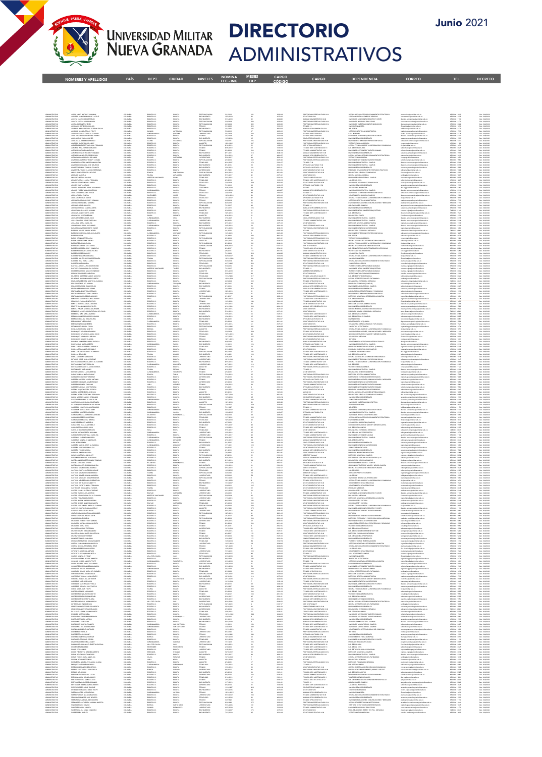TEL.

**DECRETO** 

 $CORREC$ 



## **DIRECTORIO ADMINISTRATIVOS**

CARGO

CARGO

**NIVELES NOMINA MESES** 

| PROFESIONAL ESPECIALIZADO 16-N<br>SECRETARIO 12-N<br>AUXILIAR ADMINISTRATIVO 20-N<br>PROFESIONAL ESPECIALIZADO 16-N<br>PROFESIONAL ESPECIALIZADO 16-N<br>ACSRO LOPSZ NATHALY JOHANNA<br>ACSVEDO BARRIAA MARA DE LA CRLZ<br>ACOSTA CASTRO OSCAR FABIAN<br>ACOSTA CUEVAS AURORA MARIA<br>8060TA D.C<br>8060TA D.C<br>8060TA D.C<br>$\begin{split} &\mathcal{Q}(\text{CoA}\text{ AGGAB}, \text{K. 548512,024446785\text{ 1548512,024446785\text{ 15447444679}}\\ &\mathcal{Q}(\text{SOB})\text{CS}(\text{K. 5444466666}, \text{K. 544746}, \text{G}(\text{SOB})\\ &\mathcal{Q}(\text{SOB})\text{CS}(\text{K. 54446666}, \text{G}(\text{SOB})\text{CS}(\text{SOB})\text{CS}(\text{SOB})\\ &\mathcal{Q}(\text$<br>$\begin{array}{l} 65800000\cdot 1000\\ 65800000\cdot 1100\\ 65800000\cdot 1110\\ 65800000\cdot 1170\\ 65800000\cdot 1002\\ 65800000\cdot 1100\\ 65800000\cdot 1172\\ 65800000\cdot 1172\\ 65800000\cdot 1110\\ 65800000\cdot 1110\\ 65800000\cdot 1100\\ 65800000\cdot 1100\\ 65800000$<br>ESPECIALIZACIO<br>BACHILLERATO<br>BACHILLERATO<br>2/1/2012<br>12/2/2013<br>2/2/2016<br>2/2/2016<br>2/1/2006<br>2/1/2006<br>2/1/2016<br>2/1/2016<br>2/1/2016<br>2/1/2016<br>1/1/2016<br>1/1/2016<br>1/1/2016<br>1/1/2016<br>1/1/2016<br>2013年前2月1日,1月22日,1月22日,1月22日,1月22日,1月22日,1月22日,1月22日,1月22日,1月23日,1月23日,1月23日,1月23日,1月23日,1月23日,1月23日 1月23日,1月23日,1月23日,1月23日,1月23日,1月23日,1月23日,1月23日,1月23日,1月23日,1月23日,1月23日,1月23日,1月23日,1月23日,1月23日,1月23日,1月23日,1月23日,1月23日,<br>COLOMINA<br>COLOMINA<br>COLOMINA<br>COLOMINA<br>COLOMINA<br>COLOMINA<br>COLOMINA<br>COLOMINA<br>COLOMINA<br>COLOMINA<br>COLOMINA<br>COLOMINA<br>COLOMINA<br><i><b>ADMINISTRATIVO<br/>ADMINISTRATIVO<br/>ADMINISTRATIVO<br/>ADMINISTRATIVO<br/>ADMINISTRATIVO<br/>ADMINISTRATIVO<br/>ADMINISTRATIVO</b></i><br>BOGOTA DA<br>ESPECIALIZACION<br>TECHNOLOGICALIZACION<br>TECHNOLOGICALIZACION<br>ESPECIALIZACION<br>UNIVERSITARIO<br>BACHILIZATO<br>BACHILIZATO<br>TECHNOLOGICALIZATO<br>BACHILIZATO<br>BACHILIZATO<br>BACHILIZATO<br>BACHILIZATO<br>BACHILIZATO<br>BACHILIZATO<br>BACHILIZATO<br>BACHILI<br>ACOUNT CURRENT SURFAINMENT AND A MARKETER SURFAIND AND STRUCTURE AND SURFAINDING IN THE MAIN CONSIDER A MANUFACTURE AND SURFAINDING IN THE MANUFACTURE AND SURFAINDING IN THE MANUFACTURE OF THE MANUFACTURE OF THE MANUFACTU<br>BOGOTA D.C<br>BOGOTA<br>BOGOTA<br>BOGOTA<br>LATEBAD,<br>CATAME<br>BOGOTA<br>MULARRO,<br>BOGOTA<br>BOGOTA<br>BOGOTA<br>MONOTA D.C.<br>BOGOTA D.C.<br>GUNDIO<br>CUNDIO<br>GOGOTA D.C.<br>GOGOTA D.C.<br>GOGOTA D.C.<br>GOGOTA D.C.<br>GOGOTA D.C.<br>GOGOTA D.C.<br>$\begin{split} &\text{PBCFIGMOM} & \text{GSPCHMOM} & \text{GSPCHMOM} \\ & \text{HOMMOM} & \text{GSPCHMOM} & \text{GSPCHMOM} \\ & \text{HOMMOM} & \text{GSPCHMOM} & \text{GSPCHMOM} \\ & \text{PBCFIGMOM} & \text{GSPCHMOM} & \text{GSPCHMOM} \\ & \text{PBCFIGMOM} & \text{GSPCHMOM} \\ & \text{PBCFIGMOM} & \text{GSPCHMOM} \\ & \text{GSPCHMOM} & \text{GSPCHMOM} & \text{GSPCHMOM} \\ & \text{GSPCHMOM} & \text{GSP$<br>ADMINISTRATIVO<br>ADMINISTRATIVO<br>ADMINISTRATIVO<br>ADMINISTRATIVO<br>ROGOTA D.C.<br>ROGOTA D.C.<br>ADMINISTRATIVO<br>ADMINISTRATIVO<br>AT000R<br>ROGOTA<br>AZMINISTRATIVO<br>AZMINISTRATIVO<br>AZMINISTRATIVO<br>AZMINISTRATIVO<br>AZMINISTRATIVO<br>ROGOTA D.C<br>ROGOTA D.C<br>ROGOTA D.C<br>ROGOTA D.C<br>ROGOTA<br>ROGOTA<br>CARTAGENI<br>ROGOTA<br>ROGOTA<br>8/11/2011<br>S/16/2018<br>S/22/2017<br>6500000-1593<br>6500000-1010<br>6500000-1550<br>6500000-1560<br>6500000-1560<br>VENANNE I DRA GANNANI.<br>DAVSKIM DE GESTION DEL TALENTO HUMANO<br>DAVSKIM ADMINISTRATIVA - CAMPUS<br>DAVSKIM ADMINISTRATIVA - CAMPUS<br>ALVARADO AGIARADO YEIMMY TATIVNA<br>ALVARADO CASTELLANOS DIANA MILENA<br>2/2/2004<br>4/16/2007<br>399<br>170<br>OPERARIO CALIFICADO 15-N<br><b>ADMINISTRATIVO</b><br>ALVARADO GONZALEZ JOSÉ MAURICIO<br><b>COLOMBIA</b><br>BOGOTA D.C.<br><b>ATODOR</b><br><b>BACHILLERATO</b><br>8/1/2016<br>6500000-3316<br><i>FILMMORD URBANIAL JOHN HARMAND<br/>FILMMORD KARRIS EDININ HARMANDR<br/>FILMMORD EMITRADO CLAUDIA ESPERANZA<br/>AMENO, GARRIS ELESSIA BEATRIZ<br/>AMENO CARRIS LILINA ESPERANZA<br/>AMENO CARRIS LILINA ESPERANZA<br/>AMENO COMEZ MONICALMARIS</i><br>CECIMINA<br>CECIMINA<br>CECIMINA<br>CECIMINA<br>CECIMINA<br>CECIMINA<br>CECIMINA<br>CECIMINA<br>CECIMINA<br>CECIMINA<br>CECIMINA<br>BOSOTA D.C.<br>ROGOTA<br>ROGOTA<br>SANGDUARDO<br>ALPULIARRA<br>ROGOTA<br>ROGOTA<br>ROGOTA<br>BACHILERATO<br>ESPECIALIZACION<br>ESPECIALIZACION<br>TECNOLOGO<br>TECNOLOGO<br>TECNOLOGO<br>8/1/2018<br>1/22/2012<br>6/18/2018<br>5/15/2017<br>2/4/2018<br>2/3/2016<br>7/1/2016<br>9/25/2018<br>OPERARO CALIFICADO 1541<br>OPERARO CALIFICADO 1541<br>SECRITARO E JECUTIVO 1641<br>SECRITARO E JECUTIVO 1641<br>SECRITARO 1341<br>TECNICO OFERATO INTERNADO 1541<br>SECRITARO E JECUTIVO 2041<br>OFERARO CALIFICADO 1541<br>DECANO CALIFICADO 1541<br>DEC<br>ENVIRON AMMIRIDINTURA - CHARGIS<br>PROGRAMO FRANCISCO GINERALES<br>ECANOLOGISCA DEL CONSULTERITORIO FRANCISCO<br>CCANOLOGISCA DEL CONSULTERITORIO FRANCISCO<br>CCANOLOGISCA - CONSULTERITORIO<br>UNICORIO CANOLOGISCA - CANOLOGISCA<br>DIVISORIO<br>BOSOTA D.C.<br>ROYACA<br>TOLINA<br>NORTE DE SANT<br>ROSOTA D.C.<br>ROSOTA D.C.<br>ADMINISTRATIV<br>APONTE CASTELO FABIO<br>APONTE RODRIGUEZ JORGE ALEXANDER<br>ROGOTA D.C.<br>ROGOTA D.C.<br>BOGOTA<br>BOGOTA<br>TECNICO<br>DOCTORADO<br>ADMINISTRATIV<br>ECCANO<br>AUXILIAR SERV, GENERALES C7-N<br>ADMINISTRATIVO<br>ARAQUE PINEDA WILLIAM ANTONIO<br>COLOMBIA<br>CLINDINAMARO<br><b>CAJIDA</b><br>TECNICO<br>4/12/2010<br>DIVISION ADMINISTRATIVA - CAMPUS<br>$\begin{array}{r} 6500000 - 3216 \\ 6500000 - 1247 \\ 6500000 - 1526 \end{array}$<br>ADMINISTRATIVO<br>ADMINISTRATIVO<br>ARAÇEK PREDIX MULINA ARTESTA<br>AREAL PREDIX JOSÉ VANAS<br>AREAL PREDIX SONTAN<br>AREAL PREDIX SONTAN<br>AREAL PREDIX SONTAN<br>AREAL DI BARBARAN CREW XICAARA<br>AREAL CLAVID SEARING ZARANA<br>ARAS CLAVID SEARING JOSEAN<br>ARAS CLAVID SEARING JO<br>CECIMINA<br>CECIMINA<br>CECIMINA<br>CECIMINA<br>CECIMINA<br>CECIMINA<br>CECIMINA<br>CECIMINA<br>CECIMINA<br>CECIMINA<br>EDEEMANA<br>SANTANDER<br>SANTANDER<br>SOGOTA DC<br>SOGOTA DC<br>SOGOTA DC<br>SOGOTA DC<br>SOGOTA DC<br>SOGOTA DC<br>SOGOTA DC<br>SOGOTA DC<br>SOGOTA DC<br>SOGOTA DC<br>SOGOTA DC<br>SOGOTA DC<br>SOGOTA DC<br>SOGOTA DC<br>SOGOTA DC<br>BOGOTA<br>SUCRE<br>TECHNOLOGY<br>TECHNOLOGY<br>TECHNOLOGY<br>ESPECIALIZACION<br>ESPECIALIZATO<br>RAGHILERATO<br>TECHNOLOGY<br>TECHNOLOGY<br>TECHNOLOGY<br>TECHNOLOGY<br>TECHNOLOGY<br>TECHNOLOGY<br>2/3/2014<br>10/20/2014<br>AURIUM SEN GENERALS (F.N.)<br>TECHNO 12<br>SECRETAR DESCRITAT 16-N<br>SECRETAR DESCRITAT 16-N<br>SECRETAR DESCRITAT 16-N<br>PRESENCIAL UNIVERSITATION<br>ATENICO 12<br>FRONTERIAL SECRETAR DE PARTINONEN<br>TECHNO SEV ARSTENDALS 11<br>TECHNO SEV ARSTEN<br>$\begin{small} \texttt{OMIGM} & \texttt{OMIGM} & \texttt{OMIGM} \\ \texttt{OMIGM} & \texttt{OMIGM} & \texttt{OMIGM} \\ \texttt{OMIGM} & \texttt{OMIGM} & \texttt{OMIGM} \\ \texttt{OMIGM} & \texttt{OMIGM} & \texttt{OMIGM} \\ \texttt{OMIGM} & \texttt{OMIGM} & \texttt{OMIGM} \\ \texttt{OMIGM} & \texttt{OMIGM} & \texttt{OMIGM} \\ \texttt{OMIGM} & \texttt{OMIGM} & \texttt{OMIGM} \\ \texttt{OMIGM} & \texttt{OMIGM} & \texttt{OMIGM}$<br><i>ADMINISTRATIVO<br/>ADMINISTRATIVO<br/>ADMINISTRATIVO<br/>ADMINISTRATIVO<br/>ADMINISTRATIVO</i><br>ADMINISTRATIVO<br>ROGOTA<br>ROGOTA<br>ROGOTA<br>ROGOTA<br>ROGOTA<br>ROGOTA<br>7/17/2017<br>6/5/2014<br>6/2/2016<br>7/1/2011<br>6/4/2019<br>12/5/2019<br>$\begin{array}{r} 6300000\cdot 1651 \\ 6300000\cdot 1733 \\ 6500000\cdot 1110 \\ 6500000\cdot 1962 \\ 6500000\cdot 1992 \\ 7600300\cdot 1527 \\ \end{array}$<br>DECANATURA FARES<br><b>ADMINISTRATIVO</b><br>ARMS WANS JAMER HERMAN<br><b>COLOMBIA</b><br>ENDIANCE<br>CINDINAMERICA<br>CINDINAMERICA<br>CINDINAMERICA<br>GOSOTA D.C.<br>CINDINAMERICA<br>CINDINAMERICA<br>CINDINAMERICA<br>CORNTO<br>CHA<br>CAJICA<br>ROGOTA<br>ROGOTA<br>ROGOTA<br>ROGOTA<br>ROGOTA<br>ROGOTA<br>ROGOTA<br>MAGISTER<br>9/18/2019<br>TECHNICS SERV ASSEEMENTS 11<br>CONDUCTOR MECHANICS 11-N<br>CONDUCTOR MECHANICS 14-N<br>SECRETOR AREANSEEMENTS<br>CONDUCTOR MECHANICS 14-N<br>PROFESIONAL UNIVERSITATION<br>PROFESIONAL UNIVERSITATION<br>PROFESIONAL ESPECIALIZADO 10-N<br>PROFESIONAL<br>6500000-1330<br>AMMINITATIVO<br>AMMINITATIVO<br>AMMINITATIVO<br>AMMINITATIVO<br>AMMINITATIVO<br>AMMINITATIVO<br>AMMINITATIVO<br>$\begin{array}{l} \textit{ABEC A WZ} \textit{ABCE B WZ} \textit{ABCE B} \textit{ABSE} \textit{ABSE} \textit{ABSE} \textit{ABSE} \textit{ABSE} \textit{ABSE} \textit{ABSE} \textit{ABSE} \textit{ABSE} \textit{ABSE} \textit{ABSE} \textit{ABSE} \textit{ABSE} \textit{ABSE} \textit{ABSE} \textit{ABSE} \textit{ABSE} \textit{ABSE} \textit{ABSE} \textit{ABSE} \textit{ABSE} \textit{ABSE} \textit{ABSE} \textit{ABSE} \textit{ABSE} \textit{ABSE} \textit$<br>COLOMBIA<br>COLOMBIA<br>COLOMBIA<br>GELOMBIA<br>BRAZIL<br>COLOMBIA<br>MAISHIREATO<br>LINGUAGEARD<br>LINGUAGEARD<br>LINGUAGEARD<br>LINGUAGEARD<br>LINGUAGE<br>COPCOM.CROON<br>COPCOM.CROON<br>COPCOM.CROON<br>COPCOM.CROON<br>N18/2021<br>6/6/2020<br>6/19/2020<br>11/5/2021<br>1/1/2020<br>1/1/2020<br>7/1/1992<br>2/2/2004<br>$\begin{tabular}{l c c c c} \multicolumn{2}{c}{\textbf{CAVAMER}} & \multicolumn{2}{c}{\textbf{CAVER}} & \multicolumn{2}{c}{\textbf{CAVER}} & \multicolumn{2}{c}{\textbf{CAVER}} & \multicolumn{2}{c}{\textbf{CAVER}} & \multicolumn{2}{c}{\textbf{CAVER}} & \multicolumn{2}{c}{\textbf{CAVER}} & \multicolumn{2}{c}{\textbf{CAVER}} & \multicolumn{2}{c}{\textbf{CAVER}} & \multicolumn{2}{c}{\textbf{CAVER}} & \multicolumn{2}{c}{\textbf{CAVER}} & \multicolumn{$<br>6500000-3316<br>6500000-3316<br>= 6500000 - 1722<br>6500000 - 2316<br>6500000 - 1860<br>7600000 - 1367<br>6500000 - 1172<br>6500000 - 1172<br>COLOMBIA<br>ADMINISTRATIVO<br>ROSOTA D.C.<br>ROSOTA D.C.<br>AUSLIAR SERV GENERALES 13 N<br>PROFESIONAL ESPECIALIZADO 13 N<br>asistor@unimitatedu.co<br><b>ADMINISTRATIVO</b><br>BARON MARTIN ERIKA ANDREA<br>COLOMBIA<br>BOSOTA D.C.<br><b>KATESDAM</b><br>3/14/2010<br>PROFESIONAL ESPECIALIZADO 12-N<br>OFICINA ASESORA RELACIONES INTERNACIONALES<br>6500000-1038<br>ADMINISTRATIVO<br>ADMINISTRATIVO<br>MARIN MARIA NARA YANA ARASA<br>BARRAITEZ ARASA YANA MARA<br>BARRAITEZ ARASA YANA MARA<br>BARRAITA HARRERA JARA MARA<br>BARRERA FEDERIKA JARAITAN<br>BARRERA WILLIMAS CAROLIMA<br>BARRERA WILLIMAS CAROLIMA<br>BARRERA WILLIMAS CAROLIMA<br>BARRERA WIL<br>COLONAIRA<br>COLONAIRA<br>COLONAIRA<br>COLONAIRA<br>COLONAIRA<br>COLONAIRA<br>COLONAIRA<br>COLONAIRA<br>COLONAIRA<br>COLONAIRA<br>COLONAIRA<br>BOSOTA D.C.<br>MONDIA<br>MONDIA<br>MONDIA<br>MONDIA<br>MONDIA<br>MONDIA<br>MONDIA<br>MONDIA<br>MONDIA<br>MONDIA<br>MONDIA<br>MONDIA<br>MONDIA<br>MONDIA<br>MONDIA<br>MONDIA<br>MONDIA<br>MONDIA<br>MONDIA<br>MONDIA<br>MARININ<br>ESPECIAL ZACION<br>TECHNICO<br>BACHILLERATO<br>TECHNICO<br>UNICENTARIO<br>ESPECIAL ZACION<br>TECHNICO<br>TECHNICO<br>TECHNICO<br>2/16/2016<br>2/2/2004<br>2/4/2017<br>2/4/2011<br>2/16/1999<br>6/2/2014<br>12/16/1999<br>9/2/2014<br>4/17/1995<br>PRINCIPALISMO TOWN CHARGE TOWN THE SECTION OF STATISTICS AND STATE OF CHARGE AND THE SECTION OF THE SECTION OF THE SECTION OF THE THEORY OF THE THEORY OF THE THEORY OF THE THEORY OF THE PERFECTION OF THE PERFECTION OF THE<br><b>IS CHARACHORAL AND AN INFORMATION COMMENTS</b><br><b><i>GEORA TECHNOLOGICAL EXAMPLEMENTS INFORMATION V COMMENCE<br/> CHARACHORAL INTERNO DE GEORINA<br/> LAR DE WESTINGSON INFORMATION INFORMATION<br/> BEOMATICA AND IS MENTERNATION INFORMATION </i></b><br>6500000-1651<br>6500000-1020<br>BOGOTA D.C<br>ADMINISTRATIVO<br>ADMINISTRATIVO<br>ADMINISTRATIVO<br>ADMINISTRATIVO<br>ADMINISTRATIVO<br>ROSCTA DC<br>ROSCTA DC<br>ROSCTA DC<br>ROSCTA DC<br>ROSCTA DC<br>ROSCTA DC<br>2236-12<br>4210-16<br>4046-20<br>2125-12<br>2126-16<br>2126-12<br>2126-12<br>2126-12<br>2126-12<br>2126-12<br>2126-12<br>2126-12<br>4106-12<br>2126-12<br>4106-12<br>$\begin{array}{r} 6500000 - 2026 \\ 6500000 - 1262 \\ 6500000 - 1230 \\ 6500000 - 1651 \\ 6500000 - 1630 \\ \end{array}$<br>-<br>PROFESIONAL UNIVERSITARIO DENI<br>SECRETARIO EJECUTIVO 16-N<br>UNISION HARMONA<br>ODIONA ASSOSA DE DIRECCIONAMENTO ESTRATEGICO<br>CONSULTORIO JURIDICO<br>VICERRECTORIA CAMPUS NUEVA GRANADA<br>ADMINISTRATIVO<br>BARKERO PAEZ PAULA LILIANA<br>BARKETO DIAZ CLAUDIA<br>6500000 - 1010<br>6500000 - 1224<br>BAUTISTA ORJUELA WILSON ANTONIO<br>ADMINISTRATIVO<br>COLOMBIA<br>BOGOTA D.C.<br>ROGOTA<br>ESPECIALIZACIÓN<br>4/1/1995<br>S/3/2016<br>S/3/2017<br>S/202017<br>S/202017<br>1/1/1992<br>S/202016<br>4/1/2016<br>N/1/2016<br>1/1/1992<br>PROFESIONAL ESPECIALIZADO 12-N<br>6500000-3003<br>6500000 - 2002<br>74802000 - 2012<br>6500000 - 2012<br>6500000 - 1012<br>6500000 - 1018<br>7480222 - 6541<br>6500000 - 1200<br>6500000 - 1200<br>6500000 - 1200<br>6500000 - 1200<br>AMMISTRATIO<br>AMMISTRATIO<br>AMMISTRATIO<br>AMMISTRATIO<br>AMMISTRATIO<br>AMMISTRATIO<br>BALTISTA GRUSSLAVALSON<br>HATISTA GRUSSLAVALSON<br>KECISSRAVALSON GANDINA PATRICIA<br>KECISSRAVALSON GANDINA PATRICIA<br>KELVINNA PATRICIA GANDINA GANDINA<br>KELVINNA MOVAL MARIA RUZAMIRA<br>KELLO PATRIMONET, JUMICIANO<br>KELLO PATRIMONET, JU<br>COLOMBIA<br>COLOMBIA<br>COLOMBIA<br>COLOMBIA<br>COLOMBIA<br>COLOMBIA<br>COLOMBIA<br>COLOMBIA<br>COLOMBIA<br>NORTH DE SANTANDER<br>BOGOTA D.C.<br>BOGOTA D.C.<br>BOGOTA D.C.<br>BOGOTA D.C.<br>BOGOTA D.C.<br>CUNDRAMARCA<br>ECCORA<br>TOLEDO<br>ECCOTA<br>ECCOTA<br>ECCOTA<br>ECCOTA<br>ECCOTA<br>ECCOTA<br>ECCOTA<br>ECCOTA<br>ECCOTA<br>ESPECIALIZACION<br>MAGISTER<br>TECNOLOGO<br>TECNOLOGO<br>ESPECIALIZACION<br>TECNOCO<br>TECNOCO<br>TECNOCO<br>TECNOCO<br>TECNOCO<br>TECNOCO<br>PRENSIDINAL SINGURIZZED T2N<br>TECHNOLOGY<br>VECERECTOR GENERAL 19<br>SECSETARD 12N<br>PRENSIDINAL DE LA SALLID 15<br>PRENSIDINAL DEN DE LA SALLID 15N<br>SECSETARD LA DE LA SALLID 12N<br>SECSETARD DE LA SALLID 16N<br>SECSETARD DE LA SALLID 16N<br>SE<br>VICESSECTION A CAMPANHING (ARMAM)<br>CHARGES MATHEMATICS (ARMAM)<br>CHARGES MATHEMATICS (ARMAM)<br>VICESSECTION A CAMPANHING (ARMAM)<br>VICESSECTION AND CHARGES MATHEMATICS<br>CHARGES CHARGES (ARMAM)<br>FRAME CHARGES (ARMAM)<br>CHARGES MATHEMA<br>ADMINISTRATIVO<br>ROGOTADC<br>ROGOTADC<br>AUGUJAR SERV GENERALES 13-N<br>AUGUJAR SERV GENERALES 13-N<br>$\frac{51}{474}$<br><b>ADMINISTRATIVO</b><br>BELTRAN RIARD WEYNAR GERMAN<br><b>COLOMBIA</b><br>ROGOTADC<br>ROGOTA<br>UNIVERSITARIO<br>12/3/2018<br>TECNICO SERV ASISTENCIALES 13<br>LABORATORIOS DE ELECTRONICA Y COMUNICAC<br>6500000-1339<br>ADMINISTRATIVO<br>ADMINISTRATIVO<br>BELTRAN RODRIGUEZ SONA ANDREA<br>BELTRAN VILLAMIL EDGAR ARNULFO<br>COLOMBIA<br>COLOMBIA<br>R060TAD.C<br>R060TAD.C<br>AT0008<br>AT0008<br>TECNICO<br>ESPECIALIZACIO<br>11/13/2018<br>6/1/2017<br>DIVISION DE EXTENSION Y PROVECCIÓN SOCIAL<br>DIRECCIÓN ACADEMICA DE DESARROLLO MULTIM<br>6500000-1347<br>6500000-1281<br>ADMINISTRATIVO<br>ADMINISTRATIVO<br>ADMINISTRATIVO<br>ADMINISTRATIVO<br>ADMINISTRATIVO<br>BÉNANDÉS CONTRÉMS LINGA VURAN<br>BÉNANDÉS PARRA LC MÉRCÉDES<br>BÉNITEZ BARRERA CAMILA ANDRÉA<br>BÉNITEZ BLARCON ONO HIPOLITO<br>BÉNITEZ PINZON MISHELL ALÉJANDRA<br>COLOMBIA<br>COLOMBIA<br>COLOMBIA<br>COLOMBIA<br>META<br>ROSOTA D.C.<br>ROSOTA D.C.<br>ROSOTA D.C.<br>ROSOTA D.C.<br>GRANADA<br>BOGOTA<br>BOGOTA<br>BOGOTA<br>BOGOTA<br>GUANCA<br>BOGOTA<br>KOARCA<br>BOGOTA<br>BOGOTA<br>BOGOTA<br>BOGOTA<br>BOGOTA<br>UNIVERSITARIO<br>TECNICO<br>EMONILERATO<br>EMONILERATO<br>8/12/2011<br>11/2/2001<br>1/2/2004<br>4/15/1992<br>4/12/2016<br>5/16/2016<br>1/25/2016<br>una contratamente de desination<br>Line de Frankfurts<br>Darcon Germanics<br>Darcon Germanics<br>Darcon Germanica<br>Darcon Germanica<br>Darcon Germanica<br>Presiano Adamy Seguenda Adelpania<br>Line de Germanicanes Caroline<br>Line de Germanicanes<br>ingumentas aparecentes de la contrata de la contrata de la contrata de la contrata de la contrata de la contrata de la contrata de la contrata de la contrata de la contrata de la contrata de la contrata de la contrata de<br>$\begin{array}{r} 65200000 - 1274 \\ 65200000 - 1630 \\ 65200000 - 1732 \\ 65200000 - 1592 \\ 65200000 - 1520 \end{array}$<br><b><i>ERCHILLERATO</i></b><br><b>ERCHILLERATO</b><br><b>ERCHILLERATO</b><br>ADMINISTRATIVO<br>BERMUDEZ ACCIETA INDIRA TATIANA DEL PILAR<br>BERMUDEZ NIÑO MARIA AMPARO<br>COLOMBIA<br>748222-441<br>BOSOTA D.C.<br><b>ADMINISTRATIV</b><br>GERMADE WAS MANUAL MARING<br>GERMADE COMMERCIA DANSES LIGAÇIO<br>GERMA COMMERCI GERMA YOLDAN<br>GERMA MARINGI COLONICI GERMA<br>GERMADE MARINGI LIGALION<br>GERMADE COMMERCI LIGALION<br>MARINGI COMMERCIA ARMANICO<br>GERMADE COMMERCIA ARMANICO<br>G<br>COLOMBIA<br>1/26/2010<br>TECNICO SERV ASISTENCIALES 11<br>LAB. DE MATERIALES CAMPUS<br>6500000-3020<br>1/26/2016<br>2/2/2004<br>4/12/2016<br>6/16/1996<br>5/1/2008<br>1/17/2011<br>1/17/2011<br>1/17/2011<br>ladoratorio<br>glavimitate els considerations of the consideration polynomialitate eds considerations<br>and considerations and considerations of the bipping indicate polynomial<br>glavimitate eds considerations of the proposition<br>$\begin{array}{lll} {\bf AMRNS} \texttt{TRATNO} \\ {\bf AMRNS} \texttt{TRATNO} \\ {\bf AMRNS} \texttt{TRATNO} \\ {\bf ALRNS} \texttt{TRATNO} \\ {\bf ALRNS} \texttt{TRATNO} \\ {\bf ALRNS} \texttt{TRATNO} \\ {\bf ALRNS} \texttt{TRATNO} \\ \end{array}$<br>CECIMINA<br>CECIMINA<br>CECIMINA<br>CECIMINA<br>CECIMINA<br>CECIMINA<br>CECIMINA<br>CECIMINA<br>CECIMINA<br>CECIMINA<br>CECIMINA<br>ROVACA<br>CUNDENAMARCA<br>ROGOTA.D.C.<br>ROGOTA.D.C.<br>ROGOTA.D.C.<br>ROGOTA.D.C.<br>BROHLIGATO<br>TECNOLOGO<br>BROHLIGATO<br>ESPECIALIGATO<br>MAGITER<br>TECNOLOGO<br>TECNOLOGO<br>TECNICO SERV ASSITENCIALES 11<br>SECRETARIO ELECCITIVO 14<br>SECRETARIO ELECCITIVO 14<br>AUSILTARIO 124<br>AUSILTARIO 124<br>PREFESIVO ERECCITIVO 2014<br>TECNICO EPERATIVO 144<br>SECRETARIO EJECUTIVO 2044<br>SECRETARIO EJECUTIVO 2044<br>LAR DE MATERIANSE CAMPUS<br>ROYARIANSE DE GENERAL<br>ROYARIANSE DE GENERAL<br>ROYARIANSE DE GENERAL<br>PROYARIANSE DE GENERAL<br>ROYARIANSE DE GENERAL<br>DIMISION POR LADOURIS, COMPROVIDORES Y MERCINO<br>SCOLON CON MITOR CAMPUS MANOR CUNTIN<br>S<br>DECANNTURA MEDICINA<br>ADMINISTRATIV<br>BOHOROUSZ MOVA OLGA BRIMMA<br>BOGOTA D.C<br>BOGOTA<br>BOGOTA<br>TECNICO<br>TECNICO<br>PROFESIONAL UNIVERSITARIO 10-N<br>SECRETARIO EJECUTIVO 16-N<br>BOGOTA D.C.<br>ADMINISTRATIVO<br>ADMISSIONER SUMMER CLAUDIA<br>RECTORM<br>DEPARTAMENTO DE ESTUDIOS INTERCULTURALES<br>ADMINISTRATIVO<br>ECLARGEMANCERA SANDRA PATRICIA<br>COLOMBIA<br>BOGOTA D.C.<br>ROGOTA<br><b>BACHILLERATO</b><br>6/4/2019<br>AUDILIAR ADMINISTRATIVO 14-N<br>dein@unimiltacedu.co<br>6500000-1211<br>ADMINISTRATIVO<br>ADMINISTRATIVO<br>COOMINA<br>COOMINA<br>COOMINA<br>COOMINA<br>COOMINA<br>COOMINA<br>COOMINA<br>COOMINA<br>CUNDINAMARCA<br>ROGOTA D.C.<br>ROMÓTA<br>RAGNO<br>ROGOTA<br>ROGOTA<br>GUANAD<br>ROGOTA<br>ROGOTA<br>ROGOTA<br>GUACHETA<br>MADHILIARID<br>REDNECGO<br>TEDNECGO<br>ESPECIALIARID<br>RADHILIARID<br>RADHILIARID<br>RADHILIARID<br>RADHILIARID<br>RADHILIARID<br>RADHILIARID<br>RADHILIARID<br>RADHILIARID<br>RADHILIARID<br>RADHILIARID<br>1/1/2011<br>7:5/2016<br>ARRIAN AMBRESTRATIVO 14 N<br>ADELANDO ARRIANTE CONSTANTO 14<br>SECRETO ARRIANTE CONSTANTO 14<br>TECHNO SERV ASSITENCIALES 11<br>TECHNO SERV ASSITENCIALES 11<br>PROFESIONAL UNIVERSITATO 15 N<br>PROFESIONAL UNIVERSITATO 15 N<br>TECHNO ARRIANTENT<br>GENERAMENTO DE SITUIDEN INTERCATIONALES<br>DE MESSARIO MESSARIO ANCHE (EMPERATOR)<br>PRESIDEN MESSARIO MESSARIO (EMPERATOR)<br>PRESIDEN MESSARIO MENOREN<br>PRESIDEN MESSARIO MESSARIO<br>CHE MESSARIO MESSARIO<br>CHE MESSARIO MESSARIO MESSARI<br>$\label{prop:optimal} \begin{minipage}{0.9\textwidth} \begin{tabular}{l} \textbf{d} \textbf{c} \textbf{d} \textbf{d} \textbf{c} \textbf{d} \textbf{c} \textbf{d} \textbf{c} \textbf{d} \textbf{c} \textbf{d} \textbf{c} \textbf{d} \textbf{d} \textbf{c} \textbf{d} \textbf{d} \textbf{c} \textbf{d} \textbf{d} \textbf{c} \textbf{d} \textbf{d} \textbf{c} \textbf{d} \textbf{d} \textbf{c} \textbf{d} \textbf{d} \textbf{c} \textbf{$<br><i>ADAMNESTRATIVO<br/>ADAMNESTRATIVO<br/>ADAMNESTRATIVO<br/>ADAMNESTRATIVO<br/>ADAMNESTRATIVO</i><br>ADAMNESTRATIVO<br>ROSOTA D.C.<br>ROSOTA D.C.<br>TOLINA<br>ROSOTA D.C.<br>ROSOTA D.C.<br>CUNDINAMA<br>-------<br>2/19/2020<br>6/1/2020<br>2/22/2021<br>12/1/2018<br>6/21/2018<br>4/1/2018<br>VICERRECTORIA ACADEMICA<br>BUITRAGO PRECIADO CLAUDIA PATRICIA<br>haboratalogical<br>vicandaginarialista chi $\omega$ divicandaginarialista chi<br>oscillator<br>divicandaginarialista chi<br>oscillator<br>divicandaginarialista chi<br>oscillator<br>interactionalista chi<br>oscillatorialista chi<br>oscillatorialista chi<br>o<br>ADMINISTRATIVO<br><b>COLOMBIA</b><br>BOSOTA D.C.<br>ATOGOR<br>MAGISTER<br>1/10/2007<br>172<br>PROFESIONAL ESPECIALIZADO 23-N<br>6500000-1120<br>ADMINISTRATIVO<br>ADMINISTRATIVO<br>ADMINISTRATIVO<br>ADMINISTRATIVO<br>ADMINISTRATIVO<br>ADMINISTRATIVO<br>REININGS PARLONG CLAUSE MANUSCRIPS<br>RESTAURANTE DES AMBRES<br>RESTAURANTE DES AMBRES<br>CARAL VANGEAS MATALLINAMES<br>CAREDA ADDVERO MUNNO ANTONIO<br>CAREDA ADDVERO MUNNO ANTONIO<br>CAREDA ADDVERO MUNNO ANTONIO<br>CAREDA ADDRESS MATAMO<br>COLOMBIA<br>COLOMBIA<br>COLOMBIA<br>COLOMBIA<br>COLOMBIA<br>NOUNAIRE<br>CINDINAMARCA<br>GOVACA<br>GOGOTA DC<br>GOGOTA DC<br>GOGOTA DC<br>GOGOTA DC<br>GOGOTA DC<br>GOGOTA DC<br>GOGOTA DC<br>GOGOTA DC<br>ESPINAL<br>TOCANCIPA<br>TUNJA<br>ROGOTA<br>ROGOTA<br>ROGOTA<br>ACEVEDO<br>MAGETER<br>TECHNO<br>ESPECIALIZACION<br>LINUKESITARO<br>TECHNO<br>TECHNO<br>TECHNO<br>TECHNO<br>MAGETER<br>MAGETER<br>MAGETER<br>TECHNO<br>MAGETER<br>MAGETER<br>1/16/2007<br>1/3/2020<br>7/16/2018<br>7/3/2018<br>5/16/1991<br>1/2/2021<br>1/2/2021<br>1/10/2021<br>1/10/2021<br>PRIMERINAL LINGUALIZADO 224<br>TECNICO 12<br>ROSETARO 124<br>PROFESIONAL ESPECIALIZADO 124<br>PROFESIONAL LINGUALIZADO 124<br>OFERIZONAL LINGUALIZADO 124<br>PROFESIONAL LINGUALIZADO 124<br>TECNICO ADMINISTRATADO 124<br>VICENSE COMA ANAGEMANO.<br>2010 10: ANGELES PRODUCTANES (PRODUCTS)<br>2010 10: ANGELES PRODUCTANES (PRODUCTS)<br>2010 10: ANGELES PRODUCTANES (PRODUCTS)<br>2010 10: ANGELES PRODUCTANES (PRODUCTS)<br>2010 10: ANGELES PRODUCTANES (PR<br>ADMINISTRATIVO<br>.<br>Cabrera sabosal ledy Tatiana<br>Cabrina baquero doris Fatricia<br>COLOMBIA<br>COLOMBIA<br>8060TA<br>8060TA<br>8060TA<br>OPERARIO CALIFICADO 13-N<br>SECRETARIO EJECUTIVO 16-N<br><b>ADMINISTRATIVO</b><br>CADENA MONTENEGRO JOSE LUIS<br>COLOMBIA<br>ROSOTA D.C.<br>4/2/2019<br>ASESOR DR<br>PRESINDO AMMINITRACINTE CAMENAL<br>GCPMA ASEGURA RELACING INTERNACINAL ESCAPES<br>DECAMPINACING CAMENAL CAMENAL CAMENAL CAMENAL CAMENAL CAMENAL CAMENAL<br>DIVISIONE SERVICOS GENERALES<br>DIVISIONES CAMENALES<br>DIVISIONES CAMENALES<br>DIVI<br>$\label{eq:1} \begin{small} & adminicangianial and s & \\ & adminicangianial and s & \\ & adimacangianial and s & \\ & ac\cos\alpha\arg\arg\arg\arg\arg\arg\arg\log s & \\ & ac\cos\alpha\arg\arg\arg\arg\arg\arg\log s & \\ & ac\cos\cos\arg\arg\arg\arg\arg\log s & \\ & d\sin\cos\cos\log\arg\arg\arg\log s & \\ & d\sin\cos\cos\cos\log\log s & \\ & d\sin\cos\cos\cos\cos\log s & \\ & d\sin\cos\cos\cos\cos\cos\log s & \\ & d\sin\cos\cos\cos\cos\cos\cos\cos\cos\cos\cos\cos\cos\cos\cos$<br>6500000-1038<br>ASESSERI<br>CONDICTOR LECUTIVO 16N<br>CONDICTOR MECANICO 19N<br>TECNICO ADMINISTRATIVO 16N<br>PRISTEDINAL ESPECIALIZADO 25N<br>TECNICO 12<br>TECNICO ADMINISTRATIVO 16N<br>TECNICO ADMINISTRATIVO 16N<br>ADMINISTRATIVO<br>ADMINISTRATIVO<br>CADAMA MORINISMI JUDI JUDI LUIGI<br>CADAMA MORALES TATINNA FERMINDO<br>CADAMA MORALES TATINNA FERMINDO<br>CADAMA MORALES QUANTE<br>CALISTO BENANDES QUANTE ALEXANDO<br>CALISTON INVIA CLAUDIA ADEE<br>CALISTON NIVA CLAUDIA ADEE<br>CEOMINA<br>CEOMINA<br>CEOMINA<br>CEOMINA<br>CEOMINA<br>CEOMINA<br>CEOMINA<br>CEOMINA<br>CEOMINA<br>CEOMINA<br>ROSOTA D.C.<br>ROSOTA D.C.<br>ROBOTA<br>ROBOTA<br>ROBOTA<br>ROBOTA<br>ROBOTA<br>ROBOTA<br>CAJDA<br>CAJDA<br>ROBOTA<br>ROBOTA<br>ROBOTA<br>ROBOTA<br>ROBOTA<br>MAINTENTO<br>BACHLIGRATO<br>CSPICONIZACION<br>MAISTER<br>CSPICONIZACION<br>TECNICO<br>BACHLIGRATO<br>GPICONIZACION<br>CSPICONIZACION<br>CSPICONIZACION<br>CSPICONIZACION<br>CSPICONIZACION<br>12/17/2018<br>1/25/2016<br>$\begin{array}{r} 4300000 - 2014 \\ 4500000 - 3014 \\ 4500000 - 1932 \\ 4500000 - 3022 \\ 4500000 - 1932 \\ 4500000 - 1773 \\ 4500000 - 1132 \end{array}$<br>1/17/2011<br>18/1/2019<br>7/3/2007<br>7/1/1997<br>9/18/2017<br>5/3/2015<br>ADMINISTRATIVO<br>ADMINISTRATIVO<br>ADMINISTRATIVO<br>ADMINISTRATIVO<br>ADMINISTRATIVO<br>CUNDINAMARCA<br>BOGOTA D.C<br>BOGOTA D.C<br>GUNDINAMARCA<br>CUNDINAMARCA<br>ATLANTICO<br>ADMINISTRATIVO<br>INDEED ADMINISTRATIVE TON<br>GPERARD CALIFICADO 07 N<br>TECNICO 16<br>4500000 - 3314<br>4500000 - 1060<br>CALDERON QUINTERO GERARDO<br>CAMARDO MACEA JOHANNA CAROLINA<br>ADMINISTRATIVO<br>CAMAROD URREGO LUG SERGIO<br>COLOMBIA<br>BOGOTA D.C.<br>ROGOTA<br>TECNOLOGIO<br>1/17/2011<br>$\label{prop:main} \begin{small} \textit{Linear language} & \textit{inomial} & \textit{add} & \textit{not} \\ \textit{plane} & \textit{inomial} & \textit{inomial} \\ \textit{I} & \textit{Inational} & \textit{inomial} \\ \textit{I} & \textit{Inational} & \textit{inomial} \\ \textit{inomial} & \textit{inomial} & \textit{inomial} \\ \textit{inomial} & \textit{inomial} & \textit{inomial} \\ \textit{inomial} & \textit{inomial} & \textit{inomial} \\ \textit{inomial} & \textit{inomial} & \textit{inomial} \\ \textit{inomial} & \textit{in$<br>6500000 - 1010<br>ADMINISTRATIVO<br>ADMINISTRATIVO<br>$\begin{array}{l} \textbf{CAMABO} \cup \textbf{BSGO} \cup \textbf{LIGABO} \\ \textbf{CAMABO} \cup \textbf{BSGO} \cup \textbf{LIGABO} \\ \textbf{CAMABO} \cap \textbf{BSGO} \cup \textbf{LIGBAO} \\ \textbf{CAMABO} \cap \textbf{BSGO} \cup \textbf{LIGBAO} \\ \textbf{CAMB} \cap \textbf{DAGO} \cap \textbf{LIGA} \cap \textbf{LIGA} \cap \textbf{HAGO} \\ \textbf{CAMB} \cap \textbf{DAGO} \cap \textbf{LIGAO} \cap \textbf{LIGAO}$<br>CECIMEN<br>CECIMEN<br>CECIMEN<br>CECIMEN<br>CECIMEN<br>CECIMEN<br>CECIMEN<br>CECIMEN<br>CECIMEN<br><b>ROGOTA D.C.</b><br>ROGOTA D.C.<br>BOGOTA<br>BOGOTA<br>TECHNICION<br>ERICHILERATO<br>TECHNICATO<br>TECHNICA<br>TECHNICATO<br>CHANGESTARIO<br>CHANGESTARIO<br>TECHNICATOR<br>TECHNICATOR<br>TECHNICATOR<br>TECHNICATOR<br>TECHNICATOR<br>TECHNICATOR<br>1/1/2011<br>4/2/2012<br>6/1/2021<br>5/1/2021<br>1/20/2017<br>1/20/2017<br>6/20/2017<br>5/18/2017<br>2/18/2017<br>TECHICO ADMINISTRATIVO 16-N<br>TECHICO ADMINISTRATIVO 16-N<br>SECOSTARIO E ECLITIVO 16-N<br>SECOSTARIO E ECLITIVO 16-N<br>TECHICO SERV ASSTENCIALES 11<br>TECHICO ADMINISTRATIVO 16-N<br>TECHICO ADMINISTRATIVO 16-N<br>ADMINISTRATIVO ASTANDO 16-N<br>OF DE MARGIOSA ES DISCOLUMINATO ESTARTEM<br>DEVIDENCIA PRODUCTIVA<br>SECONOTIVA MESSIESA (CAMPAIS)<br>SECONOTIVA PRODUCTIVA<br>SECONOTIVA PRODUCTIVA<br>LADI CE FISICA CAMPAIS<br>DEVIDENCIA ESTARTEGIA<br>DEVIDENCIA ESTARTEGIA<br>DEVIDENCIA ESTARTE<br>6500000-1630<br>6500000-3248<br><i>ADMINISTRATIVO<br/>ADMINISTRATIVO<br/>ADMINISTRATIVO<br/>ADMINISTRATIVO<br/>ADMINISTRATIVO</i><br>BOSOTA D.C<br>BOSOTA D.C<br>HULA<br>CUNDINAMARCA<br>CUNDINAMARCA<br>CUNDINAMARCA<br>BOGOTA<br>BOGOTA<br>NGVA<br>CHA<br>BOGOTA<br>6500000-1596<br>6500000-3325<br>7600333-6841<br>6500000-1379<br>6500000-1100<br>ADMINISTRATIVO<br>ADMINISTRATIVO<br>ZPAQURA<br>ZPAQURA<br>ROGOTA<br>6500000-3316<br>6500000-3040<br><b>BACHILLERATO</b><br>EQUARMED BOCKVER MORNING<br>ADMINISTRATIVO<br>CARD NERA FERNEY<br><b>COLOMBIA</b><br>BOGOTA D.C.<br>3/1/2005<br>CONDUCTOR MECANICO 19-N<br>$\begin{tabular}{l c c c c} \hline \textbf{a} & \textbf{a} & \textbf{a} & \textbf{a} & \textbf{a} & \textbf{a} & \textbf{a} & \textbf{a} & \textbf{a} & \textbf{a} & \textbf{a} & \textbf{a} & \textbf{a} & \textbf{a} & \textbf{a} & \textbf{a} & \textbf{a} & \textbf{a} & \textbf{a} & \textbf{a} & \textbf{a} & \textbf{a} & \textbf{a} & \textbf{a} & \textbf{a} & \textbf{a} & \textbf{a} & \textbf{a} & \textbf{a$<br>6500000-1593<br>ADMINISTRATIVO<br>ADMINISTRATIVO<br>COLOMBIA<br>COLOMBIA<br>CUNDINAMAGE<br>GIRAFEDT<br>ROGOTA<br>UNIVERSITARIO<br>TECNICO<br>1/17/2011<br>2/2/2015<br>125<br>2066-10<br>4210-16<br>PROFESIONAL UNIVERSITARIO 10 N<br>SECRETARIO EJECUTIVO 16 N<br>DWINDI KERVODO GENERALES<br>2000 EN GENERALES (SOCIALES)<br>2000 EN GENERALES (SOCIALES)<br>2000 EN GENERALES (SOCIALES)<br>2000 EN GENERALES (SOCIALES)<br>2000 EN GENERALES (SOCIALES)<br>2000 EN GENERALES (SOCIALES)<br>2000 EN GENERALES (SOCI<br>6500000-1060<br>6500000-2309<br><b>INDUCO</b><br>TECNICERATO<br>ESPECIALIZADO<br>ESPECIALIZATO<br>BACHILLERATO<br>TECNICO<br>BACHILLERATO<br>almestrativo<br>almestrativo<br>almestrativo<br>almestrativo<br>almestrativo<br>COLOMBIA<br>COLOMBIA<br>COLOMBIA<br>COLOMBIA<br>ROSOTA D.C.<br>ROSOTA D.C.<br>ROSOTA D.C.<br>ROSOTA D.C.<br>ROGOTA<br>ROGOTA<br>ROGOTA<br>ROGOTA<br>RARANNOS<br>RARANNOS<br>2/1/2013<br>7/4/1995<br>9/5/2019<br>1/15/2019<br>2/15/2016<br>11/12/2020<br>4064-07<br>4210-16<br>4046-14<br>4170-12<br>4124-18<br>4124-19<br>4124-10<br>4124-10<br>4124-10<br>4124-10<br>4124-10<br>4124-10<br>SADRI ARRONALISTED THE<br>ACCESSIVE SERVERSITED THE<br>SECESSIVE SERVERSITED THE<br>DISCOVER ASSOCIATION<br>NECESSIVE CALIFICATION THE<br>OFGRARD CALIFICATO THE<br>TECHNICO ADMINISTRATION THE<br>$\begin{array}{r} 65000000 - 1592 \\ 65000000 - 1264 \\ 65000000 - 30209 \\ 65000000 - 30008 \\ 65000000 - 30008 \\ 65000000 - 32005 \end{array}$<br>ADMINISTRATIVO<br>CASTELLAR MACEA LEVISER<br>CASTELLAR MACEA LEVISER<br>COLOMBIA<br>ATLANTICO<br>ROSOTA D.C<br>6500000-3316<br>6500000-1596<br><b>ADMINISTRATIVO</b><br>CASTILLA GOMEZ GLORIA AMANDA<br><b>COLOMBIA</b><br>ROGOTA D.C.<br><b>ATODOR</b><br>ESPECIALIZACIÓN<br>9/13/2019<br>Cr AMORDO 30332<br>OFICINA DE CONTROL INTERNO DISCIPLINARIO<br>6500000 - 1025<br>JEFE DE OFICINAT)<br>TECHNOLOGIEN ASISTENCIALES 11<br>DISCOTIN YAMISTENCIALES 11<br>TECHNOLOGIEN ASISTENCIALES 11<br>PSCHOLOGIAL UNIVERSITANO 10-N<br>TECHNOLOGIENTAVO 10-N<br>SECSETARIO EJECUTAVO 10-N<br>SECSETARIO EJECUTAVO 10-N<br>SECSETARIO EJ<br>AUMBRITRATIVO<br>AZABANGITRATIVO<br>AZABANGITRATIVO<br>AZABANGITRATIVO<br>AZABANGITRATIVO<br>AZABANGITRATIVO<br>AZABANGITRATIVO<br>CASTILIO CASTILIO JESSICA NORMO<br>CASTILIO GAMEZ (DESDA NORMO<br>CASTILIO GAMEZ (DESDA GERARDO<br>CASTILIO GAMEZ LUSSINA MAGICIA<br>CASTILIO GRANLES LUSSI FERNANDA<br>CASTILIO METE ALEX JERNINTETE<br>CASTILIO DETE ALEX JERNINTETE<br>CASTILIO<br>COLOMBIA<br>COLOMBIA<br>COLOMBIA<br>COLOMBIA<br>COLOMBIA<br>ECODERADO<br>BOGOTA<br>BOGOTA<br>BOGOTA<br>MANGZALES<br>BOGOTA<br>BOGOTA<br>BOGOTA<br>TENDLOOM<br>ESPECIALIZACION<br>LININGSITARIO<br>ESPECIALIZACION<br>BACHILERATO<br>TECNICO<br>1/25/2016<br>3/2/2020<br>6/5/2020<br>5/12/2021<br>18/1/2020<br>1/10/2007<br>2/3/2011<br>ORTERNA IN CONTROL INTERNATIONAL CONSTRUCTION OF THE STATE OF THE STATE OF THE STATE OF THE STATE OF THE STATE OF THE STATE OF THE STATE OF THE STATE OF THE STATE OF THE STATE OF THE STATE OF THE STATE OF THE STATE OF THE<br>6500000-1225<br>6500000-1274<br>6500000-1290<br>6500000-1661<br>6500000-1530<br>6500000-1530<br>ADMINISTRATIVO<br>CASTRO CARRILLO LEIDY KATHERINE<br>COLOMBIA<br>BOGOTA D.C.<br>ROGOTA<br><b>UNIVERSITARIO</b><br>4/12/2016<br>204410<br>PROFESIONAL UNIVERSITARIO 10-N<br>SECCION ARTE Y CULTURA<br>publicaciones@unimiltar.edu.co<br>6500000-3240<br>6年,1978年,1988年,1988年,1988年,1988年,1988年,1988年,1988年,1988年,1988年,1988年,1988年,1988年,1988年,1988年,1988年,1988年,1988年,1988年,1988年,1988年,1988年,1988年,1988年,1988年,1988年,1988年,1988年,1988年,1988年,1988年,1988年,1988年,1988年,1988年,1988年,19<br>ADMINISTRATIVO<br>CASTRO FRANCO LUIS ALFONSO<br>COLOMBIA<br>RAVUGE<br>CARTAGENA<br>LINIMERSITARIO<br>4/6/2021<br>312612<br>TECNICO ADMINISTRATIVO 12-N<br>DIVISION DE ADMISIONES, REGISTRO Y CONTR<br>division admisiones (punimilitar edu co<br>6500000-1130<br>ADMINISTRATIVO<br>ADMINISTRATIVO<br>CASTRO LIZARAZO CLAUDIA ALEXANDRA<br>CASTRO PEÑA EDGAR ANDRES<br>COLOMBIA<br>COLOMBIA<br>NORTE DE SANTANDE<br>CUCUTA<br>ROGOTA<br>ESPECIALIZACION<br>5/2/2014<br>2028-12<br>2046-12<br>PROFESIONAL ESPECIALIZADO 12-N<br>DECANATURA MEDICINA<br>DIRECCION ACADEMICA DE DESARROLLO MULTIM<br>d'aision administrates (paralellatz education)<br>la ingrudime diagnosis literatura<br>la ingrudime diagnosis literatura<br>la ingrudime diagnosis literatura<br>paralellatza education diagnosis diagnosis diagnosis diagnosis diagnosis<br>6500000-2001<br>6500000-1281<br>ROGOTADO<br>(19/201)<br>ROFESIONAL UNIVERSITARIO 10 N<br>almenstrativo<br>almenstrativo<br>almenstrativo<br>almenstrativo<br>almenstrativo<br>CASTRO RINCON MARRIEL HELENA<br>CASTRO RINCON NANCY MARGARITA<br>CASTRO SANTAMARA MARRO ALEJMISRO<br>CAVIEDES ROJAS DIANA MAYERLY<br>CAVIEDES ROJAS DIANA ROCIO<br>COLOMBIA<br>COLOMBIA<br>COLOMBIA<br>COLOMBIA<br>COLOMBIA<br>ROGOTA D.C.<br>ROGOTA D.C.<br>ROGOTA D.C.<br>ROGOTA D.C.<br>ROGOTA<br>CARTAGE<br>ROGOTA<br>ROGOTA<br>UNIVERSITARO<br>TECNOLOGO<br>ESPECIALIZACION<br>MAGISTER<br>UNIVERSITARO<br>RN2009<br>20/2004<br>20/2004<br>R/A/1998<br>5/1/2017<br>12/5/2013<br>2046-10<br>2020-16<br>2020-16 2020-16<br>2020-16 2020-16<br>2020-16 2020-16<br>2020-16 2020-16<br>2020-17<br>2020-17<br>2020-17<br>2020-17<br>2020-17<br>PROFESIONAL UNIVERSITARIO 10-N<br>SECRETARIO EJECUTAVO 16-N<br>PROFESIONAL ESPECIALIZADO 16-N<br>PROFESIONAL UNIVERSITARIO 10-N<br>TECNICO ADMINISTRATIVO 16-N<br>SECCION ARTE V CULTURA<br>SECCION ARTE V CULTURA<br>GFICINA ARTE V CULTURA<br>CHISICHI DE ADMISICAIS DE ANFORMACION V COMINICAC<br>DIVISION DE GESTIONIDEL TALENTO HUMANO<br>DIVISION DE GESTIONIDEL TALENTO HUMANO<br>$\begin{array}{r} 6500000 - 3246 \\ 6500000 - 2246 \\ 6500000 - 1651 \\ 6500000 - 1560 \\ 6500000 - 1560 \\ 6500000 - 1501 \\ 6500000 - 1540 \\ 6500000 - 1560 \\ \end{array}$<br>ADMINISTRATIVO<br>CELENO DURAN JONATHAN ALEXANDER<br>CERINZA ESPAÑOL YAMILE SOFIA<br>ROGOTA D.C.<br>ROGOTA D.C.<br>AT0009<br>AT0009<br>ESPECIALIZACION<br>TECNICO<br>PROFESIONAL ESPECIALIZADO 12-N<br>TECNICO ADMINISTRATIVO 16-N<br>RECTORIA<br>DIVISION DE GESTION DEL TALENTO HUMANO<br>medicina escaligurimitar educa<br><b>ADMINISTRATIVO</b><br>CHAMBRO LLC HELENA<br><b>COLOMBIA</b><br>BOGOTA D.C.<br>ATQDOR<br>ESPECIAL CACION<br>2/9/2004<br>228<br>PROFESIONAL ESPECIALIZADO 16-N<br>DIRIKING KOSTINING KUTATOR SAMATO HAMANG KOSTINING KOMA MENCINA DENGAN MENCINA DIRIKING KOSTINING KOSTINING KOSTINING KOMA COMANG KOSTINING KOSTINING KOSTINING KOSTINING KOSTINING KOSTINING KOSTINING KOSTINING KOSTINING K<br>6500000 - 1515<br>$\begin{tabular}{l c} AAMNSITRATHO \\ AAAMNSITRATNO \\ AAMNSITRATNO \\ AAMNSITRATNO \\ AAMNSITRATNO \\ AAMNSITRATNO \\ AAMNSITRATNO \\ \end{tabular}$<br>CHAPARRO FORERO FREDY MANUEL<br>CHAPARRO GUERRA JOHANNA EDITH<br>COLOMBIA<br>COLOMBIA<br>COLOMBIA<br>COLOMBIA<br>COLOMBIA<br>BOGOTA D.C.<br>AT0009<br>AT0009<br>UNIVERSITARD<br>TECNICO<br>UNIVERSITARD<br>TECNICO<br>TECNICO<br>2/4/2008<br>4/18/2016<br>2/2/2004<br>1/1/14/2016<br>1/25/2016<br>4/4/2007<br>2/2/2004<br>1/16/2007<br>$\frac{42}{209}$<br>PRINCIPALISM LAPACHIZARIO 16-N<br>SECRETARIO E SECURIO 16-N<br>SECRETARIO E SECURIO 16-N<br>TECNICO SEW ARRITRACIALES 11<br>TECNICO SEW ARRITRACIALES 11<br>SECRETARIO E SECURIO 16-N<br>TECNICO SERV ARRITRACIALES 12<br>medicina asciriĝunimilitateda co $\label{eq:1} \begin{array}{l} \texttt{median}\ \texttt{multiplication} \ \texttt{A}\ \texttt{A}\ \texttt{A}\ \texttt{A}\ \texttt{A}\ \texttt{A}\ \texttt{A}\ \texttt{A}\ \texttt{A}\ \texttt{A}\ \texttt{A}\ \texttt{A}\ \texttt{A}\ \texttt{A}\ \texttt{A}\ \texttt{A}\ \texttt{A}\ \texttt{A}\ \texttt{A}\ \texttt{A}\ \texttt{A}\ \texttt{A}\ \texttt{A}\ \texttt{A}\ \texttt{A}\ \texttt{A}\ \texttt{$<br>6500000-1060<br>650000-1338<br>BOGOTA D.C<br>CHAPARRO LOPEZ ELVIS<br>CHAVARRA MUÑOZ ESTEFANIA<br>CHAVES CHAVES LUIS ALÉJANDRO<br>CHAVEZ GALÉANO ANGÉLICA PATRICIA<br>CHAVEZ VARON JOHN FREDY<br>ROSOTA DC<br>ROSOTA DC<br>ROSOTA DC<br>ROSOTA DC<br>ROSOTA DC<br>AT000R<br>AT000R<br>AT000R<br>AT000R<br>$\frac{176}{208}$<br><b>ADMINISTRATIV</b><br><b>CHINGATE GIGLIOLI ROLANDO</b><br>CHIRIVI CASTIBLANCO LUIS ALEXANDER<br>COLOMBIA<br>COLOMBIA<br>BOGOTA D.C<br>AT0009<br>AT0009<br>BACHELERATO<br>TECNOLOGO<br>$\overline{m}$<br>CONDUCTOR MECANICO 19-N<br>MASINA SCRAITING GENERAL ES<br>ROGOTA D.C.<br><b>ADMINISTRATIV</b><br>(20/2014<br>TECNICO OPERATIVO 12 N<br>PROFESIONAL UNIVERSITARIO 10 N<br>CERECTORA DE INVESTIGACIONES<br>1/15/2019<br>ADMINISTRATIVO<br>CHITINA CARDONA MARIA ANGELICA<br>COLOMBIA<br>ROGOTA D.C<br><b>SCOOTA</b><br><b>UNIVERSITARIO</b><br>DIRECCION ACADEMICA DE DESARROLLO MULTIM<br>ADMINISTRATIVO<br>ADMINISTRATIVO<br>ADMINISTRATIVO<br>ADMINISTRATIVO<br>ADMINISTRATIVO<br>ADMINISTRATIVO<br>ADMINISTRATIVO<br>ADMINISTRATIVO<br>ADMINISTRATIVO<br>CHITINA RODROUGZ SANDRA IRENE<br>CIENDUA FORERO DOLLY ASTRO<br>CIFUENTES ARIAS LUZ AMPARO<br>CECIMINA<br>CECIMINA<br>CECIMINA<br>CECIMINA<br>CECIMINA<br>CECIMINA<br>CECIMINA<br>CECIMINA<br>CECIMINA<br>CECIMINA<br>BOSOTA D.C<br>BOSOTA D.C<br>BOGOTA<br>BOGOTA<br>TECNICO<br>TECNICO<br>12/1/2020<br>1/25/2016<br>404616<br>3128-11<br>4178-12<br>3100-12<br>2028-12<br>4120-12<br>3136-12<br>3136-12<br>AUDILIAR ADMINISTRATIVO 16-N<br>TECNICO SERV ASSITENCIALES 11<br>SECRETARIO 12-N<br>OFICINA ASESORA DE DIRECCIONAMENTO ESTRATEGICO<br>LAB: DE BIOLOGIA<br>$\begin{tabular}{l p{0.5em}p{0.5em}p{0.5em}p{0.5em}p{0.5em}p{0.5em}p{0.5em}p{0.5em}p{0.5em}p{0.5em}p{0.5em}p{0.5em}p{0.5em}p{0.5em}p{0.5em}p{0.5em}p{0.5em}p{0.5em}p{0.5em}p{0.5em}p{0.5em}p{0.5em}p{0.5em}p{0.5em}p{0.5em}p{0.5em}p{0.5em}p{0.5em}p{0.5em}p{0.5em}p{$<br>6500000 - 1010<br>6500000 - 3081<br>LAR DE BORLOOM<br>DEPARTAMENTO DE MATEMATICAS<br>DEPARTAMENTO DE MATEMATICAS<br>PRODUCES FRANCISTA<br>DEPERTADO DE EXTENSION<br>DEPARTAMENTO<br>DEPARTAMENTO DE DEPARTAMENTO VIAMANO<br>PRODUCES DE EXTERNACIO DE DEPARTAMENTO<br>PRODUCES DE EXTENSI<br>ROGOTA D.C.<br>ROGOTA<br>ROGOTA<br>CALI<br>ROGOTA<br>ROGOTA<br>ROGOTA<br>ROGOTA<br>ROGOTA<br>TRIMES<br>TEDACAGO<br>ESPECIALERATO<br>BACHILERATO<br>ERCHILERATO<br>ESPECIALERATO<br>BACHILERATO<br>BACHILERATO<br>BACHILERATO<br>7/15/2011<br>6500000 - 1530<br>CIÈVENTES PATAQUIVA MARCELA<br>CLAROS GONZALEZYENNY<br>CLAVIUS MORENO HELIDA JANNETH<br>CODOLLO RINCON ANDRES FELIPE<br>BOGOTA D.C.<br>VALLE DEL CAUCA<br>BOGOTA D.C.<br>CORDINAMARCA<br>BOGOTA D.C.<br>6/20/2017<br>2/18/2019<br>6/6/2009<br>6/18/2018<br>12/5/2013<br>TECNICO 12<br>FROFESIONAL ESPECIALIZADO 20-N<br>AURILIAR ADMINISTRATIVO 16-N<br>TECNICO 17-N<br>FROFESIONAL ESPECIALIZADO 12-N<br>$\begin{array}{r} 6500000\, \cdot 3041 \\ 6500000\, \cdot 1630 \\ 6500000\, \cdot 1274 \\ 6500000\, \cdot 1582 \\ 6500000\, \cdot 1562 \\ 6500000\, \cdot 1274 \\ 6500000\, \cdot 1274 \\ \end{array}$<br>COGUA ROMERO JORGE ALEXANDER<br>ADMINISTRATIVO<br>COLLANTES GUZMAN ADRAMA MARIA<br>BOSOTA D.C.<br>8/10/2016<br>3/1/2013<br>TECNICO ADMINISTRATIVO 12-N<br>TECNICO OPERATIVO 12-N<br>CUNDINAMARCA<br><b>PHOTO CONSTRUCTS AND AN ANGELE COMPARED COMPARED (SECOND ACADEMACH CAMPER COMPARED SECOND ACADEMACH CAMPER COMPARED (SECOND COMPARED CAMPER SECOND ACADEMACH CAMPER CAMPER SECOND COMPARED (SECOND)</b><br>SECOND CONTRATIONS AMAN<br>ADMINISTRATIVO<br>ADMINISTRATIVO<br>ADMINISTRATIVO<br>COLORADO OVALLE JANARA DEL CARBATA<br>CONTRERAS PORA JUAN CARLOS<br>CONTRERAS PORA JUAN CARLOS<br>CONTRERAS PORA JUAN CARLOS<br>CORREDOS RANGEL SULMA VINETA<br>CORREDOS RARCIA MANCY PAGILA<br>CORREDOS RARCIA MANCY PAGILA<br>CORREDOS RARCIA MAN<br>COLOMBIA<br>COLOMBIA<br>COLOMBIA<br>COLOMBIA<br>COLOMBIA<br>COLOMBIA<br>COLOMBIA<br>COLOMBIA<br>COLOMBIA<br>COLOMBIA<br>COLOMBIA<br>BOGOTA D.C.<br>AT0002<br>400007A<br>400007A<br><b>ERENELLIGATO</b><br>ESPECIALISATO<br>ESPECIALISATO<br>ESPECIALISATO<br>ENCOLLISATO<br>TECNECO<br>TECNECO<br>TECNECO<br>TECNECO<br>TECNECO<br>TECNECO<br>2/2/2004<br>12/1/2002<br>12/18/2011<br>200<br>223<br>116<br>3132-12<br>2020-23<br>4170-12<br><b>INDIANA DIRECTIVE 124<br/>TECHNOLOGICAL COPONILIZADO 224<br/>PROFESIONAL COPONILIZADO 224<br/>SECISTINAD 124<br/>PROFESIONAL LINIVO 144<br/>PROFESIONAL LINIVO 144<br/>PROFESIONAL LINIVO 144<br/>ADDIFESIONAL LINIVO 244</b><br>4500000-1038<br>4500000-3039<br>4500000-1733<br>ROGOTAD.C.<br>ROGOTAD.C.<br>ADMINISTRATIVO<br>ADMINISTRATIVO<br>ADMINISTRATIVO<br>ADMINISTRATIVO<br>META<br>ROGOTA D.C.<br>ROGOTA D.C.<br>ROGOTA D.C.<br>VILLAWICENCIO<br>BOGOTA<br>BOGOTA<br>BOGOTA<br>2/11/2020<br>11/12/2020<br>4/2/2013<br>4/2/2004<br>2/3/2004<br>2/3/2004<br>2020-16<br>2122-14<br>2566-08<br>4566-14<br>2020-16<br>2120-16<br>$\begin{array}{r} 6500000\cdot 1596 \\ 6500000\cdot 1960 \\ 6500000\cdot 1100 \\ 6500000\cdot 1592 \\ 6500000\cdot 1651 \\ 6500000\cdot 1651 \\ 6500000\cdot 1550 \\ \end{array}$<br>LIVERION SHAVILICE GAMANIAS<br>GFICHNA TECHNICEGIAI DE LA INFORMACION Y COMBINICAC<br>LNR. DE ING. CVIII.<br>VICERRECTORA ADMINISTRATIVA<br><b>ADMINISTRATIV</b><br>29 JORNAL AMM FALIPE<br>TOLBAN<br><b>SAGLE</b><br>ROFESIONAL ESPECIALIZADO 16-N<br>ADMINISTRATIVO<br>CORTES ALFONSO ALEXANDER<br>CORTES MORENO JENNY LIZEETH<br>BOSOTA D.C.<br>BOSOTA D.C.<br>ATODOR<br>ATODOR<br>$\frac{20}{10}$<br><b>TECNICO SERV ASISTENCIALES 13</b><br>IECRETARIO EJECUTIVO 16-N<br>ADMINISTRATIVO<br>ADMINISTRATIVO<br>ADMINISTRATIVO<br>CORTES PEDRAZA EDISON LEONEL<br>CORTES ROMERO VEIM VOJANA<br>CELOMICAL<br>CELOMICAL<br>CELOMICAL<br>CELOMICAL<br>CELOMICAL<br>CELOMICAL<br>BOGOTA D.C.<br>ROGOTA<br>LINUXISTARIO<br>LINUXISTARIO<br>LINUXISTARIO<br>LINUXISTARIO<br>LINUXISTARIO<br>TECNOLOGO<br>4/18/2017<br>8/20/2019<br>3128-11<br>4066-13<br>TECNICO SERV ASISTENCIALES 11<br>AUGUARISER/ GENERALES 13-N<br>LAB, DE FISICA CAMPUS<br>SECCION DE GESTION/DOCUMENTAL<br>vicadorguarrellace els co $\label{eq:2}$ wicadorguarrellace<br>dispositiva in de constanta de constanta de constanta de constanta de constanta de constanta de constanta de constanta de constanta de constanta de constanta de consta<br>6500000 - 3325<br>650000 - 1150<br>BOGOTA D.C<br>SECORA DE GESTONA DOCUMENTAL<br>OFICIAL ASSIONA DE DISCOCRAMATATO ESTRATEGICO<br>OFICHA ASSIONADE DISCOCRAMATATO ESTRATEGICO<br>DAVIGIN SERVICION GENERALES<br>LAGANATISA ESTLOROS A DISTANCIA<br>LAGANATISA ESTRATORI TALENTO HAMANO<br>DIVIGIN<br>WALE DEL CAUCI<br>$_{\rm{CALI}}$<br>6/10/2008<br>CORTES SANDOVAL JAIR MAURICIO<br>156<br>2046-02<br>0137-17<br>0264-10<br>2046-10<br>2046-10<br>0264-12<br>0264-12<br>0126-12<br>0126-12<br>0126-16<br>0126-16<br>0126-16<br>0126-16<br>0126-16<br>0126-16<br>0126-16<br>0126-16<br>0126-16<br>0126-16<br>PROFESIONAL UNIVERSITARO 03-N<br>JEFE DE OFICINA 17<br>CONDUCTOR MECANICO 11-N<br>PROFESIONAL UNIVERSITARO 10-N<br>TECNICO SERV ASSITENCIALES 11<br>6500000-1010<br>COTES PRADO ENROLE LUS<br>CRESPO ROSRIGUEZ CARLOS ALBERTO<br>CREZ HERMANDEZ CESAR ORLANDO<br>DA SILVA PULGARIN GLORA ELISETE<br>ADMINISTRATIVO<br>ADMINISTRATIVO<br>ADMINISTRATIVO<br>ADMINISTRATIVO<br>ROSOTA D.C.<br>ROSOTA D.C.<br>ROSOTA D.C.<br>ROSOTA D.C.<br>AT0009<br>AT0009<br>AT0009<br>AT0009<br>N/1012220<br>10/1/2020<br>12/10/2012<br>1/25/2016<br>11/16/1992<br>1/2/2021<br>6/1/2011<br>$\frac{208}{45}$<br>COLOMBIA<br>COLOMBIA<br>COLOMBIA<br>TECNOLOGO<br>PROFESIONAL UNIVERSITARIO 10-N<br>ADMINISTRATIV<br>AIRIN RISTAN OGADZIO<br>BOSOTA D.C.<br><b>BOGOTA</b><br>ADMINISTRATIVO<br>DIAZ CABALLERO RUBY ESPERANZA<br>DIAZ FLOREZ JARO ARTURO<br>ATLANTICO<br>ROGOTA D.C.<br>BARRANQUILLA<br>BOGOTA<br>LININGRATARIO<br>BACHILLERATO<br>PROFESIONAL UNIVERSITARIO 10 N<br>CHARGED OF A 24 HOTEL BY MORE OF HIS WORK<br>$\frac{6}{114}$<br>DIVISION SERVICIOS GENERALES<br>AUXILIAR SERV. GENERALES 13-6<br>ADMINISTRATIVO<br>ADMINISTRATIVO<br>ADMINISTRATIVO<br>ADMINISTRATIVO<br>ADMINISTRATIVO<br>ADMINISTRATIVO<br>EMAZ GEMAGI JARUSALEM<br>EMAZ GEMAGI JENE ALEXANDER<br>EMAZ GEMAGI JENE ALEXANDER<br>EMAZ GEMAGI MASAREN<br>EMAZ MARREN MASAREN<br>EMAZ MARREN MASAREN<br>EMAZ PEREZ JENA MERREN<br>EMAZ PEREZ JENA MERREN<br>COLOMBIA<br>COLOMBIA<br>COLOMBIA<br>COLOMBIA<br>COLOMBIA<br>COLOMBIA<br>COLOMBIA<br>COLOMBIA<br>EDISTATE<br>CROWAMARCA<br>CROWAMARCA<br>CROWAMARCA<br>BOGOTATE<br>BOGOTATE<br>BOGOTATE<br>BOGOTATE<br>ROGOTA<br>SAN CAVETANO<br>SAN CAVETANO<br>ROGOTA<br>ROGOTA<br>TRANA<br>TRANA<br>TRANA<br><b>BASHLERETO</b><br>TECNICO<br>TECNICO<br>UNIVERSITARO<br>UNIVERSITARO<br>TECNICO<br>TECNICO<br>8/1/2011<br>1/1/2011<br>2/2/2004<br>8/1/2020<br>6/16/1992<br>4/1/2021<br>1/1/2021<br>1/1/2021<br>1/1/2021<br>ARRELAS SERVA GENERALES (1744)<br>ARRELAS SERVAS ETIMOLOGIS (1744)<br>TECHNO SERVAS ETIMOLOGIS (1744)<br>TECHNO SERVAS ETIMOLOGIS (1744)<br>TECHNO ARRESTERING (1844)<br>ARRELAS ARRESTERING (1844)<br>ARRELAS ARRESTERING (1844)<br>TECHNOLOGIS A<br>DIMISION ASSAUCED GARAINAIS:<br>DIMISION ASMANDITAATIVA - CAMPUS<br>DIMISION ASMANDITAATIVA - CAMPUS<br>DIMISION DE LAGORATOROGI - CAMPUS<br>DIMISION DE LAGORATOROGI - CAMPUS<br>DISPOSITAARINTO FORCA (CAMPUS)<br>DIMISION RESPONDER GARAINEN<br><br>navidska poemisesipanistička odata<br>Antiota administrativni stati do Antiota administrativni stati do Antiota<br>Antiota administrativni stati do Antiota<br>Antiota administrativni stati do Newsley<br>Antiota apostolici stati do An<br>ADMINISTRATIV<br>DAZ WAROLEZ OSCAR STEVEN<br>ADMINISTRATIVO<br>DIMATE BAQUERO EMILIA JANET<br>DOMINICAEZ CUADROS ELIZABETH CRISTINA<br>COLOMBIA<br>COLOMBIA<br>CALLI<br>CALLI<br><b>WASRSTARK</b><br>ROFESIONAL UNIVERSITARIO 10-R<br>AGAINA ANDOJON OSARDER<br>CUNDINAMARCA<br>VALLÉ DEL CAUCA<br>ESPECIALIZACIÓN<br>TECNICO SERV ASISTENCIALES 13<br>LAB DE BOLDGA<br>ADMINISTRATIVO<br>ADMINISTRATIVO<br>DULCEY LEAL EDUARDO<br>COLOMBIA<br>COLOMBIA<br>SANTANDER<br>ROGOTA D.C.<br>PEDECUESTA<br>ROGOTA<br>TECNICO<br>UNIVERSITARIO<br>MAGISTER<br>2/2/2004<br>1/25/2016<br>3128-13<br>3128-11<br>TECNICO SERV ASISTENCIALES 13<br>LAR. DE BOLDOM.<br>LAR. DE ROLDOM.<br>DE DE DIROCOLOGIA OCUPACIONAL<br>DIROCON ADARDEITRATIVA - CAMPUS<br>OFICINA ADARDEITRATIVA - CAMPUS<br>OFICINA ADARDEITRATIVA - CAMPUS<br>DIROCOLOGIA POSSPACIO<br>DIROCOLOGIA POSSPACIO<br>PORTOLOGIA POSSPACIO<br>laboratorios@unimiltar.edu.co<br>seguidad imegral@unimiltar.edu.co<br>campus.ca@ca@unimiltar.edu.co<br>$\begin{array}{l} 6500000 - 3025 \\ 6500000 - 1236 \end{array}$<br>DUQUE CELY CAMILO<br>ECNICO SERV ASISTENCIALES 11<br>DUQUE PEDRAHITA MAXIMO ALBERTO<br>ADMINISTRATIVO<br>ANTIQQUIA<br>Пимор<br>10/16/2019<br>2020-23<br>PROFESIONAL ESPECIALIZADO 23-N<br>AUDELIAR SERV GENERALES 11-N<br>SECRETARIO 12-N<br>PROFESIONAL ESPECIALIZADO 16-N<br>6500000-303<br>BACHLIGRATO<br>MAGISTER<br>MAGISTER<br>TECNOLOGO<br>TECNOLOGO<br>UNIVERSITARIO<br>ADMINISTRATIVO<br>ADMINISTRATIVO<br>ADMINISTRATIVO<br>ADMINISTRATIVO<br>DURAN OCHOA LUIS FRANCISCO<br>DURAN TORRES DANA ANGELICA<br>DUSSAN HERMANDEZ OAMR<br>ECHEVERRIA GONZALEZ CLAUDIA LILIANA<br>COLOMBIA<br>COLOMBIA<br>COLOMBIA<br>COLOMBIA<br>COLOMBIA<br>ROSOTAD.C<br>CAUCA<br>HUEA<br>ROSOTADC.<br>BOGOTA<br>POPAXAN<br>NGNA<br>BOGOTA<br>5/15/2017<br>11/12/2020<br>12/1/2020<br>2/3/2020<br>7/14/2016<br>1/22/2014<br>4/4/2017<br>4064-11<br>4776-12<br>2026-16<br>2026-16<br>2046-10<br>2026-12<br>2026-12<br>2026-12<br>2026-12<br>2026-12<br>2026-12<br>2026-12<br>2026-12<br>$\label{prop:main} Suppose a groupian problem is used to find the problem. In addition, we have a non-constant problem, but a non-constant problem, and a non-constant problem, and a non-standardly-constant problem. In this case, a non-constant problem, the solution for a non-standardly-constant problem, and a non-constant problem. In this case, it is is also a non-constant problem.$<br>$\begin{array}{r} 6500000 - 2216 \\ 6500000 - 1236 \\ 6500000 - 1230 \\ 6500000 - 2340 \\ 6500000 - 2640 \\ 6500000 - 1255 \\ 6500000 - 1124 \\ \end{array}$<br><b>ADMINISTRATIV</b><br>SISSION<br>SISSACHOQUE<br>SISSACIA<br>GARAGOA<br>ENROLEZ MARIN YEARY FACLA<br>TECNICO 12<br>SECRETARIO EJECUTIVO 16-N<br>PROFESIONAL UNIVERSITARIO 10-N<br>CENTRO INVESTIGACIONES CIENCIAS ECONOMICAS<br>CENTRO DE ACOMPANAMIENTO, ORIENTY SEG EST<br>ADMINISTRATIVO<br>ESPEJO SUZMAN SANDRA LETICIA<br>ESPINEL CASTAÑEDA LAURA PAGLA<br>ROSOTA D.C.<br>ROYACA<br>$\begin{array}{ll} \textit{AMNNSTRATION} \\ \textit{AMNNSTRATION} \\ \textit{AMNNSTRATION} \\ \textit{AMNNSTRATION} \\ \textit{AMNNSTRATION} \\ \textit{AMNNSTRATION} \\ \textit{AMNNSTRATION} \\ \textit{AMNNSTRATION} \end{array}$<br>LISPING, INGLISHERA<br>ESPING, MELO HUGO<br>ESPINGA MORA SERIO ANDES<br>ESPINGA MORA SERIO ANDES<br>ESPINA AREVALO JORGE ARMANO<br>ESPITA AREVALO JORGE ARMANO<br>ESPITA AREVALO JORGE ARMANO<br>ESPITA FORGE JORGE ENRIQUE<br>COLONIA<br>COLONIA<br>COLONIA<br>COLONIA<br>COLONIA<br>COLONIA<br>COLONIA<br>COLONIA<br>COLONIA<br>COLONIA<br>ROSOTA D.C.<br>AT0000<br>AT0000<br>BOGOTA<br><b>ENVIRGITARE)</b><br>ENCHILERATO<br>TECNICIO<br>BACHILERATO<br>ENVIRGITARE<br>TECNICO<br>RACHILERATO<br>RACHILERATO<br>RACHILERATO<br>4/8/2014<br>5/4/2010<br>3/14/2010<br>3/15/2013<br>4/2/2014<br>1/15/1887<br>PROFINDING UNIVERSITY TO<br>TECHNOLOGIC MANUFERNISHES 11<br>TECHNOLOGIC MANUFERNISHES 11<br>TECHNOLOGIC MANUFERNISHES 11<br>TECHNOLOGIC MANUFERNISHES 12<br>TECHNOLOGIC MANUFERNISHES 12<br>CONDUCTOR MECHNICO 19-N<br>CONDUCTOR MECHNICO 19-N<br>CANNING CHARGEMONAMING CHINA IT SIGN 241<br>LAR. DE FRICA CAMPAR<br>DAVIGON DE GESTION DEL TALENTO HUMANO<br>TANLER DE DISIDON MESMO<br>ALR. DE TECHNICORA DA ATENCION PREHIDISTALAR<br>ALREO VISIN INDISTRIAL<br>DAVIGON SERVICIOS GENERALES<br>DA<br>consignia estadarilha intimateda co $\label{eq:2} \begin{array}{ll} \text{nonnegative and non-zero} \\ \text{the same solution with the class $\alpha$} \\ \text{the eigenvalue of $100$ and $100$ and $100$ and $100$ and $100$ and $100$ and $100$ and $1000$ and $10000, and $100000, and $100000, and $100000, and $100000, and $100000, and $100000, and $100000, and $100000, and $100000, and $1$<br>4500000-3325<br>4500000-1560<br>4500000-1361<br>BOGOTA D.C<br>BOSOTA D.C<br>ROSOTA D.C<br>ROSOTA D.C<br>ROSOTA D.C<br>ROSOTA D.C<br>8050TA<br>8050TA<br>8050TA<br>8050TA<br>ADMINISTRATIVO<br>6/18/2014<br>ESTRADA HERMANDEZ DIEGO FELIPE<br>BOSOTA D.C.<br>BOGOTA<br><b>IF CF ORAT DESCRIPTION</b><br>CONTRO DE ESPESADOS<br>.<br>Austliar serv generales 13-N<br>Tecnico adamnistrativo 18-N<br>ADMINISTRATIV<br><b>PARFAIN CASTRO ASTRO PACILA</b><br>COLOMBIA<br>COLOMBIA<br>LA PENA<br>BOGOTA<br>TECNICO<br>UNIVERSITARIO<br>12/14/2015<br>406613<br>313618<br><b>MISION FINANCIERA</b><br>financiera@unimilitar.edu.co<br>planeacion@unimilitar.edu.co<br>CUNDINAMA<br>6/19/2012<br>ADMINISTRATIVO<br>FAREAN VARGAS NATALIA MARCELA<br>OFICINA ASESORA DE DIRECCIONAMENTO ESTRATEGICO<br><i>remembring</i><br>Adamsiikatad<br>Adamsiikatad<br>Adamsiikatad<br>Adamsiikatad<br>Adamsiikatad<br>Adamsiikatad<br>FELICIANO MANCIPE JOSÉ RICARDO<br>FERNANDEZ BARRIGA JARO ANDRES<br>COLOMBIA<br>ROGOTA D.C.<br>ROGOTA D.C.<br>BOGOTA<br>BOGOTA<br>TECNOLOGO<br>ESPECIALIZACION<br>LINNERSITARIO<br>ENCHILERATO<br>BACHILERATO<br>RACHILERATO<br>4/12/2016<br>3/2/1992<br>8/3/1998<br>4064-13<br>3132-13<br>ALBOLIAR SERV. GENERALES 13-N<br>DIVISION SERVICIOS GENERALES<br>DIVISION PUBLICACIONES, COMUNICACIONES Y MERCADEO<br>paranoongummutareen co<br>markina generales@urimiltar.edu.co<br>pablicacionse@urimiltar.edu.co<br>acorditacion instructions/gummiltar.edu.co<br>institute generating[purimiltar.edu.co<br>riendataccio@urimilitar.edu.co<br>vicedataccio@urimil<br>0000000 - 1582<br>6200000 - 1110<br>6200000 - 1041<br>6200000 - 1170<br>7400222 - 6841<br>6200000 - 2003<br>ECNICO OPERATIVO 13-N<br>PROFESIONAL ESPECIALIZADO 12-N<br>OFICINA DE ACSEDITACION INSTITUCIONAL<br>INSTITUTO DE ESTUDIOS GEOESTRATEGICOS<br>DIVISION DE ACCURSEC EDICATIVOS<br>PREG RELACIONES INTER VEIT POL DISTANCIA<br>VICEDEOANATURA MEDICINA<br>FERNANDEZ CASTAÑEDA ADRAMA MARITZA<br>BOGOTA D.C.<br>BOGOTA<br>SANTA SOFIA<br>BUGNAVISTA<br>BOGOTA<br>BOGOTA<br>225<br>2028-12<br>2028-23<br>2126-14<br>4178-12<br>4210-14<br>FINO RODRIGUEZ CAMILO<br>FINO TORO FRULA ANDREA<br>FLOREZ GIGLIOLI SONIA CONS<br>FLOREZ FINA SHRILEY<br>COLOMBIA<br>COLOMBIA<br>COLOMBIA<br>BOYACA<br>QUINDIO<br>BOGOTA D.C<br>BOGOTA D.C<br>5/16/2006<br>6/27/2018<br>1/10/2007<br>7/15/2012<br>PROFESIONAL ESPÉCIALIZADO 23-N<br>TECNICO ADMINISTRATIVO 14-N<br>SECRETARIO EJECUTIVO 16-N<br>SECRETARIO EJECUTIVO 16-N<br>$rac{123}{96}$ |  |  |  |  |  |  |               |
|-----------------------------------------------------------------------------------------------------------------------------------------------------------------------------------------------------------------------------------------------------------------------------------------------------------------------------------------------------------------------------------------------------------------------------------------------------------------------------------------------------------------------------------------------------------------------------------------------------------------------------------------------------------------------------------------------------------------------------------------------------------------------------------------------------------------------------------------------------------------------------------------------------------------------------------------------------------------------------------------------------------------------------------------------------------------------------------------------------------------------------------------------------------------------------------------------------------------------------------------------------------------------------------------------------------------------------------------------------------------------------------------------------------------------------------------------------------------------------------------------------------------------------------------------------------------------------------------------------------------------------------------------------------------------------------------------------------------------------------------------------------------------------------------------------------------------------------------------------------------------------------------------------------------------------------------------------------------------------------------------------------------------------------------------------------------------------------------------------------------------------------------------------------------------------------------------------------------------------------------------------------------------------------------------------------------------------------------------------------------------------------------------------------------------------------------------------------------------------------------------------------------------------------------------------------------------------------------------------------------------------------------------------------------------------------------------------------------------------------------------------------------------------------------------------------------------------------------------------------------------------------------------------------------------------------------------------------------------------------------------------------------------------------------------------------------------------------------------------------------------------------------------------------------------------------------------------------------------------------------------------------------------------------------------------------------------------------------------------------------------------------------------------------------------------------------------------------------------------------------------------------------------------------------------------------------------------------------------------------------------------------------------------------------------------------------------------------------------------------------------------------------------------------------------------------------------------------------------------------------------------------------------------------------------------------------------------------------------------------------------------------------------------------------------------------------------------------------------------------------------------------------------------------------------------------------------------------------------------------------------------------------------------------------------------------------------------------------------------------------------------------------------------------------------------------------------------------------------------------------------------------------------------------------------------------------------------------------------------------------------------------------------------------------------------------------------------------------------------------------------------------------------------------------------------------------------------------------------------------------------------------------------------------------------------------------------------------------------------------------------------------------------------------------------------------------------------------------------------------------------------------------------------------------------------------------------------------------------------------------------------------------------------------------------------------------------------------------------------------------------------------------------------------------------------------------------------------------------------------------------------------------------------------------------------------------------------------------------------------------------------------------------------------------------------------------------------------------------------------------------------------------------------------------------------------------------------------------------------------------------------------------------------------------------------------------------------------------------------------------------------------------------------------------------------------------------------------------------------------------------------------------------------------------------------------------------------------------------------------------------------------------------------------------------------------------------------------------------------------------------------------------------------------------------------------------------------------------------------------------------------------------------------------------------------------------------------------------------------------------------------------------------------------------------------------------------------------------------------------------------------------------------------------------------------------------------------------------------------------------------------------------------------------------------------------------------------------------------------------------------------------------------------------------------------------------------------------------------------------------------------------------------------------------------------------------------------------------------------------------------------------------------------------------------------------------------------------------------------------------------------------------------------------------------------------------------------------------------------------------------------------------------------------------------------------------------------------------------------------------------------------------------------------------------------------------------------------------------------------------------------------------------------------------------------------------------------------------------------------------------------------------------------------------------------------------------------------------------------------------------------------------------------------------------------------------------------------------------------------------------------------------------------------------------------------------------------------------------------------------------------------------------------------------------------------------------------------------------------------------------------------------------------------------------------------------------------------------------------------------------------------------------------------------------------------------------------------------------------------------------------------------------------------------------------------------------------------------------------------------------------------------------------------------------------------------------------------------------------------------------------------------------------------------------------------------------------------------------------------------------------------------------------------------------------------------------------------------------------------------------------------------------------------------------------------------------------------------------------------------------------------------------------------------------------------------------------------------------------------------------------------------------------------------------------------------------------------------------------------------------------------------------------------------------------------------------------------------------------------------------------------------------------------------------------------------------------------------------------------------------------------------------------------------------------------------------------------------------------------------------------------------------------------------------------------------------------------------------------------------------------------------------------------------------------------------------------------------------------------------------------------------------------------------------------------------------------------------------------------------------------------------------------------------------------------------------------------------------------------------------------------------------------------------------------------------------------------------------------------------------------------------------------------------------------------------------------------------------------------------------------------------------------------------------------------------------------------------------------------------------------------------------------------------------------------------------------------------------------------------------------------------------------------------------------------------------------------------------------------------------------------------------------------------------------------------------------------------------------------------------------------------------------------------------------------------------------------------------------------------------------------------------------------------------------------------------------------------------------------------------------------------------------------------------------------------------------------------------------------------------------------------------------------------------------------------------------------------------------------------------------------------------------------------------------------------------------------------------------------------------------------------------------------------------------------------------------------------------------------------------------------------------------------------------------------------------------------------------------------------------------------------------------------------------------------------------------------------------------------------------------------------------------------------------------------------------------------------------------------------------------------------------------------------------------------------------------------------------------------------------------------------------------------------------------------------------------------------------------------------------------------------------------------------------------------------------------------------------------------------------------------------------------------------------------------------------------------------------------------------------------------------------------------------------------------------------------------------------------------------------------------------------------------------------------------------------------------------------------------------------------------------------------------------------------------------------------------------------------------------------------------------------------------------------------------------------------------------------------------------------------------------------------------------------------------------------------------------------------------------------------------------------------------------------------------------------------------------------------------------------------------------------------------------------------------------------------------------------------------------------------------------------------------------------------------------------------------------------------------------------------------------------------------------------------------------------------------------------------------------------------------------------------------------------------------------------------------------------------------------------------------------------------------------------------------------------------------------------------------------------------------------------------------------------------------------------------------------------------------------------------------------------------------------------------------------------------------------------------------------------------------------------------------------------------------------------------------------------------------------------------------------------------------------------------------------------------------------------------------------------------------------------------------------------------------------------------------------------------------------------------------------------------------------------------------------------------------------------------------------------------------------------------------------------------------------------------------------------------------------------------------------------------------------------------------------------------------------------------------------------------------------------------------------------------------------------------------------------------------------------------------------------------------------------------------------------------------------------------------------------------------------------------------------------------------------------------------------------------------------------------------------------------------------------------------------------------------------------------------------------------------------------------------------------------------------------------------------------------------------------------------------------------------------------------------------------------------------------------------------------------------------------------------------------------------------------------------------------------------------------------------------------------------------------------------------------------------------------------------------------------------------------------------------------------------------------------------------------------------------------------------------------------------------------------------------------------------------------------------------------------------------------------------------------------------------------------------------------------------------------------------------------------------------------------------------------------------------------------------------------------------------------------------------------------------------------------------------------------------------------------------------------------------------------------------------------------------------------------------------------------------------------------------------------------------------------------------------------------------------------------------------------------------------------------------------------------------------------------------------------------------------------------------------------------------------------------------------------------------------------------------------------------------------------------------------------------------------------------------------------------------------------------------------------------------------------------------------------------------------------------------------------------------------------------------------------------------------------------------------------------------------------------------------------------------------------------------------------------------------------------------------------------------------------------------------------------------------------------------------------------------------------------------------------------------------------------------------------------------------------------------------------------------------------------------------------------------------------------------------------------------------------------------------------------------------------------------------------------------------------------------------------------------------------------------------------------------------------------------------------------------------------------------------------------------------------------------------------------------------------------------------------------------------------------------------------------------------------------------------------------------------------------------------------------------------------------------------------------------------------------------------------------------------------------------------------------------------------------------------------------------------------------------------------------------------------------------------------------------------------------------------------------------------------------------------------------------------------------------------------------------------------------------------------------------------------------------------------------------------------------------------------------------------------------------------------------------------------------------------------------------------------------------------------------------------------------------------------------------------------------------------------------------------------------------------------------------------------------------------------------------------------------------------------------------------------------------------------------------------------------------------------------------------------------------------------------------------------------------------------------------------------------------------------------------------------------------------------------------------------------------------------------------------------------------------------------------------------------------------------------------------------------------------------------------------------------------------------------------------------------------------------------------------------------------------------------------------------------------------------------------------------------------------------------------------------------------------------------------------------------------------------------------------------------------------------------------------------------------------------------------------------------------------------------------------------------------------------------------------------------------------------------------------------------------------------------------------------------------------------------------------------------------------------------------------------------------------------------------------------------------------------------------------------------------------------------------------------------------------------------------------------------------------------------------------------------------------------------------------------------------------------------------------------------------------------------------------------------------------------------------------------------------------------------------------------------------------------------------------------------------------------------------------------------------------------------------------------------------------------------------------------------------------------------------------------------------------------------------------------------------------------------------------------------------------------------------------------------------------------------------------------------------------------------------------------------------------------------------------------------------------------------------------------------------------------------------------------------------------------------------------------------------------------------------------------------------------------------------------------------------------------------------------------------------------------------------------------------------------------------------------------------------------------------------------------------------------------------------------------------------------------------------------------------------------------------------------------------------------------------------------------------------------------------------------------------------------------------------------------------------------------------------------------------------------------------------------------------------------------------------------------------------------------------------------------------------------------------------------------------------------------------------------------------------------------------------------------------------------------------------------------------------------------------------------------------------------------------------------------------------------------------------------------------------------------------------------------------------------------------------------------------------------------------------------------------------------------------------------------------------------------------------------------------------------------------------------------------------------------------------------------------------------------------------------------------------------------------------------------------------------------------------------------------------------------------------------------------------------------------------------------------------------------------------------------------------------------------------------------------------------------------------------------------------------------------------------------------------------------------------------------------------------------------------------------------------------------------------------------------------------------------------------------------------------------------------------------------------------------------------------------------------------------------------------------------------------------------------------------------------------------------------------------------------------------------------------------------------------------------------------------------------------------------------------------------------------------------------------------------------------------------------------------------------------------------------------------------------------------------------------------------------------------------------------------------------------------------------------------------------------------------------------------------------------------------------------------------------------------------------------------------------------------------------------------------------------------------------------------------------------------------------------------------------------------------------------------------------------------------------------------------------------------------------------------------------------------------------------------------------------------------------------------------------------------------------------------------------------------------------------------------------------------------------------------------------------------------------------------------------------------------------------------------------------------------------------------------------------------------------------------------------------------------------------------------------------------------------------------------------------------------------------------------------------------------------------------------------------------------------------------------------------------------------------------------------------------------------------------------------------------------------------------------------------------------------------------------------------------------------------------------------------------------------------------------------------------------------------------------------------------------------------------------------------------------------------------------------------------------------------------------------------------------------------------------------------------------------------------------------------------------------------------------------------------------------------------------------------------------------------------------------------------------------------------------------------------------------------------------------------------------------------------------------------------------------------------------------------------------------------------------------------------------------------------------------------------------------------------------------------------------------------------------------------------------------------------------------------------------------------------------------------------------------------------------------------------------------------------------------------------------------------------------------------------------------------------------------------------------------------------------------------------------------------------------------------------------------------------------------------------------------------------------------------------------------------------------------------------------------------------------------------------------------------------------------------------------------------------------------------------------------------------------------------------------------------------------------------------------------------------------------------------------------------------------------------------------------------------------------------------------------------------------------------------------------------------------------------------------------------------------------------------------------------------------------------------------------------------------------------------------------------------------------------------------------------------------------------------------------------------------------------------------------------------------------------------------------------------------------------------------------------------------------------------------------------------------------------------------------------------------------------------------------------------------------------------------------------------------------------------------------------------------------------------------------------------------------------------------------------------------------------------------------------------------------------------------------------------------------------------------------------------------------------------------------------------------------------------------------------------------------------------------------------------------------------------------------------------------------------------------------------------------------------------------------------------------------------------------------------------------------------------------------------------------------------------------------------------------------------------------------------------------------------------------------------------------------------------------------------------------------------------------------------------------------------------------------------------------------------------------------------------------------------------------------------------------------------------------------------------------------------------------------------------------------------------------------------------------------------------------------------------------------------------------------------------------------------------------------------------------------------------------------------------------------------------------------------------------------------------------------------------------------------------------------------------------------------------------------------------------------------------------------------------------------------------------------------------------------------------------------------------------------------------------------------------------------------------------------------------------------------------------------------------------------------------------------------------------------------------------------------------------------------------------------------------------------------------------------------------------------------------------------------------------------------------------------------------------------------------------------------------------------------------------------------------------------------------------------------------------------------------------------------------------------------------------------------------------------------------------------------------------------------------------------------------------------------------------------------------------------------------------------------------------------------------------------------------------------------------------------------------------------------------------------------------------------------------------------------------------------------------------------------------------------------------------------------------------------------------------------------------------------------------------------------------------------------------------------------------------------------------------------------------------------------------------------------------------------------------------------------------------------------------------------------------------------------------------------------------------------------------------------------------------------------------------------------------------------------------------------------------------------------------------------------------------------------------------------------------------------------------------------------------------------------------------------------------------------------------------------------------------------------------------------------------------------------------------------------------------------------------------------------------------------------------------------------------------------------------------------------------------------------------------------------------------------------------------------------------------------------------------------------------------------------------------------------------------------------------------------------------------------------------------------------------------------------------------------------------------------------------------------------------------------------------------------------------------------------------------------------------------------------------------------------------------------------------------------------------------------------------------------------------------------------------------------------------------------------------------------------------------------------------------------------------------------------------------------------------------------------------------------------------------------------------------------------------------------------------------------------------------------------------------------------------------------------------------------------------------------------------------------------------------------------------------------------------------------------------------------------------------------------------------------------------------------------------------------------------------------------------------------------------------------------------------------------------------------------------------------------------------------------------------------------------------------------------------------------------------------------------------------------------------------------------------------------------------------------------------------------------------------------------------------------------------------------------------------------------------------------------------------------------------------------------------------------------------------------------------------------------------------------------------------------------------------------------------------------------------------------------------------------------------------------------------------------------------------------------------------------------------------------------------------------------------------------------------------------------------------------------------------------------------------------------------------------------------------------------------------------------------------------------------------------------------------------------------------------------------------------------------------------------------------------------------------------------------------------------------------------------------------------------------------------------------------------------------------------------------------------------------------------------------------------------------------------------------------------------------------------------------------------------------------------------------------------------------------------------------------------------------------------------------------------------------------------------------------------------------------------------------------------------------------------------------------------------------------------------------------------------------------------------------------------------------------------------------------------------------------------------------------------------------------------------------------------------------------------------------------------------------------------------------------------------------------------------------------------------------------------------------------------------------------------------------------------------------------------------------------------------------------------------------------------------------------------------------------------------------------------------------------------------------------------------------------------------------------------------------------------------------------------------------------------------------------------------------------------------------------------------------------------------------------------------------------------------------------------------------------------------------------------------------------------------------------------------------------------------------------------------------------------------------------------------------------------------------------------------------------------------------------------------------------------------------------------------------------------------------------------------------------------------------------------------------------------------------------------------------------------------------------------------------------------------------------------------------------------------------------------------------------------------------------------------------------------------------------------------------------------------------------------------------------------------------------------------------------------------------------------------------------------------------------------------------------------------------------------------------------------------------------------------------------------------------------------------------------------------------------------------------------------------------------------------------------------------------------------------------------------------------------------------------------------------------------------------------------------------------------------------------------------------------------------------------------------------------------------------------------------------------------------------------------------------------------------------------------------------------------------------------------------------------------------------------------------------------------------------------------------------------------------------------------------------------------------------------------------------------------------------------------------------------------------------------------------------------------------------------------------------------------------------------------------------------------------------------------------------------------------------------------------------------------------------------------------------------------------------------------------------------------------------------------------------------------------------------------------------------------------------------------------------------------------------------------------------------------------------------------------------------------------------------------------------------------------------------------------------------------------------------------------------------------------------------------------------------------------------------------------------------------------------------------------------------------------------------------------------------------------------------------------------------------------------------------------------------------------------------------------------------------------------------------------------------------------------------------------------------------------------------------------------------------------------------------------------------------------------------------------------------------------------------------------------------------------------------------------------------------------------------------------------------------------------------------------------------------------------------------------------------------------------------------------------------------------------------------------------------------------------------------------------------------------------------------------------------------------------------------------------------------------------------------------------------------------------------------------------------------------------------------------------------------------------------------------------------------------------------------------------------------------------------------------------------------------------------------------------------------------------------------------------------------------------------------------------------------------------------------------------------------------------------------------------------------------------------------------------------------------------------------------------------------------------------------------------------------------------------------------------------------------------------------------------------------------------------------------------------------------------------------------------------------------------------------------------------------------------------------------------------------------------------------------------------------------------------------------------------------------------------------------------------------------------------------------------------------------------------------------------------------------------------------------------------------------------------------------------------------------------------------------------------------------------------------------------------------------------------------------------------------------------------------------------------------------------------------------------------------------------------------------------------------------------------------------------------------------------------------------------------------------------------------------------------------------------------------------------------------------------------------------------------------------------------------------------------------------------------------------------------------------------------------------------------------------------------------------------------------------------------------------------------------------------------------------------------------------------------------------------------------------------------------------------------------------------------------------------------------------------------------------------------------------------------------------------------------------------------------------------------------------------------------------------------------------------------------------------------------------------------------------------------------------------------------------------------------------------------------------------------------------------------------------------------------------------------------------------------------------------------------------------------------------------------------------------------------------------------------------------------------------------------------------------------------------------------------------------------------------------------------------------------------------------------------------------------------------------------------------------------------------------------------------------------------------------------------------------------------------------------------------------------------------------------------------------------------------------------------------------------------------------------------------------------------------------------------------------------------------------------------------------------------------------------------------------------------------------------------------------------------------------------------------------------------------------------------------------------------------------------------------------------------------------------------------------------------------------------------------------------------------------------------------------------------------------------------------------------------------------------------------------------------------------------------------------------------------------------------------------------------------------------------------------------------------------------------------------------------------------------------------------------------------------------------------------------------------------------------------------------------------------------------------------------------------------------------------------------------------------------------------------------------------------------------------------------------------------------------------------------------------------------------------------------------------------------------------------------------------------------------------------------------------------------------------------------------------------------------------------------------------------------------------------------------------------------------------------------------------------------------------------------------------------------------------------------------------------------------------------------------------------------------------------------------------------------------------------------------------------------------------------------------------------------------------------------------------------------------------------------------------------------------------------------------------------------------------------------------------------------------------------------------------------------------------------------------------------------------------------------------------------------------------------------------------------------------------------------------------------------------------------------------------------------------------------------------------------------------------------------------------------------------------------------------------------------------------------------------------------------------------------------------------------------------------------------------------------------------------------------------------------------------------------------------------------------------------------------------------------------------------------------------------------------------------------------------------------------------------------------------------------------------------------------------------------------------------------------------------------------------------------------------------------------------------------------------------------------------------------------------------------------------------------------------------------------------------------------------------------------------------------------------------------------------------------------------------------------------------------------------------------------------------------------------------------------------------------------------------------------------------------------------------------------------------------------------------------------------------------------------------------------------------------------------------------------------------------------------------------------------------------------------------------------------------------------------------------------------------------------------------------------------------------------------------------------------------------------------------------------------------------------------------------------------------------------------------------------------------------------------------------------------------------------------------------------------------------------------------------------------------------------------------------------------------------------------------------------------------------------------------------------------------------------------------------------------------------------------------------------------------------------------------------------------------------------------------------------------------------------------------------------------------------------------------------------------------------------------------------------------------------------------------------------------------------------------------------------------------------------------------------------------------------------------------------------------------------------------------------------------------------------------------------------------------------------------------------------------------------------------------------------------------------------------------------------------------------------------------------------------------------------------------------------------------------------------------------------------------------------------------------------------------------------------------------------------------------------------------------------------------------------------------------------------------------------------------------------------------------------------------------------------------------------------------------------------------------------------------------------------------------------------------------------------------------------------------------------------------------------------------------------------------------------------------------------------------------------------------------------------------------------------------------------------------------------------------------------------------------------------------------------------------------------------------------------------------------------------------------------------------------------------------------------------------------------------------------------------------------------------------------------------------------------------------------------------------------------------------------------------------------------------------------------------------------------------------------------------------------------------------------------------------------------------------------------------------------------------------------------------------------------------------------------------------------------------------------------------------------------------------------------------------------------------------------------------------------------------------------------------------------------------------------------------------------------------------------------------------------------------------------------------------------------------------------------------------------------------------------------------------------------------------------------------------------------------------------------------------------------------------------------------------------------------------------------------------------------------------------------------------------------------------------------------------------------------------------------------------------------------------------------------------------------------------------------------------------------------------------------------------------------------------------------------------------------------------------------------------------------------------------------------------------------------------------------------------------------------------------------------------------------------------------------------------------------------------------------------------------------------------------------------------------------------------------------------------------------------------------------------------------------------------------------------------------------------------------------------------------------------------------------------------------------------------------------------------------------------------------------------------------------------------------------------------------------------------------------------------------------------------------------------------------------------------------------------------------------------------------------------------------------------------------------------------|--|--|--|--|--|--|---------------|
|                                                                                                                                                                                                                                                                                                                                                                                                                                                                                                                                                                                                                                                                                                                                                                                                                                                                                                                                                                                                                                                                                                                                                                                                                                                                                                                                                                                                                                                                                                                                                                                                                                                                                                                                                                                                                                                                                                                                                                                                                                                                                                                                                                                                                                                                                                                                                                                                                                                                                                                                                                                                                                                                                                                                                                                                                                                                                                                                                                                                                                                                                                                                                                                                                                                                                                                                                                                                                                                                                                                                                                                                                                                                                                                                                                                                                                                                                                                                                                                                                                                                                                                                                                                                                                                                                                                                                                                                                                                                                                                                                                                                                                                                                                                                                                                                                                                                                                                                                                                                                                                                                                                                                                                                                                                                                                                                                                                                                                                                                                                                                                                                                                                                                                                                                                                                                                                                                                                                                                                                                                                                                                                                                                                                                                                                                                                                                                                                                                                                                                                                                                                                                                                                                                                                                                                                                                                                                                                                                                                                                                                                                                                                                                                                                                                                                                                                                                                                                                                                                                                                                                                                                                                                                                                                                                                                                                                                                                                                                                                                                                                                                                                                                                                                                                                                                                                                                                                                                                                                                                                                                                                                                                                                                                                                                                                                                                                                                                                                                                                                                                                                                                                                                                                                                                                                                                                                                                                                                                                                                                                                                                                                                                                                                                                                                                                                                                                                                                                                                                                                                                                                                                                                                                                                                                                                                                                                                                                                                                                                                                                                                                                                                                                                                                                                                                                                                                                                                                                                                                                                                                                                                                                                                                                                                                                                                                                                                                                                                                                                                                                                                                                                                                                                                                                                                                                                                                                                                                                                                                                                                                                                                                                                                                                                                                                                                                                                                                                                                                                                                                                                                                                                                                                                                                                                                                                                                                                                                                                                                                                                                                                                                                                                                                                                                                                                                                                                                                                                                                                                                                                                                                                                                                                                                                                                                                                                                                                                                                                                                                                                                                                                                                                                                                                                                                                                                                                                                                                                                                                                                                                                                                                                                                                                                                                                                                                                                                                                                                                                                                                                                                                                                                                                                                                                                                                                                                                                                                                                                                                                                                                                                                                                                                                                                                                                                                                                                                                                                                                                                                                                                                                                                                                                                                                                                                                                                                                                                                                                                                                                                                                                                                                                                                                                                                                                                                                                                                                                                                                                                                                                                                                                                                                                                                                                                                                                                                                                                                                                                                                                                                                                                                                                                                                                                                                                                                                                                                                                                                                                                                                                                                                                                                                                                                                                                                                                                                                                                                                                                                                                                                                                                                                                                                                                                                                                                                                                                                                                                                                                                                                                                                                                                                                                                                                                                                                                                                                                                                                                                                                                                                                                                                                                                                                                                                                                                                                                                                                                                                                                                                                                                                                                                                                                                                                                                                                                                                                                                                                                                                                                                                                                                                                                                                                                                                                                                                                                                                                                                                                                                                                                                                                                                                                                                                                                                                                                                                                                                                                                                                                                                                                                                                                                                                                                                                                                                                                                                                                                                                                                                                                                                                                                                                                                                                                                                                                                                                                                                                                                                                                                                                                                                                                                                                                                                                                                                                                                                                                                                                                                                                                                                                                                                                                                                                                                                                                                                                                                                                                                                                                                                                                                                                                                                                                                                                                                                                                                                                                                                                                                                                                                                                                                                                                                                                                                                                                                                                                                                                                                                                                                                                                                                                                                                                                                                                                                                                                                                                                                                                                                                                                                                                                                                                                                                                                                                                                                                                                                                                                                                                                                                                                                                                                                                                                                                                                                                                                                                                                                                                                                                                                                                                                                                                                                                                                                                                                                                                                                                                                                                                                                                                                                                                                                                                                                                                                                                                                                                                                                                                                                                                                                                                                                                                                                                                                                                                                                                                                                                                                                                                                                                                                                                                                                                                                                                                                                                                                                                                                                                                                                                                                                                                                                                                                                                                                                                                                                                                                                                                                                                                                                                                                                                                                                                                                                                                                                                                                                                                                                                                                                                                                                                                                                                                                                                                                                                                                                                                                                                                                                                                                                                                                                                                                                                                                                                                                                                                                                                                                                                                                                                                                                                                                                                                                                                                                                                                                                                                                                                                                                                                                                                                                                                                                                                                                                                                                                                                                                                                                                                                                                                                                                                                                                                                                                                                                                                                                                                                                                                                                                                                                                                                                                                                                                                                                                                                                                                                                                                                                                                                                                                                                                                                                                                                                                                                                                                                                                                                                                                                                                                                                                                                                                                                                                                                                                                                                                                                                                                                                                                                                                                                                                                                                                                                                                                                                                                                                                                                                                                                                                                                                                                                                                                                                                                                                                                                                                                                                                                                                                                                                                                                                                                                                                                                                                                                                                                                                                                                                                                                                                                                                                                                                                                                                                                                                                                                                                                                                                                                                                                                                                                                                                                                                                                                                                                                                                                                                                                                                                                                                                                                                                                                                                                                                                                                                                                                                                                                                                                                                                                                                                                                                                                                                                                                                                                                                                                                                                                                                                                                                                                                                                                                                                                                                                                                                                                                                                                                                                                                                                                                                                                                                                                                                                                                                                                                                                                                                                                                                                                                                                                                                                                                                                                                                                                                                                                                                                                                                                                                                                                                                                                                                                                                                                                                                                                                                                                                                                                                                                                                                                                                                                                                                                                                                                                                                                                                                                                                                                                                                                                                                                                                                                                                                                                                                                                                                                                                                                                                                                                                                                                                                                                                                                                                                                                                                                                                                                                                                                                                                                                                                                                                                                                                                                                                                                                                                                                                                                                                                                                                                                                                                                                                                                                                                                                                                                                                                                                                                                                                                                                                                                                                                                                                                                                                                                                                                                                                                                                                                                                                                                                                                                                                                                                                                                                                                                                                                                                                                                                                                                                                                                                                                                                                                                                                                                                                                                                                                                                                                                                                                                                                                                                                                                                                                                                                                                                                                                                                                                                                                                                                                                                                                                                                                                                                                                                                                                                                                                                                                                                                                                                                                                                                                                                                                                                                                                                                                                                                                                                                                                                                                                                                                                                                                                                                                                                                                                                                                                                                                                                                                                                                                                                                                                                                                                                                                                                                                                                                                                                                                                                                                                                                                                                                                                                                                                                                                                                                                                                                                                                                                                                                                                                                                                                                                                                                                                                                                                                                                                                                                                                                                                                                                                                                                                                                                                                                                                                                                                                                                                                                                                                                                                                                                                                                                                                                                                                                                                                                                                                                                                                                                                                                                                                                                                                                                                                                                                                                                                                                                                                                                                                                                                                                                                                                                                                                                                                                                                                                                                                                                                                                                                                                                                                                                                                                                                                                                                                                                                                                                                                                                                                                                                                                                                                                                                                                                                                                                                                                                                                                                                                                                                                                                                                                                                                                                                                                                                                                                                                                                                                                                                                                                                                                                                                                                                                                                                                                                                                                                                                                                                                                                                                                                                                                                                                                                                                                                                                                                                                                                                                                                                                                                                                                                                                                                                                                                                                                                                                                                                                                                                                                                                                                                                                                                                                                                                                                                                                                                                                                                                                                                                                                                                                                                                                                                                                                                                                                                                                                                                                                                                                                                                                                                                                                                                                                                                                                                                                                                                                                                                                                                                                                                                                                                                                                                                                                                                                                                                                                                                                                                                                                                                                                                                                                                                                                                                                                                                                                                                                                                                                                                                                                                                                                                                                                                                                 |  |  |  |  |  |  |               |
|                                                                                                                                                                                                                                                                                                                                                                                                                                                                                                                                                                                                                                                                                                                                                                                                                                                                                                                                                                                                                                                                                                                                                                                                                                                                                                                                                                                                                                                                                                                                                                                                                                                                                                                                                                                                                                                                                                                                                                                                                                                                                                                                                                                                                                                                                                                                                                                                                                                                                                                                                                                                                                                                                                                                                                                                                                                                                                                                                                                                                                                                                                                                                                                                                                                                                                                                                                                                                                                                                                                                                                                                                                                                                                                                                                                                                                                                                                                                                                                                                                                                                                                                                                                                                                                                                                                                                                                                                                                                                                                                                                                                                                                                                                                                                                                                                                                                                                                                                                                                                                                                                                                                                                                                                                                                                                                                                                                                                                                                                                                                                                                                                                                                                                                                                                                                                                                                                                                                                                                                                                                                                                                                                                                                                                                                                                                                                                                                                                                                                                                                                                                                                                                                                                                                                                                                                                                                                                                                                                                                                                                                                                                                                                                                                                                                                                                                                                                                                                                                                                                                                                                                                                                                                                                                                                                                                                                                                                                                                                                                                                                                                                                                                                                                                                                                                                                                                                                                                                                                                                                                                                                                                                                                                                                                                                                                                                                                                                                                                                                                                                                                                                                                                                                                                                                                                                                                                                                                                                                                                                                                                                                                                                                                                                                                                                                                                                                                                                                                                                                                                                                                                                                                                                                                                                                                                                                                                                                                                                                                                                                                                                                                                                                                                                                                                                                                                                                                                                                                                                                                                                                                                                                                                                                                                                                                                                                                                                                                                                                                                                                                                                                                                                                                                                                                                                                                                                                                                                                                                                                                                                                                                                                                                                                                                                                                                                                                                                                                                                                                                                                                                                                                                                                                                                                                                                                                                                                                                                                                                                                                                                                                                                                                                                                                                                                                                                                                                                                                                                                                                                                                                                                                                                                                                                                                                                                                                                                                                                                                                                                                                                                                                                                                                                                                                                                                                                                                                                                                                                                                                                                                                                                                                                                                                                                                                                                                                                                                                                                                                                                                                                                                                                                                                                                                                                                                                                                                                                                                                                                                                                                                                                                                                                                                                                                                                                                                                                                                                                                                                                                                                                                                                                                                                                                                                                                                                                                                                                                                                                                                                                                                                                                                                                                                                                                                                                                                                                                                                                                                                                                                                                                                                                                                                                                                                                                                                                                                                                                                                                                                                                                                                                                                                                                                                                                                                                                                                                                                                                                                                                                                                                                                                                                                                                                                                                                                                                                                                                                                                                                                                                                                                                                                                                                                                                                                                                                                                                                                                                                                                                                                                                                                                                                                                                                                                                                                                                                                                                                                                                                                                                                                                                                                                                                                                                                                                                                                                                                                                                                                                                                                                                                                                                                                                                                                                                                                                                                                                                                                                                                                                                                                                                                                                                                                                                                                                                                                                                                                                                                                                                                                                                                                                                                                                                                                                                                                                                                                                                                                                                                                                                                                                                                                                                                                                                                                                                                                                                                                                                                                                                                                                                                                                                                                                                                                                                                                                                                                                                                                                                                                                                                                                                                                                                                                                                                                                                                                                                                                                                                                                                                                                                                                                                                                                                                                                                                                                                                                                                                                                                                                                                                                                                                                                                                                                                                                                                                                                                                                                                                                                                                                                                                                                                                                                                                                                                                                                                                                                                                                                                                                                                                                                                                                                                                                                                                                                                                                                                                                                                                                                                                                                                                                                                                                                                                                                                                                                                                                                                                                                                                                                                                                                                                                                                                                                                                                                                                                                                                                                                                                                                                                                                                                                                                                                                                                                                                                                                                                                                                                                                                                                                                                                                                                                                                                                                                                                                                                                                                                                                                                                                                                                                                                                                                                                                                                                                                                                                                                                                                                                                                                                                                                                                                                                                                                                                                                                                                                                                                                                                                                                                                                                                                                                                                                                                                                                                                                                                                                                                                                                                                                                                                                                                                                                                                                                                                                                                                                                                                                                                                                                                                                                                                                                                                                                                                                                                                                                                                                                                                                                                                                                                                                                                                                                                                                                                                                                                                                                                                                                                                                                                                                                                                                                                                                                                                                                                                                                                                                                                                                                                                                                                                                                                                                                                                                                                                                                                                                                                                                                                                                                                                                                                                                                                                                                                                                                                                                                                                                                                                                                                                                                                                                                                                                                                                                                                                                                                                                                                                                                                                                                                                                                                                                                                                                                                                                                                                                                                                                                                                                                                                                                                                                                                                                                                                                                                                                                                                                                                                                                                                                                                                                                                                                                                                                                                                                                                                                                                                                                                                                                                                                                                                                                                                                                                                                                                                                                                                                                                                                                                                                                                                                                                                                                                                                                                                                                                                                                                                                                                                                                                                                                                                                                                                                                                                                                                                                                                                                                                                                                                                                                                                                                                                                                                                                                                                                                                                                                                                                                                                                                                                                                                                                                                                                                                                                                                                                                                                                                                                                                                                                                                                                                                                                                                                                                                                                                                                                                                                                                                                                                                                                                                                                                                                                                                                                                                                                                                                                                                                                                                                                                                                                                                                                                                                                                                                                                                                                                                                                                                                                                                                                                                                                                                                                                                                                                                                                                                                                                                                                                                                                                                                                                                                                                                                                                                                                                                                                                                                                                                                                                                                                                                                                                                                                                                                                                                                                                                                                                                                                                                                                                                                                                                                                                                                                                                                                                                                                                                                                                                                                                                                                                                                                                                                                                                                                                                                                                                                                                                                                                                                                                                                                                                                                                                                                                                                                                                                                                                                                                                                                                                                                                                                                                                                                                                                                                                                                                                                                                                                                                                                                                                                                                                                                                                                                                                                                                                                                                                                                                                                                                                                                                                                                                                                                                                                                                                                                                                                                                                                                                                                                                                                                                                                                                                                                                                                                                                                                                                                                                                                                                                                                                                                                                                                                                                                                                                                                                                                                                                                                                                                                                                                                                                                                                                                                                                                                                                                                                                                                                                                                                                                                                                                                                                                                                                                                                                                                                                                                                                                                                                                                                                                                                                                                                                                                                                                                                                                                                                                                                                                                                                                                                                                                                                                                                                                                                                                                                                                                                                                                                                                                                                                                                                                                                                                                                                                                                                                                                                                                                                                                                                                                                                                                                                                                                                                                                                                                                                                                                                                                                                                                                                                                                                                                                                                                                                                                                                                                                                                                                                                                                                                                                                                                                                                                                                                                                                                                                                                                                                                                                                                                                                                                                                                                                                                                                                                                                                                                                                                                                                                                                                                                                                                                                                                                                                                                                                                                                                                                                                                                                                                                                                                                                                                                                                                                                                                                                                                                                                                                                                                                                                                                                                                                                                                                                                                                                                                                                                                                                                                                                                                                                                                                                                                                                                                                                                                                                                                                                                                                                                                                                                                                                                                                                                                                                                                                                                                                                                                                                                                                                                                                                                                                                                                                                                                                                                                                                                                                                                                                                                                                                                                                                                                                                                                                                                                                                                                                                                                                                                                                                                                                                                                                                                                                                                                                                                                                                                                                                                                                                                                                                                                                                                                                                                                                                                                                                                                                                                                                                                                                                                                                                                                                                                                                                                                                                                                                                                                                                                                                                                                                                                                                                                                                                                                                                                                                                                                                                                                                                                                                                                                                                                                                                                                                                                                                                                                                                                                                                                                                                                                                                                                                                                                                                                                                                 |  |  |  |  |  |  |               |
|                                                                                                                                                                                                                                                                                                                                                                                                                                                                                                                                                                                                                                                                                                                                                                                                                                                                                                                                                                                                                                                                                                                                                                                                                                                                                                                                                                                                                                                                                                                                                                                                                                                                                                                                                                                                                                                                                                                                                                                                                                                                                                                                                                                                                                                                                                                                                                                                                                                                                                                                                                                                                                                                                                                                                                                                                                                                                                                                                                                                                                                                                                                                                                                                                                                                                                                                                                                                                                                                                                                                                                                                                                                                                                                                                                                                                                                                                                                                                                                                                                                                                                                                                                                                                                                                                                                                                                                                                                                                                                                                                                                                                                                                                                                                                                                                                                                                                                                                                                                                                                                                                                                                                                                                                                                                                                                                                                                                                                                                                                                                                                                                                                                                                                                                                                                                                                                                                                                                                                                                                                                                                                                                                                                                                                                                                                                                                                                                                                                                                                                                                                                                                                                                                                                                                                                                                                                                                                                                                                                                                                                                                                                                                                                                                                                                                                                                                                                                                                                                                                                                                                                                                                                                                                                                                                                                                                                                                                                                                                                                                                                                                                                                                                                                                                                                                                                                                                                                                                                                                                                                                                                                                                                                                                                                                                                                                                                                                                                                                                                                                                                                                                                                                                                                                                                                                                                                                                                                                                                                                                                                                                                                                                                                                                                                                                                                                                                                                                                                                                                                                                                                                                                                                                                                                                                                                                                                                                                                                                                                                                                                                                                                                                                                                                                                                                                                                                                                                                                                                                                                                                                                                                                                                                                                                                                                                                                                                                                                                                                                                                                                                                                                                                                                                                                                                                                                                                                                                                                                                                                                                                                                                                                                                                                                                                                                                                                                                                                                                                                                                                                                                                                                                                                                                                                                                                                                                                                                                                                                                                                                                                                                                                                                                                                                                                                                                                                                                                                                                                                                                                                                                                                                                                                                                                                                                                                                                                                                                                                                                                                                                                                                                                                                                                                                                                                                                                                                                                                                                                                                                                                                                                                                                                                                                                                                                                                                                                                                                                                                                                                                                                                                                                                                                                                                                                                                                                                                                                                                                                                                                                                                                                                                                                                                                                                                                                                                                                                                                                                                                                                                                                                                                                                                                                                                                                                                                                                                                                                                                                                                                                                                                                                                                                                                                                                                                                                                                                                                                                                                                                                                                                                                                                                                                                                                                                                                                                                                                                                                                                                                                                                                                                                                                                                                                                                                                                                                                                                                                                                                                                                                                                                                                                                                                                                                                                                                                                                                                                                                                                                                                                                                                                                                                                                                                                                                                                                                                                                                                                                                                                                                                                                                                                                                                                                                                                                                                                                                                                                                                                                                                                                                                                                                                                                                                                                                                                                                                                                                                                                                                                                                                                                                                                                                                                                                                                                                                                                                                                                                                                                                                                                                                                                                                                                                                                                                                                                                                                                                                                                                                                                                                                                                                                                                                                                                                                                                                                                                                                                                                                                                                                                                                                                                                                                                                                                                                                                                                                                                                                                                                                                                                                                                                                                                                                                                                                                                                                                                                                                                                                                                                                                                                                                                                                                                                                                                                                                                                                                                                                                                                                                                                                                                                                                                                                                                                                                                                                                                                                                                                                                                                                                                                                                                                                                                                                                                                                                                                                                                                                                                                                                                                                                                                                                                                                                                                                                                                                                                                                                                                                                                                                                                                                                                                                                                                                                                                                                                                                                                                                                                                                                                                                                                                                                                                                                                                                                                                                                                                                                                                                                                                                                                                                                                                                                                                                                                                                                                                                                                                                                                                                                                                                                                                                                                                                                                                                                                                                                                                                                                                                                                                                                                                                                                                                                                                                                                                                                                                                                                                                                                                                                                                                                                                                                                                                                                                                                                                                                                                                                                                                                                                                                                                                                                                                                                                                                                                                                                                                                                                                                                                                                                                                                                                                                                                                                                                                                                                                                                                                                                                                                                                                                                                                                                                                                                                                                                                                                                                                                                                                                                                                                                                                                                                                                                                                                                                                                                                                                                                                                                                                                                                                                                                                                                                                                                                                                                                                                                                                                                                                                                                                                                                                                                                                                                                                                                                                                                                                                                                                                                                                                                                                                                                                                                                                                                                                                                                                                                                                                                                                                                                                                                                                                                                                                                                                                                                                                                                                                                                                                                                                                                                                                                                                                                                                                                                                                                                                                                                                                                                                                                                                                                                                                                                                                                                                                                                                                                                                                                                                                                                                                                                                                                                                                                                                                                                                                                                                                                                                                                                                                                                                                                                                                                                                                                                                                                                                                                                                                                                                                                                                                                                                                                                                                                                                                                                                                                                                                                                                                                                                                                                                                                                                                                                                                                                                                                                                                                                                                                                                                                                                                                                                                                                                                                                                                                                                                                                                                                                                                                                                                                                                                                                                                                                                                                                                                                                                                                                                                                                                                                                                                                                                                                                                                                                                                                                                                                                                                                                                                                                                                                                                                                                                                                                                                                                                                                                                                                                                                                                                                                                                                                                                                                                                                                                                                                                                                                                                                                                                                                                                                                                                                                                                                                                                                                                                                                                                                                                                                                                                                                                                                                                                                                                                                                                                                                                                                                                                                                                                                                                                                                                                                                                                                                                                                                                                                                                                                                                                                                                                                                                                                                                                                                                                                                                                                                                                                                                                                                                                                                                                                                                                                                                                                                                                                                                                                                                                                                                                                                                                                                                                                                                                                                                                                                                                                                                                                                                                                                                                                                                                                                                                                                                                                                                                                                                                                                                                                                                                                                                                                                                                                                                                                                                                                                                                                                                                                                                                                                                                                                                                                                                                                                                                                                                                                                                                                                                                                                                                                                                                                                                                                                                                                                                                                                                                                                                                                                                                                                                                                                                                                                                                                                                                                                                                                                                                                                                                                                                                                                                                                                                                                                                                                                                                                                                                                                                                                                                                                                                                                                                                                                                                                                                                                                                                                                                                                                                                                                                                                                                                                                                                                                                                                                                                                                                                                                                                                                                                                                                                                                                                                                                                                                                                                                                                                                                                                                                                                                                                                                                                                                                                                                                                                                                                                                                                                                                                                                                                                                                                                                                                                                                                                                                                                                                                                                                                                                                                                                                                                                                                                                                                                                                                                                                                                                                                                                                                                                                                                                                                                                                                                                                                                                                                                                                                                                                                                                                                                                                                                                                                                                                                                                                                                                                                                                                                                                                                                                                                                                                                                                                                                                                                                                                                                                                                                                                                                                                                                                                                                                                                                                                                                                                                                                                                                                                                                                                                                                                                                                                                                                                                                                                                                                                                                                                                                                                                                                                                                                                                                                                                                                                                                                                                                                                                                                                                                                                                                                                                                                                                                                                                                                                                                                                                                                                                                                                                                                                                                                                                                                                                                                                                                                                                                                                                                                                                                                                                                                                                                                                                                                                                                                                                                                                                                                                                                                                                                                                                                                                                                                                                                                                                                                                                                                                                                                                                                                                                                                                                                                                                                                                                                                                                                                                                                                                                                                                                                                                                                                                                                                                                                                                                                                                                                                                                                                                                                                                                                                                                                                                                                                                                                                                                                                                                                                                                                                                                                                                                                                                                                                                                                                                                                                                                                                                                                                                                                                                                                                                                                                                                                                                                                                                                                                                                                                                                                                                                                                                                                                                                                                                                                                                                                                                                                                                                                                                 |  |  |  |  |  |  |               |
|                                                                                                                                                                                                                                                                                                                                                                                                                                                                                                                                                                                                                                                                                                                                                                                                                                                                                                                                                                                                                                                                                                                                                                                                                                                                                                                                                                                                                                                                                                                                                                                                                                                                                                                                                                                                                                                                                                                                                                                                                                                                                                                                                                                                                                                                                                                                                                                                                                                                                                                                                                                                                                                                                                                                                                                                                                                                                                                                                                                                                                                                                                                                                                                                                                                                                                                                                                                                                                                                                                                                                                                                                                                                                                                                                                                                                                                                                                                                                                                                                                                                                                                                                                                                                                                                                                                                                                                                                                                                                                                                                                                                                                                                                                                                                                                                                                                                                                                                                                                                                                                                                                                                                                                                                                                                                                                                                                                                                                                                                                                                                                                                                                                                                                                                                                                                                                                                                                                                                                                                                                                                                                                                                                                                                                                                                                                                                                                                                                                                                                                                                                                                                                                                                                                                                                                                                                                                                                                                                                                                                                                                                                                                                                                                                                                                                                                                                                                                                                                                                                                                                                                                                                                                                                                                                                                                                                                                                                                                                                                                                                                                                                                                                                                                                                                                                                                                                                                                                                                                                                                                                                                                                                                                                                                                                                                                                                                                                                                                                                                                                                                                                                                                                                                                                                                                                                                                                                                                                                                                                                                                                                                                                                                                                                                                                                                                                                                                                                                                                                                                                                                                                                                                                                                                                                                                                                                                                                                                                                                                                                                                                                                                                                                                                                                                                                                                                                                                                                                                                                                                                                                                                                                                                                                                                                                                                                                                                                                                                                                                                                                                                                                                                                                                                                                                                                                                                                                                                                                                                                                                                                                                                                                                                                                                                                                                                                                                                                                                                                                                                                                                                                                                                                                                                                                                                                                                                                                                                                                                                                                                                                                                                                                                                                                                                                                                                                                                                                                                                                                                                                                                                                                                                                                                                                                                                                                                                                                                                                                                                                                                                                                                                                                                                                                                                                                                                                                                                                                                                                                                                                                                                                                                                                                                                                                                                                                                                                                                                                                                                                                                                                                                                                                                                                                                                                                                                                                                                                                                                                                                                                                                                                                                                                                                                                                                                                                                                                                                                                                                                                                                                                                                                                                                                                                                                                                                                                                                                                                                                                                                                                                                                                                                                                                                                                                                                                                                                                                                                                                                                                                                                                                                                                                                                                                                                                                                                                                                                                                                                                                                                                                                                                                                                                                                                                                                                                                                                                                                                                                                                                                                                                                                                                                                                                                                                                                                                                                                                                                                                                                                                                                                                                                                                                                                                                                                                                                                                                                                                                                                                                                                                                                                                                                                                                                                                                                                                                                                                                                                                                                                                                                                                                                                                                                                                                                                                                                                                                                                                                                                                                                                                                                                                                                                                                                                                                                                                                                                                                                                                                                                                                                                                                                                                                                                                                                                                                                                                                                                                                                                                                                                                                                                                                                                                                                                                                                                                                                                                                                                                                                                                                                                                                                                                                                                                                                                                                                                                                                                                                                                                                                                                                                                                                                                                                                                                                                                                                                                                                                                                                                                                                                                                                                                                                                                                                                                                                                                                                                                                                                                                                                                                                                                                                                                                                                                                                                                                                                                                                                                                                                                                                                                                                                                                                                                                                                                                                                                                                                                                                                                                                                                                                                                                                                                                                                                                                                                                                                                                                                                                                                                                                                                                                                                                                                                                                                                                                                                                                                                                                                                                                                                                                                                                                                                                                                                                                                                                                                                                                                                                                                                                                                                                                                                                                                                                                                                                                                                                                                                                                                                                                                                                                                                                                                                                                                                                                                                                                                                                                                                                                                                                                                                                                                                                                                                                                                                                                                                                                                                                                                                                                                                                                                                                                                                                                                                                                                                                                                                                                                                                                                                                                                                                                                                                                                                                                                                                                                                                                                                                                                                                                                                                                                                                                                                                                                                                                                                                                                                                                                                                                                                                                                                                                                                                                                                                                                                                                                                                                                                                                                                                                                                                                                                                                                                                                                                                                                                                                                                                                                                                                                                                                                                                                                                                                                                                                                                                                                                                                                                                                                                                                                                                                                                                                                                                                                                                                                                                                                                                                                                                                                                                                                                                                                                                                                                                                                                                                                                                                                                                                                                                                                                                                                                                                                                                                                                                                                                                                                                                                                                                                                                                                                                                                                                                                                                                                                                                                                                                                                                                                                                                                                                                                                                                                                                                                                                                                                                                                                                                                                                                                                                                                                                                                                                                                                                                                                                                                                                                                                                                                                                                                                                                                                                                                                                                                                                                                                                                                                                                                                                                                                                                                                                                                                                                                                                                                                                                                                                                                                                                                                                                                                                                                                                                                                                                                                                                                                                                                                                                                                                                                                                                                                                                                                                                                                                                                                                                                                                                                                                                                                                                                                                                                                                                                                                                                                                                                                                                                                                                                                                                                                                                                                                                                                                                                                                                                                                                                                                                                                                                                                                                                                                                                                                                                                                                                                                                                                                                                                                                                                                                                                                                                                                                                                                                                                                                                                                                                                                                                                                                                                                                                                                                                                                                                                                                                                                                                                                                                                                                                                                                                                                                                                                                                                                                                                                                                                                                                                                                                                                                                                                                                                                                                                                                                                                                                                                                                                                                                                                                                                                                                                                                                                                                                                                                                                                                                                                                                                                                                                                                                                                                                                                                                                                                                                                                                                                                                                                                                                                                                                                                                                                                                                                                                                                                                                                                                                                                                                                                                                                                                                                                                                                                                                                                                                                                                                                                                                                                                                                                                                                                                                                                                                                                                                                                                                                                                                                                                                                                                                                                                                                                                                                                                                                                                                                                                                                                                                                                                                                                                                                                                                                                                                                                                                                                                                                                                                                                                                                                                                                                                                                                                                                                                                                                                                                                                                                                                                                                                                                                                                                                                                                                                                                                                                                                                                                                                                                                                                                                                                                                                                                                                                                                                                                                                                                                                                                                                                                                                                                                                                                                                                                                                                                                                                                                                                                                                                                                                                                                                                                                                                                                                                                                                                                                                                                                                                                                                                                                                                                                                                                                                                                                                                                                                                                                                                                                                                                                                                                                                                                                                                                                                                                                                                                                                                                                                                                                                                                                                                                                                                                                                                                                                                                                                                                                                                                                                                                                                                                                                                                                                                                                                                                                                                                                                                                                                                                                                                                                                                                                                                                                                                                                                                                                                                                                                                                                                                                                                                                                                                                                                                                                                                                                                                                                                                                                                                                                                                                                                                                                                                                                                                                                                                                                                                                                                                                                                                                                                                                                                                                                                                                                                                                                                                                                                                                                                                                                                                                                                                                                                                                                                                                                                                                                                                                                                                                                                                                                                                                                                                                                                                                                                                                                                                                                                                                                                                                                                                                                                                                                                                                                                                                                                                                                                                                                                                                                                                                                                                                                                                                                                                                                                                                                                                                                                                                                                                                                                                                                                                                                                                                                                                                                                                                                                                                                                                                                                                                                                                                                                                                                                                                                                                                                                                                                                                                                                                                                                                                                                                                                                                                                                                                                                                                                                                                                                                                                                                                                                                                                                                                                                                                                                                                                                                                                                                                                                                                                                                                                                                                                                                                                                                                                                                                                                                                                                                                                                                                                                                                                                                                                                                                                                                                                                                                                                                                                                                                                                                                                                                                                                                                                                                                                                                                                                                                                 |  |  |  |  |  |  |               |
|                                                                                                                                                                                                                                                                                                                                                                                                                                                                                                                                                                                                                                                                                                                                                                                                                                                                                                                                                                                                                                                                                                                                                                                                                                                                                                                                                                                                                                                                                                                                                                                                                                                                                                                                                                                                                                                                                                                                                                                                                                                                                                                                                                                                                                                                                                                                                                                                                                                                                                                                                                                                                                                                                                                                                                                                                                                                                                                                                                                                                                                                                                                                                                                                                                                                                                                                                                                                                                                                                                                                                                                                                                                                                                                                                                                                                                                                                                                                                                                                                                                                                                                                                                                                                                                                                                                                                                                                                                                                                                                                                                                                                                                                                                                                                                                                                                                                                                                                                                                                                                                                                                                                                                                                                                                                                                                                                                                                                                                                                                                                                                                                                                                                                                                                                                                                                                                                                                                                                                                                                                                                                                                                                                                                                                                                                                                                                                                                                                                                                                                                                                                                                                                                                                                                                                                                                                                                                                                                                                                                                                                                                                                                                                                                                                                                                                                                                                                                                                                                                                                                                                                                                                                                                                                                                                                                                                                                                                                                                                                                                                                                                                                                                                                                                                                                                                                                                                                                                                                                                                                                                                                                                                                                                                                                                                                                                                                                                                                                                                                                                                                                                                                                                                                                                                                                                                                                                                                                                                                                                                                                                                                                                                                                                                                                                                                                                                                                                                                                                                                                                                                                                                                                                                                                                                                                                                                                                                                                                                                                                                                                                                                                                                                                                                                                                                                                                                                                                                                                                                                                                                                                                                                                                                                                                                                                                                                                                                                                                                                                                                                                                                                                                                                                                                                                                                                                                                                                                                                                                                                                                                                                                                                                                                                                                                                                                                                                                                                                                                                                                                                                                                                                                                                                                                                                                                                                                                                                                                                                                                                                                                                                                                                                                                                                                                                                                                                                                                                                                                                                                                                                                                                                                                                                                                                                                                                                                                                                                                                                                                                                                                                                                                                                                                                                                                                                                                                                                                                                                                                                                                                                                                                                                                                                                                                                                                                                                                                                                                                                                                                                                                                                                                                                                                                                                                                                                                                                                                                                                                                                                                                                                                                                                                                                                                                                                                                                                                                                                                                                                                                                                                                                                                                                                                                                                                                                                                                                                                                                                                                                                                                                                                                                                                                                                                                                                                                                                                                                                                                                                                                                                                                                                                                                                                                                                                                                                                                                                                                                                                                                                                                                                                                                                                                                                                                                                                                                                                                                                                                                                                                                                                                                                                                                                                                                                                                                                                                                                                                                                                                                                                                                                                                                                                                                                                                                                                                                                                                                                                                                                                                                                                                                                                                                                                                                                                                                                                                                                                                                                                                                                                                                                                                                                                                                                                                                                                                                                                                                                                                                                                                                                                                                                                                                                                                                                                                                                                                                                                                                                                                                                                                                                                                                                                                                                                                                                                                                                                                                                                                                                                                                                                                                                                                                                                                                                                                                                                                                                                                                                                                                                                                                                                                                                                                                                                                                                                                                                                                                                                                                                                                                                                                                                                                                                                                                                                                                                                                                                                                                                                                                                                                                                                                                                                                                                                                                                                                                                                                                                                                                                                                                                                                                                                                                                                                                                                                                                                                                                                                                                                                                                                                                                                                                                                                                                                                                                                                                                                                                                                                                                                                                                                                                                                                                                                                                                                                                                                                                                                                                                                                                                                                                                                                                                                                                                                                                                                                                                                                                                                                                                                                                                                                                                                                                                                                                                                                                                                                                                                                                                                                                                                                                                                                                                                                                                                                                                                                                                                                                                                                                                                                                                                                                                                                                                                                                                                                                                                                                                                                                                                                                                                                                                                                                                                                                                                                                                                                                                                                                                                                                                                                                                                                                                                                                                                                                                                                                                                                                                                                                                                                                                                                                                                                                                                                                                                                                                                                                                                                                                                                                                                                                                                                                                                                                                                                                                                                                                                                                                                                                                                                                                                                                                                                                                                                                                                                                                                                                                                                                                                                                                                                                                                                                                                                                                                                                                                                                                                                                                                                                                                                                                                                                                                                                                                                                                                                                                                                                                                                                                                                                                                                                                                                                                                                                                                                                                                                                                                                                                                                                                                                                                                                                                                                                                                                                                                                                                                                                                                                                                                                                                                                                                                                                                                                                                                                                                                                                                                                                                                                                                                                                                                                                                                                                                                                                                                                                                                                                                                                                                                                                                                                                                                                                                                                                                                                                                                                                                                                                                                                                                                                                                                                                                                                                                                                                                                                                                                                                                                                                                                                                                                                                                                                                                                                                                                                                                                                                                                                                                                                                                                                                                                                                                                                                                                                                                                                                                                                                                                                                                                                                                                                                                                                                                                                                                                                                                                                                                                                                                                                                                                                                                                                                                                                                                                                                                                                                                                                                                                                                                                                                                                                                                                                                                                                                                                                                                                                                                                                                                                                                                                                                                                                                                                                                                                                                                                                                                                                                                                                                                                                                                                                                                                                                                                                                                                                                                                                                                                                                                                                                                                                                                                                                                                                                                                                                                                                                                                                                                                                                                                                                                                                                                                                                                                                                                                                                                                                                                                                                                                                                                                                                                                                                                                                                                                                                                                                                                                                                                                                                                                                                                                                                                                                                                                                                                                                                                                                                                                                                                                                                                                                                                                                                                                                                                                                                                                                                                                                                                                                                                                                                                                                                                                                                                                                                                                                                                                                                                                                                                                                                                                                                                                                                                                                                                                                                                                                                                                                                                                                                                                                                                                                                                                                                                                                                                                                                                                                                                                                                                                                                                                                                                                                                                                                                                                                                                                                                                                                                                                                                                                                                                                                                                                                                                                                                                                                                                                                                                                                                                                                                                                                                                                                                                                                                                                                                                                                                                                                                                                                                                                                                                                                                                                                                                                                                                                                                                                                                                                                                                                                                                                                                                                                                                                                                                                                                                                                                                                                                                                                                                                                                                                                                                                                                                                                                                                                                                                                                                                                                                                                                                                                                                                                                                                                                                                                                                                                                                                                                                                                                                                                                                                                                                                                                                                                                                                                                                                                                                                                                                                                                                                                                                                                                                                                                                                                                                                                                                                                                                                                                                                                                                                                                                                                                                                                                                                                                                                                                                                                                                                                                                                                                                                                                                                                                                                                                                                                                                                                                                                                                                                                                                                                                                                                                                                                                                                                                                                                                                                                                                                                                                                                                                                                                                                                                                                                                                                                                                                                                                                                                                                                                                                                                                                                                                                                                                                                                                                                                                                                                                                                                                                                                                                                                                                                                                                                                                                                                                                                                                                                                                                                                                                                                                                                                                                                                                                                                                                                                                                                                                                                                                                                                                                                                                                                                                                                                                                                                                                                                                                                                                                                                                                                                                                                                                                                                                                                                                                                                                                                                                                                                                                                                                                                                                                                                                                                                                                                                                                                                                                                                                                                                                                                                                                                                                                                                                                                                                                                                                                                                                                                                                                                                                                                                                                                                                                                                                                                                                                                                                                                                                                                                                                                                                                                                                                                                                                                                                                                                                                                                                                                                                                                                                                                                                                                                                                                                                                                                                                                                                                                                                                                                                                                                                                                                                                                                                                                                                                                                                                                                                                                                                                                                                                                                                                                                                                                                                                                                                                                                                                                                                                                                                                                                                                                                                                                                                                                                                                                                                                                                                                                                                                                                                                                                                                                                                 |  |  |  |  |  |  |               |
|                                                                                                                                                                                                                                                                                                                                                                                                                                                                                                                                                                                                                                                                                                                                                                                                                                                                                                                                                                                                                                                                                                                                                                                                                                                                                                                                                                                                                                                                                                                                                                                                                                                                                                                                                                                                                                                                                                                                                                                                                                                                                                                                                                                                                                                                                                                                                                                                                                                                                                                                                                                                                                                                                                                                                                                                                                                                                                                                                                                                                                                                                                                                                                                                                                                                                                                                                                                                                                                                                                                                                                                                                                                                                                                                                                                                                                                                                                                                                                                                                                                                                                                                                                                                                                                                                                                                                                                                                                                                                                                                                                                                                                                                                                                                                                                                                                                                                                                                                                                                                                                                                                                                                                                                                                                                                                                                                                                                                                                                                                                                                                                                                                                                                                                                                                                                                                                                                                                                                                                                                                                                                                                                                                                                                                                                                                                                                                                                                                                                                                                                                                                                                                                                                                                                                                                                                                                                                                                                                                                                                                                                                                                                                                                                                                                                                                                                                                                                                                                                                                                                                                                                                                                                                                                                                                                                                                                                                                                                                                                                                                                                                                                                                                                                                                                                                                                                                                                                                                                                                                                                                                                                                                                                                                                                                                                                                                                                                                                                                                                                                                                                                                                                                                                                                                                                                                                                                                                                                                                                                                                                                                                                                                                                                                                                                                                                                                                                                                                                                                                                                                                                                                                                                                                                                                                                                                                                                                                                                                                                                                                                                                                                                                                                                                                                                                                                                                                                                                                                                                                                                                                                                                                                                                                                                                                                                                                                                                                                                                                                                                                                                                                                                                                                                                                                                                                                                                                                                                                                                                                                                                                                                                                                                                                                                                                                                                                                                                                                                                                                                                                                                                                                                                                                                                                                                                                                                                                                                                                                                                                                                                                                                                                                                                                                                                                                                                                                                                                                                                                                                                                                                                                                                                                                                                                                                                                                                                                                                                                                                                                                                                                                                                                                                                                                                                                                                                                                                                                                                                                                                                                                                                                                                                                                                                                                                                                                                                                                                                                                                                                                                                                                                                                                                                                                                                                                                                                                                                                                                                                                                                                                                                                                                                                                                                                                                                                                                                                                                                                                                                                                                                                                                                                                                                                                                                                                                                                                                                                                                                                                                                                                                                                                                                                                                                                                                                                                                                                                                                                                                                                                                                                                                                                                                                                                                                                                                                                                                                                                                                                                                                                                                                                                                                                                                                                                                                                                                                                                                                                                                                                                                                                                                                                                                                                                                                                                                                                                                                                                                                                                                                                                                                                                                                                                                                                                                                                                                                                                                                                                                                                                                                                                                                                                                                                                                                                                                                                                                                                                                                                                                                                                                                                                                                                                                                                                                                                                                                                                                                                                                                                                                                                                                                                                                                                                                                                                                                                                                                                                                                                                                                                                                                                                                                                                                                                                                                                                                                                                                                                                                                                                                                                                                                                                                                                                                                                                                                                                                                                                                                                                                                                                                                                                                                                                                                                                                                                                                                                                                                                                                                                                                                                                                                                                                                                                                                                                                                                                                                                                                                                                                                                                                                                                                                                                                                                                                                                                                                                                                                                                                                                                                                                                                                                                                                                                                                                                                                                                                                                                                                                                                                                                                                                                                                                                                                                                                                                                                                                                                                                                                                                                                                                                                                                                                                                                                                                                                                                                                                                                                                                                                                                                                                                                                                                                                                                                                                                                                                                                                                                                                                                                                                                                                                                                                                                                                                                                                                                                                                                                                                                                                                                                                                                                                                                                                                                                                                                                                                                                                                                                                                                                                                                                                                                                                                                                                                                                                                                                                                                                                                                                                                                                                                                                                                                                                                                                                                                                                                                                                                                                                                                                                                                                                                                                                                                                                                                                                                                                                                                                                                                                                                                                                                                                                                                                                                                                                                                                                                                                                                                                                                                                                                                                                                                                                                                                                                                                                                                                                                                                                                                                                                                                                                                                                                                                                                                                                                                                                                                                                                                                                                                                                                                                                                                                                                                                                                                                                                                                                                                                                                                                                                                                                                                                                                                                                                                                                                                                                                                                                                                                                                                                                                                                                                                                                                                                                                                                                                                                                                                                                                                                                                                                                                                                                                                                                                                                                                                                                                                                                                                                                                                                                                                                                                                                                                                                                                                                                                                                                                                                                                                                                                                                                                                                                                                                                                                                                                                                                                                                                                                                                                                                                                                                                                                                                                                                                                                                                                                                                                                                                                                                                                                                                                                                                                                                                                                                                                                                                                                                                                                                                                                                                                                                                                                                                                                                                                                                                                                                                                                                                                                                                                                                                                                                                                                                                                                                                                                                                                                                                                                                                                                                                                                                                                                                                                                                                                                                                                                                                                                                                                                                                                                                                                                                                                                                                                                                                                                                                                                                                                                                                                                                                                                                                                                                                                                                                                                                                                                                                                                                                                                                                                                                                                                                                                                                                                                                                                                                                                                                                                                                                                                                                                                                                                                                                                                                                                                                                                                                                                                                                                                                                                                                                                                                                                                                                                                                                                                                                                                                                                                                                                                                                                                                                                                                                                                                                                                                                                                                                                                                                                                                                                                                                                                                                                                                                                                                                                                                                                                                                                                                                                                                                                                                                                                                                                                                                                                                                                                                                                                                                                                                                                                                                                                                                                                                                                                                                                                                                                                                                                                                                                                                                                                                                                                                                                                                                                                                                                                                                                                                                                                                                                                                                                                                                                                                                                                                                                                                                                                                                                                                                                                                                                                                                                                                                                                                                                                                                                                                                                                                                                                                                                                                                                                                                                                                                                                                                                                                                                                                                                                                                                                                                                                                                                                                                                                                                                                                                                                                                                                                                                                                                                                                                                                                                                                                                                                                                                                                                                                                                                                                                                                                                                                                                                                                                                                                                                                                                                                                                                                                                                                                                                                                                                                                                                                                                                                                                                                                                                                                                                                                                                                                                                                                                                                                                                                                                                                                                                                                                                                                                                                                                                                                                                                                                                                                                                                                                                                                                                                                                                                                                                                                                                                                                                                                                                                                                                                                                                                                                                                                                                                                                                                                                                                                                                                                                                                                                                                                                                                                                                                                                                                                                                                                                                                                                                                                                                                                                                                                                                                                                                                                                                                                                                                                                                                                                                                                                                                                                                                                                                                                                                                                                                                                                                                                                                                                                                                                                                                                                                                                                                                                                                                                                                                                                                                                                                                                                                                                                                                                                                                                                                                                                                                                                                                                                                                                                                                                                                                                                                                                                                                                                                                                                                                                                                                                                                                                                                                                                                                                                                                                                                                                                                                                                                                                                                                                                                                                                                                                                                                                                                                                                                                                                                                                                                                                                                                                                                                                                                                                                                                                                                                                                                                                                                                                                                                                                                                                                                                                                                                                                                                                                                                                                                                                                                                                                                                                                                                                                                                                                                                                                                                                                                                                                                                                                                                                                                                                                                                                                                                                                                                                                                                                                                                                                                                                                                                                                                                                                                                                                                                                                                                                                                                                                                                                                                                                                                                                                                                                                                                                                                                                                                                                                                                                                                                                                                                                                                                                                                                                                                                                                                                                                                                                                                                                                                                                                                                                                                                                                                                                                                                                                                                                                                                                                                                                                                                                                                                                                                                                                                                                                                                                                                                                                                                                                                                                                                                                                                                                                                                                                                                                                                                                                                                                                 |  |  |  |  |  |  |               |
|                                                                                                                                                                                                                                                                                                                                                                                                                                                                                                                                                                                                                                                                                                                                                                                                                                                                                                                                                                                                                                                                                                                                                                                                                                                                                                                                                                                                                                                                                                                                                                                                                                                                                                                                                                                                                                                                                                                                                                                                                                                                                                                                                                                                                                                                                                                                                                                                                                                                                                                                                                                                                                                                                                                                                                                                                                                                                                                                                                                                                                                                                                                                                                                                                                                                                                                                                                                                                                                                                                                                                                                                                                                                                                                                                                                                                                                                                                                                                                                                                                                                                                                                                                                                                                                                                                                                                                                                                                                                                                                                                                                                                                                                                                                                                                                                                                                                                                                                                                                                                                                                                                                                                                                                                                                                                                                                                                                                                                                                                                                                                                                                                                                                                                                                                                                                                                                                                                                                                                                                                                                                                                                                                                                                                                                                                                                                                                                                                                                                                                                                                                                                                                                                                                                                                                                                                                                                                                                                                                                                                                                                                                                                                                                                                                                                                                                                                                                                                                                                                                                                                                                                                                                                                                                                                                                                                                                                                                                                                                                                                                                                                                                                                                                                                                                                                                                                                                                                                                                                                                                                                                                                                                                                                                                                                                                                                                                                                                                                                                                                                                                                                                                                                                                                                                                                                                                                                                                                                                                                                                                                                                                                                                                                                                                                                                                                                                                                                                                                                                                                                                                                                                                                                                                                                                                                                                                                                                                                                                                                                                                                                                                                                                                                                                                                                                                                                                                                                                                                                                                                                                                                                                                                                                                                                                                                                                                                                                                                                                                                                                                                                                                                                                                                                                                                                                                                                                                                                                                                                                                                                                                                                                                                                                                                                                                                                                                                                                                                                                                                                                                                                                                                                                                                                                                                                                                                                                                                                                                                                                                                                                                                                                                                                                                                                                                                                                                                                                                                                                                                                                                                                                                                                                                                                                                                                                                                                                                                                                                                                                                                                                                                                                                                                                                                                                                                                                                                                                                                                                                                                                                                                                                                                                                                                                                                                                                                                                                                                                                                                                                                                                                                                                                                                                                                                                                                                                                                                                                                                                                                                                                                                                                                                                                                                                                                                                                                                                                                                                                                                                                                                                                                                                                                                                                                                                                                                                                                                                                                                                                                                                                                                                                                                                                                                                                                                                                                                                                                                                                                                                                                                                                                                                                                                                                                                                                                                                                                                                                                                                                                                                                                                                                                                                                                                                                                                                                                                                                                                                                                                                                                                                                                                                                                                                                                                                                                                                                                                                                                                                                                                                                                                                                                                                                                                                                                                                                                                                                                                                                                                                                                                                                                                                                                                                                                                                                                                                                                                                                                                                                                                                                                                                                                                                                                                                                                                                                                                                                                                                                                                                                                                                                                                                                                                                                                                                                                                                                                                                                                                                                                                                                                                                                                                                                                                                                                                                                                                                                                                                                                                                                                                                                                                                                                                                                                                                                                                                                                                                                                                                                                                                                                                                                                                                                                                                                                                                                                                                                                                                                                                                                                                                                                                                                                                                                                                                                                                                                                                                                                                                                                                                                                                                                                                                                                                                                                                                                                                                                                                                                                                                                                                                                                                                                                                                                                                                                                                                                                                                                                                                                                                                                                                                                                                                                                                                                                                                                                                                                                                                                                                                                                                                                                                                                                                                                                                                                                                                                                                                                                                                                                                                                                                                                                                                                                                                                                                                                                                                                                                                                                                                                                                                                                                                                                                                                                                                                                                                                                                                                                                                                                                                                                                                                                                                                                                                                                                                                                                                                                                                                                                                                                                                                                                                                                                                                                                                                                                                                                                                                                                                                                                                                                                                                                                                                                                                                                                                                                                                                                                                                                                                                                                                                                                                                                                                                                                                                                                                                                                                                                                                                                                                                                                                                                                                                                                                                                                                                                                                                                                                                                                                                                                                                                                                                                                                                                                                                                                                                                                                                                                                                                                                                                                                                                                                                                                                                                                                                                                                                                                                                                                                                                                                                                                                                                                                                                                                                                                                                                                                                                                                                                                                                                                                                                                                                                                                                                                                                                                                                                                                                                                                                                                                                                                                                                                                                                                                                                                                                                                                                                                                                                                                                                                                                                                                                                                                                                                                                                                                                                                                                                                                                                                                                                                                                                                                                                                                                                                                                                                                                                                                                                                                                                                                                                                                                                                                                                                                                                                                                                                                                                                                                                                                                                                                                                                                                                                                                                                                                                                                                                                                                                                                                                                                                                                                                                                                                                                                                                                                                                                                                                                                                                                                                                                                                                                                                                                                                                                                                                                                                                                                                                                                                                                                                                                                                                                                                                                                                                                                                                                                                                                                                                                                                                                                                                                                                                                                                                                                                                                                                                                                                                                                                                                                                                                                                                                                                                                                                                                                                                                                                                                                                                                                                                                                                                                                                                                                                                                                                                                                                                                                                                                                                                                                                                                                                                                                                                                                                                                                                                                                                                                                                                                                                                                                                                                                                                                                                                                                                                                                                                                                                                                                                                                                                                                                                                                                                                                                                                                                                                                                                                                                                                                                                                                                                                                                                                                                                                                                                                                                                                                                                                                                                                                                                                                                                                                                                                                                                                                                                                                                                                                                                                                                                                                                                                                                                                                                                                                                                                                                                                                                                                                                                                                                                                                                                                                                                                                                                                                                                                                                                                                                                                                                                                                                                                                                                                                                                                                                                                                                                                                                                                                                                                                                                                                                                                                                                                                                                                                                                                                                                                                                                                                                                                                                                                                                                                                                                                                                                                                                                                                                                                                                                                                                                                                                                                                                                                                                                                                                                                                                                                                                                                                                                                                                                                                                                                                                                                                                                                                                                                                                                                                                                                                                                                                                                                                                                                                                                                                                                                                                                                                                                                                                                                                                                                                                                                                                                                                                                                                                                                                                                                                                                                                                                                                                                                                                                                                                                                                                                                                                                                                                                                                                                                                                                                                                                                                                                                                                                                                                                                                                                                                                                                                                                                                                                                                                                                                                                                                                                                                                                                                                                                                                                                                                                                                                                                                                                                                                                                                                                                                                                                                                                                                                                                                                                                                                                                                                                                                                                                                                                                                                                                                                                                                                                                                                                                                                                                                                                                                                                                                                                                                                                                                                                                                                                                                                                                                                                                                                                                                                                                                                                                                                                                                                                                                                                                                                                                                                                                                                                                                                                                                                                                                                                                                                                                                                                                                                                                                                                                                                                                                                                                                                                                                                                                                                                                                                                                                                                                                                                                                                                                                                                                                                                                                                                                                                                                                                                                                                                                                                                                                                                                                                                                                                                                                                                                                                                                                                                                                                                                                                                                                                                                                                                                                                                                                                                                                                                                                                                                                                                                                                                                                                                                                                                                                                                                                                                                                                                                                                                                                                                                                                                                                                                                                                                                                                                                                                                                                                                                                                                                                                                                                                                                                                                                                                                                                                                                                                                                                                                                                                                                                                                                                                                                                                                                                                                                                                                                                                                                                                                                                                                                                                                                                                                                                                                                                                                                                                                                                                                                                                                                                                                                                                                                                                                                                                                                                                                                                                                                                                                                                                                                                                                                                                                                                                                                                                                                                                                                                                                                                                                                                                                                                                                                                                                                                                                                                                                                                                                                                                                                                                                                                                                                                                                                                                                                                                                                                                                                                                                                                                                                                                                                                                                                                 |  |  |  |  |  |  |               |
|                                                                                                                                                                                                                                                                                                                                                                                                                                                                                                                                                                                                                                                                                                                                                                                                                                                                                                                                                                                                                                                                                                                                                                                                                                                                                                                                                                                                                                                                                                                                                                                                                                                                                                                                                                                                                                                                                                                                                                                                                                                                                                                                                                                                                                                                                                                                                                                                                                                                                                                                                                                                                                                                                                                                                                                                                                                                                                                                                                                                                                                                                                                                                                                                                                                                                                                                                                                                                                                                                                                                                                                                                                                                                                                                                                                                                                                                                                                                                                                                                                                                                                                                                                                                                                                                                                                                                                                                                                                                                                                                                                                                                                                                                                                                                                                                                                                                                                                                                                                                                                                                                                                                                                                                                                                                                                                                                                                                                                                                                                                                                                                                                                                                                                                                                                                                                                                                                                                                                                                                                                                                                                                                                                                                                                                                                                                                                                                                                                                                                                                                                                                                                                                                                                                                                                                                                                                                                                                                                                                                                                                                                                                                                                                                                                                                                                                                                                                                                                                                                                                                                                                                                                                                                                                                                                                                                                                                                                                                                                                                                                                                                                                                                                                                                                                                                                                                                                                                                                                                                                                                                                                                                                                                                                                                                                                                                                                                                                                                                                                                                                                                                                                                                                                                                                                                                                                                                                                                                                                                                                                                                                                                                                                                                                                                                                                                                                                                                                                                                                                                                                                                                                                                                                                                                                                                                                                                                                                                                                                                                                                                                                                                                                                                                                                                                                                                                                                                                                                                                                                                                                                                                                                                                                                                                                                                                                                                                                                                                                                                                                                                                                                                                                                                                                                                                                                                                                                                                                                                                                                                                                                                                                                                                                                                                                                                                                                                                                                                                                                                                                                                                                                                                                                                                                                                                                                                                                                                                                                                                                                                                                                                                                                                                                                                                                                                                                                                                                                                                                                                                                                                                                                                                                                                                                                                                                                                                                                                                                                                                                                                                                                                                                                                                                                                                                                                                                                                                                                                                                                                                                                                                                                                                                                                                                                                                                                                                                                                                                                                                                                                                                                                                                                                                                                                                                                                                                                                                                                                                                                                                                                                                                                                                                                                                                                                                                                                                                                                                                                                                                                                                                                                                                                                                                                                                                                                                                                                                                                                                                                                                                                                                                                                                                                                                                                                                                                                                                                                                                                                                                                                                                                                                                                                                                                                                                                                                                                                                                                                                                                                                                                                                                                                                                                                                                                                                                                                                                                                                                                                                                                                                                                                                                                                                                                                                                                                                                                                                                                                                                                                                                                                                                                                                                                                                                                                                                                                                                                                                                                                                                                                                                                                                                                                                                                                                                                                                                                                                                                                                                                                                                                                                                                                                                                                                                                                                                                                                                                                                                                                                                                                                                                                                                                                                                                                                                                                                                                                                                                                                                                                                                                                                                                                                                                                                                                                                                                                                                                                                                                                                                                                                                                                                                                                                                                                                                                                                                                                                                                                                                                                                                                                                                                                                                                                                                                                                                                                                                                                                                                                                                                                                                                                                                                                                                                                                                                                                                                                                                                                                                                                                                                                                                                                                                                                                                                                                                                                                                                                                                                                                                                                                                                                                                                                                                                                                                                                                                                                                                                                                                                                                                                                                                                                                                                                                                                                                                                                                                                                                                                                                                                                                                                                                                                                                                                                                                                                                                                                                                                                                                                                                                                                                                                                                                                                                                                                                                                                                                                                                                                                                                                                                                                                                                                                                                                                                                                                                                                                                                                                                                                                                                                                                                                                                                                                                                                                                                                                                                                                                                                                                                                                                                                                                                                                                                                                                                                                                                                                                                                                                                                                                                                                                                                                                                                                                                                                                                                                                                                                                                                                                                                                                                                                                                                                                                                                                                                                                                                                                                                                                                                                                                                                                                                                                                                                                                                                                                                                                                                                                                                                                                                                                                                                                                                                                                                                                                                                                                                                                                                                                                                                                                                                                                                                                                                                                                                                                                                                                                                                                                                                                                                                                                                                                                                                                                                                                                                                                                                                                                                                                                                                                                                                                                                                                                                                                                                                                                                                                                                                                                                                                                                                                                                                                                                                                                                                                                                                                                                                                                                                                                                                                                                                                                                                                                                                                                                                                                                                                                                                                                                                                                                                                                                                                                                                                                                                                                                                                                                                                                                                                                                                                                                                                                                                                                                                                                                                                                                                                                                                                                                                                                                                                                                                                                                                                                                                                                                                                                                                                                                                                                                                                                                                                                                                                                                                                                                                                                                                                                                                                                                                                                                                                                                                                                                                                                                                                                                                                                                                                                                                                                                                                                                                                                                                                                                                                                                                                                                                                                                                                                                                                                                                                                                                                                                                                                                                                                                                                                                                                                                                                                                                                                                                                                                                                                                                                                                                                                                                                                                                                                                                                                                                                                                                                                                                                                                                                                                                                                                                                                                                                                                                                                                                                                                                                                                                                                                                                                                                                                                                                                                                                                                                                                                                                                                                                                                                                                                                                                                                                                                                                                                                                                                                                                                                                                                                                                                                                                                                                                                                                                                                                                                                                                                                                                                                                                                                                                                                                                                                                                                                                                                                                                                                                                                                                                                                                                                                                                                                                                                                                                                                                                                                                                                                                                                                                                                                                                                                                                                                                                                                                                                                                                                                                                                                                                                                                                                                                                                                                                                                                                                                                                                                                                                                                                                                                                                                                                                                                                                                                                                                                                                                                                                                                                                                                                                                                                                                                                                                                                                                                                                                                                                                                                                                                                                                                                                                                                                                                                                                                                                                                                                                                                                                                                                                                                                                                                                                                                                                                                                                                                                                                                                                                                                                                                                                                                                                                                                                                                                                                                                                                                                                                                                                                                                                                                                                                                                                                                                                                                                                                                                                                                                                                                                                                                                                                                                                                                                                                                                                                                                                                                                                                                                                                                                                                                                                                                                                                                                                                                                                                                                                                                                                                                                                                                                                                                                                                                                                                                                                                                                                                                                                                                                                                                                                                                                                                                                                                                                                                                                                                                                                                                                                                                                                                                                                                                                                                                                                                                                                                                                                                                                                                                                                                                                                                                                                                                                                                                                                                                                                                                                                                                                                                                                                                                                                                                                                                                                                                                                                                                                                                                                                                                                                                                                                                                                                                                                                                                                                                                                                                                                                                                                                                                                                                                                                                                                                                                                                                                                                                                                                                                                                                                                                                                                                                                                                                                                                                                                                                                                                                                                                                                                                                                                                                                                                                                                                                                                                                                                                                                                                                                                                                                                                                                                                                                                                                                                                                                                                                                                                                                                                                                                                                                                                                                                                                                                                                                                                                                                                                                                                                                                                                                                                                                                                                                                                                                                                                                                                                                                                                                                                                                                                                                                                                                                                                                                                                                                                                                                                                                                                                                                                                                                                                                                                                                                                                                                                                                                                                                                                                                                                                                                                                                                                                                                                                                                                                                                                                                                                                                                                                                                                                                                                                                                                                                                                                                                                                                                                                                                                                                                                                                                                                                                                                                                                                                                                                                                                                                                                                                                                                                                                                                                                                                                                                                                                                                                                                                                                                                                                                                                                                                                                                                                                                                                                                                                                                                                                                                                                                                                                                                                                                                                                                                                                                                                                                                                                                                                                                                                                                                                                                                                                                                                                                                                                                                                                                                                                                                                                                                                                                                                                                                                                                                                                                 |  |  |  |  |  |  |               |
|                                                                                                                                                                                                                                                                                                                                                                                                                                                                                                                                                                                                                                                                                                                                                                                                                                                                                                                                                                                                                                                                                                                                                                                                                                                                                                                                                                                                                                                                                                                                                                                                                                                                                                                                                                                                                                                                                                                                                                                                                                                                                                                                                                                                                                                                                                                                                                                                                                                                                                                                                                                                                                                                                                                                                                                                                                                                                                                                                                                                                                                                                                                                                                                                                                                                                                                                                                                                                                                                                                                                                                                                                                                                                                                                                                                                                                                                                                                                                                                                                                                                                                                                                                                                                                                                                                                                                                                                                                                                                                                                                                                                                                                                                                                                                                                                                                                                                                                                                                                                                                                                                                                                                                                                                                                                                                                                                                                                                                                                                                                                                                                                                                                                                                                                                                                                                                                                                                                                                                                                                                                                                                                                                                                                                                                                                                                                                                                                                                                                                                                                                                                                                                                                                                                                                                                                                                                                                                                                                                                                                                                                                                                                                                                                                                                                                                                                                                                                                                                                                                                                                                                                                                                                                                                                                                                                                                                                                                                                                                                                                                                                                                                                                                                                                                                                                                                                                                                                                                                                                                                                                                                                                                                                                                                                                                                                                                                                                                                                                                                                                                                                                                                                                                                                                                                                                                                                                                                                                                                                                                                                                                                                                                                                                                                                                                                                                                                                                                                                                                                                                                                                                                                                                                                                                                                                                                                                                                                                                                                                                                                                                                                                                                                                                                                                                                                                                                                                                                                                                                                                                                                                                                                                                                                                                                                                                                                                                                                                                                                                                                                                                                                                                                                                                                                                                                                                                                                                                                                                                                                                                                                                                                                                                                                                                                                                                                                                                                                                                                                                                                                                                                                                                                                                                                                                                                                                                                                                                                                                                                                                                                                                                                                                                                                                                                                                                                                                                                                                                                                                                                                                                                                                                                                                                                                                                                                                                                                                                                                                                                                                                                                                                                                                                                                                                                                                                                                                                                                                                                                                                                                                                                                                                                                                                                                                                                                                                                                                                                                                                                                                                                                                                                                                                                                                                                                                                                                                                                                                                                                                                                                                                                                                                                                                                                                                                                                                                                                                                                                                                                                                                                                                                                                                                                                                                                                                                                                                                                                                                                                                                                                                                                                                                                                                                                                                                                                                                                                                                                                                                                                                                                                                                                                                                                                                                                                                                                                                                                                                                                                                                                                                                                                                                                                                                                                                                                                                                                                                                                                                                                                                                                                                                                                                                                                                                                                                                                                                                                                                                                                                                                                                                                                                                                                                                                                                                                                                                                                                                                                                                                                                                                                                                                                                                                                                                                                                                                                                                                                                                                                                                                                                                                                                                                                                                                                                                                                                                                                                                                                                                                                                                                                                                                                                                                                                                                                                                                                                                                                                                                                                                                                                                                                                                                                                                                                                                                                                                                                                                                                                                                                                                                                                                                                                                                                                                                                                                                                                                                                                                                                                                                                                                                                                                                                                                                                                                                                                                                                                                                                                                                                                                                                                                                                                                                                                                                                                                                                                                                                                                                                                                                                                                                                                                                                                                                                                                                                                                                                                                                                                                                                                                                                                                                                                                                                                                                                                                                                                                                                                                                                                                                                                                                                                                                                                                                                                                                                                                                                                                                                                                                                                                                                                                                                                                                                                                                                                                                                                                                                                                                                                                                                                                                                                                                                                                                                                                                                                                                                                                                                                                                                                                                                                                                                                                                                                                                                                                                                                                                                                                                                                                                                                                                                                                                                                                                                                                                                                                                                                                                                                                                                                                                                                                                                                                                                                                                                                                                                                                                                                                                                                                                                                                                                                                                                                                                                                                                                                                                                                                                                                                                                                                                                                                                                                                                                                                                                                                                                                                                                                                                                                                                                                                                                                                                                                                                                                                                                                                                                                                                                                                                                                                                                                                                                                                                                                                                                                                                                                                                                                                                                                                                                                                                                                                                                                                                                                                                                                                                                                                                                                                                                                                                                                                                                                                                                                                                                                                                                                                                                                                                                                                                                                                                                                                                                                                                                                                                                                                                                                                                                                                                                                                                                                                                                                                                                                                                                                                                                                                                                                                                                                                                                                                                                                                                                                                                                                                                                                                                                                                                                                                                                                                                                                                                                                                                                                                                                                                                                                                                                                                                                                                                                                                                                                                                                                                                                                                                                                                                                                                                                                                                                                                                                                                                                                                                                                                                                                                                                                                                                                                                                                                                                                                                                                                                                                                                                                                                                                                                                                                                                                                                                                                                                                                                                                                                                                                                                                                                                                                                                                                                                                                                                                                                                                                                                                                                                                                                                                                                                                                                                                                                                                                                                                                                                                                                                                                                                                                                                                                                                                                                                                                                                                                                                                                                                                                                                                                                                                                                                                                                                                                                                                                                                                                                                                                                                                                                                                                                                                                                                                                                                                                                                                                                                                                                                                                                                                                                                                                                                                                                                                                                                                                                                                                                                                                                                                                                                                                                                                                                                                                                                                                                                                                                                                                                                                                                                                                                                                                                                                                                                                                                                                                                                                                                                                                                                                                                                                                                                                                                                                                                                                                                                                                                                                                                                                                                                                                                                                                                                                                                                                                                                                                                                                                                                                                                                                                                                                                                                                                                                                                                                                                                                                                                                                                                                                                                                                                                                                                                                                                                                                                                                                                                                                                                                                                                                                                                                                                                                                                                                                                                                                                                                                                                                                                                                                                                                                                                                                                                                                                                                                                                                                                                                                                                                                                                                                                                                                                                                                                                                                                                                                                                                                                                                                                                                                                                                                                                                                                                                                                                                                                                                                                                                                                                                                                                                                                                                                                                                                                                                                                                                                                                                                                                                                                                                                                                                                                                                                                                                                                                                                                                                                                                                                                                                                                                                                                                                                                                                                                                                                                                                                                                                                                                                                                                                                                                                                                                                                                                                                                                                                                                                                                                                                                                                                                                                                                                                                                                                                                                                                                                                                                                                                                                                                                                                                                                                                                                                                                                                                                                                                                                                                                                                                                                                                                                                                                                                                                                                                                                                                                                                                                                                                                                                                                                                                                                                                                                                                                                                                                                                                                                                                                                                                                                                                                                                                                                                                                                                                                                                                                                                                                                                                                                                                                                                                                                                                                                                                                                                                                                                                                                                                                                                                                                                                                                                                                                                                                                                                                                                                                                                                                                                                                                                                                                                                                                                                                                                                                                                                                                                                                                                                                                                                                                                                                                                                                                                                                                                                                                                                                                                                                                                                                                                                                                                                                                                                                                                                                                                                                                                                                                                                                                                                                                                                                                                                                                                                                                                                                                                                                                                                                                                                                                                                                                                                                                                                                                                                                                                                                                                                                                                                                                                                                                                                                                                                                                                                                                                                                                                                                                                                                                                                                                                                                                                                                                                                                                                                                                                                                                                                                                                                                                                                                                                                                                                                                                                                                                                                                                                                                                                                                                                                                                                                                                                                                                                                                                                                                                                                                                                                                                                                                                                                                                                                                                                                                                                                                                                                                                                                                                                                                                                                                                                                                                                                                                                                                                                                                                                                                                                                                                                                                                                                                                                                                                                                                                                                                                                                                                                                                                                                                                                                                                                                                                                                                                                                                                                                                                                                                                                                                                                                                                                                                                                                                                                                                                                                                                                                                                                                                                                                                                                                                                                                                 |  |  |  |  |  |  |               |
|                                                                                                                                                                                                                                                                                                                                                                                                                                                                                                                                                                                                                                                                                                                                                                                                                                                                                                                                                                                                                                                                                                                                                                                                                                                                                                                                                                                                                                                                                                                                                                                                                                                                                                                                                                                                                                                                                                                                                                                                                                                                                                                                                                                                                                                                                                                                                                                                                                                                                                                                                                                                                                                                                                                                                                                                                                                                                                                                                                                                                                                                                                                                                                                                                                                                                                                                                                                                                                                                                                                                                                                                                                                                                                                                                                                                                                                                                                                                                                                                                                                                                                                                                                                                                                                                                                                                                                                                                                                                                                                                                                                                                                                                                                                                                                                                                                                                                                                                                                                                                                                                                                                                                                                                                                                                                                                                                                                                                                                                                                                                                                                                                                                                                                                                                                                                                                                                                                                                                                                                                                                                                                                                                                                                                                                                                                                                                                                                                                                                                                                                                                                                                                                                                                                                                                                                                                                                                                                                                                                                                                                                                                                                                                                                                                                                                                                                                                                                                                                                                                                                                                                                                                                                                                                                                                                                                                                                                                                                                                                                                                                                                                                                                                                                                                                                                                                                                                                                                                                                                                                                                                                                                                                                                                                                                                                                                                                                                                                                                                                                                                                                                                                                                                                                                                                                                                                                                                                                                                                                                                                                                                                                                                                                                                                                                                                                                                                                                                                                                                                                                                                                                                                                                                                                                                                                                                                                                                                                                                                                                                                                                                                                                                                                                                                                                                                                                                                                                                                                                                                                                                                                                                                                                                                                                                                                                                                                                                                                                                                                                                                                                                                                                                                                                                                                                                                                                                                                                                                                                                                                                                                                                                                                                                                                                                                                                                                                                                                                                                                                                                                                                                                                                                                                                                                                                                                                                                                                                                                                                                                                                                                                                                                                                                                                                                                                                                                                                                                                                                                                                                                                                                                                                                                                                                                                                                                                                                                                                                                                                                                                                                                                                                                                                                                                                                                                                                                                                                                                                                                                                                                                                                                                                                                                                                                                                                                                                                                                                                                                                                                                                                                                                                                                                                                                                                                                                                                                                                                                                                                                                                                                                                                                                                                                                                                                                                                                                                                                                                                                                                                                                                                                                                                                                                                                                                                                                                                                                                                                                                                                                                                                                                                                                                                                                                                                                                                                                                                                                                                                                                                                                                                                                                                                                                                                                                                                                                                                                                                                                                                                                                                                                                                                                                                                                                                                                                                                                                                                                                                                                                                                                                                                                                                                                                                                                                                                                                                                                                                                                                                                                                                                                                                                                                                                                                                                                                                                                                                                                                                                                                                                                                                                                                                                                                                                                                                                                                                                                                                                                                                                                                                                                                                                                                                                                                                                                                                                                                                                                                                                                                                                                                                                                                                                                                                                                                                                                                                                                                                                                                                                                                                                                                                                                                                                                                                                                                                                                                                                                                                                                                                                                                                                                                                                                                                                                                                                                                                                                                                                                                                                                                                                                                                                                                                                                                                                                                                                                                                                                                                                                                                                                                                                                                                                                                                                                                                                                                                                                                                                                                                                                                                                                                                                                                                                                                                                                                                                                                                                                                                                                                                                                                                                                                                                                                                                                                                                                                                                                                                                                                                                                                                                                                                                                                                                                                                                                                                                                                                                                                                                                                                                                                                                                                                                                                                                                                                                                                                                                                                                                                                                                                                                                                                                                                                                                                                                                                                                                                                                                                                                                                                                                                                                                                                                                                                                                                                                                                                                                                                                                                                                                                                                                                                                                                                                                                                                                                                                                                                                                                                                                                                                                                                                                                                                                                                                                                                                                                                                                                                                                                                                                                                                                                                                                                                                                                                                                                                                                                                                                                                                                                                                                                                                                                                                                                                                                                                                                                                                                                                                                                                                                                                                                                                                                                                                                                                                                                                                                                                                                                                                                                                                                                                                                                                                                                                                                                                                                                                                                                                                                                                                                                                                                                                                                                                                                                                                                                                                                                                                                                                                                                                                                                                                                                                                                                                                                                                                                                                                                                                                                                                                                                                                                                                                                                                                                                                                                                                                                                                                                                                                                                                                                                                                                                                                                                                                                                                                                                                                                                                                                                                                                                                                                                                                                                                                                                                                                                                                                                                                                                                                                                                                                                                                                                                                                                                                                                                                                                                                                                                                                                                                                                                                                                                                                                                                                                                                                                                                                                                                                                                                                                                                                                                                                                                                                                                                                                                                                                                                                                                                                                                                                                                                                                                                                                                                                                                                                                                                                                                                                                                                                                                                                                                                                                                                                                                                                                                                                                                                                                                                                                                                                                                                                                                                                                                                                                                                                                                                                                                                                                                                                                                                                                                                                                                                                                                                                                                                                                                                                                                                                                                                                                                                                                                                                                                                                                                                                                                                                                                                                                                                                                                                                                                                                                                                                                                                                                                                                                                                                                                                                                                                                                                                                                                                                                                                                                                                                                                                                                                                                                                                                                                                                                                                                                                                                                                                                                                                                                                                                                                                                                                                                                                                                                                                                                                                                                                                                                                                                                                                                                                                                                                                                                                                                                                                                                                                                                                                                                                                                                                                                                                                                                                                                                                                                                                                                                                                                                                                                                                                                                                                                                                                                                                                                                                                                                                                                                                                                                                                                                                                                                                                                                                                                                                                                                                                                                                                                                                                                                                                                                                                                                                                                                                                                                                                                                                                                                                                                                                                                                                                                                                                                                                                                                                                                                                                                                                                                                                                                                                                                                                                                                                                                                                                                                                                                                                                                                                                                                                                                                                                                                                                                                                                                                                                                                                                                                                                                                                                                                                                                                                                                                                                                                                                                                                                                                                                                                                                                                                                                                                                                                                                                                                                                                                                                                                                                                                                                                                                                                                                                                                                                                                                                                                                                                                                                                                                                                                                                                                                                                                                                                                                                                                                                                                                                                                                                                                                                                                                                                                                                                                                                                                                                                                                                                                                                                                                                                                                                                                                                                                                                                                                                                                                                                                                                                                                                                                                                                                                                                                                                                                                                                                                                                                                                                                                                                                                                                                                                                                                                                                                                                                                                                                                                                                                                                                                                                                                                                                                                                                                                                                                                                                                                                                                                                                                                                                                                                                                                                                                                                                                                                                                                                                                                                                                                                                                                                                                                                                                                                                                                                                                                                                                                                                                                                                                                                                                                                                                                                                                                                                                                                                                                                                                                                                                                                                                                                                                                                                                                                                                                                                                                                                                                                                                                                                                                                                                                                                                                                                                                                                                                                                                                                                                                                                                                                                                                                                                                                                                                                                                                                                                                                                                                                                                                                                                                                                                                                                                                                                                                                                                                                                                                                                                                                                                                                                                                                                                                                                                                                                                                                                                                                                                                                                                                                                                                                                                                                                                                                                                                                                                                                                                                                                                                                                                                                                                                                                                                                                                                                                                                                                                                                                                                                                                                                                                                                                                                                                                                                                                                                                                                                                                                                                                                                                                                                                                                                                                                                                                                                                                                                                                                                                                                                                                                                                                                                                                                                                                                                                                                                                                                                                                                                                                                                                                                                                                                                                                                                                                                                                                                                                                                                                                                                                                                                                                                                                                                                                                                                                                                                                                                                                                                                                                                                                                                                                                                                                                                                                                                                                                                                                                                                                                                                                                                                                                                                                                                                                                                                                                                                                                                                                                                                                                                                                                                 |  |  |  |  |  |  |               |
|                                                                                                                                                                                                                                                                                                                                                                                                                                                                                                                                                                                                                                                                                                                                                                                                                                                                                                                                                                                                                                                                                                                                                                                                                                                                                                                                                                                                                                                                                                                                                                                                                                                                                                                                                                                                                                                                                                                                                                                                                                                                                                                                                                                                                                                                                                                                                                                                                                                                                                                                                                                                                                                                                                                                                                                                                                                                                                                                                                                                                                                                                                                                                                                                                                                                                                                                                                                                                                                                                                                                                                                                                                                                                                                                                                                                                                                                                                                                                                                                                                                                                                                                                                                                                                                                                                                                                                                                                                                                                                                                                                                                                                                                                                                                                                                                                                                                                                                                                                                                                                                                                                                                                                                                                                                                                                                                                                                                                                                                                                                                                                                                                                                                                                                                                                                                                                                                                                                                                                                                                                                                                                                                                                                                                                                                                                                                                                                                                                                                                                                                                                                                                                                                                                                                                                                                                                                                                                                                                                                                                                                                                                                                                                                                                                                                                                                                                                                                                                                                                                                                                                                                                                                                                                                                                                                                                                                                                                                                                                                                                                                                                                                                                                                                                                                                                                                                                                                                                                                                                                                                                                                                                                                                                                                                                                                                                                                                                                                                                                                                                                                                                                                                                                                                                                                                                                                                                                                                                                                                                                                                                                                                                                                                                                                                                                                                                                                                                                                                                                                                                                                                                                                                                                                                                                                                                                                                                                                                                                                                                                                                                                                                                                                                                                                                                                                                                                                                                                                                                                                                                                                                                                                                                                                                                                                                                                                                                                                                                                                                                                                                                                                                                                                                                                                                                                                                                                                                                                                                                                                                                                                                                                                                                                                                                                                                                                                                                                                                                                                                                                                                                                                                                                                                                                                                                                                                                                                                                                                                                                                                                                                                                                                                                                                                                                                                                                                                                                                                                                                                                                                                                                                                                                                                                                                                                                                                                                                                                                                                                                                                                                                                                                                                                                                                                                                                                                                                                                                                                                                                                                                                                                                                                                                                                                                                                                                                                                                                                                                                                                                                                                                                                                                                                                                                                                                                                                                                                                                                                                                                                                                                                                                                                                                                                                                                                                                                                                                                                                                                                                                                                                                                                                                                                                                                                                                                                                                                                                                                                                                                                                                                                                                                                                                                                                                                                                                                                                                                                                                                                                                                                                                                                                                                                                                                                                                                                                                                                                                                                                                                                                                                                                                                                                                                                                                                                                                                                                                                                                                                                                                                                                                                                                                                                                                                                                                                                                                                                                                                                                                                                                                                                                                                                                                                                                                                                                                                                                                                                                                                                                                                                                                                                                                                                                                                                                                                                                                                                                                                                                                                                                                                                                                                                                                                                                                                                                                                                                                                                                                                                                                                                                                                                                                                                                                                                                                                                                                                                                                                                                                                                                                                                                                                                                                                                                                                                                                                                                                                                                                                                                                                                                                                                                                                                                                                                                                                                                                                                                                                                                                                                                                                                                                                                                                                                                                                                                                                                                                                                                                                                                                                                                                                                                                                                                                                                                                                                                                                                                                                                                                                                                                                                                                                                                                                                                                                                                                                                                                                                                                                                                                                                                                                                                                                                                                                                                                                                                                                                                                                                                                                                                                                                                                                                                                                                                                                                                                                                                                                                                                                                                                                                                                                                                                                                                                                                                                                                                                                                                                                                                                                                                                                                                                                                                                                                                                                                                                                                                                                                                                                                                                                                                                                                                                                                                                                                                                                                                                                                                                                                                                                                                                                                                                                                                                                                                                                                                                                                                                                                                                                                                                                                                                                                                                                                                                                                                                                                                                                                                                                                                                                                                                                                                                                                                                                                                                                                                                                                                                                                                                                                                                                                                                                                                                                                                                                                                                                                                                                                                                                                                                                                                                                                                                                                                                                                                                                                                                                                                                                                                                                                                                                                                                                                                                                                                                                                                                                                                                                                                                                                                                                                                                                                                                                                                                                                                                                                                                                                                                                                                                                                                                                                                                                                                                                                                                                                                                                                                                                                                                                                                                                                                                                                                                                                                                                                                                                                                                                                                                                                                                                                                                                                                                                                                                                                                                                                                                                                                                                                                                                                                                                                                                                                                                                                                                                                                                                                                                                                                                                                                                                                                                                                                                                                                                                                                                                                                                                                                                                                                                                                                                                                                                                                                                                                                                                                                                                                                                                                                                                                                                                                                                                                                                                                                                                                                                                                                                                                                                                                                                                                                                                                                                                                                                                                                                                                                                                                                                                                                                                                                                                                                                                                                                                                                                                                                                                                                                                                                                                                                                                                                                                                                                                                                                                                                                                                                                                                                                                                                                                                                                                                                                                                                                                                                                                                                                                                                                                                                                                                                                                                                                                                                                                                                                                                                                                                                                                                                                                                                                                                                                                                                                                                                                                                                                                                                                                                                                                                                                                                                                                                                                                                                                                                                                                                                                                                                                                                                                                                                                                                                                                                                                                                                                                                                                                                                                                                                                                                                                                                                                                                                                                                                                                                                                                                                                                                                                                                                                                                                                                                                                                                                                                                                                                                                                                                                                                                                                                                                                                                                                                                                                                                                                                                                                                                                                                                                                                                                                                                                                                                                                                                                                                                                                                                                                                                                                                                                                                                                                                                                                                                                                                                                                                                                                                                                                                                                                                                                                                                                                                                                                                                                                                                                                                                                                                                                                                                                                                                                                                                                                                                                                                                                                                                                                                                                                                                                                                                                                                                                                                                                                                                                                                                                                                                                                                                                                                                                                                                                                                                                                                                                                                                                                                                                                                                                                                                                                                                                                                                                                                                                                                                                                                                                                                                                                                                                                                                                                                                                                                                                                                                                                                                                                                                                                                                                                                                                                                                                                                                                                                                                                                                                                                                                                                                                                                                                                                                                                                                                                                                                                                                                                                                                                                                                                                                                                                                                                                                                                                                                                                                                                                                                                                                                                                                                                                                                                                                                                                                                                                                                                                                                                                                                                                                                                                                                                                                                                                                                                                                                                                                                                                                                                                                                                                                                                                                                                                                                                                                                                                                                                                                                                                                                                                                                                                                                                                                                                                                                                                                                                                                                                                                                                                                                                                                                                                                                                                                                                                                                                                                                                                                                                                                                                                                                                                                                                                                                                                                                                                                                                                                                                                                                                                                                                                                                                                                                                                                                                                                                                                                                                                                                                                                                                                                                                                                                                                                                                                                                                                                                                                                                                                                                                                                                                                                                                                                                                                                                                                                                                                                                                                                                                                                                                                                                                                                                                                                                                                                                                                                                                                                                                                                                                                                                                                                                                                                                                                                                                                                                                                                                                                                                                                                                                                                                                                                                                                                                                                                                                                                                                                                                                                                                                                                                                                                                                                                                                                                                                                                                                                                                                                                                                                                                                                                                                                                                                                                                                                                                                                                                                                                                                                                                                                                                                                                                                                                                                                                                                                                                                                                                                                                                                                                                                                                                                                                                                                                                                                                                                                                                                                                                                                                                                                                                                                                                                                                                                                                                                                                                                                                                                                                                                                                                                                                                                                                                                                                                                                                                                                                                                                                                                                                                                                                                                                                                                                                                                                                                                                                                                                                                                                                                                                                                                                                                                                                                                                                                                                                                                                                                                                                                                                                                                                                                                                                                                                                                                                                                                                                                                                                                                                                                                                                                                                                                                                                 |  |  |  |  |  |  |               |
|                                                                                                                                                                                                                                                                                                                                                                                                                                                                                                                                                                                                                                                                                                                                                                                                                                                                                                                                                                                                                                                                                                                                                                                                                                                                                                                                                                                                                                                                                                                                                                                                                                                                                                                                                                                                                                                                                                                                                                                                                                                                                                                                                                                                                                                                                                                                                                                                                                                                                                                                                                                                                                                                                                                                                                                                                                                                                                                                                                                                                                                                                                                                                                                                                                                                                                                                                                                                                                                                                                                                                                                                                                                                                                                                                                                                                                                                                                                                                                                                                                                                                                                                                                                                                                                                                                                                                                                                                                                                                                                                                                                                                                                                                                                                                                                                                                                                                                                                                                                                                                                                                                                                                                                                                                                                                                                                                                                                                                                                                                                                                                                                                                                                                                                                                                                                                                                                                                                                                                                                                                                                                                                                                                                                                                                                                                                                                                                                                                                                                                                                                                                                                                                                                                                                                                                                                                                                                                                                                                                                                                                                                                                                                                                                                                                                                                                                                                                                                                                                                                                                                                                                                                                                                                                                                                                                                                                                                                                                                                                                                                                                                                                                                                                                                                                                                                                                                                                                                                                                                                                                                                                                                                                                                                                                                                                                                                                                                                                                                                                                                                                                                                                                                                                                                                                                                                                                                                                                                                                                                                                                                                                                                                                                                                                                                                                                                                                                                                                                                                                                                                                                                                                                                                                                                                                                                                                                                                                                                                                                                                                                                                                                                                                                                                                                                                                                                                                                                                                                                                                                                                                                                                                                                                                                                                                                                                                                                                                                                                                                                                                                                                                                                                                                                                                                                                                                                                                                                                                                                                                                                                                                                                                                                                                                                                                                                                                                                                                                                                                                                                                                                                                                                                                                                                                                                                                                                                                                                                                                                                                                                                                                                                                                                                                                                                                                                                                                                                                                                                                                                                                                                                                                                                                                                                                                                                                                                                                                                                                                                                                                                                                                                                                                                                                                                                                                                                                                                                                                                                                                                                                                                                                                                                                                                                                                                                                                                                                                                                                                                                                                                                                                                                                                                                                                                                                                                                                                                                                                                                                                                                                                                                                                                                                                                                                                                                                                                                                                                                                                                                                                                                                                                                                                                                                                                                                                                                                                                                                                                                                                                                                                                                                                                                                                                                                                                                                                                                                                                                                                                                                                                                                                                                                                                                                                                                                                                                                                                                                                                                                                                                                                                                                                                                                                                                                                                                                                                                                                                                                                                                                                                                                                                                                                                                                                                                                                                                                                                                                                                                                                                                                                                                                                                                                                                                                                                                                                                                                                                                                                                                                                                                                                                                                                                                                                                                                                                                                                                                                                                                                                                                                                                                                                                                                                                                                                                                                                                                                                                                                                                                                                                                                                                                                                                                                                                                                                                                                                                                                                                                                                                                                                                                                                                                                                                                                                                                                                                                                                                                                                                                                                                                                                                                                                                                                                                                                                                                                                                                                                                                                                                                                                                                                                                                                                                                                                                                                                                                                                                                                                                                                                                                                                                                                                                                                                                                                                                                                                                                                                                                                                                                                                                                                                                                                                                                                                                                                                                                                                                                                                                                                                                                                                                                                                                                                                                                                                                                                                                                                                                                                                                                                                                                                                                                                                                                                                                                                                                                                                                                                                                                                                                                                                                                                                                                                                                                                                                                                                                                                                                                                                                                                                                                                                                                                                                                                                                                                                                                                                                                                                                                                                                                                                                                                                                                                                                                                                                                                                                                                                                                                                                                                                                                                                                                                                                                                                                                                                                                                                                                                                                                                                                                                                                                                                                                                                                                                                                                                                                                                                                                                                                                                                                                                                                                                                                                                                                                                                                                                                                                                                                                                                                                                                                                                                                                                                                                                                                                                                                                                                                                                                                                                                                                                                                                                                                                                                                                                                                                                                                                                                                                                                                                                                                                                                                                                                                                                                                                                                                                                                                                                                                                                                                                                                                                                                                                                                                                                                                                                                                                                                                                                                                                                                                                                                                                                                                                                                                                                                                                                                                                                                                                                                                                                                                                                                                                                                                                                                                                                                                                                                                                                                                                                                                                                                                                                                                                                                                                                                                                                                                                                                                                                                                                                                                                                                                                                                                                                                                                                                                                                                                                                                                                                                                                                                                                                                                                                                                                                                                                                                                                                                                                                                                                                                                                                                                                                                                                                                                                                                                                                                                                                                                                                                                                                                                                                                                                                                                                                                                                                                                                                                                                                                                                                                                                                                                                                                                                                                                                                                                                                                                                                                                                                                                                                                                                                                                                                                                                                                                                                                                                                                                                                                                                                                                                                                                                                                                                                                                                                                                                                                                                                                                                                                                                                                                                                                                                                                                                                                                                                                                                                                                                                                                                                                                                                                                                                                                                                                                                                                                                                                                                                                                                                                                                                                                                                                                                                                                                                                                                                                                                                                                                                                                                                                                                                                                                                                                                                                                                                                                                                                                                                                                                                                                                                                                                                                                                                                                                                                                                                                                                                                                                                                                                                                                                                                                                                                                                                                                                                                                                                                                                                                                                                                                                                                                                                                                                                                                                                                                                                                                                                                                                                                                                                                                                                                                                                                                                                                                                                                                                                                                                                                                                                                                                                                                                                                                                                                                                                                                                                                                                                                                                                                                                                                                                                                                                                                                                                                                                                                                                                                                                                                                                                                                                                                                                                                                                                                                                                                                                                                                                                                                                                                                                                                                                                                                                                                                                                                                                                                                                                                                                                                                                                                                                                                                                                                                                                                                                                                                                                                                                                                                                                                                                                                                                                                                                                                                                                                                                                                                                                                                                                                                                                                                                                                                                                                                                                                                                                                                                                                                                                                                                                                                                                                                                                                                                                                                                                                                                                                                                                                                                                                                                                                                                                                                                                                                                                                                                                                                                                                                                                                                                                                                                                                                                                                                                                                                                                                                                                                                                                                                                                                                                                                                                                                                                                                                                                                                                                                                                                                                                                                                                                                                                                                                                                                                                                                                                                                                                                                                                                                                                                                                                                                                                                                                                                                                                                                                                                                                                                                                                                                                                                                                                                                                                                                                                                                                                                                                                                                                                                                                                                                                                                                                                                                                                                                                                                                                                                                                                                                                                                                                                                                                                                                                                                                                                                                                                                                                                                                                                                                                                                                                                                                                                                                                                                                                                                                                                                                                                                                                                                                                                                                                                                                                                                                                                                                                                                                                                                                                                                                                                                                                                                                                                                                                                                                                                                                                                                                                                                                                                                                                                                                                                                                                                                                                                                                                                                                                                                                                                                                                                                                                                                                                                                                                                                                                                                                                                                                                                                                                                                                                                                                                                                                                                                                                                                                                                                                                                                                                                                                                                                                                                                                                                                                                                                                                                                                                                                                                                                                                                                                                                                                                                                                                                                                                                                                                                                                                                                                                                                                                                                                                                                                                                                                                                                                                                                                                                                                                                                                                                                                                                                                                                                                                                                                                                                                                                                                                                                                                                                                                                                                                                                                                                                                                                                                                                                                                                                                                                                                                                                                                                                                                                                                                                                                                                                                                                                                                                                                                                                                                                                                                                                                                                                                                                                                                                                                                                                                                                                                                                                                                                                                                                                                                                                                                                                                                                                                                                                                                                                                                                                                                                                                                                                                                                                                                                                                                                                                                                                                                                                                                                                                                                                                                 |  |  |  |  |  |  |               |
|                                                                                                                                                                                                                                                                                                                                                                                                                                                                                                                                                                                                                                                                                                                                                                                                                                                                                                                                                                                                                                                                                                                                                                                                                                                                                                                                                                                                                                                                                                                                                                                                                                                                                                                                                                                                                                                                                                                                                                                                                                                                                                                                                                                                                                                                                                                                                                                                                                                                                                                                                                                                                                                                                                                                                                                                                                                                                                                                                                                                                                                                                                                                                                                                                                                                                                                                                                                                                                                                                                                                                                                                                                                                                                                                                                                                                                                                                                                                                                                                                                                                                                                                                                                                                                                                                                                                                                                                                                                                                                                                                                                                                                                                                                                                                                                                                                                                                                                                                                                                                                                                                                                                                                                                                                                                                                                                                                                                                                                                                                                                                                                                                                                                                                                                                                                                                                                                                                                                                                                                                                                                                                                                                                                                                                                                                                                                                                                                                                                                                                                                                                                                                                                                                                                                                                                                                                                                                                                                                                                                                                                                                                                                                                                                                                                                                                                                                                                                                                                                                                                                                                                                                                                                                                                                                                                                                                                                                                                                                                                                                                                                                                                                                                                                                                                                                                                                                                                                                                                                                                                                                                                                                                                                                                                                                                                                                                                                                                                                                                                                                                                                                                                                                                                                                                                                                                                                                                                                                                                                                                                                                                                                                                                                                                                                                                                                                                                                                                                                                                                                                                                                                                                                                                                                                                                                                                                                                                                                                                                                                                                                                                                                                                                                                                                                                                                                                                                                                                                                                                                                                                                                                                                                                                                                                                                                                                                                                                                                                                                                                                                                                                                                                                                                                                                                                                                                                                                                                                                                                                                                                                                                                                                                                                                                                                                                                                                                                                                                                                                                                                                                                                                                                                                                                                                                                                                                                                                                                                                                                                                                                                                                                                                                                                                                                                                                                                                                                                                                                                                                                                                                                                                                                                                                                                                                                                                                                                                                                                                                                                                                                                                                                                                                                                                                                                                                                                                                                                                                                                                                                                                                                                                                                                                                                                                                                                                                                                                                                                                                                                                                                                                                                                                                                                                                                                                                                                                                                                                                                                                                                                                                                                                                                                                                                                                                                                                                                                                                                                                                                                                                                                                                                                                                                                                                                                                                                                                                                                                                                                                                                                                                                                                                                                                                                                                                                                                                                                                                                                                                                                                                                                                                                                                                                                                                                                                                                                                                                                                                                                                                                                                                                                                                                                                                                                                                                                                                                                                                                                                                                                                                                                                                                                                                                                                                                                                                                                                                                                                                                                                                                                                                                                                                                                                                                                                                                                                                                                                                                                                                                                                                                                                                                                                                                                                                                                                                                                                                                                                                                                                                                                                                                                                                                                                                                                                                                                                                                                                                                                                                                                                                                                                                                                                                                                                                                                                                                                                                                                                                                                                                                                                                                                                                                                                                                                                                                                                                                                                                                                                                                                                                                                                                                                                                                                                                                                                                                                                                                                                                                                                                                                                                                                                                                                                                                                                                                                                                                                                                                                                                                                                                                                                                                                                                                                                                                                                                                                                                                                                                                                                                                                                                                                                                                                                                                                                                                                                                                                                                                                                                                                                                                                                                                                                                                                                                                                                                                                                                                                                                                                                                                                                                                                                                                                                                                                                                                                                                                                                                                                                                                                                                                                                                                                                                                                                                                                                                                                                                                                                                                                                                                                                                                                                                                                                                                                                                                                                                                                                                                                                                                                                                                                                                                                                                                                                                                                                                                                                                                                                                                                                                                                                                                                                                                                                                                                                                                                                                                                                                                                                                                                                                                                                                                                                                                                                                                                                                                                                                                                                                                                                                                                                                                                                                                                                                                                                                                                                                                                                                                                                                                                                                                                                                                                                                                                                                                                                                                                                                                                                                                                                                                                                                                                                                                                                                                                                                                                                                                                                                                                                                                                                                                                                                                                                                                                                                                                                                                                                                                                                                                                                                                                                                                                                                                                                                                                                                                                                                                                                                                                                                                                                                                                                                                                                                                                                                                                                                                                                                                                                                                                                                                                                                                                                                                                                                                                                                                                                                                                                                                                                                                                                                                                                                                                                                                                                                                                                                                                                                                                                                                                                                                                                                                                                                                                                                                                                                                                                                                                                                                                                                                                                                                                                                                                                                                                                                                                                                                                                                                                                                                                                                                                                                                                                                                                                                                                                                                                                                                                                                                                                                                                                                                                                                                                                                                                                                                                                                                                                                                                                                                                                                                                                                                                                                                                                                                                                                                                                                                                                                                                                                                                                                                                                                                                                                                                                                                                                                                                                                                                                                                                                                                                                                                                                                                                                                                                                                                                                                                                                                                                                                                                                                                                                                                                                                                                                                                                                                                                                                                                                                                                                                                                                                                                                                                                                                                                                                                                                                                                                                                                                                                                                                                                                                                                                                                                                                                                                                                                                                                                                                                                                                                                                                                                                                                                                                                                                                                                                                                                                                                                                                                                                                                                                                                                                                                                                                                                                                                                                                                                                                                                                                                                                                                                                                                                                                                                                                                                                                                                                                                                                                                                                                                                                                                                                                                                                                                                                                                                                                                                                                                                                                                                                                                                                                                                                                                                                                                                                                                                                                                                                                                                                                                                                                                                                                                                                                                                                                                                                                                                                                                                                                                                                                                                                                                                                                                                                                                                                                                                                                                                                                                                                                                                                                                                                                                                                                                                                                                                                                                                                                                                                                                                                                                                                                                                                                                                                                                                                                                                                                                                                                                                                                                                                                                                                                                                                                                                                                                                                                                                                                                                                                                                                                                                                                                                                                                                                                                                                                                                                                                                                                                                                                                                                                                                                                                                                                                                                                                                                                                                                                                                                                                                                                                                                                                                                                                                                                                                                                                                                                                                                                                                                                                                                                                                                                                                                                                                                                                                                                                                                                                                                                                                                                                                                                                                                                                                                                                                                                                                                                                                                                                                                                                                                                                                                                                                                                                                                                                                                                                                                                                                                                                                                                                                                                                                                                                                                                                                                                                                                                                                                                                                                                                                                                                                                                                                                                                                                                                                                                                                                                                                                                                                                                                                                                                                                                                                                                                                                                                                                                                                                                                                                                                                                                                                                                                                                                                                                                                                                                                                                                                                                                                                                                                                                                                                                                                                                                                                                                                                                                                                                                                                                                                                                                                                                                                                                                                                                                                                                                                                                                                                                                                                                                                                                                                                                                                                                                                                                                                                                                                                                                                                                                                                                                                                                                                                                                                                                                                                                                                                                                                                                                                                                                                                                                                                                                                                                                                                                                                                                                                                                                                                                                                                                                                                                                                                                                                                                                                                                                                                                                                                                                                                                                                                                                                                                                                                                                                                                                                                                                                                                                                                                                                                                                                                                                                                                                                                                                                                                                                                                                                                                                                                                                                                                                                                                                                                                                                                                                                                                                                                                                                                                                                                                                                                                                                                                                                                                                                                                                                                                                                                                                                                                                                                                                                                                                                                                                                                                                                                                                                                                                                                                                                                                                                                                                                                                                                                                                                                                                                                                                                                                                                                                                                                                                                                                                                                                                                                                                                                                                                                                                                                                                                                                                                                                                                                                                                                                                                                                                                                                                                                                                                                                                                                                                                                                                                                                                                                                                                                                                                                                                                                                                                                                                                                                                                                                                                                                                                                                                                                                                                                                                                                                                                                                                                 |  |  |  |  |  |  |               |
|                                                                                                                                                                                                                                                                                                                                                                                                                                                                                                                                                                                                                                                                                                                                                                                                                                                                                                                                                                                                                                                                                                                                                                                                                                                                                                                                                                                                                                                                                                                                                                                                                                                                                                                                                                                                                                                                                                                                                                                                                                                                                                                                                                                                                                                                                                                                                                                                                                                                                                                                                                                                                                                                                                                                                                                                                                                                                                                                                                                                                                                                                                                                                                                                                                                                                                                                                                                                                                                                                                                                                                                                                                                                                                                                                                                                                                                                                                                                                                                                                                                                                                                                                                                                                                                                                                                                                                                                                                                                                                                                                                                                                                                                                                                                                                                                                                                                                                                                                                                                                                                                                                                                                                                                                                                                                                                                                                                                                                                                                                                                                                                                                                                                                                                                                                                                                                                                                                                                                                                                                                                                                                                                                                                                                                                                                                                                                                                                                                                                                                                                                                                                                                                                                                                                                                                                                                                                                                                                                                                                                                                                                                                                                                                                                                                                                                                                                                                                                                                                                                                                                                                                                                                                                                                                                                                                                                                                                                                                                                                                                                                                                                                                                                                                                                                                                                                                                                                                                                                                                                                                                                                                                                                                                                                                                                                                                                                                                                                                                                                                                                                                                                                                                                                                                                                                                                                                                                                                                                                                                                                                                                                                                                                                                                                                                                                                                                                                                                                                                                                                                                                                                                                                                                                                                                                                                                                                                                                                                                                                                                                                                                                                                                                                                                                                                                                                                                                                                                                                                                                                                                                                                                                                                                                                                                                                                                                                                                                                                                                                                                                                                                                                                                                                                                                                                                                                                                                                                                                                                                                                                                                                                                                                                                                                                                                                                                                                                                                                                                                                                                                                                                                                                                                                                                                                                                                                                                                                                                                                                                                                                                                                                                                                                                                                                                                                                                                                                                                                                                                                                                                                                                                                                                                                                                                                                                                                                                                                                                                                                                                                                                                                                                                                                                                                                                                                                                                                                                                                                                                                                                                                                                                                                                                                                                                                                                                                                                                                                                                                                                                                                                                                                                                                                                                                                                                                                                                                                                                                                                                                                                                                                                                                                                                                                                                                                                                                                                                                                                                                                                                                                                                                                                                                                                                                                                                                                                                                                                                                                                                                                                                                                                                                                                                                                                                                                                                                                                                                                                                                                                                                                                                                                                                                                                                                                                                                                                                                                                                                                                                                                                                                                                                                                                                                                                                                                                                                                                                                                                                                                                                                                                                                                                                                                                                                                                                                                                                                                                                                                                                                                                                                                                                                                                                                                                                                                                                                                                                                                                                                                                                                                                                                                                                                                                                                                                                                                                                                                                                                                                                                                                                                                                                                                                                                                                                                                                                                                                                                                                                                                                                                                                                                                                                                                                                                                                                                                                                                                                                                                                                                                                                                                                                                                                                                                                                                                                                                                                                                                                                                                                                                                                                                                                                                                                                                                                                                                                                                                                                                                                                                                                                                                                                                                                                                                                                                                                                                                                                                                                                                                                                                                                                                                                                                                                                                                                                                                                                                                                                                                                                                                                                                                                                                                                                                                                                                                                                                                                                                                                                                                                                                                                                                                                                                                                                                                                                                                                                                                                                                                                                                                                                                                                                                                                                                                                                                                                                                                                                                                                                                                                                                                                                                                                                                                                                                                                                                                                                                                                                                                                                                                                                                                                                                                                                                                                                                                                                                                                                                                                                                                                                                                                                                                                                                                                                                                                                                                                                                                                                                                                                                                                                                                                                                                                                                                                                                                                                                                                                                                                                                                                                                                                                                                                                                                                                                                                                                                                                                                                                                                                                                                                                                                                                                                                                                                                                                                                                                                                                                                                                                                                                                                                                                                                                                                                                                                                                                                                                                                                                                                                                                                                                                                                                                                                                                                                                                                                                                                                                                                                                                                                                                                                                                                                                                                                                                                                                                                                                                                                                                                                                                                                                                                                                                                                                                                                                                                                                                                                                                                                                                                                                                                                                                                                                                                                                                                                                                                                                                                                                                                                                                                                                                                                                                                                                                                                                                                                                                                                                                                                                                                                                                                                                                                                                                                                                                                                                                                                                                                                                                                                                                                                                                                                                                                                                                                                                                                                                                                                                                                                                                                                                                                                                                                                                                                                                                                                                                                                                                                                                                                                                                                                                                                                                                                                                                                                                                                                                                                                                                                                                                                                                                                                                                                                                                                                                                                                                                                                                                                                                                                                                                                                                                                                                                                                                                                                                                                                                                                                                                                                                                                                                                                                                                                                                                                                                                                                                                                                                                                                                                                                                                                                                                                                                                                                                                                                                                                                                                                                                                                                                                                                                                                                                                                                                                                                                                                                                                                                                                                                                                                                                                                                                                                                                                                                                                                                                                                                                                                                                                                                                                                                                                                                                                                                                                                                                                                                                                                                                                                                                                                                                                                                                                                                                                                                                                                                                                                                                                                                                                                                                                                                                                                                                                                                                                                                                                                                                                                                                                                                                                                                                                                                                                                                                                                                                                                                                                                                                                                                                                                                                                                                                                                                                                                                                                                                                                                                                                                                                                                                                                                                                                                                                                                                                                                                                                                                                                                                                                                                                                                                                                                                                                                                                                                                                                                                                                                                                                                                                                                                                                                                                                                                                                                                                                                                                                                                                                                                                                                                                                                                                                                                                                                                                                                                                                                                                                                                                                                                                                                                                                                                                                                                                                                                                                                                                                                                                                                                                                                                                                                                                                                                                                                                                                                                                                                                                                                                                                                                                                                                                                                                                                                                                                                                                                                                                                                                                                                                                                                                                                                                                                                                                                                                                                                                                                                                                                                                                                                                                                                                                                                                                                                                                                                                                                                                                                                                                                                                                                                                                                                                                                                                                                                                                                                                                                                                                                                                                                                                                                                                                                                                                                                                                                                                                                                                                                                                                                                                                                                                                                                                                                                                                                                                                                                                                                                                                                                                                                                                                                                                                                                                                                                                                                                                                                                                                                                                                                                                                                                                                                                                                                                                                                                                                                                                                                                                                                                                                                                                                                                                                                                                                                                                                                                                                                                                                                                                                                                                                                                                                                                                                                                                                                                                                                                                                                                                                                                                                                                                                                                                                                                                                                                                                                                                                                                                                                                                                                                                                                                                                                                                                                                                                                                                                                                                                                                                                                                                                                                                                                                                                                                                                                                                                                                                                                                                                                                                                                                                                                                                                                                                                                                                                                                                                                                                                                                                                                                                                                                                                                                                                                                                                                                                                                                                                                                                                                                                                                                                                                                                                                                                                                                                                                                                                                                                                                                                                                                                                                                                                                                                                                                                                                                                                                                                                                                                                                                                                                                                                                                                                                                                                                                                                                                                                                                                                                                                                                                                                                                                                                                                                                                                                                                                                                                                                                                                                                                                                                                                                                                                                                                                                                                                                                                                                                                                                                                                                                                                                                                                                                                                                                                                                                                                                                                                                                                                                                                                                                                                                                                                                                                                                                                                                                                                                                                                                                                                                                                                                                                                                                                                                                                                                                                                                                                                                                                                                                                                                                                                                                                                                                                                                                                                                                                                                                                                                                                                                                                                                                                                                                                                                                                                                                                                                                                                                                                                                                                                                                                                                                                                                                                                                                                                                                                                                                                                                                                                                                                                                                                                                                                                                                                                                                                                                                                                                                                 |  |  |  |  |  |  |               |
|                                                                                                                                                                                                                                                                                                                                                                                                                                                                                                                                                                                                                                                                                                                                                                                                                                                                                                                                                                                                                                                                                                                                                                                                                                                                                                                                                                                                                                                                                                                                                                                                                                                                                                                                                                                                                                                                                                                                                                                                                                                                                                                                                                                                                                                                                                                                                                                                                                                                                                                                                                                                                                                                                                                                                                                                                                                                                                                                                                                                                                                                                                                                                                                                                                                                                                                                                                                                                                                                                                                                                                                                                                                                                                                                                                                                                                                                                                                                                                                                                                                                                                                                                                                                                                                                                                                                                                                                                                                                                                                                                                                                                                                                                                                                                                                                                                                                                                                                                                                                                                                                                                                                                                                                                                                                                                                                                                                                                                                                                                                                                                                                                                                                                                                                                                                                                                                                                                                                                                                                                                                                                                                                                                                                                                                                                                                                                                                                                                                                                                                                                                                                                                                                                                                                                                                                                                                                                                                                                                                                                                                                                                                                                                                                                                                                                                                                                                                                                                                                                                                                                                                                                                                                                                                                                                                                                                                                                                                                                                                                                                                                                                                                                                                                                                                                                                                                                                                                                                                                                                                                                                                                                                                                                                                                                                                                                                                                                                                                                                                                                                                                                                                                                                                                                                                                                                                                                                                                                                                                                                                                                                                                                                                                                                                                                                                                                                                                                                                                                                                                                                                                                                                                                                                                                                                                                                                                                                                                                                                                                                                                                                                                                                                                                                                                                                                                                                                                                                                                                                                                                                                                                                                                                                                                                                                                                                                                                                                                                                                                                                                                                                                                                                                                                                                                                                                                                                                                                                                                                                                                                                                                                                                                                                                                                                                                                                                                                                                                                                                                                                                                                                                                                                                                                                                                                                                                                                                                                                                                                                                                                                                                                                                                                                                                                                                                                                                                                                                                                                                                                                                                                                                                                                                                                                                                                                                                                                                                                                                                                                                                                                                                                                                                                                                                                                                                                                                                                                                                                                                                                                                                                                                                                                                                                                                                                                                                                                                                                                                                                                                                                                                                                                                                                                                                                                                                                                                                                                                                                                                                                                                                                                                                                                                                                                                                                                                                                                                                                                                                                                                                                                                                                                                                                                                                                                                                                                                                                                                                                                                                                                                                                                                                                                                                                                                                                                                                                                                                                                                                                                                                                                                                                                                                                                                                                                                                                                                                                                                                                                                                                                                                                                                                                                                                                                                                                                                                                                                                                                                                                                                                                                                                                                                                                                                                                                                                                                                                                                                                                                                                                                                                                                                                                                                                                                                                                                                                                                                                                                                                                                                                                                                                                                                                                                                                                                                                                                                                                                                                                                                                                                                                                                                                                                                                                                                                                                                                                                                                                                                                                                                                                                                                                                                                                                                                                                                                                                                                                                                                                                                                                                                                                                                                                                                                                                                                                                                                                                                                                                                                                                                                                                                                                                                                                                                                                                                                                                                                                                                                                                                                                                                                                                                                                                                                                                                                                                                                                                                                                                                                                                                                                                                                                                                                                                                                                                                                                                                                                                                                                                                                                                                                                                                                                                                                                                                                                                                                                                                                                                                                                                                                                                                                                                                                                                                                                                                                                                                                                                                                                                                                                                                                                                                                                                                                                                                                                                                                                                                                                                                                                                                                                                                                                                                                                                                                                                                                                                                                                                                                                                                                                                                                                                                                                                                                                                                                                                                                                                                                                                                                                                                                                                                                                                                                                                                                                                                                                                                                                                                                                                                                                                                                                                                                                                                                                                                                                                                                                                                                                                                                                                                                                                                                                                                                                                                                                                                                                                                                                                                                                                                                                                                                                                                                                                                                                                                                                                                                                                                                                                                                                                                                                                                                                                                                                                                                                                                                                                                                                                                                                                                                                                                                                                                                                                                                                                                                                                                                                                                                                                                                                                                                                                                                                                                                                                                                                                                                                                                                                                                                                                                                                                                                                                                                                                                                                                                                                                                                                                                                                                                                                                                                                                                                                                                                                                                                                                                                                                                                                                                                                                                                                                                                                                                                                                                                                                                                                                                                                                                                                                                                                                                                                                                                                                                                                                                                                                                                                                                                                                                                                                                                                                                                                                                                                                                                                                                                                                                                                                                                                                                                                                                                                                                                                                                                                                                                                                                                                                                                                                                                                                                                                                                                                                                                                                                                                                                                                                                                                                                                                                                                                                                                                                                                                                                                                                                                                                                                                                                                                                                                                                                                                                                                                                                                                                                                                                                                                                                                                                                                                                                                                                                                                                                                                                                                                                                                                                                                                                                                                                                                                                                                                                                                                                                                                                                                                                                                                                                                                                                                                                                                                                                                                                                                                                                                                                                                                                                                                                                                                                                                                                                                                                                                                                                                                                                                                                                                                                                                                                                                                                                                                                                                                                                                                                                                                                                                                                                                                                                                                                                                                                                                                                                                                                                                                                                                                                                                                                                                                                                                                                                                                                                                                                                                                                                                                                                                                                                                                                                                                                                                                                                                                                                                                                                                                                                                                                                                                                                                                                                                                                                                                                                                                                                                                                                                                                                                                                                                                                                                                                                                                                                                                                                                                                                                                                                                                                                                                                                                                                                                                                                                                                                                                                                                                                                                                                                                                                                                                                                                                                                                                                                                                                                                                                                                                                                                                                                                                                                                                                                                                                                                                                                                                                                                                                                                                                                                                                                                                                                                                                                                                                                                                                                                                                                                                                                                                                                                                                                                                                                                                                                                                                                                                                                                                                                                                                                                                                                                                                                                                                                                                                                                                                                                                                                                                                                                                                                                                                                                                                                                                                                                                                                                                                                                                                                                                                                                                                                                                                                                                                                                                                                                                                                                                                                                                                                                                                                                                                                                                                                                                                                                                                                                                                                                                                                                                                                                                                                                                                                                                                                                                                                                                                                                                                                                                                                                                                                                                                                                                                                                                                                                                                                                                                                                                                                                                                                                                                                                                                                                                                                                                                                                                                                                                                                                                                                                                                                                                                                                                                                                                                                                                                                                                                                                                                                                                                                                                                                                                                                                                                                                                                                                                                                                                                                                                                                                                                                                                                                                                                                                                                                                                                                                                                                                                                                                                                                                                                                                                                                                                                                                                                                                                                                                                                                                                                                                                                                                                                                                                                                                                                                                                                                                                                                                                                                                                                                                                                                                                                                                                                                                                                                                                                                                                                                                                                                                                                                                                                                                                                                                                                                                                                                                                                                                                                                                                                                                                                                                                                                                                                                                                                                                                                                                                                                                                                                                                                                                                                                                                                                                                                                                                                                                                                                                                                                                                                                                                                                                                                                                                                                                                                                                                                                                                                                                                                                                                                                                                                                                                                                                                                                                                                                                                                                                                                                                                                                                                                                                                                                                                                                                                                                                                                                                                                                                                                                                                                                                                                                                                                                                                                                                                                                                                                                                                                                                                                                                                                                                                                                                                                                                                                                                                                                                                                                                                                                                                                                                                                                                                                                                                                                                                                                                                                                                                                                                                                                                                                                                                                                                                                                                                                                                                                                                                                                                                                                                                                                                                                                                                                                                                                                                                                                                                                                                                                                                                                                                                                                                                                                                                                                                                                                                                                                                                                                                                                                                                                                                                                                                                                                                                                                                                                                                                                                                                                                                                                                                                                                                                                                                                                                                                                                                                                                                                                                                                 |  |  |  |  |  |  |               |
|                                                                                                                                                                                                                                                                                                                                                                                                                                                                                                                                                                                                                                                                                                                                                                                                                                                                                                                                                                                                                                                                                                                                                                                                                                                                                                                                                                                                                                                                                                                                                                                                                                                                                                                                                                                                                                                                                                                                                                                                                                                                                                                                                                                                                                                                                                                                                                                                                                                                                                                                                                                                                                                                                                                                                                                                                                                                                                                                                                                                                                                                                                                                                                                                                                                                                                                                                                                                                                                                                                                                                                                                                                                                                                                                                                                                                                                                                                                                                                                                                                                                                                                                                                                                                                                                                                                                                                                                                                                                                                                                                                                                                                                                                                                                                                                                                                                                                                                                                                                                                                                                                                                                                                                                                                                                                                                                                                                                                                                                                                                                                                                                                                                                                                                                                                                                                                                                                                                                                                                                                                                                                                                                                                                                                                                                                                                                                                                                                                                                                                                                                                                                                                                                                                                                                                                                                                                                                                                                                                                                                                                                                                                                                                                                                                                                                                                                                                                                                                                                                                                                                                                                                                                                                                                                                                                                                                                                                                                                                                                                                                                                                                                                                                                                                                                                                                                                                                                                                                                                                                                                                                                                                                                                                                                                                                                                                                                                                                                                                                                                                                                                                                                                                                                                                                                                                                                                                                                                                                                                                                                                                                                                                                                                                                                                                                                                                                                                                                                                                                                                                                                                                                                                                                                                                                                                                                                                                                                                                                                                                                                                                                                                                                                                                                                                                                                                                                                                                                                                                                                                                                                                                                                                                                                                                                                                                                                                                                                                                                                                                                                                                                                                                                                                                                                                                                                                                                                                                                                                                                                                                                                                                                                                                                                                                                                                                                                                                                                                                                                                                                                                                                                                                                                                                                                                                                                                                                                                                                                                                                                                                                                                                                                                                                                                                                                                                                                                                                                                                                                                                                                                                                                                                                                                                                                                                                                                                                                                                                                                                                                                                                                                                                                                                                                                                                                                                                                                                                                                                                                                                                                                                                                                                                                                                                                                                                                                                                                                                                                                                                                                                                                                                                                                                                                                                                                                                                                                                                                                                                                                                                                                                                                                                                                                                                                                                                                                                                                                                                                                                                                                                                                                                                                                                                                                                                                                                                                                                                                                                                                                                                                                                                                                                                                                                                                                                                                                                                                                                                                                                                                                                                                                                                                                                                                                                                                                                                                                                                                                                                                                                                                                                                                                                                                                                                                                                                                                                                                                                                                                                                                                                                                                                                                                                                                                                                                                                                                                                                                                                                                                                                                                                                                                                                                                                                                                                                                                                                                                                                                                                                                                                                                                                                                                                                                                                                                                                                                                                                                                                                                                                                                                                                                                                                                                                                                                                                                                                                                                                                                                                                                                                                                                                                                                                                                                                                                                                                                                                                                                                                                                                                                                                                                                                                                                                                                                                                                                                                                                                                                                                                                                                                                                                                                                                                                                                                                                                                                                                                                                                                                                                                                                                                                                                                                                                                                                                                                                                                                                                                                                                                                                                                                                                                                                                                                                                                                                                                                                                                                                                                                                                                                                                                                                                                                                                                                                                                                                                                                                                                                                                                                                                                                                                                                                                                                                                                                                                                                                                                                                                                                                                                                                                                                                                                                                                                                                                                                                                                                                                                                                                                                                                                                                                                                                                                                                                                                                                                                                                                                                                                                                                                                                                                                                                                                                                                                                                                                                                                                                                                                                                                                                                                                                                                                                                                                                                                                                                                                                                                                                                                                                                                                                                                                                                                                                                                                                                                                                                                                                                                                                                                                                                                                                                                                                                                                                                                                                                                                                                                                                                                                                                                                                                                                                                                                                                                                                                                                                                                                                                                                                                                                                                                                                                                                                                                                                                                                                                                                                                                                                                                                                                                                                                                                                                                                                                                                                                                                                                                                                                                                                                                                                                                                                                                                                                                                                                                                                                                                                                                                                                                                                                                                                                                                                                                                                                                                                                                                                                                                                                                                                                                                                                                                                                                                                                                                                                                                                                                                                                                                                                                                                                                                                                                                                                                                                                                                                                                                                                                                                                                                                                                                                                                                                                                                                                                                                                                                                                                                                                                                                                                                                                                                                                                                                                                                                                                                                                                                                                                                                                                                                                                                                                                                                                                                                                                                                                                                                                                                                                                                                                                                                                                                                                                                                                                                                                                                                                                                                                                                                                                                                                                                                                                                                                                                                                                                                                                                                                                                                                                                                                                                                                                                                                                                                                                                                                                                                                                                                                                                                                                                                                                                                                                                                                                                                                                                                                                                                                                                                                                                                                                                                                                                                                                                                                                                                                                                                                                                                                                                                                                                                                                                                                                                                                                                                                                                                                                                                                                                                                                                                                                                                                                                                                                                                                                                                                                                                                                                                                                                                                                                                                                                                                                                                                                                                                                                                                                                                                                                                                                                                                                                                                                                                                                                                                                                                                                                                                                                                                                                                                                                                                                                                                                                                                                                                                                                                                                                                                                                                                                                                                                                                                                                                                                                                                                                                                                                                                                                                                                                                                                                                                                                                                                                                                                                                                                                                                                                                                                                                                                                                                                                                                                                                                                                                                                                                                                                                                                                                                                                                                                                                                                                                                                                                                                                                                                                                                                                                                                                                                                                                                                                                                                                                                                                                                                                                                                                                                                                                                                                                                                                                                                                                                                                                                                                                                                                                                                                                                                                                                                                                                                                                                                                                                                                                                                                                                                                                                                                                                                                                                                                                                                                                                                                                                                                                                                                                                                                                                                                                                                                                                                                                                                                                                                                                                                                                                                                                                                                                                                                                                                                                                                                                                                                                                                                                                                                                                                                                                                                                                                                                                                                                                                                                                                                                                                                                                                                                                                                                                                                                                                                                                                                                                                                                                                                                                                                                                                                                                                                                                                                                                                                                                                                                                                                                                                                                                                                                                                                                                                                                                                                                                                                                                                                                                                                                                                                                                                                                                                                                                                                                                                                                                                                                                                                                                                                                                                                                                                                                                                                                                                                                                                                                                                                                                                                                                                                                                                                                                                                                                                                                                                                                                                                                                                                                                                                                                                                                                                                                                                                                                                                                                                                                                                                                                                                                                                                                                                                                                                                                                                                                                                                                                                                                                                                                                                                                                                                                                                                                                                                                                                                                                                                                                                                                                                                                                                                                                                                                                                                                                                                                                                                                                                                                                                                                                                                                                                                                                                                                                                                                                                                                                                                                                                                                                                                                                                                                                                                                                                                                                                                                                                                                                                                                                                                                                                                                                                                                                                                                                                                                                                                                                                                                                                                                                                                                                                                                                                                                                                                                                                                                                                                                                                                                                                                                                                                                                                                                                                                                                                                                                                                                                                                                                                                                                                                                                                                                                                                                                                                                                                                                                                                                                                                                                                                                                                                                                                                                                                                                                                                                                                                                                                                                                                                                                                                                                                                                                                                                                                                                                                                                                                                                                                                                                                                                                                                                                                                                                                                                                                                                                                                                                                                                                                                                                                                                                                                                                                                                                                                                                                                                                                                                                                                                                                                                                                                                                                                                                                                                                                                                                                                                                                                                                                                                                                                                                                                                                                                                                                                                                                                                                                                                                                                                                                                                                                                                                                                                                                                                                                                                                                                                                                                                                                                                                                                                                                                                                                                                                                                                                                                                                                                                                                                                                                                                                 |  |  |  |  |  |  |               |
|                                                                                                                                                                                                                                                                                                                                                                                                                                                                                                                                                                                                                                                                                                                                                                                                                                                                                                                                                                                                                                                                                                                                                                                                                                                                                                                                                                                                                                                                                                                                                                                                                                                                                                                                                                                                                                                                                                                                                                                                                                                                                                                                                                                                                                                                                                                                                                                                                                                                                                                                                                                                                                                                                                                                                                                                                                                                                                                                                                                                                                                                                                                                                                                                                                                                                                                                                                                                                                                                                                                                                                                                                                                                                                                                                                                                                                                                                                                                                                                                                                                                                                                                                                                                                                                                                                                                                                                                                                                                                                                                                                                                                                                                                                                                                                                                                                                                                                                                                                                                                                                                                                                                                                                                                                                                                                                                                                                                                                                                                                                                                                                                                                                                                                                                                                                                                                                                                                                                                                                                                                                                                                                                                                                                                                                                                                                                                                                                                                                                                                                                                                                                                                                                                                                                                                                                                                                                                                                                                                                                                                                                                                                                                                                                                                                                                                                                                                                                                                                                                                                                                                                                                                                                                                                                                                                                                                                                                                                                                                                                                                                                                                                                                                                                                                                                                                                                                                                                                                                                                                                                                                                                                                                                                                                                                                                                                                                                                                                                                                                                                                                                                                                                                                                                                                                                                                                                                                                                                                                                                                                                                                                                                                                                                                                                                                                                                                                                                                                                                                                                                                                                                                                                                                                                                                                                                                                                                                                                                                                                                                                                                                                                                                                                                                                                                                                                                                                                                                                                                                                                                                                                                                                                                                                                                                                                                                                                                                                                                                                                                                                                                                                                                                                                                                                                                                                                                                                                                                                                                                                                                                                                                                                                                                                                                                                                                                                                                                                                                                                                                                                                                                                                                                                                                                                                                                                                                                                                                                                                                                                                                                                                                                                                                                                                                                                                                                                                                                                                                                                                                                                                                                                                                                                                                                                                                                                                                                                                                                                                                                                                                                                                                                                                                                                                                                                                                                                                                                                                                                                                                                                                                                                                                                                                                                                                                                                                                                                                                                                                                                                                                                                                                                                                                                                                                                                                                                                                                                                                                                                                                                                                                                                                                                                                                                                                                                                                                                                                                                                                                                                                                                                                                                                                                                                                                                                                                                                                                                                                                                                                                                                                                                                                                                                                                                                                                                                                                                                                                                                                                                                                                                                                                                                                                                                                                                                                                                                                                                                                                                                                                                                                                                                                                                                                                                                                                                                                                                                                                                                                                                                                                                                                                                                                                                                                                                                                                                                                                                                                                                                                                                                                                                                                                                                                                                                                                                                                                                                                                                                                                                                                                                                                                                                                                                                                                                                                                                                                                                                                                                                                                                                                                                                                                                                                                                                                                                                                                                                                                                                                                                                                                                                                                                                                                                                                                                                                                                                                                                                                                                                                                                                                                                                                                                                                                                                                                                                                                                                                                                                                                                                                                                                                                                                                                                                                                                                                                                                                                                                                                                                                                                                                                                                                                                                                                                                                                                                                                                                                                                                                                                                                                                                                                                                                                                                                                                                                                                                                                                                                                                                                                                                                                                                                                                                                                                                                                                                                                                                                                                                                                                                                                                                                                                                                                                                                                                                                                                                                                                                                                                                                                                                                                                                                                                                                                                                                                                                                                                                                                                                                                                                                                                                                                                                                                                                                                                                                                                                                                                                                                                                                                                                                                                                                                                                                                                                                                                                                                                                                                                                                                                                                                                                                                                                                                                                                                                                                                                                                                                                                                                                                                                                                                                                                                                                                                                                                                                                                                                                                                                                                                                                                                                                                                                                                                                                                                                                                                                                                                                                                                                                                                                                                                                                                                                                                                                                                                                                                                                                                                                                                                                                                                                                                                                                                                                                                                                                                                                                                                                                                                                                                                                                                                                                                                                                                                                                                                                                                                                                                                                                                                                                                                                                                                                                                                                                                                                                                                                                                                                                                                                                                                                                                                                                                                                                                                                                                                                                                                                                                                                                                                                                                                                                                                                                                                                                                                                                                                                                                                                                                                                                                                                                                                                                                                                                                                                                                                                                                                                                                                                                                                                                                                                                                                                                                                                                                                                                                                                                                                                                                                                                                                                                                                                                                                                                                                                                                                                                                                                                                                                                                                                                                                                                                                                                                                                                                                                                                                                                                                                                                                                                                                                                                                                                                                                                                                                                                                                                                                                                                                                                                                                                                                                                                                                                                                                                                                                                                                                                                                                                                                                                                                                                                                                                                                                                                                                                                                                                                                                                                                                                                                                                                                                                                                                                                                                                                                                                                                                                                                                                                                                                                                                                                                                                                                                                                                                                                                                                                                                                                                                                                                                                                                                                                                                                                                                                                                                                                                                                                                                                                                                                                                                                                                                                                                                                                                                                                                                                                                                                                                                                                                                                                                                                                                                                                                                                                                                                                                                                                                                                                                                                                                                                                                                                                                                                                                                                                                                                                                                                                                                                                                                                                                                                                                                                                                                                                                                                                                                                                                                                                                                                                                                                                                                                                                                                                                                                                                                                                                                                                                                                                                                                                                                                                                                                                                                                                                                                                                                                                                                                                                                                                                                                                                                                                                                                                                                                                                                                                                                                                                                                                                                                                                                                                                                                                                                                                                                                                                                                                                                                                                                                                                                                                                                                                                                                                                                                                                                                                                                                                                                                                                                                                                                                                                                                                                                                                                                                                                                                                                                                                                                                                                                                                                                                                                                                                                                                                                                                                                                                                                                                                                                                                                                                                                                                                                                                                                                                                                                                                                                                                                                                                                                                                                                                                                                                                                                                                                                                                                                                                                                                                                                                                                                                                                                                                                                                                                                                                                                                                                                                                                                                                                                                                                                                                                                                                                                                                                                                                                                                                                                                                                                                                                                                                                                                                                                                                                                                                                                                                                                                                                                                                                                                                                                                                                                                                                                                                                                                                                                                                                                                                                                                                                                                                                                                                                                                                                                                                                                                                                                                                                                                                                                                                                                                                                                                                                                                                                                                                                                                                                                                                                                                                                                                                                                                                                                                                                                                                                                                                                                                                                                                                                                                                                                                                                                                                                                                                                                                                                                                                                                                                                                                                                                                                                                                                                                                                                                                                                                                                                                                                                                                                                                                                                                                                                                                                                                                                                                                                                                                                                                                                                                                                                                                                                                                                                                                                                                                                                                                                                                                                                                                                                                                                                                                                                                                                                                                                                                                                                                                                                                                                                                                                                                                                                                                                                                                                                                                                                                                                                                                                                                                                                                                                                                                                                                                                                                                                                                                                                                                                                                                                                                                                                                                                                                                                                                                                                                                                                                                                                                                                                                                                                                                                                                                                                                                                                                                                                                                                                                                                                                                                                                                                                                                                                                                                                                                                                                                                                                                                                                                                                                                                                                                                                                                                                                                                                                                                                                                                                                                                                                                                                                                                                                                                                                                                                                                                                                                                                                                                                                                                                                                                                                                                                                                                                                                                                                                                                                                                                                                                                                                                                                                                                                                                                                                                                                                                                                                                                                                                                                                                                                                                                                                                                                                                                                                                                                                                                                                                                                                                                                                                                                                                                                                                                                                                                                                                                                                                                                                                                                                                                                                                                                                                                                                                                                                                                                                                                                                                                                                                                                                                                                                                                                                                                                                                                                                                                                                                                                                                                                                                                                                                                                                                                                                                                 |  |  |  |  |  |  |               |
|                                                                                                                                                                                                                                                                                                                                                                                                                                                                                                                                                                                                                                                                                                                                                                                                                                                                                                                                                                                                                                                                                                                                                                                                                                                                                                                                                                                                                                                                                                                                                                                                                                                                                                                                                                                                                                                                                                                                                                                                                                                                                                                                                                                                                                                                                                                                                                                                                                                                                                                                                                                                                                                                                                                                                                                                                                                                                                                                                                                                                                                                                                                                                                                                                                                                                                                                                                                                                                                                                                                                                                                                                                                                                                                                                                                                                                                                                                                                                                                                                                                                                                                                                                                                                                                                                                                                                                                                                                                                                                                                                                                                                                                                                                                                                                                                                                                                                                                                                                                                                                                                                                                                                                                                                                                                                                                                                                                                                                                                                                                                                                                                                                                                                                                                                                                                                                                                                                                                                                                                                                                                                                                                                                                                                                                                                                                                                                                                                                                                                                                                                                                                                                                                                                                                                                                                                                                                                                                                                                                                                                                                                                                                                                                                                                                                                                                                                                                                                                                                                                                                                                                                                                                                                                                                                                                                                                                                                                                                                                                                                                                                                                                                                                                                                                                                                                                                                                                                                                                                                                                                                                                                                                                                                                                                                                                                                                                                                                                                                                                                                                                                                                                                                                                                                                                                                                                                                                                                                                                                                                                                                                                                                                                                                                                                                                                                                                                                                                                                                                                                                                                                                                                                                                                                                                                                                                                                                                                                                                                                                                                                                                                                                                                                                                                                                                                                                                                                                                                                                                                                                                                                                                                                                                                                                                                                                                                                                                                                                                                                                                                                                                                                                                                                                                                                                                                                                                                                                                                                                                                                                                                                                                                                                                                                                                                                                                                                                                                                                                                                                                                                                                                                                                                                                                                                                                                                                                                                                                                                                                                                                                                                                                                                                                                                                                                                                                                                                                                                                                                                                                                                                                                                                                                                                                                                                                                                                                                                                                                                                                                                                                                                                                                                                                                                                                                                                                                                                                                                                                                                                                                                                                                                                                                                                                                                                                                                                                                                                                                                                                                                                                                                                                                                                                                                                                                                                                                                                                                                                                                                                                                                                                                                                                                                                                                                                                                                                                                                                                                                                                                                                                                                                                                                                                                                                                                                                                                                                                                                                                                                                                                                                                                                                                                                                                                                                                                                                                                                                                                                                                                                                                                                                                                                                                                                                                                                                                                                                                                                                                                                                                                                                                                                                                                                                                                                                                                                                                                                                                                                                                                                                                                                                                                                                                                                                                                                                                                                                                                                                                                                                                                                                                                                                                                                                                                                                                                                                                                                                                                                                                                                                                                                                                                                                                                                                                                                                                                                                                                                                                                                                                                                                                                                                                                                                                                                                                                                                                                                                                                                                                                                                                                                                                                                                                                                                                                                                                                                                                                                                                                                                                                                                                                                                                                                                                                                                                                                                                                                                                                                                                                                                                                                                                                                                                                                                                                                                                                                                                                                                                                                                                                                                                                                                                                                                                                                                                                                                                                                                                                                                                                                                                                                                                                                                                                                                                                                                                                                                                                                                                                                                                                                                                                                                                                                                                                                                                                                                                                                                                                                                                                                                                                                                                                                                                                                                                                                                                                                                                                                                                                                                                                                                                                                                                                                                                                                                                                                                                                                                                                                                                                                                                                                                                                                                                                                                                                                                                                                                                                                                                                                                                                                                                                                                                                                                                                                                                                                                                                                                                                                                                                                                                                                                                                                                                                                                                                                                                                                                                                                                                                                                                                                                                                                                                                                                                                                                                                                                                                                                                                                                                                                                                                                                                                                                                                                                                                                                                                                                                                                                                                                                                                                                                                                                                                                                                                                                                                                                                                                                                                                                                                                                                                                                                                                                                                                                                                                                                                                                                                                                                                                                                                                                                                                                                                                                                                                                                                                                                                                                                                                                                                                                                                                                                                                                                                                                                                                                                                                                                                                                                                                                                                                                                                                                                                                                                                                                                                                                                                                                                                                                                                                                                                                                                                                                                                                                                                                                                                                                                                                                                                                                                                                                                                                                                                                                                                                                                                                                                                                                                                                                                                                                                                                                                                                                                                                                                                                                                                                                                                                                                                                                                                                                                                                                                                                                                                                                                                                                                                                                                                                                                                                                                                                                                                                                                                                                                                                                                                                                                                                                                                                                                                                                                                                                                                                                                                                                                                                                                                                                                                                                                                                                                                                                                                                                                                                                                                                                                                                                                                                                                                                                                                                                                                                                                                                                                                                                                                                                                                                                                                                                                                                                                                                                                                                                                                                                                                                                                                                                                                                                                                                                                                                                                                                                                                                                                                                                                                                                                                                                                                                                                                                                                                                                                                                                                                                                                                                                                                                                                                                                                                                                                                                                                                                                                                                                                                                                                                                                                                                                                                                                                                                                                                                                                                                                                                                                                                                                                                                                                                                                                                                                                                                                                                                                                                                                                                                                                                                                                                                                                                                                                                                                                                                                                                                                                                                                                                                                                                                                                                                                                                                                                                                                                                                                                                                                                                                                                                                                                                                                                                                                                                                                                                                                                                                                                                                                                                                                                                                                                                                                                                                                                                                                                                                                                                                                                                                                                                                                                                                                                                                                                                                                                                                                                                                                                                                                                                                                                                                                                                                                                                                                                                                                                                                                                                                                                                                                                                                                                                                                                                                                                                                                                                                                                                                                                                                                                                                                                                                                                                                                                                                                                                                                                                                                                                                                                                                                                                                                                                                                                                                                                                                                                                                                                                                                                                                                                                                                                                                                                                                                                                                                                                                                                                                                                                                                                                                                                                                                                                                                                                                                                                                                                                                                                                                                                                                                                                                                                                                                                                                                                                                                                                                                                                                                                                                                                                                                                                                                                                                                                                                                                                                                                                                                                                                                                                                                                                                                                                                                                                                                                                                                                                                                                                                                                                                                                                                                                                                                                                                                                                                                                                                                                                                                                                                                                                                                                                                                                                                                                                                                                                                                                                                                                                                                                                                                                                                                                                                                                                                                                                                                                                                                                                                                                                                                                                                                                                                                                                                                                                                                                                                                                                                                                                                                                                                                                                                                                                                                                                                                                                                                                                                                                                                                                                                                                                                                                                                                                                                                                                                                                                                                                                                                                                                                                                                                                                                                                                                                                                                                                                                                                                                                                                                                                                                                                                                                                                                                                                                                                                                                                                                                                                                                                                                                                                                                                                                                                                                                                                                                                                                                                                                                                                                                                                                                                                                                                                                                                                                                                                                                                                                                                                                                                                                                                                                                                                                                                                                                                                                                                                                                                                                                                                                                                                                                                                                                                                                                                                                                                                                                                                                                                                                                                                                                                                                                                                                                                                                                                                                                                                                                                                                                                                                                                                                                                                                                                                                                                                                                                                                                                                                                                                                                                                                                                                                                                                                                                                                                                                                                                                                                                                                                                                                                                                                                                                                                                                                                                                                                                                                                                                                                                                                                                                                                                                                                                                                                                                                                                                                                                                                                                                                                                                                                                                                                                                                                                                                                                                                                                                                                                                                                                                                                                                                                                                                                                                                                                                                                                                                                                                                                                                                                                                                                                                                                                                                                                                                                                                                                                                                                                                                                                                                                                                                                                                                                                                                                                                                                                                                                                                                                                                                                                                                                                                                                                                                                                                                                                                                                                                                                                                                                                                                                                                                                 |  |  |  |  |  |  |               |
|                                                                                                                                                                                                                                                                                                                                                                                                                                                                                                                                                                                                                                                                                                                                                                                                                                                                                                                                                                                                                                                                                                                                                                                                                                                                                                                                                                                                                                                                                                                                                                                                                                                                                                                                                                                                                                                                                                                                                                                                                                                                                                                                                                                                                                                                                                                                                                                                                                                                                                                                                                                                                                                                                                                                                                                                                                                                                                                                                                                                                                                                                                                                                                                                                                                                                                                                                                                                                                                                                                                                                                                                                                                                                                                                                                                                                                                                                                                                                                                                                                                                                                                                                                                                                                                                                                                                                                                                                                                                                                                                                                                                                                                                                                                                                                                                                                                                                                                                                                                                                                                                                                                                                                                                                                                                                                                                                                                                                                                                                                                                                                                                                                                                                                                                                                                                                                                                                                                                                                                                                                                                                                                                                                                                                                                                                                                                                                                                                                                                                                                                                                                                                                                                                                                                                                                                                                                                                                                                                                                                                                                                                                                                                                                                                                                                                                                                                                                                                                                                                                                                                                                                                                                                                                                                                                                                                                                                                                                                                                                                                                                                                                                                                                                                                                                                                                                                                                                                                                                                                                                                                                                                                                                                                                                                                                                                                                                                                                                                                                                                                                                                                                                                                                                                                                                                                                                                                                                                                                                                                                                                                                                                                                                                                                                                                                                                                                                                                                                                                                                                                                                                                                                                                                                                                                                                                                                                                                                                                                                                                                                                                                                                                                                                                                                                                                                                                                                                                                                                                                                                                                                                                                                                                                                                                                                                                                                                                                                                                                                                                                                                                                                                                                                                                                                                                                                                                                                                                                                                                                                                                                                                                                                                                                                                                                                                                                                                                                                                                                                                                                                                                                                                                                                                                                                                                                                                                                                                                                                                                                                                                                                                                                                                                                                                                                                                                                                                                                                                                                                                                                                                                                                                                                                                                                                                                                                                                                                                                                                                                                                                                                                                                                                                                                                                                                                                                                                                                                                                                                                                                                                                                                                                                                                                                                                                                                                                                                                                                                                                                                                                                                                                                                                                                                                                                                                                                                                                                                                                                                                                                                                                                                                                                                                                                                                                                                                                                                                                                                                                                                                                                                                                                                                                                                                                                                                                                                                                                                                                                                                                                                                                                                                                                                                                                                                                                                                                                                                                                                                                                                                                                                                                                                                                                                                                                                                                                                                                                                                                                                                                                                                                                                                                                                                                                                                                                                                                                                                                                                                                                                                                                                                                                                                                                                                                                                                                                                                                                                                                                                                                                                                                                                                                                                                                                                                                                                                                                                                                                                                                                                                                                                                                                                                                                                                                                                                                                                                                                                                                                                                                                                                                                                                                                                                                                                                                                                                                                                                                                                                                                                                                                                                                                                                                                                                                                                                                                                                                                                                                                                                                                                                                                                                                                                                                                                                                                                                                                                                                                                                                                                                                                                                                                                                                                                                                                                                                                                                                                                                                                                                                                                                                                                                                                                                                                                                                                                                                                                                                                                                                                                                                                                                                                                                                                                                                                                                                                                                                                                                                                                                                                                                                                                                                                                                                                                                                                                                                                                                                                                                                                                                                                                                                                                                                                                                                                                                                                                                                                                                                                                                                                                                                                                                                                                                                                                                                                                                                                                                                                                                                                                                                                                                                                                                                                                                                                                                                                                                                                                                                                                                                                                                                                                                                                                                                                                                                                                                                                                                                                                                                                                                                                                                                                                                                                                                                                                                                                                                                                                                                                                                                                                                                                                                                                                                                                                                                                                                                                                                                                                                                                                                                                                                                                                                                                                                                                                                                                                                                                                                                                                                                                                                                                                                                                                                                                                                                                                                                                                                                                                                                                                                                                                                                                                                                                                                                                                                                                                                                                                                                                                                                                                                                                                                                                                                                                                                                                                                                                                                                                                                                                                                                                                                                                                                                                                                                                                                                                                                                                                                                                                                                                                                                                                                                                                                                                                                                                                                                                                                                                                                                                                                                                                                                                                                                                                                                                                                                                                                                                                                                                                                                                                                                                                                                                                                                                                                                                                                                                                                                                                                                                                                                                                                                                                                                                                                                                                                                                                                                                                                                                                                                                                                                                                                                                                                                                                                                                                                                                                                                                                                                                                                                                                                                                                                                                                                                                                                                                                                                                                                                                                                                                                                                                                                                                                                                                                                                                                                                                                                                                                                                                                                                                                                                                                                                                                                                                                                                                                                                                                                                                                                                                                                                                                                                                                                                                                                                                                                                                                                                                                                                                                                                                                                                                                                                                                                                                                                                                                                                                                                                                                                                                                                                                                                                                                                                                                                                                                                                                                                                                                                                                                                                                                                                                                                                                                                                                                                                                                                                                                                                                                                                                                                                                                                                                                                                                                                                                                                                                                                                                                                                                                                                                                                                                                                                                                                                                                                                                                                                                                                                                                                                                                                                                                                                                                                                                                                                                                                                                                                                                                                                                                                                                                                                                                                                                                                                                                                                                                                                                                                                                                                                                                                                                                                                                                                                                                                                                                                                                                                                                                                                                                                                                                                                                                                                                                                                                                                                                                                                                                                                                                                                                                                                                                                                                                                                                                                                                                                                                                                                                                                                                                                                                                                                                                                                                                                                                                                                                                                                                                                                                                                                                                                                                                                                                                                                                                                                                                                                                                                                                                                                                                                                                                                                                                                                                                                                                                                                                                                                                                                                                                                                                                                                                                                                                                                                                                                                                                                                                                                                                                                                                                                                                                                                                                                                                                                                                                                                                                                                                                                                                                                                                                                                                                                                                                                                                                                                                                                                                                                                                                                                                                                                                                                                                                                                                                                                                                                                                                                                                                                                                                                                                                                                                                                                                                                                                                                                                                                                                                                                                                                                                                                                                                                                                                                                                                                                                                                                                                                                                                                                                                                                                                                                                                                                                                                                                                                                                                                                                                                                                                                                                                                                                                                                                                                                                                                                                                                                                                                                                                                                                                                                                                                                                                                                                                                                                                                                                                                                                                                                                                                                                                                                                                                                                                                                                                                                                                                                                                                                                                                                                                                                                                                                                                                                                                                                                                                                                                                                                                                                                                                                                                                                                                                                                                                                                                                                                                                                                                                                                                                                                                                                                                                                                                                                                                                                                                                                                                                                                                                                                                                                                                                                                                                                                                                                                                                                                                                                                                                                                                                                                                                                                                                                                                                                                                                                                                                                                                                                                                                                                                                                                                                                                                                                                                                                                                                                                                                                                                                                                                                                                                                                                                                                                                                                                                                                                                                                                                                                                                                                                                                                                                                                                                                                                                                                                                                                                                                                                                                                                                                                                                                                                                                                                                                                                                                                                                                                                                                                                                                                                                                                                                                                                                                                                                                                                                                                                                                                                                                                                                                                                                                                                                                                                                                                                                                                                                                                                                                                                                                                                                                                                                                                                                                                                                                                                                                                                                                                                                                                                                                                                                                                                                                                                                                                                                                                                                                                                                                                                                                                                                                                                                                                                                                                                                                                                                                                                                                                                                                                                                                                                                                                                                                                                                                                                                                                                                                                                                                                                                                                                                                                                                                                                                                                                                                                                                                                                                                                                                                                                                                                                                                                                                                                                                                                                                                                                                                                                                                                                                                                                                                                                                                                                                                                                                                                                                                                                                                                                                                                                                                                                                                                                                                                                                                                                 |  |  |  |  |  |  |               |
|                                                                                                                                                                                                                                                                                                                                                                                                                                                                                                                                                                                                                                                                                                                                                                                                                                                                                                                                                                                                                                                                                                                                                                                                                                                                                                                                                                                                                                                                                                                                                                                                                                                                                                                                                                                                                                                                                                                                                                                                                                                                                                                                                                                                                                                                                                                                                                                                                                                                                                                                                                                                                                                                                                                                                                                                                                                                                                                                                                                                                                                                                                                                                                                                                                                                                                                                                                                                                                                                                                                                                                                                                                                                                                                                                                                                                                                                                                                                                                                                                                                                                                                                                                                                                                                                                                                                                                                                                                                                                                                                                                                                                                                                                                                                                                                                                                                                                                                                                                                                                                                                                                                                                                                                                                                                                                                                                                                                                                                                                                                                                                                                                                                                                                                                                                                                                                                                                                                                                                                                                                                                                                                                                                                                                                                                                                                                                                                                                                                                                                                                                                                                                                                                                                                                                                                                                                                                                                                                                                                                                                                                                                                                                                                                                                                                                                                                                                                                                                                                                                                                                                                                                                                                                                                                                                                                                                                                                                                                                                                                                                                                                                                                                                                                                                                                                                                                                                                                                                                                                                                                                                                                                                                                                                                                                                                                                                                                                                                                                                                                                                                                                                                                                                                                                                                                                                                                                                                                                                                                                                                                                                                                                                                                                                                                                                                                                                                                                                                                                                                                                                                                                                                                                                                                                                                                                                                                                                                                                                                                                                                                                                                                                                                                                                                                                                                                                                                                                                                                                                                                                                                                                                                                                                                                                                                                                                                                                                                                                                                                                                                                                                                                                                                                                                                                                                                                                                                                                                                                                                                                                                                                                                                                                                                                                                                                                                                                                                                                                                                                                                                                                                                                                                                                                                                                                                                                                                                                                                                                                                                                                                                                                                                                                                                                                                                                                                                                                                                                                                                                                                                                                                                                                                                                                                                                                                                                                                                                                                                                                                                                                                                                                                                                                                                                                                                                                                                                                                                                                                                                                                                                                                                                                                                                                                                                                                                                                                                                                                                                                                                                                                                                                                                                                                                                                                                                                                                                                                                                                                                                                                                                                                                                                                                                                                                                                                                                                                                                                                                                                                                                                                                                                                                                                                                                                                                                                                                                                                                                                                                                                                                                                                                                                                                                                                                                                                                                                                                                                                                                                                                                                                                                                                                                                                                                                                                                                                                                                                                                                                                                                                                                                                                                                                                                                                                                                                                                                                                                                                                                                                                                                                                                                                                                                                                                                                                                                                                                                                                                                                                                                                                                                                                                                                                                                                                                                                                                                                                                                                                                                                                                                                                                                                                                                                                                                                                                                                                                                                                                                                                                                                                                                                                                                                                                                                                                                                                                                                                                                                                                                                                                                                                                                                                                                                                                                                                                                                                                                                                                                                                                                                                                                                                                                                                                                                                                                                                                                                                                                                                                                                                                                                                                                                                                                                                                                                                                                                                                                                                                                                                                                                                                                                                                                                                                                                                                                                                                                                                                                                                                                                                                                                                                                                                                                                                                                                                                                                                                                                                                                                                                                                                                                                                                                                                                                                                                                                                                                                                                                                                                                                                                                                                                                                                                                                                                                                                                                                                                                                                                                                                                                                                                                                                                                                                                                                                                                                                                                                                                                                                                                                                                                                                                                                                                                                                                                                                                                                                                                                                                                                                                                                                                                                                                                                                                                                                                                                                                                                                                                                                                                                                                                                                                                                                                                                                                                                                                                                                                                                                                                                                                                                                                                                                                                                                                                                                                                                                                                                                                                                                                                                                                                                                                                                                                                                                                                                                                                                                                                                                                                                                                                                                                                                                                                                                                                                                                                                                                                                                                                                                                                                                                                                                                                                                                                                                                                                                                                                                                                                                                                                                                                                                                                                                                                                                                                                                                                                                                                                                                                                                                                                                                                                                                                                                                                                                                                                                                                                                                                                                                                                                                                                                                                                                                                                                                                                                                                                                                                                                                                                                                                                                                                                                                                                                                                                                                                                                                                                                                                                                                                                                                                                                                                                                                                                                                                                                                                                                                                                                                                                                                                                                                                                                                                                                                                                                                                                                                                                                                                                                                                                                                                                                                                                                                                                                                                                                                                                                                                                                                                                                                                                                                                                                                                                                                                                                                                                                                                                                                                                                                                                                                                                                                                                                                                                                                                                                                                                                                                                                                                                                                                                                                                                                                                                                                                                                                                                                                                                                                                                                                                                                                                                                                                                                                                                                                                                                                                                                                                                                                                                                                                                                                                                                                                                                                                                                                                                                                                                                                                                                                                                                                                                                                                                                                                                                                                                                                                                                                                                                                                                                                                                                                                                                                                                                                                                                                                                                                                                                                                                                                                                                                                                                                                                                                                                                                                                                                                                                                                                                                                                                                                                                                                                                                                                                                                                                                                                                                                                                                                                                                                                                                                                                                                                                                                                                                                                                                                                                                                                                                                                                                                                                                                                                                                                                                                                                                                                                                                                                                                                                                                                                                                                                                                                                                                                                                                                                                                                                                                                                                                                                                                                                                                                                                                                                                                                                                                                                                                                                                                                                                                                                                                                                                                                                                                                                                                                                                                                                                                                                                                                                                                                                                                                                                                                                                                                                                                                                                                                                                                                                                                                                                                                                                                                                                                                                                                                                                                                                                                                                                                                                                                                                                                                                                                                                                                                                                                                                                                                                                                                                                                                                                                                                                                                                                                                                                                                                                                                                                                                                                                                                                                                                                                                                                                                                                                                                                                                                                                                                                                                                                                                                                                                                                                                                                                                                                                                                                                                                                                                                                                                                                                                                                                                                                                                                                                                                                                                                                                                                                                                                                                                                                                                                                                                                                                                                                                                                                                                                                                                                                                                                                                                                                                                                                                                                                                                                                                                                                                                                                                                                                                                                                                                                                                                                                                                                                                                                                                                                                                                                                                                                                                                                                                                                                                                                                                                                                                                                                                                                                                                                                                                                                                                                                                                                                                                                                                                                                                                                                                                                                                                                                                                                                                                                                                                                                                                                                                                                                                                                                                                                                                                                                                                                                                                                                                                                                                                                                                                                                                                                                                                                                                                                                                                                                                                                                                                                                                                                                                                                                                                                                                                                                                                                                                                                                                                                                                                                                                                                                                                                                                                                                                                                                                                                                                                                                                                                                                                                                                                                                                                                                                                                                                                                                                                                                                                                                                                                                                                                                                                                                                                                                                                                                                                                                                                                                                                                                                                                                                                                                                                                                                                                                                                                                                                                                                                                                                                                                                                                                                                                                                                                                                                                                                                                                                                                                                                                                                                                                                                                                                                                                                                                                                                                                                                                                                                                                                                                                                                                                                                                                                                                                                                                                                                                                                                                                                                                                                                                                                                                                                                                                                                                                                                                                                                                                                                                                                                                                                                                                                                                                                                                                                                                                                                                                                                                                                                                                                                                                                                                                                                                                                                                                                                                                                                                                                                                                                                                                                                                                                                                                                                                                                                                                                                                                                                                                                                                                                                                                                                                                                                                                                                                                                                                                                                                                                                                                                                                                                                                                                                                                                                                                                                                                                                                                                                                                                                                                                                                                                                                                                                                                                                                                                                                                                                                                                                                                                                                                                                                                                                                                                                                                                                                                                                                                                                                                                                                                                                                                                                                                                                                                                                                                                                                                                                                                                 |  |  |  |  |  |  |               |
|                                                                                                                                                                                                                                                                                                                                                                                                                                                                                                                                                                                                                                                                                                                                                                                                                                                                                                                                                                                                                                                                                                                                                                                                                                                                                                                                                                                                                                                                                                                                                                                                                                                                                                                                                                                                                                                                                                                                                                                                                                                                                                                                                                                                                                                                                                                                                                                                                                                                                                                                                                                                                                                                                                                                                                                                                                                                                                                                                                                                                                                                                                                                                                                                                                                                                                                                                                                                                                                                                                                                                                                                                                                                                                                                                                                                                                                                                                                                                                                                                                                                                                                                                                                                                                                                                                                                                                                                                                                                                                                                                                                                                                                                                                                                                                                                                                                                                                                                                                                                                                                                                                                                                                                                                                                                                                                                                                                                                                                                                                                                                                                                                                                                                                                                                                                                                                                                                                                                                                                                                                                                                                                                                                                                                                                                                                                                                                                                                                                                                                                                                                                                                                                                                                                                                                                                                                                                                                                                                                                                                                                                                                                                                                                                                                                                                                                                                                                                                                                                                                                                                                                                                                                                                                                                                                                                                                                                                                                                                                                                                                                                                                                                                                                                                                                                                                                                                                                                                                                                                                                                                                                                                                                                                                                                                                                                                                                                                                                                                                                                                                                                                                                                                                                                                                                                                                                                                                                                                                                                                                                                                                                                                                                                                                                                                                                                                                                                                                                                                                                                                                                                                                                                                                                                                                                                                                                                                                                                                                                                                                                                                                                                                                                                                                                                                                                                                                                                                                                                                                                                                                                                                                                                                                                                                                                                                                                                                                                                                                                                                                                                                                                                                                                                                                                                                                                                                                                                                                                                                                                                                                                                                                                                                                                                                                                                                                                                                                                                                                                                                                                                                                                                                                                                                                                                                                                                                                                                                                                                                                                                                                                                                                                                                                                                                                                                                                                                                                                                                                                                                                                                                                                                                                                                                                                                                                                                                                                                                                                                                                                                                                                                                                                                                                                                                                                                                                                                                                                                                                                                                                                                                                                                                                                                                                                                                                                                                                                                                                                                                                                                                                                                                                                                                                                                                                                                                                                                                                                                                                                                                                                                                                                                                                                                                                                                                                                                                                                                                                                                                                                                                                                                                                                                                                                                                                                                                                                                                                                                                                                                                                                                                                                                                                                                                                                                                                                                                                                                                                                                                                                                                                                                                                                                                                                                                                                                                                                                                                                                                                                                                                                                                                                                                                                                                                                                                                                                                                                                                                                                                                                                                                                                                                                                                                                                                                                                                                                                                                                                                                                                                                                                                                                                                                                                                                                                                                                                                                                                                                                                                                                                                                                                                                                                                                                                                                                                                                                                                                                                                                                                                                                                                                                                                                                                                                                                                                                                                                                                                                                                                                                                                                                                                                                                                                                                                                                                                                                                                                                                                                                                                                                                                                                                                                                                                                                                                                                                                                                                                                                                                                                                                                                                                                                                                                                                                                                                                                                                                                                                                                                                                                                                                                                                                                                                                                                                                                                                                                                                                                                                                                                                                                                                                                                                                                                                                                                                                                                                                                                                                                                                                                                                                                                                                                                                                                                                                                                                                                                                                                                                                                                                                                                                                                                                                                                                                                                                                                                                                                                                                                                                                                                                                                                                                                                                                                                                                                                                                                                                                                                                                                                                                                                                                                                                                                                                                                                                                                                                                                                                                                                                                                                                                                                                                                                                                                                                                                                                                                                                                                                                                                                                                                                                                                                                                                                                                                                                                                                                                                                                                                                                                                                                                                                                                                                                                                                                                                                                                                                                                                                                                                                                                                                                                                                                                                                                                                                                                                                                                                                                                                                                                                                                                                                                                                                                                                                                                                                                                                                                                                                                                                                                                                                                                                                                                                                                                                                                                                                                                                                                                                                                                                                                                                                                                                                                                                                                                                                                                                                                                                                                                                                                                                                                                                                                                                                                                                                                                                                                                                                                                                                                                                                                                                                                                                                                                                                                                                                                                                                                                                                                                                                                                                                                                                                                                                                                                                                                                                                                                                                                                                                                                                                                                                                                                                                                                                                                                                                                                                                                                                                                                                                                                                                                                                                                                                                                                                                                                                                                                                                                                                                                                                                                                                                                                                                                                                                                                                                                                                                                                                                                                                                                                                                                                                                                                                                                                                                                                                                                                                                                                                                                                                                                                                                                                                                                                                                                                                                                                                                                                                                                                                                                                                                                                                                                                                                                                                                                                                                                                                                                                                                                                                                                                                                                                                                                                                                                                                                                                                                                                                                                                                                                                                                                                                                                                                                                                                                                                                                                                                                                                                                                                                                                                                                                                                                                                                                                                                                                                                                                                                                                                                                                                                                                                                                                                                                                                                                                                                                                                                                                                                                                                                                                                                                                                                                                                                                                                                                                                                                                                                                                                                                                                                                                                                                                                                                                                                                                                                                                                                                                                                                                                                                                                                                                                                                                                                                                                                                                                                                                                                                                                                                                                                                                                                                                                                                                                                                                                                                                                                                                                                                                                                                                                                                                                                                                                                                                                                                                                                                                                                                                                                                                                                                                                                                                                                                                                                                                                                                                                                                                                                                                                                                                                                                                                                                                                                                                                                                                                                                                                                                                                                                                                                                                                                                                                                                                                                                                                                                                                                                                                                                                                                                                                                                                                                                                                                                                                                                                                                                                                                                                                                                                                                                                                                                                                                                                                                                                                                                                                                                                                                                                                                                                                                                                                                                                                                                                                                                                                                                                                                                                                                                                                                                                                                                                                                                                                                                                                                                                                                                                                                                                                                                                                                                                                                                                                                                                                                                                                                                                                                                                                                                                                                                                                                                                                                                                                                                                                                                                                                                                                                                                                                                                                                                                                                                                                                                                                                                                                                                                                                                                                                                                                                                                                                                                                                                                                                                                                                                                                                                                                                                                                                                                                                                                                                                                                                                                                                                                                                                                                                                                                                                                                                                                                                                                                                                                                                                                                                                                                                                                                                                                                                                                                                                                                                                                                                                                                                                                                                                                                                                                                                                                                                                                                                                                                                                                                                                                                                                                                                                                                                                                                                                                                                                                                                                                                                                                                                                                                                                                                                                                                                                                                                                                                                                                                                                                                                                                                                                                                                                                                                                                                                                                                                                                                                                                                                                                                                                                                                                                                                                                                                                                                                                                                                                                                                                                                                                                                                                                                                                                                                                                                                                                                                                                                                                                                                                                                                                                                                                                                                                                                                                                                                                                                                                                                                                                                                                                                                                                                                                                                                                                                                                                                                                                                                                                                                                                                                                                                                                                                                                                                                                                                                                                                                                                                                                                                                                                                                                                                                                                                                                                                                                                                                                                                                                                                                                                                                                                                                                                                                                                                                                                                                                                                                                                                                                                                                                                                                                                                                                                                                                                                                                                                                                                                                                                                                                                                                                                                                                                                                                                                                                                                                                                                                                                                                                                                                                                                                                                                                                                                                                                                                                                                                                                                                                                                                                                                                                                                                                                                                                                                                                                                                                                                                                                                                                                                                                                                                                                                                                                                                                                                                                                                                                                                                                                                                                                                                                                                                                                                                                                                                                                                                                                                                                                                                                                                                                                                                                                                                                                                                                                                                                                                                                                                                                                                                                                                                                                                                                                                                                                                                                                                                                                                                                                                                                                                                                                                                                                                                                                                                                                                                                                                                                                                 |  |  |  |  |  |  |               |
|                                                                                                                                                                                                                                                                                                                                                                                                                                                                                                                                                                                                                                                                                                                                                                                                                                                                                                                                                                                                                                                                                                                                                                                                                                                                                                                                                                                                                                                                                                                                                                                                                                                                                                                                                                                                                                                                                                                                                                                                                                                                                                                                                                                                                                                                                                                                                                                                                                                                                                                                                                                                                                                                                                                                                                                                                                                                                                                                                                                                                                                                                                                                                                                                                                                                                                                                                                                                                                                                                                                                                                                                                                                                                                                                                                                                                                                                                                                                                                                                                                                                                                                                                                                                                                                                                                                                                                                                                                                                                                                                                                                                                                                                                                                                                                                                                                                                                                                                                                                                                                                                                                                                                                                                                                                                                                                                                                                                                                                                                                                                                                                                                                                                                                                                                                                                                                                                                                                                                                                                                                                                                                                                                                                                                                                                                                                                                                                                                                                                                                                                                                                                                                                                                                                                                                                                                                                                                                                                                                                                                                                                                                                                                                                                                                                                                                                                                                                                                                                                                                                                                                                                                                                                                                                                                                                                                                                                                                                                                                                                                                                                                                                                                                                                                                                                                                                                                                                                                                                                                                                                                                                                                                                                                                                                                                                                                                                                                                                                                                                                                                                                                                                                                                                                                                                                                                                                                                                                                                                                                                                                                                                                                                                                                                                                                                                                                                                                                                                                                                                                                                                                                                                                                                                                                                                                                                                                                                                                                                                                                                                                                                                                                                                                                                                                                                                                                                                                                                                                                                                                                                                                                                                                                                                                                                                                                                                                                                                                                                                                                                                                                                                                                                                                                                                                                                                                                                                                                                                                                                                                                                                                                                                                                                                                                                                                                                                                                                                                                                                                                                                                                                                                                                                                                                                                                                                                                                                                                                                                                                                                                                                                                                                                                                                                                                                                                                                                                                                                                                                                                                                                                                                                                                                                                                                                                                                                                                                                                                                                                                                                                                                                                                                                                                                                                                                                                                                                                                                                                                                                                                                                                                                                                                                                                                                                                                                                                                                                                                                                                                                                                                                                                                                                                                                                                                                                                                                                                                                                                                                                                                                                                                                                                                                                                                                                                                                                                                                                                                                                                                                                                                                                                                                                                                                                                                                                                                                                                                                                                                                                                                                                                                                                                                                                                                                                                                                                                                                                                                                                                                                                                                                                                                                                                                                                                                                                                                                                                                                                                                                                                                                                                                                                                                                                                                                                                                                                                                                                                                                                                                                                                                                                                                                                                                                                                                                                                                                                                                                                                                                                                                                                                                                                                                                                                                                                                                                                                                                                                                                                                                                                                                                                                                                                                                                                                                                                                                                                                                                                                                                                                                                                                                                                                                                                                                                                                                                                                                                                                                                                                                                                                                                                                                                                                                                                                                                                                                                                                                                                                                                                                                                                                                                                                                                                                                                                                                                                                                                                                                                                                                                                                                                                                                                                                                                                                                                                                                                                                                                                                                                                                                                                                                                                                                                                                                                                                                                                                                                                                                                                                                                                                                                                                                                                                                                                                                                                                                                                                                                                                                                                                                                                                                                                                                                                                                                                                                                                                                                                                                                                                                                                                                                                                                                                                                                                                                                                                                                                                                                                                                                                                                                                                                                                                                                                                                                                                                                                                                                                                                                                                                                                                                                                                                                                                                                                                                                                                                                                                                                                                                                                                                                                                                                                                                                                                                                                                                                                                                                                                                                                                                                                                                                                                                                                                                                                                                                                                                                                                                                                                                                                                                                                                                                                                                                                                                                                                                                                                                                                                                                                                                                                                                                                                                                                                                                                                                                                                                                                                                                                                                                                                                                                                                                                                                                                                                                                                                                                                                                                                                                                                                                                                                                                                                                                                                                                                                                                                                                                                                                                                                                                                                                                                                                                                                                                                                                                                                                                                                                                                                                                                                                                                                                                                                                                                                                                                                                                                                                                                                                                                                                                                                                                                                                                                                                                                                                                                                                                                                                                                                                                                                                                                                                                                                                                                                                                                                                                                                                                                                                                                                                                                                                                                                                                                                                                                                                                                                                                                                                                                                                                                                                                                                                                                                                                                                                                                                                                                                                                                                                                                                                                                                                                                                                                                                                                                                                                                                                                                                                                                                                                                                                                                                                                                                                                                                                                                                                                                                                                                                                                                                                                                                                                                                                                                                                                                                                                                                                                                                                                                                                                                                                                                                                                                                                                                                                                                                                                                                                                                                                                                                                                                                                                                                                                                                                                                                                                                                                                                                                                                                                                                                                                                                                                                                                                                                                                                                                                                                                                                                                                                                                                                                                                                                                                                                                                                                                                                                                                                                                                                                                                                                                                                                                                                                                                                                                                                                                                                                                                                                                                                                                                                                                                                                                                                                                                                                                                                                                                                                                                                                                                                                                                                                                                                                                                                                                                                                                                                                                                                                                                                                                                                                                                                                                                                                                                                                                                                                                                                                                                                                                                                                                                                                                                                                                                                                                                                                                                                                                                                                                                                                                                                                                                                                                                                                                                                                                                                                                                                                                                                                                                                                                                                                                                                                                                                                                                                                                                                                                                                                                                                                                                                                                                                                                                                                                                                                                                                                                                                                                                                                                                                                                                                                                                                                                                                                                                                                                                                                                                                                                                                                                                                                                                                                                                                                                                                                                                                                                                                                                                                                                                                                                                                                                                                                                                                                                                                                                                                                                                                                                                                                                                                                                                                                                                                                                                                                                                                                                                                                                                                                                                                                                                                                                                                                                                                                                                                                                                                                                                                                                                                                                                                                                                                                                                                                                                                                                                                                                                                                                                                                                                                                                                                                                                                                                                                                                                                                                                                                                                                                                                                                                                                                                                                                                                                                                                                                                                                                                                                                                                                                                                                                                                                                                                                                                                                                                                                                                                                                                                                                                                                                                                                                                                                                                                                                                                                                                                                                                                                                                                                                                                                                                                                                                                                                                                                                                                                                                                                                                                                                                                                                                                                                                                                                                                                                                                                                                                                                                                                                                                                                                                                                                                                                                                                                                                                                                                                                                                                                                                                                                                                                                                                                                                                                                                                                                                                                                                                                                                                                                                                                                                                                                                                                                                                                                                                                                                                                                                                                                                                                                                                                                                                                                                                                                                                                                                                                                                                                                                                                                                                                                                                                                                                                                                                                                                                                                                                                                                                                                                                                                                                                                                                                                                                                                                                                                                                                                                                                                                                                                                                                                                                                                                                                                                                                                                                                                                                                                                                                                                                                                                                                                                                                                                                                                                                                                                                                                                                                                                                                                                                                                                                                                                                                                                                                                                                                                                                                                                                                                                                                                                                                                                                                                                                                                                                                                                                                                                                                                                                                                                                                                                                                                                                                                                                                                                                                                                                                                                                                                                                                                                                                                                                                                                                                                                                                                                                                                                                                                                                                                                                                                                                                                                                                                                                                                                                                                                                                                                                                                                                                                                                                                                                                                                                                                                                                                                                                                                                                                                                                                                                                                                                                                                                                                                                                                                                                                                                                                                                                                                                                                                                                                                                                                                                                                                                                                                                                                                                                                                                                                                                                                                                                                                                                                                                                                                                                                                                                                                                                                                                                                                                                                                                                                                                                                                                                                                                                                                                                                                                                                                                                                                                                                                                                                                                                                                                                                                                                                                                                                                                                                                                                                                                                                                                                                                                 |  |  |  |  |  |  |               |
|                                                                                                                                                                                                                                                                                                                                                                                                                                                                                                                                                                                                                                                                                                                                                                                                                                                                                                                                                                                                                                                                                                                                                                                                                                                                                                                                                                                                                                                                                                                                                                                                                                                                                                                                                                                                                                                                                                                                                                                                                                                                                                                                                                                                                                                                                                                                                                                                                                                                                                                                                                                                                                                                                                                                                                                                                                                                                                                                                                                                                                                                                                                                                                                                                                                                                                                                                                                                                                                                                                                                                                                                                                                                                                                                                                                                                                                                                                                                                                                                                                                                                                                                                                                                                                                                                                                                                                                                                                                                                                                                                                                                                                                                                                                                                                                                                                                                                                                                                                                                                                                                                                                                                                                                                                                                                                                                                                                                                                                                                                                                                                                                                                                                                                                                                                                                                                                                                                                                                                                                                                                                                                                                                                                                                                                                                                                                                                                                                                                                                                                                                                                                                                                                                                                                                                                                                                                                                                                                                                                                                                                                                                                                                                                                                                                                                                                                                                                                                                                                                                                                                                                                                                                                                                                                                                                                                                                                                                                                                                                                                                                                                                                                                                                                                                                                                                                                                                                                                                                                                                                                                                                                                                                                                                                                                                                                                                                                                                                                                                                                                                                                                                                                                                                                                                                                                                                                                                                                                                                                                                                                                                                                                                                                                                                                                                                                                                                                                                                                                                                                                                                                                                                                                                                                                                                                                                                                                                                                                                                                                                                                                                                                                                                                                                                                                                                                                                                                                                                                                                                                                                                                                                                                                                                                                                                                                                                                                                                                                                                                                                                                                                                                                                                                                                                                                                                                                                                                                                                                                                                                                                                                                                                                                                                                                                                                                                                                                                                                                                                                                                                                                                                                                                                                                                                                                                                                                                                                                                                                                                                                                                                                                                                                                                                                                                                                                                                                                                                                                                                                                                                                                                                                                                                                                                                                                                                                                                                                                                                                                                                                                                                                                                                                                                                                                                                                                                                                                                                                                                                                                                                                                                                                                                                                                                                                                                                                                                                                                                                                                                                                                                                                                                                                                                                                                                                                                                                                                                                                                                                                                                                                                                                                                                                                                                                                                                                                                                                                                                                                                                                                                                                                                                                                                                                                                                                                                                                                                                                                                                                                                                                                                                                                                                                                                                                                                                                                                                                                                                                                                                                                                                                                                                                                                                                                                                                                                                                                                                                                                                                                                                                                                                                                                                                                                                                                                                                                                                                                                                                                                                                                                                                                                                                                                                                                                                                                                                                                                                                                                                                                                                                                                                                                                                                                                                                                                                                                                                                                                                                                                                                                                                                                                                                                                                                                                                                                                                                                                                                                                                                                                                                                                                                                                                                                                                                                                                                                                                                                                                                                                                                                                                                                                                                                                                                                                                                                                                                                                                                                                                                                                                                                                                                                                                                                                                                                                                                                                                                                                                                                                                                                                                                                                                                                                                                                                                                                                                                                                                                                                                                                                                                                                                                                                                                                                                                                                                                                                                                                                                                                                                                                                                                                                                                                                                                                                                                                                                                                                                                                                                                                                                                                                                                                                                                                                                                                                                                                                                                                                                                                                                                                                                                                                                                                                                                                                                                                                                                                                                                                                                                                                                                                                                                                                                                                                                                                                                                                                                                                                                                                                                                                                                                                                                                                                                                                                                                                                                                                                                                                                                                                                                                                                                                                                                                                                                                                                                                                                                                                                                                                                                                                                                                                                                                                                                                                                                                                                                                                                                                                                                                                                                                                                                                                                                                                                                                                                                                                                                                                                                                                                                                                                                                                                                                                                                                                                                                                                                                                                                                                                                                                                                                                                                                                                                                                                                                                                                                                                                                                                                                                                                                                                                                                                                                                                                                                                                                                                                                                                                                                                                                                                                                                                                                                                                                                                                                                                                                                                                                                                                                                                                                                                                                                                                                                                                                                                                                                                                                                                                                                                                                                                                                                                                                                                                                                                                                                                                                                                                                                                                                                                                                                                                                                                                                                                                                                                                                                                                                                                                                                                                                                                                                                                                                                                                                                                                                                                                                                                                                                                                                                                                                                                                                                                                                                                                                                                                                                                                                                                                                                                                                                                                                                                                                                                                                                                                                                                                                                                                                                                                                                                                                                                                                                                                                                                                                                                                                                                                                                                                                                                                                                                                                                                                                                                                                                                                                                                                                                                                                                                                                                                                                                                                                                                                                                                                                                                                                                                                                                                                                                                                                                                                                                                                                                                                                                                                                                                                                                                                                                                                                                                                                                                                                                                                                                                                                                                                                                                                                                                                                                                                                                                                                                                                                                                                                                                                                                                                                                                                                                                                                                                                                                                                                                                                                                                                                                                                                                                                                                                                                                                                                                                                                                                                                                                                                                                                                                                                                                                                                                                                                                                                                                                                                                                                                                                                                                                                                                                                                                                                                                                                                                                                                                                                                                                                                                                                                                                                                                                                                                                                                                                                                                                                                                                                                                                                                                                                                                                                                                                                                                                                                                                                                                                                                                                                                                                                                                                                                                                                                                                                                                                                                                                                                                                                                                                                                                                                                                                                                                                                                                                                                                                                                                                                                                                                                                                                                                                                                                                                                                                                                                                                                                                                                                                                                                                                                                                                                                                                                                                                                                                                                                                                                                                                                                                                                                                                                                                                                                                                                                                                                                                                                                                                                                                                                                                                                                                                                                                                                                                                                                                                                                                                                                                                                                                                                                                                                                                                                                                                                                                                                                                                                                                                                                                                                                                                                                                                                                                                                                                                                                                                                                                                                                                                                                                                                                                                                                                                                                                                                                                                                                                                                                                                                                                                                                                                                                                                                                                                                                                                                                                                                                                                                                                                                                                                                                                                                                                                                                                                                                                                                                                                                                                                                                                                                                                                                                                                                                                                                                                                                                                                                                                                                                                                                                                                                                                                                                                                                                                                                                                                                                                                                                                                                                                                                                                                                                                                                                                                                                                                                                                                                                                                                                                                                                                                                                                                                                                                                                                                                                                                                                                                                                                                                                                                                                                                                                                                                                                                                                                                                                                                                                                                                                                                                                                                                                                                                                                                                                                                                                                                                                                                                                                                                                                                                                                                                                                                                                                                                                                                                                                                                                                                                                                                                                                                                                                                                                                                                                                                                                                                                                                                                                                                                                                                                                                                                                                                                                                                                                                                                                                                                                                                                                                                                                                                                                                                                                                                                                                                                                                                                                                                                                                                                                                                                                                                                                                                                                                                                                                                                                                                                                                                                                                                                                                                                                                                                                                                                                                                                                                                                                                                                                                                                                                                                                                                                                                                                                                                                                                                                                                                                                                                                                                                                                                                                                                                                                                                                                                                                                                                                                                                                                                                                                                                                                                                                                                                                                                                                                                                                                                                                                                                                                                                                                                                                                                                                                                                                                                                                                                                                                                                                                                                                                                                                                                                                                                                                                                                                                                                                                                                                                                                                                                                                                                                                                                                                                                                                                                                                                                                                                                                                                                                                                                                                                                                                                                                                                                                                                                                                                                                                                                                                                                                                                                                                                                                                                                                                                                                                                                                                                                                                                                                                                                                                                                                                                                                                                                                                                                                                                                                                                                                                                                                                                                                                                                                                                                                                                                                                                                                                                                                                                                                                                                                                                                                                                                                                                                                                                                                                                                                                                                                                                                                                                                 |  |  |  |  |  |  |               |
|                                                                                                                                                                                                                                                                                                                                                                                                                                                                                                                                                                                                                                                                                                                                                                                                                                                                                                                                                                                                                                                                                                                                                                                                                                                                                                                                                                                                                                                                                                                                                                                                                                                                                                                                                                                                                                                                                                                                                                                                                                                                                                                                                                                                                                                                                                                                                                                                                                                                                                                                                                                                                                                                                                                                                                                                                                                                                                                                                                                                                                                                                                                                                                                                                                                                                                                                                                                                                                                                                                                                                                                                                                                                                                                                                                                                                                                                                                                                                                                                                                                                                                                                                                                                                                                                                                                                                                                                                                                                                                                                                                                                                                                                                                                                                                                                                                                                                                                                                                                                                                                                                                                                                                                                                                                                                                                                                                                                                                                                                                                                                                                                                                                                                                                                                                                                                                                                                                                                                                                                                                                                                                                                                                                                                                                                                                                                                                                                                                                                                                                                                                                                                                                                                                                                                                                                                                                                                                                                                                                                                                                                                                                                                                                                                                                                                                                                                                                                                                                                                                                                                                                                                                                                                                                                                                                                                                                                                                                                                                                                                                                                                                                                                                                                                                                                                                                                                                                                                                                                                                                                                                                                                                                                                                                                                                                                                                                                                                                                                                                                                                                                                                                                                                                                                                                                                                                                                                                                                                                                                                                                                                                                                                                                                                                                                                                                                                                                                                                                                                                                                                                                                                                                                                                                                                                                                                                                                                                                                                                                                                                                                                                                                                                                                                                                                                                                                                                                                                                                                                                                                                                                                                                                                                                                                                                                                                                                                                                                                                                                                                                                                                                                                                                                                                                                                                                                                                                                                                                                                                                                                                                                                                                                                                                                                                                                                                                                                                                                                                                                                                                                                                                                                                                                                                                                                                                                                                                                                                                                                                                                                                                                                                                                                                                                                                                                                                                                                                                                                                                                                                                                                                                                                                                                                                                                                                                                                                                                                                                                                                                                                                                                                                                                                                                                                                                                                                                                                                                                                                                                                                                                                                                                                                                                                                                                                                                                                                                                                                                                                                                                                                                                                                                                                                                                                                                                                                                                                                                                                                                                                                                                                                                                                                                                                                                                                                                                                                                                                                                                                                                                                                                                                                                                                                                                                                                                                                                                                                                                                                                                                                                                                                                                                                                                                                                                                                                                                                                                                                                                                                                                                                                                                                                                                                                                                                                                                                                                                                                                                                                                                                                                                                                                                                                                                                                                                                                                                                                                                                                                                                                                                                                                                                                                                                                                                                                                                                                                                                                                                                                                                                                                                                                                                                                                                                                                                                                                                                                                                                                                                                                                                                                                                                                                                                                                                                                                                                                                                                                                                                                                                                                                                                                                                                                                                                                                                                                                                                                                                                                                                                                                                                                                                                                                                                                                                                                                                                                                                                                                                                                                                                                                                                                                                                                                                                                                                                                                                                                                                                                                                                                                                                                                                                                                                                                                                                                                                                                                                                                                                                                                                                                                                                                                                                                                                                                                                                                                                                                                                                                                                                                                                                                                                                                                                                                                                                                                                                                                                                                                                                                                                                                                                                                                                                                                                                                                                                                                                                                                                                                                                                                                                                                                                                                                                                                                                                                                                                                                                                                                                                                                                                                                                                                                                                                                                                                                                                                                                                                                                                                                                                                                                                                                                                                                                                                                                                                                                                                                                                                                                                                                                                                                                                                                                                                                                                                                                                                                                                                                                                                                                                                                                                                                                                                                                                                                                                                                                                                                                                                                                                                                                                                                                                                                                                                                                                                                                                                                                                                                                                                                                                                                                                                                                                                                                                                                                                                                                                                                                                                                                                                                                                                                                                                                                                                                                                                                                                                                                                                                                                                                                                                                                                                                                                                                                                                                                                                                                                                                                                                                                                                                                                                                                                                                                                                                                                                                                                                                                                                                                                                                                                                                                                                                                                                                                                                                                                                                                                                                                                                                                                                                                                                                                                                                                                                                                                                                                                                                                                                                                                                                                                                                                                                                                                                                                                                                                                                                                                                                                                                                                                                                                                                                                                                                                                                                                                                                                                                                                                                                                                                                                                                                                                                                                                                                                                                                                                                                                                                                                                                                                                                                                                                                                                                                                                                                                                                                                                                                                                                                                                                                                                                                                                                                                                                                                                                                                                                                                                                                                                                                                                                                                                                                                                                                                                                                                                                                                                                                                                                                                                                                                                                                                                                                                                                                                                                                                                                                                                                                                                                                                                                                                                                                                                                                                                                                                                                                                                                                                                                                                                                                                                                                                                                                                                                                                                                                                                                                                                                                                                                                                                                                                                                                                                                                                                                                                                                                                                                                                                                                                                                                                                                                                                                                                                                                                                                                                                                                                                                                                                                                                                                                                                                                                                                                                                                                                                                                                                                                                                                                                                                                                                                                                                                                                                                                                                                                                                                                                                                                                                                                                                                                                                                                                                                                                                                                                                                                                                                                                                                                                                                                                                                                                                                                                                                                                                                                                                                                                                                                                                                                                                                                                                                                                                                                                                                                                                                                                                                                                                                                                                                                                                                                                                                                                                                                                                                                                                                                                                                                                                                                                                                                                                                                                                                                                                                                                                                                                                                                                                                                                                                                                                                                                                                                                                                                                                                                                                                                                                                                                                                                                                                                                                                                                                                                                                                                                                                                                                                                                                                                                                                                                                                                                                                                                                                                                                                                                                                                                                                                                                                                                                                                                                                                                                                                                                                                                                                                                                                                                                                                                                                                                                                                                                                                                                                                                                                                                                                                                                                                                                                                                                                                                                                                                                                                                                                                                                                                                                                                                                                                                                                                                                                                                                                                                                                                                                                                                                                                                                                                                                                                                                                                                                                                                                                                                                                                                                                                                                                                                                                                                                                                                                                                                                                                                                                                                                                                                                                                                                                                                                                                                                                                                                                                                                                                                                                                                                                                                                                                                                                                                                                                                                                                                                                                                                                                                                                                                                                                                                                                                                                                                                                                                                                                                                                                                                                                                                                                                                                                                                                                                                                                                                                                                                                                                                                                                                                                                                                                                                                                                                                                                                                                                                                                                                                                                                                                                                                                                                                                                                                                                                                                                                                                                                                                                                                                                                                                                                                                                                                                                                                                                                                                                                                                                                                                                                                                                                                                                                                                                                                                                                                                                                                                                                                                                                                                                                                                                                                                                                                                                                                                                                                                                                                                                                                                                                                                                                                                                                                                                                                                                                                                                                                                                                                                                                                                                                                                                                                                                                                                                                                                                                                                                                                                                                                                                                                                                                                                                                                                                                                                                                                                                                                                                                                                                                                                                                                                                                                                                                                                                                                                                                                                                                                                                                                                                                                                                                                                                                                                                                                                                                                                                                                                                                                                                                                                                                                                                                                                                                                                                                                                                                                                                                                                                                                                                                                                                                                                                                                                                                                                                                                                                                                                                                                                                                                                                                                                                                                                                                                                                                                                                                                                                                                                                                                                                                                                                                                                                                                                                                                                                                                                                                                                                                                                                                                                                                                                                                                                                                                                                                                                                                                                                                                                                                                                                                                                                                                                                                                                                                                                                                                                                                                                                                                                                                                                                                                                                                                                                                                                                                                                                                                                                                                                                                                                                                                                                                                                                                                                                                                                                                                                                                                                                                                                                                                                                                                                                                                                                                                                                                                                                                                                                                                                                                                                                 |  |  |  |  |  |  |               |
|                                                                                                                                                                                                                                                                                                                                                                                                                                                                                                                                                                                                                                                                                                                                                                                                                                                                                                                                                                                                                                                                                                                                                                                                                                                                                                                                                                                                                                                                                                                                                                                                                                                                                                                                                                                                                                                                                                                                                                                                                                                                                                                                                                                                                                                                                                                                                                                                                                                                                                                                                                                                                                                                                                                                                                                                                                                                                                                                                                                                                                                                                                                                                                                                                                                                                                                                                                                                                                                                                                                                                                                                                                                                                                                                                                                                                                                                                                                                                                                                                                                                                                                                                                                                                                                                                                                                                                                                                                                                                                                                                                                                                                                                                                                                                                                                                                                                                                                                                                                                                                                                                                                                                                                                                                                                                                                                                                                                                                                                                                                                                                                                                                                                                                                                                                                                                                                                                                                                                                                                                                                                                                                                                                                                                                                                                                                                                                                                                                                                                                                                                                                                                                                                                                                                                                                                                                                                                                                                                                                                                                                                                                                                                                                                                                                                                                                                                                                                                                                                                                                                                                                                                                                                                                                                                                                                                                                                                                                                                                                                                                                                                                                                                                                                                                                                                                                                                                                                                                                                                                                                                                                                                                                                                                                                                                                                                                                                                                                                                                                                                                                                                                                                                                                                                                                                                                                                                                                                                                                                                                                                                                                                                                                                                                                                                                                                                                                                                                                                                                                                                                                                                                                                                                                                                                                                                                                                                                                                                                                                                                                                                                                                                                                                                                                                                                                                                                                                                                                                                                                                                                                                                                                                                                                                                                                                                                                                                                                                                                                                                                                                                                                                                                                                                                                                                                                                                                                                                                                                                                                                                                                                                                                                                                                                                                                                                                                                                                                                                                                                                                                                                                                                                                                                                                                                                                                                                                                                                                                                                                                                                                                                                                                                                                                                                                                                                                                                                                                                                                                                                                                                                                                                                                                                                                                                                                                                                                                                                                                                                                                                                                                                                                                                                                                                                                                                                                                                                                                                                                                                                                                                                                                                                                                                                                                                                                                                                                                                                                                                                                                                                                                                                                                                                                                                                                                                                                                                                                                                                                                                                                                                                                                                                                                                                                                                                                                                                                                                                                                                                                                                                                                                                                                                                                                                                                                                                                                                                                                                                                                                                                                                                                                                                                                                                                                                                                                                                                                                                                                                                                                                                                                                                                                                                                                                                                                                                                                                                                                                                                                                                                                                                                                                                                                                                                                                                                                                                                                                                                                                                                                                                                                                                                                                                                                                                                                                                                                                                                                                                                                                                                                                                                                                                                                                                                                                                                                                                                                                                                                                                                                                                                                                                                                                                                                                                                                                                                                                                                                                                                                                                                                                                                                                                                                                                                                                                                                                                                                                                                                                                                                                                                                                                                                                                                                                                                                                                                                                                                                                                                                                                                                                                                                                                                                                                                                                                                                                                                                                                                                                                                                                                                                                                                                                                                                                                                                                                                                                                                                                                                                                                                                                                                                                                                                                                                                                                                                                                                                                                                                                                                                                                                                                                                                                                                                                                                                                                                                                                                                                                                                                                                                                                                                                                                                                                                                                                                                                                                                                                                                                                                                                                                                                                                                                                                                                                                                                                                                                                                                                                                                                                                                                                                                                                                                                                                                                                                                                                                                                                                                                                                                                                                                                                                                                                                                                                                                                                                                                                                                                                                                                                                                                                                                                                                                                                                                                                                                                                                                                                                                                                                                                                                                                                                                                                                                                                                                                                                                                                                                                                                                                                                                                                                                                                                                                                                                                                                                                                                                                                                                                                                                                                                                                                                                                                                                                                                                                                                                                                                                                                                                                                                                                                                                                                                                                                                                                                                                                                                                                                                                                                                                                                                                                                                                                                                                                                                                                                                                                                                                                                                                                                                                                                                                                                                                                                                                                                                                                                                                                                                                                                                                                                                                                                                                                                                                                                                                                                                                                                                                                                                                                                                                                                                                                                                                                                                                                                                                                                                                                                                                                                                                                                                                                                                                                                                                                                                                                                                                                                                                                                                                                                                                                                                                                                                                                                                                                                                                                                                                                                                                                                                                                                                                                                                                                                                                                                                                                                                                                                                                                                                                                                                                                                                                                                                                                                                                                                                                                                                                                                                                                                                                                                                                                                                                                                                                                                                                                                                                                                                                                                                                                                                                                                                                                                                                                                                                                                                                                                                                                                                                                                                                                                                                                                                                                                                                                                                                                                                                                                                                                                                                                                                                                                                                                                                                                                                                                                                                                                                                                                                                                                                                                                                                                                                                                                                                                                                                                                                                                                                                                                                                                                                                                                                                                                                                                                                                                                                                                                                                                                                                                                                                                                                                                                                                                                                                                                                                                                                                                                                                                                                                                                                                                                                                                                                                                                                                                                                                                                                                                                                                                                                                                                                                                                                                                                                                                                                                                                                                                                                                                                                                                                                                                                                                                                                                                                                                                                                                                                                                                                                                                                                                                                                                                                                                                                                                                                                                                                                                                                                                                                                                                                                                                                                                                                                                                                                                                                                                                                                                                                                                                                                                                                                                                                                                                                                                                                                                                                                                                                                                                                                                                                                                                                                                                                                                                                                                                                                                                                                                                                                                                                                                                                                                                                                                                                                                                                                                                                                                                                                                                                                                                                                                                                                                                                                                                                                                                                                                                                                                                                                                                                                                                                                                                                                                                                                                                                                                                                                                                                                                                                                                                                                                                                                                                                                                                                                                                                                                                                                                                                                                                                                                                                                                                                                                                                                                                                                                                                                                                                                                                                                                                                                                                                                                                                                                                                                                                                                                                                                                                                                                                                                                                                                                                                                                                                                                                                                                                                                                                                                                                                                                                                                                                                                                                                                                                                                                                                                                                                                                                                                                                                                                                                                                                                                                                                                                                                                                                                                                                                                                                                                                                                                                                                                                                                                                                                                                                                                                                                                                                                                                                                                                                                                                                                                                                                                                                                                                                                                                                                                                                                                                                                                                                                                                                                                                                                                                                                                                                                                                                                                                                                                                                                                                                                                                                                                                                                                                                                                                                                                                                                                                                                                                                                                                                                                                                                                                                                                                                                                                                                                                                                                                                                                                                                                                                                                                                                                                                                                                                                                                                                                                                                                                                                                                                                                                                                                                                                                                                                                                                                                                                                                                                                                                                                                                                                                                                                                                                                                                                                                                                                                                                                                                                                                                                                                                                                                                                                                                                                                                                                                                                                                                                                                                                                                                                                                                                                                                                                                                                                                                                                                                                                                                                                                                                                                                                                                                                                                                                                                                                                                                                                                                                                                                                                                                                                                                                                                                                                                                                                                                                                                                                                                                                                                                                                                                                                                                                                                                                                                                                                                                                                                                                                                                                                                                                                                                                                                                                                                                                                                                                                                                                                                                                                                                                                                                                                                                                                                                                                                                                                                                                                                                                                                                                                                                                                                                                                                                                                                                                                                                                                                                                                                                                                                                                                                                                                                                                                                                                                                                                                                                                                                                                                                                                                                                                                                                                                                                                                                                                                                                                                                                                                                                                                                                                                                                                                                                                                                                                                                                                                                                                                                                                                                                                                                                                                                                                                                                                                                                                                                                                                                                                                                                                                                                                                                                                                                                                                                                                                                                                                                                                                                                                                                                                                                                                                                                                                                                                                                                                                                                                                                                                                                                                                                                                                 |  |  |  |  |  |  |               |
|                                                                                                                                                                                                                                                                                                                                                                                                                                                                                                                                                                                                                                                                                                                                                                                                                                                                                                                                                                                                                                                                                                                                                                                                                                                                                                                                                                                                                                                                                                                                                                                                                                                                                                                                                                                                                                                                                                                                                                                                                                                                                                                                                                                                                                                                                                                                                                                                                                                                                                                                                                                                                                                                                                                                                                                                                                                                                                                                                                                                                                                                                                                                                                                                                                                                                                                                                                                                                                                                                                                                                                                                                                                                                                                                                                                                                                                                                                                                                                                                                                                                                                                                                                                                                                                                                                                                                                                                                                                                                                                                                                                                                                                                                                                                                                                                                                                                                                                                                                                                                                                                                                                                                                                                                                                                                                                                                                                                                                                                                                                                                                                                                                                                                                                                                                                                                                                                                                                                                                                                                                                                                                                                                                                                                                                                                                                                                                                                                                                                                                                                                                                                                                                                                                                                                                                                                                                                                                                                                                                                                                                                                                                                                                                                                                                                                                                                                                                                                                                                                                                                                                                                                                                                                                                                                                                                                                                                                                                                                                                                                                                                                                                                                                                                                                                                                                                                                                                                                                                                                                                                                                                                                                                                                                                                                                                                                                                                                                                                                                                                                                                                                                                                                                                                                                                                                                                                                                                                                                                                                                                                                                                                                                                                                                                                                                                                                                                                                                                                                                                                                                                                                                                                                                                                                                                                                                                                                                                                                                                                                                                                                                                                                                                                                                                                                                                                                                                                                                                                                                                                                                                                                                                                                                                                                                                                                                                                                                                                                                                                                                                                                                                                                                                                                                                                                                                                                                                                                                                                                                                                                                                                                                                                                                                                                                                                                                                                                                                                                                                                                                                                                                                                                                                                                                                                                                                                                                                                                                                                                                                                                                                                                                                                                                                                                                                                                                                                                                                                                                                                                                                                                                                                                                                                                                                                                                                                                                                                                                                                                                                                                                                                                                                                                                                                                                                                                                                                                                                                                                                                                                                                                                                                                                                                                                                                                                                                                                                                                                                                                                                                                                                                                                                                                                                                                                                                                                                                                                                                                                                                                                                                                                                                                                                                                                                                                                                                                                                                                                                                                                                                                                                                                                                                                                                                                                                                                                                                                                                                                                                                                                                                                                                                                                                                                                                                                                                                                                                                                                                                                                                                                                                                                                                                                                                                                                                                                                                                                                                                                                                                                                                                                                                                                                                                                                                                                                                                                                                                                                                                                                                                                                                                                                                                                                                                                                                                                                                                                                                                                                                                                                                                                                                                                                                                                                                                                                                                                                                                                                                                                                                                                                                                                                                                                                                                                                                                                                                                                                                                                                                                                                                                                                                                                                                                                                                                                                                                                                                                                                                                                                                                                                                                                                                                                                                                                                                                                                                                                                                                                                                                                                                                                                                                                                                                                                                                                                                                                                                                                                                                                                                                                                                                                                                                                                                                                                                                                                                                                                                                                                                                                                                                                                                                                                                                                                                                                                                                                                                                                                                                                                                                                                                                                                                                                                                                                                                                                                                                                                                                                                                                                                                                                                                                                                                                                                                                                                                                                                                                                                                                                                                                                                                                                                                                                                                                                                                                                                                                                                                                                                                                                                                                                                                                                                                                                                                                                                                                                                                                                                                                                                                                                                                                                                                                                                                                                                                                                                                                                                                                                                                                                                                                                                                                                                                                                                                                                                                                                                                                                                                                                                                                                                                                                                                                                                                                                                                                                                                                                                                                                                                                                                                                                                                                                                                                                                                                                                                                                                                                                                                                                                                                                                                                                                                                                                                                                                                                                                                                                                                                                                                                                                                                                                                                                                                                                                                                                                                                                                                                                                                                                                                                                                                                                                                                                                                                                                                                                                                                                                                                                                                                                                                                                                                                                                                                                                                                                                                                                                                                                                                                                                                                                                                                                                                                                                                                                                                                                                                                                                                                                                                                                                                                                                                                                                                                                                                                                                                                                                                                                                                                                                                                                                                                                                                                                                                                                                                                                                                                                                                                                                                                                                                                                                                                                                                                                                                                                                                                                                                                                                                                                                                                                                                                                                                                                                                                                                                                                                                                                                                                                                                                                                                                                                                                                                                                                                                                                                                                                                                                                                                                                                                                                                                                                                                                                                                                                                                                                                                                                                                                                                                                                                                                                                                                                                                                                                                                                                                                                                                                                                                                                                                                                                                                                                                                                                                                                                                                                                                                                                                                                                                                                                                                                                                                                                                                                                                                                                                                                                                                                                                                                                                                                                                                                                                                                                                                                                                                                                                                                                                                                                                                                                                                                                                                                                                                                                                                                                                                                                                                                                                                                                                                                                                                                                                                                                                                                                                                                                                                                                                                                                                                                                                                                                                                                                                                                                                                                                                                                                                                                                                                                                                                                                                                                                                                                                                                                                                                                                                                                                                                                                                                                                                                                                                                                                                                                                                                                                                                                                                                                                                                                                                                                                                                                                                                                                                                                                                                                                                                                                                                                                                                                                                                                                                                                                                                                                                                                                                                                                                                                                                                                                                                                                                                                                                                                                                                                                                                                                                                                                                                                                                                                                                                                                                                                                                                                                                                                                                                                                                                                                                                                                                                                                                                                                                                                                                                                                                                                                                                                                                                                                                                                                                                                                                                                                                                                                                                                                                                                                                                                                                                                                                                                                                                                                                                                                                                                                                                                                                                                                                                                                                                                                                                                                                                                                                                                                                                                                                                                                                                                                                                                                                                                                                                                                                                                                                                                                                                                                                                                                                                                                                                                                                                                                                                                                                                                                                                                                                                                                                                                                                                                                                                                                                                                                                                                                                                                                                                                                                                                                                                                                                                                                                                                                                                                                                                                                                                                                                                                                                                                                                                                                                                                                                                                                                                                                                                                                                                                                                                                                                                                                                                                                                                                                                                                                                                                                                                                                                                                                                                                                                                                                                                                                                                                                                                                                                                                                                                                                                                                                                                                                                                                                                                                                                                                                                                                                                                                                                                                                                                                                                                                                                                                                                                                                                                                                                                                                                                                                                                                                                                                                                                                                                                                                                                                                                                                                                                                                                                                                                                                                                                                                                                                                                                                                                                                                                                                                                                                                                                                                                                                                                                                                                                                                                                                                                                                                                                                                                                                                                                                                                                                                                                                                                                                                                                                                                                                                                                                                                                                                                                                                                                                                                                                                                                                                                                                                                                                                                                                                                                                                                                                                                                                                                                                                                                                                                                                                                                                                                                                                                                                                                                                                                                                                                                                                                                                                                                                                                                                                                                                                                                                                                                                                                                                                                                                                                                                                                                                                                                                                                                                                                                                                                                                                                                                                                                                                                                                                                                                                                                                                                                                                                                                                                                                                                                                                                                                                                                                                                                                                                                                                                                                                                                                                                                                                                                                                                                                                                                                                                                                                                                                                                                                                                                                                                                                                                                                                                                                                                                                                                                                                                                                                                                                                                                                                                                                                                                                                                                                                                                                                                                                                                                                                                                                                                                                                                                                                                                                                                                                                                                                                                                                                                                                                                                                                                                                                                                                                                                                                                                                                                                                                                                                                                                                                                                                                                                                                                                                                                                                                                                                                                                                                                                                                                                                                                                                                                                                                                                                                                                                                                                                                                                                                                                                                                                                                                                                                                                                                                                                                                                                                                                                                                                                                                                                 |  |  |  |  |  |  |               |
|                                                                                                                                                                                                                                                                                                                                                                                                                                                                                                                                                                                                                                                                                                                                                                                                                                                                                                                                                                                                                                                                                                                                                                                                                                                                                                                                                                                                                                                                                                                                                                                                                                                                                                                                                                                                                                                                                                                                                                                                                                                                                                                                                                                                                                                                                                                                                                                                                                                                                                                                                                                                                                                                                                                                                                                                                                                                                                                                                                                                                                                                                                                                                                                                                                                                                                                                                                                                                                                                                                                                                                                                                                                                                                                                                                                                                                                                                                                                                                                                                                                                                                                                                                                                                                                                                                                                                                                                                                                                                                                                                                                                                                                                                                                                                                                                                                                                                                                                                                                                                                                                                                                                                                                                                                                                                                                                                                                                                                                                                                                                                                                                                                                                                                                                                                                                                                                                                                                                                                                                                                                                                                                                                                                                                                                                                                                                                                                                                                                                                                                                                                                                                                                                                                                                                                                                                                                                                                                                                                                                                                                                                                                                                                                                                                                                                                                                                                                                                                                                                                                                                                                                                                                                                                                                                                                                                                                                                                                                                                                                                                                                                                                                                                                                                                                                                                                                                                                                                                                                                                                                                                                                                                                                                                                                                                                                                                                                                                                                                                                                                                                                                                                                                                                                                                                                                                                                                                                                                                                                                                                                                                                                                                                                                                                                                                                                                                                                                                                                                                                                                                                                                                                                                                                                                                                                                                                                                                                                                                                                                                                                                                                                                                                                                                                                                                                                                                                                                                                                                                                                                                                                                                                                                                                                                                                                                                                                                                                                                                                                                                                                                                                                                                                                                                                                                                                                                                                                                                                                                                                                                                                                                                                                                                                                                                                                                                                                                                                                                                                                                                                                                                                                                                                                                                                                                                                                                                                                                                                                                                                                                                                                                                                                                                                                                                                                                                                                                                                                                                                                                                                                                                                                                                                                                                                                                                                                                                                                                                                                                                                                                                                                                                                                                                                                                                                                                                                                                                                                                                                                                                                                                                                                                                                                                                                                                                                                                                                                                                                                                                                                                                                                                                                                                                                                                                                                                                                                                                                                                                                                                                                                                                                                                                                                                                                                                                                                                                                                                                                                                                                                                                                                                                                                                                                                                                                                                                                                                                                                                                                                                                                                                                                                                                                                                                                                                                                                                                                                                                                                                                                                                                                                                                                                                                                                                                                                                                                                                                                                                                                                                                                                                                                                                                                                                                                                                                                                                                                                                                                                                                                                                                                                                                                                                                                                                                                                                                                                                                                                                                                                                                                                                                                                                                                                                                                                                                                                                                                                                                                                                                                                                                                                                                                                                                                                                                                                                                                                                                                                                                                                                                                                                                                                                                                                                                                                                                                                                                                                                                                                                                                                                                                                                                                                                                                                                                                                                                                                                                                                                                                                                                                                                                                                                                                                                                                                                                                                                                                                                                                                                                                                                                                                                                                                                                                                                                                                                                                                                                                                                                                                                                                                                                                                                                                                                                                                                                                                                                                                                                                                                                                                                                                                                                                                                                                                                                                                                                                                                                                                                                                                                                                                                                                                                                                                                                                                                                                                                                                                                                                                                                                                                                                                                                                                                                                                                                                                                                                                                                                                                                                                                                                                                                                                                                                                                                                                                                                                                                                                                                                                                                                                                                                                                                                                                                                                                                                                                                                                                                                                                                                                                                                                                                                                                                                                                                                                                                                                                                                                                                                                                                                                                                                                                                                                                                                                                                                                                                                                                                                                                                                                                                                                                                                                                                                                                                                                                                                                                                                                                                                                                                                                                                                                                                                                                                                                                                                                                                                                                                                                                                                                                                                                                                                                                                                                                                                                                                                                                                                                                                                                                                                                                                                                                                                                                                                                                                                                                                                                                                                                                                                                                                                                                                                                                                                                                                                                                                                                                                                                                                                                                                                                                                                                                                                                                                                                                                                                                                                                                                                                                                                                                                                                                                                                                                                                                                                                                                                                                                                                                                                                                                                                                                                                                                                                                                                                                                                                                                                                                                                                                                                                                                                                                                                                                                                                                                                                                                                                                                                                                                                                                                                                                                                                                                                                                                                                                                                                                                                                                                                                                                                                                                                                                                                                                                                                                                                                                                                                                                                                                                                                                                                                                                                                                                                                                                                                                                                                                                                                                                                                                                                                                                                                                                                                                                                                                                                                                                                                                                                                                                                                                                                                                                                                                                                                                                                                                                                                                                                                                                                                                                                                                                                                                                                                                                                                                                                                                                                                                                                                                                                                                                                                                                                                                                                                                                                                                                                                                                                                                                                                                                                                                                                                                                                                                                                                                                                                                                                                                                                                                                                                                                                                                                                                                                                                                                                                                                                                                                                                                                                                                                                                                                                                                                                                                                                                                                                                                                                                                                                                                                                                                                                                                                                                                                                                                                                                                                                                                                                                                                                                                                                                                                                                                                                                                                                                                                                                                                                                                                                                                                                                                                                                                                                                                                                                                                                                                                                                                                                                                                                                                                                                                                                                                                                                                                                                                                                                                                                                                                                                                                                                                                                                                                                                                                                                                                                                                                                                                                                                                                                                                                                                                                                                                                                                                                                                                                                                                                                                                                                                                                                                                                                                                                                                                                                                                                                                                                                                                                                                                                                                                                                                                                                                                                                                                                                                                                                                                                                                                                                                                                                                                                                                                                                                                                                                                                                                                                                                                                                                                                                                                                                                                                                                                                                                                                                                                                                                                                                                                                                                                                                                                                                                                                                                                                                                                                                                                                                                                                                                                                                                                                                                                                                                                                                                                                                                                                                                                                                                                                                                                                                                                                                                                                                                                                                                                                                                                                                                                                                                                                                                                                                                                                                                                                                                                                                                                                                                                                                                                                                                                                                                                                                                                                                                                                                                                                                                                                                                                                                                                                                                                                                                                                                                                                                                                                                                                                                                                                                                                                                                                                                                                                                                                                                                                                                                                                                                                                                                                                                                                                                                                                                                                                                                                                                                                                                                                                                                                                                                                                                                                                                                                                                                                                                                                                                                                                                                                                                                                                                                                                                                                                                                                                                                                                                                                                                                                                                                                                                                                                                                                                                                                                                                                                                                                                                                                                                                                                                                                                                                                                                                                                                                                                                                                                                                                                                                                                                                                                                                                                                                                                                                                                                                                                                                                                                                                                                                                                                                                                                                                                                                                                                                                                                                                                                                                                                                                                                                                                                                                                                                                                                                                                                                                                                                                                                                                                                                                                                                                                                                                                                                                                                                                                                                                                                                                                                                                                                                                                                                                                                                                                                                                                                                                                                                                                                                                                                                                                                                                                                                                                                                                                                                                                                                                                                                                                                                                                                                                                                                                                                                                                                                                                                                                                                                                                                                                                                                                                                                                                                                                                                                                                                                                                                                                                                                                                                                                                                                                                                                                                                                                                                                                                                                                                                                                                                                                                                                                                                                                                                                                                                                                                                                                                                                                                                                                                                                                                                                                                                                                                                                                                                                                                                                                                                                                                                                                                                                                                                                                                                                                                                                                                                                                                                                                                                                                                                                                                                                                                                                                                                                                                                                                                                                                                                                                                                                                                                                                                                                                                                                                                                                                                                                                                                                                                                                                                                                                                                                                                                                                                                                                                                                                                                                                                                                                                                                                                                                                                                                                                                                                                                                                                                                                                                                                                                                                 |  |  |  |  |  |  |               |
|                                                                                                                                                                                                                                                                                                                                                                                                                                                                                                                                                                                                                                                                                                                                                                                                                                                                                                                                                                                                                                                                                                                                                                                                                                                                                                                                                                                                                                                                                                                                                                                                                                                                                                                                                                                                                                                                                                                                                                                                                                                                                                                                                                                                                                                                                                                                                                                                                                                                                                                                                                                                                                                                                                                                                                                                                                                                                                                                                                                                                                                                                                                                                                                                                                                                                                                                                                                                                                                                                                                                                                                                                                                                                                                                                                                                                                                                                                                                                                                                                                                                                                                                                                                                                                                                                                                                                                                                                                                                                                                                                                                                                                                                                                                                                                                                                                                                                                                                                                                                                                                                                                                                                                                                                                                                                                                                                                                                                                                                                                                                                                                                                                                                                                                                                                                                                                                                                                                                                                                                                                                                                                                                                                                                                                                                                                                                                                                                                                                                                                                                                                                                                                                                                                                                                                                                                                                                                                                                                                                                                                                                                                                                                                                                                                                                                                                                                                                                                                                                                                                                                                                                                                                                                                                                                                                                                                                                                                                                                                                                                                                                                                                                                                                                                                                                                                                                                                                                                                                                                                                                                                                                                                                                                                                                                                                                                                                                                                                                                                                                                                                                                                                                                                                                                                                                                                                                                                                                                                                                                                                                                                                                                                                                                                                                                                                                                                                                                                                                                                                                                                                                                                                                                                                                                                                                                                                                                                                                                                                                                                                                                                                                                                                                                                                                                                                                                                                                                                                                                                                                                                                                                                                                                                                                                                                                                                                                                                                                                                                                                                                                                                                                                                                                                                                                                                                                                                                                                                                                                                                                                                                                                                                                                                                                                                                                                                                                                                                                                                                                                                                                                                                                                                                                                                                                                                                                                                                                                                                                                                                                                                                                                                                                                                                                                                                                                                                                                                                                                                                                                                                                                                                                                                                                                                                                                                                                                                                                                                                                                                                                                                                                                                                                                                                                                                                                                                                                                                                                                                                                                                                                                                                                                                                                                                                                                                                                                                                                                                                                                                                                                                                                                                                                                                                                                                                                                                                                                                                                                                                                                                                                                                                                                                                                                                                                                                                                                                                                                                                                                                                                                                                                                                                                                                                                                                                                                                                                                                                                                                                                                                                                                                                                                                                                                                                                                                                                                                                                                                                                                                                                                                                                                                                                                                                                                                                                                                                                                                                                                                                                                                                                                                                                                                                                                                                                                                                                                                                                                                                                                                                                                                                                                                                                                                                                                                                                                                                                                                                                                                                                                                                                                                                                                                                                                                                                                                                                                                                                                                                                                                                                                                                                                                                                                                                                                                                                                                                                                                                                                                                                                                                                                                                                                                                                                                                                                                                                                                                                                                                                                                                                                                                                                                                                                                                                                                                                                                                                                                                                                                                                                                                                                                                                                                                                                                                                                                                                                                                                                                                                                                                                                                                                                                                                                                                                                                                                                                                                                                                                                                                                                                                                                                                                                                                                                                                                                                                                                                                                                                                                                                                                                                                                                                                                                                                                                                                                                                                                                                                                                                                                                                                                                                                                                                                                                                                                                                                                                                                                                                                                                                                                                                                                                                                                                                                                                                                                                                                                                                                                                                                                                                                                                                                                                                                                                                                                                                                                                                                                                                                                                                                                                                                                                                                                                                                                                                                                                                                                                                                                                                                                                                                                                                                                                                                                                                                                                                                                                                                                                                                                                                                                                                                                                                                                                                                                                                                                                                                                                                                                                                                                                                                                                                                                                                                                                                                                                                                                                                                                                                                                                                                                                                                                                                                                                                                                                                                                                                                                                                                                                                                                                                                                                                                                                                                                                                                                                                                                                                                                                                                                                                                                                                                                                                                                                                                                                                                                                                                                                                                                                                                                                                                                                                                                                                                                                                                                                                                                                                                                                                                                                                                                                                                                                                                                                                                                                                                                                                                                                                                                                                                                                                                                                                                                                                                                                                                                                                                                                                                                                                                                                                                                                                                                                                                                                                                                                                                                                                                                                                                                                                                                                                                                                                                                                                                                                                                                                                                                                                                                                                                                                                                                                                                                                                                                                                                                                                                                                                                                                                                                                                                                                                                                                                                                                                                                                                                                                                                                                                                                                                                                                                                                                                                                                                                                                                                                                                                                                                                                                                                                                                                                                                                                                                                                                                                                                                                                                                                                                                                                                                                                                                                                                                                                                                                                                                                                                                                                                                                                                                                                                                                                                                                                                                                                                                                                                                                                                                                                                                                                                                                                                                                                                                                                                                                                                                                                                                                                                                                                                                                                                                                                                                                                                                                                                                                                                                                                                                                                                                                                                                                                                                                                                                                                                                                                                                                                                                                                                                                                                                                                                                                                                                                                                                                                                                                                                                                                                                                                                                                                                                                                                                                                                                                                                                                                                                                                                                                                                                                                                                                                                                                                                                                                                                                                                                                                                                                                                                                                                                                                                                                                                                                                                                                                                                                                                                                                                                                                                                                                                                                                                                                                                                                                                                                                                                                                                                                                                                                                                                                                                                                                                                                                                                                                                                                                                                                                                                                                                                                                                                                                                                                                                                                                                                                                                                                                                                                                                                                                                                                                                                                                                                                                                                                                                                                                                                                                                                                                                                                                                                                                                                                                                                                                                                                                                                                                                                                                                                                                                                                                                                                                                                                                                                                                                                                                                                                                                                                                                                                                                                                                                                                                                                                                                                                                                                                                                                                                                                                                                                                                                                                                                                                                                                                                                                                                                                                                                                                                                                                                                                                                                                                                                                                                                                                                                                                                                                                                                                                                                                                                                                                                                                                                                                                                                                                                                                                                                                                                                                                                                                                                                                                                                                                                                                                                                                                                                                                                                                                                                                                                                                                                                                                                                                                                                                                                                                                                                                                                                                                                                                                                                                                                                                                                                                                                                                                                                                                                                                                                                                                                                                                                                                                                                                                                                                                                                                                                                                                                                                                                                                                                                                                                                                                                                                                                                                                                                                                                                                                                                                                                                                                                                                                                                                                                                                                                                                                                                                                                                                                                                                                                                                                                                                                                                                                                                                                                                                                                                                                                                                                                                                                                                                                                                                                                                                                                                                                                                                                                                                                                                                                                                                                                                                                                                                                                                                                                                                                                                                                                                                                                                                                                                                                                                                                                                                                                                                                                                                                                                                                                                                                                                                                                                                                                                                                                                                                                                                                                                                                                                                                                                                                                                                                                                                                                                                                                                                                                                                                                                                                                                                                                                                                                                                                                                                                                                                                                                                                                                                                                                                                                                                                                                                                                                                                                                                                                                                                                                                                                                                                                                                                                                                                                                                                                                                                                                                                                                                                                                                                                                                                                                                                                                                                                                                                                                                                                                                                                                                                                                                                                                                                                                                                                                                                                                                                                                                                                                                                                                                                                                                                                                                                                                                                                                                                                                                                                                                                                                                                                                                                                                                                                                                                                                                                                                                                                                                                                                                                                                                                                                                                                                                                                                                                                                                                                                                                                                                                                                                                                                                                                                                                                                                                                                                                                                                                                                                                                                                                                                                                                                                                                                                                                                                                                                                                                                                                                                                                                                                                                                                                                                                                                                                                                                                                                                                                                                                                                                                                                                                                                                                                                                                                                                                                                                                                                                                                                                                                                                                                                                                                                                                                                                                                                                                                                                                                                                 |  |  |  |  |  |  |               |
|                                                                                                                                                                                                                                                                                                                                                                                                                                                                                                                                                                                                                                                                                                                                                                                                                                                                                                                                                                                                                                                                                                                                                                                                                                                                                                                                                                                                                                                                                                                                                                                                                                                                                                                                                                                                                                                                                                                                                                                                                                                                                                                                                                                                                                                                                                                                                                                                                                                                                                                                                                                                                                                                                                                                                                                                                                                                                                                                                                                                                                                                                                                                                                                                                                                                                                                                                                                                                                                                                                                                                                                                                                                                                                                                                                                                                                                                                                                                                                                                                                                                                                                                                                                                                                                                                                                                                                                                                                                                                                                                                                                                                                                                                                                                                                                                                                                                                                                                                                                                                                                                                                                                                                                                                                                                                                                                                                                                                                                                                                                                                                                                                                                                                                                                                                                                                                                                                                                                                                                                                                                                                                                                                                                                                                                                                                                                                                                                                                                                                                                                                                                                                                                                                                                                                                                                                                                                                                                                                                                                                                                                                                                                                                                                                                                                                                                                                                                                                                                                                                                                                                                                                                                                                                                                                                                                                                                                                                                                                                                                                                                                                                                                                                                                                                                                                                                                                                                                                                                                                                                                                                                                                                                                                                                                                                                                                                                                                                                                                                                                                                                                                                                                                                                                                                                                                                                                                                                                                                                                                                                                                                                                                                                                                                                                                                                                                                                                                                                                                                                                                                                                                                                                                                                                                                                                                                                                                                                                                                                                                                                                                                                                                                                                                                                                                                                                                                                                                                                                                                                                                                                                                                                                                                                                                                                                                                                                                                                                                                                                                                                                                                                                                                                                                                                                                                                                                                                                                                                                                                                                                                                                                                                                                                                                                                                                                                                                                                                                                                                                                                                                                                                                                                                                                                                                                                                                                                                                                                                                                                                                                                                                                                                                                                                                                                                                                                                                                                                                                                                                                                                                                                                                                                                                                                                                                                                                                                                                                                                                                                                                                                                                                                                                                                                                                                                                                                                                                                                                                                                                                                                                                                                                                                                                                                                                                                                                                                                                                                                                                                                                                                                                                                                                                                                                                                                                                                                                                                                                                                                                                                                                                                                                                                                                                                                                                                                                                                                                                                                                                                                                                                                                                                                                                                                                                                                                                                                                                                                                                                                                                                                                                                                                                                                                                                                                                                                                                                                                                                                                                                                                                                                                                                                                                                                                                                                                                                                                                                                                                                                                                                                                                                                                                                                                                                                                                                                                                                                                                                                                                                                                                                                                                                                                                                                                                                                                                                                                                                                                                                                                                                                                                                                                                                                                                                                                                                                                                                                                                                                                                                                                                                                                                                                                                                                                                                                                                                                                                                                                                                                                                                                                                                                                                                                                                                                                                                                                                                                                                                                                                                                                                                                                                                                                                                                                                                                                                                                                                                                                                                                                                                                                                                                                                                                                                                                                                                                                                                                                                                                                                                                                                                                                                                                                                                                                                                                                                                                                                                                                                                                                                                                                                                                                                                                                                                                                                                                                                                                                                                                                                                                                                                                                                                                                                                                                                                                                                                                                                                                                                                                                                                                                                                                                                                                                                                                                                                                                                                                                                                                                                                                                                                                                                                                                                                                                                                                                                                                                                                                                                                                                                                                                                                                                                                                                                                                                                                                                                                                                                                                                                                                                                                                                                                                                                                                                                                                                                                                                                                                                                                                                                                                                                                                                                                                                                                                                                                                                                                                                                                                                                                                                                                                                                                                                                                                                                                                                                                                                                                                                                                                                                                                                                                                                                                                                                                                                                                                                                                                                                                                                                                                                                                                                                                                                                                                                                                                                                                                                                                                                                                                                                                                                                                                                                                                                                                                                                                                                                                                                                                                                                                                                                                                                                                                                                                                                                                                                                                                                                                                                                                                                                                                                                                                                                                                                                                                                                                                                                                                                                                                                                                                                                                                                                                                                                                                                                                                                                                                                                                                                                                                                                                                                                                                                                                                                                                                                                                                                                                                                                                                                                                                                                                                                                                                                                                                                                                                                                                                                                                                                                                                                                                                                                                                                                                                                                                                                                                                                                                                                                                                                                                                                                                                                                                                                                                                                                                                                                                                                                                                                                                                                                                                                                                                                                                                                                                                                                                                                                                                                                                                                                                                                                                                                                                                                                                                                                                                                                                                                                                                                                                                                                                                                                                                                                                                                                                                                                                                                                                                                                                                                                                                                                                                                                                                                                                                                                                                                                                                                                                                                                                                                                                                                                                                                                                                                                                                                                                                                                                                                                                                                                                                                                                                                                                                                                                                                                                                                                                                                                                                                                                                                                                                                                                                                                                                                                                                                                                                                                                                                                                                                                                                                                                                                                                                                                                                                                                                                                                                                                                                                                                                                                                                                                                                                                                                                                                                                                                                                                                                                                                                                                                                                                                                                                                                                                                                                                                                                                                                                                                                                                                                                                                                                                                                                                                                                                                                                                                                                                                                                                                                                                                                                                                                                                                                                                                                                                                                                                                                                                                                                                                                                                                                                                                                                                                                                                                                                                                                                                                                                                                                                                                                                                                                                                                                                                                                                                                                                                                                                                                                                                                                                                                                                                                                                                                                                                                                                                                                                                                                                                                                                                                                                                                                                                                                                                                                                                                                                                                                                                                                                                                                                                                                                                                                                                                                                                                                                                                                                                                                                                                                                                                                                                                                                                                                                                                                                                                                                                                                                                                                                                                                                                                                                                                                                                                                                                                                                                                                                                                                                                                                                                                                                                                                                                                                                                                                                                                                                                                                                                                                                                                                                                                                                                                                                                                                                                                                                                                                                                                                                                                                                                                                                                                                                                                                                                                                                                                                                                                                                                                                                                                                                                                                                                                                                                                                                                                                                                                                                                                                                                                                                                                                                                                                                                                                                                                                                                                                                                                                                                                                                                                                                                                                                                                                                                                                                                                                                                                                                                                                                                                                                                                                                                                                                                                                                                                                                                                                                                                                                                                                                                                                                                                                                                                                                                                                                                                                                                                                                                                                                                                                                                                                                                                                                                                                                                                                                                                                                                                                                                                                                                                                                                                                                                                                                                                                                                                                                                                                                                                                                                                                                                                                                                                                                                                                                                                                                                                                                                                                                                                                                                                                                                                                                                                                                                                                                                                                                                                                                                                                                                                                                                                                                                                                                                                                                                                                                                                                                                                                                                                                                                                                                                                                                                                                                                                                                                                                                                                                                                                                                                                                                                                                                                                                                                                                                                                                                                                                                                                                                                                                                                                                                                                                                                                                                                                                                                                                                                                                                                                                                                                                                                                                                                                                                                                                                                                                                                                                                                                                                                                                                                                                                                                                                                                                                                                                                                                                                                                                                                                                                                                                                                                                                                                                                                                                                                                                                                                                                                                                                                                                                                                                                                                                                                                                                                                                                                                                                                                                                                                                                                                                                                                                                                                                                                                                                                                                                                                                                                                                                                                                                                                                                                                                                                                                                                                                                                                                                                                                                                                                                                                                                                                                                                                                                                                                                                                                                                                                                                                                                                                                                                                                                                                                                                                                                                                                                                                                                                                                                                                                                                                                                                                                                                                                                                                                                                                                                                                                                                                                                                                                                                                                                                                                                                                                                                                                                                                                                                                                                                                                                                                                                                                                                                                                                                                                                                                                                                                                                                                                                                                                                                                                                                                                                                                                                                 |  |  |  |  |  |  |               |
|                                                                                                                                                                                                                                                                                                                                                                                                                                                                                                                                                                                                                                                                                                                                                                                                                                                                                                                                                                                                                                                                                                                                                                                                                                                                                                                                                                                                                                                                                                                                                                                                                                                                                                                                                                                                                                                                                                                                                                                                                                                                                                                                                                                                                                                                                                                                                                                                                                                                                                                                                                                                                                                                                                                                                                                                                                                                                                                                                                                                                                                                                                                                                                                                                                                                                                                                                                                                                                                                                                                                                                                                                                                                                                                                                                                                                                                                                                                                                                                                                                                                                                                                                                                                                                                                                                                                                                                                                                                                                                                                                                                                                                                                                                                                                                                                                                                                                                                                                                                                                                                                                                                                                                                                                                                                                                                                                                                                                                                                                                                                                                                                                                                                                                                                                                                                                                                                                                                                                                                                                                                                                                                                                                                                                                                                                                                                                                                                                                                                                                                                                                                                                                                                                                                                                                                                                                                                                                                                                                                                                                                                                                                                                                                                                                                                                                                                                                                                                                                                                                                                                                                                                                                                                                                                                                                                                                                                                                                                                                                                                                                                                                                                                                                                                                                                                                                                                                                                                                                                                                                                                                                                                                                                                                                                                                                                                                                                                                                                                                                                                                                                                                                                                                                                                                                                                                                                                                                                                                                                                                                                                                                                                                                                                                                                                                                                                                                                                                                                                                                                                                                                                                                                                                                                                                                                                                                                                                                                                                                                                                                                                                                                                                                                                                                                                                                                                                                                                                                                                                                                                                                                                                                                                                                                                                                                                                                                                                                                                                                                                                                                                                                                                                                                                                                                                                                                                                                                                                                                                                                                                                                                                                                                                                                                                                                                                                                                                                                                                                                                                                                                                                                                                                                                                                                                                                                                                                                                                                                                                                                                                                                                                                                                                                                                                                                                                                                                                                                                                                                                                                                                                                                                                                                                                                                                                                                                                                                                                                                                                                                                                                                                                                                                                                                                                                                                                                                                                                                                                                                                                                                                                                                                                                                                                                                                                                                                                                                                                                                                                                                                                                                                                                                                                                                                                                                                                                                                                                                                                                                                                                                                                                                                                                                                                                                                                                                                                                                                                                                                                                                                                                                                                                                                                                                                                                                                                                                                                                                                                                                                                                                                                                                                                                                                                                                                                                                                                                                                                                                                                                                                                                                                                                                                                                                                                                                                                                                                                                                                                                                                                                                                                                                                                                                                                                                                                                                                                                                                                                                                                                                                                                                                                                                                                                                                                                                                                                                                                                                                                                                                                                                                                                                                                                                                                                                                                                                                                                                                                                                                                                                                                                                                                                                                                                                                                                                                                                                                                                                                                                                                                                                                                                                                                                                                                                                                                                                                                                                                                                                                                                                                                                                                                                                                                                                                                                                                                                                                                                                                                                                                                                                                                                                                                                                                                                                                                                                                                                                                                                                                                                                                                                                                                                                                                                                                                                                                                                                                                                                                                                                                                                                                                                                                                                                                                                                                                                                                                                                                                                                                                                                                                                                                                                                                                                                                                                                                                                                                                                                                                                                                                                                                                                                                                                                                                                                                                                                                                                                                                                                                                                                                                                                                                                                                                                                                                                                                                                                                                                                                                                                                                                                                                                                                                                                                                                                                                                                                                                                                                                                                                                                                                                                                                                                                                                                                                                                                                                                                                                                                                                                                                                                                                                                                                                                                                                                                                                                                                                                                                                                                                                                                                                                                                                                                                                                                                                                                                                                                                                                                                                                                                                                                                                                                                                                                                                                                                                                                                                                                                                                                                                                                                                                                                                                                                                                                                                                                                                                                                                                                                                                                                                                                                                                                                                                                                                                                                                                                                                                                                                                                                                                                                                                                                                                                                                                                                                                                                                                                                                                                                                                                                                                                                                                                                                                                                                                                                                                                                                                                                                                                                                                                                                                                                                                                                                                                                                                                                                                                                                                                                                                                                                                                                                                                                                                                                                                                                                                                                                                                                                                                                                                                                                                                                                                                                                                                                                                                                                                                                                                                                                                                                                                                                                                                                                                                                                                                                                                                                                                                                                                                                                                                                                                                                                                                                                                                                                                                                                                                                                                                                                                                                                                                                                                                                                                                                                                                                                                                                                                                                                                                                                                                                                                                                                                                                                                                                                                                                                                                                                                                                                                                                                                                                                                                                                                                                                                                                                                                                                                                                                                                                                                                                                                                                                                                                                                                                                                                                                                                                                                                                                                                                                                                                                                                                                                                                                                                                                                                                                                                                                                                                                                                                                                                                                                                                                                                                                                                                                                                                                                                                                                                                                                                                                                                                                                                                                                                                                                                                                                                                                                                                                                                                                                                                                                                                                                                                                                                                                                                                                                                                                                                                                                                                                                                                                                                                                                                                                                                                                                                                                                                                                                                                                                                                                                                                                                                                                                                                                                                                                                                                                                                                                                                                                                                                                                                                                                                                                                                                                                                                                                                                                                                                                                                                                                                                                                                                                                                                                                                                                                                                                                                                                                                                                                                                                                                                                                                                                                                                                                                                                                                                                                                                                                                                                                                                                                                                                                                                                                                                                                                                                                                                                                                                                                                                                                                                                                                                                                                                                                                                                                                                                                                                                                                                                                                                                                                                                                                                                                                                                                                                                                                                                                                                                                                                                                                                                                                                                                                                                                                                                                                                                                                                                                                                                                                                                                                                                                                                                                                                                                                                                                                                                                                                                                                                                                                                                                                                                                                                                                                                                                                                                                                                                                                                                                                                                                                                                                                                                                                                                                                                                                                                                                                                                                                                                                                                                                                                                                                                                                                                                                                                                                                                                                                                                                                                                                                                                                                                                                                                                                                                                                                                                                                                                                                                                                                                                                                                                                                                                                                                                                                                                                                                                                                                                                                                                                                                                                                                                                                                                                                                                                                                                                                                                                                                                                                                                                                                                                                                                                                                                                                                                                                                                                                                                                                                                                                                                                                                                                                                                                                                                                                                                                                                                                                                                                                                                                                                                                                                                                                                                                                                                                                                                                                                                                                                                                                                                                                                                                                                                                                                                                                                                                                                                                                                                                                                                                                                                                                                                                                                                                                                                                                                                                                                                                                                                                                                                                                                                                                                                                                                                                                                                                                                                                                                                                                                                                                                                                                                                                                                                                                                                                                                                                                                                                                                                                                                                                                                                                                                                                                                                                                                                                                                                                                                                                                                                                                                                                                                                                                                                                                                                                                                                                                                                                                                                                                                                                                                                                                                                                                                                                                                                                                                                                                                                                                                                                                                                                                                                                                                                                                                                                                                                                                                                                                                                                                                                                                                                                                                                                                                                                                                                                                                                                                                                                                                                                                                                                                                                                                                                                                                                                                                                                                                                                                                                                                                                                                                                                                                                                                                                                                                                                                                                                                                                                                                                                                                                                                                                                                                                                                                                                                                                                                                                                                                                                                                                                                                                                                                                                                                                                                                                                                                                                                                                                                                                                                                                                                                                                                                                                                                                                                                                                                                                                                                                                                                                                                                                                                                                                                                                                                                                                                                                                                                                                                                                                                                                                                                                                                                                                                                                                                                                                                                                                                                                                                                                                                                                                                                                                                                                                                                                                                                                                                                                                                                                                                                                                                                                                                                                                                                                                                                                                                                                                                                                                                                                                                                                                                                                                                                                                                                                                                                                                                                 |  |  |  |  |  |  |               |
|                                                                                                                                                                                                                                                                                                                                                                                                                                                                                                                                                                                                                                                                                                                                                                                                                                                                                                                                                                                                                                                                                                                                                                                                                                                                                                                                                                                                                                                                                                                                                                                                                                                                                                                                                                                                                                                                                                                                                                                                                                                                                                                                                                                                                                                                                                                                                                                                                                                                                                                                                                                                                                                                                                                                                                                                                                                                                                                                                                                                                                                                                                                                                                                                                                                                                                                                                                                                                                                                                                                                                                                                                                                                                                                                                                                                                                                                                                                                                                                                                                                                                                                                                                                                                                                                                                                                                                                                                                                                                                                                                                                                                                                                                                                                                                                                                                                                                                                                                                                                                                                                                                                                                                                                                                                                                                                                                                                                                                                                                                                                                                                                                                                                                                                                                                                                                                                                                                                                                                                                                                                                                                                                                                                                                                                                                                                                                                                                                                                                                                                                                                                                                                                                                                                                                                                                                                                                                                                                                                                                                                                                                                                                                                                                                                                                                                                                                                                                                                                                                                                                                                                                                                                                                                                                                                                                                                                                                                                                                                                                                                                                                                                                                                                                                                                                                                                                                                                                                                                                                                                                                                                                                                                                                                                                                                                                                                                                                                                                                                                                                                                                                                                                                                                                                                                                                                                                                                                                                                                                                                                                                                                                                                                                                                                                                                                                                                                                                                                                                                                                                                                                                                                                                                                                                                                                                                                                                                                                                                                                                                                                                                                                                                                                                                                                                                                                                                                                                                                                                                                                                                                                                                                                                                                                                                                                                                                                                                                                                                                                                                                                                                                                                                                                                                                                                                                                                                                                                                                                                                                                                                                                                                                                                                                                                                                                                                                                                                                                                                                                                                                                                                                                                                                                                                                                                                                                                                                                                                                                                                                                                                                                                                                                                                                                                                                                                                                                                                                                                                                                                                                                                                                                                                                                                                                                                                                                                                                                                                                                                                                                                                                                                                                                                                                                                                                                                                                                                                                                                                                                                                                                                                                                                                                                                                                                                                                                                                                                                                                                                                                                                                                                                                                                                                                                                                                                                                                                                                                                                                                                                                                                                                                                                                                                                                                                                                                                                                                                                                                                                                                                                                                                                                                                                                                                                                                                                                                                                                                                                                                                                                                                                                                                                                                                                                                                                                                                                                                                                                                                                                                                                                                                                                                                                                                                                                                                                                                                                                                                                                                                                                                                                                                                                                                                                                                                                                                                                                                                                                                                                                                                                                                                                                                                                                                                                                                                                                                                                                                                                                                                                                                                                                                                                                                                                                                                                                                                                                                                                                                                                                                                                                                                                                                                                                                                                                                                                                                                                                                                                                                                                                                                                                                                                                                                                                                                                                                                                                                                                                                                                                                                                                                                                                                                                                                                                                                                                                                                                                                                                                                                                                                                                                                                                                                                                                                                                                                                                                                                                                                                                                                                                                                                                                                                                                                                                                                                                                                                                                                                                                                                                                                                                                                                                                                                                                                                                                                                                                                                                                                                                                                                                                                                                                                                                                                                                                                                                                                                                                                                                                                                                                                                                                                                                                                                                                                                                                                                                                                                                                                                                                                                                                                                                                                                                                                                                                                                                                                                                                                                                                                                                                                                                                                                                                                                                                                                                                                                                                                                                                                                                                                                                                                                                                                                                                                                                                                                                                                                                                                                                                                                                                                                                                                                                                                                                                                                                                                                                                                                                                                                                                                                                                                                                                                                                                                                                                                                                                                                                                                                                                                                                                                                                                                                                                                                                                                                                                                                                                                                                                                                                                                                                                                                                                                                                                                                                                                                                                                                                                                                                                                                                                                                                                                                                                                                                                                                                                                                                                                                                                                                                                                                                                                                                                                                                                                                                                                                                                                                                                                                                                                                                                                                                                                                                                                                                                                                                                                                                                                                                                                                                                                                                                                                                                                                                                                                                                                                                                                                                                                                                                                                                                                                                                                                                                                                                                                                                                                                                                                                                                                                                                                                                                                                                                                                                                                                                                                                                                                                                                                                                                                                                                                                                                                                                                                                                                                                                                                                                                                                                                                                                                                                                                                                                                                                                                                                                                                                                                                                                                                                                                                                                                                                                                                                                                                                                                                                                                                                                                                                                                                                                                                                                                                                                                                                                                                                                                                                                                                                                                                                                                                                                                                                                                                                                                                                                                                                                                                                                                                                                                                                                                                                                                                                                                                                                                                                                                                                                                                                                                                                                                                                                                                                                                                                                                                                                                                                                                                                                                                                                                                                                                                                                                                                                                                                                                                                                                                                                                                                                                                                                                                                                                                                                                                                                                                                                                                                                                                                                                                                                                                                                                                                                                                                                                                                                                                                                                                                                                                                                                                                                                                                                                                                                                                                                                                                                                                                                                                                                                                                                                                                                                                                                                                                                                                                                                                                                                                                                                                                                                                                                                                                                                                                                                                                                                                                                                                                                                                                                                                                                                                                                                                                                                                                                                                                                                                                                                                                                                                                                                                                                                                                                                                                                                                                                                                                                                                                                                                                                                                                                                                                                                                                                                                                                                                                                                                                                                                                                                                                                                                                                                                                                                                                                                                                                                                                                                                                                                                                                                                                                                                                                                                                                                                                                                                                                                                                                                                                                                                                                                                                                                                                                                                                                                                                                                                                                                                                                                                                                                                                                                                                                                                                                                                                                                                                                                                                                                                                                                                                                                                                                                                                                                                                                                                                                                                                                                                                                                                                                                                                                                                                                                                                                                                                                                                                                                                                                                                                                                                                                                                                                                                                                                                                                                                                                                                                                                                                                                                                                                                                                                                                                                                                                                                                                                                                                                                                                                                                                                                                                                                                                                                                                                                                                                                                                                                                                                                                                                                                                                                                                                                                                                                                                                                                                                                                                                                                                                                                                                                                                                                                                                                                                                                                                                                                                                                                                                                                                                                                                                                                                                                                                                                                                                                                                                                                                                                                                                                                                                                                                                                                                                                                                                                                                                                                                                                                                                                                                                                                                                                                                                                                                                                                                                                                                                                                                                                                                                                                                                                                                                                                                                                                                                                                                                                                                                                                                                                                                                                                                                                                                                                                                                                                                                                                                                                                                                                                                                                                                                                                                                                                                                                                                                                                                                                                                                                                                                                                                                                                                                                                                                                                                                                                                                                                                                                                                                                                                                                                                                                                                                                                                                                                                                                                                                                                                                                                                                                                                                                                                                                                                                                                                                                                                                                                                                                                                                                                                                                                                                                                                                                                                                                                                                                                                                                                                                                                                                                                                                                                                                                                                                                                                                                                                                                                                                                                                                                                                                                                                                                                                                                                                                                                                                                                                                                                                                                                                                                                                                                                                                                                                                                                                                                                                                                                                                                                                                                                                                                                                                                                                                                                                                                                                                                                                                                                                                                                                                                                                                                                                                                                                                                                                                                                                                                                                                                                                                                                                                                                                                                                                                                                                                                                                                                                                                                                                                                                                                                                                                                                                                                                                                                                                                                                                                                                                                                                                                                                                                                                                                                                                                                                                                                                                                                                                                                                                                                                                                                                                                                                                                                                                                                                                                                                                                                                                                                                                                                                                                                                                                                                                                                                                                                                                                                                                                                                                                                                                                                                                                                                                                                                                                                                                                                                                                                                                                                                                                                                                                                                                                                                                                                                                                                                                                                                                                                                                 |  |  |  |  |  |  |               |
|                                                                                                                                                                                                                                                                                                                                                                                                                                                                                                                                                                                                                                                                                                                                                                                                                                                                                                                                                                                                                                                                                                                                                                                                                                                                                                                                                                                                                                                                                                                                                                                                                                                                                                                                                                                                                                                                                                                                                                                                                                                                                                                                                                                                                                                                                                                                                                                                                                                                                                                                                                                                                                                                                                                                                                                                                                                                                                                                                                                                                                                                                                                                                                                                                                                                                                                                                                                                                                                                                                                                                                                                                                                                                                                                                                                                                                                                                                                                                                                                                                                                                                                                                                                                                                                                                                                                                                                                                                                                                                                                                                                                                                                                                                                                                                                                                                                                                                                                                                                                                                                                                                                                                                                                                                                                                                                                                                                                                                                                                                                                                                                                                                                                                                                                                                                                                                                                                                                                                                                                                                                                                                                                                                                                                                                                                                                                                                                                                                                                                                                                                                                                                                                                                                                                                                                                                                                                                                                                                                                                                                                                                                                                                                                                                                                                                                                                                                                                                                                                                                                                                                                                                                                                                                                                                                                                                                                                                                                                                                                                                                                                                                                                                                                                                                                                                                                                                                                                                                                                                                                                                                                                                                                                                                                                                                                                                                                                                                                                                                                                                                                                                                                                                                                                                                                                                                                                                                                                                                                                                                                                                                                                                                                                                                                                                                                                                                                                                                                                                                                                                                                                                                                                                                                                                                                                                                                                                                                                                                                                                                                                                                                                                                                                                                                                                                                                                                                                                                                                                                                                                                                                                                                                                                                                                                                                                                                                                                                                                                                                                                                                                                                                                                                                                                                                                                                                                                                                                                                                                                                                                                                                                                                                                                                                                                                                                                                                                                                                                                                                                                                                                                                                                                                                                                                                                                                                                                                                                                                                                                                                                                                                                                                                                                                                                                                                                                                                                                                                                                                                                                                                                                                                                                                                                                                                                                                                                                                                                                                                                                                                                                                                                                                                                                                                                                                                                                                                                                                                                                                                                                                                                                                                                                                                                                                                                                                                                                                                                                                                                                                                                                                                                                                                                                                                                                                                                                                                                                                                                                                                                                                                                                                                                                                                                                                                                                                                                                                                                                                                                                                                                                                                                                                                                                                                                                                                                                                                                                                                                                                                                                                                                                                                                                                                                                                                                                                                                                                                                                                                                                                                                                                                                                                                                                                                                                                                                                                                                                                                                                                                                                                                                                                                                                                                                                                                                                                                                                                                                                                                                                                                                                                                                                                                                                                                                                                                                                                                                                                                                                                                                                                                                                                                                                                                                                                                                                                                                                                                                                                                                                                                                                                                                                                                                                                                                                                                                                                                                                                                                                                                                                                                                                                                                                                                                                                                                                                                                                                                                                                                                                                                                                                                                                                                                                                                                                                                                                                                                                                                                                                                                                                                                                                                                                                                                                                                                                                                                                                                                                                                                                                                                                                                                                                                                                                                                                                                                                                                                                                                                                                                                                                                                                                                                                                                                                                                                                                                                                                                                                                                                                                                                                                                                                                                                                                                                                                                                                                                                                                                                                                                                                                                                                                                                                                                                                                                                                                                                                                                                                                                                                                                                                                                                                                                                                                                                                                                                                                                                                                                                                                                                                                                                                                                                                                                                                                                                                                                                                                                                                                                                                                                                                                                                                                                                                                                                                                                                                                                                                                                                                                                                                                                                                                                                                                                                                                                                                                                                                                                                                                                                                                                                                                                                                                                                                                                                                                                                                                                                                                                                                                                                                                                                                                                                                                                                                                                                                                                                                                                                                                                                                                                                                                                                                                                                                                                                                                                                                                                                                                                                                                                                                                                                                                                                                                                                                                                                                                                                                                                                                                                                                                                                                                                                                                                                                                                                                                                                                                                                                                                                                                                                                                                                                                                                                                                                                                                                                                                                                                                                                                                                                                                                                                                                                                                                                                                                                                                                                                                                                                                                                                                                                                                                                                                                                                                                                                                                                                                                                                                                                                                                                                                                                                                                                                                                                                                                                                                                                                                                                                                                                                                                                                                                                                                                                                                                                                                                                                                                                                                                                                                                                                                                                                                                                                                                                                                                                                                                                                                                                                                                                                                                                                                                                                                                                                                                                                                                                                                                                                                                                                                                                                                                                                                                                                                                                                                                                                                                                                                                                                                                                                                                                                                                                                                                                                                                                                                                                                                                                                                                                                                                                                                                                                                                                                                                                                                                                                                                                                                                                                                                                                                                                                                                                                                                                                                                                                                                                                                                                                                                                                                                                                                                                                                                                                                                                                                                                                                                                                                                                                                                                                                                                                                                                                                                                                                                                                                                                                                                                                                                                                                                                                                                                                                                                                                                                                                                                                                                                                                                                                                                                                                                                                                                                                                                                                                                                                                                                                                                                                                                                                                                                                                                                                                                                                                                                                                                                                                                                                                                                                                                                                                                                                                                                                                                                                                                                                                                                                                                                                                                                                                                                                                                                                                                                                                                                                                                                                                                                                                                                                                                                                                                                                                                                                                                                                                                                                                                                                                                                                                                                                                                                                                                                                                                                                                                                                                                                                                                                                                                                                                                                                                                                                                                                                                                                                                                                                                                                                                                                                                                                                                                                                                                                                                                                                                                                                                                                                                                                                                                                                                                                                                                                                                                                                                                                                                                                                                                                                                                                                                                                                                                                                                                                                                                                                                                                                                                                                                                                                                                                                                                                                                                                                                                                                                                                                                                                                                                                                                                                                                                                                                                                                                                                                                                                                                                                                                                                                                                                                                                                                                                                                                                                                                                                                                                                                                                                                                                                                                                                                                                                                                                                                                                                                                                                                                                                                                                                                                                                                                                                                                                                                                                                                                                                                                                                                                                                                                                                                                                                                                                                                                                                                                                                                                                                                                                                                                                                                                                                                                                                                                                                                                                                                                                                                                                                                                                                                                                                                                                                                                                                                                                                                                                                                                                                                                                                                                                                                                                                                                                                                                                                                                                                                                                                                                                                                                                                                                                                                                                                                                                                                                                                                                                                                                                                                                                                                                                                                                                                                                                                                                                                                                                                                                                                                                                                                                                                                                                                                                                                                                                                                                                                                                                                                                                                                                                                                                                                                                                                                                                                                                                                                                                                                                                                                                                                                                                                                                                                                                                                                                                                                                                                                                                                                                                                                                                                                                                                                                                                                                                                                                                                                                                                                                                                                                                                                                                                                                                                                                                                                                                                                                                                                                                                                                                                                                                                                                                                                                                                                                                                                                                                                                                                                                                                                                                                                                                                                                                                                                                                                                                                                                                                                                                                                                                                                                                                                                                                                                                                                                                                                                                                                                                                                                                                                                                                                                                                                                                                                                                                                                                                                                                                                                                                                                                                                                                                                                                                                                                                                                                                                                                                                                                                                                                                                                                                                                                                                                                                                                                                                                                                                                                                                                                                                                                                                                                                                                                                                                                                                                                                                                                                                                                                                                                                                                                                                                                                                                                                                                                                                                                                                                                                                                                                                                                                                                                                                                                                                                                                                                                                                                                                                                                                                                                                                                                                                                                                                                                                                                                                                                                                                                                                                                                                                                                                                                                                                                                                                                                                                                                                                                                                                                                                                                                                                                                                                                                                                                                                                                                                                                                                                                                                                                                                                                                                                                                                                                                                                                                                                                                                                                                                                                                                                                                                                                                 |  |  |  |  |  |  |               |
|                                                                                                                                                                                                                                                                                                                                                                                                                                                                                                                                                                                                                                                                                                                                                                                                                                                                                                                                                                                                                                                                                                                                                                                                                                                                                                                                                                                                                                                                                                                                                                                                                                                                                                                                                                                                                                                                                                                                                                                                                                                                                                                                                                                                                                                                                                                                                                                                                                                                                                                                                                                                                                                                                                                                                                                                                                                                                                                                                                                                                                                                                                                                                                                                                                                                                                                                                                                                                                                                                                                                                                                                                                                                                                                                                                                                                                                                                                                                                                                                                                                                                                                                                                                                                                                                                                                                                                                                                                                                                                                                                                                                                                                                                                                                                                                                                                                                                                                                                                                                                                                                                                                                                                                                                                                                                                                                                                                                                                                                                                                                                                                                                                                                                                                                                                                                                                                                                                                                                                                                                                                                                                                                                                                                                                                                                                                                                                                                                                                                                                                                                                                                                                                                                                                                                                                                                                                                                                                                                                                                                                                                                                                                                                                                                                                                                                                                                                                                                                                                                                                                                                                                                                                                                                                                                                                                                                                                                                                                                                                                                                                                                                                                                                                                                                                                                                                                                                                                                                                                                                                                                                                                                                                                                                                                                                                                                                                                                                                                                                                                                                                                                                                                                                                                                                                                                                                                                                                                                                                                                                                                                                                                                                                                                                                                                                                                                                                                                                                                                                                                                                                                                                                                                                                                                                                                                                                                                                                                                                                                                                                                                                                                                                                                                                                                                                                                                                                                                                                                                                                                                                                                                                                                                                                                                                                                                                                                                                                                                                                                                                                                                                                                                                                                                                                                                                                                                                                                                                                                                                                                                                                                                                                                                                                                                                                                                                                                                                                                                                                                                                                                                                                                                                                                                                                                                                                                                                                                                                                                                                                                                                                                                                                                                                                                                                                                                                                                                                                                                                                                                                                                                                                                                                                                                                                                                                                                                                                                                                                                                                                                                                                                                                                                                                                                                                                                                                                                                                                                                                                                                                                                                                                                                                                                                                                                                                                                                                                                                                                                                                                                                                                                                                                                                                                                                                                                                                                                                                                                                                                                                                                                                                                                                                                                                                                                                                                                                                                                                                                                                                                                                                                                                                                                                                                                                                                                                                                                                                                                                                                                                                                                                                                                                                                                                                                                                                                                                                                                                                                                                                                                                                                                                                                                                                                                                                                                                                                                                                                                                                                                                                                                                                                                                                                                                                                                                                                                                                                                                                                                                                                                                                                                                                                                                                                                                                                                                                                                                                                                                                                                                                                                                                                                                                                                                                                                                                                                                                                                                                                                                                                                                                                                                                                                                                                                                                                                                                                                                                                                                                                                                                                                                                                                                                                                                                                                                                                                                                                                                                                                                                                                                                                                                                                                                                                                                                                                                                                                                                                                                                                                                                                                                                                                                                                                                                                                                                                                                                                                                                                                                                                                                                                                                                                                                                                                                                                                                                                                                                                                                                                                                                                                                                                                                                                                                                                                                                                                                                                                                                                                                                                                                                                                                                                                                                                                                                                                                                                                                                                                                                                                                                                                                                                                                                                                                                                                                                                                                                                                                                                                                                                                                                                                                                                                                                                                                                                                                                                                                                                                                                                                                                                                                                                                                                                                                                                                                                                                                                                                                                                                                                                                                                                                                                                                                                                                                                                                                                                                                                                                                                                                                                                                                                                                                                                                                                                                                                                                                                                                                                                                                                                                                                                                                                                                                                                                                                                                                                                                                                                                                                                                                                                                                                                                                                                                                                                                                                                                                                                                                                                                                                                                                                                                                                                                                                                                                                                                                                                                                                                                                                                                                                                                                                                                                                                                                                                                                                                                                                                                                                                                                                                                                                                                                                                                                                                                                                                                                                                                                                                                                                                                                                                                                                                                                                                                                                                                                                                                                                                                                                                                                                                                                                                                                                                                                                                                                                                                                                                                                                                                                                                                                                                                                                                                                                                                                                                                                                                                                                                                                                                                                                                                                                                                                                                                                                                                                                                                                                                                                                                                                                                                                                                                                                                                                                                                                                                                                                                                                                                                                                                                                                                                                                                                                                                                                                                                                                                                                                                                                                                                                                                                                                                                                                                                                                                                                                                                                                                                                                                                                                                                                                                                                                                                                                                                                                                                                                                                                                                                                                                                                                                                                                                                                                                                                                                                                                                                                                                                                                                                                                                                                                                                                                                                                                                                                                                                                                                                                                                                                                                                                                                                                                                                                                                                                                                                                                                                                                                                                                                                                                                                                                                                                                                                                                                                                                                                                                                                                                                                                                                                                                                                                                                                                                                                                                                                                                                                                                                                                                                                                                                                                                                                                                                                                                                                                                                                                                                                                                                                                                                                                                                                                                                                                                                                                                                                                                                                                                                                                                                                                                                                                                                                                                                                                                                                                                                                                                                                                                                                                                                                                                                                                                                                                                                                                                                                                                                                                                                                                                                                                                                                                                                                                                                                                                                                                                                                                                                                                                                                                                                                                                                                                                                                                                                                                                                                                                                                                                                                                                                                                                                                                                                                                                                                                                                                                                                                                                                                                                                                                                                                                                                                                                                                                                                                                                                                                                                                                                                                                                                                                                                                                                                                                                                                                                                                                                                                                                                                                                                                                                                                                                                                                                                                                                                                                                                                                                                                                                                                                                                                                                                                                                                                                                                                                                                                                                                                                                                                                                                                                                                                                                                                                                                                                                                                                                                                                                                                                                                                                                                                                                                                                                                                                                                                                                                                                                                                                                                                                                                                                                                                                                                                                                                                                                                                                                                                                                                                                                                                                                                                                                                                                                                                                                                                                                                                                                                                                                                                                                                                                                                                                                                                                                                                                                                                                                                                                                                                                                                                                                                                                                                                                                                                                                                                                                                                                                                                                                                                                                                                                                                                                                                                                                                                                                                                                                                                                                                                                                                                                                                                                                                                                                                                                                                                                                                                                                                                                                                                                                                                                                                                                                                                                                                                                                                                                                                                                                                                                                                                                                                                                                                                                                                                                                                                                                                                                                                                                                                                                                                                                                                                                                                                                                                                                                                                                                                                                                                                                                                                                                                                                                                                                                                                                                                                                                                                                                                                                                                                                                                                                                                                                                                                                                                                                                                                                                                                                                                                                                                                                                                                                                                                                                                                                                                                                                                                                                                                                                                                                                                                                                                                                                                                                                                                                                                                                                                                                                                                                                                                                                                                                                                                                                                                                                                                                                                                                                                                                                                                                                                                                                                                                                                                                                                                                                                                                                                                                                                                                                                                                                                                                                                                                                                                                                                                                                                                                                                                                                                                                                                                                                                                                                                                                                                                                                                                                                                                                                                                                                                                                                                                                                                                                                                                                                                                                                                                                                                                                                                                                                                                                                                                                                                                                                                                                                                                                                                                                                                                                                                                                                                                                                                                                                                                                                                                                                                                                                                                                                                                                                                                                                                                                                                                                                                                                                                                                                                                                                                                                                                                                                                                                                                                                                                                                                                                                                                                                                                                                                                                                                                                                                                                                                                                                                                                                                                                                                                                                                                                                                                                                                                                                                                                                                                                                                                                                                                                                                                                                                                                                                                                                                                                                                                                                                                                                                                                                                                                                                                                                                                                                                                                                                                                                                                                                                                                                                                                                                                                                                                                                                                                                                                                                                                                                                                                                                                                                 |  |  |  |  |  |  |               |
|                                                                                                                                                                                                                                                                                                                                                                                                                                                                                                                                                                                                                                                                                                                                                                                                                                                                                                                                                                                                                                                                                                                                                                                                                                                                                                                                                                                                                                                                                                                                                                                                                                                                                                                                                                                                                                                                                                                                                                                                                                                                                                                                                                                                                                                                                                                                                                                                                                                                                                                                                                                                                                                                                                                                                                                                                                                                                                                                                                                                                                                                                                                                                                                                                                                                                                                                                                                                                                                                                                                                                                                                                                                                                                                                                                                                                                                                                                                                                                                                                                                                                                                                                                                                                                                                                                                                                                                                                                                                                                                                                                                                                                                                                                                                                                                                                                                                                                                                                                                                                                                                                                                                                                                                                                                                                                                                                                                                                                                                                                                                                                                                                                                                                                                                                                                                                                                                                                                                                                                                                                                                                                                                                                                                                                                                                                                                                                                                                                                                                                                                                                                                                                                                                                                                                                                                                                                                                                                                                                                                                                                                                                                                                                                                                                                                                                                                                                                                                                                                                                                                                                                                                                                                                                                                                                                                                                                                                                                                                                                                                                                                                                                                                                                                                                                                                                                                                                                                                                                                                                                                                                                                                                                                                                                                                                                                                                                                                                                                                                                                                                                                                                                                                                                                                                                                                                                                                                                                                                                                                                                                                                                                                                                                                                                                                                                                                                                                                                                                                                                                                                                                                                                                                                                                                                                                                                                                                                                                                                                                                                                                                                                                                                                                                                                                                                                                                                                                                                                                                                                                                                                                                                                                                                                                                                                                                                                                                                                                                                                                                                                                                                                                                                                                                                                                                                                                                                                                                                                                                                                                                                                                                                                                                                                                                                                                                                                                                                                                                                                                                                                                                                                                                                                                                                                                                                                                                                                                                                                                                                                                                                                                                                                                                                                                                                                                                                                                                                                                                                                                                                                                                                                                                                                                                                                                                                                                                                                                                                                                                                                                                                                                                                                                                                                                                                                                                                                                                                                                                                                                                                                                                                                                                                                                                                                                                                                                                                                                                                                                                                                                                                                                                                                                                                                                                                                                                                                                                                                                                                                                                                                                                                                                                                                                                                                                                                                                                                                                                                                                                                                                                                                                                                                                                                                                                                                                                                                                                                                                                                                                                                                                                                                                                                                                                                                                                                                                                                                                                                                                                                                                                                                                                                                                                                                                                                                                                                                                                                                                                                                                                                                                                                                                                                                                                                                                                                                                                                                                                                                                                                                                                                                                                                                                                                                                                                                                                                                                                                                                                                                                                                                                                                                                                                                                                                                                                                                                                                                                                                                                                                                                                                                                                                                                                                                                                                                                                                                                                                                                                                                                                                                                                                                                                                                                                                                                                                                                                                                                                                                                                                                                                                                                                                                                                                                                                                                                                                                                                                                                                                                                                                                                                                                                                                                                                                                                                                                                                                                                                                                                                                                                                                                                                                                                                                                                                                                                                                                                                                                                                                                                                                                                                                                                                                                                                                                                                                                                                                                                                                                                                                                                                                                                                                                                                                                                                                                                                                                                                                                                                                                                                                                                                                                                                                                                                                                                                                                                                                                                                                                                                                                                                                                                                                                                                                                                                                                                                                                                                                                                                                                                                                                                                                                                                                                                                                                                                                                                                                                                                                                                                                                                                                                                                                                                                                                                                                                                                                                                                                                                                                                                                                                                                                                                                                                                                                                                                                                                                                                                                                                                                                                                                                                                                                                                                                                                                                                                                                                                                                                                                                                                                                                                                                                                                                                                                                                                                                                                                                                                                                                                                                                                                                                                                                                                                                                                                                                                                                                                                                                                                                                                                                                                                                                                                                                                                                                                                                                                                                                                                                                                                                                                                                                                                                                                                                                                                                                                                                                                                                                                                                                                                                                                                                                                                                                                                                                                                                                                                                                                                                                                                                                                                                                                                                                                                                                                                                                                                                                                                                                                                                                                                                                                                                                                                                                                                                                                                                                                                                                                                                                                                                                                                                                                                                                                                                                                                                                                                                                                                                                                                                                                                                                                                                                                                                                                                                                                                                                                                                                                                                                                                                                                                                                                                                                                                                                                                                                                                                                                                                                                                                                                                                                                                                                                                                                                                                                                                                                                                                                                                                                                                                                                                                                                                                                                                                                                                                                                                                                                                                                                                                                                                                                                                                                                                                                                                                                                                                                                                                                                                                                                                                                                                                                                                                                                                                                                                                                                                                                                                                                                                                                                                                                                                                                                                                                                                                                                                                                                                                                                                                                                                                                                                                                                                                                                                                                                                                                                                                                                                                                                                                                                                                                                                                                                                                                                                                                                                                                                                                                                                                                                                                                                                                                                                                                                                                                                                                                                                                                                                                                                                                                                                                                                                                                                                                                                                                                                                                                                                                                                                                                                                                                                                                                                                                                                                                                                                                                                                                                                                                                                                                                                                                                                                                                                                                                                                                                                                                                                                                                                                                                                                                                                                                                                                                                                                                                                                                                                                                                                                                                                                                                                                                                                                                                                                                                                                                                                                                                                                                                                                                                                                                                                                                                                                                                                                                                                                                                                                                                                                                                                                                                                                                                                                                                                                                                                                                                                                                                                                                                                                                                                                                                                                                                                                                                                                                                                                                                                                                                                                                                                                                                                                                                                                                                                                                                                                                                                                                                                                                                                                                                                                                                                                                                                                                                                                                                                                                                                                                                                                                                                                                                                                                                                                                                                                                                                                                                                                                                                                                                                                                                                                                                                                                                                                                                                                                                                                                                                                                                                                                                                                                                                                                                                                                                                                                                                                                                                                                                                                                                                                                                                                                                                                                                                                                                                                                                                                                                                                                                                                                                                                                                                                                                                                                                                                                                                                                                                                                                                                                                                                                                                                                                                                                                                                                                                                                                                                                                                                                                                                                                                                                                                                                                                                                                                                                                                                                                                                                                                                                                                                                                                                                                                                                                                                                                                                                                                                                                                                                                                                                                                                                                                                                                                                                                                                                                                                                                                                                                                                                                                                                                                                                                                                                                                                                                                                                                                                                                                                                                                                                                                                                                                                                                                                                                                                                                                                                                                                                                                                                                                                                                                                                                                                                                                                                                                                                                                                                                                                                                                                                                                                                                                                                                                                                                                                                                                                                                                                                                                                                                                                                                                                                                                                                                                                                                                                                                                                                                                                                                                                                                                                                                                                                                                                                                                                                                                                                                                                                                                                                                                                                                                                                                                                                                                                                                                                                                                                                                                                                                                                                                                                                                                                                                                                                                                                                                                                                                                                                                                                                                                                                                                                                                                                                                                                                                                                                                                                                                                                                                                                                                                                                                                                                                                                                                                                                                                                                                                                                                                                                                                                                                                                                                                                                                                                                                                                                                                                                                                                                                                                                                                                                                                                                                                                                                                                                                                                                                                                                                                                                                                                                                                                                                                                                                                                                                                                                                                                                                                                                                                                                                                                                                                                                                                                                                                                                                                                                                                                                                                                                                                                                                                                                                                                                                                                                                                                                                                                                                                                                                                                                                                                                                                                                                                                                                                                                                                                                                                                                                                                                                                                                                                                                                                                                                                                                                                                                                                                                                                                                                                                                                                                                                                                                                                                                                                                                                                                                                                                                                                                                                                                                                                                                                                                                                                                                                                                                                                                                                                                                                                                                                                                                                                                                                                                                                                                 |  |  |  |  |  |  |               |
|                                                                                                                                                                                                                                                                                                                                                                                                                                                                                                                                                                                                                                                                                                                                                                                                                                                                                                                                                                                                                                                                                                                                                                                                                                                                                                                                                                                                                                                                                                                                                                                                                                                                                                                                                                                                                                                                                                                                                                                                                                                                                                                                                                                                                                                                                                                                                                                                                                                                                                                                                                                                                                                                                                                                                                                                                                                                                                                                                                                                                                                                                                                                                                                                                                                                                                                                                                                                                                                                                                                                                                                                                                                                                                                                                                                                                                                                                                                                                                                                                                                                                                                                                                                                                                                                                                                                                                                                                                                                                                                                                                                                                                                                                                                                                                                                                                                                                                                                                                                                                                                                                                                                                                                                                                                                                                                                                                                                                                                                                                                                                                                                                                                                                                                                                                                                                                                                                                                                                                                                                                                                                                                                                                                                                                                                                                                                                                                                                                                                                                                                                                                                                                                                                                                                                                                                                                                                                                                                                                                                                                                                                                                                                                                                                                                                                                                                                                                                                                                                                                                                                                                                                                                                                                                                                                                                                                                                                                                                                                                                                                                                                                                                                                                                                                                                                                                                                                                                                                                                                                                                                                                                                                                                                                                                                                                                                                                                                                                                                                                                                                                                                                                                                                                                                                                                                                                                                                                                                                                                                                                                                                                                                                                                                                                                                                                                                                                                                                                                                                                                                                                                                                                                                                                                                                                                                                                                                                                                                                                                                                                                                                                                                                                                                                                                                                                                                                                                                                                                                                                                                                                                                                                                                                                                                                                                                                                                                                                                                                                                                                                                                                                                                                                                                                                                                                                                                                                                                                                                                                                                                                                                                                                                                                                                                                                                                                                                                                                                                                                                                                                                                                                                                                                                                                                                                                                                                                                                                                                                                                                                                                                                                                                                                                                                                                                                                                                                                                                                                                                                                                                                                                                                                                                                                                                                                                                                                                                                                                                                                                                                                                                                                                                                                                                                                                                                                                                                                                                                                                                                                                                                                                                                                                                                                                                                                                                                                                                                                                                                                                                                                                                                                                                                                                                                                                                                                                                                                                                                                                                                                                                                                                                                                                                                                                                                                                                                                                                                                                                                                                                                                                                                                                                                                                                                                                                                                                                                                                                                                                                                                                                                                                                                                                                                                                                                                                                                                                                                                                                                                                                                                                                                                                                                                                                                                                                                                                                                                                                                                                                                                                                                                                                                                                                                                                                                                                                                                                                                                                                                                                                                                                                                                                                                                                                                                                                                                                                                                                                                                                                                                                                                                                                                                                                                                                                                                                                                                                                                                                                                                                                                                                                                                                                                                                                                                                                                                                                                                                                                                                                                                                                                                                                                                                                                                                                                                                                                                                                                                                                                                                                                                                                                                                                                                                                                                                                                                                                                                                                                                                                                                                                                                                                                                                                                                                                                                                                                                                                                                                                                                                                                                                                                                                                                                                                                                                                                                                                                                                                                                                                                                                                                                                                                                                                                                                                                                                                                                                                                                                                                                                                                                                                                                                                                                                                                                                                                                                                                                                                                                                                                                                                                                                                                                                                                                                                                                                                                                                                                                                                                                                                                                                                                                                                                                                                                                                                                                                                                                                                                                                                                                                                                                                                                                                                                                                                                                                                                                                                                                                                                                                                                                                                                                                                                                                                                                                                                                                                                                                                                                                                                                                                                                                                                                                                                                                                                                                                                                                                                                                                                                                                                                                                                                                                                                                                                                                                                                                                                                                                                                                                                                                                                                                                                                                                                                                                                                                                                                                                                                                                                                                                                                                                                                                                                                                                                                                                                                                                                                                                                                                                                                                                                                                                                                                                                                                                                                                                                                                                                                                                                                                                                                                                                                                                                                                                                                                                                                                                                                                                                                                                                                                                                                                                                                                                                                                                                                                                                                                                                                                                                                                                                                                                                                                                                                                                                                                                                                                                                                                                                                                                                                                                                                                                                                                                                                                                                                                                                                                                                                                                                                                                                                                                                                                                                                                                                                                                                                                                                                                                                                                                                                                                                                                                                                                                                                                                                                                                                                                                                                                                                                                                                                                                                                                                                                                                                                                                                                                                                                                                                                                                                                                                                                                                                                                                                                                                                                                                                                                                                                                                                                                                                                                                                                                                                                                                                                                                                                                                                                                                                                                                                                                                                                                                                                                                                                                                                                                                                                                                                                                                                                                                                                                                                                                                                                                                                                                                                                                                                                                                                                                                                                                                                                                                                                                                                                                                                                                                                                                                                                                                                                                                                                                                                                                                                                                                                                                                                                                                                                                                                                                                                                                                                                                                                                                                                                                                                                                                                                                                                                                                                                                                                                                                                                                                                                                                                                                                                                                                                                                                                                                                                                                                                                                                                                                                                                                                                                                                                                                                                                                                                                                                                                                                                                                                                                                                                                                                                                                                                                                                                                                                                                                                                                                                                                                                                                                                                                                                                                                                                                                                                                                                                                                                                                                                                                                                                                                                                                                                                                                                                                                                                                                                                                                                                                                                                                                                                                                                                                                                                                                                                                                                                                                                                                                                                                                                                                                                                                                                                                                                                                                                                                                                                                                                                                                                                                                                                                                                                                                                                                                                                                                                                                                                                                                                                                                                                                                                                                                                                                                                                                                                                                                                                                                                                                                                                                                                                                                                                                                                                                                                                                                                                                                                                                                                                                                                                                                                                                                                                                                                                                                                                                                                                                                                                                                                                                                                                                                                                                                                                                                                                                                                                                                                                                                                                                                                                                                                                                                                                                                                                                                                                                                                                                                                                                                                                                                                                                                                                                                                                                                                                                                                                                                                                                                                                                                                                                                                                                                                                                                                                                                                                                                                                                                                                                                                                                                                                                                                                                                                                                                                                                                                                                                                                                                                                                                                                                                                                                                                                                                                                                                                                                                                                                                                                                                                                                                                                                                                                                                                                                                                                                                                                                                                                                                                                                                                                                                                                                                                                                                                                                                                                                                                                                                                                                                                                                                                                                                                                                                                                                                                                                                                                                                                                                                                                                                                                                                                                                                                                                                                                                                                                                                                                                                                                                                                                                                                                                                                                                                                                                                                                                                                                                                                                                                                                                                                                                                                                                                                                                                                                                                                                                                                                                                                                                                                                                                                                                                                                                                                                                                                                                                                                                                                                                                                                                                                                                                                                                                                                                                                                                                                                                                                                                                                                                                                                                                                                                                                                                                                                                                                                                                                                                                                                                                                                                                                                                                                                                                                                                                                                                                                                                                                                                                                                                                                                                                                                                                                                                                                                                                                                                                                                                                                                                                                                                                                                                                                                                                                                                                                                                                                                                                                                                                                                                                                                                                                                                                                                                                                                                                                                                                                                                                                                                                                                                                                                                                                                                                                                                                                                                                                                                                                                                                                                                                                                                                                                                                                                                                                                                                                                                                                                                                                                                                                                                                                                                                                                                                                                                                                                                                                                                                                                                                                                                                                                                                                                                                                                                                                                                                                                                                                                                                                                                                                                                                                                                                                                                                                                                                                                                                                                                                                                                                                                                                                                                                                                                                                                                                                                                                                                                                                                                                                                                                                                                                                                                                                                                                                                                                                                                                                                                                                                                                                                                                                                                                                                                                                                                                                                                                                                                                                                                                                                                                                                                                                                                                                                                                                                                                                                                                                                                                                                                                                                                 |  |  |  |  |  |  |               |
|                                                                                                                                                                                                                                                                                                                                                                                                                                                                                                                                                                                                                                                                                                                                                                                                                                                                                                                                                                                                                                                                                                                                                                                                                                                                                                                                                                                                                                                                                                                                                                                                                                                                                                                                                                                                                                                                                                                                                                                                                                                                                                                                                                                                                                                                                                                                                                                                                                                                                                                                                                                                                                                                                                                                                                                                                                                                                                                                                                                                                                                                                                                                                                                                                                                                                                                                                                                                                                                                                                                                                                                                                                                                                                                                                                                                                                                                                                                                                                                                                                                                                                                                                                                                                                                                                                                                                                                                                                                                                                                                                                                                                                                                                                                                                                                                                                                                                                                                                                                                                                                                                                                                                                                                                                                                                                                                                                                                                                                                                                                                                                                                                                                                                                                                                                                                                                                                                                                                                                                                                                                                                                                                                                                                                                                                                                                                                                                                                                                                                                                                                                                                                                                                                                                                                                                                                                                                                                                                                                                                                                                                                                                                                                                                                                                                                                                                                                                                                                                                                                                                                                                                                                                                                                                                                                                                                                                                                                                                                                                                                                                                                                                                                                                                                                                                                                                                                                                                                                                                                                                                                                                                                                                                                                                                                                                                                                                                                                                                                                                                                                                                                                                                                                                                                                                                                                                                                                                                                                                                                                                                                                                                                                                                                                                                                                                                                                                                                                                                                                                                                                                                                                                                                                                                                                                                                                                                                                                                                                                                                                                                                                                                                                                                                                                                                                                                                                                                                                                                                                                                                                                                                                                                                                                                                                                                                                                                                                                                                                                                                                                                                                                                                                                                                                                                                                                                                                                                                                                                                                                                                                                                                                                                                                                                                                                                                                                                                                                                                                                                                                                                                                                                                                                                                                                                                                                                                                                                                                                                                                                                                                                                                                                                                                                                                                                                                                                                                                                                                                                                                                                                                                                                                                                                                                                                                                                                                                                                                                                                                                                                                                                                                                                                                                                                                                                                                                                                                                                                                                                                                                                                                                                                                                                                                                                                                                                                                                                                                                                                                                                                                                                                                                                                                                                                                                                                                                                                                                                                                                                                                                                                                                                                                                                                                                                                                                                                                                                                                                                                                                                                                                                                                                                                                                                                                                                                                                                                                                                                                                                                                                                                                                                                                                                                                                                                                                                                                                                                                                                                                                                                                                                                                                                                                                                                                                                                                                                                                                                                                                                                                                                                                                                                                                                                                                                                                                                                                                                                                                                                                                                                                                                                                                                                                                                                                                                                                                                                                                                                                                                                                                                                                                                                                                                                                                                                                                                                                                                                                                                                                                                                                                                                                                                                                                                                                                                                                                                                                                                                                                                                                                                                                                                                                                                                                                                                                                                                                                                                                                                                                                                                                                                                                                                                                                                                                                                                                                                                                                                                                                                                                                                                                                                                                                                                                                                                                                                                                                                                                                                                                                                                                                                                                                                                                                                                                                                                                                                                                                                                                                                                                                                                                                                                                                                                                                                                                                                                                                                                                                                                                                                                                                                                                                                                                                                                                                                                                                                                                                                                                                                                                                                                                                                                                                                                                                                                                                                                                                                                                                                                                                                                                                                                                                                                                                                                                                                                                                                                                                                                                                                                                                                                                                                                                                                                                                                                                                                                                                                                                                                                                                                                                                                                                                                                                                                                                                                                                                                                                                                                                                                                                                                                                                                                                                                                                                                                                                                                                                                                                                                                                                                                                                                                                                                                                                                                                                                                                                                                                                                                                                                                                                                                                                                                                                                                                                                                                                                                                                                                                                                                                                                                                                                                                                                                                                                                                                                                                                                                                                                                                                                                                                                                                                                                                                                                                                                                                                                                                                                                                                                                                                                                                                                                                                                                                                                                                                                                                                                                                                                                                                                                                                                                                                                                                                                                                                                                                                                                                                                                                                                                                                                                                                                                                                                                                                                                                                                                                                                                                                                                                                                                                                                                                                                                                                                                                                                                                                                                                                                                                                                                                                                                                                                                                                                                                                                                                                                                                                                                                                                                                                                                                                                                                                                                                                                                                                                                                                                                                                                                                                                                                                                                                                                                                                                                                                                                                                                                                                                                                                                                                                                                                                                                                                                                                                                                                                                                                                                                                                                                                                                                                                                                                                                                                                                                                                                                                                                                                                                                                                                                                                                                                                                                                                                                                                                                                                                                                                                                                                                                                                                                                                                                                                                                                                                                                                                                                                                                                                                                                                                                                                                                                                                                                                                                                                                                                                                                                                                                                                                                                                                                                                                                                                                                                                                                                                                                                                                                                                                                                                                                                                                                                                                                                                                                                                                                                                                                                                                                                                                                                                                                                                                                                                                                                                                                                                                                                                                                                                                                                                                                                                                                                                                                                                                                                                                                                                                                                                                                                                                                                                                                                                                                                                                                                                                                                                                                                                                                                                                                                                                                                                                                                                                                                                                                                                                                                                                                                                                                                                                                                                                                                                                                                                                                                                                                                                                                                                                                                                                                                                                                                                                                                                                                                                                                                                                                                                                                                                                                                                                                                                                                                                                                                                                                                                                                                                                                                                                                                                                                                                                                                                                                                                                                                                                                                                                                                                                                                                                                                                                                                                                                                                                                                                                                                                                                                                                                                                                                                                                                                                                                                                                                                                                                                                                                                                                                                                                                                                                                                                                                                                                                                                                                                                                                                                                                                                                                                                                                                                                                                                                                                                                                                                                                                                                                                                                                                                                                                                                                                                                                                                                                                                                                                                                                                                                                                                                                                                                                                                                                                                                                                                                                                                                                                                                                                                                                                                                                                                                                                                                                                                                                                                                                                                                                                                                                                                                                                                                                                                                                                                                                                                                                                                                                                                                                                                                                                                                                                                                                                                                                                                                                                                                                                                                                                                                                                                                                                                                                                                                                                                                                                                                                                                                                                                                                                                                                                                                                                                                                                                                                                                                                                                                                                                                                                                                                                                                                                                                                                                                                                                                                                                                                                                                                                                                                                                                                                                                                                                                                                                                                                                                                                                                                                                                                                                                                                                                                                                                                                                                                                                                                                                                                                                                                                                                                                                                                                                                                                                                                                                                                                                                                                                                                                                                                                                                                                                                                                                                                                                                                                                                                                                                                                                                                                                                                                                                                                                                                                                                                                                                                                                                                                                                                                                                                                                                                                                                                                                                                                                                                                                                                                                                                                                                                                                                                                                                                                                                                                                                                                                                                                                                                                                                                                                                                                                                                                                                                                                                                                                                                                                                                                                                                                                                                                                                                                                                                                                                                                                                                                                                                                                                                                                                                                                                                                                                                                                                                                                                                                                                                                                                                                                                                                                                                                                                                                                                                                                                                                                                                                                                                                                                                                                                                                                                                                                                                                                                                                                                                                                                                                                                                                                                                                                                                                                                                                                                                                                                                                                                                                                                                                                                                                                                                                                                                                                                                                                                                                                                                                                                                                                                                                                                                                                                                                                                                                                                                                                                                                                                                                                                                                                                                                                                                                                                                                                                                                                                                                                                                                                                                                                                                                                                                                                                                                                                                                                                                                                                                                                                                                                                                                                                                                                                                                                                                                                                                                                                                                                                                                                                                                                                                                                                                                                                                                                                                                                                                                                                                                                                                                                                                                                                                                                                                                                                                                                                                                                                                                                                                                                                                                                                                                                                                                                                                                                                                                 |  |  |  |  |  |  |               |
|                                                                                                                                                                                                                                                                                                                                                                                                                                                                                                                                                                                                                                                                                                                                                                                                                                                                                                                                                                                                                                                                                                                                                                                                                                                                                                                                                                                                                                                                                                                                                                                                                                                                                                                                                                                                                                                                                                                                                                                                                                                                                                                                                                                                                                                                                                                                                                                                                                                                                                                                                                                                                                                                                                                                                                                                                                                                                                                                                                                                                                                                                                                                                                                                                                                                                                                                                                                                                                                                                                                                                                                                                                                                                                                                                                                                                                                                                                                                                                                                                                                                                                                                                                                                                                                                                                                                                                                                                                                                                                                                                                                                                                                                                                                                                                                                                                                                                                                                                                                                                                                                                                                                                                                                                                                                                                                                                                                                                                                                                                                                                                                                                                                                                                                                                                                                                                                                                                                                                                                                                                                                                                                                                                                                                                                                                                                                                                                                                                                                                                                                                                                                                                                                                                                                                                                                                                                                                                                                                                                                                                                                                                                                                                                                                                                                                                                                                                                                                                                                                                                                                                                                                                                                                                                                                                                                                                                                                                                                                                                                                                                                                                                                                                                                                                                                                                                                                                                                                                                                                                                                                                                                                                                                                                                                                                                                                                                                                                                                                                                                                                                                                                                                                                                                                                                                                                                                                                                                                                                                                                                                                                                                                                                                                                                                                                                                                                                                                                                                                                                                                                                                                                                                                                                                                                                                                                                                                                                                                                                                                                                                                                                                                                                                                                                                                                                                                                                                                                                                                                                                                                                                                                                                                                                                                                                                                                                                                                                                                                                                                                                                                                                                                                                                                                                                                                                                                                                                                                                                                                                                                                                                                                                                                                                                                                                                                                                                                                                                                                                                                                                                                                                                                                                                                                                                                                                                                                                                                                                                                                                                                                                                                                                                                                                                                                                                                                                                                                                                                                                                                                                                                                                                                                                                                                                                                                                                                                                                                                                                                                                                                                                                                                                                                                                                                                                                                                                                                                                                                                                                                                                                                                                                                                                                                                                                                                                                                                                                                                                                                                                                                                                                                                                                                                                                                                                                                                                                                                                                                                                                                                                                                                                                                                                                                                                                                                                                                                                                                                                                                                                                                                                                                                                                                                                                                                                                                                                                                                                                                                                                                                                                                                                                                                                                                                                                                                                                                                                                                                                                                                                                                                                                                                                                                                                                                                                                                                                                                                                                                                                                                                                                                                                                                                                                                                                                                                                                                                                                                                                                                                                                                                                                                                                                                                                                                                                                                                                                                                                                                                                                                                                                                                                                                                                                                                                                                                                                                                                                                                                                                                                                                                                                                                                                                                                                                                                                                                                                                                                                                                                                                                                                                                                                                                                                                                                                                                                                                                                                                                                                                                                                                                                                                                                                                                                                                                                                                                                                                                                                                                                                                                                                                                                                                                                                                                                                                                                                                                                                                                                                                                                                                                                                                                                                                                                                                                                                                                                                                                                                                                                                                                                                                                                                                                                                                                                                                                                                                                                                                                                                                                                                                                                                                                                                                                                                                                                                                                                                                                                                                                                                                                                                                                                                                                                                                                                                                                                                                                                                                                                                                                                                                                                                                                                                                                                                                                                                                                                                                                                                                                                                                                                                                                                                                                                                                                                                                                                                                                                                                                                                                                                                                                                                                                                                                                                                                                                                                                                                                                                                                                                                                                                                                                                                                                                                                                                                                                                                                                                                                                                                                                                                                                                                                                                                                                                                                                                                                                                                                                                                                                                                                                                                                                                                                                                                                                                                                                                                                                                                                                                                                                                                                                                                                                                                                                                                                                                                                                                                                                                                                                                                                                                                                                                                                                                                                                                                                                                                                                                                                                                                                                                                                                                                                                                                                                                                                                                                                                                                                                                                                                                                                                                                                                                                                                                                                                                                                                                                                                                                                                                                                                                                                                                                                                                                                                                                                                                                                                                                                                                                                                                                                                                                                                                                                                                                                                                                                                                                                                                                                                                                                                                                                                                                                                                                                                                                                                                                                                                                                                                                                                                                                                                                                                                                                                                                                                                                                                                                                                                                                                                                                                                                                                                                                                                                                                                                                                                                                                                                                                                                                                                                                                                                                                                                                                                                                                                                                                                                                                                                                                                                                                                                                                                                                                                                                                                                                                                                                                                                                                                                                                                                                                                                                                                                                                                                                                                                                                                                                                                                                                                                                                                                                                                                                                                                                                                                                                                                                                                                                                                                                                                                                                                                                                                                                                                                                                                                                                                                                                                                                                                                                                                                                                                                                                                                                                                                                                                                                                                                                                                                                                                                                                                                                                                                                                                                                                                                                                                                                                                                                                                                                                                                                                                                                                                                                                                                                                                                                                                                                                                                                                                                                                                                                                                                                                                                                                                                                                                                                                                                                                                                                                                                                                                                                                                                                                                                                                                                                                                                                                                                                                                                                                                                                                                                                                                                                                                                                                                                                                                                                                                                                                                                                                                                                                                                                                                                                                                                                                                                                                                                                                                                                                                                                                                                                                                                                                                                                                                                                                                                                                                                                                                                                                                                                                                                                                                                                                                                                                                                                                                                                                                                                                                                                                                                                                                                                                                                                                                                                                                                                                                                                                                                                                                                                                                                                                                                                                                                                                                                                                                                                                                                                                                                                                                                                                                                                                                                                                                                                                                                                                                                                                                                                                                                                                                                                                                                                                                                                                                                                                                                                                                                                                                                                                                                                                                                                                                                                                                                                                                                                                                                                                                                                                                                                                                                                                                                                                                                                                                                                                                                                                                                                                                                                                                                                                                                                                                                                                                                                                                                                                                                                                                                                                                                                                                                                                                                                                                                                                                                                                                                                                                                                                                                                                                                                                                                                                                                                                                                                                                                                                                                                                                                                                                                                                                                                                                                                                                                                                                                                                                                                                                                                                                                                                                                                                                                                                                                                                                                                                                                                                                                                                                                                                                                                                                                                                                                                                                                                                                                                                                                                                                                                                                                                                                                                                                                                                                                                                                                                                                                                                                                                                                                                                                                                                                                                                                                                                                                                                                                                                                                                                                                                                                                                                                                                                                                                                                                                                                                                                                                                                                                                                                                                                                                                                                                                                                                                                                                                                                                                                                                                                                                                                                                                                                                                                                                                                                                                                                                                                                                                                                                                                                                                                                                                                                                                                                                                                                                                                                                                                                                                                                                                                                                                                                                                                                                                                                                                                                                                                                                                                                                                                                                                                                                                                                                                                                                                                                                                                                                                                                                                                                                                                                                                                                                                                                                                                                                                                                                                                                                                                                                                                                                                                                                                                                                                                                                                                                                                                                                                                                                                                                                                                                                                                                                                                                                                                                                                                                                                                                                                                                                                                                                                                                                                                                                                                                                                                                                                                                                                                                                                                                                                                                                                                                                                                                                                                                                                                                                                                                                                                                                                                                                                                                                                                                                                                                                                                                                                                                                                                                                                                                                                                                                                                                                                                                                                                                                                                                                                                                                                                                                                                                                                                                                                                                                                                                                                                                                                                                                                                                                                                                                                                                                                                                                                                                                                                                                                                                                                                                                                                                                                                                                                                                                                                                                                                                                                                                                                                                                                                                                                                                                                                                                                                                                                                                                                                                                                                                                                                                                                                                                                                                                                                                                                                                                                                                                                                                                                                                                                                                                                                                                                                                                                                                                                 |  |  |  |  |  |  |               |
|                                                                                                                                                                                                                                                                                                                                                                                                                                                                                                                                                                                                                                                                                                                                                                                                                                                                                                                                                                                                                                                                                                                                                                                                                                                                                                                                                                                                                                                                                                                                                                                                                                                                                                                                                                                                                                                                                                                                                                                                                                                                                                                                                                                                                                                                                                                                                                                                                                                                                                                                                                                                                                                                                                                                                                                                                                                                                                                                                                                                                                                                                                                                                                                                                                                                                                                                                                                                                                                                                                                                                                                                                                                                                                                                                                                                                                                                                                                                                                                                                                                                                                                                                                                                                                                                                                                                                                                                                                                                                                                                                                                                                                                                                                                                                                                                                                                                                                                                                                                                                                                                                                                                                                                                                                                                                                                                                                                                                                                                                                                                                                                                                                                                                                                                                                                                                                                                                                                                                                                                                                                                                                                                                                                                                                                                                                                                                                                                                                                                                                                                                                                                                                                                                                                                                                                                                                                                                                                                                                                                                                                                                                                                                                                                                                                                                                                                                                                                                                                                                                                                                                                                                                                                                                                                                                                                                                                                                                                                                                                                                                                                                                                                                                                                                                                                                                                                                                                                                                                                                                                                                                                                                                                                                                                                                                                                                                                                                                                                                                                                                                                                                                                                                                                                                                                                                                                                                                                                                                                                                                                                                                                                                                                                                                                                                                                                                                                                                                                                                                                                                                                                                                                                                                                                                                                                                                                                                                                                                                                                                                                                                                                                                                                                                                                                                                                                                                                                                                                                                                                                                                                                                                                                                                                                                                                                                                                                                                                                                                                                                                                                                                                                                                                                                                                                                                                                                                                                                                                                                                                                                                                                                                                                                                                                                                                                                                                                                                                                                                                                                                                                                                                                                                                                                                                                                                                                                                                                                                                                                                                                                                                                                                                                                                                                                                                                                                                                                                                                                                                                                                                                                                                                                                                                                                                                                                                                                                                                                                                                                                                                                                                                                                                                                                                                                                                                                                                                                                                                                                                                                                                                                                                                                                                                                                                                                                                                                                                                                                                                                                                                                                                                                                                                                                                                                                                                                                                                                                                                                                                                                                                                                                                                                                                                                                                                                                                                                                                                                                                                                                                                                                                                                                                                                                                                                                                                                                                                                                                                                                                                                                                                                                                                                                                                                                                                                                                                                                                                                                                                                                                                                                                                                                                                                                                                                                                                                                                                                                                                                                                                                                                                                                                                                                                                                                                                                                                                                                                                                                                                                                                                                                                                                                                                                                                                                                                                                                                                                                                                                                                                                                                                                                                                                                                                                                                                                                                                                                                                                                                                                                                                                                                                                                                                                                                                                                                                                                                                                                                                                                                                                                                                                                                                                                                                                                                                                                                                                                                                                                                                                                                                                                                                                                                                                                                                                                                                                                                                                                                                                                                                                                                                                                                                                                                                                                                                                                                                                                                                                                                                                                                                                                                                                                                                                                                                                                                                                                                                                                                                                                                                                                                                                                                                                                                                                                                                                                                                                                                                                                                                                                                                                                                                                                                                                                                                                                                                                                                                                                                                                                                                                                                                                                                                                                                                                                                                                                                                                                                                                                                                                                                                                                                                                                                                                                                                                                                                                                                                                                                                                                                                                                                                                                                                                                                                                                                                                                                                                                                                                                                                                                                                                                                                                                                                                                                                                                                                                                                                                                                                                                                                                                                                                                                                                                                                                                                                                                                                                                                                                                                                                                                                                                                                                                                                                                                                                                                                                                                                                                                                                                                                                                                                                                                                                                                                                                                                                                                                                                                                                                                                                                                                                                                                                                                                                                                                                                                                                                                                                                                                                                                                                                                                                                                                                                                                                                                                                                                                                                                                                                                                                                                                                                                                                                                                                                                                                                                                                                                                                                                                                                                                                                                                                                                                                                                                                                                                                                                                                                                                                                                                                                                                                                                                                                                                                                                                                                                                                                                                                                                                                                                                                                                                                                                                                                                                                                                                                                                                                                                                                                                                                                                                                                                                                                                                                                                                                                                                                                                                                                                                                                                                                                                                                                                                                                                                                                                                                                                                                                                                                                                                                                                                                                                                                                                                                                                                                                                                                                                                                                                                                                                                                                                                                                                                                                                                                                                                                                                                                                                                                                                                                                                                                                                                                                                                                                                                                                                                                                                                                                                                                                                                                                                                                                                                                                                                                                                                                                                                                                                                                                                                                                                                                                                                                                                                                                                                                                                                                                                                                                                                                                                                                                                                                                                                                                                                                                                                                                                                                                                                                                                                                                                                                                                                                                                                                                                                                                                                                                                                                                                                                                                                                                                                                                                                                                                                                                                                                                                                                                                                                                                                                                                                                                                                                                                                                                                                                                                                                                                                                                                                                                                                                                                                                                                                                                                                                                                                                                                                                                                                                                                                                                                                                                                                                                                                                                                                                                                                                                                                                                                                                                                                                                                                                                                                                                                                                                                                                                                                                                                                                                                                                                                                                                                                                                                                                                                                                                                                                                                                                                                                                                                                                                                                                                                                                                                                                                                                                                                                                                                                                                                                                                                                                                                                                                                                                                                                                                                                                                                                                                                                                                                                                                                                                                                                                                                                                                                                                                                                                                                                                                                                                                                                                                                                                                                                                                                                                                                                                                                                                                                                                                                                                                                                                                                                                                                                                                                                                                                                                                                                                                                                                                                                                                                                                                                                                                                                                                                                                                                                                                                                                                                                                                                                                                                                                                                                                                                                                                                                                                                                                                                                                                                                                                                                                                                                                                                                                                                                                                                                                                                                                                                                                                                                                                                                                                                                                                                                                                                                                                                                                                                                                                                                                                                                                                                                                                                                                                                                                                                                                                                                                                                                                                                                                                                                                                                                                                                                                                                                                                                                                                                                                                                                                                                                                                                                                                                                                                                                                                                                                                                                                                                                                                                                                                                                                                                                                                                                                                                                                                                                                                                                                                                                                                                                                                                                                                                                                                                                                                                                                                                                                                                                                                                                                                                                                                                                                                                                                                                                                                                                                                                                                                                                                                                                                                                                                                                                                                                                                                                                                                                                                                                                                                                                                                                                                                                                                                                                                                                                                                                                                                                                                                                                                                                                                                                                                                                                                                                                                                                                                                                                                                                                                                                                                                                                                                                                                                                                                                                                                                                                                                                                                                                                                                                                                                                                                                                                                                                                                                                                                                                                                                                                                                                                                                                                                                                                                                                                                                                                                                                                                                                                                                                                                                                                                                                                                                                                                                                                                                                                                                                                                                                                                                                                                                                                                                                                                                                                                                                                                                                                                                                                                                                                                                                                                                                                                                                                                                                                                                                                                                                                                                                                                                                                                                                                                                                                                                                                                                                                                                                                                                                                                                                                                                                                                                                                                                                                                                                                                                                                                                                                                                                                                                                                                                                                                                                                                                                                                                                                                                                                                                                                                                                                                                                                                                                                                                                                                                                                                                                                                                                                                                                                                                                                                                                                                                                                                                                                                                                                                                                                                                                                                                                                                                                                                                                                                                                                                                                                                                                                                                                                                                                                                                                                                                                                                                                                                                                                                                                                                                                                                                                                                                                                                                                                                                                                                                                                                                                                                                                                                                                                                                                                                                                                                                                                                                                                                                                                                                                                                                                                                                                                                                                                                                                                                                                                                                                                                                                                                                                                                                                                                                                                                                                                                                                                                 |  |  |  |  |  |  |               |
|                                                                                                                                                                                                                                                                                                                                                                                                                                                                                                                                                                                                                                                                                                                                                                                                                                                                                                                                                                                                                                                                                                                                                                                                                                                                                                                                                                                                                                                                                                                                                                                                                                                                                                                                                                                                                                                                                                                                                                                                                                                                                                                                                                                                                                                                                                                                                                                                                                                                                                                                                                                                                                                                                                                                                                                                                                                                                                                                                                                                                                                                                                                                                                                                                                                                                                                                                                                                                                                                                                                                                                                                                                                                                                                                                                                                                                                                                                                                                                                                                                                                                                                                                                                                                                                                                                                                                                                                                                                                                                                                                                                                                                                                                                                                                                                                                                                                                                                                                                                                                                                                                                                                                                                                                                                                                                                                                                                                                                                                                                                                                                                                                                                                                                                                                                                                                                                                                                                                                                                                                                                                                                                                                                                                                                                                                                                                                                                                                                                                                                                                                                                                                                                                                                                                                                                                                                                                                                                                                                                                                                                                                                                                                                                                                                                                                                                                                                                                                                                                                                                                                                                                                                                                                                                                                                                                                                                                                                                                                                                                                                                                                                                                                                                                                                                                                                                                                                                                                                                                                                                                                                                                                                                                                                                                                                                                                                                                                                                                                                                                                                                                                                                                                                                                                                                                                                                                                                                                                                                                                                                                                                                                                                                                                                                                                                                                                                                                                                                                                                                                                                                                                                                                                                                                                                                                                                                                                                                                                                                                                                                                                                                                                                                                                                                                                                                                                                                                                                                                                                                                                                                                                                                                                                                                                                                                                                                                                                                                                                                                                                                                                                                                                                                                                                                                                                                                                                                                                                                                                                                                                                                                                                                                                                                                                                                                                                                                                                                                                                                                                                                                                                                                                                                                                                                                                                                                                                                                                                                                                                                                                                                                                                                                                                                                                                                                                                                                                                                                                                                                                                                                                                                                                                                                                                                                                                                                                                                                                                                                                                                                                                                                                                                                                                                                                                                                                                                                                                                                                                                                                                                                                                                                                                                                                                                                                                                                                                                                                                                                                                                                                                                                                                                                                                                                                                                                                                                                                                                                                                                                                                                                                                                                                                                                                                                                                                                                                                                                                                                                                                                                                                                                                                                                                                                                                                                                                                                                                                                                                                                                                                                                                                                                                                                                                                                                                                                                                                                                                                                                                                                                                                                                                                                                                                                                                                                                                                                                                                                                                                                                                                                                                                                                                                                                                                                                                                                                                                                                                                                                                                                                                                                                                                                                                                                                                                                                                                                                                                                                                                                                                                                                                                                                                                                                                                                                                                                                                                                                                                                                                                                                                                                                                                                                                                                                                                                                                                                                                                                                                                                                                                                                                                                                                                                                                                                                                                                                                                                                                                                                                                                                                                                                                                                                                                                                                                                                                                                                                                                                                                                                                                                                                                                                                                                                                                                                                                                                                                                                                                                                                                                                                                                                                                                                                                                                                                                                                                                                                                                                                                                                                                                                                                                                                                                                                                                                                                                                                                                                                                                                                                                                                                                                                                                                                                                                                                                                                                                                                                                                                                                                                                                                                                                                                                                                                                                                                                                                                                                                                                                                                                                                                                                                                                                                                                                                                                                                                                                                                                                                                                                                                                                                                                                                                                                                                                                                                                                                                                                                                                                                                                                                                                                                                                                                                                                                                                                                                                                                                                                                                                                                                                                                                                                                                                                                                                                                                                                                                                                                                                                                                                                                                                                                                                                                                                                                                                                                                                                                                                                                                                                                                                                                                                                                                                                                                                                                                                                                                                                                                                                                                                                                                                                                                                                                                                                                                                                                                                                                                                                                                                                                                                                                                                                                                                                                                                                                                                                                                                                                                                                                                                                                                                                                                                                                                                                                                                                                                                                                                                                                                                                                                                                                                                                                                                                                                                                                                                                                                                                                                                                                                                                                                                                                                                                                                                                                                                                                                                                                                                                                                                                                                                                                                                                                                                                                                                                                                                                                                                                                                                                                                                                                                                                                                                                                                                                                                                                                                                                                                                                                                                                                                                                                                                                                                                                                                                                                                                                                                                                                                                                                                                                                                                                                                                                                                                                                                                                                                                                                                                                                                                                                                                                                                                                                                                                                                                                                                                                                                                                                                                                                                                                                                                                                                                                                                                                                                                                                                                                                                                                                                                                                                                                                                                                                                                                                                                                                                                                                                                                                                                                                                                                                                                                                                                                                                                                                                                                                                                                                                                                                                                                                                                                                                                                                                                                                                                                                                                                                                                                                                                                                                                                                                                                                                                                                                                                                                                                                                                                                                                                                                                                                                                                                                                                                                                                                                                                                                                                                                                                                                                                                                                                                                                                                                                                                                                                                                                                                                                                                                                                                                                                                                                                                                                                                                                                                                                                                                                                                                                                                                                                                                                                                                                                                                                                                                                                                                                                                                                                                                                                                                                                                                                                                                                                                                                                                                                                                                                                                                                                                                                                                                                                                                                                                                                                                                                                                                                                                                                                                                                                                                                                                                                                                                                                                                                                                                                                                                                                                                                                                                                                                                                                                                                                                                                                                                                                                                                                                                                                                                                                                                                                                                                                                                                                                                                                                                                                                                                                                                                                                                                                                                                                                                                                                                                                                                                                                                                                                                                                                                                                                                                                                                                                                                                                                                                                                                                                                                                                                                                                                                                                                                                                                                                                                                                                                                                                                                                                                                                                                                                                                                                                                                                                                                                                                                                                                                                                                                                                                                                                                                                                                                                                                                                                                                                                                                                                                                                                                                                                                                                                                                                                                                                                                                                                                                                                                                                                                                                                                                                                                                                                                                                                                                                                                                                                                                                                                                                                                                                                                                                                                                                                                                                                                                                                                                                                                                                                                                                                                                                                                                                                                                                                                                                                                                                                                                                                                                                                                                                                                                                                                                                                                                                                                                                                                                                                                                                                                                                                                                                                                                                                                                                                                                                                                                                                                                                                                                                                                                                                                                                                                                                                                                                                                                                                                                                                                                                                                                                                                                                                                                                                                                                                                                                                                                                                                                                                                                                                                                                                                                                                                                                                                                                                                                                                                                                                                                                                                                                                                                                                                                                                                                                                                                                                                                                                                                                                                                                                                                                                                                                                                                                                                                                                                                                                                                                                                                                                                                                                                                                                                                                                                                                                                                                                                                                                                                                                                                                                                                                                                                                                                                                                                                                                                                                                                                                                                                                                                                                                                                                                                                                                                                                                                                                                                                                                                                                                                                                                                                                                                                                                                                                                                                                                                                                                                                                                                                                                                                                                                                                                                                                                                                                                                                                                                                                                                                                                                                                                                                                                                                                                                                                                                                                                                                                                                                                                                                                                                                                                                                                                                                                                                                                                                                                                                                                                                                                                                                                                                                                                                                                                                                                                                                                                                                                                                                                                                                                                                                                                                                                                                                                                                                                                                                                                                                                                                                                                                                                                                                                                                                                                                                                                                                                                                                                                                                                                                                                                                                                                                                                                                                                                                                                                                                                                                                                                                                                                                                                                                                                                                                                                                                                                                                                                                                                                                                                                                                                                                                                                                                                                                                                                                                                                                                                                                                                                                                                                                                                                                                                                                                                                                                                                                                                                                                                                                                                                                                                                                                                                                                                                                                                                                                                                                                                                                                                                                                                                                                                                                                                                                                                                                                                                                                                                                                                                                                 |  |  |  |  |  |  |               |
|                                                                                                                                                                                                                                                                                                                                                                                                                                                                                                                                                                                                                                                                                                                                                                                                                                                                                                                                                                                                                                                                                                                                                                                                                                                                                                                                                                                                                                                                                                                                                                                                                                                                                                                                                                                                                                                                                                                                                                                                                                                                                                                                                                                                                                                                                                                                                                                                                                                                                                                                                                                                                                                                                                                                                                                                                                                                                                                                                                                                                                                                                                                                                                                                                                                                                                                                                                                                                                                                                                                                                                                                                                                                                                                                                                                                                                                                                                                                                                                                                                                                                                                                                                                                                                                                                                                                                                                                                                                                                                                                                                                                                                                                                                                                                                                                                                                                                                                                                                                                                                                                                                                                                                                                                                                                                                                                                                                                                                                                                                                                                                                                                                                                                                                                                                                                                                                                                                                                                                                                                                                                                                                                                                                                                                                                                                                                                                                                                                                                                                                                                                                                                                                                                                                                                                                                                                                                                                                                                                                                                                                                                                                                                                                                                                                                                                                                                                                                                                                                                                                                                                                                                                                                                                                                                                                                                                                                                                                                                                                                                                                                                                                                                                                                                                                                                                                                                                                                                                                                                                                                                                                                                                                                                                                                                                                                                                                                                                                                                                                                                                                                                                                                                                                                                                                                                                                                                                                                                                                                                                                                                                                                                                                                                                                                                                                                                                                                                                                                                                                                                                                                                                                                                                                                                                                                                                                                                                                                                                                                                                                                                                                                                                                                                                                                                                                                                                                                                                                                                                                                                                                                                                                                                                                                                                                                                                                                                                                                                                                                                                                                                                                                                                                                                                                                                                                                                                                                                                                                                                                                                                                                                                                                                                                                                                                                                                                                                                                                                                                                                                                                                                                                                                                                                                                                                                                                                                                                                                                                                                                                                                                                                                                                                                                                                                                                                                                                                                                                                                                                                                                                                                                                                                                                                                                                                                                                                                                                                                                                                                                                                                                                                                                                                                                                                                                                                                                                                                                                                                                                                                                                                                                                                                                                                                                                                                                                                                                                                                                                                                                                                                                                                                                                                                                                                                                                                                                                                                                                                                                                                                                                                                                                                                                                                                                                                                                                                                                                                                                                                                                                                                                                                                                                                                                                                                                                                                                                                                                                                                                                                                                                                                                                                                                                                                                                                                                                                                                                                                                                                                                                                                                                                                                                                                                                                                                                                                                                                                                                                                                                                                                                                                                                                                                                                                                                                                                                                                                                                                                                                                                                                                                                                                                                                                                                                                                                                                                                                                                                                                                                                                                                                                                                                                                                                                                                                                                                                                                                                                                                                                                                                                                                                                                                                                                                                                                                                                                                                                                                                                                                                                                                                                                                                                                                                                                                                                                                                                                                                                                                                                                                                                                                                                                                                                                                                                                                                                                                                                                                                                                                                                                                                                                                                                                                                                                                                                                                                                                                                                                                                                                                                                                                                                                                                                                                                                                                                                                                                                                                                                                                                                                                                                                                                                                                                                                                                                                                                                                                                                                                                                                                                                                                                                                                                                                                                                                                                                                                                                                                                                                                                                                                                                                                                                                                                                                                                                                                                                                                                                                                                                                                                                                                                                                                                                                                                                                                                                                                                                                                                                                                                                                                                                                                                                                                                                                                                                                                                                                                                                                                                                                                                                                                                                                                                                                                                                                                                                                                                                                                                                                                                                                                                                                                                                                                                                                                                                                                                                                                                                                                                                                                                                                                                                                                                                                                                                                                                                                                                                                                                                                                                                                                                                                                                                                                                                                                                                                                                                                                                                                                                                                                                                                                                                                                                                                                                                                                                                                                                                                                                                                                                                                                                                                                                                                                                                                                                                                                                                                                                                                                                                                                                                                                                                                                                                                                                                                                                                                                                                                                                                                                                                                                                                                                                                                                                                                                                                                                                                                                                                                                                                                                                                                                                                                                                                                                                                                                                                                                                                                                                                                                                                                                                                                                                                                                                                                                                                                                                                                                                                                                                                                                                                                                                                                                                                                                                                                                                                                                                                                                                                                                                                                                                                                                                                                                                                                                                                                                                                                                                                                                                                                                                                                                                                                                                                                                                                                                                                                                                                                                                                                                                                                                                                                                                                                                                                                                                                                                                                                                                                                                                                                                                                                                                                                                                                                                                                                                                                                                                                                                                                                                                                                                                                                                                                                                                                                                                                                                                                                                                                                                                                                                                                                                                                                                                                                                                                                                                                                                                                                                                                                                                                                                                                                                                                                                                                                                                                                                                                                                                                                                                                                                                                                                                                                                                                                                                                                                                                                                                                                                                                                                                                                                                                                                                                                                                                                                                                                                                                                                                                                                                                                                                                                                                                                                                                                                                                                                                                                                                                                                                                                                                                                                                                                                                                                                                                                                                                                                                                                                                                                                                                                                                                                                                                                                                                                                                                                                                                                                                                                                                                                                                                                                                                                                                                                                                                                                                                                                                                                                                                                                                                                                                                                                                                                                                                                                                                                                                                                                                                                                                                                                                                                                                                                                                                                                                                                                                                                                                                                                                                                                                                                                                                                                                                                                                                                                                                                                                                                                                                                                                                                                                                                                                                                                                                                                                                                                                                                                                                                                                                                                                                                                                                                                                                                                                                                                                                                                                                                                                                                                                                                                                                                                                                                                                                                                                                                                                                                                                                                                                                                                                                                                                                                                                                                                                                                                                                                                                                                                                                                                                                                                                                                                                                                                                                                                                                                                                                                                                                                                                                                                                                                                                                                                                                                                                                                                                                                                                                                                                                                                                                                                                                                                                                                                                                                                                                                                                                                                                                                                                                                                                                                                                                                                                                                                                                                                                                                                                                                                                                                                                                                                                                                                                                                                                                                                                                                                                                                                                                                                                                                                                                                                                                                                                                                                                                                                                                                                                                                                                                                                                                                                                                                                                                                                                                                                                                                                                                                                                                                                                                                                                                                                                                                                                                                                                                                                                                                                                                                                                                                                                                                                                                                                                                                                                                                                                                                                                                                                                                                                                                                                                                                                                                                                                                                                                                                                                                                                                                                                                                                                                                                                                                                                                                                                                                                                                                                                                                                                                                                                                                                                                                                                                                                                                                                                                                                                                                                                                                                                                                                                                                                                                                                                                                                                                                                                                                                                                                                                                                                                                                                                                                                                                                                                                                                                                                                                                                                                                                                                                                                                                                                                                                                                                                                                                                                                                                                                                                                                                                                                                                                                                                                                                                                                                                                                                                                                                                                                                                                                                                                                                                                                                                                                                                                                                                                                                                                                                                                                                                                                                                                                                                                                                                                                                                                                                                                                                                                                                                                                                                                                                                                                                                                                                                                                                                                                                                                                                                                                                                                                                                                                                                                                                                                                                                                                                                                                                                                                                                                                                                                                                                                                                                                                                                                                                                                                                                                                                                                                                                                                                                                                                                                                                                                                                                                                                                                                                                                                                                                                                                                                                                                                                                                                                                                                                                                                                                                                                                                                                                                                                                                                                                                                                                                                                                                                                                                                                                                                                                                                                                                                                                                                                                                                                                                                                                                                                                                                                                                                                                                                                                                                                                                                                                                                                                                                                                                                                                                                                                                                                                                                                                                                                                                                                                                                                                                                                                                                                                                                                                                                                                                                                                                                                                                                                                                                                                                                                                                                                                                                                                                                                                                                                                                                                                                                                 |  |  |  |  |  |  |               |
|                                                                                                                                                                                                                                                                                                                                                                                                                                                                                                                                                                                                                                                                                                                                                                                                                                                                                                                                                                                                                                                                                                                                                                                                                                                                                                                                                                                                                                                                                                                                                                                                                                                                                                                                                                                                                                                                                                                                                                                                                                                                                                                                                                                                                                                                                                                                                                                                                                                                                                                                                                                                                                                                                                                                                                                                                                                                                                                                                                                                                                                                                                                                                                                                                                                                                                                                                                                                                                                                                                                                                                                                                                                                                                                                                                                                                                                                                                                                                                                                                                                                                                                                                                                                                                                                                                                                                                                                                                                                                                                                                                                                                                                                                                                                                                                                                                                                                                                                                                                                                                                                                                                                                                                                                                                                                                                                                                                                                                                                                                                                                                                                                                                                                                                                                                                                                                                                                                                                                                                                                                                                                                                                                                                                                                                                                                                                                                                                                                                                                                                                                                                                                                                                                                                                                                                                                                                                                                                                                                                                                                                                                                                                                                                                                                                                                                                                                                                                                                                                                                                                                                                                                                                                                                                                                                                                                                                                                                                                                                                                                                                                                                                                                                                                                                                                                                                                                                                                                                                                                                                                                                                                                                                                                                                                                                                                                                                                                                                                                                                                                                                                                                                                                                                                                                                                                                                                                                                                                                                                                                                                                                                                                                                                                                                                                                                                                                                                                                                                                                                                                                                                                                                                                                                                                                                                                                                                                                                                                                                                                                                                                                                                                                                                                                                                                                                                                                                                                                                                                                                                                                                                                                                                                                                                                                                                                                                                                                                                                                                                                                                                                                                                                                                                                                                                                                                                                                                                                                                                                                                                                                                                                                                                                                                                                                                                                                                                                                                                                                                                                                                                                                                                                                                                                                                                                                                                                                                                                                                                                                                                                                                                                                                                                                                                                                                                                                                                                                                                                                                                                                                                                                                                                                                                                                                                                                                                                                                                                                                                                                                                                                                                                                                                                                                                                                                                                                                                                                                                                                                                                                                                                                                                                                                                                                                                                                                                                                                                                                                                                                                                                                                                                                                                                                                                                                                                                                                                                                                                                                                                                                                                                                                                                                                                                                                                                                                                                                                                                                                                                                                                                                                                                                                                                                                                                                                                                                                                                                                                                                                                                                                                                                                                                                                                                                                                                                                                                                                                                                                                                                                                                                                                                                                                                                                                                                                                                                                                                                                                                                                                                                                                                                                                                                                                                                                                                                                                                                                                                                                                                                                                                                                                                                                                                                                                                                                                                                                                                                                                                                                                                                                                                                                                                                                                                                                                                                                                                                                                                                                                                                                                                                                                                                                                                                                                                                                                                                                                                                                                                                                                                                                                                                                                                                                                                                                                                                                                                                                                                                                                                                                                                                                                                                                                                                                                                                                                                                                                                                                                                                                                                                                                                                                                                                                                                                                                                                                                                                                                                                                                                                                                                                                                                                                                                                                                                                                                                                                                                                                                                                                                                                                                                                                                                                                                                                                                                                                                                                                                                                                                                                                                                                                                                                                                                                                                                                                                                                                                                                                                                                                                                                                                                                                                                                                                                                                                                                                                                                                                                                                                                                                                                                                                                                                                                                                                                                                                                                                                                                                                                                                                                                                                                                                                                                                                                                                                                                                                                                                                                                                                                                                                                                                                                                                                                                                                                                                                                                                                                                                                                                                                                                                                                                                                                                                                                                                                                                                                                                                                                                                                                                                                                                                                                                                                                                                                                                                                                                                                                                                                                                                                                                                                                                                                                                                                                                                                                                                                                                                                                                                                                                                                                                                                                                                                                                                                                                                                                                                                                                                                                                                                                                                                                                                                                                                                                                                                                                                                                                                                                                                                                                                                                                                                                                                                                                                                                                                                                                                                                                                                                                                                                                                                                                                                                                                                                                                                                                                                                                                                                                                                                                                                                                                                                                                                                                                                                                                                                                                                                                                                                                                                                                                                                                                                                                                                                                                                                                                                                                                                                                                                                                                                                                                                                                                                                                                                                                                                                                                                                                                                                                                                                                                                                                                                                                                                                                                                                                                                                                                                                                                                                                                                                                                                                                                                                                                                                                                                                                                                                                                                                                                                                                                                                                                                                                                                                                                                                                                                                                                                                                                                                                                                                                                                                                                                                                                                                                                                                                                                                                                                                                                                                                                                                                                                                                                                                                                                                                                                                                                                                                                                                                                                                                                                                                                                                                                                                                                                                                                                                                                                                                                                                                                                                                                                                                                                                                                                                                                                                                                                                                                                                                                                                                                                                                                                                                                                                                                                                                                                                                                                                                                                                                                                                                                                                                                                                                                                                                                                                                                                                                                                                                                                                                                                                                                                                                                                                                                                                                                                                                                                                                                                                                                                                                                                                                                                                                                                                                                                                                                                                                                                                                                                                                                                                                                                                                                                                                                                                                                                                                                                                                                                                                                                                                                                                                                                                                                                                                                                                                                                                                                                                                                                                                                                                                                                                                                                                                                                                                                                                                                                                                                                                                                                                                                                                                                                                                                                                                                                                                                                                                                                                                                                                                                                                                                                                                                                                                                                                                                                                                                                                                                                                                                                                                                                                                                                                                                                                                                                                                                                                                                                                                                                                                                                                                                                                                                                                                                                                                                                                                                                                                                                                                                                                                                                                                                                                                                                                                                                                                                                                                                                                                                                                                                                                                                                                                                                                                                                                                                                                                                                                                                                                                                                                                                                                                                                                                                                                                                                                                                                                                                                                                                                                                                                                                                                                                                                                                                                                                                                                                                                                                                                                                                                                                                                                                                                                                                                                                                                                                                                                                                                                                                                                                                                                                                                                                                                                                                                                                                                                                                                                                                                                                                                                                                                                                                                                                                                                                                                                                                                                                                                                                                                                                                                                                                                                                                                                                                                                                                                                                                                                                                                                                                                                                                                                                                                                                                                                                                                                                                                                                                                                                                                                                                                                                                                                                                                                                                                                                                                                                                                                                                                                                                                                                                                                                                                                                                                                                                                                                                                                                                                                                                                                                                                                                                                                                                                                                                                                                                                                                                                                                                                                                                                                                                                                                                                                                                                                                                                                                                                                                                                                                                                                                                                                                                                                                                                                                                                                                                                                                                                                                                                                                                                                                                                                                                                                                                                                                                                                                                                                                                                                                                                                                                                                                                                                                                                                                                                                                                                                                                                                                                                                                                                                                                                                                                                                                                                                                                                                                                                                                                                                                                                                                                                                                                                                                                                                                                                                                                                                                                                                                                                                                                                                                                                                                                                                                                                                                                                                                                                                                                                                                                                                                                                                                                                                                                                                                                                                                                                                                                                                                                                                                                                                                                                                                                                                                                                                                                                                                                                                                                                                                                                                                                                                                                                                                                                                                                                                                                                                                                                                                                                                                                                                                                                                                                                                                                                                                                                                                                                                                                                                                                                                                                                                                                                                                                                                                                                                                                                                                                                                                                                                                                                                                                                                                                                                                                                                                                                                                                                                                                                                                                                                                                                                                                                                                                                                                                                                                                                                                                                                                                                                                                                                                                                                                                                                                                                                                                                                                                                                                                                                                                                                                                                                                                                                                                                                                                                                                                                                                                                                                                                                                                                                                                                                                                                                                                                                                                                                                                                                                                                                                                                                                                                                                                                                                                                                                                                                                                                                                                                                                                                                                                                                                                                                 |  |  |  |  |  |  |               |
|                                                                                                                                                                                                                                                                                                                                                                                                                                                                                                                                                                                                                                                                                                                                                                                                                                                                                                                                                                                                                                                                                                                                                                                                                                                                                                                                                                                                                                                                                                                                                                                                                                                                                                                                                                                                                                                                                                                                                                                                                                                                                                                                                                                                                                                                                                                                                                                                                                                                                                                                                                                                                                                                                                                                                                                                                                                                                                                                                                                                                                                                                                                                                                                                                                                                                                                                                                                                                                                                                                                                                                                                                                                                                                                                                                                                                                                                                                                                                                                                                                                                                                                                                                                                                                                                                                                                                                                                                                                                                                                                                                                                                                                                                                                                                                                                                                                                                                                                                                                                                                                                                                                                                                                                                                                                                                                                                                                                                                                                                                                                                                                                                                                                                                                                                                                                                                                                                                                                                                                                                                                                                                                                                                                                                                                                                                                                                                                                                                                                                                                                                                                                                                                                                                                                                                                                                                                                                                                                                                                                                                                                                                                                                                                                                                                                                                                                                                                                                                                                                                                                                                                                                                                                                                                                                                                                                                                                                                                                                                                                                                                                                                                                                                                                                                                                                                                                                                                                                                                                                                                                                                                                                                                                                                                                                                                                                                                                                                                                                                                                                                                                                                                                                                                                                                                                                                                                                                                                                                                                                                                                                                                                                                                                                                                                                                                                                                                                                                                                                                                                                                                                                                                                                                                                                                                                                                                                                                                                                                                                                                                                                                                                                                                                                                                                                                                                                                                                                                                                                                                                                                                                                                                                                                                                                                                                                                                                                                                                                                                                                                                                                                                                                                                                                                                                                                                                                                                                                                                                                                                                                                                                                                                                                                                                                                                                                                                                                                                                                                                                                                                                                                                                                                                                                                                                                                                                                                                                                                                                                                                                                                                                                                                                                                                                                                                                                                                                                                                                                                                                                                                                                                                                                                                                                                                                                                                                                                                                                                                                                                                                                                                                                                                                                                                                                                                                                                                                                                                                                                                                                                                                                                                                                                                                                                                                                                                                                                                                                                                                                                                                                                                                                                                                                                                                                                                                                                                                                                                                                                                                                                                                                                                                                                                                                                                                                                                                                                                                                                                                                                                                                                                                                                                                                                                                                                                                                                                                                                                                                                                                                                                                                                                                                                                                                                                                                                                                                                                                                                                                                                                                                                                                                                                                                                                                                                                                                                                                                                                                                                                                                                                                                                                                                                                                                                                                                                                                                                                                                                                                                                                                                                                                                                                                                                                                                                                                                                                                                                                                                                                                                                                                                                                                                                                                                                                                                                                                                                                                                                                                                                                                                                                                                                                                                                                                                                                                                                                                                                                                                                                                                                                                                                                                                                                                                                                                                                                                                                                                                                                                                                                                                                                                                                                                                                                                                                                                                                                                                                                                                                                                                                                                                                                                                                                                                                                                                                                                                                                                                                                                                                                                                                                                                                                                                                                                                                                                                                                                                                                                                                                                                                                                                                                                                                                                                                                                                                                                                                                                                                                                                                                                                                                                                                                                                                                                                                                                                                                                                                                                                                                                                                                                                                                                                                                                                                                                                                                                                                                                                                                                                                                                                                                                                                                                                                                                                                                                                                                                                                                                                                                                                                                                                                                                                                                                                                                                                                                                                                                                                                                                                                                                                                                                                                                                                                                                                                                                                                                                                                                                                                                                                                                                                                                                                                                                                                                                                                                                                                                                                                                                                                                                                                                                                                                                                                                                                                                                                                                                                                                                                                                                                                                                                                                                                                                                                                                                                                                                                                                                                                                                                                                                                                                                                                                                                                                                                                                                                                                                                                                                                                                                                                                                                                                                                                                                                                                                                                                                                                                                                                                                                                                                                                                                                                                                                                                                                                                                                                                                                                                                                                                                                                                                                                                                                                                                                                                                                                                                                                                                                                                                                                                                                                                                                                                                                                                                                                                                                                                                                                                                                                                                                                                                                                                                                                                                                                                                                                                                                                                                                                                                                                                                                                                                                                                                                                                                                                                                                                                                                                                                                                                                                                                                                                                                                                                                                                                                                                                                                                                                                                                                                                                                                                                                                                                                                                                                                                                                                                                                                                                                                                                                                                                                                                                                                                                                                                                                                                                                                                                                                                                                                                                                                                                                                                                                                                                                                                                                                                                                                                                                                                                                                                                                                                                                                                                                                                                                                                                                                                                                                                                                                                                                                                                                                                                                                                                                                                                                                                                                                                                                                                                                                                                                                                                                                                                                                                                                                                                                                                                                                                                                                                                                                                                                                                                                                                                                                                                                                                                                                                                                                                                                                                                                                                                                                                                                                                                                                                                                                                                                                                                                                                                                                                                                                                                                                                                                                                                                                                                                                                                                                                                                                                                                                                                                                                                                                                                                                                                                                                                                                                                                                                                                                                                                                                                                                                                                                                                                                                                                                                                                                                                                                                                                                                                                                                                                                                                                                                                                                                                                                                                                                                                                                                                                                                                                                                                                                                                                                                                                                                                                                                                                                                                                                                                                                                                                                                                                                                                                                                                                                                                                                                                                                                                                                                                                                                                                                                                                                                                                                                                                                                                                                                                                                                                                                                                                                                                                                                                                                                                                                                                                                                                                                                                                                                                                                                                                                                                                                                                                                                                                                                                                                                                                                                                                                                                                                                                                                                                                                                                                                                                                                                                                                                                                                                                                                                                                                                                                                                                                                                                                                                                                                                                                                                                                                                                                                                                                                                                                                                                                                                                                                                                                                                                                                                                                                                                                                                                                                                                                                                                                                                                                                                                                                                                                                                                                                                                                                                                                                                                                                                                                                                                                                                                                                                                                                                                                                                                                                                                                                                                                                                                                                                                                                                                                                                                                                                                                                                                                                                                                                                                                                                                                                                                                                                                                                                                                                                                                                                                                                                                                                                                                                                                                                                                                                                                                                                                                                                                                                                                                                                                                                                                                                                                                                                                                                                                                                                                                                                                                                                                                                                                                                                                                                                                                                                                                                                                                                                                                                                                                                                                                                                                                                                                                                                                                                                                                                                                                                                                                                                                                                                                                                                                                                                                                                                                                                                                                                                                                                                                                                                                                                                                                                                                                                                                                                                                                                                                                                                                                                                                                                                                                                                                                                                                                                                                                                                                                                                                                                                                                                                                                                                                                                                                                                                                                                                                                                                                                                                                                                                                                                                                                                                                                                                                                                                                                                                                                                                                                                                                                                                                                                                                                                                                                                                                                                                                                                                                                                                                                                                                                                                                                                                                                                                                                                                                                                                                                                                                                                                                                                                                                                                                                                                                                                                                                                                                                                                                                                                                                                                                                                                                                                                                                                                                                                                                                                                                                                                                                                                                                                                                                                                                                                                                                                                                                                                                                                                                                                                                                                                                                                                                                                                                                                                                                                                                                                                                                                                                                                                                                                                                                                                                                                                                                                                                                                                                                                                                                                                                                                                                                                                                                                                                                                                                                                                                                                                                                                                                                                                                                                                                                                                                                                                                                                                                                                                                                                                                                                                                                                                                                                                                                                                                                                                                                                                                                                                                                                                                                                                                                                                                                                                                                                                                                                                                                                                                                                                                                                                                                                                                                                                                                                                                                                                                                                                                                                                                                                                                                                                                                                                                                                                                                                                                                                                                                                                                                                                                                                                                                                                                                                                                                                                                                                                                                                 |  |  |  |  |  |  |               |
|                                                                                                                                                                                                                                                                                                                                                                                                                                                                                                                                                                                                                                                                                                                                                                                                                                                                                                                                                                                                                                                                                                                                                                                                                                                                                                                                                                                                                                                                                                                                                                                                                                                                                                                                                                                                                                                                                                                                                                                                                                                                                                                                                                                                                                                                                                                                                                                                                                                                                                                                                                                                                                                                                                                                                                                                                                                                                                                                                                                                                                                                                                                                                                                                                                                                                                                                                                                                                                                                                                                                                                                                                                                                                                                                                                                                                                                                                                                                                                                                                                                                                                                                                                                                                                                                                                                                                                                                                                                                                                                                                                                                                                                                                                                                                                                                                                                                                                                                                                                                                                                                                                                                                                                                                                                                                                                                                                                                                                                                                                                                                                                                                                                                                                                                                                                                                                                                                                                                                                                                                                                                                                                                                                                                                                                                                                                                                                                                                                                                                                                                                                                                                                                                                                                                                                                                                                                                                                                                                                                                                                                                                                                                                                                                                                                                                                                                                                                                                                                                                                                                                                                                                                                                                                                                                                                                                                                                                                                                                                                                                                                                                                                                                                                                                                                                                                                                                                                                                                                                                                                                                                                                                                                                                                                                                                                                                                                                                                                                                                                                                                                                                                                                                                                                                                                                                                                                                                                                                                                                                                                                                                                                                                                                                                                                                                                                                                                                                                                                                                                                                                                                                                                                                                                                                                                                                                                                                                                                                                                                                                                                                                                                                                                                                                                                                                                                                                                                                                                                                                                                                                                                                                                                                                                                                                                                                                                                                                                                                                                                                                                                                                                                                                                                                                                                                                                                                                                                                                                                                                                                                                                                                                                                                                                                                                                                                                                                                                                                                                                                                                                                                                                                                                                                                                                                                                                                                                                                                                                                                                                                                                                                                                                                                                                                                                                                                                                                                                                                                                                                                                                                                                                                                                                                                                                                                                                                                                                                                                                                                                                                                                                                                                                                                                                                                                                                                                                                                                                                                                                                                                                                                                                                                                                                                                                                                                                                                                                                                                                                                                                                                                                                                                                                                                                                                                                                                                                                                                                                                                                                                                                                                                                                                                                                                                                                                                                                                                                                                                                                                                                                                                                                                                                                                                                                                                                                                                                                                                                                                                                                                                                                                                                                                                                                                                                                                                                                                                                                                                                                                                                                                                                                                                                                                                                                                                                                                                                                                                                                                                                                                                                                                                                                                                                                                                                                                                                                                                                                                                                                                                                                                                                                                                                                                                                                                                                                                                                                                                                                                                                                                                                                                                                                                                                                                                                                                                                                                                                                                                                                                                                                                                                                                                                                                                                                                                                                                                                                                                                                                                                                                                                                                                                                                                                                                                                                                                                                                                                                                                                                                                                                                                                                                                                                                                                                                                                                                                                                                                                                                                                                                                                                                                                                                                                                                                                                                                                                                                                                                                                                                                                                                                                                                                                                                                                                                                                                                                                                                                                                                                                                                                                                                                                                                                                                                                                                                                                                                                                                                                                                                                                                                                                                                                                                                                                                                                                                                                                                                                                                                                                                                                                                                                                                                                                                                                                                                                                                                                                                                                                                                                                                                                                                                                                                                                                                                                                                                                                                                                                                                                                                                                                                                                                                                                                                                                                                                                                                                                                                                                                                                                                                                                                                                                                                                                                                                                                                                                                                                                                                                                                                                                                                                                                                                                                                                                                                                                                                                                                                                                                                                                                                                                                                                                                                                                                                                                                                                                                                                                                                                                                                                                                                                                                                                                                                                                                                                                                                                                                                                                                                                                                                                                                                                                                                                                                                                                                                                                                                                                                                                                                                                                                                                                                                                                                                                                                                                                                                                                                                                                                                                                                                                                                                                                                                                                                                                                                                                                                                                                                                                                                                                                                                                                                                                                                                                                                                                                                                                                                                                                                                                                                                                                                                                                                                                                                                                                                                                                                                                                                                                                                                                                                                                                                                                                                                                                                                                                                                                                                                                                                                                                                                                                                                                                                                                                                                                                                                                                                                                                                                                                                                                                                                                                                                                                                                                                                                                                                                                                                                                                                                                                                                                                                                                                                                                                                                                                                                                                                                                                                                                                                                                                                                                                                                                                                                                                                                                                                                                                                                                                                                                                                                                                                                                                                                                                                                                                                                                                                                                                                                                                                                                                                                                                                                                                                                                                                                                                                                                                                                                                                                                                                                                                                                                                                                                                                                                                                                                                                                                                                                                                                                                                                                                                                                                                                                                                                                                                                                                                                                                                                                                                                                                                                                                                                                                                                                                                                                                                                                                                                                                                                                                                                                                                                                                                                                                                                                                                                                                                                                                                                                                                                                                                                                                                                                                                                                                                                                                                                                                                                                                                                                                                                                                                                                                                                                                                                                                                                                                                                                                                                                                                                                                                                                                                                                                                                                                                                                                                                                                                                                                                                                                                                                                                                                                                                                                                                                                                                                                                                                                                                                                                                                                                                                                                                                                                                                                                                                                                                                                                                                                                                                                                                                                                                                                                                                                                                                                                                                                                                                                                                                                                                                                                                                                                                                                                                                                                                                                                                                                                                                                                                                                                                                                                                                                                                                                                                                                                                                                                                                                                                                                                                                                                                                                                                                                                                                                                                                                                                                                                                                                                                                                                                                                                                                                                                                                                                                                                                                                                                                                                                                                                                                                                                                                                                                                                                                                                                                                                                                                                                                                                                                                                                                                                                                                                                                                                                                                                                                                                                                                                                                                                                                                                                                                                                                                                                                                                                                                                                                                                                                                                                                                                                                                                                                                                                                                                                                                                                                                                                                                                                                                                                                                                                                                                                                                                                                                                                                                                                                                                                                                                                                                                                                                                                                                                                                                                                                                                                                                                                                                                                                                                                                                                                                                                                                                                                                                                                                                                                                                                                                                                                                                                                                                                                                                                                                                                                                                                                                                                                                                                                                                                                                                                                                                                                                                                                                                                                                                                                                                                                                                                                                                                                                                                                                                                                                                                                                                                                                                                                                                                                                                                                                                                                                                                                                                                                                                                                                                                                                                                                                                                                                                                                                                                                                                                                                                                                                                                                                                                                                                                                                                                                                                                                                                                                                                                                                                                                                                                                                                                                                                                                                                                                                                                                                                                                                                                                                                                                                                                                                                                                                                                                                                                                                                                                                                                                                                                                                                                                                                                                                                                                                                                                                                                                                                                                                                                                                                                                                                                                                                                                                                                                                                                                                                                                                                                                                                                                                                                                                                                                                                                                                                                                                                                                                                                                                                                                                                                                                                                                                                                                                                                                                                                                                                                                                                                                                                                                                                                                                                                                                                                                                                                                                                                                                                                                                                                                                                                                                                                                                                                                                                                                                                                                                                                                                                                                                                                                                                                                                                                                                                                                                                                                                                                                                                                                                                                                                                                                                                                                                                                                                                                                                                                                                                                                                                                                                                                                                                                                                                                                                                                                                                                                                                                                                                                                                                                                                                                                                                                                                                                                                                                                                                                                                                                                                                                                                                                                                                                                                                                                                                                                                                                                                                                                                                                                                                                                                                                                                                                                                                                                                                                                                                                                                                                                                                                                                                                                                                                                                                                                                                                                                                                                                                                                                                                                                                                                                                                                                                                                                                                                                                                                                                                                                                                                                                                                                                                                                                                                                                                                                                                                                                                                                                                                                                 |  |  |  |  |  |  |               |
|                                                                                                                                                                                                                                                                                                                                                                                                                                                                                                                                                                                                                                                                                                                                                                                                                                                                                                                                                                                                                                                                                                                                                                                                                                                                                                                                                                                                                                                                                                                                                                                                                                                                                                                                                                                                                                                                                                                                                                                                                                                                                                                                                                                                                                                                                                                                                                                                                                                                                                                                                                                                                                                                                                                                                                                                                                                                                                                                                                                                                                                                                                                                                                                                                                                                                                                                                                                                                                                                                                                                                                                                                                                                                                                                                                                                                                                                                                                                                                                                                                                                                                                                                                                                                                                                                                                                                                                                                                                                                                                                                                                                                                                                                                                                                                                                                                                                                                                                                                                                                                                                                                                                                                                                                                                                                                                                                                                                                                                                                                                                                                                                                                                                                                                                                                                                                                                                                                                                                                                                                                                                                                                                                                                                                                                                                                                                                                                                                                                                                                                                                                                                                                                                                                                                                                                                                                                                                                                                                                                                                                                                                                                                                                                                                                                                                                                                                                                                                                                                                                                                                                                                                                                                                                                                                                                                                                                                                                                                                                                                                                                                                                                                                                                                                                                                                                                                                                                                                                                                                                                                                                                                                                                                                                                                                                                                                                                                                                                                                                                                                                                                                                                                                                                                                                                                                                                                                                                                                                                                                                                                                                                                                                                                                                                                                                                                                                                                                                                                                                                                                                                                                                                                                                                                                                                                                                                                                                                                                                                                                                                                                                                                                                                                                                                                                                                                                                                                                                                                                                                                                                                                                                                                                                                                                                                                                                                                                                                                                                                                                                                                                                                                                                                                                                                                                                                                                                                                                                                                                                                                                                                                                                                                                                                                                                                                                                                                                                                                                                                                                                                                                                                                                                                                                                                                                                                                                                                                                                                                                                                                                                                                                                                                                                                                                                                                                                                                                                                                                                                                                                                                                                                                                                                                                                                                                                                                                                                                                                                                                                                                                                                                                                                                                                                                                                                                                                                                                                                                                                                                                                                                                                                                                                                                                                                                                                                                                                                                                                                                                                                                                                                                                                                                                                                                                                                                                                                                                                                                                                                                                                                                                                                                                                                                                                                                                                                                                                                                                                                                                                                                                                                                                                                                                                                                                                                                                                                                                                                                                                                                                                                                                                                                                                                                                                                                                                                                                                                                                                                                                                                                                                                                                                                                                                                                                                                                                                                                                                                                                                                                                                                                                                                                                                                                                                                                                                                                                                                                                                                                                                                                                                                                                                                                                                                                                                                                                                                                                                                                                                                                                                                                                                                                                                                                                                                                                                                                                                                                                                                                                                                                                                                                                                                                                                                                                                                                                                                                                                                                                                                                                                                                                                                                                                                                                                                                                                                                                                                                                                                                                                                                                                                                                                                                                                                                                                                                                                                                                                                                                                                                                                                                                                                                                                                                                                                                                                                                                                                                                                                                                                                                                                                                                                                                                                                                                                                                                                                                                                                                                                                                                                                                                                                                                                                                                                                                                                                                                                                                                                                                                                                                                                                                                                                                                                                                                                                                                                                                                                                                                                                                                                                                                                                                                                                                                                                                                                                                                                                                                                                                                                                                                                                                                                                                                                                                                                                                                                                                                                                                                                                                                                                                                                                                                                                                                                                                                                                                                                                                                                                                                                                                                                                                                                                                                                                                                                                                                                                                                                                                                                                                                                                                                                                                                                                                                                                                                                                                                                                                                                                                                                                                                                                                                                                                                                                                                                                                                                                                                                                                                                                                                                                                                                                                                                                                                                                                                                                                                                                                                                                                                                                                                                                                                                                                                                                                                                                                                                                                                                                                                                                                                                                                                                                                                                                                                                                                                                                                                                                                                                                                                                                                                                                                                                                                                                                                                                                                                                                                                                                                                                                                                                                                                                                                                                                                                                                                                                                                                                                                                                                                                                                                                                                                                                                                                                                                                                                                                                                                                                                                                                                                                                                                                                                                                                                                                                                                                                                                                                                                                                                                                                                                                                                                                                                                                                                                                                                                                                                                                                                                                                                                                                                                                                                                                                                                                                                                                                                                                                                                                                                                                                                                                                                                                                                                                                                                                                                                                                                                                                                                                                                                                                                                                                                                                                                                                                                                                                                                                                                                                                                                                                                                                                                                                                                                                                                                                                                                                                                                                                                                                                                                                                                                                                                                                                                                                                                                                                                                                                                                                                                                                                                                                                                                                                                                                                                                                                                                                                                                                                                                                                                                                                                                                                                                                                                                                                                                                                                                                                                                                                                                                                                                                                                                                                                                                                                                                                                                                                                                                                                                                                                                                                                                                                                                                                                                                                                                                                                                                                                                                                                                                                                                                                                                                                                                                                                                                                                                                                                                                                                                                                                                                                                                                                                                                                                                                                                                                                                                                                                                                                                                                                                                                                                                                                                                                                                                                                                                                                                                                                                                                                                                                                                                                                                                                                                                                                                                                                                                                                                                                                                                                                                                                                                                                                                                                                                                                                                                                                                                                                                                                                                                                                                                                                                                                                                                                                                                                                                                                                                                                                                                                                                                                                                                                                                                                                                                                                                                                                                                                                                                                                                                                                                                                                                                                                                                                                                                                                                                                                                                                                                                                                                                                                                                                                                                                                                                                                                                                                                                                                                                                                                                                                                                                                                                                                                                                                                                                                                                                                                                                                                                                                                                                                                                                                                                                                                                                                                                                                                                                                                                                                                                                                                                                                                                                                                                                                                                                                                                                                                                                                                                                                                                                                                                                                                                                                                                                                                                                                                                                                                                                                                                                                                                                                                                                                                                                                                                                                                                                                                                                                                                                                                                                                                                                                                                                                                                                                                                                                                                                                                                                                                                                                                                                                                                                                                                                                                                                                                                                                                                                                                                                                                                                                                                                                                                                                                                                                                                                                                                                                                                                                                                                                                                                                                                                                                                                                                                                                                                                                                                                                                                                                                                                                                                                                                                                                                                                                                                                                                                                                                                                                                                                                                                                                                                                                                                                                                                                                                                                                                                                                                                                                                                                                                                                                                                                                                                                                                                                                                                                                                                                                                                                                                                                                                                                                                                                                                                                                                                                                                                                                                                                                                                                                                                                                                                                                                                                                                                                                                                                                                                                                                                                                                                                                                                                                                                                                                                                                                                                                                                                                                                                                                                                                                                                                                                                                                                                                                                                                                                                                                                                                                                                                                                                                                                                                                                                                                                                                                                                                                                                                                                                                                                                                                                                                                                                                                                                                                                                                                                                                                                                                                                                                                                                                                                                                                                                                                                                                                                                                                                                                                                                                                                                                                                                                                                                                                                                                                                                                                                                                                                                                                                                                                                                                                                                                                                                                                                                                                                                                                                                                                                                                                                                                                                                                                                                                                                                                                                                                                                                                                                                                                                                                                                                                                                                                                                                                                                                                                                                                                                                                                                                                                                                                                                                                                                                                                                                                                                                                                                                                                                                                                                                                                                                                                                                                                                                                                                                                                                                                                                                                                                                                                                                                                                                                                                                                                                                                                                                                                                                                                                                                                                                                                                                                                                                                                                                                                                                                                                                                                                                                                                                                                                                                                                                                                                                                                                                                                                                                                                                                                                                                                                                                                                                                                                                                                                                                                                                                                                                                                                                                                                                                                                                                                                                                                                                                                                                                                                                                                                                                                                                                                                                                                                                                                                                 |  |  |  |  |  |  |               |
|                                                                                                                                                                                                                                                                                                                                                                                                                                                                                                                                                                                                                                                                                                                                                                                                                                                                                                                                                                                                                                                                                                                                                                                                                                                                                                                                                                                                                                                                                                                                                                                                                                                                                                                                                                                                                                                                                                                                                                                                                                                                                                                                                                                                                                                                                                                                                                                                                                                                                                                                                                                                                                                                                                                                                                                                                                                                                                                                                                                                                                                                                                                                                                                                                                                                                                                                                                                                                                                                                                                                                                                                                                                                                                                                                                                                                                                                                                                                                                                                                                                                                                                                                                                                                                                                                                                                                                                                                                                                                                                                                                                                                                                                                                                                                                                                                                                                                                                                                                                                                                                                                                                                                                                                                                                                                                                                                                                                                                                                                                                                                                                                                                                                                                                                                                                                                                                                                                                                                                                                                                                                                                                                                                                                                                                                                                                                                                                                                                                                                                                                                                                                                                                                                                                                                                                                                                                                                                                                                                                                                                                                                                                                                                                                                                                                                                                                                                                                                                                                                                                                                                                                                                                                                                                                                                                                                                                                                                                                                                                                                                                                                                                                                                                                                                                                                                                                                                                                                                                                                                                                                                                                                                                                                                                                                                                                                                                                                                                                                                                                                                                                                                                                                                                                                                                                                                                                                                                                                                                                                                                                                                                                                                                                                                                                                                                                                                                                                                                                                                                                                                                                                                                                                                                                                                                                                                                                                                                                                                                                                                                                                                                                                                                                                                                                                                                                                                                                                                                                                                                                                                                                                                                                                                                                                                                                                                                                                                                                                                                                                                                                                                                                                                                                                                                                                                                                                                                                                                                                                                                                                                                                                                                                                                                                                                                                                                                                                                                                                                                                                                                                                                                                                                                                                                                                                                                                                                                                                                                                                                                                                                                                                                                                                                                                                                                                                                                                                                                                                                                                                                                                                                                                                                                                                                                                                                                                                                                                                                                                                                                                                                                                                                                                                                                                                                                                                                                                                                                                                                                                                                                                                                                                                                                                                                                                                                                                                                                                                                                                                                                                                                                                                                                                                                                                                                                                                                                                                                                                                                                                                                                                                                                                                                                                                                                                                                                                                                                                                                                                                                                                                                                                                                                                                                                                                                                                                                                                                                                                                                                                                                                                                                                                                                                                                                                                                                                                                                                                                                                                                                                                                                                                                                                                                                                                                                                                                                                                                                                                                                                                                                                                                                                                                                                                                                                                                                                                                                                                                                                                                                                                                                                                                                                                                                                                                                                                                                                                                                                                                                                                                                                                                                                                                                                                                                                                                                                                                                                                                                                                                                                                                                                                                                                                                                                                                                                                                                                                                                                                                                                                                                                                                                                                                                                                                                                                                                                                                                                                                                                                                                                                                                                                                                                                                                                                                                                                                                                                                                                                                                                                                                                                                                                                                                                                                                                                                                                                                                                                                                                                                                                                                                                                                                                                                                                                                                                                                                                                                                                                                                                                                                                                                                                                                                                                                                                                                                                                                                                                                                                                                                                                                                                                                                                                                                                                                                                                                                                                                                                                                                                                                                                                                                                                                                                                                                                                                                                                                                                                                                                                                                                                                                                                                                                                                                                                                                                                                                                                                                                                                                                                                                                                                                                                                                                                                                                                                                                                                                                                                                                                                                                                                                                                                                                                                                                                                                                                                                                                                                                                                                                                                                                                                                                                                                                                                                                                                                                                                                                                                                                                                                                                                                                                                                                                                                                                                                                                                                                                                                                                                                                                                                                                                                                                                                                                                                                                                                                                                                                                                                                                                                                                                                                                                                                                                                                                                                                                                                                                                                                                                                                                                                                                                                                                                                                                                                                                                                                                                                                                                                                                                                                                                                                                                                                                                                                                                                                                                                                                                                                                                                                                                                                                                                                                                                                                                                                                                                                                                                                                                                                                                                                                                                                                                                                                                                                                                                                                                                                                                                                                                                                                                                                                                                                                                                                                                                                                                                                                                                                                                                                                                                                                                                                                                                                                                                                                                                                                                                                                                                                                                                                                                                                                                                                                                                                                                                                                                                                                                                                                                                                                                                                                                                                                                                                                                                                                                                                                                                                                                                                                                                                                                                                                                                                                                                                                                                                                                                                                                                                                                                                                                                                                                                                                                                                                                                                                                                                                                                                                                                                                                                                                                                                                                                                                                                                                                                                                                                                                                                                                                                                                                                                                                                                                                                                                                                                                                                                                                                                                                                                                                                                                                                                                                                                                                                                                                                                                                                                                                                                                                                                                                                                                                                                                                                                                                                                                                                                                                                                                                                                                                                                                                                                                                                                                                                                                                                                                                                                                                                                                                                                                                                                                                                                                                                                                                                                                                                                                                                                                                                                                                                                                                                                                                                                                                                                                                                                                                                                                                                                                                                                                                                                                                                                                                                                                                                                                                                                                                                                                                                                                                                                                                                                                                                                                                                                                                                                                                                                                                                                                                                                                                                                                                                                                                                                                                                                                                                                                                                                                                                                                                                                                                                                                                                                                                                                                                                                                                                                                                                                                                                                                                                                                                                                                                                                                                                                                                                                                                                                                                                                                                                                                                                                                                                                                                                                                                                                                                                                                                                                                                                                                                                                                                                                                                                                                                                                                                                                                                                                                                                                                                                                                                                                                                                                                                                                                                                                                                                                                                                                                                                                                                                                                                                                                                                                                                                                                                                                                                                                                                                                                                                                                                                                                                                                                                                                                                                                                                                                                                                                                                                                                                                                                                                                                                                                                                                                                                                                                                                                                                                                                                                                                                                                                                                                                                                                                                                                                                                                                                                                                                                                                                                                                                                                                                                                                                                                                                                                                                                                                                                                                                                                                                                                                                                                                                                                                                                                                                                                                                                                                                                                                                                                                                                                                                                                                                                                                                                                                                                                                                                                                                                                                                                                                                                                                                                                                                                                                                                                                                                                                                                                                                                                                                                                                                                                                                                                                                                                                                                                                                                                                                                                                                                                                                                                                                                                                                                                                                                                                                                                                                                                                                                                                                                                                                                                                                                                                                                                                                                                                                                                                                                                                                                                                                                                                                                                                                                                                                                                                                                                                                                                                                                                                                                                                                                                                                                                                                                                                                                                                                                                                                                                                                                                                                                                                                                                                                                                                                                                                                                                                                                                                                                                                                                                                                                                                                                                                                                                                                                                                                                                                                                                                                                                                                                                                                                                                                                                                                                                                                                                                                                                                                                                                                                                                                                                                                                                                                                                                                                                                                                                                                                                                                                                                                                                                                                                                                                                                                                                                                                                                                                                                                                                                                                                                                                                                                                                                                                                                                                                                                                                                                                                                                                                                                                                                                                                                                                                                                                                                                                                                                                                                                                                                                                                                                                                                                                                                                                                                                                                                                                                                                                                                                                                                                                                                                                                                                                                                                                                                                                                                                                                                                                                                                                                                                                                                                                                                                                                                                                                                                                                                                                                                                                                                                                                                                                                                                                                                                                                                                                                                                                                                                                                                                                                                                                                                                                                                                                                                                                                                                                                                                                                                                                                                                                                                                                                                                                                                                                                                                                                                                                                                                                                                                                                                                                                                                                                                                                                                                                                                                                                                                                                                                                                                                                                                                                                                                                                                                                                                                                                                                                                                                                                                                                                                                                                                                                                                                                                                                                                                                                                                                                                                                                                                                                                                                 |  |  |  |  |  |  |               |
|                                                                                                                                                                                                                                                                                                                                                                                                                                                                                                                                                                                                                                                                                                                                                                                                                                                                                                                                                                                                                                                                                                                                                                                                                                                                                                                                                                                                                                                                                                                                                                                                                                                                                                                                                                                                                                                                                                                                                                                                                                                                                                                                                                                                                                                                                                                                                                                                                                                                                                                                                                                                                                                                                                                                                                                                                                                                                                                                                                                                                                                                                                                                                                                                                                                                                                                                                                                                                                                                                                                                                                                                                                                                                                                                                                                                                                                                                                                                                                                                                                                                                                                                                                                                                                                                                                                                                                                                                                                                                                                                                                                                                                                                                                                                                                                                                                                                                                                                                                                                                                                                                                                                                                                                                                                                                                                                                                                                                                                                                                                                                                                                                                                                                                                                                                                                                                                                                                                                                                                                                                                                                                                                                                                                                                                                                                                                                                                                                                                                                                                                                                                                                                                                                                                                                                                                                                                                                                                                                                                                                                                                                                                                                                                                                                                                                                                                                                                                                                                                                                                                                                                                                                                                                                                                                                                                                                                                                                                                                                                                                                                                                                                                                                                                                                                                                                                                                                                                                                                                                                                                                                                                                                                                                                                                                                                                                                                                                                                                                                                                                                                                                                                                                                                                                                                                                                                                                                                                                                                                                                                                                                                                                                                                                                                                                                                                                                                                                                                                                                                                                                                                                                                                                                                                                                                                                                                                                                                                                                                                                                                                                                                                                                                                                                                                                                                                                                                                                                                                                                                                                                                                                                                                                                                                                                                                                                                                                                                                                                                                                                                                                                                                                                                                                                                                                                                                                                                                                                                                                                                                                                                                                                                                                                                                                                                                                                                                                                                                                                                                                                                                                                                                                                                                                                                                                                                                                                                                                                                                                                                                                                                                                                                                                                                                                                                                                                                                                                                                                                                                                                                                                                                                                                                                                                                                                                                                                                                                                                                                                                                                                                                                                                                                                                                                                                                                                                                                                                                                                                                                                                                                                                                                                                                                                                                                                                                                                                                                                                                                                                                                                                                                                                                                                                                                                                                                                                                                                                                                                                                                                                                                                                                                                                                                                                                                                                                                                                                                                                                                                                                                                                                                                                                                                                                                                                                                                                                                                                                                                                                                                                                                                                                                                                                                                                                                                                                                                                                                                                                                                                                                                                                                                                                                                                                                                                                                                                                                                                                                                                                                                                                                                                                                                                                                                                                                                                                                                                                                                                                                                                                                                                                                                                                                                                                                                                                                                                                                                                                                                                                                                                                                                                                                                                                                                                                                                                                                                                                                                                                                                                                                                                                                                                                                                                                                                                                                                                                                                                                                                                                                                                                                                                                                                                                                                                                                                                                                                                                                                                                                                                                                                                                                                                                                                                                                                                                                                                                                                                                                                                                                                                                                                                                                                                                                                                                                                                                                                                                                                                                                                                                                                                                                                                                                                                                                                                                                                                                                                                                                                                                                                                                                                                                                                                                                                                                                                                                                                                                                                                                                                                                                                                                                                                                                                                                                                                                                                                                                                                                                                                                                                                                                                                                                                                                                                                                                                                                                                                                                                                                                                                                                                                                                                                                                                                                                                                                                                                                                                                                                                                                                                                                                                                                                                                                                                                                                                                                                                                                                                                                                                                                                                                                                                                                                                                                                                                                                                                                                                                                                                                                                                                                                                                                                                                                                                                                                                                                                                                                                                                                                                                                                                                                                                                                                                                                                                                                                                                                                                                                                                                                                                                                                                                                                                                                                                                                                                                                                                                                                                                                                                                                                                                                                                                                                                                                                                                                                                                                                                                                                                                                                                                                                                                                                                                                                                                                                                                                                                                                                                                                                                                                                                                                                                                                                                                                                                                                                                                                                                                                                                                                                                                                                                                                                                                                                                                                                                                                                                                                                                                                                                                                                                                                                                                                                                                                                                                                                                                                                                                                                                                                                                                                                                                                                                                                                                                                                                                                                                                                                                                                                                                                                                                                                                                                                                                                                                                                                                                                                                                                                                                                                                                                                                                                                                                                                                                                                                                                                                                                                                                                                                                                                                                                                                                                                                                                                                                                                                                                                                                                                                                                                                                                                                                                                                                                                                                                                                                                                                                                                                                                                                                                                                                                                                                                                                                                                                                                                                                                                                                                                                                                                                                                                                                                                                                                                                                                                                                                                                                                                                                                                                                                                                                                                                                                                                                                                                                                                                                                                                                                                                                                                                                                                                                                                                                                                                                                                                                                                                                                                                                                                                                                                                                                                                                                                                                                                                                                                                                                                                                                                                                                                                                                                                                                                                                                                                                                                                                                                                                                                                                                                                                                                                                                                                                                                                                                                                                                                                                                                                                                                                                                                                                                                                                                                                                                                                                                                                                                                                                                                                                                                                                                                                                                                                                                                                                                                                                                                                                                                                                                                                                                                                                                                                                                                                                                                                                                                                                                                                                                                                                                                                                                                                                                                                                                                                                                                                                                                                                                                                                                                                                                                                                                                                                                                                                                                                                                                                                                                                                                                                                                                                                                                                                                                                                                                                                                                                                                                                                                                                                                                                                                                                                                                                                                                                                                                                                                                                                                                                                                                                                                                                                                                                                                                                                                                                                                                                                                                                                                                                                                                                                                                                                                                                                                                                                                                                                                                                                                                                                                                                                                                                                                                                                                                                                                                                                                                                                                                                                                                                                                                                                                                                                                                                                                                                                                                                                                                                                                                                                                                                                                                                                                                                                                                                                                                                                                                                                                                                                                                                                                                                                                                                                                                                                                                                                                                                                                                                                                                                                                                                                                                                                                                                                                                                                                                                                                                                                                                                                                                                                                                                                                                                                                                                                                                                                                                                                                                                                                                                                                                                                                                                                                                                                                                                                                                                                                                                                                                                                                                                                                                                                                                                                                                                                                                                                                                                                                                                                                                                                                                                                                                                                                                                                                                                                                                                                                                                                                                                                                                                                                                                                                                                                                                                                                                                                                                                                                                                                                                                                                                                                                                                                                                                                                                                                                                                                                                                                                                                                                                                                                                                                                                                                                                                                                                                                                                                                                                                                                                                                                                                                                                                                                                                                                                                                                                                                                                                                                                                                                                                                                                                                                                                                                                                                                                                                                                                                                                                                                                                                                                                                                                                                                                                                                                                                                                                                                                                                                                                                                                                                                                                                                                                                                                                                                                                                                                                                                                                                                                                                                                                                                                                                                                                                                                                                                                                                                                                                                                                                                                                                                                                                                                                                                                                                                                                                                                                                                                                                                                                                                                                                                                                                                                                                                                                                                                                                                                                                                                                                                                                                                                                                                                                                                                                                                                                                                                                                                                                                                                                                                                                                                                                                                                                                                                                                                                                                                                                                                                                                                                                                                                                                                                                                                                                                                                                                                                                                                                                                                                                                                                                                                                                                                                                                                                                                                                                                                                                                                                                                                                                                                                                                                                                                                                                                                                                                                                                                                                                                                                                                                                                                                                                                                                                                                                                                                                                                                                                                                                                                                                                                                                                                                                                                                                                                                                                                                                                                                                                                                                                                                                                                                                                                                                                                                                                                                                                                                                                                                                                                                                                                                                                                                                                                                                                                                                                                                                                                                                                                                                                                                                                                                                                                                                                                                                                                                                                                                                                                                                                                                                                                                                                                                                                                                                                                                                                 |  |  |  |  |  |  |               |
|                                                                                                                                                                                                                                                                                                                                                                                                                                                                                                                                                                                                                                                                                                                                                                                                                                                                                                                                                                                                                                                                                                                                                                                                                                                                                                                                                                                                                                                                                                                                                                                                                                                                                                                                                                                                                                                                                                                                                                                                                                                                                                                                                                                                                                                                                                                                                                                                                                                                                                                                                                                                                                                                                                                                                                                                                                                                                                                                                                                                                                                                                                                                                                                                                                                                                                                                                                                                                                                                                                                                                                                                                                                                                                                                                                                                                                                                                                                                                                                                                                                                                                                                                                                                                                                                                                                                                                                                                                                                                                                                                                                                                                                                                                                                                                                                                                                                                                                                                                                                                                                                                                                                                                                                                                                                                                                                                                                                                                                                                                                                                                                                                                                                                                                                                                                                                                                                                                                                                                                                                                                                                                                                                                                                                                                                                                                                                                                                                                                                                                                                                                                                                                                                                                                                                                                                                                                                                                                                                                                                                                                                                                                                                                                                                                                                                                                                                                                                                                                                                                                                                                                                                                                                                                                                                                                                                                                                                                                                                                                                                                                                                                                                                                                                                                                                                                                                                                                                                                                                                                                                                                                                                                                                                                                                                                                                                                                                                                                                                                                                                                                                                                                                                                                                                                                                                                                                                                                                                                                                                                                                                                                                                                                                                                                                                                                                                                                                                                                                                                                                                                                                                                                                                                                                                                                                                                                                                                                                                                                                                                                                                                                                                                                                                                                                                                                                                                                                                                                                                                                                                                                                                                                                                                                                                                                                                                                                                                                                                                                                                                                                                                                                                                                                                                                                                                                                                                                                                                                                                                                                                                                                                                                                                                                                                                                                                                                                                                                                                                                                                                                                                                                                                                                                                                                                                                                                                                                                                                                                                                                                                                                                                                                                                                                                                                                                                                                                                                                                                                                                                                                                                                                                                                                                                                                                                                                                                                                                                                                                                                                                                                                                                                                                                                                                                                                                                                                                                                                                                                                                                                                                                                                                                                                                                                                                                                                                                                                                                                                                                                                                                                                                                                                                                                                                                                                                                                                                                                                                                                                                                                                                                                                                                                                                                                                                                                                                                                                                                                                                                                                                                                                                                                                                                                                                                                                                                                                                                                                                                                                                                                                                                                                                                                                                                                                                                                                                                                                                                                                                                                                                                                                                                                                                                                                                                                                                                                                                                                                                                                                                                                                                                                                                                                                                                                                                                                                                                                                                                                                                                                                                                                                                                                                                                                                                                                                                                                                                                                                                                                                                                                                                                                                                                                                                                                                                                                                                                                                                                                                                                                                                                                                                                                                                                                                                                                                                                                                                                                                                                                                                                                                                                                                                                                                                                                                                                                                                                                                                                                                                                                                                                                                                                                                                                                                                                                                                                                                                                                                                                                                                                                                                                                                                                                                                                                                                                                                                                                                                                                                                                                                                                                                                                                                                                                                                                                                                                                                                                                                                                                                                                                                                                                                                                                                                                                                                                                                                                                                                                                                                                                                                                                                                                                                                                                                                                                                                                                                                                                                                                                                                                                                                                                                                                                                                                                                                                                                                                                                                                                                                                                                                                                                                                                                                                                                                                                                                                                                                                                                                                                                                                                                                                                                                                                                                                                                                                                                                                                                                                                                                                                                                                                                                                                                                                                                                                                                                                                                                                                                                                                                                                                                                                                                                                                                                                                                                                                                                                                                                                                                                                                                                                                                                                                                                                                                                                                                                                                                                                                                                                                                                                                                                                                                                                                                                                                                                                                                                                                                                                                                                                                                                                                                                                                                                                                                                                                                                                                                                                                                                                                                                                                                                                                                                                                                                                                                                                                                                                                                                                                                                                                                                                                                                                                                                                                                                                                                                                                                                                                                                                                                                                                                                                                                                                                                                                                                                                                                                                                                                                                                                                                                                                                                                                                                                                                                                                                                                                                                                                                                                                                                                                                                                                                                                                                                                                                                                                                                                                                                                                                                                                                                                                                                                                                                                                                                                                                                                                                                                                                                                                                                                                                                                                                                                                                                                                                                                                                                                                                                                                                                                                                                                                                                                                                                                                                                                                                                                                                                                                                                                                                                                                                                                                                                                                                                                                                                                                                                                                                                                                                                                                                                                                                                                                                                                                                                                                                                                                                                                                                                                                                                                                                                                                                                                                                                                                                                                                                                                                                                                                                                                                                                                                                                                                                                                                                                                                                                                                                                                                                                                                                                                                                                                                                                                                                                                                                                                                                                                                                                                                                                                                                                                                                                                                                                                                                                                                                                                                                                                                                                                                                                                                                                                                                                                                                                                                                                                                                                                                                                                                                                                                                                                                                                                                                                                                                                                                                                                                                                                                                                                                                                                                                                                                                                                                                                                                                                                                                                                                                                                                                                                                                                                                                                                                                                                                                                                                                                                                                                                                                                                                                                                                                                                                                                                                                                                                                                                                                                                                                                                                                                                                                                                                                                                                                                                                                                                                                                                                                                                                                                                                                                                                                                                                                                                                                                                                                                                                                                                                                                                                                                                                                                                                                                                                                                                                                                                                                                                                                                                                                                                                                                                                                                                                                                                                                                                                                                                                                                                                                                                                                                                                                                                                                                                                                                                                                                                                                                                                                                                                                                                                                                                                                                                                                                                                                                                                                                                                                                                                                                                                                                                                                                                                                                                                                                                                                                                                                                                                                                                                                                                                                                                                                                                                                                                                                                                                                                                                                                                                                                                                                                                                                                                                                                                                                                                                                                                                                                                                                                                                                                                                                                                                                                                                                                                                                                                                                                                                                                                                                                                                                                                                                                                                                                                                                                                                                                                                                                                                                                                                                                                                                                                                                                                                                                                                                                                                                                                                                                                                                                                                                                                                                                                                                                                                                                                                                                                                                                                                                                                                                                                                                                                                                                                                                                                                                                                                                                                                                                                                                                                                                                                                                                                                                                                                                                                                                                                                                                                                                                                                                                                                                                                                                                                                                                                                                                                                                                                                                                                                                                                                                                                                                                                                                                                                                                                                                                                                                                                                                                                                                                                                                                                                                                                                                                                                                                                                                                                                                                                                                                                                                                                                                                                                                                                                                                                                                                                                                                                                                                                                                                                                                                                                                                                                                                                                                                                                                                                                                                                                                                                                                                                                                                                                                                                                                                                                                                                                                                                                                                                                                                                                                                                                                                                                                                                                                                                                                                                                                                                                                                                                                                                                                                                                                                                                                                                                                                                                                                                                                                                                                                                                                                                                                                                                                                                                                                                                                                                                                                                                                                                                                                                                                                                                                                                                                                                                                                                                                                                                                                                                                                                                                                                                                                                                                                                                                                                                                                                                                                                                                                                                                                                                                                                                                                                                                                                                                                                                                                                                                                                                                                                                                                                                                                                                                                                                                                                                                                                                                                                                                                                                                                                                                                                                                                                                                                                                                                                                                                                                                                                                                                                                                                                                                                                                                                                                                                                                                                                                                                                                                                                                                                                                                                                                                                                                                                                                                                                                                                                                                                                                                                                                                                                                                                                                                                                                                                                                                                                                                                                                                                                                                                                                                                                                                                                                                                                                                                                                                                                                                                                                                                                                                                                                                                                                                                                                                                                                                                                                                                                                                                                                                                                                                                                                                                                                                                                                                                                                                                                                                                                                                                                                                                                                                                                                                                                                 |  |  |  |  |  |  |               |
|                                                                                                                                                                                                                                                                                                                                                                                                                                                                                                                                                                                                                                                                                                                                                                                                                                                                                                                                                                                                                                                                                                                                                                                                                                                                                                                                                                                                                                                                                                                                                                                                                                                                                                                                                                                                                                                                                                                                                                                                                                                                                                                                                                                                                                                                                                                                                                                                                                                                                                                                                                                                                                                                                                                                                                                                                                                                                                                                                                                                                                                                                                                                                                                                                                                                                                                                                                                                                                                                                                                                                                                                                                                                                                                                                                                                                                                                                                                                                                                                                                                                                                                                                                                                                                                                                                                                                                                                                                                                                                                                                                                                                                                                                                                                                                                                                                                                                                                                                                                                                                                                                                                                                                                                                                                                                                                                                                                                                                                                                                                                                                                                                                                                                                                                                                                                                                                                                                                                                                                                                                                                                                                                                                                                                                                                                                                                                                                                                                                                                                                                                                                                                                                                                                                                                                                                                                                                                                                                                                                                                                                                                                                                                                                                                                                                                                                                                                                                                                                                                                                                                                                                                                                                                                                                                                                                                                                                                                                                                                                                                                                                                                                                                                                                                                                                                                                                                                                                                                                                                                                                                                                                                                                                                                                                                                                                                                                                                                                                                                                                                                                                                                                                                                                                                                                                                                                                                                                                                                                                                                                                                                                                                                                                                                                                                                                                                                                                                                                                                                                                                                                                                                                                                                                                                                                                                                                                                                                                                                                                                                                                                                                                                                                                                                                                                                                                                                                                                                                                                                                                                                                                                                                                                                                                                                                                                                                                                                                                                                                                                                                                                                                                                                                                                                                                                                                                                                                                                                                                                                                                                                                                                                                                                                                                                                                                                                                                                                                                                                                                                                                                                                                                                                                                                                                                                                                                                                                                                                                                                                                                                                                                                                                                                                                                                                                                                                                                                                                                                                                                                                                                                                                                                                                                                                                                                                                                                                                                                                                                                                                                                                                                                                                                                                                                                                                                                                                                                                                                                                                                                                                                                                                                                                                                                                                                                                                                                                                                                                                                                                                                                                                                                                                                                                                                                                                                                                                                                                                                                                                                                                                                                                                                                                                                                                                                                                                                                                                                                                                                                                                                                                                                                                                                                                                                                                                                                                                                                                                                                                                                                                                                                                                                                                                                                                                                                                                                                                                                                                                                                                                                                                                                                                                                                                                                                                                                                                                                                                                                                                                                                                                                                                                                                                                                                                                                                                                                                                                                                                                                                                                                                                                                                                                                                                                                                                                                                                                                                                                                                                                                                                                                                                                                                                                                                                                                                                                                                                                                                                                                                                                                                                                                                                                                                                                                                                                                                                                                                                                                                                                                                                                                                                                                                                                                                                                                                                                                                                                                                                                                                                                                                                                                                                                                                                                                                                                                                                                                                                                                                                                                                                                                                                                                                                                                                                                                                                                                                                                                                                                                                                                                                                                                                                                                                                                                                                                                                                                                                                                                                                                                                                                                                                                                                                                                                                                                                                                                                                                                                                                                                                                                                                                                                                                                                                                                                                                                                                                                                                                                                                                                                                                                                                                                                                                                                                                                                                                                                                                                                                                                                                                                                                                                                                                                                                                                                                                                                                                                                                                                                                                                                                                                                                                                                                                                                                                                                                                                                                                                                                                                                                                                                                                                                                                                                                                                                                                                                                                                                                                                                                                                                                                                                                                                                                                                                                                                                                                                                                                                                                                                                                                                                                                                                                                                                                                                                                                                                                                                                                                                                                                                                                                                                                                                                                                                                                                                                                                                                                                                                                                                                                                                                                                                                                                                                                                                                                                                                                                                                                                                                                                                                                                                                                                                                                                                                                                                                                                                                                                                                                                                                                                                                                                                                                                                                                                                                                                                                                                                                                                                                                                                                                                                                                                                                                                                                                                                                                                                                                                                                                                                                                                                                                                                                                                                                                                                                                                                                                                                                                                                                                                                                                                                                                                                                                                                                                                                                                                                                                                                                                                                                                                                                                                                                                                                                                                                                                                                                                                                                                                                                                                                                                                                                                                                                                                                                                                                                                                                                                                                                                                                                                                                                                                                                                                                                                                                                                                                                                                                                                                                                                                                                                                                                                                                                                                                                                                                                                                                                                                                                                                                                                                                                                                                                                                                                                                                                                                                                                                                                                                                                                                                                                                                                                                                                                                                                                                                                                                                                                                                                                                                                                                                                                                                                                                                                                                                                                                                                                                                                                                                                                                                                                                                                                                                                                                                                                                                                                                                                                                                                                                                                                                                                                                                                                                                                                                                                                                                                                                                                                                                                                                                                                                                                                                                                                                                                                                                                                                                                                                                                                                                                                                                                                                                                                                                                                                                                                                                                                                                                                                                                                                                                                                                                                                                                                                                                                                                                                                                                                                                                                                                                                                                                                                                                                                                                                                                                                                                                                                                                                                                                                                                                                                                                                                                                                                                                                                                                                                                                                                                                                                                                                                                                                                                                                                                                                                                                                                                                                                                                                                                                                                                                                                                                                                                                                                                                                                                                                                                                                                                                                                                                                                                                                                                                                                                                                                                                                                                                                                                                                                                                                                                                                                                                                                                                                                                                                                                                                                                                                                                                                                                                                                                                                                                                                                                                                                                                                                                                                                                                                                                                                                                                                                                                                                                                                                                                                                                                                                                                                                                                                                                                                                                                                                                                                                                                                                                                                                                                                                                                                                                                                                                                                                                                                                                                                                                                                                                                                                                                                                                                                                                                                                                                                                                                                                                                                                                                                                                                                                                                                                                                                                                                                                                                                                                                                                                                                                                                                                                                                                                                                                                                                                                                                                                                                                                                                                                                                                                                                                                                                                                                                                                                                                                                                                                                                                                                                                                                                                                                                                                                                                                                                                                                                                                                                                                                                                                                                                                                                                                                                                                                                                                                                                                                                                                                                                                                                                                                                                                                                                                                                                                                                                                                                                                                                                                                                                                                                                                                                                                                                                                                                                                                                                                                                                                                                                                                                                                                                                                                                                                                                                                                                                                                                                                                                                                                                                                                                                                                                                                                                                                                                                                                                                                                                                                                                                                                                                                                                                                                                                                                                                                                                                                                                                                                                                                                                                                                                                                                                                                                                                                                                                                                                                                                                                                                                                                                                                                                                                                                                                                                                                                                                                                                                                                                                                                                                                                                                                                                                                                                                                                                                                                                                                                                                                                                                                                                                                                                                                                                                                                                                                                                                                                                                                                                                                                                                                                                                                                                                                                                                                                                                                                                                                                                                                                                                                                                                                                                                                                                                                                                                                                                                                                                                                                                                                                                                                                                                                                                                                                                                                                                                                                                                                                                                                                                                                                                                                                                                                                                                                                                                                                                                                                                                                                                                                                                                                                                                                                                                                                                                                                                                                                                                                                                                                                                                                                                                                                                                                                                                                                                                                                                                                                                                                                                                                                                                                                                                                                                                                                                                                                                                                                                                                                                                                                                                                                                                                                                                                                                                                                                                                                                                                                                                                                                                                                                                                                                                                                                                                                                                                                                                                                                                                                                                                                                                                                                                                                                                                                                                                                                                                                                                                                                                                                                                                                                                                                                                                                                                                                                                                                                                                                                                                                                                                                                                                                                                                                                                                                                                                                                                                                                                                                                                                                                                                                                                                                                                                                                                                                                                                                                                                                                                                                                                                                                 |  |  |  |  |  |  |               |
|                                                                                                                                                                                                                                                                                                                                                                                                                                                                                                                                                                                                                                                                                                                                                                                                                                                                                                                                                                                                                                                                                                                                                                                                                                                                                                                                                                                                                                                                                                                                                                                                                                                                                                                                                                                                                                                                                                                                                                                                                                                                                                                                                                                                                                                                                                                                                                                                                                                                                                                                                                                                                                                                                                                                                                                                                                                                                                                                                                                                                                                                                                                                                                                                                                                                                                                                                                                                                                                                                                                                                                                                                                                                                                                                                                                                                                                                                                                                                                                                                                                                                                                                                                                                                                                                                                                                                                                                                                                                                                                                                                                                                                                                                                                                                                                                                                                                                                                                                                                                                                                                                                                                                                                                                                                                                                                                                                                                                                                                                                                                                                                                                                                                                                                                                                                                                                                                                                                                                                                                                                                                                                                                                                                                                                                                                                                                                                                                                                                                                                                                                                                                                                                                                                                                                                                                                                                                                                                                                                                                                                                                                                                                                                                                                                                                                                                                                                                                                                                                                                                                                                                                                                                                                                                                                                                                                                                                                                                                                                                                                                                                                                                                                                                                                                                                                                                                                                                                                                                                                                                                                                                                                                                                                                                                                                                                                                                                                                                                                                                                                                                                                                                                                                                                                                                                                                                                                                                                                                                                                                                                                                                                                                                                                                                                                                                                                                                                                                                                                                                                                                                                                                                                                                                                                                                                                                                                                                                                                                                                                                                                                                                                                                                                                                                                                                                                                                                                                                                                                                                                                                                                                                                                                                                                                                                                                                                                                                                                                                                                                                                                                                                                                                                                                                                                                                                                                                                                                                                                                                                                                                                                                                                                                                                                                                                                                                                                                                                                                                                                                                                                                                                                                                                                                                                                                                                                                                                                                                                                                                                                                                                                                                                                                                                                                                                                                                                                                                                                                                                                                                                                                                                                                                                                                                                                                                                                                                                                                                                                                                                                                                                                                                                                                                                                                                                                                                                                                                                                                                                                                                                                                                                                                                                                                                                                                                                                                                                                                                                                                                                                                                                                                                                                                                                                                                                                                                                                                                                                                                                                                                                                                                                                                                                                                                                                                                                                                                                                                                                                                                                                                                                                                                                                                                                                                                                                                                                                                                                                                                                                                                                                                                                                                                                                                                                                                                                                                                                                                                                                                                                                                                                                                                                                                                                                                                                                                                                                                                                                                                                                                                                                                                                                                                                                                                                                                                                                                                                                                                                                                                                                                                                                                                                                                                                                                                                                                                                                                                                                                                                                                                                                                                                                                                                                                                                                                                                                                                                                                                                                                                                                                                                                                                                                                                                                                                                                                                                                                                                                                                                                                                                                                                                                                                                                                                                                                                                                                                                                                                                                                                                                                                                                                                                                                                                                                                                                                                                                                                                                                                                                                                                                                                                                                                                                                                                                                                                                                                                                                                                                                                                                                                                                                                                                                                                                                                                                                                                                                                                                                                                                                                                                                                                                                                                                                                                                                                                                                                                                                                                                                                                                                                                                                                                                                                                                                                                                                                                                                                                                                                                                                                                                                                                                                                                                                                                                                                                                                                                                                                                                                                                                                                                                                                                                                                                                                                                                                                                                                                                                                                                                                                                                                                                                                                                                                                                                                                                                                                                                                                                                                                                                                                                                                                                                                                                                                                                                                                                                                                                                                                                                                                                                                                                                                                                                                                                                                                                                                                                                                                                                                                                                                                                                                                                                                                                                                                                                                                                                                                                                                                                                                                                                                                                                                                                                                                                                                                                                                                                                                                                                                                                                                                                                                                                                                                                                                                                                                                                                                                                                                                                                                                                                                                                                                                                                                                                                                                                                                                                                                                                                                                                                                                                                                                                                                                                                                                                                                                                                                                                                                                                                                                                                                                                                                                                                                                                                                                                                                                                                                                                                                                                                                                                                                                                                                                                                                                                                                                                                                                                                                                                                                                                                                                                                                                                                                                                                                                                                                                                                                                                                                                                                                                                                                                                                                                                                                                                                                                                                                                                                                                                                                                                                                                                                                                                                                                                                                                                                                                                                                                                                                                                                                                                                                                                                                                                                                                                                                                                                                                                                                                                                                                                                                                                                                                                                                                                                                                                                                                                                                                                                                                                                                                                                                                                                                                                                                                                                                                                                                                                                                                                                                                                                                                                                                                                                                                                                                                                                                                                                                                                                                                                                                                                                                                                                                                                                                                                                                                                                                                                                                                                                                                                                                                                                                                                                                                                                                                                                                                                                                                                                                                                                                                                                                                                                                                                                                                                                                                                                                                                                                                                                                                                                                                                                                                                                                                                                                                                                                                                                                                                                                                                                                                                                                                                                                                                                                                                                                                                                                                                                                                                                                                                                                                                                                                                                                                                                                                                                                                                                                                                                                                                                                                                                                                                                                                                                                                                                                                                                                                                                                                                                                                                                                                                                                                                                                                                                                                                                                                                                                                                                                                                                                                                                                                                                                                                                                                                                                                                                                                                                                                                                                                                                                                                                                                                                                                                                                                                                                                                                                                                                                                                                                                                                                                                                                                                                                                                                                                                                                                                                                                                                                                                                                                                                                                                                                                                                                                                                                                                                                                                                                                                                                                                                                                                                                                                                                                                                                                                                                                                                                                                                                                                                                                                                                                                                                                                                                                                                                                                                                                                                                                                                                                                                                                                                                                                                                                                                                                                                                                                                                                                                                                                                                                                                                                                                                                                                                                                                                                                                                                                                                                                                                                                                                                                                                                                                                                                                                                                                                                                                                                                                                                                                                                                                                                                                                                                                                                                                                                                                                                                                                                                                                                                                                                                                                                                                                                                                                                                                                                                                                                                                                                                                                                                                                                                                                                                                                                                                                                                                                                                                                                                                                                                                                                                                                                                                                                                                                                                                                                                                                                                                                                                                                                                                                                                                                                                                                                                                                                                                                                                                                                                                                                                                                                                                                                                                                                                                                                                                                                                                                                                                                                                                                                                                                                                                                                                                                                                                                                                                                                                                                                                                                                                                                                                                                                                                                                                                                                                                                                                                                                                                                                                                                                                                                                                                                                                                                                                                                                                                                                                                                                                                                                                                                                                                                                                                                                                                                                                                                                                                                                                                                                                                                                                                                                                                                                                                                                                                                                                                                                                                                                                                                                                                                                                                                                                                                                                                                                                                                                                                                                                                                                                                                                                                                                                                                                                                                                                                                                                                                                                                                                                                                                                                                                                                                                                                                                                                                                                                                                                                                                                                                                                                                                                                                                                                                                                                                                                                                                                                                                                                                                                                                                                                                                                                                                                                                                                                                                                                                                                                                                                                                                                                                                                                                                                                                                                                                                                                                                                                                                                                                                                                                                                                                                                                                                                                                                                                                                                                                                                                                                                                                                                                                                                                                                                                                                                                                                                                                                                                                                                                                                                                                                                                                                                                                                                                                                                                                                                                                                                                                                                                                                                                                                                                                                                                                                                                                                                                                                                                                                                                                                                                                                                                                                                                                                                                                                                                                                                                                                                                                                                                                                                                                                                                                                                                                                                                                                                                                                                                                                                                                                                                                                                                                                                                                                                                                                                                                                                                                                                                                                                                                                                                                                                                                                                                                                                                                                                                                                                                                                                                                                                                                                                                                                                                                                                                                                                                                                                                                                                                                                                                                                                                                                                                                 |  |  |  |  |  |  |               |
|                                                                                                                                                                                                                                                                                                                                                                                                                                                                                                                                                                                                                                                                                                                                                                                                                                                                                                                                                                                                                                                                                                                                                                                                                                                                                                                                                                                                                                                                                                                                                                                                                                                                                                                                                                                                                                                                                                                                                                                                                                                                                                                                                                                                                                                                                                                                                                                                                                                                                                                                                                                                                                                                                                                                                                                                                                                                                                                                                                                                                                                                                                                                                                                                                                                                                                                                                                                                                                                                                                                                                                                                                                                                                                                                                                                                                                                                                                                                                                                                                                                                                                                                                                                                                                                                                                                                                                                                                                                                                                                                                                                                                                                                                                                                                                                                                                                                                                                                                                                                                                                                                                                                                                                                                                                                                                                                                                                                                                                                                                                                                                                                                                                                                                                                                                                                                                                                                                                                                                                                                                                                                                                                                                                                                                                                                                                                                                                                                                                                                                                                                                                                                                                                                                                                                                                                                                                                                                                                                                                                                                                                                                                                                                                                                                                                                                                                                                                                                                                                                                                                                                                                                                                                                                                                                                                                                                                                                                                                                                                                                                                                                                                                                                                                                                                                                                                                                                                                                                                                                                                                                                                                                                                                                                                                                                                                                                                                                                                                                                                                                                                                                                                                                                                                                                                                                                                                                                                                                                                                                                                                                                                                                                                                                                                                                                                                                                                                                                                                                                                                                                                                                                                                                                                                                                                                                                                                                                                                                                                                                                                                                                                                                                                                                                                                                                                                                                                                                                                                                                                                                                                                                                                                                                                                                                                                                                                                                                                                                                                                                                                                                                                                                                                                                                                                                                                                                                                                                                                                                                                                                                                                                                                                                                                                                                                                                                                                                                                                                                                                                                                                                                                                                                                                                                                                                                                                                                                                                                                                                                                                                                                                                                                                                                                                                                                                                                                                                                                                                                                                                                                                                                                                                                                                                                                                                                                                                                                                                                                                                                                                                                                                                                                                                                                                                                                                                                                                                                                                                                                                                                                                                                                                                                                                                                                                                                                                                                                                                                                                                                                                                                                                                                                                                                                                                                                                                                                                                                                                                                                                                                                                                                                                                                                                                                                                                                                                                                                                                                                                                                                                                                                                                                                                                                                                                                                                                                                                                                                                                                                                                                                                                                                                                                                                                                                                                                                                                                                                                                                                                                                                                                                                                                                                                                                                                                                                                                                                                                                                                                                                                                                                                                                                                                                                                                                                                                                                                                                                                                                                                                                                                                                                                                                                                                                                                                                                                                                                                                                                                                                                                                                                                                                                                                                                                                                                                                                                                                                                                                                                                                                                                                                                                                                                                                                                                                                                                                                                                                                                                                                                                                                                                                                                                                                                                                                                                                                                                                                                                                                                                                                                                                                                                                                                                                                                                                                                                                                                                                                                                                                                                                                                                                                                                                                                                                                                                                                                                                                                                                                                                                                                                                                                                                                                                                                                                                                                                                                                                                                                                                                                                                                                                                                                                                                                                                                                                                                                                                                                                                                                                                                                                                                                                                                                                                                                                                                                                                                                                                                                                                                                                                                                                                                                                                                                                                                                                                                                                                                                                                                                                                                                                                                                                                                                                                                                                                                                                                                                                                                                                                                                                                                                                                                                                                                                                                                                                                                                                                                                                                                                                                                                                                                                                                                                                                                                                                                                                                                                                                                                                                                                                                                                                                                                                                                                                                                                                                                                                                                                                                                                                                                                                                                                                                                                                                                                                                                                                                                                                                                                                                                                                                                                                                                                                                                                                                                                                                                                                                                                                                                                                                                                                                                                                                                                                                                                                                                                                                                                                                                                                                                                                                                                                                                                                                                                                                                                                                                                                                                                                                                                                                                                                                                                                                                                                                                                                                                                                                                                                                                                                                                                                                                                                                                                                                                                                                                                                                                                                                                                                                                                                                                                                                                                                                                                                                                                                                                                                                                                                                                                                                                                                                                                                                                                                                                                                                                                                                                                                                                                                                                                                                                                                                                                                                                                                                                                                                                                                                                                                                                                                                                                                                                                                                                                                                                                                                                                                                                                                                                                                                                                                                                                                                                                                                                                                                                                                                                                                                                                                                                                                                                                                                                                                                                                                                                                                                                                                                                                                                                                                                                                                                                                                                                                                                                                                                                                                                                                                                                                                                                                                                                                                                                                                                                                                                                                                                                                                                                                                                                                                                                                                                                                                                                                                                                                                                                                                                                                                                                                                                                                                                                                                                                                                                                                                                                                                                                                                                                                                                                                                                                                                                                                                                                                                                                                                                                                                                                                                                                                                                                                                                                                                                                                                                                                                                                                                                                                                                                                                                                                                                                                                                                                                                                                                                                                                                                                                                                                                                                                                                                                                                                                                                                                                                                                                                                                                                                                                                                                                                                                                                                                                                                                                                                                                                                                                                                                                                                                                                                                                                                                                                                                                                                                                                                                                                                                                                                                                                                                                                                                                                                                                                                                                                                                                                                                                                                                                                                                                                                                                                                                                                                                                                                                                                                                                                                                                                                                                                                                                                                                                                                                                                                                                                                                                                                                                                                                                                                                                                                                                                                                                                                                                                                                                                                                                                                                                                                                                                                                                                                                                                                                                                                                                                                                                                                                                                                                                                                                                                                                                                                                                                                                                                                                                                                                                                                                                                                                                                                                                                                                                                                                                                                                                                                                                                                                                                                                                                                                                                                                                                                                                                                                                                                                                                                                                                                                                                                                                                                                                                                                                                                                                                                                                                                                                                                                                                                                                                                                                                                                                                                                                                                                                                                                                                                                                                                                                                                                                                                                                                                                                                                                                                                                                                                                                                                                                                                                                                                                                                                                                                                                                                                                                                                                                                                                                                                                                                                                                                                                                                                                                                                                                                                                                                                                                                                                                                                                                                                                                                                                                                                                                                                                                                                                                                                                                                                                                                                                                                                                                                                                                                                                                                                                                                                                                                                                                                                                                                                                                                                                                                                                                                                                                                                                                                                                                                                                                                                                                                                                                                                                                                                                                                                                                                                                                                                                                                                                                                                                                                                                                                                                                                                                                                                                                                                                                                                                                                                                                                                                                                                                                                                                                                                                                                                                                                                                                                                                                                                                                                                                                                                                                                                                                                                                                                                                                                                                                                                                                                                                                                                                                                                                                                                                                                                                                                                                                                                                                                                                                                                                                                                                                                                                                                                                                                                                                                                                                                                                                                                                                                                                                                                                                                                                                                                                                                                                                                                                                                                                                                                                                                                                                                                                                                                                                                                                                                                                                                                                                                                                                                                                                                                                                                                                                                                                                                                                                                                                                                                                                                                                                                                                                                                                                                                                                                                                                                                                                                                                                                                                                                                                                                                                                                                                                                                                                                                                                                                                                                                                                                                                                                                                                                                                                                                                                                                                                                                                                                                                                                                                                                                                                                                                                                                                                                                                                                                                                                                                                                                                                                                                                                                                                                                                                                                                                                                                                                                                                                                                                                                                                                                                                                                                                                                                                                                                                                                                                                                                                                                                                                                                                                                                                                                                                                                                                                                                                                                                                                                                                                                                                                                                                                                                                                                                                                                                                                                                                                                                                                                                                                                                                                                                                                                                                                                                                                                                                                                                                                                                                                                                                                                                                                                                                                                                                                                                                                                                                                                                                                                                                                                                                                                                                                                                                                                                                                                                                 |  |  |  |  |  |  |               |
|                                                                                                                                                                                                                                                                                                                                                                                                                                                                                                                                                                                                                                                                                                                                                                                                                                                                                                                                                                                                                                                                                                                                                                                                                                                                                                                                                                                                                                                                                                                                                                                                                                                                                                                                                                                                                                                                                                                                                                                                                                                                                                                                                                                                                                                                                                                                                                                                                                                                                                                                                                                                                                                                                                                                                                                                                                                                                                                                                                                                                                                                                                                                                                                                                                                                                                                                                                                                                                                                                                                                                                                                                                                                                                                                                                                                                                                                                                                                                                                                                                                                                                                                                                                                                                                                                                                                                                                                                                                                                                                                                                                                                                                                                                                                                                                                                                                                                                                                                                                                                                                                                                                                                                                                                                                                                                                                                                                                                                                                                                                                                                                                                                                                                                                                                                                                                                                                                                                                                                                                                                                                                                                                                                                                                                                                                                                                                                                                                                                                                                                                                                                                                                                                                                                                                                                                                                                                                                                                                                                                                                                                                                                                                                                                                                                                                                                                                                                                                                                                                                                                                                                                                                                                                                                                                                                                                                                                                                                                                                                                                                                                                                                                                                                                                                                                                                                                                                                                                                                                                                                                                                                                                                                                                                                                                                                                                                                                                                                                                                                                                                                                                                                                                                                                                                                                                                                                                                                                                                                                                                                                                                                                                                                                                                                                                                                                                                                                                                                                                                                                                                                                                                                                                                                                                                                                                                                                                                                                                                                                                                                                                                                                                                                                                                                                                                                                                                                                                                                                                                                                                                                                                                                                                                                                                                                                                                                                                                                                                                                                                                                                                                                                                                                                                                                                                                                                                                                                                                                                                                                                                                                                                                                                                                                                                                                                                                                                                                                                                                                                                                                                                                                                                                                                                                                                                                                                                                                                                                                                                                                                                                                                                                                                                                                                                                                                                                                                                                                                                                                                                                                                                                                                                                                                                                                                                                                                                                                                                                                                                                                                                                                                                                                                                                                                                                                                                                                                                                                                                                                                                                                                                                                                                                                                                                                                                                                                                                                                                                                                                                                                                                                                                                                                                                                                                                                                                                                                                                                                                                                                                                                                                                                                                                                                                                                                                                                                                                                                                                                                                                                                                                                                                                                                                                                                                                                                                                                                                                                                                                                                                                                                                                                                                                                                                                                                                                                                                                                                                                                                                                                                                                                                                                                                                                                                                                                                                                                                                                                                                                                                                                                                                                                                                                                                                                                                                                                                                                                                                                                                                                                                                                                                                                                                                                                                                                                                                                                                                                                                                                                                                                                                                                                                                                                                                                                                                                                                                                                                                                                                                                                                                                                                                                                                                                                                                                                                                                                                                                                                                                                                                                                                                                                                                                                                                                                                                                                                                                                                                                                                                                                                                                                                                                                                                                                                                                                                                                                                                                                                                                                                                                                                                                                                                                                                                                                                                                                                                                                                                                                                                                                                                                                                                                                                                                                                                                                                                                                                                                                                                                                                                                                                                                                                                                                                                                                                                                                                                                                                                                                                                                                                                                                                                                                                                                                                                                                                                                                                                                                                                                                                                                                                                                                                                                                                                                                                                                                                                                                                                                                                                                                                                                                                                                                                                                                                                                                                                                                                                                                                                                                                                                                                                                                                                                                                                                                                                                                                                                                                                                                                                                                                                                                                                                                                                                                                                                                                                                                                                                                                                                                                                                                                                                                                                                                                                                                                                                                                                                                                                                                                                                                                                                                                                                                                                                                                                                                                                                                                                                                                                                                                                                                                                                                                                                                                                                                                                                                                                                                                                                                                                                                                                                                                                                                                                                                                                                                                                                                                                                                                                                                                                                                                                                                                                                                                                                                                                                                                                                                                                                                                                                                                                                                                                                                                                                                                                                                                                                                                                                                                                                                                                                                                                                                                                                                                                                                                                                                                                                                                                                                                                                                                                                                                                                                                                                                                                                                                                                                                                                                                                                                                                                                                                                                                                                                                                                                                                                                                                                                                                                                                                                                                                                                                                                                                                                                                                                                                                                                                                                                                                                                                                                                                                                                                                                                                                                                                                                                                                                                                                                                                                                                                                                                                                                                                                                                                                                                                                                                                                                                                                                                                                                                                                                                                                                                                                                                                                                                                                                                                                                                                                                                                                                                                                                                                                                                                                                                                                                                                                                                                                                                                                                                                                                                                                                                                                                                                                                                                                                                                                                                                                                                                                                                                                                                                                                                                                                                                                                                                                                                                                                                                                                                                                                                                                                                                                                                                                                                                                                                                                                                                                                                                                                                                                                                                                                                                                                                                                                                                                                                                                                                                                                                                                                                                                                                                                                                                                                                                                                                                                                                                                                                                                                                                                                                                                                                                                                                                                                                                                                                                                                                                                                                                                                                                                                                                                                                                                                                                                                                                                                                                                                                                                                                                                                                                                                                                                                                                                                                                                                                                                                                                                                                                                                                                                                                                                                                                                                                                                                                                                                                                                                                                                                                                                                                                                                                                                                                                                                                                                                                                                                                                                                                                                                                                                                                                                                                                                                                                                                                                                                                                                                                                                                                                                                                                                                                                                                                                                                                                                                                                                                                                                                                                                                                                                                                                                                                                                                                                                                                                                                                                                                                                                                                                                                                                                                                                                                                                                                                                                                                                                                                                                                                                                                                                                                                                                                                                                                                                                                                                                                                                                                                                                                                                                                                                                                                                                                                                                                                                                                                                                                                                                                                                                                                                                                                                                                                                                                                                                                                                                                                                                                                                                                                                                                                                                                                                                                                                                                                                                                                                                                                                                                                                                                                                                                                                                                                                                                                                                                                                                                                                                                                                                                                                                                                                                                                                                                                                                                                                                                                                                                                                                                                                                                                                                                                                                                                                                                                                                                                                                                                                                                                                                                                                                                                                                                                                                                                                                                                                                                                                                                                                                                                                                                                                                                                                                                                                                                                                                                                                                                                                                                                                                                                                                                                                                                                                                                                                                                                                                                                                                                                                                                                                                                                                                                                                                                                                                                                                                                                                                                                                                                                                                                                                                                                                                                                                                                                                                                                                                                                                                                                                                                                                                                                                                                                                                                                                                                                                                                                                                                                                                                                                                                                                                                                                                                                                                                                                                                                                                                                                                                                                                                                                                                                                                                                                                                                                                                                                                                                                                                                                                                                                                                                                                                                                                                                                                                                                                                                                                                                                                                                                                                                                                                                                                                                                                                                                                                                                                                                                                                                                                                                                                                                                                                                                                                                                                                                                                                                                                                                                                                                                                                                                                                                                                                                                                                                                                                                                                                                                                                                                                                                                                                                                                                                                                                                                                                                                                                                                                                                                                                                                                                                                                                                                                                                                                                                                                                                                                                                                                                                                                                                                                                                                                                                                                                                                                                                                                                                                                                                                                                                                                                                                                                                                                                                                                                                                                                                                                                                                                                                                                                                                                                                                                                                                                                                                                                                                                                                                                                                                                                                                                                                                                                                                                                                                                                                                                                                                                                                                                                                                                                                                                                                                                                                                                                                                                                                                                                                                                                                                                                                                                                                                                                                                                                                                                                                                                                                                                                                                                                                                                                                                                                                                                                                                                                                                                                                                                                                                                                                                                                                                                                                                                                                                                                                                                                                                                                                                                                                                                                                                                                                                                                                                                                                                                                                                                                                                                                                                                                                                                                                                                                                                                                                                                 |  |  |  |  |  |  |               |
|                                                                                                                                                                                                                                                                                                                                                                                                                                                                                                                                                                                                                                                                                                                                                                                                                                                                                                                                                                                                                                                                                                                                                                                                                                                                                                                                                                                                                                                                                                                                                                                                                                                                                                                                                                                                                                                                                                                                                                                                                                                                                                                                                                                                                                                                                                                                                                                                                                                                                                                                                                                                                                                                                                                                                                                                                                                                                                                                                                                                                                                                                                                                                                                                                                                                                                                                                                                                                                                                                                                                                                                                                                                                                                                                                                                                                                                                                                                                                                                                                                                                                                                                                                                                                                                                                                                                                                                                                                                                                                                                                                                                                                                                                                                                                                                                                                                                                                                                                                                                                                                                                                                                                                                                                                                                                                                                                                                                                                                                                                                                                                                                                                                                                                                                                                                                                                                                                                                                                                                                                                                                                                                                                                                                                                                                                                                                                                                                                                                                                                                                                                                                                                                                                                                                                                                                                                                                                                                                                                                                                                                                                                                                                                                                                                                                                                                                                                                                                                                                                                                                                                                                                                                                                                                                                                                                                                                                                                                                                                                                                                                                                                                                                                                                                                                                                                                                                                                                                                                                                                                                                                                                                                                                                                                                                                                                                                                                                                                                                                                                                                                                                                                                                                                                                                                                                                                                                                                                                                                                                                                                                                                                                                                                                                                                                                                                                                                                                                                                                                                                                                                                                                                                                                                                                                                                                                                                                                                                                                                                                                                                                                                                                                                                                                                                                                                                                                                                                                                                                                                                                                                                                                                                                                                                                                                                                                                                                                                                                                                                                                                                                                                                                                                                                                                                                                                                                                                                                                                                                                                                                                                                                                                                                                                                                                                                                                                                                                                                                                                                                                                                                                                                                                                                                                                                                                                                                                                                                                                                                                                                                                                                                                                                                                                                                                                                                                                                                                                                                                                                                                                                                                                                                                                                                                                                                                                                                                                                                                                                                                                                                                                                                                                                                                                                                                                                                                                                                                                                                                                                                                                                                                                                                                                                                                                                                                                                                                                                                                                                                                                                                                                                                                                                                                                                                                                                                                                                                                                                                                                                                                                                                                                                                                                                                                                                                                                                                                                                                                                                                                                                                                                                                                                                                                                                                                                                                                                                                                                                                                                                                                                                                                                                                                                                                                                                                                                                                                                                                                                                                                                                                                                                                                                                                                                                                                                                                                                                                                                                                                                                                                                                                                                                                                                                                                                                                                                                                                                                                                                                                                                                                                                                                                                                                                                                                                                                                                                                                                                                                                                                                                                                                                                                                                                                                                                                                                                                                                                                                                                                                                                                                                                                                                                                                                                                                                                                                                                                                                                                                                                                                                                                                                                                                                                                                                                                                                                                                                                                                                                                                                                                                                                                                                                                                                                                                                                                                                                                                                                                                                                                                                                                                                                                                                                                                                                                                                                                                                                                                                                                                                                                                                                                                                                                                                                                                                                                                                                                                                                                                                                                                                                                                                                                                                                                                                                                                                                                                                                                                                                                                                                                                                                                                                                                                                                                                                                                                                                                                                                                                                                                                                                                                                                                                                                                                                                                                                                                                                                                                                                                                                                                                                                                                                                                                                                                                                                                                                                                                                                                                                                                                                                                                                                                                                                                                                                                                                                                                                                                                                                                                                                                                                                                                                                                                                                                                                                                                                                                                                                                                                                                                                                                                                                                                                                                                                                                                                                                                                                                                                                                                                                                                                                                                                                                                                                                                                                                                                                                                                                                                                                                                                                                                                                                                                                                                                                                                                                                                                                                                                                                                                                                                                                                                                                                                                                                                                                                                                                                                                                                                                                                                                                                                                                                                                                                                                                                                                                                                                                                                                                                                                                                                                                                                                                                                                                                                                                                                                                                                                                                                                                                                                                                                                                                                                                                                                                                                                                                                                                                                                                                                                                                                                                                                                                                                                                                                                                                                                                                                                                                                                                                                                                                                                                                                                                                                                                                                                                                                                                                                                                                                                                                                                                                                                                                                                                                                                                                                                                                                                                                                                                                                                                                                                                                                                                                                                                                                                                                                                                                                                                                                                                                                                                                                                                                                                                                                                                                                                                                                                                                                                                                                                                                                                                                                                                                                                                                                                                                                                                                                                                                                                                                                                                                                                                                                                                                                                                                                                                                                                                                                                                                                                                                                                                                                                                                                                                                                                                                                                                                                                                                                                                                                                                                                                                                                                                                                                                                                                                                                                                                                                                                                                                                                                                                                                                                                                                                                                                                                                                                                                                                                                                                                                                                                                                                                                                                                                                                                                                                                                                                                                                                                                                                                                                                                                                                                                                                                                                                                                                                                                                                                                                                                                                                                                                                                                                                                                                                                                                                                                                                                                                                                                                                                                                                                                                                                                                                                                                                                                                                                                                                                                                                                                                                                                                                                                                                                                                                                                                                                                                                                                                                                                                                                                                                                                                                                                                                                                                                                                                                                                                                                                                                                                                                                                                                                                                                                                                                                                                                                                                                                                                                                                                                                                                                                                                                                                                                                                                                                                                                                                                                                                                                                                                                                                                                                                                                                                                                                                                                                                                                                                                                                                                                                                                                                                                                                                                                                                                                                                                                                                                                                                                                                                                                                                                                                                                                                                                                                                                                                                                                                                                                                                                                                                                                                                                                                                                                                                                                                                                                                                                                                                                                                                                                                                                                                                                                                                                                                                                                                                                                                                                                                                                                                                                                                                                                                                                                                                                                                                                                                                                                                                                                                                                                                                                                                                                                                                                                                                                                                                                                                                                                                                                                                                                                                                                                                                                                                                                                                                                                                                                                                                                                                                                                                                                                                                                                                                                                                                                                                                                                                                                                                                                                                                                                                                                                                                                                                                                                                                                                                                                                                                                                                                                                                                                                                                                                                                                                                                                                                                                                                                                                                                                                                                                                                                                                                                                                                                                                                                                                                                                                                                                                                                                                                                                                                                                                                                                                                                                                                                                                                                                                                                                                                                                                                                                                                                                                                                                                                                                                                                                                                                                                                                                                                                                                                                                                                                                                                                                                                                                                                                                                                                                                                                                                                                                                                                                                                                                                                                                                                                                                                                                                                                                                                                                                                                                                                                                                                                                                                                                                                                                                                                                                                                                                                                                                                                                                                                                                                                                                                                                                                                                                                                                                                                                                                                                                                                                                                                                                                                                                                                                                                                                                                                                                                                                                                                                                                                                                                                                                                                                                                                                                                                                                                                                                                                                                                                                                                                                                                                                                                                                                                                                                                                                                                                                                                                                                                                                                                                                                                                                                                                                                                                                                                                                                                                                                                                                                                                                                                                                                                                                                                                                                                                                                                                                                                                                                                                                                                                                                                                                                                                                                                                                                                                                                                                                                                                                                                                                                                                                                                                                                                                                                                                                                                                                                                                                                                                                                                                                                                                                                                                                                                                                                                                                                                                                                                                                                                                                                                                                                                                                                                                                                                                                                                                                                                                                                                                                                                                                                                                                                                                                                                                                                                                                                                                                                                                                                                                                                                                                                                                                                                                                                                                                                                                                                                                                                                                                                                                                                                                                                                                                                                                                                                                                                                                                                                                                                                                                                                                                                                                                                                                                                                                                                                                                                                                                                                                                                                                                                                                                                                                                                                                                                                                                                                                                                                                                                                                                                                                                                                                                                                                                                                                                                                 |  |  |  |  |  |  |               |
|                                                                                                                                                                                                                                                                                                                                                                                                                                                                                                                                                                                                                                                                                                                                                                                                                                                                                                                                                                                                                                                                                                                                                                                                                                                                                                                                                                                                                                                                                                                                                                                                                                                                                                                                                                                                                                                                                                                                                                                                                                                                                                                                                                                                                                                                                                                                                                                                                                                                                                                                                                                                                                                                                                                                                                                                                                                                                                                                                                                                                                                                                                                                                                                                                                                                                                                                                                                                                                                                                                                                                                                                                                                                                                                                                                                                                                                                                                                                                                                                                                                                                                                                                                                                                                                                                                                                                                                                                                                                                                                                                                                                                                                                                                                                                                                                                                                                                                                                                                                                                                                                                                                                                                                                                                                                                                                                                                                                                                                                                                                                                                                                                                                                                                                                                                                                                                                                                                                                                                                                                                                                                                                                                                                                                                                                                                                                                                                                                                                                                                                                                                                                                                                                                                                                                                                                                                                                                                                                                                                                                                                                                                                                                                                                                                                                                                                                                                                                                                                                                                                                                                                                                                                                                                                                                                                                                                                                                                                                                                                                                                                                                                                                                                                                                                                                                                                                                                                                                                                                                                                                                                                                                                                                                                                                                                                                                                                                                                                                                                                                                                                                                                                                                                                                                                                                                                                                                                                                                                                                                                                                                                                                                                                                                                                                                                                                                                                                                                                                                                                                                                                                                                                                                                                                                                                                                                                                                                                                                                                                                                                                                                                                                                                                                                                                                                                                                                                                                                                                                                                                                                                                                                                                                                                                                                                                                                                                                                                                                                                                                                                                                                                                                                                                                                                                                                                                                                                                                                                                                                                                                                                                                                                                                                                                                                                                                                                                                                                                                                                                                                                                                                                                                                                                                                                                                                                                                                                                                                                                                                                                                                                                                                                                                                                                                                                                                                                                                                                                                                                                                                                                                                                                                                                                                                                                                                                                                                                                                                                                                                                                                                                                                                                                                                                                                                                                                                                                                                                                                                                                                                                                                                                                                                                                                                                                                                                                                                                                                                                                                                                                                                                                                                                                                                                                                                                                                                                                                                                                                                                                                                                                                                                                                                                                                                                                                                                                                                                                                                                                                                                                                                                                                                                                                                                                                                                                                                                                                                                                                                                                                                                                                                                                                                                                                                                                                                                                                                                                                                                                                                                                                                                                                                                                                                                                                                                                                                                                                                                                                                                                                                                                                                                                                                                                                                                                                                                                                                                                                                                                                                                                                                                                                                                                                                                                                                                                                                                                                                                                                                                                                                                                                                                                                                                                                                                                                                                                                                                                                                                                                                                                                                                                                                                                                                                                                                                                                                                                                                                                                                                                                                                                                                                                                                                                                                                                                                                                                                                                                                                                                                                                                                                                                                                                                                                                                                                                                                                                                                                                                                                                                                                                                                                                                                                                                                                                                                                                                                                                                                                                                                                                                                                                                                                                                                                                                                                                                                                                                                                                                                                                                                                                                                                                                                                                                                                                                                                                                                                                                                                                                                                                                                                                                                                                                                                                                                                                                                                                                                                                                                                                                                                                                                                                                                                                                                                                                                                                                                                                                                                                                                                                                                                                                                                                                                                                                                                                                                                                                                                                                                                                                                                                                                                                                                                                                                                                                                                                                                                                                                                                                                                                                                                                                                                                                                                                                                                                                                                                                                                                                                                                                                                                                                                                                                                                                                                                                                                                                                                                                                                                                                                                                                                                                                                                                                                                                                                                                                                                                                                                                                                                                                                                                                                                                                                                                                                                                                                                                                                                                                                                                                                                                                                                                                                                                                                                                                                                                                                                                                                                                                                                                                                                                                                                                                                                                                                                                                                                                                                                                                                                                                                                                                                                                                                                                                                                                                                                                                                                                                                                                                                                                                                                                                                                                                                                                                                                                                                                                                                                                                                                                                                                                                                                                                                                                                                                                                                                                                                                                                                                                                                                                                                                                                                                                                                                                                                                                                                                                                                                                                                                                                                                                                                                                                                                                                                                                                                                                                                                                                                                                                                                                                                                                                                                                                                                                                                                                                                                                                                                                                                                                                                                                                                                                                                                                                                                                                                                                                                                                                                                                                                                                                                                                                                                                                                                                                                                                                                                                                                                                                                                                                                                                                                                                                                                                                                                                                                                                                                                                                                                                                                                                                                                                                                                                                                                                                                                                                                                                                                                                                                                                                                                                                                                                                                                                                                                                                                                                                                                                                                                                                                                                                                                                                                                                                                                                                                                                                                                                                                                                                                                                                                                                                                                                                                                                                                                                                                                                                                                                                                                                                                                                                                                                                                                                                                                                                                                                                                                                                                                                                                                                                                                                                                                                                                                                                                                                                                                                                                                                                                                                                                                                                                                                                                                                                                                                                                                                                                                                                                                                                                                                                                                                                                                                                                                                                                                                                                                                                                                                                                                                                                                                                                                                                                                                                                                                                                                                                                                                                                                                                                                                                                                                                                                                                                                                                                                                                                                                                                                                                                                                                                                                                                                                                                                                                                                                                                                                                                                                                                                                                                                                                                                                                                                                                                                                                                                                                                                                                                                                                                                                                                                                                                                                                                                                                                                                                                                                                                                                                                                                                                                                                                                                                                                                                                                                                                                                                                                                                                                                                                                                                                                                                                                                                                                                                                                                                                                                                                                                                                                                                                                                                                                                                                                                                                                                                                                                                                                                                                                                                                                                                                                                                                                                                                                                                                                                                                                                                                                                                                                                                                                                                                                                                                                                                                                                                                                                                                                                                                                                                                                                                                                                                                                                                                                                                                                                                                                                                                                                                                                                                                                                                                                                                                                                                                                                                                                                                                                                                                                                                                                                                                                                                                                                                                                                                                                                                                                                                                                                                                                                                                                                                                                                                                                                                                                                                                                                                                                                                                                                                                                                                                                                                                                                                                                                                                                                                                                                                                                                                                                                                                                                                                                                                                                                                                                                                                                                                                                                                                                                                                                                                                                                                                                                                                                                                                                                                                                                                                                                                                                                                                                                                                                                                                                                                                                                                                                                                                                                                                                                                                                                                                                                                                                                                                                                                                                                                                                                                                                                                                                                                                                                                                                                                                                                                                                                                                                                                                                                                                                                                                                                                                                                                                                                                                                                                                                                                                                                                                                                                                                                                                                                                                                                                                                                                                                                                                                                                                                                                                                                                                                                                                                                                                                                                                                                                                                                                                                                                                                                                                                                                                                                                                                                                                                                                                                                                                                                                                                                                                                                                                                                                                                                                                                                                                                                                                                                                                                                                                                                                                                                                                                                                                                                                                                                                                                                                                                                                                                                                                                                                                                                                                                                                                                                                                                                                                                                                                                                                                                                                                                                                                                                                                                                                                                                                                                                                                                                                                                                                                                                                                                                                                                                                                                                                                                                                                                                                                                                                                                                                                                                                                                                                                                                                                                                                                                                                                                                                                                                                                                                                                                                                                                                                                                                                                                                                                                                                                                                                                                                                                                                                                                                                                                                                                                                                                                                                                                                                                                                                                                                                                                                                                                                                                                                                                                                                                                                                                                                                                                                                                                                                                                                                                                                                                                                                                                                                                                                                                                                                                                                                                                                                                                                                                                                                                                                                                                                                                                                                                                                                                                                                                                                                                                                                                                                                                                                                                                                                                                                                                                                                                                                                                                                                                                                                                                                 |  |  |  |  |  |  | Dec. 304/2020 |
|                                                                                                                                                                                                                                                                                                                                                                                                                                                                                                                                                                                                                                                                                                                                                                                                                                                                                                                                                                                                                                                                                                                                                                                                                                                                                                                                                                                                                                                                                                                                                                                                                                                                                                                                                                                                                                                                                                                                                                                                                                                                                                                                                                                                                                                                                                                                                                                                                                                                                                                                                                                                                                                                                                                                                                                                                                                                                                                                                                                                                                                                                                                                                                                                                                                                                                                                                                                                                                                                                                                                                                                                                                                                                                                                                                                                                                                                                                                                                                                                                                                                                                                                                                                                                                                                                                                                                                                                                                                                                                                                                                                                                                                                                                                                                                                                                                                                                                                                                                                                                                                                                                                                                                                                                                                                                                                                                                                                                                                                                                                                                                                                                                                                                                                                                                                                                                                                                                                                                                                                                                                                                                                                                                                                                                                                                                                                                                                                                                                                                                                                                                                                                                                                                                                                                                                                                                                                                                                                                                                                                                                                                                                                                                                                                                                                                                                                                                                                                                                                                                                                                                                                                                                                                                                                                                                                                                                                                                                                                                                                                                                                                                                                                                                                                                                                                                                                                                                                                                                                                                                                                                                                                                                                                                                                                                                                                                                                                                                                                                                                                                                                                                                                                                                                                                                                                                                                                                                                                                                                                                                                                                                                                                                                                                                                                                                                                                                                                                                                                                                                                                                                                                                                                                                                                                                                                                                                                                                                                                                                                                                                                                                                                                                                                                                                                                                                                                                                                                                                                                                                                                                                                                                                                                                                                                                                                                                                                                                                                                                                                                                                                                                                                                                                                                                                                                                                                                                                                                                                                                                                                                                                                                                                                                                                                                                                                                                                                                                                                                                                                                                                                                                                                                                                                                                                                                                                                                                                                                                                                                                                                                                                                                                                                                                                                                                                                                                                                                                                                                                                                                                                                                                                                                                                                                                                                                                                                                                                                                                                                                                                                                                                                                                                                                                                                                                                                                                                                                                                                                                                                                                                                                                                                                                                                                                                                                                                                                                                                                                                                                                                                                                                                                                                                                                                                                                                                                                                                                                                                                                                                                                                                                                                                                                                                                                                                                                                                                                                                                                                                                                                                                                                                                                                                                                                                                                                                                                                                                                                                                                                                                                                                                                                                                                                                                                                                                                                                                                                                                                                                                                                                                                                                                                                                                                                                                                                                                                                                                                                                                                                                                                                                                                                                                                                                                                                                                                                                                                                                                                                                                                                                                                                                                                                                                                                                                                                                                                                                                                                                                                                                                                                                                                                                                                                                                                                                                                                                                                                                                                                                                                                                                                                                                                                                                                                                                                                                                                                                                                                                                                                                                                                                                                                                                                                                                                                                                                                                                                                                                                                                                                                                                                                                                                                                                                                                                                                                                                                                                                                                                                                                                                                                                                                                                                                                                                                                                                                                                                                                                                                                                                                                                                                                                                                                                                                                                                                                                                                                                                                                                                                                                                                                                                                                                                                                                                                                                                                                                                                                                                                                                                                                                                                                                                                                                                                                                                                                                                                                                                                                                                                                                                                                                                                                                                                                                                                                                                                                                                                                                                                                                                                                                                                                                                                                                                                                                                                                                                                                                                                                                                                                                                                                                                                                                                                                                                                                                                                                                                                                                                                                                                                                                                                                                                                                                                                                                                                                                                                                                                                                                                                                                                                                                                                                                                                                                                                                                                                                                                                                                                                                                                                                                                                                                                                                                                                                                                                                                                                                                                                                                                                                                                                                                                                                                                                                                                                                                                                                                                                                                                                                                                                                                                                                                                                                                                                                                                                                                                                                                                                                                                                                                                                                                                                                                                                                                                                                                                                                                                                                                                                                                                                                                                                                                                                                                                                                                                                                                                                                                                                                                                                                                                                                                                                                                                                                                                                                                                                                                                                                                                                                                                                                                                                                                                                                                                                                                                                                                                                                                                                                                                                                                                                                                                                                                                                                                                                                                                                                                                                                                                                                                                                                                                                                                                                                                                                                                                                                                                                                                                                                                                                                                                                                                                                                                                                                                                                                                                                                                                                                                                                                                                                                                                                                                                                                                                                                                                                                                                                                                                                                                                                                                                                                                                                                                                                                                                                                                                                                                                                                                                                                                                                                                                                                                                                                                                                                                                                                                                                                                                                                                                                                                                                                                                                                                                                                                                                                                                                                                                                                                                                                                                                                                                                                                                                                                                                                                                                                                                                                                                                                                                                                                                                                                                                                                                                                                                                                                                                                                                                                                                                                                                                                                                                                                                                                                                                                                                                                                                                                                                                                                                                                                                                                                                                                                                                                                                                                                                                                                                                                                                                                                                                                                                                                                                                                                                                                                                                                                                                                                                                                                                                                                                                                                                                                                                                                                                                                                                                                                                                                                                                                                                                                                                                                                                                                                                                                                                                                                                                                                                                                                                                                                                                                                                                                                                                                                                                                                                                                                                                                                                                                                                                                                                                                                                                                                                                                                                                                                                                                                                                                                                                                                                                                                                                                                                                                                                                                                                                                                                                                                                                                                                                                                                                                                                                                                                                                                                                                                                                                                                                                                                                                                                                                                                                                                                                                                                                                                                                                                                                                                                                                                                                                                                                                                                                                                                                                                                                                                                                                                                                                                                                                                                                                                                                                                                                                                                                                                                                                                                                                                                                                                                                                                                                                                                                                                                                                                                                                                                                                                                                                                                                                                                                                                                                                                                                                                                                                                                                                                                                                                                                                                                                                                                                                                                                                                                                                                                                                                                                                                                                                                                                                                                                                                                                                                                                                                                                                                                                                                                                                                                                                                                                                                                                                                                                                                                                                                                                                                                                                                                                                                                                                                                                                                                                                                                                                                                                                                                                                                                                                                                                                                                                                                                                                                                                                                                                                                                                                                                                                                                                                                                                                                                                                                                                                                                                                                                                                                                                                                                                                                                                                                                                                                                                                                                                                                                                                                                                                                                                                                                                                                                                                                                                                                                                                                                                                                                                                                                                                                                                                                                                                                                                                                                                                                                                                                                                                                                                                                                                                                                                                                                                                                                                                                                                                                                                                                                                                                                                                                                                                                                                                                                                                                                                                                                                                                                                                                                                                                                                                                                                                                                                                                                                                                                                                                                                                                                                                                                                                                                                                                                                                                                                                                                                                                                                                                                                                                                                                                                                                                                                                                                                                                                                                                                                                                                                                                                                                                                                                                                                                                                                                                                                                                                                                                                                                                                                                                                                                                                                                                                                                                                                                                                                                                                                                                                                                                                                                                                                                                                                                                                                                                                                                                                                                                                                                                                                                                                                                                                                                                                                                                                                                                                                                                                                                                                                                                                                                                                                                                                                                                                                                                                                                                                                                                                                                                                                                                                                                                                                                                                                                                                                                                                                                                                                                                                                                                                                                                                                                                                                                                                                                                                                                                                                                                                                                                                                                                                                                                                                                                                                                                                                                                                                                                                                                                                                                                                                                                                                                                                                                                                                                                                                                                                                                                                                                                                                                                                                                                                                                                                                                                                                                                                                                                                                                                                                                                                                                                                                                                                                                                                                                                                                                                                                                                                                                                                                                                                                                                                                                                                                                                                                                                                                                                                                                                                                                                                                                                                                                                                                                                                                                                                                                                                                                                                                                                                                                                                                                                                                                                                                                                                                                                                                                                                                                 |  |  |  |  |  |  |               |
|                                                                                                                                                                                                                                                                                                                                                                                                                                                                                                                                                                                                                                                                                                                                                                                                                                                                                                                                                                                                                                                                                                                                                                                                                                                                                                                                                                                                                                                                                                                                                                                                                                                                                                                                                                                                                                                                                                                                                                                                                                                                                                                                                                                                                                                                                                                                                                                                                                                                                                                                                                                                                                                                                                                                                                                                                                                                                                                                                                                                                                                                                                                                                                                                                                                                                                                                                                                                                                                                                                                                                                                                                                                                                                                                                                                                                                                                                                                                                                                                                                                                                                                                                                                                                                                                                                                                                                                                                                                                                                                                                                                                                                                                                                                                                                                                                                                                                                                                                                                                                                                                                                                                                                                                                                                                                                                                                                                                                                                                                                                                                                                                                                                                                                                                                                                                                                                                                                                                                                                                                                                                                                                                                                                                                                                                                                                                                                                                                                                                                                                                                                                                                                                                                                                                                                                                                                                                                                                                                                                                                                                                                                                                                                                                                                                                                                                                                                                                                                                                                                                                                                                                                                                                                                                                                                                                                                                                                                                                                                                                                                                                                                                                                                                                                                                                                                                                                                                                                                                                                                                                                                                                                                                                                                                                                                                                                                                                                                                                                                                                                                                                                                                                                                                                                                                                                                                                                                                                                                                                                                                                                                                                                                                                                                                                                                                                                                                                                                                                                                                                                                                                                                                                                                                                                                                                                                                                                                                                                                                                                                                                                                                                                                                                                                                                                                                                                                                                                                                                                                                                                                                                                                                                                                                                                                                                                                                                                                                                                                                                                                                                                                                                                                                                                                                                                                                                                                                                                                                                                                                                                                                                                                                                                                                                                                                                                                                                                                                                                                                                                                                                                                                                                                                                                                                                                                                                                                                                                                                                                                                                                                                                                                                                                                                                                                                                                                                                                                                                                                                                                                                                                                                                                                                                                                                                                                                                                                                                                                                                                                                                                                                                                                                                                                                                                                                                                                                                                                                                                                                                                                                                                                                                                                                                                                                                                                                                                                                                                                                                                                                                                                                                                                                                                                                                                                                                                                                                                                                                                                                                                                                                                                                                                                                                                                                                                                                                                                                                                                                                                                                                                                                                                                                                                                                                                                                                                                                                                                                                                                                                                                                                                                                                                                                                                                                                                                                                                                                                                                                                                                                                                                                                                                                                                                                                                                                                                                                                                                                                                                                                                                                                                                                                                                                                                                                                                                                                                                                                                                                                                                                                                                                                                                                                                                                                                                                                                                                                                                                                                                                                                                                                                                                                                                                                                                                                                                                                                                                                                                                                                                                                                                                                                                                                                                                                                                                                                                                                                                                                                                                                                                                                                                                                                                                                                                                                                                                                                                                                                                                                                                                                                                                                                                                                                                                                                                                                                                                                                                                                                                                                                                                                                                                                                                                                                                                                                                                                                                                                                                                                                                                                                                                                                                                                                                                                                                                                                                                                                                                                                                                                                                                                                                                                                                                                                                                                                                                                                                                                                                                                                                                                                                                                                                                                                                                                                                                                                                                                                                                                                                                                                                                                                                                                                                                                                                                                                                                                                                                                                                                                                                                                                                                                                                                                                                                                                                                                                                                                                                                                                                                                                                                                                                                                                                                                                                                                                                                                                                                                                                                                                                                                                                                                                                                                                                                                                                                                                                                                                                                                                                                                                                                                                                                                                                                                                                                                                                                                                                                                                                                                                                                                                                                                                                                                                                                                                                                                                                                                                                                                                                                                                                                                                                                                                                                                                                                                                                                                                                                                                                                                                                                                                                                                                                                                                                                                                                                                                                                                                                                                                                                                                                                                                                                                                                                                                                                                                                                                                                                                                                                                                                                                                                                                                                                                                                                                                                                                                                                                                                                                                                                                                                                                                                                                                                                                                                                                                                                                                                                                                                                                                                                                                                                                                                                                                                                                                                                                                                                                                                                                                                                                                                                                                                                                                                                                                                                                                                                                                                                                                                                                                                                                                                                                                                                                                                                                                                                                                                                                                                                                                                                                                                                                                                                                                                                                                                                                                                                                                                                                                                                                                                                                                                                                                                                                                                                                                                                                                                                                                                                                                                                                                                                                                                                                                                                                                                                                                                                                                                                                                                                                                                                                                                                                                                                                                                                                                                                                                                                                                                                                                                                                                                                                                                                                                                                                                                                                                                                                                                                                                                                                                                                                                                                                                                                                                                                                                                                                                                                                                                                                                                                                                                                                                                                                                                                                                                                                                                                                                                                                                                                                                                                                                                                                                                                                                                                                                                                                                                                                                                                                                                                                                                                                                                                                                                                                                                                                                                                                                                                                                                                                                                                                                                                                                                                                                                                                                                                                                                                                                                                                                                                                                                                                                                                                                                                                                                                                                                                                                                                                                                                                                                                                                                                                                                                                                                                                                                                                                                                                                                                                                                                                                                                                                                                                                                                                                                                                                                                                                                                                                                                                                                                                                                                                                                                                                                                                                                                                                                                                                                                                                                                                                                                                                                                                                                                                                                                                                                                                                                                                                                                                                                                                                                                                                                                                                                                                                                                                                                                                                                                                                                                                                                                                                                                                                                                                                                                                                                                                                                                                                                                                                                                                                                                                                                                                                                                                                                                                                                                                                                                                                                                                                                                                                                                                                                                                                                                                                                                                                                                                                                                                                                                                                                                                                                                                                                                                                                                                                                                                                                                                                                                                                                                                                                                                                                                                                                                                                                                                                                                                                                                                                                                                                                                                                                                                                                                                                                                                                                                                                                                                                                                                                                                                                                                                                                                                                                                                                                                                                                                                                                                                                                                                                                                                                                                                                                                                                                                                                                                                                                                                                                                                                                                                                                                                                                                                                                                                                                                                                                                                                                                                                                                                                                                                                                                                                                                                                                                                                                                                                                                                                                                                                                                                                                                                                                                                                                                                                                                                                                                                                                                                                                                                                                                                                                                                                                                                                                                                                                                                                                                                                                                                                                                                                                                                                                                                                                                                                                                                                                                                                                                                                                                                                                                                                                                                                                                                                                                                                                                                                                                                                                                                                                                                                                                                                                                                                                                                                                                                                                                                                                                                                                                                                                                                                                                                                                                                                                                                                                                                                                                                                                                                                                                                                                                                                                                                                                                                                                                                                                                                                                                                                                                                                                                                                                                                                                                                                                                                                                                                                                                                                                                                                                                                                                                                                                                                                                                                                                                                                                                                                                                                                                                                                                                                                                                                                                                                                                                                                                                                                                                                                                                                                                                                                                                                                                                                                                                                                                                                                                                                                                                                                                                                                                                                                                                                                                                                                                                                                                                                                                                                                                                                                                                                                                                                                                                                                                                                                                                                                                                                                                                                                                                                                                                                                                                                                                                                                                                                                                                                                                                                                                                                                                                                                                                                                                                                                                                                                                                                                                                                                                                                                                                                                                                                                                                                                                                                                                                                                                                                                                                                                                                                                                                                                                                                                                                                                                                                                                                                                                                                                                                                                                                                                                                                                                                                                                                                                                                                                                                                                                                                                                                                                                                                                                                                                                                                                                                                                                                                                                                                                                                                                                                                                                                                                                                                                                                                                                                                                                                                                                                                                                                                                                                                                                                                                                                                                                                                                                                                                                                                                                                                                                                                                                                                                                                                                                                                                                                                                                                                                                                                                                                                                                                                                                                                                 |  |  |  |  |  |  |               |
|                                                                                                                                                                                                                                                                                                                                                                                                                                                                                                                                                                                                                                                                                                                                                                                                                                                                                                                                                                                                                                                                                                                                                                                                                                                                                                                                                                                                                                                                                                                                                                                                                                                                                                                                                                                                                                                                                                                                                                                                                                                                                                                                                                                                                                                                                                                                                                                                                                                                                                                                                                                                                                                                                                                                                                                                                                                                                                                                                                                                                                                                                                                                                                                                                                                                                                                                                                                                                                                                                                                                                                                                                                                                                                                                                                                                                                                                                                                                                                                                                                                                                                                                                                                                                                                                                                                                                                                                                                                                                                                                                                                                                                                                                                                                                                                                                                                                                                                                                                                                                                                                                                                                                                                                                                                                                                                                                                                                                                                                                                                                                                                                                                                                                                                                                                                                                                                                                                                                                                                                                                                                                                                                                                                                                                                                                                                                                                                                                                                                                                                                                                                                                                                                                                                                                                                                                                                                                                                                                                                                                                                                                                                                                                                                                                                                                                                                                                                                                                                                                                                                                                                                                                                                                                                                                                                                                                                                                                                                                                                                                                                                                                                                                                                                                                                                                                                                                                                                                                                                                                                                                                                                                                                                                                                                                                                                                                                                                                                                                                                                                                                                                                                                                                                                                                                                                                                                                                                                                                                                                                                                                                                                                                                                                                                                                                                                                                                                                                                                                                                                                                                                                                                                                                                                                                                                                                                                                                                                                                                                                                                                                                                                                                                                                                                                                                                                                                                                                                                                                                                                                                                                                                                                                                                                                                                                                                                                                                                                                                                                                                                                                                                                                                                                                                                                                                                                                                                                                                                                                                                                                                                                                                                                                                                                                                                                                                                                                                                                                                                                                                                                                                                                                                                                                                                                                                                                                                                                                                                                                                                                                                                                                                                                                                                                                                                                                                                                                                                                                                                                                                                                                                                                                                                                                                                                                                                                                                                                                                                                                                                                                                                                                                                                                                                                                                                                                                                                                                                                                                                                                                                                                                                                                                                                                                                                                                                                                                                                                                                                                                                                                                                                                                                                                                                                                                                                                                                                                                                                                                                                                                                                                                                                                                                                                                                                                                                                                                                                                                                                                                                                                                                                                                                                                                                                                                                                                                                                                                                                                                                                                                                                                                                                                                                                                                                                                                                                                                                                                                                                                                                                                                                                                                                                                                                                                                                                                                                                                                                                                                                                                                                                                                                                                                                                                                                                                                                                                                                                                                                                                                                                                                                                                                                                                                                                                                                                                                                                                                                                                                                                                                                                                                                                                                                                                                                                                                                                                                                                                                                                                                                                                                                                                                                                                                                                                                                                                                                                                                                                                                                                                                                                                                                                                                                                                                                                                                                                                                                                                                                                                                                                                                                                                                                                                                                                                                                                                                                                                                                                                                                                                                                                                                                                                                                                                                                                                                                                                                                                                                                                                                                                                                                                                                                                                                                                                                                                                                                                                                                                                                                                                                                                                                                                                                                                                                                                                                                                                                                                                                                                                                                                                                                                                                                                                                                                                                                                                                                                                                                                                                                                                                                                                                                                                                                                                                                                                                                                                                                                                                                                                                                                                                                                                                                                                                                                                                                                                                                                                                                                                                                                                                                                                                                                                                                                                                                                                                                                                                                                                                                                                                                                                                                                                                                                                                                                                                                                                                                                                                                                                                                                                                                                                                                                                                                                                                                                                                                                                                                                                                                                                                                                                                                                                                                                                                                                                                                                                                                                                                                                                                                                                                                                                                                                                                                                                                                                                                                                                                                                                                                                                                                                                                                                                                                                                                                                                                                                                                                                                                                                                                                                                                                                                                                                                                                                                                                                                                                                                                                                                                                                                                                                                                                                                                                                                                                                                                                                                                                                                                                                                                                                                                                                                                                                                                                                                                                                                                                                                                                                                                                                                                                                                                                                                                                                                                                                                                                                                                                                                                                                                                                                                                                                                                                                                                                                                                                                                                                                                                                                                                                                                                                                                                                                                                                                                                                                                                                                                                                                                                                                                                                                                                                                                                                                                                                                                                                                                                                                                                                                                                                                                                                                                                                                                                                                                                                                                                                                                                                                                                                                                                                                                                                                                                                                                                                                                                                                                                                                                                                                                                                                                                                                                                                                                                                                                                                                                                                                                                                                                                                                                                                                                                                                                                                                                                                                                                                                                                                                                                                                                                                                                                                                                                                                                                                                                                                                                                                                                                                                                                                                                                                                                                                                                                                                                                                                                                                                                                                                                                                                                                                                                                                                                                                                                                                                                                                                                                                                                                                                                                                                                                                                                                                                                                                                                                                                                                                                                                                                                                                                                                                                                                                                                                                                                                                                                                                                                                                                                                                                                                                                                                                                                                                                                                                                                                                                                                                                                                                                                                                                                                                                                                                                                                                                                                                                                                                                                                                                                                                                                                                                                                                                                                                                                                                                                                                                                                                                                                                                                                                                                                                                                                                                                                                                                                                                                                                                                                                                                                                                                                                                                                                                                                                                                                                                                                                                                                                                                                                                                                                                                                                                                                                                                                                                                                                                                                                                                                                                                                                                                                                                                                                                                                                                                                                                                                                                                                                                                                                                                                                                                                                                                                                                                                                                                                                                                                                                                                                                                                                                                                                                                                                                                                                                                                                                                                                                                                                                                                                                                                                                                                                                                                                                                                                                                                                                                                                                                                                                                                                                                                                                                                                                                                                                                                                                                                                                                                                                                                                                                                                                                                                                                                                                                                                                                                                                                                                                                                                                                                                                                                                                                                                                                                                                                                                                                                                                                                                                                                                                                                                                                                                                                                                                                                                                                                                                                                                                                                                                                                                                                                                                                                                                                                                                                                                                                                                                                                                                                                                                                                                                                                                                                                                                                                                                                                                                                                                                                                                                                                                                                                                                                                                                                                                                                                                                                                                                                                                                                                                                                                                                                                                                                                                                                                                                                                                                                                                                                                                                                                                                                                                                                                                                                                                                                                                                                                                                                                                                                                                                                                                                                                                                                                                                                                                                                                                                                                                                                                                                                                                                                                                                                                                                                                                                                                                                                                                                                                                                                                                                                                                                                                                                                                                                                                                                                                                                                                                                                                                                                                                                                                                                                                                                                                                                                                                                                                                                                                                                                                                                                                                                                                                                                                                                                                                                                                                                                                                                                                                                                                                                                                                                                                                                                                                                                                                                                                                                                                                                                                                                                                                                                                                                                                                                                                                                                                                                                                                                                                                                                                                                                                                                                                                                                                                                                                                                                                                                                                                                                                                                                                                                                                                                                                                                                                                                                                                                                                                                                                                                                                                                                                                                                                                                                                                                                                                                                                                                                                                                                                                                                                                                                                                                                                                                                                                                                                                                                                                                                                                                                                                                                                                                                                                                                                                                                                                                                                                                                                                                                                                                                                                                                                                                                                                                                                                                                                                                                                                                                                                                                                                                                                                                                                                                                                                                                                                                                                                                                                                                                                                                                                                                                                                                                                                                                                                                                                                                                                                                                                                                                                                                                                                                                                                                                                                                                                                                                                                                                                                                                                                                                                                                                                                                                                                                                                                                                                                                                                                                                                                                                                                                                                                                                                                                                                                                                                                                                                                                                                                                                                                                                                                                                                                                                                                                                                                                                                                                                                                                                                                                                                                                                                                                                                                                                                                                                                                                                 |  |  |  |  |  |  |               |
|                                                                                                                                                                                                                                                                                                                                                                                                                                                                                                                                                                                                                                                                                                                                                                                                                                                                                                                                                                                                                                                                                                                                                                                                                                                                                                                                                                                                                                                                                                                                                                                                                                                                                                                                                                                                                                                                                                                                                                                                                                                                                                                                                                                                                                                                                                                                                                                                                                                                                                                                                                                                                                                                                                                                                                                                                                                                                                                                                                                                                                                                                                                                                                                                                                                                                                                                                                                                                                                                                                                                                                                                                                                                                                                                                                                                                                                                                                                                                                                                                                                                                                                                                                                                                                                                                                                                                                                                                                                                                                                                                                                                                                                                                                                                                                                                                                                                                                                                                                                                                                                                                                                                                                                                                                                                                                                                                                                                                                                                                                                                                                                                                                                                                                                                                                                                                                                                                                                                                                                                                                                                                                                                                                                                                                                                                                                                                                                                                                                                                                                                                                                                                                                                                                                                                                                                                                                                                                                                                                                                                                                                                                                                                                                                                                                                                                                                                                                                                                                                                                                                                                                                                                                                                                                                                                                                                                                                                                                                                                                                                                                                                                                                                                                                                                                                                                                                                                                                                                                                                                                                                                                                                                                                                                                                                                                                                                                                                                                                                                                                                                                                                                                                                                                                                                                                                                                                                                                                                                                                                                                                                                                                                                                                                                                                                                                                                                                                                                                                                                                                                                                                                                                                                                                                                                                                                                                                                                                                                                                                                                                                                                                                                                                                                                                                                                                                                                                                                                                                                                                                                                                                                                                                                                                                                                                                                                                                                                                                                                                                                                                                                                                                                                                                                                                                                                                                                                                                                                                                                                                                                                                                                                                                                                                                                                                                                                                                                                                                                                                                                                                                                                                                                                                                                                                                                                                                                                                                                                                                                                                                                                                                                                                                                                                                                                                                                                                                                                                                                                                                                                                                                                                                                                                                                                                                                                                                                                                                                                                                                                                                                                                                                                                                                                                                                                                                                                                                                                                                                                                                                                                                                                                                                                                                                                                                                                                                                                                                                                                                                                                                                                                                                                                                                                                                                                                                                                                                                                                                                                                                                                                                                                                                                                                                                                                                                                                                                                                                                                                                                                                                                                                                                                                                                                                                                                                                                                                                                                                                                                                                                                                                                                                                                                                                                                                                                                                                                                                                                                                                                                                                                                                                                                                                                                                                                                                                                                                                                                                                                                                                                                                                                                                                                                                                                                                                                                                                                                                                                                                                                                                                                                                                                                                                                                                                                                                                                                                                                                                                                                                                                                                                                                                                                                                                                                                                                                                                                                                                                                                                                                                                                                                                                                                                                                                                                                                                                                                                                                                                                                                                                                                                                                                                                                                                                                                                                                                                                                                                                                                                                                                                                                                                                                                                                                                                                                                                                                                                                                                                                                                                                                                                                                                                                                                                                                                                                                                                                                                                                                                                                                                                                                                                                                                                                                                                                                                                                                                                                                                                                                                                                                                                                                                                                                                                                                                                                                                                                                                                                                                                                                                                                                                                                                                                                                                                                                                                                                                                                                                                                                                                                                                                                                                                                                                                                                                                                                                                                                                                                                                                                                                                                                                                                                                                                                                                                                                                                                                                                                                                                                                                                                                                                                                                                                                                                                                                                                                                                                                                                                                                                                                                                                                                                                                                                                                                                                                                                                                                                                                                                                                                                                                                                                                                                                                                                                                                                                                                                                                                                                                                                                                                                                                                                                                                                                                                                                                                                                                                                                                                                                                                                                                                                                                                                                                                                                                                                                                                                                                                                                                                                                                                                                                                                                                                                                                                                                                                                                                                                                                                                                                                                                                                                                                                                                                                                                                                                                                                                                                                                                                                                                                                                                                                                                                                                                                                                                                                                                                                                                                                                                                                                                                                                                                                                                                                                                                                                                                                                                                                                                                                                                                                                                                                                                                                                                                                                                                                                                                                                                                                                                                                                                                                                                                                                                                                                                                                                                                                                                                                                                                                                                                                                                                                                                                                                                                                                                                                                                                                                                                                                                                                                                                                                                                                                                                                                                                                                                                                                                                                                                                                                                                                                                                                                                                                                                                                                                                                                                                                                                                                                                                                                                                                                                                                                                                                                                                                                                                                                                                                                                                                                                                                                                                                                                                                                                                                                                                                                                                                                                                                                                                                                                                                                                                                                                                                                                                                                                                                                                                                                                                                                                                                                                                                                                                                                                                                                                                                                                                                                                                                                                                                                                                                                                                                                                                                                                                                                                                                                                                                                                                                                                                                                                                                                                                                                                                                                                                                                                                                                                                                                                                                                                                                                                                                                                                                                                                                                                                                                                                                                                                                                                                                                                                                                                                                                                                                                                                                                                                                                                                                                                                                                                                                                                                                                                                                                                                                                                                                                                                                                                                                                                                                                                                                                                                                                                                                                                                                                                                                                                                                                                                                                                                                                                                                                                                                                                                                                                                                                                                                                                                                                                                                                                                                                                                                                                                                                                                                                                                                                                                                                                                                                                                                                                                                                                                                                                                                                                                                                                                                                                                                                                                                                                                                                                                                                                                                                                                                                                                                                                                                                                                                                                                                                                                                                                                                                                                                                                                                                                                                                                                                                                                                                                                                                                                                                                                                                                                                                                                                                                                                                                                                                                                                                                                                                                                                                                                                                                                                                                                                                                                                                                                                                                                                                                                                                                                                                                                                                                                                                                                                                                                                                                                                                                                                                                                                                                                                                                                                                                                                                                                                                                                                                                                                                                                                                                                                                                                                                                                                                                                                                                                                                                                                                                                                                                                                                                                                                                                                                                                                                                                                                                                                                                                                                                                                                                                                                                                                                                                                                                                                                                                                                                                                                                                                                                                                                                                                                                                                                                                                                                                                                                                                                                                                                                                                                                                                                                                                                                                                                                                                                                                                                                                                                                                                                                                                                                                                                                                                                                                                                                                                                                                                                                                                                                                                                                                                                                                                                                                                                                                                                                                                                                                                                                                                                                                                                                                                                                                                                                                                                                                                                                                                                                                                                                                                                                                                                                                                                                                                                                                                                                                                                                                                                                                                                                                                                                                                                                                                                                                                                                                                                                                                                                                                                                                                                                                                                                                                                                                                                                                                                                                                                                                                                                                                                                                                                                                                                                                                                                                                                                                                                                                                                                                                                                                                                                                                                                                                                                                                                                                                                                                                                                                                                                                                                                                                                                                                                                                                                                                                                                                                                                                                                                                                                                                                                                                                                                                                                                                                                                                                                                                                                                                                                                                                                                                                                                                                                                                                                                                                                                                                                                                                                                                                                                                                                                                                                                                                                                                                                                                                                                                                                                                                                                                                                                                                                                                                                                                                                                                                                                                                                                                                                                                                                                                                                                                                                                                                                                                                                                                                                                                                                                                                                                                                                                                                                                                                                                                                                                                                                                                                                                                                                                                                                                                                                                                                                                                                                                                                                                                                                                                                                                                                                                                                                                                                                                                                                                                                                                                                                                                                                                                                                                                                                                                                                                                                                                                                                                                                                                                                                                                                                                                                                                                                                                                                                                                                                                                                                                                                                                                                                                                                                                                                                                                                                                                                                                                                                                                                                                                                                                                                                                                                                                                                                                                                                                                                                                                                                                                                                                                                                                                                                                                                                                                                                                                                                                                                                                                                                                                                                                                                                                                                                                                                                 |  |  |  |  |  |  |               |
|                                                                                                                                                                                                                                                                                                                                                                                                                                                                                                                                                                                                                                                                                                                                                                                                                                                                                                                                                                                                                                                                                                                                                                                                                                                                                                                                                                                                                                                                                                                                                                                                                                                                                                                                                                                                                                                                                                                                                                                                                                                                                                                                                                                                                                                                                                                                                                                                                                                                                                                                                                                                                                                                                                                                                                                                                                                                                                                                                                                                                                                                                                                                                                                                                                                                                                                                                                                                                                                                                                                                                                                                                                                                                                                                                                                                                                                                                                                                                                                                                                                                                                                                                                                                                                                                                                                                                                                                                                                                                                                                                                                                                                                                                                                                                                                                                                                                                                                                                                                                                                                                                                                                                                                                                                                                                                                                                                                                                                                                                                                                                                                                                                                                                                                                                                                                                                                                                                                                                                                                                                                                                                                                                                                                                                                                                                                                                                                                                                                                                                                                                                                                                                                                                                                                                                                                                                                                                                                                                                                                                                                                                                                                                                                                                                                                                                                                                                                                                                                                                                                                                                                                                                                                                                                                                                                                                                                                                                                                                                                                                                                                                                                                                                                                                                                                                                                                                                                                                                                                                                                                                                                                                                                                                                                                                                                                                                                                                                                                                                                                                                                                                                                                                                                                                                                                                                                                                                                                                                                                                                                                                                                                                                                                                                                                                                                                                                                                                                                                                                                                                                                                                                                                                                                                                                                                                                                                                                                                                                                                                                                                                                                                                                                                                                                                                                                                                                                                                                                                                                                                                                                                                                                                                                                                                                                                                                                                                                                                                                                                                                                                                                                                                                                                                                                                                                                                                                                                                                                                                                                                                                                                                                                                                                                                                                                                                                                                                                                                                                                                                                                                                                                                                                                                                                                                                                                                                                                                                                                                                                                                                                                                                                                                                                                                                                                                                                                                                                                                                                                                                                                                                                                                                                                                                                                                                                                                                                                                                                                                                                                                                                                                                                                                                                                                                                                                                                                                                                                                                                                                                                                                                                                                                                                                                                                                                                                                                                                                                                                                                                                                                                                                                                                                                                                                                                                                                                                                                                                                                                                                                                                                                                                                                                                                                                                                                                                                                                                                                                                                                                                                                                                                                                                                                                                                                                                                                                                                                                                                                                                                                                                                                                                                                                                                                                                                                                                                                                                                                                                                                                                                                                                                                                                                                                                                                                                                                                                                                                                                                                                                                                                                                                                                                                                                                                                                                                                                                                                                                                                                                                                                                                                                                                                                                                                                                                                                                                                                                                                                                                                                                                                                                                                                                                                                                                                                                                                                                                                                                                                                                                                                                                                                                                                                                                                                                                                                                                                                                                                                                                                                                                                                                                                                                                                                                                                                                                                                                                                                                                                                                                                                                                                                                                                                                                                                                                                                                                                                                                                                                                                                                                                                                                                                                                                                                                                                                                                                                                                                                                                                                                                                                                                                                                                                                                                                                                                                                                                                                                                                                                                                                                                                                                                                                                                                                                                                                                                                                                                                                                                                                                                                                                                                                                                                                                                                                                                                                                                                                                                                                                                                                                                                                                                                                                                                                                                                                                                                                                                                                                                                                                                                                                                                                                                                                                                                                                                                                                                                                                                                                                                                                                                                                                                                                                                                                                                                                                                                                                                                                                                                                                                                                                                                                                                                                                                                                                                                                                                                                                                                                                                                                                                                                                                                                                                                                                                                                                                                                                                                                                                                                                                                                                                                                                                                                                                                                                                                                                                                                                                                                                                                                                                                                                                                                                                                                                                                                                                                                                                                                                                                                                                                                                                                                                                                                                                                                                                                                                                                                                                                                                                                                                                                                                                                                                                                                                                                                                                                                                                                                                                                                                                                                                                                                                                                                                                                                                                                                                                                                                                                                                                                                                                                                                                                                                                                                                                                                                                                                                                                                                                                                                                                                                                                                                                                                                                                                                                                                                                                                                                                                                                                                                                                                                                                                                                                                                                                                                                                                                                                                                                                                                                                                                                                                                                                                                                                                                                                                                                                                                                                                                                                                                                                                                                                                                                                                                                                                                                                                                                                                                                                                                                                                                                                                                                                                                                                                                                                                                                                                                                                                                                                                                                                                                                                                                                                                                                                                                                                                                                                                                                                                                                                                                                                                                                                                                                                                                                                                                                                                                                                                                                                                                                                                                                                                                                                                                                                                                                                                                                                                                                                                                                                                                                                                                                                                                                                                                                                                                                                                                                                                                                                                                                                                                                                                                                                                                                                                                                                                                                                                                                                                                                                                                                                                                                                                                                                                                                                                                                                                                                                                                                                                                                                                                                                                                                                                                                                                                                                                                                                                                                                                                                                                                                                                                                                                                                                                                                                                                                                                                                                                                                                                                                                                                                                                                                                                                                                                                                                                                                                                                                                                                                                                                                                                                                                                                                                                                                                                                                                                                                                                                                                                                                                                                                                                                                                                                                                                                                                                                                                                                                                                                                                                                                                                                                                                                                                                                                                                                                                                                                                                                                                                                                                                                                                                                                                                                                                                                                                                                                                                                                                                                                                                                                                                                                                                                                                                                                                                                                                                                                                                                                                                                                                                                                                                                                                                                                                                                                                                                                                                                                                                                                                                                                                                                                                                                                                                                                                                                                                                                                                                                                                                                                                                                                                                                                                                                                                                                                                                                                                                                                                                                                                                                                                                                                                                                                                                                                                                                                                                                                                                                                                                                                                                                                                                                                                                                                                                                                                                                                                                                                                                                                                                                                                                                                                                                                                                                                                                                                                                                                                                                                                                                                                                                                                                                                                                                                                                                                                                                                                                                                                                                                                                                                                                                                                                                                                                                                                                                                                                                                                                                                                                                                                                                                                                                                                                                                                                                                                                                                                                                                                                                                                                                                                                                                                                                                                                                                                                                                                                                                                                                                                                                                                                                                                                                                                                                                                                                                                                                                                                                                                                                                                                                                                                                                                                                                                                                                                                                                                                                                                                                                                                                                                                                                                                                                                                                                                                                                                                                                                                                                                                                                                                                                                                                                                                                                                                                                                                                                                                                                                                                                                                                                                                                                                                                                                                                                                                                                                                                                                                                                                                                                                                                                                                                                                                                                                                                                                                                                                                                                                                                                                                                                                                                                                                                                                                                                                                                                                                                                                                                                                                                                                                                                                                                                                                                                                                                                                                                                                                                                                                                                                                                                                                                                                                                                                                                                                                                                                                                                                                                                                                                                                                                                                                                                                                                                                                                                                                                                                                                                                                                                                                                                                                                                                                                                                                                                                                                                                                                                                                                                                                                                                                                                                                                                                                                                                                                                                                                                                                                                                                                                                                                                                                                                                                                                                                                                                                                                                                                                                                                                                                                                                                                                                                                                                                                                                                                                                                                                                                                                                                                                                                                                                                                                                                                                                                                                                                                                                                                                                                                                                                                                                                                                                                                                                                                                                                                                                                                                                                                                                                                                                                                                                                                                                                                                                                                                                                                                                                                                                                                                                                                                                                                                                                                                                                                                                                                                                                                                                                                                                                                                                                                                                                                                                                                                                                                                                                                                                                                                                                                                                                                                                                                                                                                                                                                                                                                                                                                                                                                                                                                                                                                                                                                                                                                                                                                                                                                                                                                                                                                                                                                                                                                                                                                                                                                                                                                                                                                                                                                                                                                                                                                                                                                                                                 |  |  |  |  |  |  |               |
|                                                                                                                                                                                                                                                                                                                                                                                                                                                                                                                                                                                                                                                                                                                                                                                                                                                                                                                                                                                                                                                                                                                                                                                                                                                                                                                                                                                                                                                                                                                                                                                                                                                                                                                                                                                                                                                                                                                                                                                                                                                                                                                                                                                                                                                                                                                                                                                                                                                                                                                                                                                                                                                                                                                                                                                                                                                                                                                                                                                                                                                                                                                                                                                                                                                                                                                                                                                                                                                                                                                                                                                                                                                                                                                                                                                                                                                                                                                                                                                                                                                                                                                                                                                                                                                                                                                                                                                                                                                                                                                                                                                                                                                                                                                                                                                                                                                                                                                                                                                                                                                                                                                                                                                                                                                                                                                                                                                                                                                                                                                                                                                                                                                                                                                                                                                                                                                                                                                                                                                                                                                                                                                                                                                                                                                                                                                                                                                                                                                                                                                                                                                                                                                                                                                                                                                                                                                                                                                                                                                                                                                                                                                                                                                                                                                                                                                                                                                                                                                                                                                                                                                                                                                                                                                                                                                                                                                                                                                                                                                                                                                                                                                                                                                                                                                                                                                                                                                                                                                                                                                                                                                                                                                                                                                                                                                                                                                                                                                                                                                                                                                                                                                                                                                                                                                                                                                                                                                                                                                                                                                                                                                                                                                                                                                                                                                                                                                                                                                                                                                                                                                                                                                                                                                                                                                                                                                                                                                                                                                                                                                                                                                                                                                                                                                                                                                                                                                                                                                                                                                                                                                                                                                                                                                                                                                                                                                                                                                                                                                                                                                                                                                                                                                                                                                                                                                                                                                                                                                                                                                                                                                                                                                                                                                                                                                                                                                                                                                                                                                                                                                                                                                                                                                                                                                                                                                                                                                                                                                                                                                                                                                                                                                                                                                                                                                                                                                                                                                                                                                                                                                                                                                                                                                                                                                                                                                                                                                                                                                                                                                                                                                                                                                                                                                                                                                                                                                                                                                                                                                                                                                                                                                                                                                                                                                                                                                                                                                                                                                                                                                                                                                                                                                                                                                                                                                                                                                                                                                                                                                                                                                                                                                                                                                                                                                                                                                                                                                                                                                                                                                                                                                                                                                                                                                                                                                                                                                                                                                                                                                                                                                                                                                                                                                                                                                                                                                                                                                                                                                                                                                                                                                                                                                                                                                                                                                                                                                                                                                                                                                                                                                                                                                                                                                                                                                                                                                                                                                                                                                                                                                                                                                                                                                                                                                                                                                                                                                                                                                                                                                                                                                                                                                                                                                                                                                                                                                                                                                                                                                                                                                                                                                                                                                                                                                                                                                                                                                                                                                                                                                                                                                                                                                                                                                                                                                                                                                                                                                                                                                                                                                                                                                                                                                                                                                                                                                                                                                                                                                                                                                                                                                                                                                                                                                                                                                                                                                                                                                                                                                                                                                                                                                                                                                                                                                                                                                                                                                                                                                                                                                                                                                                                                                                                                                                                                                                                                                                                                                                                                                                                                                                                                                                                                                                                                                                                                                                                                                                                                                                                                                                                                                                                                                                                                                                                                                                                                                                                                                                                                                                                                                                                                                                                                                                                                                                                                                                                                                                                                                                                                                                                                                                                                                                                                                                                                                                                                                                                                                                                                                                                                                                                                                                                                                                                                                                                                                                                                                                                                                                                                                                                                                                                                                                                                                                                                                                                                                                                                                                                                                                                                                                                                                                                                                                                                                                                                                                                                                                                                                                                                                                                                                                                                                                                                                                                                                                                                                                                                                                                                                                                                                                                                                                                                                                                                                                                                                                                                                                                                                                                                                                                                                                                                                                                                                                                                                                                                                                                                                                                                                                                                                                                                                                                                                                                                                                                                                                                                                                                                                                                                                                                                                                                                                                                                                                                                                                                                                                                                                                                                                                                                                                                                                                                                                                                                                                                                                                                                                                                                                                                                                                                                                                                                                                                                                                                                                                                                                                                                                                                                                                                                                                                                                                                                                                                                                                                                                                                                                                                                                                                                                                                                                                                                                                                                                                                                                                                                                                                                                                                                                                                                                                                                                                                                                                                                                                                                                                                                                                                                                                                                                                                                                                                                                                                                                                                                                                                                                                                                                                                                                                                                                                                                                                                                                                                                                                                                                                                                                                                                                                                                                                                                                                                                                                                                                                                                                                                                                                                                                                                                                                                                                                                                                                                                                                                                                                                                                                                                                                                                                                                                                                                                                                                                                                                                                                                                                                                                                                                                                                                                                                                                                                                                                                                                                                                                                                                                                                                                                                                                                                                                                                                                                                                                                                                                                                                                                                                                                                                                                                                                                                                                                                                                                                                                                                                                                                                                                                                                                                                                                                                                                                                                                                                                                                                                                                                                                                                                                                                                                                                                                                                                                                                                                                                                                                                                                                                                                                                                                                                                                                                                                                                                                                                                                                                                                                                                                                                                                                                                                                                                                                                                                                                                                                                                                                                                                                                                                                                                                                                                                                                                                                                                                                                                                                                                                                                                                                                                                                                                                                                                                                                                                                                                                                                                                                                                                                                                                                                                                                                                                                                                                                                                                                                                                                                                                                                                                                                                                                                                                                                                                                                                                                                                                                                                                                                                                                                                                                                                                                                                                                                                                                                                                                                                                                                                                                                                                                                                                                                                                                                                                                                                                                                                                                                                                                                                                                                                                                                                                                                                                                                                                                                                                                                                                                                                                                                                                                                                                                                                                                                                                                                                                                                                                                                                                                                                                                                                                                                                                                                                                                                                                                                                                                                                                                                                                                                                                                                                                                                                                                                                                                                                                                                                                                                                                                                                                                                                                                                                                                                                                                                                                                                                                                                                                                                                                                                                                                                                                                                                                                                                                                                                                                                                                                                                                                                                                                                                                                                                                                                                                                                                                                                                                                                                                                                                                                                                                                                                                                                                                                                                                                                                                                                                                                                                                                                                                                                                                                                                                                                                                                                                                                                                                                                                                                                                                                                                                                                                                                                                                                                                                                                                                                                                                                                                                                                                                                                                                                                                                                                                                                                                                                                                                                                                                                                                                                                                                                                                                                                                                                                                                                                                                                                                                                                                                                                                                                                                                                                                                                                                                                                                                                                                                                                                                                                                                                                                                                                                                                                                                                                                                                                                                                                                                                                                                                                                                                                                                                                                                                                                                                                                                                                                                                                                                                                                                                                                                                                                                                                                                                                                                                                                                                                                                                                                                                                                                                                                                                                                                                                                                                                                                                                                                                                                                                                                                                                                                                                                                                                                                                                                                                                                                                                                                                                                                                                                                                                                                                                                                                                                                                                                                                                                                                                                                                                                                                                                                                                                                                                                                                                                                                                                                                                                                                                                                                                                                                                                                                                                                                                                                                                                                                                                                                                                                                                                                                                                                                                                                                                                                                                                                                                                                                                                                                                                                                                                                                                                                                                                                                                                                                                                                                                                                                                                                                                                                                                                                                                                                                                                                                                                                                                                                                                                                                                                                                                                                                                                                                                                                                                                                                                                                                                                                                                                                                                                                                                                                                                                                                                                                                                                                                                                                                                                                                                                                                                                                                                                                                                                                                                                                                                                                                                                                                                                                                                                                                                                                                                                                                                                                                                                                                                                                                                                                                                                                                                                                                                                                                                                                                                                                                                                                                                                                                                                                                                 |  |  |  |  |  |  |               |
|                                                                                                                                                                                                                                                                                                                                                                                                                                                                                                                                                                                                                                                                                                                                                                                                                                                                                                                                                                                                                                                                                                                                                                                                                                                                                                                                                                                                                                                                                                                                                                                                                                                                                                                                                                                                                                                                                                                                                                                                                                                                                                                                                                                                                                                                                                                                                                                                                                                                                                                                                                                                                                                                                                                                                                                                                                                                                                                                                                                                                                                                                                                                                                                                                                                                                                                                                                                                                                                                                                                                                                                                                                                                                                                                                                                                                                                                                                                                                                                                                                                                                                                                                                                                                                                                                                                                                                                                                                                                                                                                                                                                                                                                                                                                                                                                                                                                                                                                                                                                                                                                                                                                                                                                                                                                                                                                                                                                                                                                                                                                                                                                                                                                                                                                                                                                                                                                                                                                                                                                                                                                                                                                                                                                                                                                                                                                                                                                                                                                                                                                                                                                                                                                                                                                                                                                                                                                                                                                                                                                                                                                                                                                                                                                                                                                                                                                                                                                                                                                                                                                                                                                                                                                                                                                                                                                                                                                                                                                                                                                                                                                                                                                                                                                                                                                                                                                                                                                                                                                                                                                                                                                                                                                                                                                                                                                                                                                                                                                                                                                                                                                                                                                                                                                                                                                                                                                                                                                                                                                                                                                                                                                                                                                                                                                                                                                                                                                                                                                                                                                                                                                                                                                                                                                                                                                                                                                                                                                                                                                                                                                                                                                                                                                                                                                                                                                                                                                                                                                                                                                                                                                                                                                                                                                                                                                                                                                                                                                                                                                                                                                                                                                                                                                                                                                                                                                                                                                                                                                                                                                                                                                                                                                                                                                                                                                                                                                                                                                                                                                                                                                                                                                                                                                                                                                                                                                                                                                                                                                                                                                                                                                                                                                                                                                                                                                                                                                                                                                                                                                                                                                                                                                                                                                                                                                                                                                                                                                                                                                                                                                                                                                                                                                                                                                                                                                                                                                                                                                                                                                                                                                                                                                                                                                                                                                                                                                                                                                                                                                                                                                                                                                                                                                                                                                                                                                                                                                                                                                                                                                                                                                                                                                                                                                                                                                                                                                                                                                                                                                                                                                                                                                                                                                                                                                                                                                                                                                                                                                                                                                                                                                                                                                                                                                                                                                                                                                                                                                                                                                                                                                                                                                                                                                                                                                                                                                                                                                                                                                                                                                                                                                                                                                                                                                                                                                                                                                                                                                                                                                                                                                                                                                                                                                                                                                                                                                                                                                                                                                                                                                                                                                                                                                                                                                                                                                                                                                                                                                                                                                                                                                                                                                                                                                                                                                                                                                                                                                                                                                                                                                                                                                                                                                                                                                                                                                                                                                                                                                                                                                                                                                                                                                                                                                                                                                                                                                                                                                                                                                                                                                                                                                                                                                                                                                                                                                                                                                                                                                                                                                                                                                                                                                                                                                                                                                                                                                                                                                                                                                                                                                                                                                                                                                                                                                                                                                                                                                                                                                                                                                                                                                                                                                                                                                                                                                                                                                                                                                                                                                                                                                                                                                                                                                                                                                                                                                                                                                                                                                                                                                                                                                                                                                                                                                                                                                                                                                                                                                                                                                                                                                                                                                                                                                                                                                                                                                                                                                                                                                                                                                                                                                                                                                                                                                                                                                                                                                                                                                                                                                                                                                                                                                                                                                                                                                                                                                                                                                                                                                                                                                                                                                                                                                                                                                                                                                                                                                                                                                                                                                                                                                                                                                                                                                                                                                                                                                                                                                                                                                                                                                                                                                                                                                                                                                                                                                                                                                                                                                                                                                                                                                                                                                                                                                                                                                                                                                                                                                                                                                                                                                                                                                                                                                                                                                                                                                                                                                                                                                                                                                                                                                                                                                                                                                                                                                                                                                                                                                                                                                                                                                                                                                                                                                                                                                                                                                                                                                                                                                                                                                                                                                                                                                                                                                                                                                                                                                                                                                                                                                                                                                                                                                                                                                                                                                                                                                                                                                                                                                                                                                                                                                                                                                                                                                                                                                                                                                                                                                                                                                                                                                                                                                                                                                                                                                                                                                                                                                                                                                                                                                                                                                                                                                                                                                                                                                                                                                                                                                                                                                                                                                                                                                                                                                                                                                                                                                                                                                                                                                                                                                                                                                                                                                                                                                                                                                                                                                                                                                                                                                                                                                                                                                                                                                                                                                                                                                                                                                                                                                                                                                                                                                                                                                                                                                                                                                                                                                                                                                                                                                                                                                                                                                                                                                                                                                                                                                                                                                                                                                                                                                                                                                                                                                                                                                                                                                                                                                                                                                                                                                                                                                                                                                                                                                                                                                                                                                                                                                                                                                                                                                                                                                                                                                                                                                                                                                                                                                                                                                                                                                                                                                                                                                                                                                                                                                                                                                                                                                                                                                                                                                                                                                                                                                                                                                                                                                                                                                                                                                                                                                                                                                                                                                                                                                                                                                                                                                                                                                                                                                                                                                                                                                                                                                                                                                                                                                                                                                                                                                                                                                                                                                                                                                                                                                                                                                                                                                                                                                                                                                                                                                                                                                                                                                                                                                                                                                                                                                                                                                                                                                                                                                                                                                                                                                                                                                                                                                                                                                                                                                                                                                                                                                                                                                                                                                                                                                                                                                                                                                                                                                                                                                                                                                                                                                                                                                                                                                                                                                                                                                                                                                                                                                                                                                                                                                                                                                                                                                                                                                                                                                                                                                                                                                                                                                                                                                                                                                                                                                                                                                                                                                                                                                                                                                                                                                                                                                                                                                                                                                                                                                                                                                                                                                                                                                                                                                                                                                                                                                                                                                                                                                                                                                                                                                                                                                                                                                                                                                                                                                                                                                                                                                                                                                                                                                                                                                                                                                                                                                                                                                                                                                                                                                                                                                                                                                                                                                                                                                                                                                                                                                                                                                                                                                                                                                                                                                                                                                                                                                                                                                                                                                                                                                                                                                                                                                                                                                                                                                                                                                                                                                                                                                                                                                                                                                                                                                                                                                                                                                                                                                                                                                                                                                                                                                                                                                                                                                                                                                                                                                                                                                                                                                                                                                                                                                                                                                                                                                                                                                                                                                                                                                                                                                                                                                                                                                                                                                                                                                                                                                                                                                                                                                                                                                                                                                                                                                                                                                                                                                                                                                                                                                                                                                                                                                                                                                                                                                                                                                                                                                                                                                                                                                                                                                                                                                                                                                                                                                                                                                                                                                                                                                                                                                                                                                                                                                                                                                                                                                                                                                                                                                                                                                                                                                                                                                                                                                                                                                                                                                                                                                                                                                                                                                                                                                                                                                                                                                                                                                                                                                                                                                                                                                                                                                                                                                                                                                                                                                                                                                                                                                                                                                                                                                                                                                                                                                                                                                                                                                                                                                                                                                                                                                                                                                                                                                                                                                                                                                                                                                                                                                                                                                                                                                                                                                                                                                                                                                                                                                                                                                                                                                                                                                                                                                                                                                                                                                                                                                                                                                                                                                                                                                                                                                                                                                                                                                                                                                                                                                                                                                                                                                                                                                                                                                                                                                                                                                                                                                                                                                                                                                                                                                                                                                                                                                                                                                                                                                                                                                                                                                                                                                                                                                                                                                                                                                                                                                                                                                                                                                                                                                                                                                                                                                                                                                                                                                                 |  |  |  |  |  |  |               |
|                                                                                                                                                                                                                                                                                                                                                                                                                                                                                                                                                                                                                                                                                                                                                                                                                                                                                                                                                                                                                                                                                                                                                                                                                                                                                                                                                                                                                                                                                                                                                                                                                                                                                                                                                                                                                                                                                                                                                                                                                                                                                                                                                                                                                                                                                                                                                                                                                                                                                                                                                                                                                                                                                                                                                                                                                                                                                                                                                                                                                                                                                                                                                                                                                                                                                                                                                                                                                                                                                                                                                                                                                                                                                                                                                                                                                                                                                                                                                                                                                                                                                                                                                                                                                                                                                                                                                                                                                                                                                                                                                                                                                                                                                                                                                                                                                                                                                                                                                                                                                                                                                                                                                                                                                                                                                                                                                                                                                                                                                                                                                                                                                                                                                                                                                                                                                                                                                                                                                                                                                                                                                                                                                                                                                                                                                                                                                                                                                                                                                                                                                                                                                                                                                                                                                                                                                                                                                                                                                                                                                                                                                                                                                                                                                                                                                                                                                                                                                                                                                                                                                                                                                                                                                                                                                                                                                                                                                                                                                                                                                                                                                                                                                                                                                                                                                                                                                                                                                                                                                                                                                                                                                                                                                                                                                                                                                                                                                                                                                                                                                                                                                                                                                                                                                                                                                                                                                                                                                                                                                                                                                                                                                                                                                                                                                                                                                                                                                                                                                                                                                                                                                                                                                                                                                                                                                                                                                                                                                                                                                                                                                                                                                                                                                                                                                                                                                                                                                                                                                                                                                                                                                                                                                                                                                                                                                                                                                                                                                                                                                                                                                                                                                                                                                                                                                                                                                                                                                                                                                                                                                                                                                                                                                                                                                                                                                                                                                                                                                                                                                                                                                                                                                                                                                                                                                                                                                                                                                                                                                                                                                                                                                                                                                                                                                                                                                                                                                                                                                                                                                                                                                                                                                                                                                                                                                                                                                                                                                                                                                                                                                                                                                                                                                                                                                                                                                                                                                                                                                                                                                                                                                                                                                                                                                                                                                                                                                                                                                                                                                                                                                                                                                                                                                                                                                                                                                                                                                                                                                                                                                                                                                                                                                                                                                                                                                                                                                                                                                                                                                                                                                                                                                                                                                                                                                                                                                                                                                                                                                                                                                                                                                                                                                                                                                                                                                                                                                                                                                                                                                                                                                                                                                                                                                                                                                                                                                                                                                                                                                                                                                                                                                                                                                                                                                                                                                                                                                                                                                                                                                                                                                                                                                                                                                                                                                                                                                                                                                                                                                                                                                                                                                                                                                                                                                                                                                                                                                                                                                                                                                                                                                                                                                                                                                                                                                                                                                                                                                                                                                                                                                                                                                                                                                                                                                                                                                                                                                                                                                                                                                                                                                                                                                                                                                                                                                                                                                                                                                                                                                                                                                                                                                                                                                                                                                                                                                                                                                                                                                                                                                                                                                                                                                                                                                                                                                                                                                                                                                                                                                                                                                                                                                                                                                                                                                                                                                                                                                                                                                                                                                                                                                                                                                                                                                                                                                                                                                                                                                                                                                                                                                                                                                                                                                                                                                                                                                                                                                                                                                                                                                                                                                                                                                                                                                                                                                                                                                                                                                                                                                                                                                                                                                                                                                                                                                                                                                                                                                                                                                                                                                                                                                                                                                                                                                                                                                                                                                                                                                                                                                                                                                                                                                                                                                                                                                                                                                                                                                                                                                                                                                                                                                                                                                                                                                                                                                                                                                                                                                                                                                                                                                                                                                                                                                                                                                                                                                                                                                                                                                                                                                                                                                                                                                                                                                                                                                                                                                                                                                                                                                                                                                                                                                                                                                                                                                                                                                                                                                                                                                                                                                                                                                                                                                                                                                                                                                                                                                                                                                                                                                                                                                                                                                                                                                                                                                                                                                                                                                                                                                                                                                                                                                                                                                                                                                                                                                                                                                                                                                                                                                                                                                                                                                                                                                                                                                                                                                                                                                                                                                                                                                                                                                                                                                                                                                                                                                                                                                                                                                                                                                                                                                                                                                                                                                                                                                                                                                                                                                                                                                                                                                                                                                                                                                                                                                                                                                                                                                                                                                                                                                                                                                                                                                                                                                                                                                                                                                                                                                                                                                                                                                                                                                                                                                                                                                                                                                                                                                                                                                                                                                                                                                                                                                                                                                                                                                                                                                                                                                                                                                                                                                                                                                                                                                                                                                                                                                                                                                                                                                                                                                                                                                                                                                                                                                                                                                                                                                                                                                                                                                                                                                                                                                                                                                                                                                                                                                                                                                                                                                                                                                                                                                                                                                                                                                                                                                                                                                                                                                                                                                                                                                                                                                                                                                                                                                                                                                                                                                                                                                                                                                                                                                                                                                                                                                                                                                                                                                                                                                                                                                                                                                                                                                                                                                                                                                                                                                                                                                                                                                                                                                                                                                                                                                                                                                                                                                                                                                                                                                                                                                                                                                                                                                                                                                                                                                                                                                                                                                                                                                                                                                                                                                                                                                                                                                                                                                                                                                                                                                                                                                                                                                                                                                                                                                                                                                                                                                                                                                                                                                                                                                                                                                                                                                                                                                                                                                                                                                                                                                                                                                                                                                                                                                                                                                                                                                                                                                                                                                                                                                                                                                                                                                                                                                                                                                                                                                                                                                                                                                                                                                                                                                                                                                                                                                                                                                                                                                                                                                                                                                                                                                                                                                                                                                                                                                                                                                                                                                                                                                                                                                                                                                                                                                                                                                                                                                                                                                                                                                                                                                                                                                                                                                                                                                                                                                                                                                                                                                                                                                                                                                                                                                                                                                                                                                                                                                                                                                                                                                                                                                                                                                                                                                                                                                                                                                                                                                                                                                                                                                                                                                                                                                                                                                                                                                                                                                                                                                                                                                                                                                                                                                                                                                                                                                                                                                                                                                                                                                                                                                                                                                                                                                                                                                                                                                                                                                                                                                                                                                                                                                                                                                                                                                                                                                                                                                                                                                                                                                                                                                                                                                                                                                                                                                                                                                                                                                                                                                                                                                                                                                                                                                                                                                                                                                                                                                                                                                                                                                                                                                                                                                                                                                                                                                                                                                                                                                                                                                                                                                                                                                                                                                                                                                                                                                                                                                                                                                                                                                                                                                                                                                                                                                                                                                                                                                                                                                                                                                                                                                                                                                                                                                                                                                                                                                                                                                                                                                                                                                                                                                                                                                                                                                                                                                                                                                                                                                                                                                                                                                                                                                                                                                                                                                                                                                                                                                                                                                                                                                                                                                                                                                                                                                                                                                                                                                                                                                                                                                                                                                                                                                                                                                                                                                                                                                                                                                                                                                                                                                                                                                                                                                                                                                                                                                                                                                                                                                                                                                                                                                                                                                                                                                                                                                                                                                                                                                                                                                                                                                                                                                                                                                                                                                                                                                                                                                                                                                                                                                                                                                                                                                                                                                                                                                                                                                                                                                                                                                                                                                                                                                                                                                                                                                                                                                                                                                                                                                                                                                                                                                                                                                                                                                                                                                                                                                                                                                                                                                                                                                                                                                                                                                                                                                                                                                                                                                                                                                                                                                                                                                                                                                                                                                                                                                                                                                                                                                                                                                                                                                                                                                                                                                                                                                                                                                                                                                                                                                                                                                                                                                                                                                                                                                                                                                                                                                                                                                 |  |  |  |  |  |  |               |
|                                                                                                                                                                                                                                                                                                                                                                                                                                                                                                                                                                                                                                                                                                                                                                                                                                                                                                                                                                                                                                                                                                                                                                                                                                                                                                                                                                                                                                                                                                                                                                                                                                                                                                                                                                                                                                                                                                                                                                                                                                                                                                                                                                                                                                                                                                                                                                                                                                                                                                                                                                                                                                                                                                                                                                                                                                                                                                                                                                                                                                                                                                                                                                                                                                                                                                                                                                                                                                                                                                                                                                                                                                                                                                                                                                                                                                                                                                                                                                                                                                                                                                                                                                                                                                                                                                                                                                                                                                                                                                                                                                                                                                                                                                                                                                                                                                                                                                                                                                                                                                                                                                                                                                                                                                                                                                                                                                                                                                                                                                                                                                                                                                                                                                                                                                                                                                                                                                                                                                                                                                                                                                                                                                                                                                                                                                                                                                                                                                                                                                                                                                                                                                                                                                                                                                                                                                                                                                                                                                                                                                                                                                                                                                                                                                                                                                                                                                                                                                                                                                                                                                                                                                                                                                                                                                                                                                                                                                                                                                                                                                                                                                                                                                                                                                                                                                                                                                                                                                                                                                                                                                                                                                                                                                                                                                                                                                                                                                                                                                                                                                                                                                                                                                                                                                                                                                                                                                                                                                                                                                                                                                                                                                                                                                                                                                                                                                                                                                                                                                                                                                                                                                                                                                                                                                                                                                                                                                                                                                                                                                                                                                                                                                                                                                                                                                                                                                                                                                                                                                                                                                                                                                                                                                                                                                                                                                                                                                                                                                                                                                                                                                                                                                                                                                                                                                                                                                                                                                                                                                                                                                                                                                                                                                                                                                                                                                                                                                                                                                                                                                                                                                                                                                                                                                                                                                                                                                                                                                                                                                                                                                                                                                                                                                                                                                                                                                                                                                                                                                                                                                                                                                                                                                                                                                                                                                                                                                                                                                                                                                                                                                                                                                                                                                                                                                                                                                                                                                                                                                                                                                                                                                                                                                                                                                                                                                                                                                                                                                                                                                                                                                                                                                                                                                                                                                                                                                                                                                                                                                                                                                                                                                                                                                                                                                                                                                                                                                                                                                                                                                                                                                                                                                                                                                                                                                                                                                                                                                                                                                                                                                                                                                                                                                                                                                                                                                                                                                                                                                                                                                                                                                                                                                                                                                                                                                                                                                                                                                                                                                                                                                                                                                                                                                                                                                                                                                                                                                                                                                                                                                                                                                                                                                                                                                                                                                                                                                                                                                                                                                                                                                                                                                                                                                                                                                                                                                                                                                                                                                                                                                                                                                                                                                                                                                                                                                                                                                                                                                                                                                                                                                                                                                                                                                                                                                                                                                                                                                                                                                                                                                                                                                                                                                                                                                                                                                                                                                                                                                                                                                                                                                                                                                                                                                                                                                                                                                                                                                                                                                                                                                                                                                                                                                                                                                                                                                                                                                                                                                                                                                                                                                                                                                                                                                                                                                                                                                                                                                                                                                                                                                                                                                                                                                                                                                                                                                                                                                                                                                                                                                                                                                                                                                                                                                                                                                                                                                                                                                                                                                                                                                                                                                                                                                                                                                                                                                                                                                                                                                                                                                                                                                                                                                                                                                                                                                                                                                                                                                                                                                                                                                                                                                                                                                                                                                                                                                                                                                                                                                                                                                                                                                                                                                                                                                                                                                                                                                                                                                                                                                                                                                                                                                                                                                                                                                                                                                                                                                                                                                                                                                                                                                                                                                                                                                                                                                                                                                                                                                                                                                                                                                                                                                                                                                                                                                                                                                                                                                                                                                                                                                                                                                                                                                                                                                                                                                                                                                                                                                                                                                                                                                                                                                                                                                                                                                                                                                                                                                                                                                                                                                                                                                                                                                                                                                                                                                                                                                                                                                                                                                                                                                                                                                                                                                                                                                                                                                                                                                                                                                                                                                                                                                                                                                                                                                                                                                                                                                                                                                                                                                                                                                                                                                                                                                                                                                                                                                                                                                                                                                                                                                                                                                                                                                                                                                                                                                                                                                                                                                                                                                                                                                                                                                                                                                                                                                                                                                                                                                                                                                                                                                                                                                                                                                                                                                                                                                                                                                                                                                                                                                                                                                                                                                                                                                                                                                                                                                                                                                                                                                                                                                                                                                                                                                                                                                                                                                                                                                                                                                                                                                                                                                                                                                                                                                                                                                                                                                                                                                                                                                                                                                                                                                                                                                                                                                                                                                                                                                                                                                                                                                                                                                                                                                                                                                                                                                                                                                                                                                                                                                                                                                                                                                                                                                                                                                                                                                                                                                                                                                                                                                                                                                                                                                                                                                                                                                                                                                                                                                                                                                                                                                                                                                                                                                                                                                                                                                                                                                                                                                                                                                                                                                                                                                                                                                                                                                                                                                                                                                                                                                                                                                                                                                                                                                                                                                                                                                                                                                                                                                                                                                                                                                                                                                                                                                                                                                                                                                                                                                                                                                                                                                                                                                                                                                                                                                                                                                                                                                                                                                                                                                                                                                                                                                                                                                                                                                                                                                                                                                                                                                                                                                                                                                                                                                                                                                                                                                                                                                                                                                                                                                                                                                                                                                                                                                                                                                                                                                                                                                                                                                                                                                                                                                                                                                                                                                                                                                                                                                                                                                                                                                                                                                                                                                                                                                                                                                                                                                                                                                                                                                                                                                                                                                                                                                                                                                                                                                                                                                                                                                                                                                                                                                                                                                                                                                                                                                                                                                                                                                                                                                                                                                                                                                                                                                                                                                                                                                                                                                                                                                                                                                                                                                                                                                                                                                                                                                                                                                                                                                                                                                                                                                                                                                                                                                                                                                                                                                                                                                                                                                                                                                                                                                                                                                                                                                                                                                                                                                                                                                                                                                                                                                                                                                                                                                                                                                                                                                                                                                                                                                                                                                                                                                                                                                                                                                                                                                                                                                                                                                                                                                                                                                                                                                                                                                                                                                                                                                                                                                                                                                                                                                                                                                                                                                                                                                                                                                                                                                                                                                                                                                                                                                                                                                                                                                                                                                                                                                                                                                                                                                                                                                                                                                                                                                                                                                                                                                                                                                                                                                                                                                                                                                                                                                                                                                                                                                                                                                                                                                                                                                                                                                                                                                                                                                                                                                                                                                                                                                                                                                                                                                                                                                                                                                                                                                                                                                                                                                                                                                                                                                                                                                                                                                                                                                                                                                                                                                                                                                                                                                                                                                                                                                                                                                                                                                                                                                                                                                                                                                                                                                                                                                                                                                                                                                                                                                                                                                                                                                                                                                                                                                                                                                                                                                                                                                                                                                                                                                                                                                                                                                                                                                                                                                                                                                                                                                                                                                                                                                                                                                                                                                                                                                                                                                                                                                                                                                                                                                                                                                                                                                                                                                                                                                                                                                                                                                                                                                                                                                                                                                                                                                                                                                                                                                                                                                                                                                                                                                                                                                                                                                                                                                                                                                                                                                                                                                                                                                                                                                                                                                                                                                                                                                                                                                                                                                                                                                                                                                                                                                                                                                                                                                                                                                                                                                                                                                                                                                                                                                                                                                                                                                                                                                                                                                                                                                                                                                                                                                                                                                                                                                                                                                                                                                                                                                                                                                                                                                                                                                                                                                                                                                                                                                                                                                                                                                                                                 |  |  |  |  |  |  |               |
|                                                                                                                                                                                                                                                                                                                                                                                                                                                                                                                                                                                                                                                                                                                                                                                                                                                                                                                                                                                                                                                                                                                                                                                                                                                                                                                                                                                                                                                                                                                                                                                                                                                                                                                                                                                                                                                                                                                                                                                                                                                                                                                                                                                                                                                                                                                                                                                                                                                                                                                                                                                                                                                                                                                                                                                                                                                                                                                                                                                                                                                                                                                                                                                                                                                                                                                                                                                                                                                                                                                                                                                                                                                                                                                                                                                                                                                                                                                                                                                                                                                                                                                                                                                                                                                                                                                                                                                                                                                                                                                                                                                                                                                                                                                                                                                                                                                                                                                                                                                                                                                                                                                                                                                                                                                                                                                                                                                                                                                                                                                                                                                                                                                                                                                                                                                                                                                                                                                                                                                                                                                                                                                                                                                                                                                                                                                                                                                                                                                                                                                                                                                                                                                                                                                                                                                                                                                                                                                                                                                                                                                                                                                                                                                                                                                                                                                                                                                                                                                                                                                                                                                                                                                                                                                                                                                                                                                                                                                                                                                                                                                                                                                                                                                                                                                                                                                                                                                                                                                                                                                                                                                                                                                                                                                                                                                                                                                                                                                                                                                                                                                                                                                                                                                                                                                                                                                                                                                                                                                                                                                                                                                                                                                                                                                                                                                                                                                                                                                                                                                                                                                                                                                                                                                                                                                                                                                                                                                                                                                                                                                                                                                                                                                                                                                                                                                                                                                                                                                                                                                                                                                                                                                                                                                                                                                                                                                                                                                                                                                                                                                                                                                                                                                                                                                                                                                                                                                                                                                                                                                                                                                                                                                                                                                                                                                                                                                                                                                                                                                                                                                                                                                                                                                                                                                                                                                                                                                                                                                                                                                                                                                                                                                                                                                                                                                                                                                                                                                                                                                                                                                                                                                                                                                                                                                                                                                                                                                                                                                                                                                                                                                                                                                                                                                                                                                                                                                                                                                                                                                                                                                                                                                                                                                                                                                                                                                                                                                                                                                                                                                                                                                                                                                                                                                                                                                                                                                                                                                                                                                                                                                                                                                                                                                                                                                                                                                                                                                                                                                                                                                                                                                                                                                                                                                                                                                                                                                                                                                                                                                                                                                                                                                                                                                                                                                                                                                                                                                                                                                                                                                                                                                                                                                                                                                                                                                                                                                                                                                                                                                                                                                                                                                                                                                                                                                                                                                                                                                                                                                                                                                                                                                                                                                                                                                                                                                                                                                                                                                                                                                                                                                                                                                                                                                                                                                                                                                                                                                                                                                                                                                                                                                                                                                                                                                                                                                                                                                                                                                                                                                                                                                                                                                                                                                                                                                                                                                                                                                                                                                                                                                                                                                                                                                                                                                                                                                                                                                                                                                                                                                                                                                                                                                                                                                                                                                                                                                                                                                                                                                                                                                                                                                                                                                                                                                                                                                                                                                                                                                                                                                                                                                                                                                                                                                                                                                                                                                                                                                                                                                                                                                                                                                                                                                                                                                                                                                                                                                                                                                                                                                                                                                                                                                                                                                                                                                                                                                                                                                                                                                                                                                                                                                                                                                                                                                                                                                                                                                                                                                                                                                                                                                                                                                                                                                                                                                                                                                                                                                                                                                                                                                                                                                                                                                                                                                                                                                                                                                                                                                                                                                                                                                                                                                                                                                                                                                                                                                                                                                                                                                                                                                                                                                                                                                                                                                                                                                                                                                                                                                                                                                                                                                                                                                                                                                                                                                                                                                                                                                                                                                                                                                                                                                                                                                                                                                                                                                                                                                                                                                                                                                                                                                                                                                                                                                                                                                                                                                                                                                                                                                                                                                                                                                                                                                                                                                                                                                                                                                                                                                                                                                                                                                                                                                                                                                                                                                                                                                                                                                                                                                                                                                                                                                                                                                                                                                                                                                                                                                                                                                                                                                                                                                                                                                                                                                                                                                                                                                                                                                                                                                                                                                                                                                                                                                                                                                                                                                                                                                                                                                                                                                                                                                                                                                                                                                                                                                                                                                                                                                                                                                                                                                                                                                                                                                                                                                                                                                                                                                                                                                                                                                                                                                                                                                                                                                                                                                                                                                                                                                                                                                                                                                                                                                                                                                                                                                                                                                                                                                                                                                                                                                                                                                                                                                                                                                                                                                                                                                                                                                                                                                                                                                                                                                                                                                                                                                                                                                                                                                                                                                                                                                                                                                                                                                                                                                                                                                                                                                                                                                                                                                                                                                                                                                                                                                                                                                                                                                                                                                                                                                                                                                                                                                                                                                                                                                                                                                                                                                                                                                                                                                                                                                                                                                                                                                                                                                                                                                                                                                                                                                                                                                                                                                                                                                                                                                                                                                                                                                                                                                                                                                                                                                                                                                                                                                                                                                                                                                                                                                                                                                                                                                                                                                                                                                                                                                                                                                                                                                                                                                                                                                                                                                                                                                                                                                                                                                                                                                                                                                                                                                                                                                                                                                                                                                                                                                                                                                                                                                                                                                                                                                                                                                                                                                                                                                                                                                                                                                                                                                                                                                                                                                                                                                                                                                                                                                                                                                                                                                                                                                                                                                                                                                                                                                                                                                                                                                                                                                                                                                                                                                                                                                                                                                                                                                                                                                                                                                                                                                                                                                                                                                                                                                                                                                                                                                                                                                                                                                                                                                                                                                                                                                                                                                                                                                                                                                                                                                                                                                                                                                                                                                                                                                                                                                                                                                                                                                                                                                                                                                                                                                                                                                                                                                                                                                                                                                                                                                                                                                                                                                                                                                                                                                                                                                                                                                                                                                                                                                                                                                                                                                                                                                                                                                                                                                                                                                                                                                                                                                                                                                                                                                                                                                                                                                                                                                                                                                                                                                                                                                                                                                                                                                                                                                                                                                                                                                                                                                                                                                                                                                                                                                                                                                                                                                                                                                                                                                                                                                                                                                                                                                                                                                                                                                                                                                                                                                                                                                                                                                                                                                                                                                                                                                                                                                                                                                                                                                                                                                                                                                                                                                                                                                                                                                                                                                                                                                                                                                                                                                                                                                                                                                                                                                                                                                                                                                                                                                                                                                                                                                                                                                                                                                                                                                                                                                                                                                                                                                                                                                                                                                                                                                                                                                                                                                                                                                                                                                                                                                                                                                                                                                                                                                                                                                                                                                                                                                                                                                                                                                                                                                                                                                                                                                                                                                                                                                                                                                                                                                                                                                                                                                                                                                                                                                                                                                                                                                                                                                                                                                                                                                                                                                                                                                                                                                                                                                                                                                                                                                                                                                                                                                                                                                                                                                                                                                                                                                                                                                                                                                                                                                                                                                                                                                                                                                                                                                                                                                                                                                                                                                                                                                                                                                                                                                                                                                                                                                                                                                                                                                                                                                                                                                                                                                                                                                                                                                                                                                                                                                                                                                                                                                                                                                                                                                                                                                                                                                                                                                                                                                                                                                                                                                                                                                                                                                                                                                                                                                                                                                                                                                                                                                                                                                                                                                                                                                                                                                                                                                                                                                                                                                                                                                                                                                                                                                                                                                                                                                                                                                                                                                                                                                                                                                                                                                                                                                                                                                                                                                                                                                                                                                                                                                                                                                                                                                                                                                                                                                                                                                                                                                                                                                                                                                                                                                                                                                                                 |  |  |  |  |  |  |               |
|                                                                                                                                                                                                                                                                                                                                                                                                                                                                                                                                                                                                                                                                                                                                                                                                                                                                                                                                                                                                                                                                                                                                                                                                                                                                                                                                                                                                                                                                                                                                                                                                                                                                                                                                                                                                                                                                                                                                                                                                                                                                                                                                                                                                                                                                                                                                                                                                                                                                                                                                                                                                                                                                                                                                                                                                                                                                                                                                                                                                                                                                                                                                                                                                                                                                                                                                                                                                                                                                                                                                                                                                                                                                                                                                                                                                                                                                                                                                                                                                                                                                                                                                                                                                                                                                                                                                                                                                                                                                                                                                                                                                                                                                                                                                                                                                                                                                                                                                                                                                                                                                                                                                                                                                                                                                                                                                                                                                                                                                                                                                                                                                                                                                                                                                                                                                                                                                                                                                                                                                                                                                                                                                                                                                                                                                                                                                                                                                                                                                                                                                                                                                                                                                                                                                                                                                                                                                                                                                                                                                                                                                                                                                                                                                                                                                                                                                                                                                                                                                                                                                                                                                                                                                                                                                                                                                                                                                                                                                                                                                                                                                                                                                                                                                                                                                                                                                                                                                                                                                                                                                                                                                                                                                                                                                                                                                                                                                                                                                                                                                                                                                                                                                                                                                                                                                                                                                                                                                                                                                                                                                                                                                                                                                                                                                                                                                                                                                                                                                                                                                                                                                                                                                                                                                                                                                                                                                                                                                                                                                                                                                                                                                                                                                                                                                                                                                                                                                                                                                                                                                                                                                                                                                                                                                                                                                                                                                                                                                                                                                                                                                                                                                                                                                                                                                                                                                                                                                                                                                                                                                                                                                                                                                                                                                                                                                                                                                                                                                                                                                                                                                                                                                                                                                                                                                                                                                                                                                                                                                                                                                                                                                                                                                                                                                                                                                                                                                                                                                                                                                                                                                                                                                                                                                                                                                                                                                                                                                                                                                                                                                                                                                                                                                                                                                                                                                                                                                                                                                                                                                                                                                                                                                                                                                                                                                                                                                                                                                                                                                                                                                                                                                                                                                                                                                                                                                                                                                                                                                                                                                                                                                                                                                                                                                                                                                                                                                                                                                                                                                                                                                                                                                                                                                                                                                                                                                                                                                                                                                                                                                                                                                                                                                                                                                                                                                                                                                                                                                                                                                                                                                                                                                                                                                                                                                                                                                                                                                                                                                                                                                                                                                                                                                                                                                                                                                                                                                                                                                                                                                                                                                                                                                                                                                                                                                                                                                                                                                                                                                                                                                                                                                                                                                                                                                                                                                                                                                                                                                                                                                                                                                                                                                                                                                                                                                                                                                                                                                                                                                                                                                                                                                                                                                                                                                                                                                                                                                                                                                                                                                                                                                                                                                                                                                                                                                                                                                                                                                                                                                                                                                                                                                                                                                                                                                                                                                                                                                                                                                                                                                                                                                                                                                                                                                                                                                                                                                                                                                                                                                                                                                                                                                                                                                                                                                                                                                                                                                                                                                                                                                                                                                                                                                                                                                                                                                                                                                                                                                                                                                                                                                                                                                                                                                                                                                                                                                                                                                                                                                                                                                                                                                                                                                                                                                                                                                                                                                                                                                                                                                                                                                                                                                                                                                                                                                                                                                                                                                                                                                                                                                                                                                                                                                                                                                                                                                                                                                                                                                                                                                                                                                                                                                                                                                                                                                                                                                                                                                                                                                                                                                                                                                                                                                                                                                                                                                                                                                                                                                                                                                                                                                                                                                                                                                                                                                                                                                                                                                                                                                                                                                                                                                                                                                                                                                                                                                                                                                                                                                                                                                                                                                                                                                                                                                                                                                                                                                                                                                                                                                                                                                                                                                                                                                                                                                                                                                                                                                                                                                                                                                                                                                                                                                                                                                                                                                                                                                                                                                                                                                                                                                                                                                                                                                                                                                                                                                                                                                                                                                                                                                                                                                                                                                                                                                                                                                                                                                                                                                                                                                                                                                                                                                                                                                                                                                                                                                                                                                                                                                                                                                                                                                                                                                                                                                                                                                                                                                                                                                                                                                                                                                                                                                                                                                                                                                                                                                                                                                                                                                                                                                                                                                                                                                                                                                                                                                                                                                                                                                                                                                                                                                                                                                                                                                                                                                                                                                                                                                                                                                                                                                                                                                                                                                                                                                                                                                                                                                                                                                                                                                                                                                                                                                                                                                                                                                                                                                                                                                                                                                                                                                                                                                                                                                                                                                                                                                                                                                                                                                                                                                                                                                                                                                                                                                                                                                                                                                                                                                                                                                                                                                                                                                                                                                                                                                                                                                                                                                                                                                                                                                                                                                                                                                                                                                                                                                                                                                                                                                                                                                                                                                                                                                                                                                                                                                                                                                                                                                                                                                                                                                                                                                                                                                                                                                                                                                                                                                                                                                                                                                                                                                                                                                                                                                                                                                                                                                                                                                                                                                                                                                                                                                                                                                                                                                                                                                                                                                                                                                                                                                                                                                                                                                                                                                                                                                                                                                                                                                                                                                                                                                                                                                                                                                                                                                                                                                                                                                                                                                                                                                                                                                                                                                                                                                                                                                                                                                                                                                                                                                                                                                                                                                                                                                                                                                                                                                                                                                                                                                                                                                                                                                                                                                                                                                                                                                                                                                                                                                                                                                                                                                                                                                                                                                                                                                                                                                                                                                                                                                                                                                                                                                                                                                                                                                                                                                                                                                                                                                                                                                                                                                                                                                                                                                                                                                                                                                                                                                                                                                                                                                                                                                                                                                                                                                                                                                                                                                                                                                                                                                                                                                                                                                                                                                                                                                                                                                                                                                                                                                                                                                                                                                                                                                                                                                                                                                                                                                                                                                                                                                                                                                                                                                                                                                                                                                                                                                                                                                                                                                                                                                                                                                                                                                                                                                                                                                                                                                                                                                                                                                                                                                                                                                                                                                                                                                                                                                                                                                                                                                                                                                                                                                                                                                                                                                                                                                                                                                                                                                                                                                                                                                                                                                                                                                                                                                                                                                                                                                                                                                                                                                                                                                                                                                                                                                                                                                                                                                                                                                                                                                                                                                                                                                                                                                                                                                                                                                                                                                                                                                                                                                                                                                                                                                                                                                                                                                                                                                                                                                                                                                                                                                                                                                                                                                                                                                                                                                                                                                                                                                                                                                                                                                                                                                                                                                                                                                                                                                                                                                                                                                                                                                                                                                                                                                                                                                                                                                                                                                                                                                                                                                                                                                                                                                                                                                                                                                                                                                                                                                                                                                                                                                                                                                                                                                                                                                                                                                                                                                                                                                                                                                                                                                                                                                                                                                                                                                                                                                                                                                                                                                                                                                                                                                                                                                                                                                                                                                                                                                                                                                                                                                                                                                                                                                                                                                                                                                                                                                                                                                                                                                                                                                                                                                                                                                                                                                                                                                                                                                                                                                                                                                                                                                                                                                                                                                                                                                                                                                                                                                                                                                                                                                                                                                                                                                                                                                                                                                                                                                                                                                                                                                                                                                                                                                                                                                                                                                                                                                                                                                                                                                                                                                                                                                                                                                                                                                                                                                                                                                                                                                                                                                                                                                                                                                                                                                                                                                                                                                                                                                                                                                                                                                                                                                                                                                                                                                                                                                                                                                                                                                                                                                                                                                                                                                                                                                                                                                                 |  |  |  |  |  |  |               |
|                                                                                                                                                                                                                                                                                                                                                                                                                                                                                                                                                                                                                                                                                                                                                                                                                                                                                                                                                                                                                                                                                                                                                                                                                                                                                                                                                                                                                                                                                                                                                                                                                                                                                                                                                                                                                                                                                                                                                                                                                                                                                                                                                                                                                                                                                                                                                                                                                                                                                                                                                                                                                                                                                                                                                                                                                                                                                                                                                                                                                                                                                                                                                                                                                                                                                                                                                                                                                                                                                                                                                                                                                                                                                                                                                                                                                                                                                                                                                                                                                                                                                                                                                                                                                                                                                                                                                                                                                                                                                                                                                                                                                                                                                                                                                                                                                                                                                                                                                                                                                                                                                                                                                                                                                                                                                                                                                                                                                                                                                                                                                                                                                                                                                                                                                                                                                                                                                                                                                                                                                                                                                                                                                                                                                                                                                                                                                                                                                                                                                                                                                                                                                                                                                                                                                                                                                                                                                                                                                                                                                                                                                                                                                                                                                                                                                                                                                                                                                                                                                                                                                                                                                                                                                                                                                                                                                                                                                                                                                                                                                                                                                                                                                                                                                                                                                                                                                                                                                                                                                                                                                                                                                                                                                                                                                                                                                                                                                                                                                                                                                                                                                                                                                                                                                                                                                                                                                                                                                                                                                                                                                                                                                                                                                                                                                                                                                                                                                                                                                                                                                                                                                                                                                                                                                                                                                                                                                                                                                                                                                                                                                                                                                                                                                                                                                                                                                                                                                                                                                                                                                                                                                                                                                                                                                                                                                                                                                                                                                                                                                                                                                                                                                                                                                                                                                                                                                                                                                                                                                                                                                                                                                                                                                                                                                                                                                                                                                                                                                                                                                                                                                                                                                                                                                                                                                                                                                                                                                                                                                                                                                                                                                                                                                                                                                                                                                                                                                                                                                                                                                                                                                                                                                                                                                                                                                                                                                                                                                                                                                                                                                                                                                                                                                                                                                                                                                                                                                                                                                                                                                                                                                                                                                                                                                                                                                                                                                                                                                                                                                                                                                                                                                                                                                                                                                                                                                                                                                                                                                                                                                                                                                                                                                                                                                                                                                                                                                                                                                                                                                                                                                                                                                                                                                                                                                                                                                                                                                                                                                                                                                                                                                                                                                                                                                                                                                                                                                                                                                                                                                                                                                                                                                                                                                                                                                                                                                                                                                                                                                                                                                                                                                                                                                                                                                                                                                                                                                                                                                                                                                                                                                                                                                                                                                                                                                                                                                                                                                                                                                                                                                                                                                                                                                                                                                                                                                                                                                                                                                                                                                                                                                                                                                                                                                                                                                                                                                                                                                                                                                                                                                                                                                                                                                                                                                                                                                                                                                                                                                                                                                                                                                                                                                                                                                                                                                                                                                                                                                                                                                                                                                                                                                                                                                                                                                                                                                                                                                                                                                                                                                                                                                                                                                                                                                                                                                                                                                                                                                                                                                                                                                                                                                                                                                                                                                                                                                                                                                                                                                                                                                                                                                                                                                                                                                                                                                                                                                                                                                                                                                                                                                                                                                                                                                                                                                                                                                                                                                                                                                                                                                                                                                                                                                                                                                                                                                                                                                                                                                                                                                                                                                                                                                                                                                                                                                                                                                                                                                                                                                                                                                                                                                                                                                                                                                                                                                                                                                                                                                                                                                                                                                                                                                                                                                                                                                                                                                                                                                                                                                                                                                                                                                                                                                                                                                                                                                                                                                                                                                                                                                                                                                                                                                                                                                                                                                                                                                                                                                                                                                                                                                                                                                                                                                                                                                                                                                                                                                                                                                                                                                                                                                                                                                                                                                                                                                                                                                                                                                                                                                                                                                                                                                                                                                                                                                                                                                                                                                                                                                                                                                                                                                                                                                                                                                                                                                                                                                                                                                                                                                                                                                                                                                                                                                                                                                                                                                                                                                                                                                                                                                                                                                                                                                                                                                                                                                                                                                                                                                                                                                                                                                                                                                                                                                                                                                                                                                                                                                                                                                                                                                                                                                                                                                                                                                                                                                                                                                                                                                                                                                                                                                                                                                                                                                                                                                                                                                                                                                                                                                                                                                                                                                                                                                                                                                                                                                                                                                                                                                                                                                                                                                                                                                                                                                                                                                                                                                                                                                                                                                                                                                                                                                                                                                                                                                                                                                                                                                                                                                                                                                                                                                                                                                                                                                                                                                                                                                                                                                                                                                                                                                                                                                                                                                                                                                                                                                                                                                                                                                                                                                                                                                                                                                                                                                                                                                                                                                                                                                                                                                                                                                                                                                                                                                                                                                                                                                                                                                                                                                                                                                                                                                                                                                                                                                                                                                                                                                                                                                                                                                                                                                                                                                                                                                                                                                                                                                                                                                                                                                                                                                                                                                                                                                                                                                                                                                                                                                                                                                                                                                                                                                                                                                                                                                                                                                                                                                                                                                                                                                                                                                                                                                                                                                                                                                                                                                                                                                                                                                                                                                                                                                                                                                                                                                                                                                                                                                                                                                                                                                                                                                                                                                                                                                                                                                                                                                                                                                                                                                                                                                                                                                                                                                                                                                                                                                                                                                                                                                                                                                                                                                                                                                                                                                                                                                                                                                                                                                                                                                                                                                                                                                                                                                                                                                                                                                                                                                                                                                                                                                                                                                                                                                                                                                                                                                                                                                                                                                                                                                                                                                                                                                                                                                                                                                                                                                                                                                                                                                                                                                                                                                                                                                                                                                                                                                                                                                                                                                                                                                                                                                                                                                                                                                                                                                                                                                                                                                                                                                                                                                                                                                                                                                                                                                                                                                                                                                                                                                                                                                                                                                                                                                                                                                                                                                                                                                                                                                                                                                                                                                                                                                                                                                                                                                                                                                                                                                                                                                                                                                                                                                                                                                                                                                                                                                                                                                                                                                                                                                                                                                                                                                                                                                                                                                                                                                                                                                                                                                                                                                                                                                                                                                                                                                                                                                                                                                                                                                                                                                                                                                                                                                                                                                                                                                                                                                                                                                                                                                                                                                                                                                                                                                                                                                                                                                                                                                                                                                                                                                                                                                                                                                                                                                                                                                                                                                                                                                                                                                                                                                                                                                                                                                                                                                                                                                                                                                                                                                                                                                                                                                                                                                                                                                                                                                                                                                                                                                                                                                                                                                                                                                                                                                                                                                                                                                                                                                                                                                                                                                                                                                                                                                                                                                                                                                                                                                                                                                                                                                                                                                                                                                                                                                                                                                                                                                                                                                                                                                                                                                                                                                                                                                                                                                                                                                                                                                                                                                                                                                                                                                                                                                                                                                                                                                                                                                                                                                                                                                                                                                                                                                                                                                                                                                                                                                                                                                                                                                                                                                                                                                                                                                                                                                                                                                                                                                                                                                                                                                                                                                                                                                                                                                                                                                                                                                                                                                                                                                                                                                                                                                                                                                                                                                                                                                                                                                                                                                                                                                                                                                                                                                                                                                                                                                                                                                                                                                                                                                                                                                                                                                                                                                                                                                                                                                                                                                                                                                                                                                                                                                                                                                                                                                                                                                                                                                                                                                                                                                                                                                                                                                                                                                                                                                                                                                                                                                                                                                                                                                                                                                                                                                                                                                                                                                                                                                                                                                                                                                                                                                                                                                                                                                                                                                                                                                                                                                                                                                 |  |  |  |  |  |  |               |
|                                                                                                                                                                                                                                                                                                                                                                                                                                                                                                                                                                                                                                                                                                                                                                                                                                                                                                                                                                                                                                                                                                                                                                                                                                                                                                                                                                                                                                                                                                                                                                                                                                                                                                                                                                                                                                                                                                                                                                                                                                                                                                                                                                                                                                                                                                                                                                                                                                                                                                                                                                                                                                                                                                                                                                                                                                                                                                                                                                                                                                                                                                                                                                                                                                                                                                                                                                                                                                                                                                                                                                                                                                                                                                                                                                                                                                                                                                                                                                                                                                                                                                                                                                                                                                                                                                                                                                                                                                                                                                                                                                                                                                                                                                                                                                                                                                                                                                                                                                                                                                                                                                                                                                                                                                                                                                                                                                                                                                                                                                                                                                                                                                                                                                                                                                                                                                                                                                                                                                                                                                                                                                                                                                                                                                                                                                                                                                                                                                                                                                                                                                                                                                                                                                                                                                                                                                                                                                                                                                                                                                                                                                                                                                                                                                                                                                                                                                                                                                                                                                                                                                                                                                                                                                                                                                                                                                                                                                                                                                                                                                                                                                                                                                                                                                                                                                                                                                                                                                                                                                                                                                                                                                                                                                                                                                                                                                                                                                                                                                                                                                                                                                                                                                                                                                                                                                                                                                                                                                                                                                                                                                                                                                                                                                                                                                                                                                                                                                                                                                                                                                                                                                                                                                                                                                                                                                                                                                                                                                                                                                                                                                                                                                                                                                                                                                                                                                                                                                                                                                                                                                                                                                                                                                                                                                                                                                                                                                                                                                                                                                                                                                                                                                                                                                                                                                                                                                                                                                                                                                                                                                                                                                                                                                                                                                                                                                                                                                                                                                                                                                                                                                                                                                                                                                                                                                                                                                                                                                                                                                                                                                                                                                                                                                                                                                                                                                                                                                                                                                                                                                                                                                                                                                                                                                                                                                                                                                                                                                                                                                                                                                                                                                                                                                                                                                                                                                                                                                                                                                                                                                                                                                                                                                                                                                                                                                                                                                                                                                                                                                                                                                                                                                                                                                                                                                                                                                                                                                                                                                                                                                                                                                                                                                                                                                                                                                                                                                                                                                                                                                                                                                                                                                                                                                                                                                                                                                                                                                                                                                                                                                                                                                                                                                                                                                                                                                                                                                                                                                                                                                                                                                                                                                                                                                                                                                                                                                                                                                                                                                                                                                                                                                                                                                                                                                                                                                                                                                                                                                                                                                                                                                                                                                                                                                                                                                                                                                                                                                                                                                                                                                                                                                                                                                                                                                                                                                                                                                                                                                                                                                                                                                                                                                                                                                                                                                                                                                                                                                                                                                                                                                                                                                                                                                                                                                                                                                                                                                                                                                                                                                                                                                                                                                                                                                                                                                                                                                                                                                                                                                                                                                                                                                                                                                                                                                                                                                                                                                                                                                                                                                                                                                                                                                                                                                                                                                                                                                                                                                                                                                                                                                                                                                                                                                                                                                                                                                                                                                                                                                                                                                                                                                                                                                                                                                                                                                                                                                                                                                                                                                                                                                                                                                                                                                                                                                                                                                                                                                                                                                                                                                                                                                                                                                                                                                                                                                                                                                                                                                                                                                                                                                                                                                                                                                                                                                                                                                                                                                                                                                                                                                                                                                                                                                                                                                                                                                                                                                                                                                                                                                                                                                                                                                                                                                                                                                                                                                                                                                                                                                                                                                                                                                                                                                                                                                                                                                                                                                                                                                                                                                                                                                                                                                                                                                                                                                                                                                                                                                                                                                                                                                                                                                                                                                                                                                                                                                                                                                                                                                                                                                                                                                                                                                                                                                                                                                                                                                                                                                                                                                                                                                                                                                                                                                                                                                                                                                                                                                                                                                                                                                                                                                                                                                                                                                                                                                                                                                                                                                                                                                                                                                                                                                                                                                                                                                                                                                                                                                                                                                                                                                                                                                                                                                                                                                                                                                                                                                                                                                                                                                                                                                                                                                                                                                                                                                                                                                                                                                                                                                                                                                                                                                                                                                                                                                                                                                                                                                                                                                                                                                                                                                                                                                                                                                                                                                                                                                                                                                                                                                                                                                                                                                                                                                                                                                                                                                                                                                                                                                                                                                                                                                                                                                                                                                                                                                                                                                                                                                                                                                                                                                                                                                                                                                                                                                                                                                                                                                                                                                                                                                                                                                                                                                                                                                                                                                                                                                                                                                                                                                                                                                                                                                                                                                                                                                                                                                                                                                                                                                                                                                                                                                                                                                                                                                                                                                                                                                                                                                                                                                                                                                                                                                                                                                                                                                                                                                                                                                                                                                                                                                                                                                                                                                                                                                                                                                                                                                                                                                                                                                                                                                                                                                                                                                                                                                                                                                                                                                                                                                                                                                                                                                                                                                                                                                                                                                                                                                                                                                                                                                                                                                                                                                                                                                                                                                                                                                                                                                                                                                                                                                                                                                                                                                                                                                                                                                                                                                                                                                                                                                                                                                                                                                                                                                                                                                                                                                                                                                                                                                                                                                                                                                                                                                                                                                                                                                                                                                                                                                                                                                                                                                                                                                                                                                                                                                                                                                                                                                                                                                                                                                                                                                                                                                                                                                                                                                                                                                                                                                                                                                                                                                                                                                                                                                                                                                                                                                                                                                                                                                                                                                                                                                                                                                                                                                                                                                                                                                                                                                                                                                                                                                                                                                                                                                                                                                                                                                                                                                                                                                                                                                                                                                                                                                                                                                                                                                                                                                                                                                                                                                                                                                                                                                                                                                                                                                                                                                                                                                                                                                                                                                                                                                                                                                                                                                                                                                                                                                                                                                                                                                                                                                                                                                                                                                                                                                                                                                                                                                                                                                                                                                                                                                                                                                                                                                                                                                                                                                                                                                                                                                                                                                                                                                                                                                                                                                                                                                                                                                                                                                                                                                                                                                                                                                                                                                                                                                                                                                                                                                                                                                                                                                                                                                                                                                                                                                                                                                                                                                                                                                                                                                                                                                                                                                                                                                                                                                                                                                                                                                                                                                                                                                                                                                                                                                                                                                                                                                                                                                                                                                                                                                                                                                                                                                                                                                                                                                                                                                                                                                                                                                                                                                                                                                                                                                                                                                                                                                                                                                                                                                                                                                                                                                                                                                                                                                                                                                                                                                                                                                                                                                                                                                                                                                                                                                                                                                                                                                                                                                                                                                                                                                                                                                                                                                                                                                                                                                                                                                                                                                                                                                                                                                                                                                                                                                                                                                                                                                                                                                                                                                                                                                                                                                                                                                                                                                                                                                                                                                                                                                                                                                                                                                                                                                                                                                                                                                                                                                                                                                                                                                                                                                                                                                                                                                                                                                                                                                                                                                                                                                                                                                                                                                                                                                                                                                                                                                                                                                                                                                                                                                                                                                                                                                                                                                                                                                                                                                                                                                                                                                                                                                                                                                                                                                                                                                                                                                                                                                                                                                                                                                                                                                                                                                                                                                                                                                                                                                                                                                                                                                                                                                                                                                                                                                                                                                                                                                                                                                                                                                                                                                                                                                                                                                                                                                                                                                                                                                                                                                                                                                                                                                                                                                                                                                                                                                                                                                                                                                                                                                                                                                                                                                                                                                                                                                                                                                                                                                                                                                                                                                                                                                                                                                                                                                                                                                                                                 |  |  |  |  |  |  |               |
|                                                                                                                                                                                                                                                                                                                                                                                                                                                                                                                                                                                                                                                                                                                                                                                                                                                                                                                                                                                                                                                                                                                                                                                                                                                                                                                                                                                                                                                                                                                                                                                                                                                                                                                                                                                                                                                                                                                                                                                                                                                                                                                                                                                                                                                                                                                                                                                                                                                                                                                                                                                                                                                                                                                                                                                                                                                                                                                                                                                                                                                                                                                                                                                                                                                                                                                                                                                                                                                                                                                                                                                                                                                                                                                                                                                                                                                                                                                                                                                                                                                                                                                                                                                                                                                                                                                                                                                                                                                                                                                                                                                                                                                                                                                                                                                                                                                                                                                                                                                                                                                                                                                                                                                                                                                                                                                                                                                                                                                                                                                                                                                                                                                                                                                                                                                                                                                                                                                                                                                                                                                                                                                                                                                                                                                                                                                                                                                                                                                                                                                                                                                                                                                                                                                                                                                                                                                                                                                                                                                                                                                                                                                                                                                                                                                                                                                                                                                                                                                                                                                                                                                                                                                                                                                                                                                                                                                                                                                                                                                                                                                                                                                                                                                                                                                                                                                                                                                                                                                                                                                                                                                                                                                                                                                                                                                                                                                                                                                                                                                                                                                                                                                                                                                                                                                                                                                                                                                                                                                                                                                                                                                                                                                                                                                                                                                                                                                                                                                                                                                                                                                                                                                                                                                                                                                                                                                                                                                                                                                                                                                                                                                                                                                                                                                                                                                                                                                                                                                                                                                                                                                                                                                                                                                                                                                                                                                                                                                                                                                                                                                                                                                                                                                                                                                                                                                                                                                                                                                                                                                                                                                                                                                                                                                                                                                                                                                                                                                                                                                                                                                                                                                                                                                                                                                                                                                                                                                                                                                                                                                                                                                                                                                                                                                                                                                                                                                                                                                                                                                                                                                                                                                                                                                                                                                                                                                                                                                                                                                                                                                                                                                                                                                                                                                                                                                                                                                                                                                                                                                                                                                                                                                                                                                                                                                                                                                                                                                                                                                                                                                                                                                                                                                                                                                                                                                                                                                                                                                                                                                                                                                                                                                                                                                                                                                                                                                                                                                                                                                                                                                                                                                                                                                                                                                                                                                                                                                                                                                                                                                                                                                                                                                                                                                                                                                                                                                                                                                                                                                                                                                                                                                                                                                                                                                                                                                                                                                                                                                                                                                                                                                                                                                                                                                                                                                                                                                                                                                                                                                                                                                                                                                                                                                                                                                                                                                                                                                                                                                                                                                                                                                                                                                                                                                                                                                                                                                                                                                                                                                                                                                                                                                                                                                                                                                                                                                                                                                                                                                                                                                                                                                                                                                                                                                                                                                                                                                                                                                                                                                                                                                                                                                                                                                                                                                                                                                                                                                                                                                                                                                                                                                                                                                                                                                                                                                                                                                                                                                                                                                                                                                                                                                                                                                                                                                                                                                                                                                                                                                                                                                                                                                                                                                                                                                                                                                                                                                                                                                                                                                                                                                                                                                                                                                                                                                                                                                                                                                                                                                                                                                                                                                                                                                                                                                                                                                                                                                                                                                                                                                                                                                                                                                                                                                                                                                                                                                                                                                                                                                                                                                                                                                                                                                                                                                                                                                                                                                                                                                                                                                                                                                                                                                                                                                                                                                                                                                                                                                                                                                                                                                                                                                                                                                                                                                                                                                                                                                                                                                                                                                                                                                                                                                                                                                                                                                                                                                                                                                                                                                                                                                                                                                                                                                                                                                                                                                                                                                                                                                                                                                                                                                                                                                                                                                                                                                                                                                                                                                                                                                                                                                                                                                                                                                                                                                                                                                                                                                                                                                                                                                                                                                                                                                                                                                                                                                                                                                                                                                                                                                                                                                                                                                                                                                                                                                                                                                                                                                                                                                                                                                                                                                                                                                                                                                                                                                                                                                                                                                                                                                                                                                                                                                                                                                                                                                                                                                                                                                                                                                                                                                                                                                                                                                                                                                                                                                                                                                                                                                                                                                                                                                                                                                                                                                                                                                                                                                                                                                                                                                                                                                                                                                                                                                                                                                                                                                                                                                                                                                                                                                                                                                                                                                                                                                                                                                                                                                                                                                                                                                                                                                                                                                                                                                                                                                                                                                                                                                                                                                                                                                                                                                                                                                                                                                                                                                                                                                                                                                                                                                                                                                                                                                                                                                                                                                                                                                                                                                                                                                                                                                                                                                                                                                                                                                                                                                                                                                                                                                                                                                                                                                                                                                                                                                                                                                                                                                                                                                                                                                                                                                                                                                                                                                                                                                                                                                                                                                                                                                                                                                                                                                                                                                                                                                                                                                                                                                                                                                                                                                                                                                                                                                                                                                                                                                                                                                                                                                                                                                                                                                                                                                                                                                                                                                                                                                                                                                                                                                                                                                                                                                                                                                                                                                                                                                                                                                                                                                                                                                                                                                                                                                                                                                                                                                                                                                                                                                                                                                                                                                                                                                                                                                                                                                                                                                                                                                                                                                                                                                                                                                                                                                                                                                                                                                                                                                                                                                                                                                                                                                                                                                                                                                                                                                                                                                                                                                                                                                                                                                                                                                                                                                                                                                                                                                                                                                                                                                                                                                                                                                                                                                                                                                                                                                                                                                                                                                                                                                                                                                                                                                                                                                                                                                                                                                                                                                                                                                                                                                                                                                                                                                                                                                                                                                                                                                                                                                                                                                                                                                                                                                                                                                                                                                                                                                                                                                                                                                                                                                                                                                                                                                                                                                                                                                                                                                                                                                                                                                                                                                                                                                                                                                                                                                                                                                                                                                                                                                                                                                                                                                                                                                                                                                                                                                                                                                                                                                                                                                                                                                                                                                                                                                                                                                                                                                                                                                                                                                                                                                                                                                                                                                                                                                                                                                                                                                                                                                                                                                                                                                                                                                                                                                                                                                                                                                                                                                                                                                                                                                                                                                                                                                                                                                                                                                                                                                                                                                                                                                                                                                                                                                                                                                                                                                                                                                                                                                                                                                                                                                                                                                                                                                                                                                                                                                                                                                                                                                                                                                                                                                                                                                                                                                                                                                                                                                                                                                                                                                                                                                                                                                                                                                                                                                                                                                                                                                                                                                                                                                                                                                                                                                                                                                                                                                                                                                                                                                                                                                                                                                                                                                                                                                                                                                                                                                                                                                                                                                                                                                                                                                                                                                                                                                                                                                                                                                                                                                                                                                                                                                                                                                                                                                                                                                                                                                                                                                                                                                                                                                                                                                                                                                                                                                                                                                                                                                                                                                                                                                                                                                                                                                                                                                                                                                                                                                                                                                                                                                                                                                                                                                                                                                                                                                                                                                                                                                                                                                                                                                                                                                                                                                                                                                                                                                                                                                                                                                                                                                                                                                                                                                                                                                                                                                                                                                                                                                                                                                                                                                                                                                                                                                                                                                                                                                                                                                                                                                                                                                                                                                                                                                                                                                                                                                                                                                                                                                                                                                                                                                                                                                                                                                                                                                                                                                                                                                                                                                                                                                                                                                                                                                                                                                                                                                                                                                                                                                                                                                                                                                                                                                                                                                                                                                                                                                                                                                                                                                                                                                                                                                                                                                                                                                                                                                                                                                                                                                                                                                                                                                                                                                                                                                                                                                                                                                                                                                                                                                                                 |  |  |  |  |  |  |               |
|                                                                                                                                                                                                                                                                                                                                                                                                                                                                                                                                                                                                                                                                                                                                                                                                                                                                                                                                                                                                                                                                                                                                                                                                                                                                                                                                                                                                                                                                                                                                                                                                                                                                                                                                                                                                                                                                                                                                                                                                                                                                                                                                                                                                                                                                                                                                                                                                                                                                                                                                                                                                                                                                                                                                                                                                                                                                                                                                                                                                                                                                                                                                                                                                                                                                                                                                                                                                                                                                                                                                                                                                                                                                                                                                                                                                                                                                                                                                                                                                                                                                                                                                                                                                                                                                                                                                                                                                                                                                                                                                                                                                                                                                                                                                                                                                                                                                                                                                                                                                                                                                                                                                                                                                                                                                                                                                                                                                                                                                                                                                                                                                                                                                                                                                                                                                                                                                                                                                                                                                                                                                                                                                                                                                                                                                                                                                                                                                                                                                                                                                                                                                                                                                                                                                                                                                                                                                                                                                                                                                                                                                                                                                                                                                                                                                                                                                                                                                                                                                                                                                                                                                                                                                                                                                                                                                                                                                                                                                                                                                                                                                                                                                                                                                                                                                                                                                                                                                                                                                                                                                                                                                                                                                                                                                                                                                                                                                                                                                                                                                                                                                                                                                                                                                                                                                                                                                                                                                                                                                                                                                                                                                                                                                                                                                                                                                                                                                                                                                                                                                                                                                                                                                                                                                                                                                                                                                                                                                                                                                                                                                                                                                                                                                                                                                                                                                                                                                                                                                                                                                                                                                                                                                                                                                                                                                                                                                                                                                                                                                                                                                                                                                                                                                                                                                                                                                                                                                                                                                                                                                                                                                                                                                                                                                                                                                                                                                                                                                                                                                                                                                                                                                                                                                                                                                                                                                                                                                                                                                                                                                                                                                                                                                                                                                                                                                                                                                                                                                                                                                                                                                                                                                                                                                                                                                                                                                                                                                                                                                                                                                                                                                                                                                                                                                                                                                                                                                                                                                                                                                                                                                                                                                                                                                                                                                                                                                                                                                                                                                                                                                                                                                                                                                                                                                                                                                                                                                                                                                                                                                                                                                                                                                                                                                                                                                                                                                                                                                                                                                                                                                                                                                                                                                                                                                                                                                                                                                                                                                                                                                                                                                                                                                                                                                                                                                                                                                                                                                                                                                                                                                                                                                                                                                                                                                                                                                                                                                                                                                                                                                                                                                                                                                                                                                                                                                                                                                                                                                                                                                                                                                                                                                                                                                                                                                                                                                                                                                                                                                                                                                                                                                                                                                                                                                                                                                                                                                                                                                                                                                                                                                                                                                                                                                                                                                                                                                                                                                                                                                                                                                                                                                                                                                                                                                                                                                                                                                                                                                                                                                                                                                                                                                                                                                                                                                                                                                                                                                                                                                                                                                                                                                                                                                                                                                                                                                                                                                                                                                                                                                                                                                                                                                                                                                                                                                                                                                                                                                                                                                                                                                                                                                                                                                                                                                                                                                                                                                                                                                                                                                                                                                                                                                                                                                                                                                                                                                                                                                                                                                                                                                                                                                                                                                                                                                                                                                                                                                                                                                                                                                                                                                                                                                                                                                                                                                                                                                                                                                                                                                                                                                                                                                                                                                                                                                                                                                                                                                                                                                                                                                                                                                                                                                                                                                                                                                                                                                                                                                                                                                                                                                                                                                                                                                                                                                                                                                                                                                                                                                                                                                                                                                                                                                                                                                                                                                                                                                                                                                                                                                                                                                                                                                                                                                                                                                                                                                                                                                                                                                                                                                                                                                                                                                                                                                                                                                                                                                                                                                                                                                                                                                                                                                                                                                                                                                                                                                                                                                                                                                                                                                                                                                                                                                                                                                                                                                                                                                                                                                                                                                                                                                                                                                                                                                                                                                                                                                                                                                                                                                                                                                                                                                                                                                                                                                                                                                                                                                                                                                                                                                                                                                                                                                                                                                                                                                                                                                                                                                                                                                                                                                                                                                                                                                                                                                                                                                                                                                                                                                                                                                                                                                                                                                                                                                                                                                                                                                                                                                                                                                                                                                                                                                                                                                                                                                                                                                                                                                                                                                                                                                                                                                                                                                                                                                                                                                                                                                                                                                                                                                                                                                                                                                                                                                                                                                                                                                                                                                                                                                                                                                                                                                                                                                                                                                                                                                                                                                                                                                                                                                                                                                                                                                                                                                                                                                                                                                                                                                                                                                                                                                                                                                                                                                                                                                                                                                                                                                                                                                                                                                                                                                                                                                                                                                                                                                                                                                                                                                                                                                                                                                                                                                                                                                                                                                                                                                                                                                                                                                                                                                                                                                                                                                                                                                                                                                                                                                                                                                                                                                                                                                                                                                                                                                                                                                                                                                                                                                                                                                                                                                                                                                                                                                                                                                                                                                                                                                                                                                                                                                                                                                                                                                                                                                                                                                                                                                                                                                                                                                                                                                                                                                                                                                                                                                                                                                                                                                                                                                                                                                                                                                                                                                                                                                                                                                                                                                                                                                                                                                                                                                                                                                                                                                                                                                                                                                                                                                                                                                                                                                                                                                                                                                                                                                                                                                                                                                                                                                                                                                                                                                                                                                                                                                                                                                                                                                                                                                                                                                                                                                                                                                                                                                                                                                                                                                                                                                                                                                                                                                                                                                                                                                                                                                                                                                                                                                                                                                                                                                                                                                                                                                                                                                                                                                                                                                                                                                                                                                                                                                                                                                                                                                                                                                                                                                                                                                                                                                                                                                                                                                                                                                                                                                                                                                                                                                                                                                                                                                                                                                                                                                                                                                                                                                                                                                                                                                                                                                                                                                                                                                                                                                                                                                                                                                                                                                                                                                                                                                                                                                                                                                                                                                                                                                                                                                                                                                                                                                                                                                                                                                                                                                                                                                                                                                                                                                                                                                                                                                                                                                                                                                                                                                                                                                                                                                                                                                                                                                                                                                                                                                                                                                                                                                                                                                                                                                                                                                                                                                                                                                                                                                                                                                                                                                                                                                                                                                                                                                                                                                                                                                                                                                                                                                                                                                                                                                                                                                                                                                                                                                                                                                                                                                                                                                                                                                                                                                                                                                                                                                                                                                                                                                                                                                                                                                                                                                                                                                                                                                                                                                                                                                                                                                                                                                                                                                                                                                                                                                                                                                                                                                                                                                                                                                                                                                                                                                                                                                                                                                                                                                                                                                                                                                                                                                                                                                                                                                                                                                                                                                                                                                                                                                                                                                                                                                                                                                                                                                                                                                                                                                                                                                                                                                                                                                                                                                                                                                                                                                                                                                                                                                                                                                                                                                                                                                                                                                                                                                                                                                                                                                                                                                                                                                                                                                                                                                                                                                                                                                                                                                                                                                                                                                                                                                                                                                                                                                                                                                                                                                                                                                                                                                                                                                                                                                                                                                                                                                                                                                                                                                                                                                                                                                                                                                                                                                                                                                                                                                                                                                                                                                                                                                                                                                                                                                                                                                                                                                                                                                                                                                                                                                                                                                                                                                                                                                                                                                                                                                                                                                                                                                                                                                                                                                                                                                                                                                                                                                                                                                                                                                                                                                                                                                                                                                                                                                                                                                                                                                                                                                                                                                                                                                                                                                                                                                                                                                                                                                                                                                                                                                                                                                                                                                                                                                                                                                                                                                                 |  |  |  |  |  |  |               |
|                                                                                                                                                                                                                                                                                                                                                                                                                                                                                                                                                                                                                                                                                                                                                                                                                                                                                                                                                                                                                                                                                                                                                                                                                                                                                                                                                                                                                                                                                                                                                                                                                                                                                                                                                                                                                                                                                                                                                                                                                                                                                                                                                                                                                                                                                                                                                                                                                                                                                                                                                                                                                                                                                                                                                                                                                                                                                                                                                                                                                                                                                                                                                                                                                                                                                                                                                                                                                                                                                                                                                                                                                                                                                                                                                                                                                                                                                                                                                                                                                                                                                                                                                                                                                                                                                                                                                                                                                                                                                                                                                                                                                                                                                                                                                                                                                                                                                                                                                                                                                                                                                                                                                                                                                                                                                                                                                                                                                                                                                                                                                                                                                                                                                                                                                                                                                                                                                                                                                                                                                                                                                                                                                                                                                                                                                                                                                                                                                                                                                                                                                                                                                                                                                                                                                                                                                                                                                                                                                                                                                                                                                                                                                                                                                                                                                                                                                                                                                                                                                                                                                                                                                                                                                                                                                                                                                                                                                                                                                                                                                                                                                                                                                                                                                                                                                                                                                                                                                                                                                                                                                                                                                                                                                                                                                                                                                                                                                                                                                                                                                                                                                                                                                                                                                                                                                                                                                                                                                                                                                                                                                                                                                                                                                                                                                                                                                                                                                                                                                                                                                                                                                                                                                                                                                                                                                                                                                                                                                                                                                                                                                                                                                                                                                                                                                                                                                                                                                                                                                                                                                                                                                                                                                                                                                                                                                                                                                                                                                                                                                                                                                                                                                                                                                                                                                                                                                                                                                                                                                                                                                                                                                                                                                                                                                                                                                                                                                                                                                                                                                                                                                                                                                                                                                                                                                                                                                                                                                                                                                                                                                                                                                                                                                                                                                                                                                                                                                                                                                                                                                                                                                                                                                                                                                                                                                                                                                                                                                                                                                                                                                                                                                                                                                                                                                                                                                                                                                                                                                                                                                                                                                                                                                                                                                                                                                                                                                                                                                                                                                                                                                                                                                                                                                                                                                                                                                                                                                                                                                                                                                                                                                                                                                                                                                                                                                                                                                                                                                                                                                                                                                                                                                                                                                                                                                                                                                                                                                                                                                                                                                                                                                                                                                                                                                                                                                                                                                                                                                                                                                                                                                                                                                                                                                                                                                                                                                                                                                                                                                                                                                                                                                                                                                                                                                                                                                                                                                                                                                                                                                                                                                                                                                                                                                                                                                                                                                                                                                                                                                                                                                                                                                                                                                                                                                                                                                                                                                                                                                                                                                                                                                                                                                                                                                                                                                                                                                                                                                                                                                                                                                                                                                                                                                                                                                                                                                                                                                                                                                                                                                                                                                                                                                                                                                                                                                                                                                                                                                                                                                                                                                                                                                                                                                                                                                                                                                                                                                                                                                                                                                                                                                                                                                                                                                                                                                                                                                                                                                                                                                                                                                                                                                                                                                                                                                                                                                                                                                                                                                                                                                                                                                                                                                                                                                                                                                                                                                                                                                                                                                                                                                                                                                                                                                                                                                                                                                                                                                                                                                                                                                                                                                                                                                                                                                                                                                                                                                                                                                                                                                                                                                                                                                                                                                                                                                                                                                                                                                                                                                                                                                                                                                                                                                                                                                                                                                                                                                                                                                                                                                                                                                                                                                                                                                                                                                                                                                                                                                                                                                                                                                                                                                                                                                                                                                                                                                                                                                                                                                                                                                                                                                                                                                                                                                                                                                                                                                                                                                                                                                                                                                                                                                                                                                                                                                                                                                                                                                                                                                                                                                                                                                                                                                                                                                                                                                                                                                                                                                                                                                                                                                                                                                                                                                                                                                                                                                                                                                                                                                                                                                                                                                                                                                                                                                                                                                                                                                                                                                                                                                                                                                                                                                                                                                                                                                                                                                                                                                                                                                                                                                                                                                                                                                                                                                                                                                                                                                                                                                                                                                                                                                                                                                                                                                                                                                                                                                                                                                                                                                                                                                                                                                                                                                                                                                                                                                                                                                                                                                                                                                                                                                                                                                                                                                                                                                                                                                                                                                                                                                                                                                                                                                                                                                                                                                                                                                                                                                                                                                                                                                                                                                                                                                                                                                                                                                                                                                                                                                                                                                                                                                                                                                                                                                                                                                                                                                                                                                                                                                                                                                                                                                                                                                                                                                                                                                                                                                                                                                                                                                                                                                                                                                                                                                                                                                                                                                                                                                                                                                                                                                                                                                                                                                                                                                                                                                                                                                                                                                                                                                                                                                                                                                                                                                                                                                                                                                                                                                                                                                                                                                                                                                                                                                                                                                                                                                                                                                                                                                                                                                                                                                                                                                                                                                                                                                                                                                                                                                                                                                                                                                                                                                                                                                                                                                                                                                                                                                                                                                                                                                                                                                                                                                                                                                                                                                                                                                                                                                                                                                                                                                                                                                                                                                                                                                                                                                                                                                                                                                                                                                                                                                                                                                                                                                                                                                                                                                                                                                                                                                                                                                                                                                                                                                                                                                                                                                                                                                                                                                                                                                                                                                                                                                                                                                                                                                                                                                                                                                                                                                                                                                                                                                                                                                                                                                                                                                                                                                                                                                                                                                                                                                                                                                                                                                                                                                                                                                                                                                                                                                                                                                                                                                                                                                                                                                                                                                                                                                                                                                                                                                                                                                                                                                                                                                                                                                                                                                                                                                                                                                                                                                                                                                                                                                                                                                                                                                                                                                                                                                                                                                                                                                                                                                                                                                                                                                                                                                                                                                                                                                                                                                                                                                                                                                                                                                                                                                                                                                                                                                                                                                                                                                                                                                                                                                                                                                                                                                                                                                                                                                                                                                                                                                                                                                                                                                                                                                                                                                                                                                                                                                                                                                                                                                                                                                                                                                                                                                                                                                                                                                                                                                                                                                                                                                                                                                                                                                                                                                                                                                                                                                                                                                                                                                                                                                                                                                                                                                                                                                                                                                                                                                                                                                                                                                                                                                                                                                                                                                                                                                                                                                                                                                                                                                                                                                                                                                                                                                                                                                                                                                                                                                                                                                                                                                                                                                                                                                                                                                                                                                                                                                                                                                                                                                                                                                                                                                                                                                                                                                                                                                                                                                                                                                                                                                                                                                                                                                                                                                                                                                                                                                                                                                                                                                                                                                                                                                                                                                                                                                                                                                                                                                                                                                                                                                                                                                                                                                                                                                                                                                                                                                                                                                                                                                                                                                                                                                                                                                                                                                                                                                                                                                                                                                                                                                                                                                                                                                                                                                                                                                                                                                                                                                                                                                                                                                                                                                                                                                                                                                                                                                                                                                                                                                                                                                                                                                                                                                                                                                                                                                                                                                                                                                                                                                                                                                                                                                                                                                                                                                                                                                                                                                                                                                                                                                                                                                                                                                                                                                                                                                                                                                                                                                                                                                                                                                                                                                                                                                                                                                                                                                                                                                                                                                                                                                                                                                                                                                                                                                                                                                                                                                                                                                                                                                                                                                                                                                                                                                                                                                                                                                                                                                                                                                                                                                                                                                                                                                                                                                                                                                                                                                                                                                                                                                                                                                                                                                                                                                                                                                                                                                                                                                                                                                                                                                                                                                                                                                                                                                                                                                                                                                                                                                                                                                                                                                                                                                 |  |  |  |  |  |  |               |
|                                                                                                                                                                                                                                                                                                                                                                                                                                                                                                                                                                                                                                                                                                                                                                                                                                                                                                                                                                                                                                                                                                                                                                                                                                                                                                                                                                                                                                                                                                                                                                                                                                                                                                                                                                                                                                                                                                                                                                                                                                                                                                                                                                                                                                                                                                                                                                                                                                                                                                                                                                                                                                                                                                                                                                                                                                                                                                                                                                                                                                                                                                                                                                                                                                                                                                                                                                                                                                                                                                                                                                                                                                                                                                                                                                                                                                                                                                                                                                                                                                                                                                                                                                                                                                                                                                                                                                                                                                                                                                                                                                                                                                                                                                                                                                                                                                                                                                                                                                                                                                                                                                                                                                                                                                                                                                                                                                                                                                                                                                                                                                                                                                                                                                                                                                                                                                                                                                                                                                                                                                                                                                                                                                                                                                                                                                                                                                                                                                                                                                                                                                                                                                                                                                                                                                                                                                                                                                                                                                                                                                                                                                                                                                                                                                                                                                                                                                                                                                                                                                                                                                                                                                                                                                                                                                                                                                                                                                                                                                                                                                                                                                                                                                                                                                                                                                                                                                                                                                                                                                                                                                                                                                                                                                                                                                                                                                                                                                                                                                                                                                                                                                                                                                                                                                                                                                                                                                                                                                                                                                                                                                                                                                                                                                                                                                                                                                                                                                                                                                                                                                                                                                                                                                                                                                                                                                                                                                                                                                                                                                                                                                                                                                                                                                                                                                                                                                                                                                                                                                                                                                                                                                                                                                                                                                                                                                                                                                                                                                                                                                                                                                                                                                                                                                                                                                                                                                                                                                                                                                                                                                                                                                                                                                                                                                                                                                                                                                                                                                                                                                                                                                                                                                                                                                                                                                                                                                                                                                                                                                                                                                                                                                                                                                                                                                                                                                                                                                                                                                                                                                                                                                                                                                                                                                                                                                                                                                                                                                                                                                                                                                                                                                                                                                                                                                                                                                                                                                                                                                                                                                                                                                                                                                                                                                                                                                                                                                                                                                                                                                                                                                                                                                                                                                                                                                                                                                                                                                                                                                                                                                                                                                                                                                                                                                                                                                                                                                                                                                                                                                                                                                                                                                                                                                                                                                                                                                                                                                                                                                                                                                                                                                                                                                                                                                                                                                                                                                                                                                                                                                                                                                                                                                                                                                                                                                                                                                                                                                                                                                                                                                                                                                                                                                                                                                                                                                                                                                                                                                                                                                                                                                                                                                                                                                                                                                                                                                                                                                                                                                                                                                                                                                                                                                                                                                                                                                                                                                                                                                                                                                                                                                                                                                                                                                                                                                                                                                                                                                                                                                                                                                                                                                                                                                                                                                                                                                                                                                                                                                                                                                                                                                                                                                                                                                                                                                                                                                                                                                                                                                                                                                                                                                                                                                                                                                                                                                                                                                                                                                                                                                                                                                                                                                                                                                                                                                                                                                                                                                                                                                                                                                                                                                                                                                                                                                                                                                                                                                                                                                                                                                                                                                                                                                                                                                                                                                                                                                                                                                                                                                                                                                                                                                                                                                                                                                                                                                                                                                                                                                                                                                                                                                                                                                                                                                                                                                                                                                                                                                                                                                                                                                                                                                                                                                                                                                                                                                                                                                                                                                                                                                                                                                                                                                                                                                                                                                                                                                                                                                                                                                                                                                                                                                                                                                                                                                                                                                                                                                                                                                                                                                                                                                                                                                                                                                                                                                                                                                                                                                                                                                                                                                                                                                                                                                                                                                                                                                                                                                                                                                                                                                                                                                                                                                                                                                                                                                                                                                                                                                                                                                                                                                                                                                                                                                                                                                                                                                                                                                                                                                                                                                                                                                                                                                                                                                                                                                                                                                                                                                                                                                                                                                                                                                                                                                                                                                                                                                                                                                                                                                                                                                                                                                                                                                                                                                                                                                                                                                                                                                                                                                                                                                                                                                                                                                                                                                                                                                                                                                                                                                                                                                                                                                                                                                                                                                                                                                                                                                                                                                                                                                                                                                                                                                                                                                                                                                                                                                                                                                                                                                                                                                                                                                                                                                                                                                                                                                                                                                                                                                                                                                                                                                                                                                                                                                                                                                                                                                                                                                                                                                                                                                                                                                                                                                                                                                                                                                                                                                                                                                                                                                                                                                                                                                                                                                                                                                                                                                                                                                                                                                                                                                                                                                                                                                                                                                                                                                                                                                                                                                                                                                                                                                                                                                                                                                                                                                                                                                                                                                                                                                                                                                                                                                                                                                                                                                                                                                                                                                                                                                                                                                                                                                                                                                                                                                                                                                                                                                                                                                                                                                                                                                                                                                                                                                                                                                                                                                                                                                                                                                                                                                                                                                                                                                                                                                                                                                                                                                                                                                                                                                                                                                                                                                                                                                                                                                                                                                                                                                                                                                                                                                                                                                                                                                                                                                                                                                                                                                                                                                                                                                                                                                                                                                                                                                                                                                                                                                                                                                                                                                                                                                                                                                                                                                                                                                                                                                                                                                                                                                                                                                                                                                                                                                                                                                                                                                                                                                                                                                                                                                                                                                                                                                                                                                                                                                                                                                                                                                                                                                                                                                                                                                                                                                                                                                                                                                                                                                                                                                                                                                                                                                                                                                                                                                                                                                                                                                                                                                                                                                                                                                                                                                                                                                                                                                                                                                                                                                                                                                                                                                                                                                                                                                                                                                                                                                                                                                                                                                                                                                                                                                                                                                                                                                                                                                                                                                                                                                                                                                                                                                                                                                                                                                                                                                                                                                                                                                                                                                                                                                                                                                                                                                                                                                                                                                                                                                                                                                                                                                                                                                                                                                                                                                                                                                                                                                                                                                                                                                                                                                                                                                                                                                                                                                                                                                                                                                                                                                                                                                                                                                                                                                                                                                                                                                                                                                                                                                                                                                                                                                                                                                                                                                                                                                                                                                                                                                                                                                                                                                                                                                                                                                                                                                                                                                                                                                                                                                                                                                                                                                                                                                                                                                                                                                                                                                                                                                                                                                                                                                                                                                                                                                                                                                                                                                                                                                                                                                                                                                                                                                                                                                                                                                                                                                                                                                                                                                                                                                                                                                                                                                                                                                                                                                                                                                                                                                                                                                                                                                                                                                                                                                                                                                                                                                                                                                                                                                                                                                                                                                                                                                                                                                                                                                                                                                                                                                                                                                                                                                                                                                                                                                                                                                                                                                                                                                                                                                                                                                                                                                                                                                                                                                                                                                                                                                                                                                                                                                                                                                                                                                                                                                                                                                                                                                                                                                                                                                                                                                                                                                                                                                                                                                                                                                                                                                                                                                                                                                                                                                                                                                                                                                                                                                                                                                                                                                                                                                                                                                                                                                                                                                                                                                                                                                                                                                                                                                                                                                                                                                                                                                                                                                                                                                                                                                                                                                                                                                                                                                                                                                                                                                                                                                                                                                                                                                                                                                                                                                                                                                                                                                                                                                                                                                                                                                                                                                                                                                                                                                                                                                                                                                                                                                                                                                                                                                                                                                                                                                                                                                                                                                                                                                                                                                                                                                                                                                                                                                                                                                                                                                                                                                                                                                                                                                                                                                                                                                                                                                                                                                                                                                                                                                                                                                                                                                                                                                                                                                                                                                                                                                                                                                                                                                                                                                                                                                                                                 |  |  |  |  |  |  |               |
|                                                                                                                                                                                                                                                                                                                                                                                                                                                                                                                                                                                                                                                                                                                                                                                                                                                                                                                                                                                                                                                                                                                                                                                                                                                                                                                                                                                                                                                                                                                                                                                                                                                                                                                                                                                                                                                                                                                                                                                                                                                                                                                                                                                                                                                                                                                                                                                                                                                                                                                                                                                                                                                                                                                                                                                                                                                                                                                                                                                                                                                                                                                                                                                                                                                                                                                                                                                                                                                                                                                                                                                                                                                                                                                                                                                                                                                                                                                                                                                                                                                                                                                                                                                                                                                                                                                                                                                                                                                                                                                                                                                                                                                                                                                                                                                                                                                                                                                                                                                                                                                                                                                                                                                                                                                                                                                                                                                                                                                                                                                                                                                                                                                                                                                                                                                                                                                                                                                                                                                                                                                                                                                                                                                                                                                                                                                                                                                                                                                                                                                                                                                                                                                                                                                                                                                                                                                                                                                                                                                                                                                                                                                                                                                                                                                                                                                                                                                                                                                                                                                                                                                                                                                                                                                                                                                                                                                                                                                                                                                                                                                                                                                                                                                                                                                                                                                                                                                                                                                                                                                                                                                                                                                                                                                                                                                                                                                                                                                                                                                                                                                                                                                                                                                                                                                                                                                                                                                                                                                                                                                                                                                                                                                                                                                                                                                                                                                                                                                                                                                                                                                                                                                                                                                                                                                                                                                                                                                                                                                                                                                                                                                                                                                                                                                                                                                                                                                                                                                                                                                                                                                                                                                                                                                                                                                                                                                                                                                                                                                                                                                                                                                                                                                                                                                                                                                                                                                                                                                                                                                                                                                                                                                                                                                                                                                                                                                                                                                                                                                                                                                                                                                                                                                                                                                                                                                                                                                                                                                                                                                                                                                                                                                                                                                                                                                                                                                                                                                                                                                                                                                                                                                                                                                                                                                                                                                                                                                                                                                                                                                                                                                                                                                                                                                                                                                                                                                                                                                                                                                                                                                                                                                                                                                                                                                                                                                                                                                                                                                                                                                                                                                                                                                                                                                                                                                                                                                                                                                                                                                                                                                                                                                                                                                                                                                                                                                                                                                                                                                                                                                                                                                                                                                                                                                                                                                                                                                                                                                                                                                                                                                                                                                                                                                                                                                                                                                                                                                                                                                                                                                                                                                                                                                                                                                                                                                                                                                                                                                                                                                                                                                                                                                                                                                                                                                                                                                                                                                                                                                                                                                                                                                                                                                                                                                                                                                                                                                                                                                                                                                                                                                                                                                                                                                                                                                                                                                                                                                                                                                                                                                                                                                                                                                                                                                                                                                                                                                                                                                                                                                                                                                                                                                                                                                                                                                                                                                                                                                                                                                                                                                                                                                                                                                                                                                                                                                                                                                                                                                                                                                                                                                                                                                                                                                                                                                                                                                                                                                                                                                                                                                                                                                                                                                                                                                                                                                                                                                                                                                                                                                                                                                                                                                                                                                                                                                                                                                                                                                                                                                                                                                                                                                                                                                                                                                                                                                                                                                                                                                                                                                                                                                                                                                                                                                                                                                                                                                                                                                                                                                                                                                                                                                                                                                                                                                                                                                                                                                                                                                                                                                                                                                                                                                                                                                                                                                                                                                                                                                                                                                                                                                                                                                                                                                                                                                                                                                                                                                                                                                                                                                                                                                                                                                                                                                                                                                                                                                                                                                                                                                                                                                                                                                                                                                                                                                                                                                                                                                                                                                                                                                                                                                                                                                                                                                                                                                                                                                                                                                                                                                                                                                                                                                                                                                                                                                                                                                                                                                                                                                                                                                                                                                                                                                                                                                                                                                                                                                                                                                                                                                                                                                                                                                                                                                                                                                                                                                                                                                                                                                                                                                                                                                                                                                                                                                                                                                                                                                                                                                                                                                                                                                                                                                                                                                                                                                                                                                                                                                                                                                                                                                                                                                                                                                                                                                                                                                                                                                                                                                                                                                                                                                                                                                                                                                                                                                                                                                                                                                                                                                                                                                                                                                                                                                                                                                                                                                                                                                                                                                                                                                                                                                                                                                                                                                                                                                                                                                                                                                                                                                                                                                                                                                                                                                                                                                                                                                                                                                                                                                                                                                                                                                                                                                                                                                                                                                                                                                                                                                                                                                                                                                                                                                                                                                                                                                                                                                                                                                                                                                                                                                                                                                                                                                                                                                                                                                                                                                                                                                                                                                                                                                                                                                                                                                                                                                                                                                                                                                                                                                                                                                                                                                                                                                                                                                                                                                                                                                                                                                                                                                                                                                                                                                                                                                                                                                                                                                                                                                                                                                                                                                                                                                                                                                                                                                                                                                                                                                                                                                                                                                                                                                                                                                                                                                                                                                                                                                                                                                                                                                                                                                                                                                                                                                                                                                                                                                                                                                                                                                                                                                                                                                                                                                                                                                                                                                                                                                                                                                                                                                                                                                                                                                                                                                                                                                                                                                                                                                                                                                                                                                                                                                                                                                                                                                                                                                                                                                                                                                                                                                                                                                                                                                                                                                                                                                                                                                                                                                                                                                                                                                                                                                                                                                                                                                                                                                                                                                                                                                                                                                                                                                                                                                                                                                                                                                                                                                                                                                                                                                                                                                                                                                                                                                                                                                                                                                                                                                                                                                                                                                                                                                                                                                                                                                                                                                                                                                                                                                                                                                                                                                                                                                                                                                                                                                                                                                                                                                                                                                                                                                                                                                                                                                                                                                                                                                                                                                                                                                                                                                                                                                                                                                                                                                                                                                                                                                                                                                                                                                                                                                                                                                                                                                                                                                                                                                                                                                                                                                                                                                                                                                                                                                                                                                                                                                                                                                                                                                                                                                                                                                                                                                                                                                                                                                                                                                                                                                                                                                                                                                                                                                                                                                                                                                                                                                                                                                                                                                                                                                                                                                                                                                                                                                                                                                                                                                                                                                                                                                                                                                                                                                                                                                                                                                                                                                                                                                                                                                                                                                                                                                                                                                                                                                                                                                                                                                                                                                                                                                                                                                                                                                                                                                                                                                                                                                                                                                                                                                                                                                                                                                                                                                                                                                                                                                                                                                                                                                                                                                                                                                                                                                                                                                                                                                                                                                                                                                                                                                                                                                                                                                                                                                                                                                                                                                                                                                                                                                                                                                                                                                                                                                                                                                                                                                                                                                                                                                                                                                                                                                                                                                                                                                                                                                                                                                                                                                                                                                                                                                                                                                                                                                                                                                                                                                                                                                                                                                                                                                                                                                                                                                                                                                                                                                                                                                                                                                                                                                                                                                                                                                                                                                                                                                                                                                                                                                                                                                                                                                                                                                                                                                                                                                                                                                                                                                                                                                                                                                                                                                                                                                                                                                                                                                                                                                                                                                                                                                                                                                                                                                                                                                                                                                                                                                                                                                                                                                                                                                                                                                                                                                                                                                                                                                                                                                                                                                                                                                                                                                                                                                                                                                                                                                                                                                                                                                                                                                                                                                                                                                                                                                                                                                                                                                                                                                                                                                                                                                                                                                                                                                                                                                                                                                                                                                                                                                                                                                                                                                                                                                                                                                                                                                                                                                                                                                                                                                                                                                                                                                                                                                                                                                                                                                                                                                                                                                                                                                                                                                                                                                                                                                                                                                                                                                                                                                                                                                                                 |  |  |  |  |  |  |               |
|                                                                                                                                                                                                                                                                                                                                                                                                                                                                                                                                                                                                                                                                                                                                                                                                                                                                                                                                                                                                                                                                                                                                                                                                                                                                                                                                                                                                                                                                                                                                                                                                                                                                                                                                                                                                                                                                                                                                                                                                                                                                                                                                                                                                                                                                                                                                                                                                                                                                                                                                                                                                                                                                                                                                                                                                                                                                                                                                                                                                                                                                                                                                                                                                                                                                                                                                                                                                                                                                                                                                                                                                                                                                                                                                                                                                                                                                                                                                                                                                                                                                                                                                                                                                                                                                                                                                                                                                                                                                                                                                                                                                                                                                                                                                                                                                                                                                                                                                                                                                                                                                                                                                                                                                                                                                                                                                                                                                                                                                                                                                                                                                                                                                                                                                                                                                                                                                                                                                                                                                                                                                                                                                                                                                                                                                                                                                                                                                                                                                                                                                                                                                                                                                                                                                                                                                                                                                                                                                                                                                                                                                                                                                                                                                                                                                                                                                                                                                                                                                                                                                                                                                                                                                                                                                                                                                                                                                                                                                                                                                                                                                                                                                                                                                                                                                                                                                                                                                                                                                                                                                                                                                                                                                                                                                                                                                                                                                                                                                                                                                                                                                                                                                                                                                                                                                                                                                                                                                                                                                                                                                                                                                                                                                                                                                                                                                                                                                                                                                                                                                                                                                                                                                                                                                                                                                                                                                                                                                                                                                                                                                                                                                                                                                                                                                                                                                                                                                                                                                                                                                                                                                                                                                                                                                                                                                                                                                                                                                                                                                                                                                                                                                                                                                                                                                                                                                                                                                                                                                                                                                                                                                                                                                                                                                                                                                                                                                                                                                                                                                                                                                                                                                                                                                                                                                                                                                                                                                                                                                                                                                                                                                                                                                                                                                                                                                                                                                                                                                                                                                                                                                                                                                                                                                                                                                                                                                                                                                                                                                                                                                                                                                                                                                                                                                                                                                                                                                                                                                                                                                                                                                                                                                                                                                                                                                                                                                                                                                                                                                                                                                                                                                                                                                                                                                                                                                                                                                                                                                                                                                                                                                                                                                                                                                                                                                                                                                                                                                                                                                                                                                                                                                                                                                                                                                                                                                                                                                                                                                                                                                                                                                                                                                                                                                                                                                                                                                                                                                                                                                                                                                                                                                                                                                                                                                                                                                                                                                                                                                                                                                                                                                                                                                                                                                                                                                                                                                                                                                                                                                                                                                                                                                                                                                                                                                                                                                                                                                                                                                                                                                                                                                                                                                                                                                                                                                                                                                                                                                                                                                                                                                                                                                                                                                                                                                                                                                                                                                                                                                                                                                                                                                                                                                                                                                                                                                                                                                                                                                                                                                                                                                                                                                                                                                                                                                                                                                                                                                                                                                                                                                                                                                                                                                                                                                                                                                                                                                                                                                                                                                                                                                                                                                                                                                                                                                                                                                                                                                                                                                                                                                                                                                                                                                                                                                                                                                                                                                                                                                                                                                                                                                                                                                                                                                                                                                                                                                                                                                                                                                                                                                                                                                                                                                                                                                                                                                                                                                                                                                                                                                                                                                                                                                                                                                                                                                                                                                                                                                                                                                                                                                                                                                                                                                                                                                                                                                                                                                                                                                                                                                                                                                                                                                                                                                                                                                                                                                                                                                                                                                                                                                                                                                                                                                                                                                                                                                                                                                                                                                                                                                                                                                                                                                                                                                                                                                                                                                                                                                                                                                                                                                                                                                                                                                                                                                                                                                                                                                                                                                                                                                                                                                                                                                                                                                                                                                                                                                                                                                                                                                                                                                                                                                                                                                                                                                                                                                                                                                                                                                                                                                                                                                                                                                                                                                                                                                                                                                                                                                                                                                                                                                                                                                                                                                                                                                                                                                                                                                                                                                                                                                                                                                                                                                                                                                                                                                                                                                                                                                                                                                                                                                                                                                                                                                                                                                                                                                                                                                                                                                                                                                                                                                                                                                                                                                                                                                                                                                                                                                                                                                                                                                                                                                                                                                                                                                                                                                                                                                                                                                                                                                                                                                                                                                                                                                                                                                                                                                                                                                                                                                                                                                                                                                                                                                                                                                                                                                                                                                                                                                                                                                                                                                                                                                                                                                                                                                                                                                                                                                                                                                                                                                                                                                                                                                                                                                                                                                                                                                                                                                                                                                                                                                                                                                                                                                                                                                                                                                                                                                                                                                                                                                                                                                                                                                                                                                                                                                                                                                                                                                                                                                                                                                                                                                                                                                                                                                                                                                                                                                                                                                                                                                                                                                                                                                                                                                                                                                                                                                                                                                                                                                                                                                                                                                                                                                                                                                                                                                                                                                                                                                                                                                                                                                                                                                                                                                                                                                                                                                                                                                                                                                                                                                                                                                                                                                                                                                                                                                                                                                                                                                                                                                                                                                                                                                                                                                                                                                                                                                                                                                                                                                                                                                                                                                                                                                                                                                                                                                                                                                                                                                                                                                                                                                                                                                                                                                                                                                                                                                                                                                                                                                                                                                                                                                                                                                                                                                                                                                                                                                                                                                                                                                                                                                                                                                                                                                                                                                                                                                                                                                                                                                                                                                                                                                                                                                                                                                                                                                                                                                                                                                                                                                                                                                                                                                                                                                                                                                                                                                                                                                                                                                                                                                                                                                                                                                                                                                                                                                                                                                                                                                                                                                                                                                                                                                                                                                                                                                                                                                                                                                                                                                                                                                                                                                                                                                                                                                                                                                                                                                                                                                                                                                                                                                                                                                                                                                                                                                                                                                                                                                                                                                                                                                                                                                                                                                                                                                                                                                                                                                                                                                                                                                                                                                                                                                                                                                                                                                                                                                                                                                                                                                                                                                                                                                                                                                                                                                                                                                                                                                                                                                                                                                                                                                                                                                                                                                                                                                                                                                                                                                                                                                                                                                                                                                                                                                                                                                                                                                                                                                                                                                                                                                                                                                                                                                                                                                                                                                                                                                                                                                                                                                                                                                                                                                                                                                                                                                                                                                                                                                                                                                                                                                                                                                                                                                                                                                                                                                                                                                                                                                                                                                                                                                                                                                                                                                                                                                                                                                                                                                                                                                                                                                                                                                                                                                                                                                                                                                                                                                                                                                                                                                                                                                                                                                                                                                                                                                                                                                                                                                                                                                                                                                                                                                                                                                                                                                                                                                                                                                                                                                                                                                                                                                                                                                                                                                                                                                                                                                                                                                                                                                                                                                                                                                                                                                                                                                                                                                                                                                                                                                                                                                                                                                                                                                                                                                                                                                                                                                                                                                                                                                                                                                                                                                                                                                                                                                                                                                                                                                                                                                                                                                                                                                                                                                                                                                                                                                                                                                                                                                                                                                                                                                                                                                                                                                                                                                                                                                                                                                                                                                                                                                                                                                                                                                                                                                                                                                                                                                                                                                                                                                                                                                                                                                                                                                                                                                                                                                                                                                                                                                                                                                                                                                                                                                                                                                                                                                                                                                                                                                                                                                                                                                                                                                                                                                                                                                                                                                                                                                                                                                                                                                                                                                                                                                                                                                                                                                                                                                                                                                                                                                                                                                                                                                                                                                                                                                                                                                                                                                                                                                                                                                                                                                                                                                                                                                                                                                                                                                                                                                                                                                                                                                                                                                                                                                                 |  |  |  |  |  |  |               |
|                                                                                                                                                                                                                                                                                                                                                                                                                                                                                                                                                                                                                                                                                                                                                                                                                                                                                                                                                                                                                                                                                                                                                                                                                                                                                                                                                                                                                                                                                                                                                                                                                                                                                                                                                                                                                                                                                                                                                                                                                                                                                                                                                                                                                                                                                                                                                                                                                                                                                                                                                                                                                                                                                                                                                                                                                                                                                                                                                                                                                                                                                                                                                                                                                                                                                                                                                                                                                                                                                                                                                                                                                                                                                                                                                                                                                                                                                                                                                                                                                                                                                                                                                                                                                                                                                                                                                                                                                                                                                                                                                                                                                                                                                                                                                                                                                                                                                                                                                                                                                                                                                                                                                                                                                                                                                                                                                                                                                                                                                                                                                                                                                                                                                                                                                                                                                                                                                                                                                                                                                                                                                                                                                                                                                                                                                                                                                                                                                                                                                                                                                                                                                                                                                                                                                                                                                                                                                                                                                                                                                                                                                                                                                                                                                                                                                                                                                                                                                                                                                                                                                                                                                                                                                                                                                                                                                                                                                                                                                                                                                                                                                                                                                                                                                                                                                                                                                                                                                                                                                                                                                                                                                                                                                                                                                                                                                                                                                                                                                                                                                                                                                                                                                                                                                                                                                                                                                                                                                                                                                                                                                                                                                                                                                                                                                                                                                                                                                                                                                                                                                                                                                                                                                                                                                                                                                                                                                                                                                                                                                                                                                                                                                                                                                                                                                                                                                                                                                                                                                                                                                                                                                                                                                                                                                                                                                                                                                                                                                                                                                                                                                                                                                                                                                                                                                                                                                                                                                                                                                                                                                                                                                                                                                                                                                                                                                                                                                                                                                                                                                                                                                                                                                                                                                                                                                                                                                                                                                                                                                                                                                                                                                                                                                                                                                                                                                                                                                                                                                                                                                                                                                                                                                                                                                                                                                                                                                                                                                                                                                                                                                                                                                                                                                                                                                                                                                                                                                                                                                                                                                                                                                                                                                                                                                                                                                                                                                                                                                                                                                                                                                                                                                                                                                                                                                                                                                                                                                                                                                                                                                                                                                                                                                                                                                                                                                                                                                                                                                                                                                                                                                                                                                                                                                                                                                                                                                                                                                                                                                                                                                                                                                                                                                                                                                                                                                                                                                                                                                                                                                                                                                                                                                                                                                                                                                                                                                                                                                                                                                                                                                                                                                                                                                                                                                                                                                                                                                                                                                                                                                                                                                                                                                                                                                                                                                                                                                                                                                                                                                                                                                                                                                                                                                                                                                                                                                                                                                                                                                                                                                                                                                                                                                                                                                                                                                                                                                                                                                                                                                                                                                                                                                                                                                                                                                                                                                                                                                                                                                                                                                                                                                                                                                                                                                                                                                                                                                                                                                                                                                                                                                                                                                                                                                                                                                                                                                                                                                                                                                                                                                                                                                                                                                                                                                                                                                                                                                                                                                                                                                                                                                                                                                                                                                                                                                                                                                                                                                                                                                                                                                                                                                                                                                                                                                                                                                                                                                                                                                                                                                                                                                                                                                                                                                                                                                                                                                                                                                                                                                                                                                                                                                                                                                                                                                                                                                                                                                                                                                                                                                                                                                                                                                                                                                                                                                                                                                                                                                                                                                                                                                                                                                                                                                                                                                                                                                                                                                                                                                                                                                                                                                                                                                                                                                                                                                                                                                                                                                                                                                                                                                                                                                                                                                                                                                                                                                                                                                                                                                                                                                                                                                                                                                                                                                                                                                                                                                                                                                                                                                                                                                                                                                                                                                                                                                                                                                                                                                                                                                                                                                                                                                                                                                                                                                                                                                                                                                                                                                                                                                                                                                                                                                                                                                                                                                                                                                                                                                                                                                                                                                                                                                                                                                                                                                                                                                                                                                                                                                                                                                                                                                                                                                                                                                                                                                                                                                                                                                                                                                                                                                                                                                                                                                                                                                                                                                                                                                                                                                                                                                                                                                                                                                                                                                                                                                                                                                                                                                                                                                                                                                                                                                                                                                                                                                                                                                                                                                                                                                                                                                                                                                                                                                                                                                                                                                                                                                                                                                                                                                                                                                                                                                                                                                                                                                                                                                                                                                                                                                                                                                                                                                                                                                                                                                                                                                                                                                                                                                                                                                                                                                                                                                                                                                                                                                                                                                                                                                                                                                                                                                                                                                                                                                                                                                                                                                                                                                                                                                                                                                                                                                                                                                                                                                                                                                                                                                                                                                                                                                                                                                                                                                                                                                                                                                                                                                                                                                                                                                                                                                                                                                                                                                                                                                                                                                                                                                                                                                                                                                                                                                                                                                                                                                                                                                                                                                                                                                                                                                                                                                                                                                                                                                                                                                                                                                                                                                                                                                                                                                                                                                                                                                                                                                                                                                                                                                                                                                                                                                                                                                                                                                                                                                                                                                                                                                                                                                                                                                                                                                                                                                                                                                                                                                                                                                                                                                                                                                                                                                                                                                                                                                                                                                                                                                                                                                                                                                                                                                                                                                                                                                                                                                                                                                                                                                                                                                                                                                                                                                                                                                                                                                                                                                                                                                                                                                                                                                                                                                                                                                                                                                                                                                                                                                                                                                                                                                                                                                                                                                                                                                                                                                                                                                                                                                                                                                                                                                                                                                                                                                                                                                                                                                                                                                                                                                                                                                                                                                                                                                                                                                                                                                                                                                                                                                                                                                                                                                                                                                                                                                                                                                                                                                                                                                                                                                                                                                                                                                                                                                                                                                                                                                                                                                                                                                                                                                                                                                                                                                                                                                                                                                                                                                                                                                                                                                                                                                                                                                                                                                                                                                                                                                                                                                                                                                                                                                                                                                                                                                                                                                                                                                                                                                                                                                                                                                                                                                                                                                                                                                                                                                                                                                                                                                                                                                                                                                                                                                                                                                                                                                                                                                                                                                                                                                                                                                                                                                                                                                                                                                                                                                                                                                                                                                                                                                                                                                                                                                                                                                                                                                                                                                                                                                                                                                                                                                                                                                                                                                                                                                                                                                                                                                                                                                                                                                                                                                                                                                                                                                                                                                                                                                                                                                                                                                                                                                                                                                                                                                                                                                                                                                                                                                                                                                                                                                                                                                                                                                                                                                                                                                                                                                                                                                                                                                                                                                                                                                                                                                                                                                                                                                                                                                                                                                                                                                                                                                                                                                                                                                                                                                                                                                                                                                                                                                                                                                                                                                                                                                                                                                                                                                                                                                                                                                                                                                                                                                                                                                                                                                                                                                                                                                                                                                                                                                                                                                                                                                                                                                                                                                                                                                                                                                                                                                                                                                                                                                                                                                                                                                                                                                                                                                                                                                                                                                                                                                                                                                                                                                                                                                                                                                                                                                                                                                                                                                                                                                                                                                                                                                                                                                                                                                                                                                                                                                                                                                                                                                                                                                                                                                                                                                                                                                                                                                                                                                                                                                                                                                                                                                                                                                                                                                                                                                                                                                                                                                                                                                                                                                                                                                                                                                                                                                                                                                                                                                                                                                                                                                                                                                                                                                                                                                                                                                                                                                                                                                                                                                                                                                                                                                                                                                                                                                                                                                                                                                                                                                                                                                                                                                                                                                                                                                                                                                                                                                                                                                                                                                                                                                                                                                                                                                                                                                                                                                                                                                                                                                 |  |  |  |  |  |  |               |
|                                                                                                                                                                                                                                                                                                                                                                                                                                                                                                                                                                                                                                                                                                                                                                                                                                                                                                                                                                                                                                                                                                                                                                                                                                                                                                                                                                                                                                                                                                                                                                                                                                                                                                                                                                                                                                                                                                                                                                                                                                                                                                                                                                                                                                                                                                                                                                                                                                                                                                                                                                                                                                                                                                                                                                                                                                                                                                                                                                                                                                                                                                                                                                                                                                                                                                                                                                                                                                                                                                                                                                                                                                                                                                                                                                                                                                                                                                                                                                                                                                                                                                                                                                                                                                                                                                                                                                                                                                                                                                                                                                                                                                                                                                                                                                                                                                                                                                                                                                                                                                                                                                                                                                                                                                                                                                                                                                                                                                                                                                                                                                                                                                                                                                                                                                                                                                                                                                                                                                                                                                                                                                                                                                                                                                                                                                                                                                                                                                                                                                                                                                                                                                                                                                                                                                                                                                                                                                                                                                                                                                                                                                                                                                                                                                                                                                                                                                                                                                                                                                                                                                                                                                                                                                                                                                                                                                                                                                                                                                                                                                                                                                                                                                                                                                                                                                                                                                                                                                                                                                                                                                                                                                                                                                                                                                                                                                                                                                                                                                                                                                                                                                                                                                                                                                                                                                                                                                                                                                                                                                                                                                                                                                                                                                                                                                                                                                                                                                                                                                                                                                                                                                                                                                                                                                                                                                                                                                                                                                                                                                                                                                                                                                                                                                                                                                                                                                                                                                                                                                                                                                                                                                                                                                                                                                                                                                                                                                                                                                                                                                                                                                                                                                                                                                                                                                                                                                                                                                                                                                                                                                                                                                                                                                                                                                                                                                                                                                                                                                                                                                                                                                                                                                                                                                                                                                                                                                                                                                                                                                                                                                                                                                                                                                                                                                                                                                                                                                                                                                                                                                                                                                                                                                                                                                                                                                                                                                                                                                                                                                                                                                                                                                                                                                                                                                                                                                                                                                                                                                                                                                                                                                                                                                                                                                                                                                                                                                                                                                                                                                                                                                                                                                                                                                                                                                                                                                                                                                                                                                                                                                                                                                                                                                                                                                                                                                                                                                                                                                                                                                                                                                                                                                                                                                                                                                                                                                                                                                                                                                                                                                                                                                                                                                                                                                                                                                                                                                                                                                                                                                                                                                                                                                                                                                                                                                                                                                                                                                                                                                                                                                                                                                                                                                                                                                                                                                                                                                                                                                                                                                                                                                                                                                                                                                                                                                                                                                                                                                                                                                                                                                                                                                                                                                                                                                                                                                                                                                                                                                                                                                                                                                                                                                                                                                                                                                                                                                                                                                                                                                                                                                                                                                                                                                                                                                                                                                                                                                                                                                                                                                                                                                                                                                                                                                                                                                                                                                                                                                                                                                                                                                                                                                                                                                                                                                                                                                                                                                                                                                                                                                                                                                                                                                                                                                                                                                                                                                                                                                                                                                                                                                                                                                                                                                                                                                                                                                                                                                                                                                                                                                                                                                                                                                                                                                                                                                                                                                                                                                                                                                                                                                                                                                                                                                                                                                                                                                                                                                                                                                                                                                                                                                                                                                                                                                                                                                                                                                                                                                                                                                                                                                                                                                                                                                                                                                                                                                                                                                                                                                                                                                                                                                                                                                                                                                                                                                                                                                                                                                                                                                                                                                                                                                                                                                                                                                                                                                                                                                                                                                                                                                                                                                                                                                                                                                                                                                                                                                                                                                                                                                                                                                                                                                                                                                                                                                                                                                                                                                                                                                                                                                                                                                                                                                                                                                                                                                                                                                                                                                                                                                                                                                                                                                                                                                                                                                                                                                                                                                                                                                                                                                                                                                                                                                                                                                                                                                                                                                                                                                                                                                                                                                                                                                                                                                                                                                                                                                                                                                                                                                                                                                                                                                                                                                                                                                                                                                                                                                                                                                                                                                                                                                                                                                                                                                                                                                                                                                                                                                                                                                                                                                                                                                                                                                                                                                                                                                                                                                                                                                                                                                                                                                                                                                                                                                                                                                                                                                                                                                                                                                                                                                                                                                                                                                                                                                                                                                                                                                                                                                                                                                                                                                                                                                                                                                                                                                                                                                                                                                                                                                                                                                                                                                                                                                                                                                                                                                                                                                                                                                                                                                                                                                                                                                                                                                                                                                                                                                                                                                                                                                                                                                                                                                                                                                                                                                                                                                                                                                                                                                                                                                                                                                                                                                                                                                                                                                                                                                                                                                                                                                                                                                                                                                                                                                                                                                                                                                                                                                                                                                                                                                                                                                                                                                                                                                                                                                                                                                                                                                                                                                                                                                                                                                                                                                                                                                                                                                                                                                                                                                                                                                                                                                                                                                                                                                                                                                                                                                                                                                                                                                                                                                                                                                                                                                                                                                                                                                                                                                                                                                                                                                                                                                                                                                                                                                                                                                                                                                                                                                                                                                                                                                                                                                                                                                                                                                                                                                                                                                                                                                                                                                                                                                                                                                                                                                                                                                                                                                                                                                                                                                                                                                                                                                                                                                                                                                                                                                                                                                                                                                                                                                                                                                                                                                                                                                                                                                                                                                                                                                                                                                                                                                                                                                                                                                                                                                                                                                                                                                                                                                                                                                                                                                                                                                                                                                                                                                                                                                                                                                                                                                                                                                                                                                                                                                                                                                                                                                                                                                                                                                                                                                                                                                                                                                                                                                                                                                                                                                                                                                                                                                                                                                                                                                                                                                                                                                                                                                                                                                                                                                                                                                                                                                                                                                                                                                                                                                                                                                                                                                                                                                                                                                                                                                                                                                                                                                                                                                                                                                                                                                                                                                                                                                                                                                                                                                                                                                                                                                                                                                                                                                                                                                                                                                                                                                                                                                                                                                                                                                                                                                                                                                                                                                                                                                                                                                                                                                                                                                                                                                                                                                                                                                                                                                                                                                                                                                                                                                                                                                                                                                                                                                                                                                                                                                                                                                                                                                                                                                                                                                                                                                                                                                                                                                                                                                                                                                                                                                                                                                                                                                                                                                                                                                                                                                                                                                                                                                                                                                                                                                                                                                                                                                                                                                                                                                                                                                                                                                                                                                                                                                                                                                                                                                                                                                                                                                                                                                                                                                                                                                                                                                                                                                                                                                                                                                                                                                                                                                                                                                                                                                                                                                                                                                                                                                                                                                                                                                                                                                                                                                                                                                                                                                                                                                                                                                                                                                                                                                                                                                                                                                                                                                                                                                                                                                                                                                                                                                                                                                                                                                                                                                                                                                                                                                                                                                                                                                                                                                                                                                                                                                                                                                                                                                                                                                                                                                                                                                                                                                                                                                                                                                                                                                                                                                                                                                                                                                                                                                                                                                                                                                                                                                                                                                                                                                                                                                                                                                                                                                                                                                                                                                                                                                                                                                                                                                                                                                                                                                                                                                                                                                                                                                                                                                                                                                                                                                                                                                                                                                                                                                                                                                                                                                                                                                                                                                                                                                                                                                                                                                                                                                                                                                                                                                                                                                                                                                                                                                                                                                                                                                                                                                                                                                                                                                                                                                                                                                                                                                                                                                                                                                                                                                                                                                                                                                                                                                                                                                                                                                                                                                                                                                                                                                                                                                                                                                                                                                                                                                                                                                                                                                                                                                                                                                                                                                                                                 |  |  |  |  |  |  |               |
|                                                                                                                                                                                                                                                                                                                                                                                                                                                                                                                                                                                                                                                                                                                                                                                                                                                                                                                                                                                                                                                                                                                                                                                                                                                                                                                                                                                                                                                                                                                                                                                                                                                                                                                                                                                                                                                                                                                                                                                                                                                                                                                                                                                                                                                                                                                                                                                                                                                                                                                                                                                                                                                                                                                                                                                                                                                                                                                                                                                                                                                                                                                                                                                                                                                                                                                                                                                                                                                                                                                                                                                                                                                                                                                                                                                                                                                                                                                                                                                                                                                                                                                                                                                                                                                                                                                                                                                                                                                                                                                                                                                                                                                                                                                                                                                                                                                                                                                                                                                                                                                                                                                                                                                                                                                                                                                                                                                                                                                                                                                                                                                                                                                                                                                                                                                                                                                                                                                                                                                                                                                                                                                                                                                                                                                                                                                                                                                                                                                                                                                                                                                                                                                                                                                                                                                                                                                                                                                                                                                                                                                                                                                                                                                                                                                                                                                                                                                                                                                                                                                                                                                                                                                                                                                                                                                                                                                                                                                                                                                                                                                                                                                                                                                                                                                                                                                                                                                                                                                                                                                                                                                                                                                                                                                                                                                                                                                                                                                                                                                                                                                                                                                                                                                                                                                                                                                                                                                                                                                                                                                                                                                                                                                                                                                                                                                                                                                                                                                                                                                                                                                                                                                                                                                                                                                                                                                                                                                                                                                                                                                                                                                                                                                                                                                                                                                                                                                                                                                                                                                                                                                                                                                                                                                                                                                                                                                                                                                                                                                                                                                                                                                                                                                                                                                                                                                                                                                                                                                                                                                                                                                                                                                                                                                                                                                                                                                                                                                                                                                                                                                                                                                                                                                                                                                                                                                                                                                                                                                                                                                                                                                                                                                                                                                                                                                                                                                                                                                                                                                                                                                                                                                                                                                                                                                                                                                                                                                                                                                                                                                                                                                                                                                                                                                                                                                                                                                                                                                                                                                                                                                                                                                                                                                                                                                                                                                                                                                                                                                                                                                                                                                                                                                                                                                                                                                                                                                                                                                                                                                                                                                                                                                                                                                                                                                                                                                                                                                                                                                                                                                                                                                                                                                                                                                                                                                                                                                                                                                                                                                                                                                                                                                                                                                                                                                                                                                                                                                                                                                                                                                                                                                                                                                                                                                                                                                                                                                                                                                                                                                                                                                                                                                                                                                                                                                                                                                                                                                                                                                                                                                                                                                                                                                                                                                                                                                                                                                                                                                                                                                                                                                                                                                                                                                                                                                                                                                                                                                                                                                                                                                                                                                                                                                                                                                                                                                                                                                                                                                                                                                                                                                                                                                                                                                                                                                                                                                                                                                                                                                                                                                                                                                                                                                                                                                                                                                                                                                                                                                                                                                                                                                                                                                                                                                                                                                                                                                                                                                                                                                                                                                                                                                                                                                                                                                                                                                                                                                                                                                                                                                                                                                                                                                                                                                                                                                                                                                                                                                                                                                                                                                                                                                                                                                                                                                                                                                                                                                                                                                                                                                                                                                                                                                                                                                                                                                                                                                                                                                                                                                                                                                                                                                                                                                                                                                                                                                                                                                                                                                                                                                                                                                                                                                                                                                                                                                                                                                                                                                                                                                                                                                                                                                                                                                                                                                                                                                                                                                                                                                                                                                                                                                                                                                                                                                                                                                                                                                                                                                                                                                                                                                                                                                                                                                                                                                                                                                                                                                                                                                                                                                                                                                                                                                                                                                                                                                                                                                                                                                                                                                                                                                                                                                                                                                                                                                                                                                                                                                                                                                                                                                                                                                                                                                                                                                                                                                                                                                                                                                                                                                                                                                                                                                                                                                                                                                                                                                                                                                                                                                                                                                                                                                                                                                                                                                                                                                                                                                                                                                                                                                                                                                                                                                                                                                                                                                                                                                                                                                                                                                                                                                                                                                                                                                                                                                                                                                                                                                                                                                                                                                                                                                                                                                                                                                                                                                                                                                                                                                                                                                                                                                                                                                                                                                                                                                                                                                                                                                                                                                                                                                                                                                                                                                                                                                                                                                                                                                                                                                                                                                                                                                                                                                                                                                                                                                                                                                                                                                                                                                                                                                                                                                                                                                                                                                                                                                                                                                                                                                                                                                                                                                                                                                                                                                                                                                                                                                                                                                                                                                                                                                                                                                                                                                                                                                                                                                                                                                                                                                                                                                                                                                                                                                                                                                                                                                                                                                                                                                                                                                                                                                                                                                                                                                                                                                                                                                                                                                                                                                                                                                                                                                                                                                                                                                                                                                                                                                                                                                                                                                                                                                                                                                                                                                                                                                                                                                                                                                                                                                                                                                                                                                                                                                                                                                                                                                                                                                                                                                                                                                                                                                                                                                                                                                                                                                                                                                                                                                                                                                                                                                                                                                                                                                                                                                                                                                                                                                                                                                                                                                                                                                                                                                                                                                                                                                                                                                                                                                                                                                                                                                                                                                                                                                                                                                                                                                                                                                                                                                                                                                                                                                                                                                                                                                                                                                                                                                                                                                                                                                                                                                                                                                                                                                                                                                                                                                                                                                                                                                                                                                                                                                                                                                                                                                                                                                                                                                                                                                                                                                                                                                                                                                                                                                                                                                                                                                                                                                                                                                                                                                                                                                                                                                                                                                                                                                                                                                                                                                                                                                                                                                                                                                                                                                                                                                                                                                                                                                                                                                                                                                                                                                                                                                                                                                                                                                                                                                                                                                                                                                                                                                                                                                                                                                                                                                                                                                                                                                                                                                                                                                                                                                                                                                                                                                                                                                                                                                                                                                                                                                                                                                                                                                                                                                                                                                                                                                                                                                                                                                                                                                                                                                                                                                                                                                                                                                                                                                                                                                                                                                                                                                                                                                                                                                                                                                                                                                                                                                                                                                                                                                                                                                                                                                                                                                                                                                                                                                                                                                                                                                                                                                                                                                                                                                                                                                                                                                                                                                                                                                                                                                                                                                                                                                                                                                                                                                                                                                                                                                                                                                                                                                                                                                                                                                                                                                                                                                                                                                                                                                                                                                                                                                                                                                                                                                                                                                                                                                                                                                                                                                                                                                                                                                                                                                                                                                                                                                                                                                                                                                                                                                                                                                                                                                                                                                                                                                                                                                                                                                                                                                                                                                                                                                                                                                                                                                                                                                                                                                                                                                                                                                                                                                                                                                                                                                                                                                                                                                                                                                                                                                                                                                                                                                                                                                                                                                                                                                                                                                                                                                                                                                                                                                                                                                                                                                                                                                                                                                                                                                                                                                                                                                                                                                                                                                                                                                                                                                                                                                                                                                                                                                                                                                                                                                                                                                                                                                                                                                                                                                                                                                                                                                                                                                                                                                                                                                                                                                                                                                                                                                                                                                                                                                                                                                                                                                                                                                                                                                                                                                                                                                                                                                                                                                                                                                                                                                                                                                                                                                                                                                                                                                                                                                                                                                                                                                                                                                                                                                                                                                                                                                                                                                                                                                                                                                                                                                                                                                                                                                                                                                                                                                                                                                                                                                                                                                                                                                                                                                                                                                                                                                                                                                                                                                                                                                                                                                                                                                                                                                                                                                                                                                                                                                                                                                                                                                                                                                                                                                                                                                                                                                                                                                                                                                                                                                                                                                                                 |  |  |  |  |  |  |               |
|                                                                                                                                                                                                                                                                                                                                                                                                                                                                                                                                                                                                                                                                                                                                                                                                                                                                                                                                                                                                                                                                                                                                                                                                                                                                                                                                                                                                                                                                                                                                                                                                                                                                                                                                                                                                                                                                                                                                                                                                                                                                                                                                                                                                                                                                                                                                                                                                                                                                                                                                                                                                                                                                                                                                                                                                                                                                                                                                                                                                                                                                                                                                                                                                                                                                                                                                                                                                                                                                                                                                                                                                                                                                                                                                                                                                                                                                                                                                                                                                                                                                                                                                                                                                                                                                                                                                                                                                                                                                                                                                                                                                                                                                                                                                                                                                                                                                                                                                                                                                                                                                                                                                                                                                                                                                                                                                                                                                                                                                                                                                                                                                                                                                                                                                                                                                                                                                                                                                                                                                                                                                                                                                                                                                                                                                                                                                                                                                                                                                                                                                                                                                                                                                                                                                                                                                                                                                                                                                                                                                                                                                                                                                                                                                                                                                                                                                                                                                                                                                                                                                                                                                                                                                                                                                                                                                                                                                                                                                                                                                                                                                                                                                                                                                                                                                                                                                                                                                                                                                                                                                                                                                                                                                                                                                                                                                                                                                                                                                                                                                                                                                                                                                                                                                                                                                                                                                                                                                                                                                                                                                                                                                                                                                                                                                                                                                                                                                                                                                                                                                                                                                                                                                                                                                                                                                                                                                                                                                                                                                                                                                                                                                                                                                                                                                                                                                                                                                                                                                                                                                                                                                                                                                                                                                                                                                                                                                                                                                                                                                                                                                                                                                                                                                                                                                                                                                                                                                                                                                                                                                                                                                                                                                                                                                                                                                                                                                                                                                                                                                                                                                                                                                                                                                                                                                                                                                                                                                                                                                                                                                                                                                                                                                                                                                                                                                                                                                                                                                                                                                                                                                                                                                                                                                                                                                                                                                                                                                                                                                                                                                                                                                                                                                                                                                                                                                                                                                                                                                                                                                                                                                                                                                                                                                                                                                                                                                                                                                                                                                                                                                                                                                                                                                                                                                                                                                                                                                                                                                                                                                                                                                                                                                                                                                                                                                                                                                                                                                                                                                                                                                                                                                                                                                                                                                                                                                                                                                                                                                                                                                                                                                                                                                                                                                                                                                                                                                                                                                                                                                                                                                                                                                                                                                                                                                                                                                                                                                                                                                                                                                                                                                                                                                                                                                                                                                                                                                                                                                                                                                                                                                                                                                                                                                                                                                                                                                                                                                                                                                                                                                                                                                                                                                                                                                                                                                                                                                                                                                                                                                                                                                                                                                                                                                                                                                                                                                                                                                                                                                                                                                                                                                                                                                                                                                                                                                                                                                                                                                                                                                                                                                                                                                                                                                                                                                                                                                                                                                                                                                                                                                                                                                                                                                                                                                                                                                                                                                                                                                                                                                                                                                                                                                                                                                                                                                                                                                                                                                                                                                                                                                                                                                                                                                                                                                                                                                                                                                                                                                                                                                                                                                                                                                                                                                                                                                                                                                                                                                                                                                                                                                                                                                                                                                                                                                                                                                                                                                                                                                                                                                                                                                                                                                                                                                                                                                                                                                                                                                                                                                                                                                                                                                                                                                                                                                                                                                                                                                                                                                                                                                                                                                                                                                                                                                                                                                                                                                                                                                                                                                                                                                                                                                                                                                                                                                                                                                                                                                                                                                                                                                                                                                                                                                                                                                                                                                                                                                                                                                                                                                                                                                                                                                                                                                                                                                                                                                                                                                                                                                                                                                                                                                                                                                                                                                                                                                                                                                                                                                                                                                                                                                                                                                                                                                                                                                                                                                                                                                                                                                                                                                                                                                                                                                                                                                                                                                                                                                                                                                                                                                                                                                                                                                                                                                                                                                                                                                                                                                                                                                                                                                                                                                                                                                                                                                                                                                                                                                                                                                                                                                                                                                                                                                                                                                                                                                                                                                                                                                                                                                                                                                                                                                                                                                                                                                                                                                                                                                                                                                                                                                                                                                                                                                                                                                                                                                                                                                                                                                                                                                                                                                                                                                                                                                                                                                                                                                                                                                                                                                                                                                                                                                                                                                                                                                                                                                                                                                                                                                                                                                                                                                                                                                                                                                                                                                                                                                                                                                                                                                                                                                                                                                                                                                                                                                                                                                                                                                                                                                                                                                                                                                                                                                                                                                                                                                                                                                                                                                                                                                                                                                                                                                                                                                                                                                                                                                                                                                                                                                                                                                                                                                                                                                                                                                                                                                                                                                                                                                                                                                                                                                                                                                                                                                                                                                                                                                                                                                                                                                                                                                                                                                                                                                                                                                                                                                                                                                                                                                                                                                                                                                                                                                                                                                                                                                                                                                                                                                                                                                                                                                                                                                                                                                                                                                                                                                                                                                                                                                                                                                                                                                                                                                                                                                                                                                                                                                                                                                                                                                                                                                                                                                                                                                                                                                                                                                                                                                                                                                                                                                                                                                                                                                                                                                                                                                                                                                                                                                                                                                                                                                                                                                                                                                                                                                                                                                                                                                                                                                                                                                                                                                                                                                                                                                                                                                                                                                                                                                                                                                                                                                                                                                                                                                                                                                                                                                                                                                                                                                                                                                                                                                                                                                                                                                                                                                                                                                                                                                                                                                                                                                                                                                                                                                                                                                                                                                                                                                                                                                                                                                                                                                                                                                                                                                                                                                                                                                                                                                                                                                                                                                                                                                                                                                                                                                                                                                                                                                                                                                                                                                                                                                                                                                                                                                                                                                                                                                                                                                                                                                                                                                                                                                                                                                                                                                                                                                                                                                                                                                                                                                                                                                                                                                                                                                                                                                                                                                                                                                                                                                                                                                                                                                                                                                                                                                                                                                                                                                                                                                                                                                                                                                                                                                                                                                                                                                                                                                                                                                                                                                                                                                                                                                                                                                                                                                                                                                                                                                                                                                                                                                                                                                                                                                                                                                                                                                                                                                                                                                                                                                                                                                                                                                                                                                                                                                                                                                                                                                                                                                                                                                                                                                                                                                                                                                                                                                                                                                                                                                                                                                                                                                                                                                                                                                                                                                                                                                                                                                                                                                                                                                                                                                                                                                                                                                                                                                                                                                                                                                                                                                                                                                                                                                                                                                                                                                                                                                                                                                                                                                                                                                                                                                                                                                                                                                                                                                                                                                                                                                                                                                                                                                                                                                                                                                                                                                                                                                                                                                                                                                                                                                                                                                                                                                                                                                                                                                                                                                                                                                                                                                                                                                                                                                                                                                                                                                                                                                                                                                                                                                                                                                                                                                                                                                                                                                                                                                                                                                                                                                                                                                                                                                                                                                                                                                                                                                                                                                                                                                                                                                                                                                                                                                                                                                                                                                                                                                                                                                                                                                                                                                                                                                                                                                                                                                                                                                                                                                                                                                                                                                                                                                                                                                                                                                                                                                                                                                                                                                                                                                                                                                                                                                                                                                                                                                                                                                                                                                                                                                                                                                                                                                                                                                                                                                                                                                                                                                                                                                                                                                                                                                                                                                                                                                                                                                                                                                                                                                                                                                                                                                                                                                                                                                                                                                                                                                                                                                                                                                                                                                                                                                                                                                                                                                                                                                                                                                                                                                                                                                                                                                                                                                                                                                                                                                                                                                                                                                                 |  |  |  |  |  |  |               |
|                                                                                                                                                                                                                                                                                                                                                                                                                                                                                                                                                                                                                                                                                                                                                                                                                                                                                                                                                                                                                                                                                                                                                                                                                                                                                                                                                                                                                                                                                                                                                                                                                                                                                                                                                                                                                                                                                                                                                                                                                                                                                                                                                                                                                                                                                                                                                                                                                                                                                                                                                                                                                                                                                                                                                                                                                                                                                                                                                                                                                                                                                                                                                                                                                                                                                                                                                                                                                                                                                                                                                                                                                                                                                                                                                                                                                                                                                                                                                                                                                                                                                                                                                                                                                                                                                                                                                                                                                                                                                                                                                                                                                                                                                                                                                                                                                                                                                                                                                                                                                                                                                                                                                                                                                                                                                                                                                                                                                                                                                                                                                                                                                                                                                                                                                                                                                                                                                                                                                                                                                                                                                                                                                                                                                                                                                                                                                                                                                                                                                                                                                                                                                                                                                                                                                                                                                                                                                                                                                                                                                                                                                                                                                                                                                                                                                                                                                                                                                                                                                                                                                                                                                                                                                                                                                                                                                                                                                                                                                                                                                                                                                                                                                                                                                                                                                                                                                                                                                                                                                                                                                                                                                                                                                                                                                                                                                                                                                                                                                                                                                                                                                                                                                                                                                                                                                                                                                                                                                                                                                                                                                                                                                                                                                                                                                                                                                                                                                                                                                                                                                                                                                                                                                                                                                                                                                                                                                                                                                                                                                                                                                                                                                                                                                                                                                                                                                                                                                                                                                                                                                                                                                                                                                                                                                                                                                                                                                                                                                                                                                                                                                                                                                                                                                                                                                                                                                                                                                                                                                                                                                                                                                                                                                                                                                                                                                                                                                                                                                                                                                                                                                                                                                                                                                                                                                                                                                                                                                                                                                                                                                                                                                                                                                                                                                                                                                                                                                                                                                                                                                                                                                                                                                                                                                                                                                                                                                                                                                                                                                                                                                                                                                                                                                                                                                                                                                                                                                                                                                                                                                                                                                                                                                                                                                                                                                                                                                                                                                                                                                                                                                                                                                                                                                                                                                                                                                                                                                                                                                                                                                                                                                                                                                                                                                                                                                                                                                                                                                                                                                                                                                                                                                                                                                                                                                                                                                                                                                                                                                                                                                                                                                                                                                                                                                                                                                                                                                                                                                                                                                                                                                                                                                                                                                                                                                                                                                                                                                                                                                                                                                                                                                                                                                                                                                                                                                                                                                                                                                                                                                                                                                                                                                                                                                                                                                                                                                                                                                                                                                                                                                                                                                                                                                                                                                                                                                                                                                                                                                                                                                                                                                                                                                                                                                                                                                                                                                                                                                                                                                                                                                                                                                                                                                                                                                                                                                                                                                                                                                                                                                                                                                                                                                                                                                                                                                                                                                                                                                                                                                                                                                                                                                                                                                                                                                                                                                                                                                                                                                                                                                                                                                                                                                                                                                                                                                                                                                                                                                                                                                                                                                                                                                                                                                                                                                                                                                                                                                                                                                                                                                                                                                                                                                                                                                                                                                                                                                                                                                                                                                                                                                                                                                                                                                                                                                                                                                                                                                                                                                                                                                                                                                                                                                                                                                                                                                                                                                                                                                                                                                                                                                                                                                                                                                                                                                                                                                                                                                                                                                                                                                                                                                                                                                                                                                                                                                                                                                                                                                                                                                                                                                                                                                                                                                                                                                                                                                                                                                                                                                                                                                                                                                                                                                                                                                                                                                                                                                                                                                                                                                                                                                                                                                                                                                                                                                                                                                                                                                                                                                                                                                                                                                                                                                                                                                                                                                                                                                                                                                                                                                                                                                                                                                                                                                                                                                                                                                                                                                                                                                                                                                                                                                                                                                                                                                                                                                                                                                                                                                                                                                                                                                                                                                                                                                                                                                                                                                                                                                                                                                                                                                                                                                                                                                                                                                                                                                                                                                                                                                                                                                                                                                                                                                                                                                                                                                                                                                                                                                                                                                                                                                                                                                                                                                                                                                                                                                                                                                                                                                                                                                                                                                                                                                                                                                                                                                                                                                                                                                                                                                                                                                                                                                                                                                                                                                                                                                                                                                                                                                                                                                                                                                                                                                                                                                                                                                                                                                                                                                                                                                                                                                                                                                                                                                                                                                                                                                                                                                                                                                                                                                                                                                                                                                                                                                                                                                                                                                                                                                                                                                                                                                                                                                                                                                                                                                                                                                                                                                                                                                                                                                                                                                                                                                                                                                                                                                                                                                                                                                                                                                                                                                                                                                                                                                                                                                                                                                                                                                                                                                                                                                                                                                                                                                                                                                                                                                                                                                                                                                                                                                                                                                                                                                                                                                                                                                                                                                                                                                                                                                                                                                                                                                                                                                                                                                                                                                                                                                                                                                                                                                                                                                                                                                                                                                                                                                                                                                                                                                                                                                                                                                                                                                                                                                                                                                                                                                                                                                                                                                                                                                                                                                                                                                                                                                                                                                                                                                                                                                                                                                                                                                                                                                                                                                                                                                                                                                                                                                                                                                                                                                                                                                                                                                                                                                                                                                                                                                                                                                                                                                                                                                                                                                                                                                                                                                                                                                                                                                                                                                                                                                                                                                                                                                                                                                                                                                                                                                                                                                                                                                                                                                                                                                                                                                                                                                                                                                                                                                                                                                                                                                                                                                                                                                                                                                                                                                                                                                                                                                                                                                                                                                                                                                                                                                                                                                                                                                                                                                                                                                                                                                                                                                                                                                                                                                                                                                                                                                                                                                                                                                                                                                                                                                                                                                                                                                                                                                                                                                                                                                                                                                                                                                                                                                                                                                                                                                                                                                                                                                                                                                                                                                                                                                                                                                                                                                                                                                                                                                                                                                                                                                                                                                                                                                                                                                                                                                                                                                                                                                                                                                                                                                                                                                                                                                                                                                                                                                                                                                                                                                                                                                                                                                                                                                                                                                                                                                                                                                                                                                                                                                                                                                                                                                                                                                                                                                                                                                                                                                                                                                                                                                                                                                                                                                                                                                                                                                                                                                                                                                                                                                                                                                                                                                                                                                                                                                                                                                                                                                                                                                                                                                                                                                                                                                                                                                                                                                                                                                                                                                                                                                                                                                                                                                                                                                                                                                                                                                                                                                                                                                                                                                                                                                                                                                                                                                                                                                                                                                                                                                                                                                                                                                                                                                                                                                                                                                                                                                                                                                                                                                                                                                                                                                                                                                                                                                                                                                                                                                                                                                                                                                                                                                                                                                                                                                                                                                                                                                                                                                                                                                                                                                                                                                                                                                                                                                                                                                                                                                                                                                                                                                                                                                                                                                                                                                                                                                                                                                                                                                                                                                                                                                                                                                                                                                                                                                                                                                                                                                                                                                                                                                                                                                                                                                                                                                                                                                                                                                                                                                                                                                                                                                                                                                                                                                                                                                                                                                                                                                                                                                                                                                                                                                                                                                                                                                                                                                                                                                                                                                                                                                                                                                                                                                                                                                                                                                                                                                                                                                                                                                                                                                                                                                                                                                                                                                                                                                                                                                                                                                                                                                                                                                                                                                                                                                                                                                                                                                                                                                                                                                                                                                                                                                                                                                                                                                                                                                                                                                                                                                                                                                                                                                                                                                                                                                                                                                                                                                                                                                                                                                                                                                                                                                                                                                                                                                                                                                 |  |  |  |  |  |  |               |
|                                                                                                                                                                                                                                                                                                                                                                                                                                                                                                                                                                                                                                                                                                                                                                                                                                                                                                                                                                                                                                                                                                                                                                                                                                                                                                                                                                                                                                                                                                                                                                                                                                                                                                                                                                                                                                                                                                                                                                                                                                                                                                                                                                                                                                                                                                                                                                                                                                                                                                                                                                                                                                                                                                                                                                                                                                                                                                                                                                                                                                                                                                                                                                                                                                                                                                                                                                                                                                                                                                                                                                                                                                                                                                                                                                                                                                                                                                                                                                                                                                                                                                                                                                                                                                                                                                                                                                                                                                                                                                                                                                                                                                                                                                                                                                                                                                                                                                                                                                                                                                                                                                                                                                                                                                                                                                                                                                                                                                                                                                                                                                                                                                                                                                                                                                                                                                                                                                                                                                                                                                                                                                                                                                                                                                                                                                                                                                                                                                                                                                                                                                                                                                                                                                                                                                                                                                                                                                                                                                                                                                                                                                                                                                                                                                                                                                                                                                                                                                                                                                                                                                                                                                                                                                                                                                                                                                                                                                                                                                                                                                                                                                                                                                                                                                                                                                                                                                                                                                                                                                                                                                                                                                                                                                                                                                                                                                                                                                                                                                                                                                                                                                                                                                                                                                                                                                                                                                                                                                                                                                                                                                                                                                                                                                                                                                                                                                                                                                                                                                                                                                                                                                                                                                                                                                                                                                                                                                                                                                                                                                                                                                                                                                                                                                                                                                                                                                                                                                                                                                                                                                                                                                                                                                                                                                                                                                                                                                                                                                                                                                                                                                                                                                                                                                                                                                                                                                                                                                                                                                                                                                                                                                                                                                                                                                                                                                                                                                                                                                                                                                                                                                                                                                                                                                                                                                                                                                                                                                                                                                                                                                                                                                                                                                                                                                                                                                                                                                                                                                                                                                                                                                                                                                                                                                                                                                                                                                                                                                                                                                                                                                                                                                                                                                                                                                                                                                                                                                                                                                                                                                                                                                                                                                                                                                                                                                                                                                                                                                                                                                                                                                                                                                                                                                                                                                                                                                                                                                                                                                                                                                                                                                                                                                                                                                                                                                                                                                                                                                                                                                                                                                                                                                                                                                                                                                                                                                                                                                                                                                                                                                                                                                                                                                                                                                                                                                                                                                                                                                                                                                                                                                                                                                                                                                                                                                                                                                                                                                                                                                                                                                                                                                                                                                                                                                                                                                                                                                                                                                                                                                                                                                                                                                                                                                                                                                                                                                                                                                                                                                                                                                                                                                                                                                                                                                                                                                                                                                                                                                                                                                                                                                                                                                                                                                                                                                                                                                                                                                                                                                                                                                                                                                                                                                                                                                                                                                                                                                                                                                                                                                                                                                                                                                                                                                                                                                                                                                                                                                                                                                                                                                                                                                                                                                                                                                                                                                                                                                                                                                                                                                                                                                                                                                                                                                                                                                                                                                                                                                                                                                                                                                                                                                                                                                                                                                                                                                                                                                                                                                                                                                                                                                                                                                                                                                                                                                                                                                                                                                                                                                                                                                                                                                                                                                                                                                                                                                                                                                                                                                                                                                                                                                                                                                                                                                                                                                                                                                                                                                                                                                                                                                                                                                                                                                                                                                                                                                                                                                                                                                                                                                                                                                                                                                                                                                                                                                                                                                                                                                                                                                                                                                                                                                                                                                                                                                                                                                                                                                                                                                                                                                                                                                                                                                                                                                                                                                                                                                                                                                                                                                                                                                                                                                                                                                                                                                                                                                                                                                                                                                                                                                                                                                                                                                                                                                                                                                                                                                                                                                                                                                                                                                                                                                                                                                                                                                                                                                                                                                                                                                                                                                                                                                                                                                                                                                                                                                                                                                                                                                                                                                                                                                                                                                                                                                                                                                                                                                                                                                                                                                                                                                                                                                                                                                                                                                                                                                                                                                                                                                                                                                                                                                                                                                                                                                                                                                                                                                                                                                                                                                                                                                                                                                                                                                                                                                                                                                                                                                                                                                                                                                                                                                                                                                                                                                                                                                                                                                                                                                                                                                                                                                                                                                                                                                                                                                                                                                                                                                                                                                                                                                                                                                                                                                                                                                                                                                                                                                                                                                                                                                                                                                                                                                                                                                                                                                                                                                                                                                                                                                                                                                                                                                                                                                                                                                                                                                                                                                                                                                                                                                                                                                                                                                                                                                                                                                                                                                                                                                                                                                                                                                                                                                                                                                                                                                                                                                                                                                                                                                                                                                                                                                                                                                                                                                                                                                                                                                                                                                                                                                                                                                                                                                                                                                                                                                                                                                                                                                                                                                                                                                                                                                                                                                                                                                                                                                                                                                                                                                                                                                                                                                                                                                                                                                                                                                                                                                                                                                                                                                                                                                                                                                                                                                                                                                                                                                                                                                                                                                                                                                                                                                                                                                                                                                                                                                                                                                                                                                                                                                                                                                                                                                                                                                                                                                                                                                                                                                                                                                                                                                                                                                                                                                                                                                                                                                                                                                                                                                                                                                                                                                                                                                                                                                                                                                                                                                                                                                                                                                                                                                                                                                                                                                                                                                                                                                                                                                                                                                                                                                                                                                                                                                                                                                                                                                                                                                                                                                                                                                                                                                                                                                                                                                                                                                                                                                                                                                                                                                                                                                                                                                                                                                                                                                                                                                                                                                                                                                                                                                                                                                                                                                                                                                                                                                                                                                                                                                                                                                                                                                                                                                                                                                                                                                                                                                                                                                                                                                                                                                                                                                                                                                                                                                                                                                                                                                                                                                                                                                                                                                                                                                                                                                                                                                                                                                                                                                                                                                                                                                                                                                                                                                                                                                                                                                                                                                                                                                                                                                                                                                                                                                                                                                                                                                                                                                                                                                                                                                                                                                                                                                                                                                                                                                                                                                                                                                                                                                                                                                                                                                                                                                                                                                                                                                                                                                                                                                                                                                                                                                                                                                                                                                                                                                                                                                                                                                                                                                                                                                                                                                                                                                                                                                                                                                                                                                                                                                                                                                                                                                                                                                                                                                                                                                                                                                                                                                                                                                                                                                                                                                                                                                                                                                                                                                                                                                                                                                                                                                                                                                                                                                                                                                                                                                                                                                                                                                                                                                                                                                                                                                                                                                                                                                                                                                                                                                                                                                                                                                                                                                                                                                                                                                                                                                                                                                                                                                                                                                                                                                                                                                                                                                                                                                                                                                                                                                                                                                                                                                                                                                                                                                                                                                                                                                                                                                                                                                                                                                                                                                                                                                                                                                                                                                                                                                                                                                                                                                                                                                                                                                                                                                                                                                                                                                                                                                                                                                                                                                                                                                                                                                                                                                                                                                                                                                                                                                                                                                                                                                                                                                                                                                                                                                                                                                                                                                                                                                                                                                                                                                                                                                                                                                                                                                                                                                                                                                                                                                                                                                                                                                                                                                                                                                                                                                                                                                                                                                                                                                                                                                                                                                                                                                                                                                                                                                                                                                                                                                                                                                                                                                                                                                                                                                                                                                                                                                                                                                                                                                                                                                                                                                                                                                                                                                                                                                                                                                                                                                                                                                                                                                                                                                                                                                                                                                                                                                                                                                                                                                                                                                                                                                                                                                                                                                                                                                                                                                                                                                                                                                                                                                                                                                                                                                                                                                                                                                                                                 |  |  |  |  |  |  |               |
|                                                                                                                                                                                                                                                                                                                                                                                                                                                                                                                                                                                                                                                                                                                                                                                                                                                                                                                                                                                                                                                                                                                                                                                                                                                                                                                                                                                                                                                                                                                                                                                                                                                                                                                                                                                                                                                                                                                                                                                                                                                                                                                                                                                                                                                                                                                                                                                                                                                                                                                                                                                                                                                                                                                                                                                                                                                                                                                                                                                                                                                                                                                                                                                                                                                                                                                                                                                                                                                                                                                                                                                                                                                                                                                                                                                                                                                                                                                                                                                                                                                                                                                                                                                                                                                                                                                                                                                                                                                                                                                                                                                                                                                                                                                                                                                                                                                                                                                                                                                                                                                                                                                                                                                                                                                                                                                                                                                                                                                                                                                                                                                                                                                                                                                                                                                                                                                                                                                                                                                                                                                                                                                                                                                                                                                                                                                                                                                                                                                                                                                                                                                                                                                                                                                                                                                                                                                                                                                                                                                                                                                                                                                                                                                                                                                                                                                                                                                                                                                                                                                                                                                                                                                                                                                                                                                                                                                                                                                                                                                                                                                                                                                                                                                                                                                                                                                                                                                                                                                                                                                                                                                                                                                                                                                                                                                                                                                                                                                                                                                                                                                                                                                                                                                                                                                                                                                                                                                                                                                                                                                                                                                                                                                                                                                                                                                                                                                                                                                                                                                                                                                                                                                                                                                                                                                                                                                                                                                                                                                                                                                                                                                                                                                                                                                                                                                                                                                                                                                                                                                                                                                                                                                                                                                                                                                                                                                                                                                                                                                                                                                                                                                                                                                                                                                                                                                                                                                                                                                                                                                                                                                                                                                                                                                                                                                                                                                                                                                                                                                                                                                                                                                                                                                                                                                                                                                                                                                                                                                                                                                                                                                                                                                                                                                                                                                                                                                                                                                                                                                                                                                                                                                                                                                                                                                                                                                                                                                                                                                                                                                                                                                                                                                                                                                                                                                                                                                                                                                                                                                                                                                                                                                                                                                                                                                                                                                                                                                                                                                                                                                                                                                                                                                                                                                                                                                                                                                                                                                                                                                                                                                                                                                                                                                                                                                                                                                                                                                                                                                                                                                                                                                                                                                                                                                                                                                                                                                                                                                                                                                                                                                                                                                                                                                                                                                                                                                                                                                                                                                                                                                                                                                                                                                                                                                                                                                                                                                                                                                                                                                                                                                                                                                                                                                                                                                                                                                                                                                                                                                                                                                                                                                                                                                                                                                                                                                                                                                                                                                                                                                                                                                                                                                                                                                                                                                                                                                                                                                                                                                                                                                                                                                                                                                                                                                                                                                                                                                                                                                                                                                                                                                                                                                                                                                                                                                                                                                                                                                                                                                                                                                                                                                                                                                                                                                                                                                                                                                                                                                                                                                                                                                                                                                                                                                                                                                                                                                                                                                                                                                                                                                                                                                                                                                                                                                                                                                                                                                                                                                                                                                                                                                                                                                                                                                                                                                                                                                                                                                                                                                                                                                                                                                                                                                                                                                                                                                                                                                                                                                                                                                                                                                                                                                                                                                                                                                                                                                                                                                                                                                                                                                                                                                                                                                                                                                                                                                                                                                                                                                                                                                                                                                                                                                                                                                                                                                                                                                                                                                                                                                                                                                                                                                                                                                                                                                                                                                                                                                                                                                                                                                                                                                                                                                                                                                                                                                                                                                                                                                                                                                                                                                                                                                                                                                                                                                                                                                                                                                                                                                                                                                                                                                                                                                                                                                                                                                                                                                                                                                                                                                                                                                                                                                                                                                                                                                                                                                                                                                                                                                                                                                                                                                                                                                                                                                                                                                                                                                                                                                                                                                                                                                                                                                                                                                                                                                                                                                                                                                                                                                                                                                                                                                                                                                                                                                                                                                                                                                                                                                                                                                                                                                                                                                                                                                                                                                                                                                                                                                                                                                                                                                                                                                                                                                                                                                                                                                                                                                                                                                                                                                                                                                                                                                                                                                                                                                                                                                                                                                                                                                                                                                                                                                                                                                                                                                                                                                                                                                                                                                                                                                                                                                                                                                                                                                                                                                                                                                                                                                                                                                                                                                                                                                                                                                                                                                                                                                                                                                                                                                                                                                                                                                                                                                                                                                                                                                                                                                                                                                                                                                                                                                                                                                                                                                                                                                                                                                                                                                                                                                                                                                                                                                                                                                                                                                                                                                                                                                                                                                                                                                                                                                                                                                                                                                                                                                                                                                                                                                                                                                                                                                                                                                                                                                                                                                                                                                                                                                                                                                                                                                                                                                                                                                                                                                                                                                                                                                                                                                                                                                                                                                                                                                                                                                                                                                                                                                                                                                                                                                                                                                                                                                                                                                                                                                                                                                                                                                                                                                                                                                                                                                                                                                                                                                                                                                                                                                                                                                                                                                                                                                                                                                                                                                                                                                                                                                                                                                                                                                                                                                                                                                                                                                                                                                                                                                                                                                                                                                                                                                                                                                                                                                                                                                                                                                                                                                                                                                                                                                                                                                                                                                                                                                                                                                                                                                                                                                                                                                                                                                                                                                                                                                                                                                                                                                                                                                                                                                                                                                                                                                                                                                                                                                                                                                                                                                                                                                                                                                                                                                                                                                                                                                                                                                                                                                                                                                                                                                                                                                                                                                                                                                                                                                                                                                                                                                                                                                                                                                                                                                                                                                                                                                                                                                                                                                                                                                                                                                                                                                                                                                                                                                                                                                                                                                                                                                                                                                                                                                                                                                                                                                                                                                                                                                                                                                                                                                                                                                                                                                                                                                                                                                                                                                                                                                                                                                                                                                                                                                                                                                                                                                                                                                                                                                                                                                                                                                                                                                                                                                                                                                                                                                                                                                                                                                                                                                                                                                                                                                                                                                                                                                                                                                                                                                                                                                                                                                                                                                                                                                                                                                                                                                                                                                                                                                                                                                                                                                                                                                                                                                                                                                                                                                                                                                                                                                                                                                                                                                                                                                                                                                                                                                                                                                                                                                                                                                                                                                                                                                                                                                                                                                                                                                                                                                                                                                                                                                                                                                                                                                                                                                                                                                                                                                                                                                                                                                                                                                                                                                                                                                                                                                                                                                                                                                                                                                                                                                                                                                                                                                                                                                                                                                                                                                                                                                                                                                                                                                                                                                                                                                                                                                                                                                                                                                                                                                                                                                                                                                                                                                                                                                                                                                                                                                                                                                                                                                                                                                                                                                                                                                                                                                                                                                                                                                                                                                                                                                                                                                                                                                                                                                                                                                                                                                                                                                                                                                                                                                                                                                                                                                                                                                                                                                                                                                                                                                                                                                                                                                                                                                                                                                                                                                                                                                                                                                                                                                                                                                                                                                                                                                                                                                                                                                                                                                                                                                                                                                                                                                                                                                                                                                                                                                                                                                                                                                                                                                                                                                                                                                                                                                                                                                                                                                                                                                                                                                                                                                                                                                                                                                                                                                                                                                                                                                                                                                                                                                                                                                                                                                                                                                                                                                                                                                                                                                                                                                                                                                                                                                                                                                                                                                                                                                                                                                                                                                                                                                                                                                                                                                                                                                                                                                                                                                                                                                                                                                                                                                                                                                                                                                                                                                                                                                                                                                                                                                                                                                                                                                                                                                                                                                                                                                                                                                                                                                                                                                                                 |  |  |  |  |  |  |               |
|                                                                                                                                                                                                                                                                                                                                                                                                                                                                                                                                                                                                                                                                                                                                                                                                                                                                                                                                                                                                                                                                                                                                                                                                                                                                                                                                                                                                                                                                                                                                                                                                                                                                                                                                                                                                                                                                                                                                                                                                                                                                                                                                                                                                                                                                                                                                                                                                                                                                                                                                                                                                                                                                                                                                                                                                                                                                                                                                                                                                                                                                                                                                                                                                                                                                                                                                                                                                                                                                                                                                                                                                                                                                                                                                                                                                                                                                                                                                                                                                                                                                                                                                                                                                                                                                                                                                                                                                                                                                                                                                                                                                                                                                                                                                                                                                                                                                                                                                                                                                                                                                                                                                                                                                                                                                                                                                                                                                                                                                                                                                                                                                                                                                                                                                                                                                                                                                                                                                                                                                                                                                                                                                                                                                                                                                                                                                                                                                                                                                                                                                                                                                                                                                                                                                                                                                                                                                                                                                                                                                                                                                                                                                                                                                                                                                                                                                                                                                                                                                                                                                                                                                                                                                                                                                                                                                                                                                                                                                                                                                                                                                                                                                                                                                                                                                                                                                                                                                                                                                                                                                                                                                                                                                                                                                                                                                                                                                                                                                                                                                                                                                                                                                                                                                                                                                                                                                                                                                                                                                                                                                                                                                                                                                                                                                                                                                                                                                                                                                                                                                                                                                                                                                                                                                                                                                                                                                                                                                                                                                                                                                                                                                                                                                                                                                                                                                                                                                                                                                                                                                                                                                                                                                                                                                                                                                                                                                                                                                                                                                                                                                                                                                                                                                                                                                                                                                                                                                                                                                                                                                                                                                                                                                                                                                                                                                                                                                                                                                                                                                                                                                                                                                                                                                                                                                                                                                                                                                                                                                                                                                                                                                                                                                                                                                                                                                                                                                                                                                                                                                                                                                                                                                                                                                                                                                                                                                                                                                                                                                                                                                                                                                                                                                                                                                                                                                                                                                                                                                                                                                                                                                                                                                                                                                                                                                                                                                                                                                                                                                                                                                                                                                                                                                                                                                                                                                                                                                                                                                                                                                                                                                                                                                                                                                                                                                                                                                                                                                                                                                                                                                                                                                                                                                                                                                                                                                                                                                                                                                                                                                                                                                                                                                                                                                                                                                                                                                                                                                                                                                                                                                                                                                                                                                                                                                                                                                                                                                                                                                                                                                                                                                                                                                                                                                                                                                                                                                                                                                                                                                                                                                                                                                                                                                                                                                                                                                                                                                                                                                                                                                                                                                                                                                                                                                                                                                                                                                                                                                                                                                                                                                                                                                                                                                                                                                                                                                                                                                                                                                                                                                                                                                                                                                                                                                                                                                                                                                                                                                                                                                                                                                                                                                                                                                                                                                                                                                                                                                                                                                                                                                                                                                                                                                                                                                                                                                                                                                                                                                                                                                                                                                                                                                                                                                                                                                                                                                                                                                                                                                                                                                                                                                                                                                                                                                                                                                                                                                                                                                                                                                                                                                                                                                                                                                                                                                                                                                                                                                                                                                                                                                                                                                                                                                                                                                                                                                                                                                                                                                                                                                                                                                                                                                                                                                                                                                                                                                                                                                                                                                                                                                                                                                                                                                                                                                                                                                                                                                                                                                                                                                                                                                                                                                                                                                                                                                                                                                                                                                                                                                                                                                                                                                                                                                                                                                                                                                                                                                                                                                                                                                                                                                                                                                                                                                                                                                                                                                                                                                                                                                                                                                                                                                                                                                                                                                                                                                                                                                                                                                                                                                                                                                                                                                                                                                                                                                                                                                                                                                                                                                                                                                                                                                                                                                                                                                                                                                                                                                                                                                                                                                                                                                                                                                                                                                                                                                                                                                                                                                                                                                                                                                                                                                                                                                                                                                                                                                                                                                                                                                                                                                                                                                                                                                                                                                                                                                                                                                                                                                                                                                                                                                                                                                                                                                                                                                                                                                                                                                                                                                                                                                                                                                                                                                                                                                                                                                                                                                                                                                                                                                                                                                                                                                                                                                                                                                                                                                                                                                                                                                                                                                                                                                                                                                                                                                                                                                                                                                                                                                                                                                                                                                                                                                                                                                                                                                                                                                                                                                                                                                                                                                                                                                                                                                                                                                                                                                                                                                                                                                                                                                                                                                                                                                                                                                                                                                                                                                                                                                                                                                                                                                                                                                                                                                                                                                                                                                                                                                                                                                                                                                                                                                                                                                                                                                                                                                                                                                                                                                                                                                                                                                                                                                                                                                                                                                                                                                                                                                                                                                                                                                                                                                                                                                                                                                                                                                                                                                                                                                                                                                                                                                                                                                                                                                                                                                                                                                                                                                                                                                                                                                                                                                                                                                                                                                                                                                                                                                                                                                                                                                                                                                                                                                                                                                                                                                                                                                                                                                                                                                                                                                                                                                                                                                                                                                                                                                                                                                                                                                                                                                                                                                                                                                                                                                                                                                                                                                                                                                                                                                                                                                                                                                                                                                                                                                                                                                                                                                                                                                                                                                                                                                                                                                                                                                                                                                                                                                                                                                                                                                                                                                                                                                                                                                                                                                                                                                                                                                                                                                                                                                                                                                                                                                                                                                                                                                                                                                                                                                                                                                                                                                                                                                                                                                                                                                                                                                                                                                                                                                                                                                                                                                                                                                                                                                                                                                                                                                                                                                                                                                                                                                                                                                                                                                                                                                                                                                                                                                                                                                                                                                                                                                                                                                                                                                                                                                                                                                                                                                                                                                                                                                                                                                                                                                                                                                                                                                                                                                                                                                                                                                                                                                                                                                                                                                                                                                                                                                                                                                                                                                                                                                                                                                                                                                                                                                                                                                                                                                                                                                                                                                                                                                                                                                                                                                                                                                                                                                                                                                                                                                                                                                                                                                                                                                                                                                                                                                                                                                                                                                                                                                                                                                                                                                                                                                                                                                                                                                                                                                                                                                                                                                                                                                                                                                                                                                                                                                                                                                                                                                                                                                                                                                                                                                                                                                                                                                                                                                                                                                                                                                                                                                                                                                                                                                                                                                                                                                                                                                                                                                                                                                                                                                                                                                                                                                                                                                                                                                                                                                                                                                                                                                                                                                                                                                                                                                                                                                                                                                                                                                                                                                                                                                                                                                                                                                                                                                                                                                                                                                                                                                                                                                                                                                                                                                                                                                                                                                                                                                                                                                                                                                                                                                                                                                                                                                                                                                                                                                                                                                                                                                                                                                                                                                                                                                                                                                                                                                                                                                                                                                                                                                                                                                                                                                                                                                                                                                                                                                                                                                                                                                                                                                                                                                                                                                                                                                                                                                                                                                                                                                                                                                                                                                                                                                                                                                                                                                                                                                                                                                                                                                                                                                                                                                                                                                                                                                                                                                                                                                                                                                                                                                                                                                                                                                                                                                                                                                                                                                                                                                                                                                                                                                                                                                                                                                                                                                                                                                                                                                                                                                                                                                                                                                                                                                                                                                                                                                                                                                                                                                                                                                                                                                                                                                                                                                                                                                                                                                                                                                                                                                                                                                                                                                                                                                                                                                                                                                                                                                                                                                                                                                                                                                                                                                                                                                                                                                                                                                                                                                                                                                                                                                                                                                                                                                                                                                                                                                                                                                                                                                                                                                                                                                                                                                                                                                                                                                                 |  |  |  |  |  |  |               |
|                                                                                                                                                                                                                                                                                                                                                                                                                                                                                                                                                                                                                                                                                                                                                                                                                                                                                                                                                                                                                                                                                                                                                                                                                                                                                                                                                                                                                                                                                                                                                                                                                                                                                                                                                                                                                                                                                                                                                                                                                                                                                                                                                                                                                                                                                                                                                                                                                                                                                                                                                                                                                                                                                                                                                                                                                                                                                                                                                                                                                                                                                                                                                                                                                                                                                                                                                                                                                                                                                                                                                                                                                                                                                                                                                                                                                                                                                                                                                                                                                                                                                                                                                                                                                                                                                                                                                                                                                                                                                                                                                                                                                                                                                                                                                                                                                                                                                                                                                                                                                                                                                                                                                                                                                                                                                                                                                                                                                                                                                                                                                                                                                                                                                                                                                                                                                                                                                                                                                                                                                                                                                                                                                                                                                                                                                                                                                                                                                                                                                                                                                                                                                                                                                                                                                                                                                                                                                                                                                                                                                                                                                                                                                                                                                                                                                                                                                                                                                                                                                                                                                                                                                                                                                                                                                                                                                                                                                                                                                                                                                                                                                                                                                                                                                                                                                                                                                                                                                                                                                                                                                                                                                                                                                                                                                                                                                                                                                                                                                                                                                                                                                                                                                                                                                                                                                                                                                                                                                                                                                                                                                                                                                                                                                                                                                                                                                                                                                                                                                                                                                                                                                                                                                                                                                                                                                                                                                                                                                                                                                                                                                                                                                                                                                                                                                                                                                                                                                                                                                                                                                                                                                                                                                                                                                                                                                                                                                                                                                                                                                                                                                                                                                                                                                                                                                                                                                                                                                                                                                                                                                                                                                                                                                                                                                                                                                                                                                                                                                                                                                                                                                                                                                                                                                                                                                                                                                                                                                                                                                                                                                                                                                                                                                                                                                                                                                                                                                                                                                                                                                                                                                                                                                                                                                                                                                                                                                                                                                                                                                                                                                                                                                                                                                                                                                                                                                                                                                                                                                                                                                                                                                                                                                                                                                                                                                                                                                                                                                                                                                                                                                                                                                                                                                                                                                                                                                                                                                                                                                                                                                                                                                                                                                                                                                                                                                                                                                                                                                                                                                                                                                                                                                                                                                                                                                                                                                                                                                                                                                                                                                                                                                                                                                                                                                                                                                                                                                                                                                                                                                                                                                                                                                                                                                                                                                                                                                                                                                                                                                                                                                                                                                                                                                                                                                                                                                                                                                                                                                                                                                                                                                                                                                                                                                                                                                                                                                                                                                                                                                                                                                                                                                                                                                                                                                                                                                                                                                                                                                                                                                                                                                                                                                                                                                                                                                                                                                                                                                                                                                                                                                                                                                                                                                                                                                                                                                                                                                                                                                                                                                                                                                                                                                                                                                                                                                                                                                                                                                                                                                                                                                                                                                                                                                                                                                                                                                                                                                                                                                                                                                                                                                                                                                                                                                                                                                                                                                                                                                                                                                                                                                                                                                                                                                                                                                                                                                                                                                                                                                                                                                                                                                                                                                                                                                                                                                                                                                                                                                                                                                                                                                                                                                                                                                                                                                                                                                                                                                                                                                                                                                                                                                                                                                                                                                                                                                                                                                                                                                                                                                                                                                                                                                                                                                                                                                                                                                                                                                                                                                                                                                                                                                                                                                                                                                                                                                                                                                                                                                                                                                                                                                                                                                                                                                                                                                                                                                                                                                                                                                                                                                                                                                                                                                                                                                                                                                                                                                                                                                                                                                                                                                                                                                                                                                                                                                                                                                                                                                                                                                                                                                                                                                                                                                                                                                                                                                                                                                                                                                                                                                                                                                                                                                                                                                                                                                                                                                                                                                                                                                                                                                                                                                                                                                                                                                                                                                                                                                                                                                                                                                                                                                                                                                                                                                                                                                                                                                                                                                                                                                                                                                                                                                                                                                                                                                                                                                                                                                                                                                                                                                                                                                                                                                                                                                                                                                                                                                                                                                                                                                                                                                                                                                                                                                                                                                                                                                                                                                                                                                                                                                                                                                                                                                                                                                                                                                                                                                                                                                                                                                                                                                                                                                                                                                                                                                                                                                                                                                                                                                                                                                                                                                                                                                                                                                                                                                                                                                                                                                                                                                                                                                                                                                                                                                                                                                                                                                                                                                                                                                                                                                                                                                                                                                                                                                                                                                                                                                                                                                                                                                                                                                                                                                                                                                                                                                                                                                                                                                                                                                                                                                                                                                                                                                                                                                                                                                                                                                                                                                                                                                                                                                                                                                                                                                                                                                                                                                                                                                                                                                                                                                                                                                                                                                                                                                                                                                                                                                                                                                                                                                                                                                                                                                                                                                                                                                                                                                                                                                                                                                                                                                                                                                                                                                                                                                                                                                                                                                                                                                                                                                                                                                                                                                                                                                                                                                                                                                                                                                                                                                                                                                                                                                                                                                                                                                                                                                                                                                                                                                                                                                                                                                                                                                                                                                                                                                                                                                                                                                                                                                                                                                                                                                                                                                                                                                                                                                                                                                                                                                                                                                                                                                                                                                                                                                                                                                                                                                                                                                                                                                                                                                                                                                                                                                                                                                                                                                                                                                                                                                                                                                                                                                                                                                                                                                                                                                                                                                                                                                                                                                                                                                                                                                                                                                                                                                                                                                                                                                                                                                                                                                                                                                                                                                                                                                                                                                                                                                                                                                                                                                                                                                                                                                                                                                                                                                                                                                                                                                                                                                                                                                                                                                                                                                                                                                                                                                                                                                                                                                                                                                                                                                                                                                                                                                                                                                                                                                                                                                                                                                                                                                                                                                                                                                                                                                                                                                                                                                                                                                                                                                                                                                                                                                                                                                                                                                                                                                                                                                                                                                                                                                                                                                                                                                                                                                                                                                                                                                                                                                                                                                                                                                                                                                                                                                                                                                                                                                                                                                                                                                                                                                                                                                                                                                                                                                                                                                                                                                                                                                                                                                                                                                                                                                                                                                                                                                                                                                                                                                                                                                                                                                                                                                                                                                                                                                                                                                                                                                                                                                                                                                                                                                                                                                                                                                                                                                                                                                                                                                                                                                                                                                                                                                                                                                                                                                                                                                                                                                                                                                                                                                                                                                                                                                                                                                                                                                                                                                                                                                                                                                                                                                                                                                                                                                                                                                                                                                                                                                                                                                                                                                                                                                                                                                                                                                                                                                                                                                                                                                                                                                                                                                                                                                                                                                                                                                                                                                                                                                                                                                                                                                                                                                                                                                                                                                                                                                                                                                                                                                                                                                                                                                                                                                                                                                                                                                                                                                                                                                                                                                                                                                                                                                                                                                                                                                                                                                                                                                                                                                                                                                                                                                                                                                                                                                                                                                                                                                                                                                                                                                                                                                                                                                                                                                                                                                                                                                                                                                                                                                                                                                                                                                                                                                                                                                                                                                                                                                                                                                                                                                                                                                                                                                                                                                                                                                                                                                                                                                                                                                                                                                                                                                                                                                                                                                                                                                                                                                                                                                                                                                                                                                                                                                                                                                                                                                                                                                                                                                                                                                                                                                                                                                                                                                                                                                                                                                                                                                                                                                                                                                                                                                                                                                                                                                                                                                                                                                                                                                                                                                                                                                                                                                                                                                                                                                                                                                                                                                                                                                                                                                                                                                                                                                                                                                                                                                                                                                 |  |  |  |  |  |  |               |
|                                                                                                                                                                                                                                                                                                                                                                                                                                                                                                                                                                                                                                                                                                                                                                                                                                                                                                                                                                                                                                                                                                                                                                                                                                                                                                                                                                                                                                                                                                                                                                                                                                                                                                                                                                                                                                                                                                                                                                                                                                                                                                                                                                                                                                                                                                                                                                                                                                                                                                                                                                                                                                                                                                                                                                                                                                                                                                                                                                                                                                                                                                                                                                                                                                                                                                                                                                                                                                                                                                                                                                                                                                                                                                                                                                                                                                                                                                                                                                                                                                                                                                                                                                                                                                                                                                                                                                                                                                                                                                                                                                                                                                                                                                                                                                                                                                                                                                                                                                                                                                                                                                                                                                                                                                                                                                                                                                                                                                                                                                                                                                                                                                                                                                                                                                                                                                                                                                                                                                                                                                                                                                                                                                                                                                                                                                                                                                                                                                                                                                                                                                                                                                                                                                                                                                                                                                                                                                                                                                                                                                                                                                                                                                                                                                                                                                                                                                                                                                                                                                                                                                                                                                                                                                                                                                                                                                                                                                                                                                                                                                                                                                                                                                                                                                                                                                                                                                                                                                                                                                                                                                                                                                                                                                                                                                                                                                                                                                                                                                                                                                                                                                                                                                                                                                                                                                                                                                                                                                                                                                                                                                                                                                                                                                                                                                                                                                                                                                                                                                                                                                                                                                                                                                                                                                                                                                                                                                                                                                                                                                                                                                                                                                                                                                                                                                                                                                                                                                                                                                                                                                                                                                                                                                                                                                                                                                                                                                                                                                                                                                                                                                                                                                                                                                                                                                                                                                                                                                                                                                                                                                                                                                                                                                                                                                                                                                                                                                                                                                                                                                                                                                                                                                                                                                                                                                                                                                                                                                                                                                                                                                                                                                                                                                                                                                                                                                                                                                                                                                                                                                                                                                                                                                                                                                                                                                                                                                                                                                                                                                                                                                                                                                                                                                                                                                                                                                                                                                                                                                                                                                                                                                                                                                                                                                                                                                                                                                                                                                                                                                                                                                                                                                                                                                                                                                                                                                                                                                                                                                                                                                                                                                                                                                                                                                                                                                                                                                                                                                                                                                                                                                                                                                                                                                                                                                                                                                                                                                                                                                                                                                                                                                                                                                                                                                                                                                                                                                                                                                                                                                                                                                                                                                                                                                                                                                                                                                                                                                                                                                                                                                                                                                                                                                                                                                                                                                                                                                                                                                                                                                                                                                                                                                                                                                                                                                                                                                                                                                                                                                                                                                                                                                                                                                                                                                                                                                                                                                                                                                                                                                                                                                                                                                                                                                                                                                                                                                                                                                                                                                                                                                                                                                                                                                                                                                                                                                                                                                                                                                                                                                                                                                                                                                                                                                                                                                                                                                                                                                                                                                                                                                                                                                                                                                                                                                                                                                                                                                                                                                                                                                                                                                                                                                                                                                                                                                                                                                                                                                                                                                                                                                                                                                                                                                                                                                                                                                                                                                                                                                                                                                                                                                                                                                                                                                                                                                                                                                                                                                                                                                                                                                                                                                                                                                                                                                                                                                                                                                                                                                                                                                                                                                                                                                                                                                                                                                                                                                                                                                                                                                                                                                                                                                                                                                                                                                                                                                                                                                                                                                                                                                                                                                                                                                                                                                                                                                                                                                                                                                                                                                                                                                                                                                                                                                                                                                                                                                                                                                                                                                                                                                                                                                                                                                                                                                                                                                                                                                                                                                                                                                                                                                                                                                                                                                                                                                                                                                                                                                                                                                                                                                                                                                                                                                                                                                                                                                                                                                                                                                                                                                                                                                                                                                                                                                                                                                                                                                                                                                                                                                                                                                                                                                                                                                                                                                                                                                                                                                                                                                                                                                                                                                                                                                                                                                                                                                                                                                                                                                                                                                                                                                                                                                                                                                                                                                                                                                                                                                                                                                                                                                                                                                                                                                                                                                                                                                                                                                                                                                                                                                                                                                                                                                                                                                                                                                                                                                                                                                                                                                                                                                                                                                                                                                                                                                                                                                                                                                                                                                                                                                                                                                                                                                                                                                                                                                                                                                                                                                                                                                                                                                                                                                                                                                                                                                                                                                                                                                                                                                                                                                                                                                                                                                                                                                                                                                                                                                                                                                                                                                                                                                                                                                                                                                                                                                                                                                                                                                                                                                                                                                                                                                                                                                                                                                                                                                                                                                                                                                                                                                                                                                                                                                                                                                                                                                                                                                                                                                                                                                                                                                                                                                                                                                                                                                                                                                                                                                                                                                                                                                                                                                                                                                                                                                                                                                                                                                                                                                                                                                                                                                                                                                                                                                                                                                                                                                                                                                                                                                                                                                                                                                                                                                                                                                                                                                                                                                                                                                                                                                                                                                                                                                                                                                                                                                                                                                                                                                                                                                                                                                                                                                                                                                                                                                                                                                                                                                                                                                                                                                                                                                                                                                                                                                                                                                                                                                                                                                                                                                                                                                                                                                                                                                                                                                                                                                                                                                                                                                                                                                                                                                                                                                                                                                                                                                                                                                                                                                                                                                                                                                                                                                                                                                                                                                                                                                                                                                                                                                                                                                                                                                                                                                                                                                                                                                                                                                                                                                                                                                                                                                                                                                                                                                                                                                                                                                                                                                                                                                                                                                                                                                                                                                                                                                                                                                                                                                                                                                                                                                                                                                                                                                                                                                                                                                                                                                                                                                                                                                                                                                                                                                                                                                                                                                                                                                                                                                                                                                                                                                                                                                                                                                                                                                                                                                                                                                                                                                                                                                                                                                                                                                                                                                                                                                                                                                                                                                                                                                                                                                                                                                                                                                                                                                                                                                                                                                                                                                                                                                                                                                                                                                                                                                                                                                                                                                                                                                                                                                                                                                                                                                                                                                                                                                                                                                                                                                                                                                                                                                                                                                                                                                                                                                                                                                                                                                                                                                                                                                                                                                                                                                                                                                                                                                                                                                                                                                                                                                                                                                                                                                                                                                                                                                                                                                                                                                                                                                                                                                                                                                                                                                                                                                                                                                                                                                                                                                                                                                                                                                                                                                                                                                                                                                                                                                                                                                                                                                                                                                                                                                                                                                                                                                                                                                                                                                                                                                                                                                                                                                                                                                                                                                                                                                                                                                                                                                                                                                                                                                                                                                                                                                                                                                                                                                                                                                                                                                                                                                                                                                                                                                                                                                                                                                                                                                                                                                                                                                                                                                                                                                                                                                                                                                                                                                                                                                                                                                                                                                                                                                                                                                                                                                                                                                                                                                                                                                                                                                                                                                                                                                                                                                                                                                                                                                                                                                                                                                                                                                                                                                                                                                                                                                                                                                                                                                                                                                                                                                                                                                                                                                                                                                                                                                                                                                                                                                                                                                                                                                                                                                                                                                                                                                                                                                                                                                                                                                                                                                                                                                                                                                                                                                                                                                                                                                                                                                                                                                                                                                                                                                                                                                                                                                                                                                                                                                                                                                                                                                                                                                                                                                                                                                                                                                                                                                                                                                                                                                                                                                                                                                                                                                                                                                                                                                                                                                                                                                                                                                                                                                                                                                                                                                                                                                                                                                                                                                                                                                                                                                                                                                                                                                                                                                                                                                                                                                                                                                                                                                                                                                                                                                                                                                                                                                                                                                                                                                                                                 |  |  |  |  |  |  |               |
|                                                                                                                                                                                                                                                                                                                                                                                                                                                                                                                                                                                                                                                                                                                                                                                                                                                                                                                                                                                                                                                                                                                                                                                                                                                                                                                                                                                                                                                                                                                                                                                                                                                                                                                                                                                                                                                                                                                                                                                                                                                                                                                                                                                                                                                                                                                                                                                                                                                                                                                                                                                                                                                                                                                                                                                                                                                                                                                                                                                                                                                                                                                                                                                                                                                                                                                                                                                                                                                                                                                                                                                                                                                                                                                                                                                                                                                                                                                                                                                                                                                                                                                                                                                                                                                                                                                                                                                                                                                                                                                                                                                                                                                                                                                                                                                                                                                                                                                                                                                                                                                                                                                                                                                                                                                                                                                                                                                                                                                                                                                                                                                                                                                                                                                                                                                                                                                                                                                                                                                                                                                                                                                                                                                                                                                                                                                                                                                                                                                                                                                                                                                                                                                                                                                                                                                                                                                                                                                                                                                                                                                                                                                                                                                                                                                                                                                                                                                                                                                                                                                                                                                                                                                                                                                                                                                                                                                                                                                                                                                                                                                                                                                                                                                                                                                                                                                                                                                                                                                                                                                                                                                                                                                                                                                                                                                                                                                                                                                                                                                                                                                                                                                                                                                                                                                                                                                                                                                                                                                                                                                                                                                                                                                                                                                                                                                                                                                                                                                                                                                                                                                                                                                                                                                                                                                                                                                                                                                                                                                                                                                                                                                                                                                                                                                                                                                                                                                                                                                                                                                                                                                                                                                                                                                                                                                                                                                                                                                                                                                                                                                                                                                                                                                                                                                                                                                                                                                                                                                                                                                                                                                                                                                                                                                                                                                                                                                                                                                                                                                                                                                                                                                                                                                                                                                                                                                                                                                                                                                                                                                                                                                                                                                                                                                                                                                                                                                                                                                                                                                                                                                                                                                                                                                                                                                                                                                                                                                                                                                                                                                                                                                                                                                                                                                                                                                                                                                                                                                                                                                                                                                                                                                                                                                                                                                                                                                                                                                                                                                                                                                                                                                                                                                                                                                                                                                                                                                                                                                                                                                                                                                                                                                                                                                                                                                                                                                                                                                                                                                                                                                                                                                                                                                                                                                                                                                                                                                                                                                                                                                                                                                                                                                                                                                                                                                                                                                                                                                                                                                                                                                                                                                                                                                                                                                                                                                                                                                                                                                                                                                                                                                                                                                                                                                                                                                                                                                                                                                                                                                                                                                                                                                                                                                                                                                                                                                                                                                                                                                                                                                                                                                                                                                                                                                                                                                                                                                                                                                                                                                                                                                                                                                                                                                                                                                                                                                                                                                                                                                                                                                                                                                                                                                                                                                                                                                                                                                                                                                                                                                                                                                                                                                                                                                                                                                                                                                                                                                                                                                                                                                                                                                                                                                                                                                                                                                                                                                                                                                                                                                                                                                                                                                                                                                                                                                                                                                                                                                                                                                                                                                                                                                                                                                                                                                                                                                                                                                                                                                                                                                                                                                                                                                                                                                                                                                                                                                                                                                                                                                                                                                                                                                                                                                                                                                                                                                                                                                                                                                                                                                                                                                                                                                                                                                                                                                                                                                                                                                                                                                                                                                                                                                                                                                                                                                                                                                                                                                                                                                                                                                                                                                                                                                                                                                                                                                                                                                                                                                                                                                                                                                                                                                                                                                                                                                                                                                                                                                                                                                                                                                                                                                                                                                                                                                                                                                                                                                                                                                                                                                                                                                                                                                                                                                                                                                                                                                                                                                                                                                                                                                                                                                                                                                                                                                                                                                                                                                                                                                                                                                                                                                                                                                                                                                                                                                                                                                                                                                                                                                                                                                                                                                                                                                                                                                                                                                                                                                                                                                                                                                                                                                                                                                                                                                                                                                                                                                                                                                                                                                                                                                                                                                                                                                                                                                                                                                                                                                                                                                                                                                                                                                                                                                                                                                                                                                                                                                                                                                                                                                                                                                                                                                                                                                                                                                                                                                                                                                                                                                                                                                                                                                                                                                                                                                                                                                                                                                                                                                                                                                                                                                                                                                                                                                                                                                                                                                                                                                                                                                                                                                                                                                                                                                                                                                                                                                                                                                                                                                                                                                                                                                                                                                                                                                                                                                                                                                                                                                                                                                                                                                                                                                                                                                                                                                                                                                                                                                                                                                                                                                                                                                                                                                                                                                                                                                                                                                                                                                                                                                                                                                                                                                                                                                                                                                                                                                                                                                                                                                                                                                                                                                                                                                                                                                                                                                                                                                                                                                                                                                                                                                                                                                                                                                                                                                                                                                                                                                                                                                                                                                                                                                                                                                                                                                                                                                                                                                                                                                                                                                                                                                                                                                                                                                                                                                                                                                                                                                                                                                                                                                                                                                                                                                                                                                                                                                                                                                                                                                                                                                                                                                                                                                                                                                                                                                                                                                                                                                                                                                                                                                                                                                                                                                                                                                                                                                                                                                                                                                                                                                                                                                                                                                                                                                                                                                                                                                                                                                                                                                                                                                                                                                                                                                                                                                                                                                                                                                                                                                                                                                                                                                                                                                                                                                                                                                                                                                                                                                                                                                                                                                                                                                                                                                                                                                                                                                                                                                                                                                                                                                                                                                                                                                                                                                                                                                                                                                                                                                                                                                                                                                                                                                                                                                                                                                                                                                                                                                                                                                                                                                                                                                                                                                                                                                                                                                                                                                                                                                                                                                                                                                                                                                                                                                                                                                                                                                                                                                                                                                                                                                                                                                                                                                                                                                                                                                                                                                                                                                                                                                                                                                                                                                                                                                                                                                                                                                                                                                                                                                                                                                                                                                                                                                                                                                                                                                                                                                                                                                                                                                                                                                                                                                                                                                                                                                                                                                                                                                                                                                                                                                                                                                                                                                                                                                                                                                                                                                                                                                                                                                                                                                                                                                                                                                                                                                                                                                                                                                                                                                                                                                                                                                                                                                                                                                                                                                                                                                                                                                                                                                                                                                                                                                                                                                                                                                                                                                                                                                                                                                                                                                                                                                                                                                                                                                                                                                                                                                                                                                                                                                                                                                                                                                                                                                                                                                                                                                                                                                                                                                                                                                                                                                                                                                                                                                                                                                                                                                                                                                                                                                                                                                                                                                                                                                                                                                                                                                                                                                                                                                                                                                                                                                                                                                                                                                                                                                                                                                                                                                                                                                                                                                                                                                                                                                                                                                                                                                                                                                                                                                                                                                                                                                                                                                                                                                                                                                                                                                                                                                                                                                                                                                                                                                                                                                                                                                                                                                                                                                                                                                                                                                                                                                                                                                                                                                                                                                                                                                                                                                                                                                                                                                                                                                                                                                                                                                                                                                                                                                                                                                                                                                                                                                                                                                                                                                                                                                                                                                                                                                                                                                                                                                                                                                                                                                                                                                                                                                                                                                                                                                                                                                                                                                                                                                                                                                                                                                                                                                                                                                                                                                                                                                                                                                                                                                                                                                                                                                                                                                                                                                                                                                                                                                                                                                                                                                                                                                                                                                                                                                                                                                                                                                                                                                                                                                                                                                                                                                                                                                                                                                                                                                                                                                                                                                                                                                                                                                                                                                                                                                                                                                                                                                                                                                                                                                                                                                                                                                                                                                                                                                                                                                                                                                                                                                                                                                                                                                                                 |  |  |  |  |  |  |               |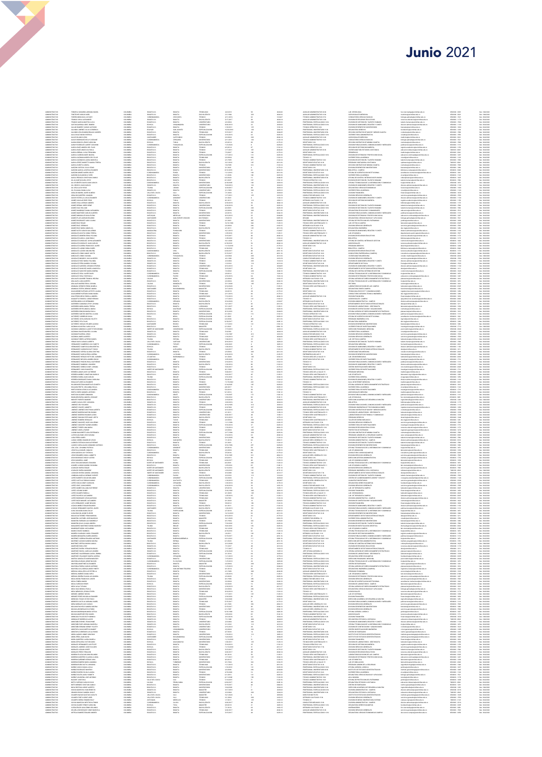## Junio 2021

|                                                                                                                                                                                                                                  | FONGECA SANAGEM ADRIANA MARIA                                                                                                                                                                                                                                                                                                                                                                                                                                    |
|----------------------------------------------------------------------------------------------------------------------------------------------------------------------------------------------------------------------------------|------------------------------------------------------------------------------------------------------------------------------------------------------------------------------------------------------------------------------------------------------------------------------------------------------------------------------------------------------------------------------------------------------------------------------------------------------------------|
| 的人,我们的人都是一个人,我们的人都是一个人,我们的人都是一个人,我们的人都是一个人,我们的人都是一个人,我们的人都是一个人,我们的人都是一个人,我们的人都是不是,我们的人都是不是,我们的人都是不是,我们的人都是不是,我们的人都是不是<br>"我们的人都是我们的人都是我们的人都是我们的人都是我们的人都是我们的人,我们的人都是我们的人,我们的人都是我们的人,我们的人都是我们的人,我们的人都是我们的人,我们的人都是我们的人,我们的人都是我们的人,我 | FONTECHE VARIAS ARE:<br>FORERO MONCADA LLE DARY<br>FRANCO CHICA ALEXANDER<br>FRANCO GARCIA MARTHA LLICA                                                                                                                                                                                                                                                                                                                                                          |
|                                                                                                                                                                                                                                  |                                                                                                                                                                                                                                                                                                                                                                                                                                                                  |
|                                                                                                                                                                                                                                  | MTAN QURDGA AREL RAMRO                                                                                                                                                                                                                                                                                                                                                                                                                                           |
|                                                                                                                                                                                                                                  | .<br>MAN RAMSZ CARLOS ALFONIO                                                                                                                                                                                                                                                                                                                                                                                                                                    |
|                                                                                                                                                                                                                                  | GALINDO LEGUIZAMON BRAULIO ANDRES<br>GALILO DIAZ MARIA PATRICIA                                                                                                                                                                                                                                                                                                                                                                                                  |
|                                                                                                                                                                                                                                  | DRAWS BLANCO LEON                                                                                                                                                                                                                                                                                                                                                                                                                                                |
|                                                                                                                                                                                                                                  | GALVIS RODRIGUEZ KELLY CAROLINE<br>GADNA ROBAVO JENNY CAROLINA<br>GARAY RODRIGUEZ ALBERT GIOVANN<br>GARCIA BAEZ ANDREA DEL PILAR                                                                                                                                                                                                                                                                                                                                 |
|                                                                                                                                                                                                                                  |                                                                                                                                                                                                                                                                                                                                                                                                                                                                  |
|                                                                                                                                                                                                                                  |                                                                                                                                                                                                                                                                                                                                                                                                                                                                  |
|                                                                                                                                                                                                                                  | GARCIA BASZ ANGELICA PAOLA<br>GARCIA BERNAL LUISA FERNANDA<br>GARCIA CARRON AIDEE MILENA                                                                                                                                                                                                                                                                                                                                                                         |
|                                                                                                                                                                                                                                  |                                                                                                                                                                                                                                                                                                                                                                                                                                                                  |
|                                                                                                                                                                                                                                  | GARCIA GUZMAN ANDREA DEL PILAR<br>GARCIA GUZMAN CLAUDIA MARCELA<br>GARCIA PEREZ MARETTA MARIA TERESA                                                                                                                                                                                                                                                                                                                                                             |
|                                                                                                                                                                                                                                  | GARCIA ZURISTA GRISSI.L<br>GARZON CUSSTAS JULIO CESAR<br>GARZON GARCIA JANER ALEXANDER<br>GARZON GOMEZ KAREN CIRLEY                                                                                                                                                                                                                                                                                                                                              |
|                                                                                                                                                                                                                                  |                                                                                                                                                                                                                                                                                                                                                                                                                                                                  |
|                                                                                                                                                                                                                                  | ARZON SILVA MONICA YIZED                                                                                                                                                                                                                                                                                                                                                                                                                                         |
|                                                                                                                                                                                                                                  | MSCA PEDRAZA CRISTHIAN CAMILO<br>BE ALCANTAR AURA LEYEV                                                                                                                                                                                                                                                                                                                                                                                                          |
|                                                                                                                                                                                                                                  | GIL CIFUENTES DAVID JUAN CARLOS<br>GIL OROZCO JUAN CARLOS                                                                                                                                                                                                                                                                                                                                                                                                        |
|                                                                                                                                                                                                                                  | GIL VEGA ALEX VESID                                                                                                                                                                                                                                                                                                                                                                                                                                              |
|                                                                                                                                                                                                                                  |                                                                                                                                                                                                                                                                                                                                                                                                                                                                  |
|                                                                                                                                                                                                                                  | $\begin{array}{l} \begin{array}{l} \text{SFR} \\ \text{GRL} \text{DRL} \\ \text{GRL} \\ \text{GRL} \\ \text{GRL} \\ \text{GRL} \\ \text{GRL} \\ \text{GRL} \\ \text{GDR} \\ \text{GDR} \\ \text{GDR} \\ \text{GDR} \\ \text{GDR} \\ \text{GDR} \\ \text{GDR} \\ \text{GDR} \\ \text{GDR} \\ \text{GDR} \\ \text{GDR} \\ \text{GDR} \\ \text{GDR} \\ \text{GDR} \\ \text{GDR} \\ \text{GDR} \\ \text{GDR} \\ \text{GDR} \\ \text{GDR} \\ \text{GDR} \\ \text{GDR$ |
|                                                                                                                                                                                                                                  |                                                                                                                                                                                                                                                                                                                                                                                                                                                                  |
|                                                                                                                                                                                                                                  | GOMEZ AGUILAR EDER YESID<br>GOMEZ AXNLA SERGIO ANDRES<br>GOMEZ BERNAL MERY RENE                                                                                                                                                                                                                                                                                                                                                                                  |
|                                                                                                                                                                                                                                  |                                                                                                                                                                                                                                                                                                                                                                                                                                                                  |
|                                                                                                                                                                                                                                  | $\begin{array}{ll} \texttt{GOMZ} & \texttt{MOMZ} & \texttt{MOMZ} \\ \texttt{GOMZ} & \texttt{MOMZ} & \texttt{MOMZ} \\ \texttt{GOMZ} & \texttt{MOMZ} & \texttt{MOMZ} & \texttt{MOMZ} \\ \texttt{GOMZ} & \texttt{MOMZ} & \texttt{GOMZ} & \texttt{MOMZ} \\ \texttt{GOMZ} & \texttt{MOMZ} & \texttt{MOMZ} & \texttt{MOMZ} \\ \texttt{GOMZ} & \texttt{MOMZ} & \texttt{MOMZ} & \texttt{MOMZ} \\ \texttt{GOMZ} & \texttt{MOM$                                            |
|                                                                                                                                                                                                                                  |                                                                                                                                                                                                                                                                                                                                                                                                                                                                  |
|                                                                                                                                                                                                                                  |                                                                                                                                                                                                                                                                                                                                                                                                                                                                  |
|                                                                                                                                                                                                                                  | CANCZ RUZ JEREMAS                                                                                                                                                                                                                                                                                                                                                                                                                                                |
|                                                                                                                                                                                                                                  | GOMEZ RUZ MARIA ANGELICA                                                                                                                                                                                                                                                                                                                                                                                                                                         |
|                                                                                                                                                                                                                                  |                                                                                                                                                                                                                                                                                                                                                                                                                                                                  |
|                                                                                                                                                                                                                                  |                                                                                                                                                                                                                                                                                                                                                                                                                                                                  |
|                                                                                                                                                                                                                                  |                                                                                                                                                                                                                                                                                                                                                                                                                                                                  |
|                                                                                                                                                                                                                                  |                                                                                                                                                                                                                                                                                                                                                                                                                                                                  |
|                                                                                                                                                                                                                                  | GMZALEZ LAZARO ANA MILENA                                                                                                                                                                                                                                                                                                                                                                                                                                        |
|                                                                                                                                                                                                                                  | SONZALEZ LEMUS ANGEL JUDITH<br>SONZALEZ LEMUS SEVANIA                                                                                                                                                                                                                                                                                                                                                                                                            |
|                                                                                                                                                                                                                                  |                                                                                                                                                                                                                                                                                                                                                                                                                                                                  |
|                                                                                                                                                                                                                                  |                                                                                                                                                                                                                                                                                                                                                                                                                                                                  |
|                                                                                                                                                                                                                                  | GONZALEZ MONDEY JULIO ALBERTO<br>GONZALEZ PATA MARA VILANDA<br>GONZALEZ PATA MARA VILANDA<br>GONZALEZ PATA MARA VILANDA<br>GONZALEZ GONZALEZ AMERA MARA<br>GONZALEZ SANOSEZ MARA XMERA<br>GONZALEZ SANOSEZ MARA XMERA<br>GONZALEZ SANOSEZ MARA XMER                                                                                                                                                                                                              |
|                                                                                                                                                                                                                                  |                                                                                                                                                                                                                                                                                                                                                                                                                                                                  |
|                                                                                                                                                                                                                                  |                                                                                                                                                                                                                                                                                                                                                                                                                                                                  |
|                                                                                                                                                                                                                                  | GONZALEZ VEGA VUR FACLA<br>GRALNLES AGURRE FRANCIA HELENA<br>GRALNLES JUAN ALBERTO                                                                                                                                                                                                                                                                                                                                                                               |
|                                                                                                                                                                                                                                  |                                                                                                                                                                                                                                                                                                                                                                                                                                                                  |
|                                                                                                                                                                                                                                  |                                                                                                                                                                                                                                                                                                                                                                                                                                                                  |
|                                                                                                                                                                                                                                  |                                                                                                                                                                                                                                                                                                                                                                                                                                                                  |
|                                                                                                                                                                                                                                  |                                                                                                                                                                                                                                                                                                                                                                                                                                                                  |
|                                                                                                                                                                                                                                  |                                                                                                                                                                                                                                                                                                                                                                                                                                                                  |
|                                                                                                                                                                                                                                  | GUERRERO CAMARIO LEYOY JOHANIA<br>GUERRERO MORA MARIA TERESA                                                                                                                                                                                                                                                                                                                                                                                                     |
|                                                                                                                                                                                                                                  |                                                                                                                                                                                                                                                                                                                                                                                                                                                                  |
|                                                                                                                                                                                                                                  | ULINGANI MISIN MARIA MARA<br>GEORGEO RINCE MARIA PAULA<br>GEORGEO RINCE MARIA PAULA<br>GEORGEO RINCE MARIA PAULA<br>GUIDEREZ LEWA MÉRINA VALITIR<br>GUIDEREZ PER PA AR<br>GUIDEREZ PER PA AR<br>GUIDEREZ PER PA AR                                                                                                                                                                                                                                               |
|                                                                                                                                                                                                                                  |                                                                                                                                                                                                                                                                                                                                                                                                                                                                  |
|                                                                                                                                                                                                                                  |                                                                                                                                                                                                                                                                                                                                                                                                                                                                  |
|                                                                                                                                                                                                                                  | <b>BUZWAN AGUILERA CLARA LUCIA</b>                                                                                                                                                                                                                                                                                                                                                                                                                               |
|                                                                                                                                                                                                                                  | .<br>GLOMAN CANONIGO LAUDITH TORCOROMA<br>GLOMAN CHAVES MAYERLI LILIANA                                                                                                                                                                                                                                                                                                                                                                                          |
|                                                                                                                                                                                                                                  |                                                                                                                                                                                                                                                                                                                                                                                                                                                                  |
|                                                                                                                                                                                                                                  |                                                                                                                                                                                                                                                                                                                                                                                                                                                                  |
|                                                                                                                                                                                                                                  |                                                                                                                                                                                                                                                                                                                                                                                                                                                                  |
|                                                                                                                                                                                                                                  | GUIMMON CHANNEL<br>CULTAIN PIGLERIAL JERUS<br>CULTAIN PIGLERIAL JERUS<br>CULTAIN TORRES ALFERDO DANIEL<br>HERMANDEZ CANDORE GUIDA VARETHA<br>HERMANDEZ CANDORE GUIDA VARETHA<br>HERMANDEZ CANDORE GUIDA VARETHA<br>HERMANDEZ CANDORE GUIDA VARETHA                                                                                                                                                                                                               |
|                                                                                                                                                                                                                                  |                                                                                                                                                                                                                                                                                                                                                                                                                                                                  |
|                                                                                                                                                                                                                                  | <b>GRUNDEZ CEPEDA GLORIA CRISTINA</b>                                                                                                                                                                                                                                                                                                                                                                                                                            |
|                                                                                                                                                                                                                                  | HERMANDEZ GARCIA ERIKA LORENA<br>HERMANDEZ HERAZIO NETH DEL CARMEN                                                                                                                                                                                                                                                                                                                                                                                               |
|                                                                                                                                                                                                                                  | HARMANICZ HAMIOTOWA MIESZCHOWANIA<br>HARMANICZ HARCHIZA AMIORA ROCHO<br>HARMANICZ PARZEM PACLA KATHARMANI<br>HARMANICZ (MARMANI MACLA KATHARMANI<br>HARMANICZ VARAKO CHATZA<br>HARMANICZ JONATHANI HARCLO<br>HARMANIA MATÓZ JONATHANI HARCLO                                                                                                                                                                                                                     |
|                                                                                                                                                                                                                                  |                                                                                                                                                                                                                                                                                                                                                                                                                                                                  |
|                                                                                                                                                                                                                                  |                                                                                                                                                                                                                                                                                                                                                                                                                                                                  |
|                                                                                                                                                                                                                                  |                                                                                                                                                                                                                                                                                                                                                                                                                                                                  |
|                                                                                                                                                                                                                                  | <b>GRACIA PARA JUAN CARLOS</b>                                                                                                                                                                                                                                                                                                                                                                                                                                   |
|                                                                                                                                                                                                                                  | ierrera rodriguez diana cardunia.<br>Hoalgo Florez alexander                                                                                                                                                                                                                                                                                                                                                                                                     |
|                                                                                                                                                                                                                                  | MINARCH LIGHA ANN AIR CEARNA<br>HARACH GEATH AN MARTHA ELIZABETH<br>HARACH GEATH JABLINNIA PACA<br>HARACH GEATH AIR CEARNA<br>HARACH ARACH ANN AIR AN TAIR CONTAIN<br>HARACH ARACH ARACH ARACH AIR CONTAIN<br>BARACH FURNTER MARTA LEGINLES<br>BARA                                                                                                                                                                                                              |
|                                                                                                                                                                                                                                  |                                                                                                                                                                                                                                                                                                                                                                                                                                                                  |
|                                                                                                                                                                                                                                  |                                                                                                                                                                                                                                                                                                                                                                                                                                                                  |
|                                                                                                                                                                                                                                  |                                                                                                                                                                                                                                                                                                                                                                                                                                                                  |
|                                                                                                                                                                                                                                  | AMAGE YORK EARLY STAMP                                                                                                                                                                                                                                                                                                                                                                                                                                           |
|                                                                                                                                                                                                                                  | OSANNEZ CELV RICARDO<br>HTANNEZ CHANG SARINE                                                                                                                                                                                                                                                                                                                                                                                                                     |
|                                                                                                                                                                                                                                  | $\begin{array}{l} \textbf{JMLM-L} \textbf{OMF} \textbf{L} \textbf{H} \textbf{H} \textbf{H} \textbf{H} \textbf{H} \textbf{H} \textbf{H} \textbf{H} \textbf{H} \textbf{H} \textbf{H} \textbf{H} \textbf{H} \textbf{H} \textbf{H} \textbf{H} \textbf{H} \textbf{H} \textbf{H} \textbf{H} \textbf{H} \textbf{H} \textbf{H} \textbf{H} \textbf{H} \textbf{H} \textbf{H} \textbf{H} \textbf{H} \textbf{H} \textbf{H} \textbf{H$                                        |
|                                                                                                                                                                                                                                  |                                                                                                                                                                                                                                                                                                                                                                                                                                                                  |
|                                                                                                                                                                                                                                  |                                                                                                                                                                                                                                                                                                                                                                                                                                                                  |
|                                                                                                                                                                                                                                  |                                                                                                                                                                                                                                                                                                                                                                                                                                                                  |
|                                                                                                                                                                                                                                  | <b>MENEZ TORRES ANAMARIA</b>                                                                                                                                                                                                                                                                                                                                                                                                                                     |
|                                                                                                                                                                                                                                  | inenez varela faride<br>Ladino navarrete lidia esperanza                                                                                                                                                                                                                                                                                                                                                                                                         |
|                                                                                                                                                                                                                                  | LAURO MONDERNO LEDI SUSIANA<br>LAPON DOLENIO LEDI SUSIANA<br>LAPA PEREA ISABEL<br>LAPOD CORREA RAMON DE JESUS<br>LAPOD CORREA INANCO ANTIENE<br>LAPOD CARVALINI INDIANNO ANTIENE<br>LEN LEPA JOHANNA PATRICA<br>LEPA LEPA JOHANNA PATRICA                                                                                                                                                                                                                        |
|                                                                                                                                                                                                                                  |                                                                                                                                                                                                                                                                                                                                                                                                                                                                  |
|                                                                                                                                                                                                                                  |                                                                                                                                                                                                                                                                                                                                                                                                                                                                  |
|                                                                                                                                                                                                                                  |                                                                                                                                                                                                                                                                                                                                                                                                                                                                  |
|                                                                                                                                                                                                                                  |                                                                                                                                                                                                                                                                                                                                                                                                                                                                  |
|                                                                                                                                                                                                                                  | LEON HALLA MISSING SINACIO<br>LEON GARZON LUCY PATRICIA<br>LEON PARAMERO SONIA JANNETH<br>LEON RODRIGUEZ NELSY ASTRO                                                                                                                                                                                                                                                                                                                                             |
|                                                                                                                                                                                                                                  | LEON SANASRIA JAME<br>LEON TOSCANO MIGUEL EDUARDO<br>LINARES LADINO SANDRA YOHANNA                                                                                                                                                                                                                                                                                                                                                                               |
|                                                                                                                                                                                                                                  |                                                                                                                                                                                                                                                                                                                                                                                                                                                                  |
|                                                                                                                                                                                                                                  |                                                                                                                                                                                                                                                                                                                                                                                                                                                                  |
|                                                                                                                                                                                                                                  | LCARADO RIVERA EDGAR<br>LCARADO RIVERA MARLENE<br>LCARADO RIVERA SANDRA JOHANNA<br>LOMBANIA ANGOLA WEIMAR VICENTE<br>LOREZ BARRETO OSCAR ORLANDO                                                                                                                                                                                                                                                                                                                 |
|                                                                                                                                                                                                                                  |                                                                                                                                                                                                                                                                                                                                                                                                                                                                  |
|                                                                                                                                                                                                                                  | .<br>19952 CASTELO RAINA CAMEO<br>19952 COGUA CINDY CAROLINA                                                                                                                                                                                                                                                                                                                                                                                                     |
|                                                                                                                                                                                                                                  | JORGE WALL SURE CARD                                                                                                                                                                                                                                                                                                                                                                                                                                             |
|                                                                                                                                                                                                                                  | LOPEZ GOMEZ DALLANA KATHÉRINÉ<br>LOPEZ LOZANO SANDY                                                                                                                                                                                                                                                                                                                                                                                                              |
|                                                                                                                                                                                                                                  |                                                                                                                                                                                                                                                                                                                                                                                                                                                                  |
|                                                                                                                                                                                                                                  | LOPEZ OCAMPO FABIOLA<br>LOPEZ PRENECO ALEJANDRO<br>LOPEZ RODROUEZ JESUS ANTONI<br>LOPEZ ROZO MANUEL ALEJANDRO<br>LOTA HERMANDEZ JAIME NELSON                                                                                                                                                                                                                                                                                                                     |
|                                                                                                                                                                                                                                  |                                                                                                                                                                                                                                                                                                                                                                                                                                                                  |
|                                                                                                                                                                                                                                  | LOZADA MUÑOZ EDGAR EDUARDO<br>LOZANO HERMANDEZ SANTOS JAVIER                                                                                                                                                                                                                                                                                                                                                                                                     |
|                                                                                                                                                                                                                                  | LUNA DUCUMAN DANNA ZULAY                                                                                                                                                                                                                                                                                                                                                                                                                                         |
|                                                                                                                                                                                                                                  |                                                                                                                                                                                                                                                                                                                                                                                                                                                                  |
|                                                                                                                                                                                                                                  |                                                                                                                                                                                                                                                                                                                                                                                                                                                                  |
|                                                                                                                                                                                                                                  |                                                                                                                                                                                                                                                                                                                                                                                                                                                                  |
|                                                                                                                                                                                                                                  | LINA RESCOMA DRAVA ALIAN<br>LINA RESCOMA DRAVA ELISCER<br>MARINGRA CASTARO JOSE MALIBOLO<br>MANIGERA CASTARO JOSE MALIBOLO<br>MANIGERA FARRADO JUIX MARINGRA<br>MARINGREZ MARTINEZ DARBA MARGELY<br>MARINGREZ MARTINEZ DARBA MARGELY<br>MARINGREZ M                                                                                                                                                                                                              |
|                                                                                                                                                                                                                                  | MARN CHANGZ DANNEZA<br>MARIÑO COLORADO HAROL ESNAIDER                                                                                                                                                                                                                                                                                                                                                                                                            |
|                                                                                                                                                                                                                                  | MARIÑO MOSQUERA KAREN ANDREA<br>MARTINEZ CORENA EDUARDO ANTONIO<br>MARTINEZ LOZANO SANDRA MILENA                                                                                                                                                                                                                                                                                                                                                                 |
|                                                                                                                                                                                                                                  |                                                                                                                                                                                                                                                                                                                                                                                                                                                                  |
|                                                                                                                                                                                                                                  | MARTINEZ ORTEGA MARA CAMILA<br>MARTINEZ ROS LEDY<br>MARTINEZ ROSKA VERALDIN ROCIO<br>MARTINEZ ROCHA JARO ALEJANDRO<br>MARTINEZ VALDERRAMA GLORA JEMINA                                                                                                                                                                                                                                                                                                           |
|                                                                                                                                                                                                                                  |                                                                                                                                                                                                                                                                                                                                                                                                                                                                  |
|                                                                                                                                                                                                                                  | MARTINEZ VELASQUEZ MARIN LORENA                                                                                                                                                                                                                                                                                                                                                                                                                                  |
|                                                                                                                                                                                                                                  | MAYORA DUSSAN JORGE WILSON                                                                                                                                                                                                                                                                                                                                                                                                                                       |
|                                                                                                                                                                                                                                  |                                                                                                                                                                                                                                                                                                                                                                                                                                                                  |
|                                                                                                                                                                                                                                  |                                                                                                                                                                                                                                                                                                                                                                                                                                                                  |
|                                                                                                                                                                                                                                  | MATURAL DESSINA EN EN SAN ANTINEZ AL EN ANGERE<br>MATUREL AN EN EN EN ANGERIA ANGERIA<br>MATUREL AN EL EN EN ANGERIA ANGERIA<br>MEDINA CHIALLERO LUZ ESTRELLA<br>MEDINA CHIALLERO LUZ ESTRELLA<br>MEDINA CHIALLERO LUZ ESTA<br>MEDINA URUSIÁ ELM                                                                                                                                                                                                                 |
|                                                                                                                                                                                                                                  |                                                                                                                                                                                                                                                                                                                                                                                                                                                                  |
|                                                                                                                                                                                                                                  |                                                                                                                                                                                                                                                                                                                                                                                                                                                                  |
|                                                                                                                                                                                                                                  | MÉJA PINÉDA MARO<br>MÉJA SUÉSCUN HÉNRY<br>MELO AVE A TATUNA                                                                                                                                                                                                                                                                                                                                                                                                      |
|                                                                                                                                                                                                                                  | MÉLO DIAZ MONICA PAGIA<br>MÉLO MÉNDOZA JESON STIVEN                                                                                                                                                                                                                                                                                                                                                                                                              |
|                                                                                                                                                                                                                                  |                                                                                                                                                                                                                                                                                                                                                                                                                                                                  |
|                                                                                                                                                                                                                                  |                                                                                                                                                                                                                                                                                                                                                                                                                                                                  |
|                                                                                                                                                                                                                                  | MADIMIZZA ARRESTANT<br>MENEZ PERZ WIERN ALEXANDER<br>MENEZ PERZ WIERN ALEXANDER<br>MENEZA TORK WIERN ALEXANDER<br>MENEZA MENEZ LEI CARLO<br>MENAND PASSED SANDRA MILENA<br>MENAND PASSED SANDRA MILENA<br>MENAND PASSED SANDRA MILENA<br>MENAND PASSED                                                                                                                                                                                                           |
|                                                                                                                                                                                                                                  |                                                                                                                                                                                                                                                                                                                                                                                                                                                                  |
|                                                                                                                                                                                                                                  |                                                                                                                                                                                                                                                                                                                                                                                                                                                                  |
|                                                                                                                                                                                                                                  | MOLINA MARROQUIN MARIA OFELIA                                                                                                                                                                                                                                                                                                                                                                                                                                    |
|                                                                                                                                                                                                                                  |                                                                                                                                                                                                                                                                                                                                                                                                                                                                  |
|                                                                                                                                                                                                                                  | MELINA MANERISE ERE DANIEL<br>MONEADA PULIDO RIJTHADNICA<br>MONEADA PULIDO RIJTHADNICA<br>MONEADA PULIDO RIJTHADNICA<br>MONTAÑO REPADA MANERI<br>MONTAÑO REPADA MANERI<br>MONTAÑO REPADA MANERI<br>MONTAÑO REPADA MANERI VULIETH<br>MONTAÑO REPADA MAN                                                                                                                                                                                                           |
|                                                                                                                                                                                                                                  |                                                                                                                                                                                                                                                                                                                                                                                                                                                                  |
|                                                                                                                                                                                                                                  | MONTOVA CORREDOR LUS ALFONSO                                                                                                                                                                                                                                                                                                                                                                                                                                     |
|                                                                                                                                                                                                                                  | MORA ALONSO JIMMY GRAZIANI                                                                                                                                                                                                                                                                                                                                                                                                                                       |
|                                                                                                                                                                                                                                  | GIVA D'ANJ, ARDI AROM                                                                                                                                                                                                                                                                                                                                                                                                                                            |
|                                                                                                                                                                                                                                  | MORA QUINTERO LAURA DANIELA<br>MORA SEPULVEDA VICTOR DARIO                                                                                                                                                                                                                                                                                                                                                                                                       |
|                                                                                                                                                                                                                                  | Morales Hermanesz Luis Felipe<br>Morales Jimenez José Euclides<br>Morales Iozano Ayde<br>Morales Perez Veraldin<br>Morano Plazas Wilson Orlando                                                                                                                                                                                                                                                                                                                  |
|                                                                                                                                                                                                                                  |                                                                                                                                                                                                                                                                                                                                                                                                                                                                  |
|                                                                                                                                                                                                                                  |                                                                                                                                                                                                                                                                                                                                                                                                                                                                  |
|                                                                                                                                                                                                                                  | MORENO QUINTERO CLAUDIA LILIANA<br>MORENO QUIÑONES SERGIO IVAN                                                                                                                                                                                                                                                                                                                                                                                                   |
|                                                                                                                                                                                                                                  | MORENO ROMERO MARIA AMANDA                                                                                                                                                                                                                                                                                                                                                                                                                                       |
|                                                                                                                                                                                                                                  |                                                                                                                                                                                                                                                                                                                                                                                                                                                                  |
|                                                                                                                                                                                                                                  |                                                                                                                                                                                                                                                                                                                                                                                                                                                                  |
|                                                                                                                                                                                                                                  |                                                                                                                                                                                                                                                                                                                                                                                                                                                                  |
|                                                                                                                                                                                                                                  | MOSENO ENANTO HARVADA MARINA<br>MOSENO ELEO EXTRA JENARAHA<br>MOSENO ELEO EXTRA JENARAHA<br>MOSENO ELEO ENANTO HARVADA<br>MOSENO ENERGIA HARVADA<br>MOSENO EN MOSENO EN MOSENO<br>MOSENO EN MOSENO EN MOSENO<br>MOSENO EN MOSENO EN MOSENO<br>MOSENO                                                                                                                                                                                                             |
|                                                                                                                                                                                                                                  |                                                                                                                                                                                                                                                                                                                                                                                                                                                                  |
|                                                                                                                                                                                                                                  | OTRAILA 20RDL MARTIA AVOIR                                                                                                                                                                                                                                                                                                                                                                                                                                       |
|                                                                                                                                                                                                                                  | NOVOA MANECHA NAN ERMESTO                                                                                                                                                                                                                                                                                                                                                                                                                                        |
|                                                                                                                                                                                                                                  | CRANDO ROSAS SANDRA YASLE                                                                                                                                                                                                                                                                                                                                                                                                                                        |
|                                                                                                                                                                                                                                  |                                                                                                                                                                                                                                                                                                                                                                                                                                                                  |
|                                                                                                                                                                                                                                  |                                                                                                                                                                                                                                                                                                                                                                                                                                                                  |
|                                                                                                                                                                                                                                  |                                                                                                                                                                                                                                                                                                                                                                                                                                                                  |
| <b>CATARTEMADA</b>                                                                                                                                                                                                               | COMEO NAHA GESINO AGALE<br>COMEO NAHA GESINO AGALE<br>COMEO SERA EDNO ALIV<br>COMEO SERA EDNO BLIV<br>COMA MAGICA NESTOR ALIVERA<br>COMA ERAI GELEVINO GELINIO<br>GESIN ERAI GELEVINO GELINIO<br>GESINA AGAIS VIRILERAD GELINIO<br>GESINA AGAIS GELINI<br>DRITCH ANNIESZ EDGARD ANDRES                                                                                                                                                                           |

ŧ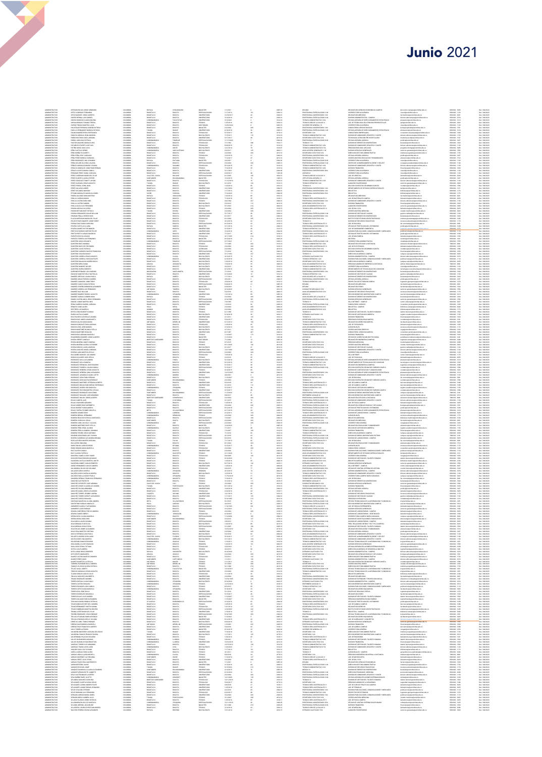## **Junio 2021**

| <b>ADMINISTRATIV</b>                                                                                                                                                                                                                    | DOWNAN ROJAS JORGE MANAGO                                                                                                                                                                                                                                            |                                                                                                            | ROYACA                                                                                                    |                                                                                                                                                                                                                                                                                                                                                                                                                                              |                                                                                                                                                                                              |                                                                                                                                                                                                                                                                   |
|-----------------------------------------------------------------------------------------------------------------------------------------------------------------------------------------------------------------------------------------|----------------------------------------------------------------------------------------------------------------------------------------------------------------------------------------------------------------------------------------------------------------------|------------------------------------------------------------------------------------------------------------|-----------------------------------------------------------------------------------------------------------|----------------------------------------------------------------------------------------------------------------------------------------------------------------------------------------------------------------------------------------------------------------------------------------------------------------------------------------------------------------------------------------------------------------------------------------------|----------------------------------------------------------------------------------------------------------------------------------------------------------------------------------------------|-------------------------------------------------------------------------------------------------------------------------------------------------------------------------------------------------------------------------------------------------------------------|
| ADMINISTRATIV                                                                                                                                                                                                                           | ORTIZ CARDENAS FERMANDO<br>ORTIZ NARVAEZ JESUS ALBERTO<br>OSORIO BERMAL LUIS GABRIEL<br>OSORIO RONDON CLAUDIA MILENA<br>OSPINA BURGOS VOHANA TERESA                                                                                                                  | COLOMBIA                                                                                                   | ROSOTA D.C.<br>ROSOTA D.C.<br>CUNDINAMA<br>ROSOTA D.C.                                                    | ROGOTA<br>ROGOTA<br>ROGOTA<br>FACATATM<br>ROGOTA<br>ROGOTA                                                                                                                                                                                                                                                                                                                                                                                   | MAGISTER<br>ESPECIALIZACION<br>UNIVERSITARIO<br>UNIVERSITARIO<br>UNIVERSITARIO<br>TECNICO                                                                                                    | 1/17/2012<br>12/18/2017<br>3/16/2016<br>3/16/2021<br>1/25/2016                                                                                                                                                                                                    |
| ADMINISTRATIVO<br>ADMINISTRATIVO<br>ADMINISTRATIVO<br>ADMINISTRATIVO                                                                                                                                                                    |                                                                                                                                                                                                                                                                      | COLOMBIA<br>COLOMBIA<br>COLOMBIA<br>COLOMBIA                                                               |                                                                                                           |                                                                                                                                                                                                                                                                                                                                                                                                                                              |                                                                                                                                                                                              |                                                                                                                                                                                                                                                                   |
|                                                                                                                                                                                                                                         |                                                                                                                                                                                                                                                                      |                                                                                                            |                                                                                                           |                                                                                                                                                                                                                                                                                                                                                                                                                                              |                                                                                                                                                                                              |                                                                                                                                                                                                                                                                   |
| <b>ADMINISTRATIV</b><br><b>QMINSTRATIV</b>                                                                                                                                                                                              | INSED FRANCO MARTHA LUCIA                                                                                                                                                                                                                                            | COLOMBI                                                                                                    | BOSOTA D.C.<br>losofix b.c.                                                                               |                                                                                                                                                                                                                                                                                                                                                                                                                                              | DOCTORADO                                                                                                                                                                                    |                                                                                                                                                                                                                                                                   |
| <b>ADMINISTRATIV</b>                                                                                                                                                                                                                    | PACATEQUE ESPINOSA SANDRA PATRICA<br>PAQILLA HERMANDEZ MONICA PATRICIA                                                                                                                                                                                               | COLOMBIA                                                                                                   | TOLIMA<br>BOSOTA D.C.                                                                                     | BOGOTA<br>IBAGUE                                                                                                                                                                                                                                                                                                                                                                                                                             | MAGESTER<br>UNIVERSITARIO                                                                                                                                                                    | 3/2/2004<br>6/18/2018                                                                                                                                                                                                                                             |
| ADMINISTRATIVO<br>ADMINISTRATIVO                                                                                                                                                                                                        | PALMA RAMBEZ NYDIA ESPERANZA<br>PANCHA SABOGAL EDNA MARISCE<br>PARDO BELTRAN CAROL ADRIANA                                                                                                                                                                           | COLOMBIA<br>COLOMBIA                                                                                       | aggra p.c.                                                                                                | ROGOTA<br>ROGOTA<br>ROGOTA                                                                                                                                                                                                                                                                                                                                                                                                                   | TECNOLOGO<br>BACHILLERATO                                                                                                                                                                    | 5/15/2017<br>7/15/2011                                                                                                                                                                                                                                            |
| <b>ADMINISTRATIVO</b>                                                                                                                                                                                                                   |                                                                                                                                                                                                                                                                      | COLOMBIA                                                                                                   | BOSOTA D.C.                                                                                               |                                                                                                                                                                                                                                                                                                                                                                                                                                              | LINEVERSITARIO<br>ESPECIALIZACION<br>TECNOLOGO<br>ENCHILLERATO                                                                                                                               | \$/17/2017                                                                                                                                                                                                                                                        |
| ADMINISTRATIVO<br>ADMINISTRATIVO<br>ADMINISTRATIVO<br>ADMINISTRATIVO                                                                                                                                                                    | PAGDO JARA GINA PATRICIA<br>PASTOR SANCHEZ MARIA ELVRA<br>PATARROYO PUERTO JOSE LUSI<br>PATRIO SAENZ ANA LUCIA                                                                                                                                                       | COLOMBIA<br>COLOMBIA<br>COLOMBIA<br>COLOMBIA                                                               | CUNDINAMARCA<br>ROSOTA D.C.<br>CUNDINAMARCA<br>CUNDINAMARCA                                               |                                                                                                                                                                                                                                                                                                                                                                                                                                              |                                                                                                                                                                                              |                                                                                                                                                                                                                                                                   |
| <b>ADMINISTRATIV</b>                                                                                                                                                                                                                    | PEÑA CASTILLO HENRY                                                                                                                                                                                                                                                  | COLOMBIA                                                                                                   |                                                                                                           |                                                                                                                                                                                                                                                                                                                                                                                                                                              | BACHILLERATO                                                                                                                                                                                 |                                                                                                                                                                                                                                                                   |
| ADMINISTRATIVO<br>ADMINISTRATIVO                                                                                                                                                                                                        | POŠAMUŠOŽ GLOVACTH<br>POŠAPOŠA LEDY CAROLINA                                                                                                                                                                                                                         | <b>DLOMBS</b><br>COLOMBIA                                                                                  | ROSOTA D.C.<br>ROSOTA D.C.                                                                                |                                                                                                                                                                                                                                                                                                                                                                                                                                              | TECNICO<br>TECNOLOGO                                                                                                                                                                         | =<br>11/17/2020<br>7/1/1992<br>8/26/2019<br>12/1/2014<br>2/2/2011<br>2/2/2014                                                                                                                                                                                     |
|                                                                                                                                                                                                                                         | PRINAPANA LIMP CHRISTINA<br>PRINAPANA LIMP CHRISTINA<br>PRINA RODROUSZ LINA JOHNNA<br>PRINACZA MEJIA JERNA JELIANA<br>PRINATA MODRISTA MARIZ PRINAPANA<br>PRINATA ACOSTA MARIA CAMILA<br>PRINATA ACOSTA MARIA CAMILA<br>PRINATA ACOSTA MARIA CAMIL                   | COLOMBIA<br>COLOMBIA                                                                                       |                                                                                                           | FOMEQUE<br>BOGOTA<br>BOGOTA<br>URATE<br>SAGOTA<br>BOGOTA<br>BOGOTA<br>BOGOTA<br>ROGOTA<br>ROGOTA<br>ROGOTA<br>ROGOTA<br>ROGOTA<br>ROGOTA<br>ROGOTA<br>ROGOTA<br>ROGOTA                                                                                                                                                                                                                                                                       |                                                                                                                                                                                              | 10/202019<br>2/202021<br>2/202021<br>2/202021<br>3/11/2021<br>5/11/2021<br>4/20:2017<br>11/12/2021<br>12/20201                                                                                                                                                    |
| ADMINISTRATIVO<br>ADMINISTRATIVO<br>ADMINISTRATIVO                                                                                                                                                                                      |                                                                                                                                                                                                                                                                      | COLOMBIA                                                                                                   | BOSOTA D.C.<br>BOYACA<br>BOSOTA D.C.                                                                      |                                                                                                                                                                                                                                                                                                                                                                                                                                              | TECNICO<br>MAGISTER<br>ESPECIALIZACION                                                                                                                                                       |                                                                                                                                                                                                                                                                   |
|                                                                                                                                                                                                                                         |                                                                                                                                                                                                                                                                      |                                                                                                            |                                                                                                           |                                                                                                                                                                                                                                                                                                                                                                                                                                              |                                                                                                                                                                                              |                                                                                                                                                                                                                                                                   |
| ADMINISTRATIVO<br>ADMINISTRATIVO<br>ADMINISTRATIVO<br>ADMINISTRATIVO                                                                                                                                                                    |                                                                                                                                                                                                                                                                      | COLOMBIA<br>COLOMBIA<br>COLOMBIA<br>COLOMBIA                                                               | CUNDINAMARCA<br>ROSOTA D.C.<br>ROSOTA D.C.<br>ROSOTA D.C.                                                 |                                                                                                                                                                                                                                                                                                                                                                                                                                              | TECNOLOGO<br>TECNICO<br>ESPECIALIZACION<br>ESPECIALIZACION                                                                                                                                   |                                                                                                                                                                                                                                                                   |
| <b>ADMINISTRATIV</b>                                                                                                                                                                                                                    | PEREZ CORREDOR MARIA DEL PILAR                                                                                                                                                                                                                                       | COLOMBI                                                                                                    | WALE DEL CAUC                                                                                             |                                                                                                                                                                                                                                                                                                                                                                                                                                              | ESPECIAL EACTON                                                                                                                                                                              |                                                                                                                                                                                                                                                                   |
| ADMINISTRATIVO<br>ADMINISTRATIVO                                                                                                                                                                                                        | PEREZ DUMPTE CLAUDIA ESTHER<br>PEREZ GONZALEZ TIMOTY JOHA                                                                                                                                                                                                            | COLOMBIA                                                                                                   | SANTANDER<br>ROSOTA D.C.                                                                                  | BUCARAMA<br>BOGOTA                                                                                                                                                                                                                                                                                                                                                                                                                           | MAGISTER<br>TECNOLOGO                                                                                                                                                                        |                                                                                                                                                                                                                                                                   |
| ADMINISTRATIVO<br>ADMINISTRATIVO                                                                                                                                                                                                        |                                                                                                                                                                                                                                                                      | COLOMBIA<br>COLOMBIA                                                                                       | TOLIMA<br>ROSOTA D.C.                                                                                     |                                                                                                                                                                                                                                                                                                                                                                                                                                              | BACHLERATO<br>TECNICO                                                                                                                                                                        | il/1/2010<br>1/20/2014                                                                                                                                                                                                                                            |
| ADMINISTRATIV                                                                                                                                                                                                                           | PRINCIPALITING IN A MARITIME IN A MARCON CONSIDERED PRIDA ANNO ANNO 1992<br>PEREZ PRIDA ASSAR ANNER:<br>PEREZ PRIDA ASSAR ANNER:<br>PEREZ VICANDIA BANCRIC<br>PEREZA GALINDO DORA MAYERIY<br>PIREZA GALINDO DORA MAYERIY<br>PIREZA GALINDO DORA                      | COLOMBIA                                                                                                   | ROSOTA D.C.                                                                                               | BAGLE<br>BOGOTA<br>BOGOTA                                                                                                                                                                                                                                                                                                                                                                                                                    | UNIVERSITARS                                                                                                                                                                                 | 10/1/2004                                                                                                                                                                                                                                                         |
|                                                                                                                                                                                                                                         |                                                                                                                                                                                                                                                                      |                                                                                                            |                                                                                                           |                                                                                                                                                                                                                                                                                                                                                                                                                                              |                                                                                                                                                                                              |                                                                                                                                                                                                                                                                   |
| ADMINISTRATIVO<br>ADMINISTRATIVO<br>ADMINISTRATIVO<br>ADMINISTRATIVO                                                                                                                                                                    |                                                                                                                                                                                                                                                                      | COLOMBIA<br>COLOMBIA<br>COLOMBIA<br>COLOMBIA                                                               | BOSOTA D.C.<br>SUCRE<br>BOYACA<br>BOSOTA D.C.                                                             |                                                                                                                                                                                                                                                                                                                                                                                                                                              | UNIVERSITARIO<br>UNIVERSITARIO<br>TECNICLOSO                                                                                                                                                 |                                                                                                                                                                                                                                                                   |
| <b>ADMINISTRATIV</b>                                                                                                                                                                                                                    | <b>DAILLA CASTON PODA INCO</b>                                                                                                                                                                                                                                       | COLOMBIA                                                                                                   | BOSOTA D.C.                                                                                               |                                                                                                                                                                                                                                                                                                                                                                                                                                              |                                                                                                                                                                                              |                                                                                                                                                                                                                                                                   |
| ADMINISTRATIVO                                                                                                                                                                                                                          | PINELA CASTRO SANDRA<br>PINELA DAZA LUIS FERNANDO                                                                                                                                                                                                                    | <b>OLOMBI</b><br>COLOMBIA                                                                                  | BOSOTA D.C<br>BOSOTA D.C.                                                                                 | ROGOTA<br>COROZAL<br>VRACACH<br>ROGOTA<br>ROGOTA<br>ROGOTA                                                                                                                                                                                                                                                                                                                                                                                   | TECNICO<br>BACHILERATO<br>BACHILERATO                                                                                                                                                        | 1117/2012<br>1/12/2012<br>1/16/2020<br>1/16/2018<br>4/4/1994<br>2/2/2012                                                                                                                                                                                          |
| ADMINISTRATIVO<br>ADMINISTRATIVO<br>ADMINISTRATIVO                                                                                                                                                                                      | PINZON AREVALO OLIVERO<br>PINZON BETANCOLIET PATRICIA<br>PINZON HERMANDEZ OSCAR WILLIAM                                                                                                                                                                              | COLOMBIA<br>COLOMBIA                                                                                       | aggets p.c.                                                                                               |                                                                                                                                                                                                                                                                                                                                                                                                                                              |                                                                                                                                                                                              |                                                                                                                                                                                                                                                                   |
|                                                                                                                                                                                                                                         |                                                                                                                                                                                                                                                                      | COLOMBIA                                                                                                   | TOLIMA<br>ROSOTA D.C.                                                                                     |                                                                                                                                                                                                                                                                                                                                                                                                                                              |                                                                                                                                                                                              |                                                                                                                                                                                                                                                                   |
| ADMINISTRATIVO<br>ADMINISTRATIVO<br>ADMINISTRATIVO<br>ADMINISTRATIVO                                                                                                                                                                    | PERÁRIN PINELA HEBER HANS<br>PLAZAS MERCHAN MARA DEL PLAR<br>POLOCHE BUSTAMANTE JONNY ARBE<br>PORRASONAZ DANIA CAROLINA                                                                                                                                              | COLOMBIA<br>COLOMBIA<br>COLOMBIA<br>COLOMBIA                                                               | ROSOTA D.C.<br>ROSOTA D.C.<br>ROSOTA D.C.<br>ROSOTA D.C.                                                  | Rogota<br>Romba<br>Rogota<br>Rogota<br>Rogota<br>Rogota<br>Rogota<br>Rogota<br>Rogota<br>Rogota                                                                                                                                                                                                                                                                                                                                              | midelliari ()<br>Tayacsi<br>Levessitari)<br>Levessitari)<br>Tayacsi<br>Tayacsi<br>Tayacsi<br>Levessitari                                                                                     | 2/2/2004<br>2/2/2004<br>5/17/2017<br>6/1/2017<br>6/1/2014<br>4/12/2016<br>3/15/2019<br>3/15/2019                                                                                                                                                                  |
|                                                                                                                                                                                                                                         |                                                                                                                                                                                                                                                                      |                                                                                                            |                                                                                                           |                                                                                                                                                                                                                                                                                                                                                                                                                                              |                                                                                                                                                                                              |                                                                                                                                                                                                                                                                   |
| <b>ADMINISTRATIV</b>                                                                                                                                                                                                                    | <b>DOUCOA CASTILLO I II IANA</b>                                                                                                                                                                                                                                     | COLOMBI                                                                                                    | BOYACA<br>BOSOTA D.C.<br>CUNDINAMAGI                                                                      |                                                                                                                                                                                                                                                                                                                                                                                                                                              | MAGESTER<br>UNIVERSITARIO                                                                                                                                                                    |                                                                                                                                                                                                                                                                   |
| ADMINISTRATIVO<br>ADMINISTRATIVO                                                                                                                                                                                                        | .<br>Poveda gomez victor manuel<br>Prieto patarrono nestor felipe                                                                                                                                                                                                    | COLOMBIA                                                                                                   |                                                                                                           |                                                                                                                                                                                                                                                                                                                                                                                                                                              | <b>UNIVERSITARS</b>                                                                                                                                                                          |                                                                                                                                                                                                                                                                   |
| ADMINISTRATIVO<br>ADMINISTRATIVO                                                                                                                                                                                                        | PRIETO PRIETO CARLOS MAURICIO<br>PUENTES ROCHA GIOVANI                                                                                                                                                                                                               | COLOMBIA<br>COLOMBIA                                                                                       | ROSOTA D.C.<br>ROSOTA D.C.                                                                                |                                                                                                                                                                                                                                                                                                                                                                                                                                              | UNIVERSITARIO<br>TECNOLOGO                                                                                                                                                                   | 7/1/2017<br>4/17/1995<br>8/15/2019                                                                                                                                                                                                                                |
| ADMINISTRATIV                                                                                                                                                                                                                           | PUENTES TORRES LUIS FERN                                                                                                                                                                                                                                             | COLOMBIA                                                                                                   | BOSOTA D.C.                                                                                               |                                                                                                                                                                                                                                                                                                                                                                                                                                              | MAGISTER                                                                                                                                                                                     |                                                                                                                                                                                                                                                                   |
| ADMINISTRATIVO<br>ADMINISTRATIVO<br>ADMINISTRATIVO<br>ADMINISTRATIVO                                                                                                                                                                    | QUINTERO ARIZA CRISINITO<br>QUINTERO BAEZ AMANDA<br>QUINTERO BAEZ HACTOR EMIRO<br>QUINTERO CAUDO PRTRCIA<br>QUINTERO CAUDOZO SINITOS FRANCISCO                                                                                                                       | COLOMBIA<br>COLOMBIA<br>COLOMBIA<br>COLOMBIA                                                               | CUNDINAMARCA<br>ROSOTA D.C.<br>ROSOTA D.C.<br>ROSOTA D.C.                                                 |                                                                                                                                                                                                                                                                                                                                                                                                                                              | ESPECIAL EACION<br>TECNICO<br>TECNICIOSO                                                                                                                                                     | 2/17/2021<br>2/17/2021<br>2/2/2004<br>2/2/2004<br>2/17/2016<br>5/17/1992                                                                                                                                                                                          |
| <b>ADMINISTRATIV</b>                                                                                                                                                                                                                    |                                                                                                                                                                                                                                                                      | COLOMBIA                                                                                                   | BOSOTA D.C.                                                                                               |                                                                                                                                                                                                                                                                                                                                                                                                                                              | ESPECIAL EACON                                                                                                                                                                               |                                                                                                                                                                                                                                                                   |
| ADMINISTRATIVO<br>ADMINISTRATIVO                                                                                                                                                                                                        | .<br>QUINTERO CHACON NANCY<br>QUINTERO CORREA CESAR AUGUSTO                                                                                                                                                                                                          | <b>DLOMBS</b>                                                                                              | ROSOTA D.C.<br>CUNDINAMARCA                                                                               |                                                                                                                                                                                                                                                                                                                                                                                                                                              | LINUXERSITARIO<br>BACHILLERATO                                                                                                                                                               |                                                                                                                                                                                                                                                                   |
| <b>ADMINISTRATIVO</b>                                                                                                                                                                                                                   | QUINTERO CORREAL CRISTIAN FELIPE                                                                                                                                                                                                                                     | COLOMBIA<br>COLOMBIA                                                                                       | ROSOTA D.C.                                                                                               |                                                                                                                                                                                                                                                                                                                                                                                                                                              | <b>UNIVERSITARIO</b>                                                                                                                                                                         | 6/18/2019                                                                                                                                                                                                                                                         |
| $\begin{array}{ll} \textit{AMNEISTBATION} \\ \textit{AMNEISTBATION} \\ \textit{AMNEISTBATION} \\ \textit{AMNEITBATION} \\ \textit{AMNEITBATION} \\ \textit{AMNEITBATION} \\ \textit{AMNEITBATION} \\ \textit{AMNEITBATION} \end{array}$ | <b>QUINTERO MALAGON ANGELESO COMPANY<br/>QUINTERO MALAGON ANGEL ROCIO<br/>QUINTERO RAMBEZ MILSER<br/>QUINTERO RAMBEZ MILSER<br/>QUINTERO RAMBEZ MILSER<br/>QUINTERO RAMDEZ MELIY NATHALIA</b><br>RAMBEZ AREVALO LIZIA AMPARO<br>RAMBEZ AREVALO LIZIA AMPARO<br>R     | COLOMBIA<br>COLOMBIA                                                                                       | ROSOTA D.C.                                                                                               |                                                                                                                                                                                                                                                                                                                                                                                                                                              | MASHILIRATO<br>MASHILIRATO<br>MASHILIRATO<br>INVIRENTARO<br>INVIRENTARO<br>MASHILIRATO                                                                                                       | (23/2014)<br>(20/2018)                                                                                                                                                                                                                                            |
|                                                                                                                                                                                                                                         |                                                                                                                                                                                                                                                                      |                                                                                                            | <b>ARAUCA</b>                                                                                             |                                                                                                                                                                                                                                                                                                                                                                                                                                              |                                                                                                                                                                                              |                                                                                                                                                                                                                                                                   |
|                                                                                                                                                                                                                                         |                                                                                                                                                                                                                                                                      | COLOMBIA<br>COLOMBIA<br>COLOMBIA<br>COLOMBIA                                                               | ROSOTA D.C.<br>ROSOTA D.C.<br>MAGEALEMA<br>ROSOTA D.C.<br>ROYACA                                          |                                                                                                                                                                                                                                                                                                                                                                                                                                              |                                                                                                                                                                                              | 4/2/2013<br>8/12/2014<br>3/12/2010<br>3/13/2020                                                                                                                                                                                                                   |
|                                                                                                                                                                                                                                         |                                                                                                                                                                                                                                                                      |                                                                                                            |                                                                                                           |                                                                                                                                                                                                                                                                                                                                                                                                                                              |                                                                                                                                                                                              |                                                                                                                                                                                                                                                                   |
| ADMINISTRATIVO<br>ADMINISTRATIVO                                                                                                                                                                                                        | ANMIREZ ARMA FEDERICO ANDREI<br>ANMIREZ CAMACHO JONH FREDY                                                                                                                                                                                                           | COLOMBIA                                                                                                   | BOSOTA D.C.                                                                                               | $\begin{array}{l} 0.0000174 \\ 0.0000174 \\ 0.0000174 \\ 0.00000174 \\ 0.00000174 \\ 0.00000174 \\ 0.00000174 \\ 0.00000174 \\ 0.00000174 \\ 0.00000174 \\ 0.00000174 \\ 0.00000174 \\ 0.00000174 \\ 0.00000174 \\ 0.00000174 \\ 0.00000174 \\ 0.00000174 \\ 0.00000174 \\$                                                                                                                                                                  | ESPECIALIZACIÓN<br>TECNOLOGO                                                                                                                                                                 | 4/5/2021<br>3/22/2016                                                                                                                                                                                                                                             |
| <b>ADMINISTRATIVO</b>                                                                                                                                                                                                                   | <b>BAMIREZ CANO ELIANA PATRICIA</b>                                                                                                                                                                                                                                  | COLOMBIA                                                                                                   | BOSOTA D.C.<br>ROSOTA D.C.                                                                                | ROGOTA                                                                                                                                                                                                                                                                                                                                                                                                                                       | ESPECIAL DACION                                                                                                                                                                              | 4/24/2019                                                                                                                                                                                                                                                         |
| ADMINISTRATIVO<br>ADMINISTRATIVO                                                                                                                                                                                                        | RAMIREZ CEDEÑO ROBINSON ALEXANDER<br>RAMIREZ CORREA LUIS FERNANDO                                                                                                                                                                                                    | COLOMBIA<br>COLOMBIA                                                                                       | BOSOTA D.C.                                                                                               |                                                                                                                                                                                                                                                                                                                                                                                                                                              | MAGISTER<br>RACHULERATO                                                                                                                                                                      | 6/24/2021<br>4/16/2020                                                                                                                                                                                                                                            |
|                                                                                                                                                                                                                                         |                                                                                                                                                                                                                                                                      |                                                                                                            |                                                                                                           |                                                                                                                                                                                                                                                                                                                                                                                                                                              |                                                                                                                                                                                              |                                                                                                                                                                                                                                                                   |
| ADMINISTRATIVO<br>ADMINISTRATIVO<br>ADMINISTRATIVO<br>ADMINISTRATIVO<br>ADMINISTRATIVO                                                                                                                                                  | RAMIÉS 2012 WILLIAM<br>RAMIÉS RAMIÉS RAGIÉL AUGUSTO<br>RAMIÉS 2000AN CARMÉN ROSA<br>RAMOS CASTIELANCO JÉSUS HERNAS<br>RAMOS CASTIELANCO JÉSUS HERNAS                                                                                                                 | COLOMBIA<br>COLOMBIA<br>COLOMBIA<br>COLOMBIA                                                               | MOSCILA DE<br>ANTIGQUA<br>BOSCITA DE<br>BOSCITA DE<br>BOSCITA DE                                          |                                                                                                                                                                                                                                                                                                                                                                                                                                              | TECNICO<br>TECNICO<br>TECNICO<br>ESPECIALIZACION<br>UNIVERSITARIO<br>UNIVERSITARIO<br>UNIVERSITARIO                                                                                          |                                                                                                                                                                                                                                                                   |
|                                                                                                                                                                                                                                         |                                                                                                                                                                                                                                                                      |                                                                                                            |                                                                                                           |                                                                                                                                                                                                                                                                                                                                                                                                                                              |                                                                                                                                                                                              |                                                                                                                                                                                                                                                                   |
| ADMINISTRATIVO<br>ADMINISTRATIVO                                                                                                                                                                                                        | REINA CABREJO KAROCE ADRIANA                                                                                                                                                                                                                                         | COLOMBIA                                                                                                   | aggets be<br>HALA                                                                                         |                                                                                                                                                                                                                                                                                                                                                                                                                                              | TECHICO                                                                                                                                                                                      |                                                                                                                                                                                                                                                                   |
| <b>ADMINISTRATIVO</b>                                                                                                                                                                                                                   | A JAMAI SUJO RESTEZA                                                                                                                                                                                                                                                 | COLOMBIA                                                                                                   | QUNDID                                                                                                    |                                                                                                                                                                                                                                                                                                                                                                                                                                              | TECHICO                                                                                                                                                                                      |                                                                                                                                                                                                                                                                   |
|                                                                                                                                                                                                                                         |                                                                                                                                                                                                                                                                      | COLOMBIA<br>COLOMBIA                                                                                       | ROSOTA D.C.<br>ROSOTA D.C.                                                                                |                                                                                                                                                                                                                                                                                                                                                                                                                                              |                                                                                                                                                                                              |                                                                                                                                                                                                                                                                   |
|                                                                                                                                                                                                                                         |                                                                                                                                                                                                                                                                      |                                                                                                            |                                                                                                           |                                                                                                                                                                                                                                                                                                                                                                                                                                              |                                                                                                                                                                                              |                                                                                                                                                                                                                                                                   |
| $\begin{array}{ll} \textit{AMNEISTBATION} \\ \textit{AMNEISTBATION} \\ \textit{AMNEISTBATION} \\ \textit{AMNEITBATION} \\ \textit{AMNEITBATION} \\ \textit{AMNEITBATION} \\ \textit{AMNEITBATION} \\ \textit{AMNEITBATION} \end{array}$ | WAS IMPOUND MANUAL MANUAL RESERVED DAMAGED RANGED DATA LO DANNY<br>REAG DATA LO DANNY<br>REAG PACHICO LEWER ALEJANDRO<br>REACON DATA LO DANA MARIA<br>REACON DAVIS QUAIA MARIA<br>REACON DOMONIC ROBA ADRIANA<br>REACON LOON JOHN MARIA                              | COLOMBIA<br>COLOMBIA<br>COLOMBIA<br>COLOMBIA                                                               | ROSOTA D.C.<br>ROSOTA D.C.<br>ANTIOQUA<br>ROSOTA D.C.<br>ROSOTA D.C.                                      | ROGOTA<br>TAMESIS<br>ROGOTA<br>ROMONIA<br>ROGOTA<br>ROGOTA<br>ROGOTA<br>ROGOTA<br>ROGOTA<br>ROGOTA<br>ROGOTA<br>ROGOTA<br>ROGOTA<br>ROGOTA<br>ROGOTA<br>ROGOTA<br>ROGOTA<br>ROGOTA<br>ROGOTA<br>ROGOTA<br>ROGOTA<br>ROGOTA<br>ROGOTA<br>ROGOTA<br>ROGOTA<br>ROGOTA<br>ROGOTA<br>ROGOTA<br>ROGOTA                                                                                                                                             | TECNICO<br>BASHILERATO<br>LINNERSITARO<br>TECNICASO<br>TECNICASO<br>BASHILERATO                                                                                                              | $\begin{array}{l} 5/2/2016 \\ 3/2/2026 \\ 2/2/2004 \\ 3/2/2004 \\ 7/4/4 \times 1009 \\ 7/4/2 \times 104 \\ 3/2/2014 \\ 4/2/2004 \\ 4/1/10004 \\ 4/1/20013 \\ 4/1/20012 \\ 5/22/2017 \\ 4/13/2012 \\ 3/1/2011 \\ 4/1/10002 \\ 3/1/2011 \\ 4/1/1000 \\ \end{array}$ |
|                                                                                                                                                                                                                                         |                                                                                                                                                                                                                                                                      |                                                                                                            |                                                                                                           |                                                                                                                                                                                                                                                                                                                                                                                                                                              |                                                                                                                                                                                              |                                                                                                                                                                                                                                                                   |
| ADMINISTRATIVO<br>ADMINISTRATIVO                                                                                                                                                                                                        | RINCON MARTINEZ BLANCA STELLA<br>RINCON MARTINEZ ROSALBA                                                                                                                                                                                                             | COLOMBIA                                                                                                   | BOSOTA D.C.<br>BOSOTA D.C.                                                                                |                                                                                                                                                                                                                                                                                                                                                                                                                                              | <b>BACHILLERAT</b><br><b>UNIVERSITARIO</b>                                                                                                                                                   |                                                                                                                                                                                                                                                                   |
| <b>ADMINISTRATIVO</b>                                                                                                                                                                                                                   | RINCON ROA ADRAMA MARCELA                                                                                                                                                                                                                                            | COLOMBIA                                                                                                   | ROSOTA D.C.                                                                                               | ROGOTA                                                                                                                                                                                                                                                                                                                                                                                                                                       | TECHICO<br>MAGISTER                                                                                                                                                                          | 1/10/2007                                                                                                                                                                                                                                                         |
| ADMINISTRATIVO<br>ADMINISTRATIVO                                                                                                                                                                                                        | RIVIDENERA RAMPEZ JORGE ALBERTO<br>RIVERA HEBERT GONZALO                                                                                                                                                                                                             | COLOMBIA<br>COLOMBIA                                                                                       | ROSOTA D.C.<br>NORTE DE SAA                                                                               |                                                                                                                                                                                                                                                                                                                                                                                                                                              | DOCTORADO                                                                                                                                                                                    | 1/2/2020<br>1/1/2020                                                                                                                                                                                                                                              |
|                                                                                                                                                                                                                                         |                                                                                                                                                                                                                                                                      |                                                                                                            |                                                                                                           |                                                                                                                                                                                                                                                                                                                                                                                                                                              |                                                                                                                                                                                              |                                                                                                                                                                                                                                                                   |
| ADMINISTRATIVO<br>ADMINISTRATIVO<br>ADMINISTRATIVO<br>ADMINISTRATIVO<br>ADMINISTRATIVO                                                                                                                                                  | NINAN HEREET GOKZALO<br>RINERA MORENO ANGE VANESSA<br>RINERA MORENO GLORA CATHERINE<br>RINERA RISKYO LAURA VANESSA<br>RINERIS JARISHEZ ANGELA RISKAVA<br>RINERIS JARISHEZ ANGELA RISKAVA<br>RINERIS JARA MARTHA CECILIA                                              | COLOMBIA<br>COLOMBIA<br>COLOMBIA<br>COLOMBIA                                                               | ROSOTA D.C.<br>ROSOTA D.C.<br>ROSOTA D.C.<br>ROSOTA D.C.                                                  | ROGOTA<br>CUCUTA<br>ROGOTA<br>ROGOTA<br>ROGOTA<br>ROGOTA<br>ROGOTA<br>ROGOTA                                                                                                                                                                                                                                                                                                                                                                 |                                                                                                                                                                                              |                                                                                                                                                                                                                                                                   |
|                                                                                                                                                                                                                                         |                                                                                                                                                                                                                                                                      |                                                                                                            |                                                                                                           |                                                                                                                                                                                                                                                                                                                                                                                                                                              |                                                                                                                                                                                              |                                                                                                                                                                                                                                                                   |
| ADMINISTRATIVO<br>ADMINISTRATIVO                                                                                                                                                                                                        |                                                                                                                                                                                                                                                                      | COLOMBIA                                                                                                   | ROSOTA D.C.<br>ROSOTA D.C.                                                                                |                                                                                                                                                                                                                                                                                                                                                                                                                                              | TECNICO<br>RACHILERATO<br>RACHILERATO<br>RENGELORO<br>TECNICO<br>TECNICO                                                                                                                     | 1/1/2020<br>8/1/2020<br>8/1/2020<br>8/1/2020<br>2/2/2020<br>2/2/2020<br>5/12/2020                                                                                                                                                                                 |
| <b>ADMINISTRATIVO</b>                                                                                                                                                                                                                   | RODRIGUEZ AVEA ALEJANDRA                                                                                                                                                                                                                                             | COLOMBIA                                                                                                   | CUNDINAMARCH                                                                                              | FUNZA                                                                                                                                                                                                                                                                                                                                                                                                                                        | <b>BACHILLERATO</b>                                                                                                                                                                          |                                                                                                                                                                                                                                                                   |
|                                                                                                                                                                                                                                         |                                                                                                                                                                                                                                                                      | COLOMBIA<br>COLOMBIA                                                                                       | 8050TA D.C.<br>8050TA D.C.                                                                                |                                                                                                                                                                                                                                                                                                                                                                                                                                              |                                                                                                                                                                                              |                                                                                                                                                                                                                                                                   |
|                                                                                                                                                                                                                                         |                                                                                                                                                                                                                                                                      |                                                                                                            |                                                                                                           |                                                                                                                                                                                                                                                                                                                                                                                                                                              |                                                                                                                                                                                              |                                                                                                                                                                                                                                                                   |
| $\begin{array}{ll} \textit{AMNEISTBATION} \\ \textit{AMNEISTBATION} \\ \textit{AMNEISTBATION} \\ \textit{AMNEITBATION} \\ \textit{AMNEITBATION} \\ \textit{AMNEITBATION} \\ \textit{AMNEITBATION} \\ \textit{AMNEITBATION} \end{array}$ | <b>NEORIALE AVEA ALAMANA<br/>RODRIALE AVEA DANELA<br/>RODRIALE COPACIA, JOSE COURRO<br/>RODRIALE COPACIA, JOSE COURRO<br/>RODRIALE LERGEA ALAMANA<br/>RODRIALE LERGEA ON ANALIZETH<br/>RODRIALE LERGEA ON ANALIZETH<br/>RODRIALE LEANANLIO GEMALIZETH<br/>RODRIA</b> | COLOMBIA<br>COLOMBIA<br>COLOMBIA<br>COLOMBIA                                                               | ROSOTA D.C.<br>ROSOTA D.C.<br>CUNDINAMA<br>ROSOTA D.C.                                                    | HANZA<br>ROGOTA<br>ROGOTA<br>ROGOTA<br>ROGOTA<br>ROGOTA<br>ROGOTA<br>ROGOTA<br>ROGOTA                                                                                                                                                                                                                                                                                                                                                        | UNIVERSITARIO<br>ESPECIALIZACION<br>TEONICO<br>UNIVERSITARIO<br>TEONICO<br>BASHILERATO                                                                                                       | 8/12/2019<br>S/15/2017<br>S/15/2017<br>4/14/2015<br>4/6/2021<br>1/15/2007<br>2/2/2004<br>1/15/2007                                                                                                                                                                |
|                                                                                                                                                                                                                                         |                                                                                                                                                                                                                                                                      |                                                                                                            |                                                                                                           |                                                                                                                                                                                                                                                                                                                                                                                                                                              |                                                                                                                                                                                              |                                                                                                                                                                                                                                                                   |
| ADMINISTRATIVO<br>ADMINISTRATIVO<br><b>ADMINISTRATIVO</b>                                                                                                                                                                               | Rodrolez Leon Gustavo Enrique<br>Rodrolez Martinez Jeferson Alberto<br>RODRIGUEZ MOCALEANO MELBA ESPERANZA                                                                                                                                                           | COLOMBIA<br>COLOMBIA                                                                                       | MATANDER<br>ROSOTA D.C.<br>ROSOTA D.C.                                                                    |                                                                                                                                                                                                                                                                                                                                                                                                                                              | TECNICO<br>UNIVERSITARIO<br>UNIVERSITARIO                                                                                                                                                    |                                                                                                                                                                                                                                                                   |
| ADMINISTRATIVO<br>ADMINISTRATIVO                                                                                                                                                                                                        | RODRIGUEZ OGORIO YUDI MARCELA<br>RODRIGUEZ FRCHON MARTHA CECILIA                                                                                                                                                                                                     | COLOMBIA<br>COLOMBIA                                                                                       | CUNDINAMARCA<br>ROSOTA D.C.                                                                               | MONDIA<br>29-NGC/TA<br>81050TA<br>81050TA<br>0360TA<br>0360TA<br>81060TA<br>81060TA<br>81060TA<br>81060TA<br>81060TA<br>81060TA                                                                                                                                                                                                                                                                                                              | TECNICO<br>UNIVERSITARIO                                                                                                                                                                     | 5/15/2017<br>5/15/2017                                                                                                                                                                                                                                            |
|                                                                                                                                                                                                                                         |                                                                                                                                                                                                                                                                      |                                                                                                            |                                                                                                           |                                                                                                                                                                                                                                                                                                                                                                                                                                              |                                                                                                                                                                                              |                                                                                                                                                                                                                                                                   |
| ADMINISTRATIVO<br>ADMINISTRATIVO<br>ADMINISTRATIVO<br>ADMINISTRATIVO<br>ADMINISTRATIVO                                                                                                                                                  | Rodrolez Rodroez ofiliaro<br>Rodrolez Saloado José Abarado<br>Rodrolez Waldo Joree Alberto<br>Rojas Campos Jar<br>Rojas Campos Jar                                                                                                                                   | COLOMBIA<br>COLOMBIA<br>COLOMBIA<br>COLOMBIA                                                               | SANTANDER<br>ROSOTA D.C.<br>NORTE DE SAA<br>TOLINA<br>ROSOTA D.C.                                         |                                                                                                                                                                                                                                                                                                                                                                                                                                              | ERFECHLERATON<br>ERECHLERATO<br>ERFECHLERATON<br>TECHNICATON<br>ERFECHLERATON                                                                                                                | 11/2/2020<br>1/2/2020<br>1/2/2020<br>1/1/2015<br>1/2/2020<br>4/17/2020                                                                                                                                                                                            |
|                                                                                                                                                                                                                                         |                                                                                                                                                                                                                                                                      |                                                                                                            |                                                                                                           |                                                                                                                                                                                                                                                                                                                                                                                                                                              |                                                                                                                                                                                              |                                                                                                                                                                                                                                                                   |
| ADMINISTRATIVO<br>ADMINISTRATIVO                                                                                                                                                                                                        | ROJAS GOMEZ ROSE WEENNETH<br>ROJAS MUÑOZ VOANA MIREYA                                                                                                                                                                                                                | COLOMBIA                                                                                                   | BOSOTA D.C.                                                                                               |                                                                                                                                                                                                                                                                                                                                                                                                                                              |                                                                                                                                                                                              |                                                                                                                                                                                                                                                                   |
| <b>ADMINISTRATIVO</b>                                                                                                                                                                                                                   | ROJAS TANDA YVONNE GRACIELA                                                                                                                                                                                                                                          | COLOMBIA<br>COLOMBIA                                                                                       | BOSCITA D.C.<br><b>META</b>                                                                               | VILLANDENCIO                                                                                                                                                                                                                                                                                                                                                                                                                                 | ESPECIAL DACION                                                                                                                                                                              |                                                                                                                                                                                                                                                                   |
|                                                                                                                                                                                                                                         |                                                                                                                                                                                                                                                                      | COLOMBIA<br>COLOMBIA                                                                                       |                                                                                                           |                                                                                                                                                                                                                                                                                                                                                                                                                                              |                                                                                                                                                                                              |                                                                                                                                                                                                                                                                   |
|                                                                                                                                                                                                                                         |                                                                                                                                                                                                                                                                      |                                                                                                            |                                                                                                           |                                                                                                                                                                                                                                                                                                                                                                                                                                              |                                                                                                                                                                                              |                                                                                                                                                                                                                                                                   |
| $\begin{array}{ll} \textit{AMNEISTBATION} \\ \textit{AMNEISTBATION} \\ \textit{AMNEISTBATION} \\ \textit{AMNEITBATION} \\ \textit{AMNEITBATION} \\ \textit{AMNEITBATION} \\ \textit{AMNEITBATION} \\ \textit{AMNEITBATION} \end{array}$ | ROLAN TAWANG KOMBA (KOSILA<br>ROMARA SENAMA YANGKI SOV<br>ROMARA SENAMA HARMANO ONGUNAZA<br>ROMARA SENAMA HARMANO ONGUNAZA<br>ROMARA SENAMA HARMANO ONGUNAZA<br>ROMARA PARA MARINI SOVIA VILININA<br>ROMARA PARA MARMANO ACHANNA<br>ROMARA PARA MAR                  | COLOMBIA<br>COLOMBIA<br>COLOMBIA<br>COLOMBIA                                                               | NELLY<br>CUNDINAMARCA<br>CUNDINAMARCA<br>SOSOTA DC<br>CUNDINAMARCA<br>CUNDINAMARCA                        | VELAVISA<br>CARRERA<br>REMOCCIA<br>REMOCA<br>REMOCA<br>REMOCA<br>REMOCA<br>REMOCA<br>REMOCA<br>REMOCA<br>REMOCA<br>REMOCA<br>REMOCA                                                                                                                                                                                                                                                                                                          | ESPECIALIZACION<br>TECHNOLOGICON<br>ESPECIALIZACION<br>ESPECIALIZACION<br>MAGESTER<br>BACHILERATO                                                                                            | 2/14/2011<br>2/2/2004<br>7/2/2007<br>2/2/2004<br>2/2/2004<br>12/4/2002<br>17/1/2017                                                                                                                                                                               |
|                                                                                                                                                                                                                                         |                                                                                                                                                                                                                                                                      |                                                                                                            |                                                                                                           |                                                                                                                                                                                                                                                                                                                                                                                                                                              |                                                                                                                                                                                              |                                                                                                                                                                                                                                                                   |
| ADMINISTRATIVO<br>ADMINISTRATIVO                                                                                                                                                                                                        |                                                                                                                                                                                                                                                                      | COLOMBIA                                                                                                   | BOSOTA D.C.<br>BOSOTA D.C.                                                                                |                                                                                                                                                                                                                                                                                                                                                                                                                                              | LINEASITARIO<br>TECNOLOGO                                                                                                                                                                    |                                                                                                                                                                                                                                                                   |
| <b>ADMINISTRATIVO</b>                                                                                                                                                                                                                   | RONDON: LEGUIZAMO LAZIY VIVANIA                                                                                                                                                                                                                                      | COLOMBIA                                                                                                   | ROSOTA D.C.                                                                                               |                                                                                                                                                                                                                                                                                                                                                                                                                                              | ESPECIAL DACION                                                                                                                                                                              | 4/1/2016                                                                                                                                                                                                                                                          |
| ADMINISTRATIVO<br>ADMINISTRATIVO                                                                                                                                                                                                        | rosero cardenas alejandra bibania<br>Rojo acevedo maner carolina                                                                                                                                                                                                     | COLOMBIA<br>COLOMBIA                                                                                       | ROSOTA D.C.                                                                                               | ROGOTA<br>FALAN                                                                                                                                                                                                                                                                                                                                                                                                                              | ESPECIALIZACIÓN<br>TECNICO                                                                                                                                                                   | 8/3/2016<br>7/17/2012                                                                                                                                                                                                                                             |
| ADMINISTRATIVO<br>ADMINISTRATIVO<br>ADMINISTRATIVO<br>ADMINISTRATIVO<br>ADMINISTRATIVO                                                                                                                                                  | RUA ACERO URALONA<br>RURIO ENCISO JARO EUSENO<br>RURIO ROMAN EMNA MARCELA<br>RUZ CASTRO CAMILA<br>RUZ CLAUDIA PATRICIA                                                                                                                                               | COLOMBIA<br>COLOMBIA<br>COLOMBIA<br>COLOMBIA                                                               | TOLIMA<br>BOSOTA DC<br>CUNDINAMA<br>BOSOTA DC<br>CUNDINAMA                                                | ROGOTA<br>BOGOTA<br>BOGOTA<br>GUACHETA<br>BOGOTA<br>BOGOTA<br>BOGOTA                                                                                                                                                                                                                                                                                                                                                                         | TECNOLOGO<br>TECNOLOGO<br>LINIVERSITARIO<br>TECNOLO                                                                                                                                          |                                                                                                                                                                                                                                                                   |
|                                                                                                                                                                                                                                         |                                                                                                                                                                                                                                                                      |                                                                                                            |                                                                                                           |                                                                                                                                                                                                                                                                                                                                                                                                                                              |                                                                                                                                                                                              |                                                                                                                                                                                                                                                                   |
|                                                                                                                                                                                                                                         |                                                                                                                                                                                                                                                                      |                                                                                                            |                                                                                                           |                                                                                                                                                                                                                                                                                                                                                                                                                                              |                                                                                                                                                                                              |                                                                                                                                                                                                                                                                   |
| ADMINISTRATIVO<br>ADMINISTRATIVO                                                                                                                                                                                                        | RUNCERA CAMELO LEOY YAMIR<br>RUSSI BELTRAN EDIMAD GIOVANNY                                                                                                                                                                                                           | COLOMBIA                                                                                                   | ROSOTA D.C.<br>ROSOTA D.C.                                                                                |                                                                                                                                                                                                                                                                                                                                                                                                                                              | CHOLOGO<br>TECNICO                                                                                                                                                                           |                                                                                                                                                                                                                                                                   |
| <b>ADMINISTRATIVO</b>                                                                                                                                                                                                                   | SANKDRA CASTELO MARTHA JUDITH                                                                                                                                                                                                                                        | COLOMBIA                                                                                                   | ROSOTA D.C.                                                                                               |                                                                                                                                                                                                                                                                                                                                                                                                                                              | TECNICO                                                                                                                                                                                      |                                                                                                                                                                                                                                                                   |
|                                                                                                                                                                                                                                         |                                                                                                                                                                                                                                                                      | COLOMBIA<br>COLOMBIA                                                                                       |                                                                                                           |                                                                                                                                                                                                                                                                                                                                                                                                                                              |                                                                                                                                                                                              |                                                                                                                                                                                                                                                                   |
|                                                                                                                                                                                                                                         |                                                                                                                                                                                                                                                                      |                                                                                                            |                                                                                                           |                                                                                                                                                                                                                                                                                                                                                                                                                                              |                                                                                                                                                                                              |                                                                                                                                                                                                                                                                   |
| $\begin{array}{ll} \textit{AMNEISTBATION} \\ \textit{AMNEISTBATION} \\ \textit{AMNEISTBATION} \\ \textit{AMNEITBATION} \\ \textit{AMNEITBATION} \\ \textit{AMNEITBATION} \\ \textit{AMNEITBATION} \\ \textit{AMNEITBATION} \end{array}$ | MANUSCA GENEZ CARLO ERESTO<br>MANUSCA GENEZ CARLOS ANDESS<br>MANUSCA GENEZ CARLOS ANDESS<br>MANUSCA GENEZ CARLOS ANDESS<br>MALZARO GARCA ANTELIA ANDESA<br>MALZARO GARCA ANTELIA ANDESA<br>MALZARO GARCA ANTELIA ANDESA<br>MANUSCA GENERA ANDER PRO                  | COLOMBIA<br>COLOMBIA<br>COLOMBIA<br>COLOMBIA                                                               | MANUARDE<br>BOSOTA DC<br>BOSOTA DC<br>CUNDORAMARCA<br>BOSOTA DC<br>CUNDORAMARCA<br>CUNDORAMARCA           | MONDIA<br>BOGOTA<br>BOGOTA<br>ZPAQUIRA<br>ZPAQUIRA<br>ZPAQUIRA<br>PANGETA<br>PANGETA<br>PANGETA<br>PANGETA<br>PANGETA<br>PANGETA                                                                                                                                                                                                                                                                                                             | HACHLERATO<br>LINUKRISTARIO<br>TECNICOGO<br>FRIMARA<br>BACHLERATO<br>TECNICO<br>TECNICO                                                                                                      | 1/282019<br>1/25/2016<br>1/25/2015<br>4/10/2015<br>12/2/2018<br>11/14/2013                                                                                                                                                                                        |
|                                                                                                                                                                                                                                         |                                                                                                                                                                                                                                                                      |                                                                                                            | osotx.bc                                                                                                  |                                                                                                                                                                                                                                                                                                                                                                                                                                              |                                                                                                                                                                                              |                                                                                                                                                                                                                                                                   |
| ADMINISTRATIVO<br>ADMINISTRATIVO                                                                                                                                                                                                        |                                                                                                                                                                                                                                                                      | COLOMBIA                                                                                                   | WALE DEL CAUCA                                                                                            |                                                                                                                                                                                                                                                                                                                                                                                                                                              | TECNICO                                                                                                                                                                                      | .<br>1/12/2012<br>1/2/2004                                                                                                                                                                                                                                        |
| <b>ADMINISTRATIVO</b>                                                                                                                                                                                                                   | SANCHEZ CONDE CLAUDIA ALEJANDRA                                                                                                                                                                                                                                      | COLOMBIA                                                                                                   | TOLIMA<br>BOSOTA D.C.                                                                                     |                                                                                                                                                                                                                                                                                                                                                                                                                                              | <b>BACHILLERATI</b>                                                                                                                                                                          | 4/11/2014<br>0/4/2018                                                                                                                                                                                                                                             |
| ADMINISTRATIVO<br>ADMINISTRATIVO                                                                                                                                                                                                        | SANCHEZ FALCON ARMANDO<br>SANCHEZ GAMA JORGE ALEJANDRO                                                                                                                                                                                                               | COLOMBIA<br>COLOMBIA                                                                                       | <b>DOGOTA D.C.</b>                                                                                        | AT0009<br>AT0009                                                                                                                                                                                                                                                                                                                                                                                                                             | UNIVERSITARIO<br>TECNOLOGO                                                                                                                                                                   | 1/22/201                                                                                                                                                                                                                                                          |
| ADMINISTRATIVO<br>ADMINISTRATIVO<br>ADMINISTRATIVO<br>ADMINISTRATIVO<br>ADMINISTRATIVO                                                                                                                                                  | SANCHEZ TORRES JEVNAMY LORENA<br>SANCHEZ TORRES SHRLEY ALEXANDRI<br>SANCHEZ ZAPATA ROSALBA<br>SANTAGO MAHECHA LILIANA ANDREA<br>SANTOFRAD WARECHA LILIANA ANDREA                                                                                                     | COLOMBIA<br>COLOMBIA<br>COLOMBIA                                                                           | CAQUETA<br>ROSOTA D.C.<br>ROSOTA D.C.<br>META<br>HUILA                                                    | SOLAND<br>ROGOTA<br>VILLAVICENCIO<br>VILLAVICENCIO<br>GARZON                                                                                                                                                                                                                                                                                                                                                                                 | UNIVERSITARIO<br>UNIVERSITARIO<br>ESPECIALIZACION<br>ESPECIALIZACION                                                                                                                         | 10/1/2015<br>1/17/2011<br>5/16/1995<br>9/1/2015<br>4/2/2013                                                                                                                                                                                                       |
|                                                                                                                                                                                                                                         |                                                                                                                                                                                                                                                                      |                                                                                                            |                                                                                                           |                                                                                                                                                                                                                                                                                                                                                                                                                                              |                                                                                                                                                                                              |                                                                                                                                                                                                                                                                   |
|                                                                                                                                                                                                                                         |                                                                                                                                                                                                                                                                      |                                                                                                            |                                                                                                           |                                                                                                                                                                                                                                                                                                                                                                                                                                              |                                                                                                                                                                                              |                                                                                                                                                                                                                                                                   |
| ADMINISTRATIVO<br>ADMINISTRATIVO<br>ADMINISTRATIVO                                                                                                                                                                                      | SARMENTO JOSE ENROLE<br>SEGURA CONTRERAS FRECYA ANDREA                                                                                                                                                                                                               | COLOMBIA<br>COLOMBIA                                                                                       | BOSOTA D.C.<br>ROSOTA D.C.                                                                                | AT0009<br>AT0009<br>AT0009                                                                                                                                                                                                                                                                                                                                                                                                                   | ESPECIALIZACION<br>TECNICO                                                                                                                                                                   | 3/12/202<br>3/2/2004                                                                                                                                                                                                                                              |
| ADMINISTRATIVO<br>ADMINISTRATIVO                                                                                                                                                                                                        |                                                                                                                                                                                                                                                                      |                                                                                                            |                                                                                                           |                                                                                                                                                                                                                                                                                                                                                                                                                                              | TECNOLOGO<br>ESPECIALIZACIÓN                                                                                                                                                                 |                                                                                                                                                                                                                                                                   |
|                                                                                                                                                                                                                                         |                                                                                                                                                                                                                                                                      |                                                                                                            |                                                                                                           |                                                                                                                                                                                                                                                                                                                                                                                                                                              |                                                                                                                                                                                              |                                                                                                                                                                                                                                                                   |
| ADMINISTRATIVO<br>ADMINISTRATIVO<br>ADMINISTRATIVO<br>ADMINISTRATIVO<br>ADMINISTRATIVO                                                                                                                                                  | SEGUAR CONTRENA MESTRA<br>SEGUAR SUAGEZ MERCY<br>SEGUAR SUAGEZ MERCY<br>SEGUAR SUAGEZ MERCY<br>SEGUAR MESTRA LAGIA SUAG<br>SEGUARES AL LAGIA SUAGERA<br>SEGUARES MESTRA<br>SEGUARES MESTRA<br>SEGUARES MESTRA<br>SEGUARES MESTRA<br>SEGUARES MESTRA<br>SEGUARES      | CEONAIR<br>CEONAIR<br>CEONAIR<br>CEONAIR<br>CEONAIR                                                        | CUNDINAMAGA<br>SOGGTA DC<br>SANTANDER<br>SOGGTA DC<br>SOGGTA DC<br>SOGGTA DC<br>SOGGTA DC                 | REMARKA<br>REMARKAN<br>REMARKAN<br>REMARKAN<br>REMOTA<br>REMOTA<br>REMOTA<br>REMOTA<br>REMOTA<br>REMOTA<br>REMOTA<br>REMOTA<br>REMOTA<br>REMOTA<br>REMOTA                                                                                                                                                                                                                                                                                    | TECNICO<br>ESPECIALIZACION<br>ENCHILLERATO<br>ESPECIALIZACION<br>TECNICO                                                                                                                     | 4/4/409<br>6/18/2021<br>7/10/2006<br>2/2/2010<br>3/1/2005<br>3/11/2005<br>10/10/2019                                                                                                                                                                              |
|                                                                                                                                                                                                                                         |                                                                                                                                                                                                                                                                      |                                                                                                            |                                                                                                           |                                                                                                                                                                                                                                                                                                                                                                                                                                              |                                                                                                                                                                                              |                                                                                                                                                                                                                                                                   |
| ADMINISTRATIVO                                                                                                                                                                                                                          |                                                                                                                                                                                                                                                                      | COLOMBIA                                                                                                   | losofix b.c.<br>BOSOTA D.C.                                                                               |                                                                                                                                                                                                                                                                                                                                                                                                                                              | LINUXERSITARIO<br>BACHILLERATO                                                                                                                                                               | 3/2/2004<br>5/2/2016                                                                                                                                                                                                                                              |
| <b>ADMINISTRATIVO</b>                                                                                                                                                                                                                   | SOLARTE LOURDO JOHN JANO                                                                                                                                                                                                                                             | COLOMBIA                                                                                                   | WALE DEL CAUCH                                                                                            | RORD                                                                                                                                                                                                                                                                                                                                                                                                                                         | ESPECIAL DACION                                                                                                                                                                              | 1/16/201                                                                                                                                                                                                                                                          |
| ADMINISTRATIVO<br>ADMINISTRATIVO                                                                                                                                                                                                        | SOLER GODDY LINA MAYERLI<br>SOLORZANO RAMOS EDUARDO                                                                                                                                                                                                                  |                                                                                                            |                                                                                                           |                                                                                                                                                                                                                                                                                                                                                                                                                                              | <b>BACHILLERATO</b><br>TECHICO                                                                                                                                                               | 2/11/2011<br>1/19/2011                                                                                                                                                                                                                                            |
|                                                                                                                                                                                                                                         |                                                                                                                                                                                                                                                                      |                                                                                                            |                                                                                                           |                                                                                                                                                                                                                                                                                                                                                                                                                                              |                                                                                                                                                                                              |                                                                                                                                                                                                                                                                   |
| ADMINISTRATIVO<br>ADMINISTRATIVO<br>ADMINISTRATIVO<br>ADMINISTRATIVO<br>ADMINISTRATIVO                                                                                                                                                  | SOSA MURILLO JOSÉ CONNUIDO<br>SOSA SOSA VESIKA TATIANA<br>SOTELO JULIÉ ANDREA<br>SOTO IGRITO MARGARITA<br>SOTO RELITO MARGARITA                                                                                                                                      | CEONAIR<br>CEONAIR<br>CEONAIR<br>CEONAIR<br>CEONAIR                                                        | CUNDINAMARCA<br>CUNDINAMARCA<br>ROGOTA DC<br>ROGOTA DC<br>ROVACA<br>RAVUCA                                |                                                                                                                                                                                                                                                                                                                                                                                                                                              |                                                                                                                                                                                              |                                                                                                                                                                                                                                                                   |
|                                                                                                                                                                                                                                         |                                                                                                                                                                                                                                                                      |                                                                                                            |                                                                                                           | HORDA<br>ARRELAEZ<br>ROGOTA<br>ROGOTA<br>RAMANTO<br>ARMUCA<br>ROGOTA<br>ROGOTA<br>ROGOTA                                                                                                                                                                                                                                                                                                                                                     | FRAMARA<br>TECNOLOGO<br>TECNOLOGO<br>TECNOLOGO<br>TECNOLOGO<br>TECNOLOGO                                                                                                                     | 1/192011<br>1/22/2013<br>2/22/2021<br>4/14/2020<br>2/2/2004<br>5/2/2011<br>1/11/2011                                                                                                                                                                              |
| ADMINISTRATIVO                                                                                                                                                                                                                          | SUAREZ CASTRO MARTHA DAMARIS<br>SUAREZ PEREZ DAVID                                                                                                                                                                                                                   | COLOMBIA                                                                                                   | BOSOTA D.C.<br>SANTANDER                                                                                  |                                                                                                                                                                                                                                                                                                                                                                                                                                              |                                                                                                                                                                                              |                                                                                                                                                                                                                                                                   |
| <b>ADMINISTRATIVO</b>                                                                                                                                                                                                                   | SUAREZ SUAREZ ELLA CECILIA                                                                                                                                                                                                                                           | COLOMBIA                                                                                                   | <b>ANTIQUA</b>                                                                                            | MACGO                                                                                                                                                                                                                                                                                                                                                                                                                                        | TECNICO                                                                                                                                                                                      |                                                                                                                                                                                                                                                                   |
|                                                                                                                                                                                                                                         |                                                                                                                                                                                                                                                                      |                                                                                                            | ANTIOQUA<br>ROSOTA D.C.                                                                                   |                                                                                                                                                                                                                                                                                                                                                                                                                                              | TECNICO<br>TECNICO                                                                                                                                                                           |                                                                                                                                                                                                                                                                   |
|                                                                                                                                                                                                                                         |                                                                                                                                                                                                                                                                      |                                                                                                            |                                                                                                           |                                                                                                                                                                                                                                                                                                                                                                                                                                              |                                                                                                                                                                                              |                                                                                                                                                                                                                                                                   |
| ADMINISTRATIVO<br>ADMINISTRATIVO<br>ADMINISTRATIVO<br>ADMINISTRATIVO<br>ADMINISTRATIVO<br>ADMINISTRATIVO<br>ADMINISTRATIVO                                                                                                              | WINNI SING LILA NGCHA<br>TAROKO SHAKA NGCHA ANGKA<br>TAROKO SHAKA SAGEIN<br>TELLEZ SAZA, JANETH<br>TELLEZ SANA NANGKO CESAR AUGUSTO<br>TELAKO NANAS CAR OS JULIO<br>TINJACA SANAS CAR OS JULIO<br>TINJACA SANAS CAR OS JULIO<br>TINJACA SANAS CAR OS J               |                                                                                                            |                                                                                                           |                                                                                                                                                                                                                                                                                                                                                                                                                                              |                                                                                                                                                                                              |                                                                                                                                                                                                                                                                   |
|                                                                                                                                                                                                                                         |                                                                                                                                                                                                                                                                      | CEOMINA<br>CEOMINA<br>CEOMINA<br>CEOMINA<br>CEOMINA<br>CEOMINA<br>CEOMINA<br>CEOMINA<br>CEOMINA<br>CEOMINA | CUNDINAMARCA<br>BOSOTA D.C.<br>BOSOTA D.C.<br>BOSOTA D.C.<br>CUNDINAMARCA<br>CUNDINAMARCA                 |                                                                                                                                                                                                                                                                                                                                                                                                                                              | <b>BACHILLERATO</b>                                                                                                                                                                          | 1/11/2011<br>1/1/2004<br>10/14/2011<br>12/2/2004<br>11/1/2019<br>2/2/2004<br>10/18/2020<br>12/12/2014<br>12/12/2014                                                                                                                                               |
| ADMINISTRATIVO                                                                                                                                                                                                                          | -<br>Forres are vilo Juan Parlo<br>Forres Castro Rosaliaa                                                                                                                                                                                                            |                                                                                                            |                                                                                                           | MAGAD<br>MEDGILIN<br>FACATATIVA<br>BOGOTA<br>BOGOTA<br>BOGOTA<br>ZPAQUIRA<br>ZPAQUIRA<br>ZPAQUIRA<br>ROGOTA<br>ZPAQUIRA                                                                                                                                                                                                                                                                                                                      | TECNICO                                                                                                                                                                                      |                                                                                                                                                                                                                                                                   |
| <b>ADMINISTRATIVO</b>                                                                                                                                                                                                                   | TORRES ESCORAR JUAN CAMILO                                                                                                                                                                                                                                           | COLOMBIA                                                                                                   | BOSOTA D.C.                                                                                               |                                                                                                                                                                                                                                                                                                                                                                                                                                              | TECHICO                                                                                                                                                                                      | 8/5/2012                                                                                                                                                                                                                                                          |
| ADMINISTRATIVO<br>ADMINISTRATIVO                                                                                                                                                                                                        | FORRES LOPEZ DIANA MARCELA.<br>FORRES ROA JEMI PAOLA                                                                                                                                                                                                                 |                                                                                                            | CUNDINAMARCA<br>ROSOTA D.C.                                                                               |                                                                                                                                                                                                                                                                                                                                                                                                                                              |                                                                                                                                                                                              | i, 19, 2019<br>S/1/2016                                                                                                                                                                                                                                           |
|                                                                                                                                                                                                                                         |                                                                                                                                                                                                                                                                      |                                                                                                            |                                                                                                           |                                                                                                                                                                                                                                                                                                                                                                                                                                              |                                                                                                                                                                                              |                                                                                                                                                                                                                                                                   |
| ADMINISTRATIVO<br>ADMINISTRATIVO<br>ADMINISTRATIVO<br>ADMINISTRATIVO<br>ADMINISTRATIVO                                                                                                                                                  | I VIRTINIA REAL JEME PAGILA<br>TORRES ROJENS JULIE ANDREA<br>TORRES ROJENS JULIE ANDREA<br>TORRES SALDADO RUBI ALEXANDÓN<br>TORRES GONZALEZ BRITOEL CARMEN<br>TORRES GONZALEZ BRITOEL CARMEN                                                                         | COLONIER<br>COLONIER<br>COLONIER<br>COLONIER<br>COLONIER<br>COLONIER                                       | ROSOTA D.C.<br>ROSOTA D.C.<br>ROSOTA D.C.<br>ATLANTICO<br>ROSOTA D.C.                                     |                                                                                                                                                                                                                                                                                                                                                                                                                                              | TECHICO<br>TECHICO<br>ESPECIALIZACION<br>ENVERSITARO<br>ENVERSITARO<br>TECHICO<br>TECHICO<br>ESPECIALIZACION<br>ENVERSITARO<br>ENVERSITARO<br>ENVERSITARO                                    | 5/15/2017<br>1/15/2007<br>1/15/2007<br>1/25/2016<br>1/21/2010<br>12/1/2010                                                                                                                                                                                        |
| ADMINISTRATIVO                                                                                                                                                                                                                          | tovar hermandez yineth karina<br>Tovar zambrano martha reatrz                                                                                                                                                                                                        | COLOMBIA                                                                                                   | ROSOTA D.C.<br>ROSOTA D.C.                                                                                |                                                                                                                                                                                                                                                                                                                                                                                                                                              |                                                                                                                                                                                              |                                                                                                                                                                                                                                                                   |
| <b>ADMINISTRATIVO</b>                                                                                                                                                                                                                   | TRANA LOPEZ MARIA DEL PILAR                                                                                                                                                                                                                                          | COLOMBIA                                                                                                   | ROSOTA D.C.                                                                                               |                                                                                                                                                                                                                                                                                                                                                                                                                                              | LINIVERSITARIO                                                                                                                                                                               |                                                                                                                                                                                                                                                                   |
|                                                                                                                                                                                                                                         |                                                                                                                                                                                                                                                                      |                                                                                                            |                                                                                                           |                                                                                                                                                                                                                                                                                                                                                                                                                                              | ESPECIAL EACION                                                                                                                                                                              |                                                                                                                                                                                                                                                                   |
|                                                                                                                                                                                                                                         |                                                                                                                                                                                                                                                                      |                                                                                                            |                                                                                                           |                                                                                                                                                                                                                                                                                                                                                                                                                                              |                                                                                                                                                                                              |                                                                                                                                                                                                                                                                   |
|                                                                                                                                                                                                                                         |                                                                                                                                                                                                                                                                      |                                                                                                            |                                                                                                           |                                                                                                                                                                                                                                                                                                                                                                                                                                              |                                                                                                                                                                                              |                                                                                                                                                                                                                                                                   |
| ADMINISTRATIVO<br>ADMINISTRATIVO<br>ADMINISTRATIVO<br>ADMINISTRATIVO<br>ADMINISTRATIVO<br>ADMINISTRATIVO<br>ADMINISTRATIVO                                                                                                              | <b>TRIMA LONG ACTIVITY IN A MARK CONSIDER</b><br>TRIMA DROBRICKE JESUS DROBYJE<br>TRIJALIO PARMA GREGIE JALIMA<br>UREC VILLAM, TOMAS DROBYC<br>UREC DRUG MANACA MARCELA<br>URECO DRUG MANACA MARCELA<br>URECO DRUG MANACA MARCELA                                    | COLOMBIA<br>COLOMBIA<br>COLOMBIA<br>COLOMBIA<br>COLOMBIA                                                   | ROSOTA DC<br>ROSOTA DC<br>ROSOTA DC<br>ROSOTA DC<br>ROSOTA DC<br>ROSOTA DC                                | ZPAQURA<br>BOGOTA<br>BOGOTA<br>BOGOTA<br>BOGOTA<br>BOGOTA<br>BOGOTA<br>BOGOTA<br>BOGOTA<br>BOGOTA<br>BOGOTA<br>BOGOTA<br>BOGOTA<br>BOGOTA<br>BOGOTA<br>BOGOTA<br>BOGOTA<br>BOGOTA<br>BOGOTA<br>BOGOTA<br>BOGOTA<br>BOGOTA<br>BOGOTA<br>BOGOTA<br>BOGOTA<br>BOGOTA<br>BOGOTA<br>BOGOTA<br>BOGOTA<br>BOGOTA<br>BOGOTA<br>BOGO                                                                                                                  | ESPECIAL<br>MAGINE<br>BASHLERATO<br>ESPECIALIZATO<br>CHORESTARO<br>MAGINE<br>BASHLERATO<br>BASHLERATO<br>BASHLERATO<br>BASHLERATO                                                            | 1/19/2010<br>1/16/1995<br>1/16/2021<br>8/20/2019<br>1/2/2002<br>5/4/2016<br>8/16/2019<br>8/16/2019                                                                                                                                                                |
|                                                                                                                                                                                                                                         |                                                                                                                                                                                                                                                                      |                                                                                                            |                                                                                                           |                                                                                                                                                                                                                                                                                                                                                                                                                                              |                                                                                                                                                                                              |                                                                                                                                                                                                                                                                   |
| ADMINISTRATIVO<br><b>ADMINISTRATIVO</b>                                                                                                                                                                                                 | VALÉNÉNA MONTAÑO CAROLINA DEL ROCIO<br>VALÉNENA TAMAYO FRANCIS ZAYARA<br>DORACIO 2010A PALACHO MARCEDO                                                                                                                                                               | COLOMBIA<br>COLOMBIA                                                                                       | TOLIMA<br>ROSOTA D.C.<br>ROSOTA D.C.                                                                      |                                                                                                                                                                                                                                                                                                                                                                                                                                              | TECHICO                                                                                                                                                                                      | 1/26/2016                                                                                                                                                                                                                                                         |
| ADMINISTRATIVO<br>ADMINISTRATIVO                                                                                                                                                                                                        | VALLÉS RARAN BON AZRANA<br>VALLÉS RARAN JOHAN SEBASTAN                                                                                                                                                                                                               |                                                                                                            |                                                                                                           |                                                                                                                                                                                                                                                                                                                                                                                                                                              | TECNICO<br>UNIVERSITARIO                                                                                                                                                                     | 3/9/2021<br>10/16/2018                                                                                                                                                                                                                                            |
|                                                                                                                                                                                                                                         |                                                                                                                                                                                                                                                                      | COLONIER<br>COLONIER<br>COLONIER<br>COLONIER<br>COLONIER<br>COLONIER                                       | CUNDINAMAGA<br>CUNDINAMAGA<br>ROSOTA DC<br>ROSOTA DC<br>ROSOTA DC<br>CUNDINAMAGA                          |                                                                                                                                                                                                                                                                                                                                                                                                                                              |                                                                                                                                                                                              |                                                                                                                                                                                                                                                                   |
| ADMINISTRATIVO<br>ADMINISTRATIVO<br>ADMINISTRATIVO<br>ADMINISTRATIVO<br>ADMINISTRATIVO                                                                                                                                                  | vanélas Tokkés luis akmando<br>vanélas Trana John Jaro<br>vaquko silva Jaly Wiyana<br>varela varelas Fabio alirio<br>varela akola Laura Michèli                                                                                                                      |                                                                                                            |                                                                                                           |                                                                                                                                                                                                                                                                                                                                                                                                                                              | TECNICO<br>BASHILERATO<br>TECNICO<br>TECNICO<br>TECNICO<br>UNIVERSITARIO                                                                                                                     | 10/15/2010<br>1/20/2020<br>1/17/2013<br>4/1/2011<br>1/19/2018<br>1/1/2021<br>1/1/2021                                                                                                                                                                             |
|                                                                                                                                                                                                                                         |                                                                                                                                                                                                                                                                      |                                                                                                            |                                                                                                           |                                                                                                                                                                                                                                                                                                                                                                                                                                              |                                                                                                                                                                                              |                                                                                                                                                                                                                                                                   |
| ADMINISTRATIVO                                                                                                                                                                                                                          | varias martinez luz regonia<br>Varias perez julio cera                                                                                                                                                                                                               | COLOMBIA                                                                                                   | SANTANDER<br>BOSOTA D.C.                                                                                  |                                                                                                                                                                                                                                                                                                                                                                                                                                              |                                                                                                                                                                                              |                                                                                                                                                                                                                                                                   |
| <b>ADMINISTRATIVO</b>                                                                                                                                                                                                                   | UNREAS PULLING WILLIAM ERNESTO                                                                                                                                                                                                                                       | COLOMBIA                                                                                                   | ROSOTA D.C.                                                                                               |                                                                                                                                                                                                                                                                                                                                                                                                                                              | MAGISTER                                                                                                                                                                                     |                                                                                                                                                                                                                                                                   |
|                                                                                                                                                                                                                                         | 200AL ARR2222 M2RAV<br>2MAL RAVLIOS SZUDEKV                                                                                                                                                                                                                          |                                                                                                            |                                                                                                           |                                                                                                                                                                                                                                                                                                                                                                                                                                              |                                                                                                                                                                                              |                                                                                                                                                                                                                                                                   |
|                                                                                                                                                                                                                                         |                                                                                                                                                                                                                                                                      |                                                                                                            |                                                                                                           |                                                                                                                                                                                                                                                                                                                                                                                                                                              |                                                                                                                                                                                              |                                                                                                                                                                                                                                                                   |
|                                                                                                                                                                                                                                         |                                                                                                                                                                                                                                                                      |                                                                                                            |                                                                                                           |                                                                                                                                                                                                                                                                                                                                                                                                                                              |                                                                                                                                                                                              |                                                                                                                                                                                                                                                                   |
| ADMINISTRATIVO<br>ADMINISTRATIVO<br>ADMINISTRATIVO<br>ADMINISTRATIVO<br>ADMINISTRATIVO<br>ADMINISTRATIVO<br>ADMINISTRATIVO                                                                                                              | vrsiquez sandonni, cilaudia alexandira<br>vrsiquez versan Ruthi lanneth<br>vers castron Muthi lanneto<br>velandia sanchez cardina<br>velandia sanchez cardina                                                                                                        | COLOMBIA<br>COLOMBIA<br>COLOMBIA<br>COLOMBIA<br>COLOMBIA                                                   |                                                                                                           |                                                                                                                                                                                                                                                                                                                                                                                                                                              |                                                                                                                                                                                              |                                                                                                                                                                                                                                                                   |
| ADMINISTRATIVO<br>ADMINISTRATIVO                                                                                                                                                                                                        | VELASQUEZ CUARTAS SONIA ROCIO<br>VELASQUEZ LADINO ANDRES FELIPE                                                                                                                                                                                                      | COLOMBIA<br>COLOMBIA                                                                                       | MOSCITA DE<br>TOLIMA<br>SANTANDER<br>MOSCITA DE<br>CUNDINAMARE<br>CUNDINAMARE<br>NOSCITA DE<br>ROSCITA DE | $\begin{array}{l} \texttt{LA MESSA} \\ \texttt{LOMESA} \\ \texttt{QMA} \\ \texttt{QMA} \\ \texttt{QMA} \\ \texttt{QMA} \\ \texttt{QAGOTA} \\ \texttt{QAGOTA} \\ \texttt{QAGOTA} \\ \texttt{QAGOTA} \\ \texttt{QAGOTA} \\ \texttt{QAGOTA} \\ \texttt{QAGOTA} \\ \texttt{QAGOTA} \\ \texttt{QAGOTA} \\ \texttt{QAGOTA} \\ \texttt{QAGOTA} \\ \texttt{QAGOTA} \\ \texttt{QAGOTA} \\ \texttt{QAGOTA} \\ \texttt{QAGOTA} \\ \texttt{QAGOTA} \\ \$ | MAGINA<br>LINEARCA<br>LINEARCA<br>LINEARCA<br>LINEARCA<br>LINEARCA<br>TECNICAGO<br>TECNICAGO<br>TECNICAGO<br>TECNICAGO<br>LINEARCAGO<br>LINEARCAGO<br>LINEARCAGO<br>LINEARCAGO<br>LINEARCAGO | 1/1/2021<br>2/15/2016<br>4/15/2015<br>2/16/2015<br>4/16/2020<br>12/1/2020<br>12/1/2020<br>5/22/2017<br>5/22/2017                                                                                                                                                  |
| <b>ADMINISTRATIVO</b>                                                                                                                                                                                                                   | VELASQUEZ LADINO FABIAN LEONARDO                                                                                                                                                                                                                                     | COLOMBIA                                                                                                   | BOSOTA D.C.<br>ROSOTA D.C.                                                                                |                                                                                                                                                                                                                                                                                                                                                                                                                                              | UNIVERSITARIO                                                                                                                                                                                | 1/25/2014                                                                                                                                                                                                                                                         |
| ADMINISTRATIVO<br>ADMINISTRATIVO                                                                                                                                                                                                        | velez otalora siterane<br>velez rubiano luis ferna                                                                                                                                                                                                                   | COLOMBIA<br>COLOMBIA                                                                                       | ROSOTA D.C.<br>ROSOTA D.C.                                                                                |                                                                                                                                                                                                                                                                                                                                                                                                                                              | UNIVERSITARIO<br>TECNOLOGO                                                                                                                                                                   | 3/2/2016<br>6/20/2017                                                                                                                                                                                                                                             |
|                                                                                                                                                                                                                                         |                                                                                                                                                                                                                                                                      |                                                                                                            |                                                                                                           |                                                                                                                                                                                                                                                                                                                                                                                                                                              |                                                                                                                                                                                              |                                                                                                                                                                                                                                                                   |
|                                                                                                                                                                                                                                         |                                                                                                                                                                                                                                                                      |                                                                                                            |                                                                                                           |                                                                                                                                                                                                                                                                                                                                                                                                                                              |                                                                                                                                                                                              |                                                                                                                                                                                                                                                                   |
|                                                                                                                                                                                                                                         |                                                                                                                                                                                                                                                                      |                                                                                                            |                                                                                                           |                                                                                                                                                                                                                                                                                                                                                                                                                                              |                                                                                                                                                                                              |                                                                                                                                                                                                                                                                   |
| ADMINISTRATIVO<br>ADMINISTRATIVO<br>ADMINISTRATIVO<br>ADMINISTRATIVO<br>ADMINISTRATIVO                                                                                                                                                  |                                                                                                                                                                                                                                                                      | COLOMBIA<br>COLOMBIA<br>COLOMBIA<br>COLOMBIA                                                               | BOSOTA D.C.<br>TOLIMA<br>GOSOTA D.C.<br>CUNDINAMAGO                                                       |                                                                                                                                                                                                                                                                                                                                                                                                                                              |                                                                                                                                                                                              |                                                                                                                                                                                                                                                                   |
| ADMINISTRATIVO                                                                                                                                                                                                                          | VERDARA ARENGAMARA (1881)<br>VERDARA ARENGAMARA (1881)<br>VERDARA ELIACO GRAVI ATUA<br>VELIAN ELIACO GRAVI ARTECOA<br>VELIAN ENDRO GRAVI ARTECOA<br>VELIAN MEDICA ARCOGRAFIA ANDER<br>VELIAN ERENA ARCOGRAFIA ARTE                                                   |                                                                                                            | losofix b.c.<br><b>ROYACA</b>                                                                             | BOSOTA<br>BOSOTA<br>PUBIRCACIO<br>PUBIRCACIO<br>ROSOTA<br>ZPAQURA<br>BOSOTA<br>BOSOTA<br>BOSOTA<br>ROSOTA                                                                                                                                                                                                                                                                                                                                    | INVERSITARIO<br>TECNICO<br>ESPECIALIZACION<br>MAGISTER<br>BACHILERATO                                                                                                                        | 2/2/2004<br>3/1/2004<br>1/25/2016<br>12/11/2016<br>3/14/2016<br>3/14/2016                                                                                                                                                                                         |

 $\blacksquare$